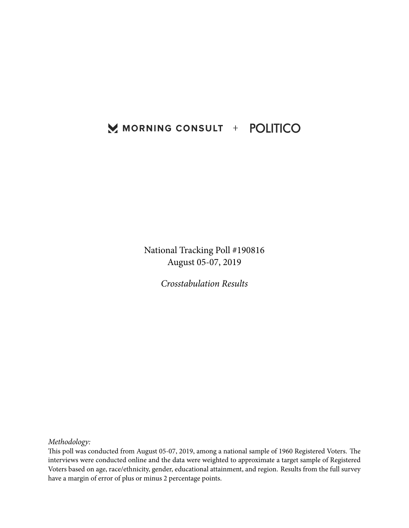## MORNING CONSULT + POLITICO

National Tracking Poll #190816 August 05-07, 2019

*Crosstabulation Results*

*Methodology:*

This poll was conducted from August 05-07, 2019, among a national sample of 1960 Registered Voters. The interviews were conducted online and the data were weighted to approximate a target sample of Registered Voters based on age, race/ethnicity, gender, educational attainment, and region. Results from the full survey have a margin of error of plus or minus 2 percentage points.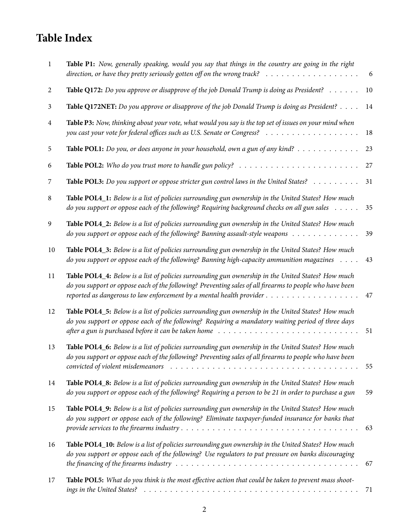# **Table Index**

| $\mathbf{1}$   | Table P1: Now, generally speaking, would you say that things in the country are going in the right<br>direction, or have they pretty seriously gotten off on the wrong track? $\ldots \ldots \ldots \ldots \ldots \ldots$                                                                                                                          | 6  |
|----------------|----------------------------------------------------------------------------------------------------------------------------------------------------------------------------------------------------------------------------------------------------------------------------------------------------------------------------------------------------|----|
| $\overline{2}$ | Table Q172: Do you approve or disapprove of the job Donald Trump is doing as President? $\dots \dots$                                                                                                                                                                                                                                              | 10 |
| 3              | Table Q172NET: Do you approve or disapprove of the job Donald Trump is doing as President? $\dots$                                                                                                                                                                                                                                                 | 14 |
| $\overline{4}$ | Table P3: Now, thinking about your vote, what would you say is the top set of issues on your mind when                                                                                                                                                                                                                                             | 18 |
| 5              | <b>Table POL1:</b> Do you, or does anyone in your household, own a gun of any kind?                                                                                                                                                                                                                                                                | 23 |
| 6              | <b>Table POL2:</b> Who do you trust more to handle gun policy? $\ldots \ldots \ldots \ldots \ldots \ldots \ldots \ldots$                                                                                                                                                                                                                           | 27 |
| 7              | Table POL3: Do you support or oppose stricter gun control laws in the United States? $\ldots \ldots \ldots$                                                                                                                                                                                                                                        | 31 |
| 8              | Table POLA_1: Below is a list of policies surrounding gun ownership in the United States? How much<br>do you support or oppose each of the following? Requiring background checks on all gun sales                                                                                                                                                 | 35 |
| 9              | Table POLA_2: Below is a list of policies surrounding gun ownership in the United States? How much<br>do you support or oppose each of the following? Banning assault-style weapons $\dots \dots \dots \dots$                                                                                                                                      | 39 |
| 10             | Table POLA_3: Below is a list of policies surrounding gun ownership in the United States? How much<br>do you support or oppose each of the following? Banning high-capacity ammunition magazines $\dots$ .                                                                                                                                         | 43 |
| 11             | Table POL4_4: Below is a list of policies surrounding gun ownership in the United States? How much<br>do you support or oppose each of the following? Preventing sales of all firearms to people who have been                                                                                                                                     | 47 |
| 12             | Table POLA_5: Below is a list of policies surrounding gun ownership in the United States? How much<br>do you support or oppose each of the following? Requiring a mandatory waiting period of three days                                                                                                                                           | 51 |
| 13             | Table POLA_6: Below is a list of policies surrounding gun ownership in the United States? How much<br>do you support or oppose each of the following? Preventing sales of all firearms to people who have been                                                                                                                                     | 55 |
| 14             | Table POL4_8: Below is a list of policies surrounding gun ownership in the United States? How much<br>do you support or oppose each of the following? Requiring a person to be 21 in order to purchase a gun                                                                                                                                       | 59 |
| 15             | Table POL4_9: Below is a list of policies surrounding gun ownership in the United States? How much<br>do you support or oppose each of the following? Eliminate taxpayer-funded insurance for banks that                                                                                                                                           | 63 |
| 16             | Table POL4_10: Below is a list of policies surrounding gun ownership in the United States? How much<br>do you support or oppose each of the following? Use regulators to put pressure on banks discouraging<br>the financing of the firearms industry $\ldots \ldots \ldots \ldots \ldots \ldots \ldots \ldots \ldots \ldots \ldots \ldots \ldots$ | 67 |
| 17             | Table POL5: What do you think is the most effective action that could be taken to prevent mass shoot-                                                                                                                                                                                                                                              | 71 |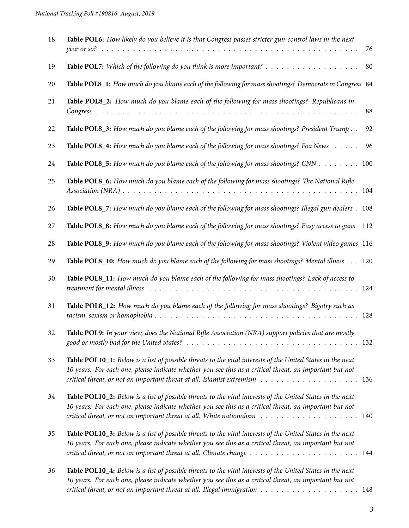| 18 | Table POL6: How likely do you believe it is that Congress passes stricter gun-control laws in the next<br>76                                                                                                                                                                                                                                             |
|----|----------------------------------------------------------------------------------------------------------------------------------------------------------------------------------------------------------------------------------------------------------------------------------------------------------------------------------------------------------|
| 19 | Table POL7: Which of the following do you think is more important? $\dots \dots \dots \dots \dots \dots \dots$<br>80                                                                                                                                                                                                                                     |
| 20 | Table POL8_1: How much do you blame each of the following for mass shootings? Democrats in Congress 84                                                                                                                                                                                                                                                   |
| 21 | Table POL8_2: How much do you blame each of the following for mass shootings? Republicans in<br>88                                                                                                                                                                                                                                                       |
| 22 | Table POL8_3: How much do you blame each of the following for mass shootings? President Trump<br>92                                                                                                                                                                                                                                                      |
| 23 | Table POL8_4: How much do you blame each of the following for mass shootings? Fox News<br>96                                                                                                                                                                                                                                                             |
| 24 | Table POL8_5: How much do you blame each of the following for mass shootings? CNN 100                                                                                                                                                                                                                                                                    |
| 25 | Table POL8_6: How much do you blame each of the following for mass shootings? The National Rifle                                                                                                                                                                                                                                                         |
| 26 | Table POL8_7: How much do you blame each of the following for mass shootings? Illegal gun dealers . 108                                                                                                                                                                                                                                                  |
| 27 | Table POL8_8: How much do you blame each of the following for mass shootings? Easy access to guns<br>112                                                                                                                                                                                                                                                 |
| 28 | Table POL8_9: How much do you blame each of the following for mass shootings? Violent video games 116                                                                                                                                                                                                                                                    |
| 29 | Table POL8_10: How much do you blame each of the following for mass shootings? Mental illness 120                                                                                                                                                                                                                                                        |
| 30 | Table POL8_11: How much do you blame each of the following for mass shootings? Lack of access to<br>treatment for mental illness resources in the context of the context of the context of the context of the context of the context of the context of the context of the context of the context of the context of the context of                        |
| 31 | Table POL8_12: How much do you blame each of the following for mass shootings? Bigotry such as                                                                                                                                                                                                                                                           |
| 32 | Table POL9: In your view, does the National Rifle Association (NRA) support policies that are mostly                                                                                                                                                                                                                                                     |
| 33 | Table POL10_1: Below is a list of possible threats to the vital interests of the United States in the next<br>10 years. For each one, please indicate whether you see this as a critical threat, an important but not                                                                                                                                    |
| 34 | Table POL10_2: Below is a list of possible threats to the vital interests of the United States in the next<br>10 years. For each one, please indicate whether you see this as a critical threat, an important but not<br>critical threat, or not an important threat at all. White nationalism $\ldots \ldots \ldots \ldots \ldots \ldots \ldots \ldots$ |
| 35 | Table POL10_3: Below is a list of possible threats to the vital interests of the United States in the next<br>10 years. For each one, please indicate whether you see this as a critical threat, an important but not                                                                                                                                    |
| 36 | Table POL10_4: Below is a list of possible threats to the vital interests of the United States in the next<br>10 years. For each one, please indicate whether you see this as a critical threat, an important but not                                                                                                                                    |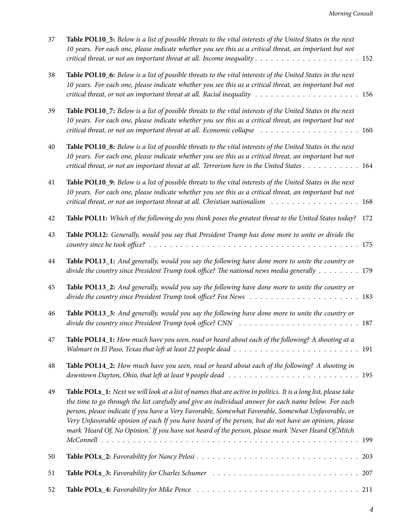| 37 | Table POL10_5: Below is a list of possible threats to the vital interests of the United States in the next<br>10 years. For each one, please indicate whether you see this as a critical threat, an important but not                                                                                                                                                                                                                                                                                                                         |  |
|----|-----------------------------------------------------------------------------------------------------------------------------------------------------------------------------------------------------------------------------------------------------------------------------------------------------------------------------------------------------------------------------------------------------------------------------------------------------------------------------------------------------------------------------------------------|--|
| 38 | Table POL10_6: Below is a list of possible threats to the vital interests of the United States in the next<br>10 years. For each one, please indicate whether you see this as a critical threat, an important but not<br>critical threat, or not an important threat at all. Racial inequality $\ldots \ldots \ldots \ldots \ldots \ldots \ldots \ldots$                                                                                                                                                                                      |  |
| 39 | Table POL10_7: Below is a list of possible threats to the vital interests of the United States in the next<br>10 years. For each one, please indicate whether you see this as a critical threat, an important but not                                                                                                                                                                                                                                                                                                                         |  |
| 40 | Table POL10_8: Below is a list of possible threats to the vital interests of the United States in the next<br>10 years. For each one, please indicate whether you see this as a critical threat, an important but not<br>critical threat, or not an important threat at all. Terrorism here in the United States 164                                                                                                                                                                                                                          |  |
| 41 | Table POL10_9: Below is a list of possible threats to the vital interests of the United States in the next<br>10 years. For each one, please indicate whether you see this as a critical threat, an important but not<br>critical threat, or not an important threat at all. Christian nationalism 168                                                                                                                                                                                                                                        |  |
| 42 | Table POL11: Which of the following do you think poses the greatest threat to the United States today? 172                                                                                                                                                                                                                                                                                                                                                                                                                                    |  |
| 43 | Table POL12: Generally, would you say that President Trump has done more to unite or divide the                                                                                                                                                                                                                                                                                                                                                                                                                                               |  |
| 44 | Table POL13_1: And generally, would you say the following have done more to unite the country or<br>divide the country since President Trump took office? The national news media generally 179                                                                                                                                                                                                                                                                                                                                               |  |
| 45 | Table POL13_2: And generally, would you say the following have done more to unite the country or                                                                                                                                                                                                                                                                                                                                                                                                                                              |  |
| 46 | Table POL13_3: And generally, would you say the following have done more to unite the country or                                                                                                                                                                                                                                                                                                                                                                                                                                              |  |
| 47 | Table POL14_1: How much have you seen, read or heard about each of the following? A shooting at a                                                                                                                                                                                                                                                                                                                                                                                                                                             |  |
| 48 | Table POL14_2: How much have you seen, read or heard about each of the following? A shooting in                                                                                                                                                                                                                                                                                                                                                                                                                                               |  |
| 49 | Table POLx_1: Next we will look at a list of names that are active in politics. It is a long list, please take<br>the time to go through the list carefully and give an individual answer for each name below. For each<br>person, please indicate if you have a Very Favorable, Somewhat Favorable, Somewhat Unfavorable, or<br>Very Unfavorable opinion of each If you have heard of the person, but do not have an opinion, please<br>mark 'Heard Of, No Opinion.' If you have not heard of the person, please mark 'Never Heard Of.'Mitch |  |
|    |                                                                                                                                                                                                                                                                                                                                                                                                                                                                                                                                               |  |
| 50 |                                                                                                                                                                                                                                                                                                                                                                                                                                                                                                                                               |  |
| 51 |                                                                                                                                                                                                                                                                                                                                                                                                                                                                                                                                               |  |
| 52 |                                                                                                                                                                                                                                                                                                                                                                                                                                                                                                                                               |  |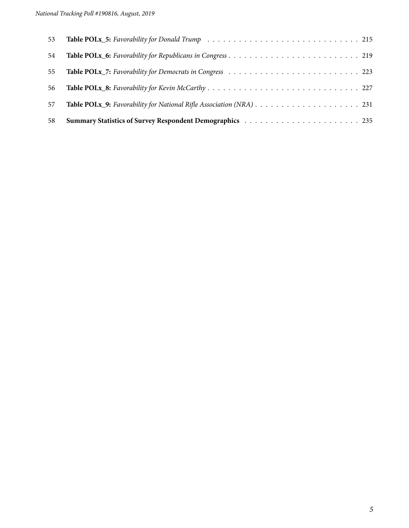| 53 |  |
|----|--|
| 54 |  |
| 55 |  |
| 56 |  |
| 57 |  |
| 58 |  |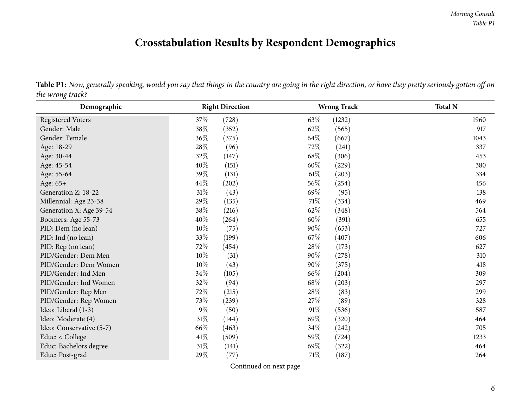# **Crosstabulation Results by Respondent Demographics**

|                  | ${\bf Table~P1:\}$ Now, generally speaking, would you say that things in the country are going in the right direction, or have they pretty seriously gotten off on |
|------------------|--------------------------------------------------------------------------------------------------------------------------------------------------------------------|
| the wrong track? |                                                                                                                                                                    |

<span id="page-5-0"></span>

| Demographic              | <b>Right Direction</b> | <b>Wrong Track</b> | <b>Total N</b> |  |  |
|--------------------------|------------------------|--------------------|----------------|--|--|
| <b>Registered Voters</b> | 37%<br>(728)           | 63\%<br>(1232)     | 1960           |  |  |
| Gender: Male             | 38\%<br>(352)          | 62\%<br>(565)      | 917            |  |  |
| Gender: Female           | 36\%<br>(375)          | 64\%<br>(667)      | 1043           |  |  |
| Age: 18-29               | 28\%<br>(96)           | 72\%<br>(241)      | 337            |  |  |
| Age: 30-44               | 32%<br>(147)           | 68\%<br>(306)      | 453            |  |  |
| Age: 45-54               | 40%<br>(151)           | $60\%$<br>(229)    | 380            |  |  |
| Age: 55-64               | 39%<br>(131)           | 61%<br>(203)       | 334            |  |  |
| Age: 65+                 | 44\%<br>(202)          | 56\%<br>(254)      | 456            |  |  |
| Generation Z: 18-22      | $31\%$<br>(43)         | 69\%<br>(95)       | 138            |  |  |
| Millennial: Age 23-38    | 29%<br>(135)           | 71\%<br>(334)      | 469            |  |  |
| Generation X: Age 39-54  | 38\%<br>(216)          | 62\%<br>(348)      | 564            |  |  |
| Boomers: Age 55-73       | 40%<br>(264)           | $60\%$<br>(391)    | 655            |  |  |
| PID: Dem (no lean)       | $10\%$<br>(75)         | 90%<br>(653)       | 727            |  |  |
| PID: Ind (no lean)       | 33%<br>(199)           | 67\%<br>(407)      | 606            |  |  |
| PID: Rep (no lean)       | 72\%<br>(454)          | 28\%<br>(173)      | 627            |  |  |
| PID/Gender: Dem Men      | $10\%$<br>(31)         | $90\%$<br>(278)    | 310            |  |  |
| PID/Gender: Dem Women    | $10\%$<br>(43)         | $90\%$<br>(375)    | 418            |  |  |
| PID/Gender: Ind Men      | $34\%$<br>(105)        | 66\%<br>(204)      | 309            |  |  |
| PID/Gender: Ind Women    | 32%<br>(94)            | 68\%<br>(203)      | 297            |  |  |
| PID/Gender: Rep Men      | 72%<br>(215)           | 28\%<br>(83)       | 299            |  |  |
| PID/Gender: Rep Women    | 73%<br>(239)           | 27\%<br>(89)       | 328            |  |  |
| Ideo: Liberal (1-3)      | $9\%$<br>(50)          | 91%<br>(536)       | 587            |  |  |
| Ideo: Moderate (4)       | $31\%$<br>(144)        | 69%<br>(320)       | 464            |  |  |
| Ideo: Conservative (5-7) | 66%<br>(463)           | $34\%$<br>(242)    | 705            |  |  |
| Educ: < College          | 41\%<br>(509)          | 59%<br>(724)       | 1233           |  |  |
| Educ: Bachelors degree   | $31\%$<br>(141)        | 69%<br>(322)       | 464            |  |  |
| Educ: Post-grad          | 29%<br>(77)            | 71\%<br>(187)      | 264            |  |  |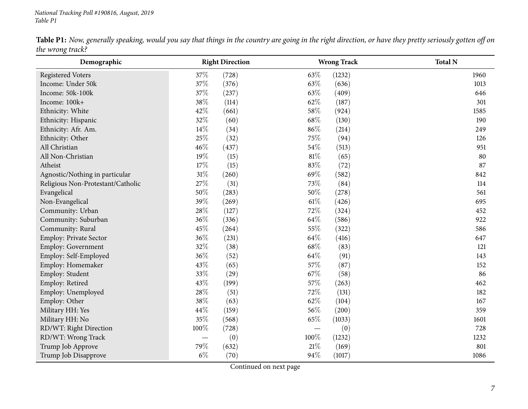|                  |  | <b>Table P1:</b> Now, generally speaking, would you say that things in the country are going in the right direction, or have they pretty seriously gotten off on |
|------------------|--|------------------------------------------------------------------------------------------------------------------------------------------------------------------|
| the wrong track? |  |                                                                                                                                                                  |

| Demographic                       |       | <b>Right Direction</b> |        | <b>Wrong Track</b> | <b>Total N</b> |
|-----------------------------------|-------|------------------------|--------|--------------------|----------------|
| <b>Registered Voters</b>          | 37%   | (728)                  | 63%    | (1232)             | 1960           |
| Income: Under 50k                 | 37%   | (376)                  | 63%    | (636)              | 1013           |
| Income: 50k-100k                  | 37%   | (237)                  | 63%    | (409)              | 646            |
| Income: 100k+                     | 38%   | (114)                  | 62%    | (187)              | 301            |
| Ethnicity: White                  | 42%   | (661)                  | 58%    | (924)              | 1585           |
| Ethnicity: Hispanic               | 32%   | (60)                   | 68%    | (130)              | 190            |
| Ethnicity: Afr. Am.               | 14%   | (34)                   | 86%    | (214)              | 249            |
| Ethnicity: Other                  | 25%   | (32)                   | 75%    | (94)               | 126            |
| All Christian                     | 46%   | (437)                  | 54%    | (513)              | 951            |
| All Non-Christian                 | 19%   | (15)                   | $81\%$ | (65)               | 80             |
| Atheist                           | 17%   | (15)                   | 83%    | (72)               | 87             |
| Agnostic/Nothing in particular    | 31%   | (260)                  | 69%    | (582)              | 842            |
| Religious Non-Protestant/Catholic | 27%   | (31)                   | 73%    | (84)               | 114            |
| Evangelical                       | 50%   | (283)                  | 50%    | (278)              | 561            |
| Non-Evangelical                   | 39%   | (269)                  | $61\%$ | (426)              | 695            |
| Community: Urban                  | 28%   | (127)                  | $72\%$ | (324)              | 452            |
| Community: Suburban               | 36%   | (336)                  | 64%    | (586)              | 922            |
| Community: Rural                  | 45%   | (264)                  | $55\%$ | (322)              | 586            |
| Employ: Private Sector            | 36%   | (231)                  | 64%    | (416)              | 647            |
| Employ: Government                | 32%   | (38)                   | 68%    | (83)               | 121            |
| Employ: Self-Employed             | 36%   | (52)                   | 64%    | (91)               | 143            |
| Employ: Homemaker                 | 43%   | (65)                   | 57%    | (87)               | 152            |
| Employ: Student                   | 33%   | (29)                   | 67%    | (58)               | 86             |
| Employ: Retired                   | 43%   | (199)                  | 57%    | (263)              | 462            |
| Employ: Unemployed                | 28%   | (51)                   | 72%    | (131)              | 182            |
| Employ: Other                     | 38%   | (63)                   | 62%    | (104)              | 167            |
| Military HH: Yes                  | 44%   | (159)                  | 56%    | (200)              | 359            |
| Military HH: No                   | 35%   | (568)                  | 65%    | (1033)             | 1601           |
| RD/WT: Right Direction            | 100%  | (728)                  |        | (0)                | 728            |
| RD/WT: Wrong Track                |       | (0)                    | 100%   | (1232)             | 1232           |
| Trump Job Approve                 | 79%   | (632)                  | $21\%$ | (169)              | 801            |
| Trump Job Disapprove              | $6\%$ | (70)                   | 94%    | (1017)             | 1086           |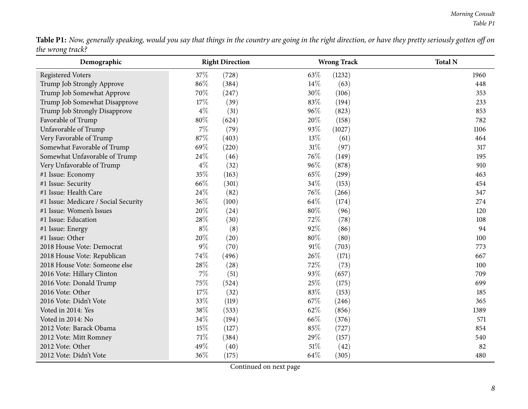Table P1: Now, generally speaking, would you say that things in the country are going in the right direction, or have they pretty seriously gotten off on *the wrong track?*

| Demographic                          |       | <b>Right Direction</b> |        | <b>Wrong Track</b> | <b>Total N</b> |
|--------------------------------------|-------|------------------------|--------|--------------------|----------------|
| <b>Registered Voters</b>             | 37%   | (728)                  | 63\%   | (1232)             | 1960           |
| Trump Job Strongly Approve           | 86%   | (384)                  | $14\%$ | (63)               | 448            |
| Trump Job Somewhat Approve           | 70%   | (247)                  | 30%    | (106)              | 353            |
| Trump Job Somewhat Disapprove        | 17%   | (39)                   | 83%    | (194)              | 233            |
| Trump Job Strongly Disapprove        | $4\%$ | (31)                   | 96%    | (823)              | 853            |
| Favorable of Trump                   | 80%   | (624)                  | 20%    | (158)              | 782            |
| Unfavorable of Trump                 | $7\%$ | (79)                   | 93%    | (1027)             | 1106           |
| Very Favorable of Trump              | 87%   | (403)                  | 13%    | (61)               | 464            |
| Somewhat Favorable of Trump          | 69%   | (220)                  | $31\%$ | (97)               | 317            |
| Somewhat Unfavorable of Trump        | 24%   | (46)                   | 76%    | (149)              | 195            |
| Very Unfavorable of Trump            | $4\%$ | (32)                   | 96%    | (878)              | 910            |
| #1 Issue: Economy                    | 35%   | (163)                  | 65%    | (299)              | 463            |
| #1 Issue: Security                   | 66%   | (301)                  | 34\%   | (153)              | 454            |
| #1 Issue: Health Care                | 24%   | (82)                   | 76%    | (266)              | 347            |
| #1 Issue: Medicare / Social Security | 36%   | (100)                  | 64%    | (174)              | 274            |
| #1 Issue: Women's Issues             | 20%   | (24)                   | $80\%$ | (96)               | 120            |
| #1 Issue: Education                  | 28%   | (30)                   | 72%    | (78)               | 108            |
| #1 Issue: Energy                     | $8\%$ | (8)                    | 92%    | (86)               | 94             |
| #1 Issue: Other                      | 20%   | (20)                   | 80%    | (80)               | 100            |
| 2018 House Vote: Democrat            | $9\%$ | (70)                   | 91%    | (703)              | 773            |
| 2018 House Vote: Republican          | 74%   | (496)                  | 26%    | (171)              | 667            |
| 2018 House Vote: Someone else        | 28%   | (28)                   | 72%    | (73)               | 100            |
| 2016 Vote: Hillary Clinton           | $7\%$ | (51)                   | 93%    | (657)              | 709            |
| 2016 Vote: Donald Trump              | 75%   | (524)                  | 25%    | (175)              | 699            |
| 2016 Vote: Other                     | 17%   | (32)                   | 83%    | (153)              | 185            |
| 2016 Vote: Didn't Vote               | 33%   | (119)                  | 67%    | (246)              | 365            |
| Voted in 2014: Yes                   | 38%   | (533)                  | 62%    | (856)              | 1389           |
| Voted in 2014: No                    | 34%   | (194)                  | 66%    | (376)              | 571            |
| 2012 Vote: Barack Obama              | 15%   | (127)                  | 85%    | (727)              | 854            |
| 2012 Vote: Mitt Romney               | 71%   | (384)                  | 29%    | (157)              | 540            |
| 2012 Vote: Other                     | 49%   | (40)                   | 51%    | (42)               | 82             |
| 2012 Vote: Didn't Vote               | 36%   | (175)                  | 64%    | (305)              | 480            |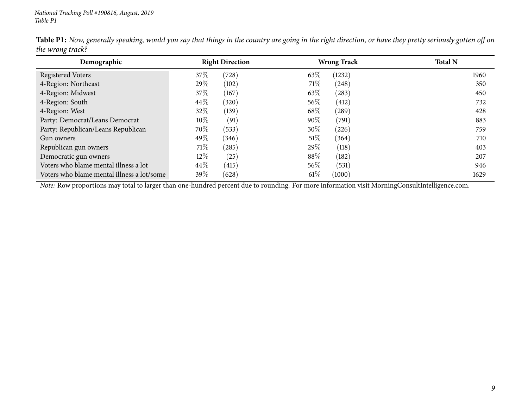| Demographic                                | <b>Right Direction</b> | <b>Wrong Track</b>            | <b>Total N</b> |
|--------------------------------------------|------------------------|-------------------------------|----------------|
| Registered Voters                          | 37%<br>(728)           | 63\%<br>(1232)                | 1960           |
| 4-Region: Northeast                        | 29%<br>(102)           | 71%<br>(248)                  | 350            |
| 4-Region: Midwest                          | 37%<br>(167)           | 63\%<br>(283)                 | 450            |
| 4-Region: South                            | 44\%<br>(320)          | $56\%$<br>(412)               | 732            |
| 4-Region: West                             | 32\%<br>(139)          | 68\%<br>$\left( 289\right)$   | 428            |
| Party: Democrat/Leans Democrat             | 10%<br>(91)            | $90\%$<br>$\left( 791\right)$ | 883            |
| Party: Republican/Leans Republican         | 70%<br>(533)           | $30\%$<br>(226)               | 759            |
| Gun owners                                 | 49%<br>(346)           | 51%<br>(364)                  | 710            |
| Republican gun owners                      | 71\%<br>(285)          | $29\%$<br>(118)               | 403            |
| Democratic gun owners                      | $12\%$<br>(25)         | $88\%$<br>(182)               | 207            |
| Voters who blame mental illness a lot      | 44\%<br>(415)          | $56\%$<br>(531)               | 946            |
| Voters who blame mental illness a lot/some | 39\%<br>(628)          | $61\%$<br>(1000)              | 1629           |

Table P1: Now, generally speaking, would you say that things in the country are going in the right direction, or have they pretty seriously gotten off on *the wrong track?*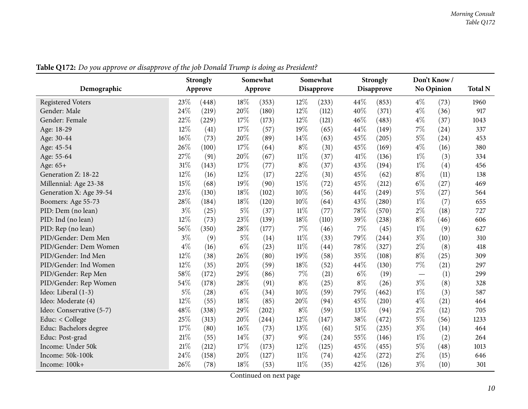<span id="page-9-0"></span>

| <b>Strongly</b>          |       |         | Somewhat |         |        | Somewhat   |       | <b>Strongly</b> |                          | Don't Know/ |      |
|--------------------------|-------|---------|----------|---------|--------|------------|-------|-----------------|--------------------------|-------------|------|
| Demographic              |       | Approve |          | Approve |        | Disapprove |       | Disapprove      |                          | No Opinion  |      |
| <b>Registered Voters</b> | 23%   | (448)   | 18%      | (353)   | 12%    | (233)      | 44%   | (853)           | $4\%$                    | (73)        | 1960 |
| Gender: Male             | 24%   | (219)   | 20%      | (180)   | 12%    | (112)      | 40%   | (371)           | $4\%$                    | (36)        | 917  |
| Gender: Female           | 22%   | (229)   | 17\%     | (173)   | 12%    | (121)      | 46%   | (483)           | $4\%$                    | (37)        | 1043 |
| Age: 18-29               | 12%   | (41)    | 17%      | (57)    | 19%    | (65)       | 44%   | (149)           | $7\%$                    | (24)        | 337  |
| Age: 30-44               | 16%   | (73)    | 20%      | (89)    | 14%    | (63)       | 45%   | (205)           | $5\%$                    | (24)        | 453  |
| Age: 45-54               | 26%   | (100)   | 17\%     | (64)    | $8\%$  | (31)       | 45%   | (169)           | $4\%$                    | (16)        | 380  |
| Age: 55-64               | 27%   | (91)    | 20%      | (67)    | $11\%$ | (37)       | 41\%  | (136)           | $1\%$                    | (3)         | 334  |
| Age: 65+                 | 31%   | (143)   | 17\%     | (77)    | $8\%$  | (37)       | 43%   | (194)           | $1\%$                    | (4)         | 456  |
| Generation Z: 18-22      | 12%   | (16)    | $12\%$   | (17)    | 22%    | (31)       | 45%   | (62)            | $8\%$                    | (11)        | 138  |
| Millennial: Age 23-38    | 15%   | (68)    | 19%      | (90)    | 15%    | (72)       | 45%   | (212)           | $6\%$                    | (27)        | 469  |
| Generation X: Age 39-54  | 23%   | (130)   | 18%      | (102)   | 10%    | (56)       | 44%   | (249)           | $5\%$                    | (27)        | 564  |
| Boomers: Age 55-73       | 28%   | (184)   | 18%      | (120)   | 10%    | (64)       | 43%   | (280)           | $1\%$                    | (7)         | 655  |
| PID: Dem (no lean)       | $3\%$ | (25)    | $5\%$    | (37)    | $11\%$ | (77)       | 78%   | (570)           | $2\%$                    | (18)        | 727  |
| PID: Ind (no lean)       | 12%   | (73)    | 23%      | (139)   | 18%    | (110)      | 39%   | (238)           | $8\%$                    | (46)        | 606  |
| PID: Rep (no lean)       | 56%   | (350)   | 28%      | (177)   | 7%     | (46)       | $7\%$ | (45)            | $1\%$                    | (9)         | 627  |
| PID/Gender: Dem Men      | $3\%$ | (9)     | $5\%$    | (14)    | $11\%$ | (33)       | 79%   | (244)           | $3\%$                    | (10)        | 310  |
| PID/Gender: Dem Women    | $4\%$ | (16)    | $6\%$    | (23)    | $11\%$ | (44)       | 78%   | (327)           | $2\%$                    | (8)         | 418  |
| PID/Gender: Ind Men      | 12%   | (38)    | 26%      | (80)    | 19%    | (58)       | 35%   | (108)           | $8\%$                    | (25)        | 309  |
| PID/Gender: Ind Women    | 12%   | (35)    | 20%      | (59)    | 18%    | (52)       | 44%   | (130)           | $7\%$                    | (21)        | 297  |
| PID/Gender: Rep Men      | 58%   | (172)   | 29%      | (86)    | 7%     | (21)       | $6\%$ | (19)            | $\overline{\phantom{m}}$ | (1)         | 299  |
| PID/Gender: Rep Women    | 54%   | (178)   | 28%      | (91)    | $8\%$  | (25)       | $8\%$ | (26)            | $3\%$                    | (8)         | 328  |
| Ideo: Liberal (1-3)      | $5\%$ | (28)    | $6\%$    | (34)    | 10%    | (59)       | 79%   | (462)           | $1\%$                    | (3)         | 587  |
| Ideo: Moderate (4)       | 12%   | (55)    | 18%      | (85)    | 20%    | (94)       | 45%   | (210)           | $4\%$                    | (21)        | 464  |
| Ideo: Conservative (5-7) | 48%   | (338)   | 29%      | (202)   | $8\%$  | (59)       | 13\%  | (94)            | $2\%$                    | (12)        | 705  |
| Educ: < College          | 25%   | (313)   | 20%      | (244)   | 12%    | (147)      | 38%   | (472)           | $5\%$                    | (56)        | 1233 |
| Educ: Bachelors degree   | 17%   | (80)    | 16%      | (73)    | 13%    | (61)       | 51%   | (235)           | $3\%$                    | (14)        | 464  |
| Educ: Post-grad          | 21%   | (55)    | 14%      | (37)    | $9\%$  | (24)       | 55%   | (146)           | $1\%$                    | (2)         | 264  |
| Income: Under 50k        | 21%   | (212)   | 17\%     | (173)   | 12%    | (125)      | 45%   | (455)           | $5\%$                    | (48)        | 1013 |
| Income: 50k-100k         | 24%   | (158)   | 20%      | (127)   | $11\%$ | (74)       | 42%   | (272)           | $2\%$                    | (15)        | 646  |
| Income: 100k+            | 26%   | (78)    | 18%      | (53)    | $11\%$ | (35)       | 42%   | (126)           | $3\%$                    | (10)        | 301  |

Table Q172: Do you approve or disapprove of the job Donald Trump is doing as President?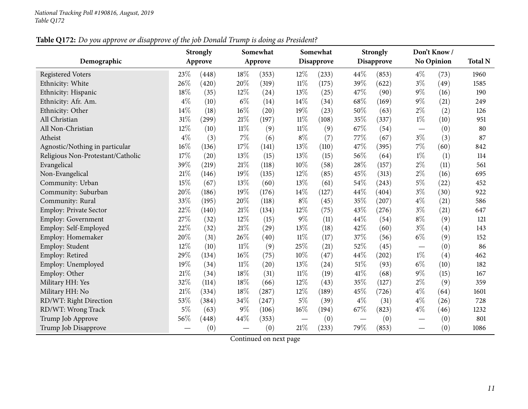## Table Q172: Do you approve or disapprove of the job Donald Trump is doing as President?

|                                   | <b>Strongly</b> |         |        | Somewhat |        | Somewhat   |       | <b>Strongly</b>   |                                | Don't Know /      |      |
|-----------------------------------|-----------------|---------|--------|----------|--------|------------|-------|-------------------|--------------------------------|-------------------|------|
| Demographic                       |                 | Approve |        | Approve  |        | Disapprove |       | <b>Disapprove</b> |                                | <b>No Opinion</b> |      |
| <b>Registered Voters</b>          | 23%             | (448)   | 18%    | (353)    | 12%    | (233)      | 44%   | (853)             | $4\%$                          | (73)              | 1960 |
| Ethnicity: White                  | 26%             | (420)   | 20%    | (319)    | $11\%$ | (175)      | 39%   | (622)             | $3\%$                          | (49)              | 1585 |
| Ethnicity: Hispanic               | 18%             | (35)    | 12%    | (24)     | 13%    | (25)       | 47%   | (90)              | $9\%$                          | (16)              | 190  |
| Ethnicity: Afr. Am.               | $4\%$           | (10)    | $6\%$  | (14)     | 14%    | (34)       | 68%   | (169)             | $9\%$                          | (21)              | 249  |
| Ethnicity: Other                  | 14%             | (18)    | 16%    | (20)     | 19%    | (23)       | 50%   | (63)              | $2\%$                          | (2)               | 126  |
| All Christian                     | 31%             | (299)   | 21%    | (197)    | $11\%$ | (108)      | 35%   | (337)             | $1\%$                          | (10)              | 951  |
| All Non-Christian                 | 12%             | (10)    | $11\%$ | (9)      | $11\%$ | (9)        | 67%   | (54)              |                                | (0)               | 80   |
| Atheist                           | $4\%$           | (3)     | $7\%$  | (6)      | $8\%$  | (7)        | 77%   | (67)              | $3\%$                          | (3)               | 87   |
| Agnostic/Nothing in particular    | 16%             | (136)   | 17%    | (141)    | 13%    | (110)      | 47%   | (395)             | $7\%$                          | (60)              | 842  |
| Religious Non-Protestant/Catholic | 17%             | (20)    | 13%    | (15)     | 13%    | (15)       | 56%   | (64)              | $1\%$                          | (1)               | 114  |
| Evangelical                       | 39%             | (219)   | 21%    | (118)    | 10%    | (58)       | 28%   | (157)             | $2\%$                          | (11)              | 561  |
| Non-Evangelical                   | 21%             | (146)   | 19%    | (135)    | 12%    | (85)       | 45%   | (313)             | $2\%$                          | (16)              | 695  |
| Community: Urban                  | 15%             | (67)    | 13%    | (60)     | 13%    | (61)       | 54%   | (243)             | $5\%$                          | (22)              | 452  |
| Community: Suburban               | 20%             | (186)   | 19%    | (176)    | 14%    | (127)      | 44%   | (404)             | $3\%$                          | (30)              | 922  |
| Community: Rural                  | 33%             | (195)   | 20%    | (118)    | $8\%$  | (45)       | 35%   | (207)             | $4\%$                          | (21)              | 586  |
| Employ: Private Sector            | 22%             | (140)   | 21%    | (134)    | 12%    | (75)       | 43%   | (276)             | $3\%$                          | (21)              | 647  |
| Employ: Government                | 27%             | (32)    | 12%    | (15)     | $9\%$  | (11)       | 44%   | (54)              | $8\%$                          | (9)               | 121  |
| Employ: Self-Employed             | 22%             | (32)    | 21\%   | (29)     | 13%    | (18)       | 42%   | (60)              | $3\%$                          | (4)               | 143  |
| Employ: Homemaker                 | 20%             | (31)    | 26%    | (40)     | $11\%$ | (17)       | 37%   | (56)              | $6\%$                          | (9)               | 152  |
| Employ: Student                   | 12%             | (10)    | $11\%$ | (9)      | 25%    | (21)       | 52%   | (45)              |                                | (0)               | 86   |
| Employ: Retired                   | 29%             | (134)   | 16%    | (75)     | 10%    | (47)       | 44%   | (202)             | $1\%$                          | (4)               | 462  |
| Employ: Unemployed                | 19%             | (34)    | $11\%$ | (20)     | 13%    | (24)       | 51%   | (93)              | $6\%$                          | (10)              | 182  |
| Employ: Other                     | 21%             | (34)    | 18%    | (31)     | $11\%$ | (19)       | 41\%  | (68)              | $9\%$                          | (15)              | 167  |
| Military HH: Yes                  | 32%             | (114)   | 18%    | (66)     | 12%    | (43)       | 35%   | (127)             | $2\%$                          | (9)               | 359  |
| Military HH: No                   | 21%             | (334)   | 18%    | (287)    | 12%    | (189)      | 45%   | (726)             | $4\%$                          | (64)              | 1601 |
| RD/WT: Right Direction            | 53%             | (384)   | 34%    | (247)    | 5%     | (39)       | $4\%$ | (31)              | $4\%$                          | (26)              | 728  |
| RD/WT: Wrong Track                | $5\%$           | (63)    | $9\%$  | (106)    | 16%    | (194)      | 67%   | (823)             | $4\%$                          | (46)              | 1232 |
| Trump Job Approve                 | 56%             | (448)   | 44%    | (353)    |        | (0)        |       | (0)               |                                | (0)               | 801  |
| Trump Job Disapprove              |                 | (0)     |        | (0)      | 21%    | (233)      | 79%   | (853)             | $\overbrace{\phantom{123321}}$ | (0)               | 1086 |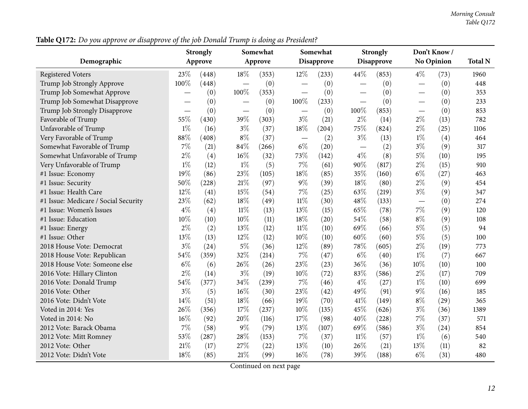Table Q172: Do you approve or disapprove of the job Donald Trump is doing as President?

|                                      |       | <b>Strongly</b> | Somewhat                          |         |        | Somewhat   |        | <b>Strongly</b>   |                          | Don't Know / |                |
|--------------------------------------|-------|-----------------|-----------------------------------|---------|--------|------------|--------|-------------------|--------------------------|--------------|----------------|
| Demographic                          |       | Approve         |                                   | Approve |        | Disapprove |        | <b>Disapprove</b> |                          | No Opinion   | <b>Total N</b> |
| <b>Registered Voters</b>             | 23%   | (448)           | 18%                               | (353)   | 12%    | (233)      | 44%    | (853)             | $4\%$                    | (73)         | 1960           |
| Trump Job Strongly Approve           | 100%  | (448)           |                                   | (0)     |        | (0)        | —      | (0)               | $\overline{\phantom{0}}$ | (0)          | 448            |
| Trump Job Somewhat Approve           |       | (0)             | 100%                              | (353)   |        | (0)        |        | (0)               | $\overline{\phantom{0}}$ | (0)          | 353            |
| Trump Job Somewhat Disapprove        |       | (0)             |                                   | (0)     | 100%   | (233)      |        | (0)               |                          | (0)          | 233            |
| Trump Job Strongly Disapprove        |       | (0)             | $\overbrace{\phantom{123221111}}$ | (0)     |        | (0)        | 100%   | (853)             | $\overline{\phantom{0}}$ | (0)          | 853            |
| Favorable of Trump                   | 55%   | (430)           | 39%                               | (303)   | $3\%$  | (21)       | $2\%$  | (14)              | $2\%$                    | (13)         | 782            |
| Unfavorable of Trump                 | $1\%$ | (16)            | $3\%$                             | (37)    | 18%    | (204)      | 75%    | (824)             | $2\%$                    | (25)         | 1106           |
| Very Favorable of Trump              | 88%   | (408)           | $8\%$                             | (37)    |        | (2)        | $3\%$  | (13)              | $1\%$                    | (4)          | 464            |
| Somewhat Favorable of Trump          | $7\%$ | (21)            | 84%                               | (266)   | $6\%$  | (20)       |        | (2)               | $3\%$                    | (9)          | 317            |
| Somewhat Unfavorable of Trump        | $2\%$ | (4)             | $16\%$                            | (32)    | 73%    | (142)      | $4\%$  | (8)               | $5\%$                    | (10)         | 195            |
| Very Unfavorable of Trump            | $1\%$ | (12)            | $1\%$                             | (5)     | $7\%$  | (61)       | 90%    | (817)             | $2\%$                    | (15)         | 910            |
| #1 Issue: Economy                    | 19%   | (86)            | 23%                               | (105)   | 18%    | (85)       | 35%    | (160)             | $6\%$                    | (27)         | 463            |
| #1 Issue: Security                   | 50%   | (228)           | 21%                               | (97)    | $9\%$  | (39)       | 18%    | (80)              | $2\%$                    | (9)          | 454            |
| #1 Issue: Health Care                | 12%   | (41)            | 15%                               | (54)    | $7\%$  | (25)       | 63%    | (219)             | $3\%$                    | (9)          | 347            |
| #1 Issue: Medicare / Social Security | 23%   | (62)            | 18%                               | (49)    | $11\%$ | (30)       | 48%    | (133)             | $\overline{\phantom{0}}$ | (0)          | 274            |
| #1 Issue: Women's Issues             | $4\%$ | (4)             | $11\%$                            | (13)    | 13%    | (15)       | 65%    | (78)              | $7\%$                    | (9)          | 120            |
| #1 Issue: Education                  | 10%   | (10)            | 10%                               | (11)    | 18%    | (20)       | 54%    | (58)              | $8\%$                    | (9)          | 108            |
| #1 Issue: Energy                     | $2\%$ | (2)             | 13%                               | (12)    | $11\%$ | (10)       | 69%    | (66)              | $5\%$                    | (5)          | 94             |
| #1 Issue: Other                      | 13%   | (13)            | 12%                               | (12)    | 10%    | (10)       | 60%    | (60)              | $5\%$                    | (5)          | 100            |
| 2018 House Vote: Democrat            | $3\%$ | (24)            | $5\%$                             | (36)    | 12%    | (89)       | 78%    | (605)             | $2\%$                    | (19)         | 773            |
| 2018 House Vote: Republican          | 54%   | (359)           | 32%                               | (214)   | $7\%$  | (47)       | $6\%$  | (40)              | $1\%$                    | (7)          | 667            |
| 2018 House Vote: Someone else        | $6\%$ | (6)             | 26%                               | (26)    | 23%    | (23)       | 36%    | (36)              | 10%                      | (10)         | 100            |
| 2016 Vote: Hillary Clinton           | $2\%$ | (14)            | $3\%$                             | (19)    | 10%    | (72)       | 83%    | (586)             | $2\%$                    | (17)         | 709            |
| 2016 Vote: Donald Trump              | 54%   | (377)           | 34%                               | (239)   | $7\%$  | (46)       | $4\%$  | (27)              | $1\%$                    | (10)         | 699            |
| 2016 Vote: Other                     | $3\%$ | (5)             | 16%                               | (30)    | 23%    | (42)       | 49%    | (91)              | $9\%$                    | (16)         | 185            |
| 2016 Vote: Didn't Vote               | 14%   | (51)            | 18%                               | (66)    | 19%    | (70)       | 41\%   | (149)             | $8\%$                    | (29)         | 365            |
| Voted in 2014: Yes                   | 26%   | (356)           | 17%                               | (237)   | $10\%$ | (135)      | 45%    | (626)             | $3\%$                    | (36)         | 1389           |
| Voted in 2014: No                    | 16%   | (92)            | 20%                               | (116)   | 17%    | (98)       | 40%    | (228)             | $7\%$                    | (37)         | 571            |
| 2012 Vote: Barack Obama              | 7%    | (58)            | $9\%$                             | (79)    | 13%    | (107)      | 69%    | (586)             | $3\%$                    | (24)         | 854            |
| 2012 Vote: Mitt Romney               | 53%   | (287)           | 28%                               | (153)   | $7\%$  | (37)       | $11\%$ | (57)              | $1\%$                    | (6)          | 540            |
| 2012 Vote: Other                     | 21%   | (17)            | 27%                               | (22)    | 13%    | (10)       | 26%    | (21)              | 13%                      | (11)         | 82             |
| 2012 Vote: Didn't Vote               | 18%   | (85)            | 21%                               | (99)    | $16\%$ | (78)       | 39%    | (188)             | $6\%$                    | (31)         | 480            |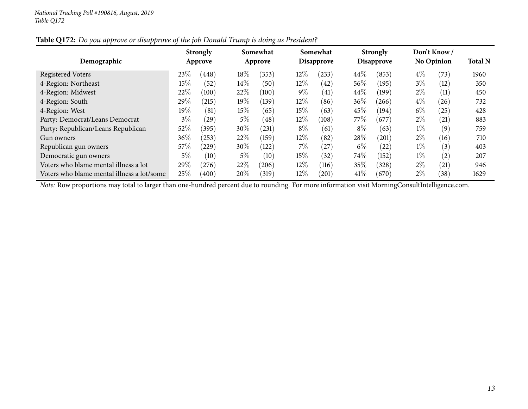| Demographic                                |       | <b>Strongly</b><br>Approve |        | Somewhat<br>Approve |        | Somewhat<br>Disapprove |        | <b>Strongly</b><br>Disapprove |       | Don't Know/<br><b>No Opinion</b> | <b>Total N</b> |
|--------------------------------------------|-------|----------------------------|--------|---------------------|--------|------------------------|--------|-------------------------------|-------|----------------------------------|----------------|
| Registered Voters                          | 23\%  | (448)                      | $18\%$ | (353)               | 12\%   | $^{(233)}$             | 44\%   | (853)                         | $4\%$ | (73)                             | 1960           |
| 4-Region: Northeast                        | 15\%  | (52)                       | $14\%$ | (50)                | $12\%$ | (42)                   | $56\%$ | (195)                         | $3\%$ | (12)                             | 350            |
| 4-Region: Midwest                          | 22%   | (100)                      | 22%    | (100)               | $9\%$  | (41)                   | 44\%   | (199)                         | $2\%$ | (11)                             | 450            |
| 4-Region: South                            | 29\%  | (215)                      | $19\%$ | (139)               | $12\%$ | (86)                   | $36\%$ | (266)                         | $4\%$ | (26)                             | 732            |
| 4-Region: West                             | 19%   | (81)                       | 15\%   | (65)                | 15%    | (63)                   | 45%    | (194)                         | $6\%$ | (25)                             | 428            |
| Party: Democrat/Leans Democrat             | $3\%$ | (29)                       | $5\%$  | (48)                | $12\%$ | (108)                  | 77\%   | (677)                         | $2\%$ | (21)                             | 883            |
| Party: Republican/Leans Republican         | 52%   | (395)                      | $30\%$ | (231)               | $8\%$  | (61)                   | $8\%$  | (63)                          | $1\%$ | (9)                              | 759            |
| Gun owners                                 | 36\%  | (253)                      | 22%    | (159)               | $12\%$ | (82)                   | $28\%$ | (201)                         | $2\%$ | (16)                             | 710            |
| Republican gun owners                      | 57\%  | (229)                      | $30\%$ | (122)               | $7\%$  | (27)                   | $6\%$  | (22)                          | $1\%$ | (3)                              | 403            |
| Democratic gun owners                      | 5%    | (10)                       | $5\%$  | (10)                | 15%    | (32)                   | 74\%   | (152)                         | $1\%$ | (2)                              | 207            |
| Voters who blame mental illness a lot      | 29\%  | (276)                      | 22%    | (206)               | $12\%$ | (116)                  | 35%    | (328)                         | $2\%$ | (21)                             | 946            |
| Voters who blame mental illness a lot/some | 25%   | (400)                      | 20%    | (319)               | $12\%$ | (201)                  | 41%    | (670)                         | $2\%$ | (38)                             | 1629           |

## Table Q172: Do you approve or disapprove of the job Donald Trump is doing as President?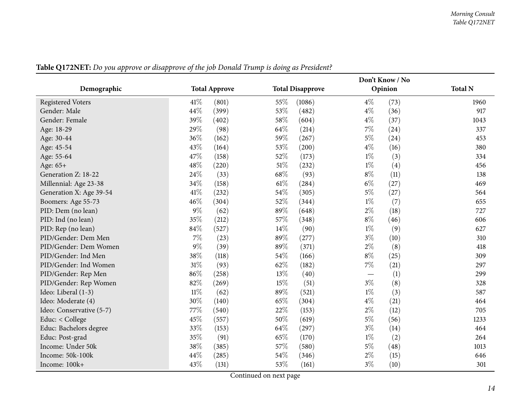<span id="page-13-0"></span>

|                          |        |                      |      | Don't Know / No         |       |         |                |
|--------------------------|--------|----------------------|------|-------------------------|-------|---------|----------------|
| Demographic              |        | <b>Total Approve</b> |      | <b>Total Disapprove</b> |       | Opinion | <b>Total N</b> |
| <b>Registered Voters</b> | 41\%   | (801)                | 55%  | (1086)                  | $4\%$ | (73)    | 1960           |
| Gender: Male             | 44%    | (399)                | 53%  | (482)                   | $4\%$ | (36)    | 917            |
| Gender: Female           | 39%    | (402)                | 58%  | (604)                   | $4\%$ | (37)    | 1043           |
| Age: 18-29               | 29%    | (98)                 | 64%  | (214)                   | $7\%$ | (24)    | 337            |
| Age: 30-44               | 36%    | (162)                | 59%  | (267)                   | $5\%$ | (24)    | 453            |
| Age: 45-54               | 43%    | (164)                | 53%  | (200)                   | $4\%$ | (16)    | 380            |
| Age: 55-64               | 47%    | (158)                | 52%  | (173)                   | $1\%$ | (3)     | 334            |
| Age: 65+                 | 48%    | (220)                | 51%  | (232)                   | $1\%$ | (4)     | 456            |
| Generation Z: 18-22      | 24%    | (33)                 | 68\% | (93)                    | $8\%$ | (11)    | 138            |
| Millennial: Age 23-38    | 34%    | (158)                | 61%  | (284)                   | $6\%$ | (27)    | 469            |
| Generation X: Age 39-54  | 41%    | (232)                | 54%  | (305)                   | $5\%$ | (27)    | 564            |
| Boomers: Age 55-73       | 46%    | (304)                | 52%  | (344)                   | $1\%$ | (7)     | 655            |
| PID: Dem (no lean)       | $9\%$  | (62)                 | 89%  | (648)                   | $2\%$ | (18)    | 727            |
| PID: Ind (no lean)       | 35%    | (212)                | 57%  | (348)                   | $8\%$ | (46)    | 606            |
| PID: Rep (no lean)       | 84%    | (527)                | 14%  | (90)                    | $1\%$ | (9)     | 627            |
| PID/Gender: Dem Men      | $7\%$  | (23)                 | 89%  | (277)                   | $3\%$ | (10)    | 310            |
| PID/Gender: Dem Women    | $9\%$  | (39)                 | 89%  | (371)                   | $2\%$ | (8)     | 418            |
| PID/Gender: Ind Men      | 38%    | (118)                | 54%  | (166)                   | $8\%$ | (25)    | 309            |
| PID/Gender: Ind Women    | $31\%$ | (93)                 | 62%  | (182)                   | $7\%$ | (21)    | 297            |
| PID/Gender: Rep Men      | 86%    | (258)                | 13%  | (40)                    |       | (1)     | 299            |
| PID/Gender: Rep Women    | 82%    | (269)                | 15%  | (51)                    | $3\%$ | (8)     | 328            |
| Ideo: Liberal (1-3)      | $11\%$ | (62)                 | 89%  | (521)                   | $1\%$ | (3)     | 587            |
| Ideo: Moderate (4)       | 30%    | (140)                | 65%  | (304)                   | $4\%$ | (21)    | 464            |
| Ideo: Conservative (5-7) | 77%    | (540)                | 22%  | (153)                   | $2\%$ | (12)    | 705            |
| Educ: < College          | 45%    | (557)                | 50%  | (619)                   | $5\%$ | (56)    | 1233           |
| Educ: Bachelors degree   | 33%    | (153)                | 64\% | (297)                   | $3\%$ | (14)    | 464            |
| Educ: Post-grad          | 35%    | (91)                 | 65%  | (170)                   | $1\%$ | (2)     | 264            |
| Income: Under 50k        | 38%    | (385)                | 57%  | (580)                   | $5\%$ | (48)    | 1013           |
| Income: 50k-100k         | 44%    | (285)                | 54%  | (346)                   | $2\%$ | (15)    | 646            |
| Income: 100k+            | 43%    | (131)                | 53%  | (161)                   | $3\%$ | (10)    | 301            |

Table Q172NET: Do you approve or disapprove of the job Donald Trump is doing as President?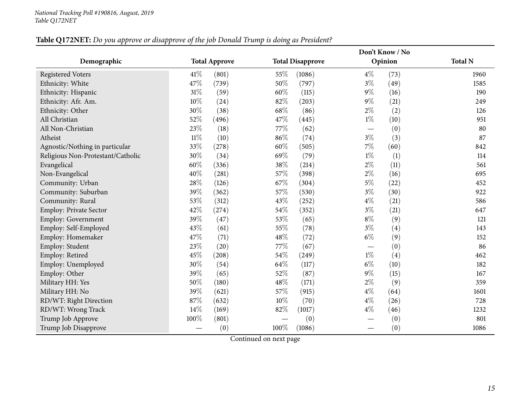## Table Q172NET: Do you approve or disapprove of the job Donald Trump is doing as President?

|                                   |        |                      |        | Don't Know / No         |                          |         |                |
|-----------------------------------|--------|----------------------|--------|-------------------------|--------------------------|---------|----------------|
| Demographic                       |        | <b>Total Approve</b> |        | <b>Total Disapprove</b> |                          | Opinion | <b>Total N</b> |
| <b>Registered Voters</b>          | 41\%   | (801)                | 55%    | (1086)                  | $4\%$                    | (73)    | 1960           |
| Ethnicity: White                  | 47%    | (739)                | 50%    | (797)                   | $3\%$                    | (49)    | 1585           |
| Ethnicity: Hispanic               | $31\%$ | (59)                 | 60%    | (115)                   | $9\%$                    | (16)    | 190            |
| Ethnicity: Afr. Am.               | 10%    | (24)                 | 82%    | (203)                   | $9\%$                    | (21)    | 249            |
| Ethnicity: Other                  | 30%    | (38)                 | 68%    | (86)                    | $2\%$                    | (2)     | 126            |
| All Christian                     | 52%    | (496)                | 47%    | (445)                   | $1\%$                    | (10)    | 951            |
| All Non-Christian                 | 23%    | (18)                 | 77%    | (62)                    |                          | (0)     | 80             |
| Atheist                           | $11\%$ | (10)                 | 86%    | (74)                    | $3\%$                    | (3)     | 87             |
| Agnostic/Nothing in particular    | 33%    | (278)                | 60%    | (505)                   | $7\%$                    | (60)    | 842            |
| Religious Non-Protestant/Catholic | 30%    | (34)                 | 69%    | (79)                    | $1\%$                    | (1)     | 114            |
| Evangelical                       | 60%    | (336)                | 38%    | (214)                   | $2\%$                    | (11)    | 561            |
| Non-Evangelical                   | 40%    | (281)                | 57%    | (398)                   | $2\%$                    | (16)    | 695            |
| Community: Urban                  | 28%    | (126)                | 67%    | (304)                   | $5\%$                    | (22)    | 452            |
| Community: Suburban               | 39%    | (362)                | 57%    | (530)                   | $3\%$                    | (30)    | 922            |
| Community: Rural                  | 53%    | (312)                | 43%    | (252)                   | $4\%$                    | (21)    | 586            |
| Employ: Private Sector            | 42%    | (274)                | $54\%$ | (352)                   | $3\%$                    | (21)    | 647            |
| Employ: Government                | 39%    | (47)                 | 53%    | (65)                    | $8\%$                    | (9)     | 121            |
| Employ: Self-Employed             | 43%    | (61)                 | 55%    | (78)                    | $3\%$                    | (4)     | 143            |
| Employ: Homemaker                 | 47%    | (71)                 | 48%    | (72)                    | $6\%$                    | (9)     | 152            |
| Employ: Student                   | 23%    | (20)                 | 77%    | (67)                    | $\overline{\phantom{0}}$ | (0)     | 86             |
| Employ: Retired                   | 45%    | (208)                | 54%    | (249)                   | $1\%$                    | (4)     | 462            |
| Employ: Unemployed                | 30%    | (54)                 | 64%    | (117)                   | $6\%$                    | (10)    | 182            |
| Employ: Other                     | 39%    | (65)                 | 52%    | (87)                    | $9\%$                    | (15)    | 167            |
| Military HH: Yes                  | 50%    | (180)                | 48%    | (171)                   | $2\%$                    | (9)     | 359            |
| Military HH: No                   | 39%    | (621)                | 57%    | (915)                   | $4\%$                    | (64)    | 1601           |
| RD/WT: Right Direction            | 87%    | (632)                | 10%    | (70)                    | $4\%$                    | (26)    | 728            |
| RD/WT: Wrong Track                | 14%    | (169)                | 82%    | (1017)                  | $4\%$                    | (46)    | 1232           |
| Trump Job Approve                 | 100%   | (801)                |        | (0)                     | $\overline{\phantom{0}}$ | (0)     | 801            |
| Trump Job Disapprove              |        | (0)                  | 100%   | (1086)                  |                          | (0)     | 1086           |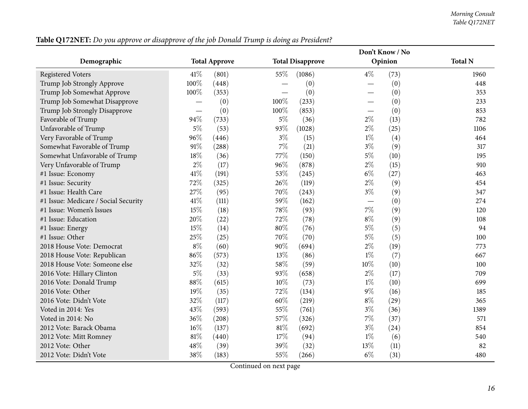|                                      |                          |                      | Don't Know / No |                         |        |         |                |
|--------------------------------------|--------------------------|----------------------|-----------------|-------------------------|--------|---------|----------------|
| Demographic                          |                          | <b>Total Approve</b> |                 | <b>Total Disapprove</b> |        | Opinion | <b>Total N</b> |
| <b>Registered Voters</b>             | 41%                      | (801)                | 55%             | (1086)                  | $4\%$  | (73)    | 1960           |
| Trump Job Strongly Approve           | 100%                     | (448)                |                 | (0)                     |        | (0)     | 448            |
| Trump Job Somewhat Approve           | 100%                     | (353)                |                 | (0)                     |        | (0)     | 353            |
| Trump Job Somewhat Disapprove        | $\overline{\phantom{0}}$ | (0)                  | 100%            | (233)                   |        | (0)     | 233            |
| Trump Job Strongly Disapprove        |                          | (0)                  | 100%            | (853)                   |        | (0)     | 853            |
| Favorable of Trump                   | 94%                      | (733)                | $5\%$           | (36)                    | $2\%$  | (13)    | 782            |
| Unfavorable of Trump                 | 5%                       | (53)                 | 93%             | (1028)                  | $2\%$  | (25)    | 1106           |
| Very Favorable of Trump              | 96%                      | (446)                | $3\%$           | (15)                    | $1\%$  | (4)     | 464            |
| Somewhat Favorable of Trump          | 91%                      | (288)                | $7\%$           | (21)                    | $3\%$  | (9)     | 317            |
| Somewhat Unfavorable of Trump        | 18%                      | (36)                 | 77%             | (150)                   | $5\%$  | (10)    | 195            |
| Very Unfavorable of Trump            | $2\%$                    | (17)                 | 96%             | (878)                   | $2\%$  | (15)    | 910            |
| #1 Issue: Economy                    | 41\%                     | (191)                | 53%             | (245)                   | $6\%$  | (27)    | 463            |
| #1 Issue: Security                   | 72%                      | (325)                | 26%             | (119)                   | $2\%$  | (9)     | 454            |
| #1 Issue: Health Care                | 27%                      | (95)                 | 70%             | (243)                   | $3\%$  | (9)     | 347            |
| #1 Issue: Medicare / Social Security | 41%                      | (111)                | 59%             | (162)                   |        | (0)     | 274            |
| #1 Issue: Women's Issues             | 15%                      | (18)                 | 78%             | (93)                    | $7\%$  | (9)     | 120            |
| #1 Issue: Education                  | 20%                      | (22)                 | 72%             | (78)                    | $8\%$  | (9)     | 108            |
| #1 Issue: Energy                     | 15%                      | (14)                 | 80%             | (76)                    | $5\%$  | (5)     | 94             |
| #1 Issue: Other                      | 25%                      | (25)                 | 70%             | (70)                    | $5\%$  | (5)     | 100            |
| 2018 House Vote: Democrat            | $8\%$                    | (60)                 | 90%             | (694)                   | $2\%$  | (19)    | 773            |
| 2018 House Vote: Republican          | 86%                      | (573)                | 13%             | (86)                    | $1\%$  | (7)     | 667            |
| 2018 House Vote: Someone else        | 32%                      | (32)                 | 58%             | (59)                    | $10\%$ | (10)    | 100            |
| 2016 Vote: Hillary Clinton           | $5\%$                    | (33)                 | 93%             | (658)                   | $2\%$  | (17)    | 709            |
| 2016 Vote: Donald Trump              | 88%                      | (615)                | 10%             | (73)                    | $1\%$  | (10)    | 699            |
| 2016 Vote: Other                     | 19%                      | (35)                 | 72%             | (134)                   | $9\%$  | (16)    | 185            |
| 2016 Vote: Didn't Vote               | 32%                      | (117)                | 60%             | (219)                   | $8\%$  | (29)    | 365            |
| Voted in 2014: Yes                   | 43%                      | (593)                | 55%             | (761)                   | $3\%$  | (36)    | 1389           |
| Voted in 2014: No                    | 36%                      | (208)                | 57%             | (326)                   | $7\%$  | (37)    | 571            |
| 2012 Vote: Barack Obama              | 16%                      | (137)                | $81\%$          | (692)                   | $3\%$  | (24)    | 854            |
| 2012 Vote: Mitt Romney               | 81%                      | (440)                | 17%             | (94)                    | $1\%$  | (6)     | 540            |
| 2012 Vote: Other                     | 48%                      | (39)                 | 39%             | (32)                    | 13%    | (11)    | 82             |
| 2012 Vote: Didn't Vote               | 38%                      | (183)                | 55%             | (266)                   | $6\%$  | (31)    | 480            |

Table Q172NET: Do you approve or disapprove of the job Donald Trump is doing as President?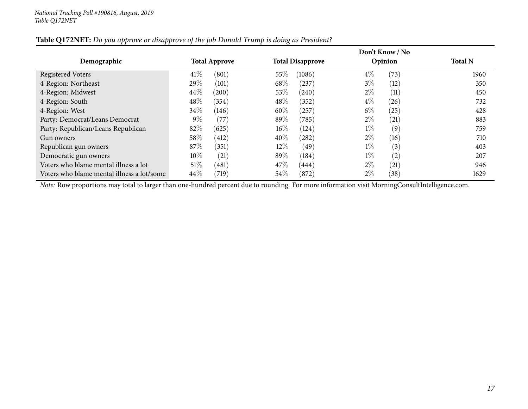|                                            |                      |       |        |                         |       | Don't Know / No |                |
|--------------------------------------------|----------------------|-------|--------|-------------------------|-------|-----------------|----------------|
| Demographic                                | <b>Total Approve</b> |       |        | <b>Total Disapprove</b> |       | Opinion         | <b>Total N</b> |
| <b>Registered Voters</b>                   | 41%                  | (801) | 55%    | (1086)                  | $4\%$ | (73)            | 1960           |
| 4-Region: Northeast                        | 29%                  | (101) | 68\%   | (237)                   | $3\%$ | (12             | 350            |
| 4-Region: Midwest                          | 44\%                 | (200) | 53\%   | (240)                   | $2\%$ | (11)            | 450            |
| 4-Region: South                            | 48\%                 | (354) | 48\%   | (352)                   | $4\%$ | (26)            | 732            |
| 4-Region: West                             | 34\%                 | (146) | 60%    | (257)                   | $6\%$ | (25)            | 428            |
| Party: Democrat/Leans Democrat             | $9\%$                | (77)  | $89\%$ | (785)                   | $2\%$ | (21)            | 883            |
| Party: Republican/Leans Republican         | 82\%                 | (625) | $16\%$ | (124)                   | $1\%$ | (9)             | 759            |
| Gun owners                                 | 58\%                 | (412) | $40\%$ | (282)                   | $2\%$ | (16)            | 710            |
| Republican gun owners                      | 87\%                 | (351) | $12\%$ | (49)                    | $1\%$ | (3)             | 403            |
| Democratic gun owners                      | $10\%$               | (21)  | 89%    | (184)                   | $1\%$ | (2)             | 207            |
| Voters who blame mental illness a lot      | $51\%$               | (481) | 47\%   | (444)                   | $2\%$ | (21)            | 946            |
| Voters who blame mental illness a lot/some | 44\%                 | (719) | $54\%$ | (872)                   | $2\%$ | (38)            | 1629           |

## Table Q172NET: Do you approve or disapprove of the job Donald Trump is doing as President?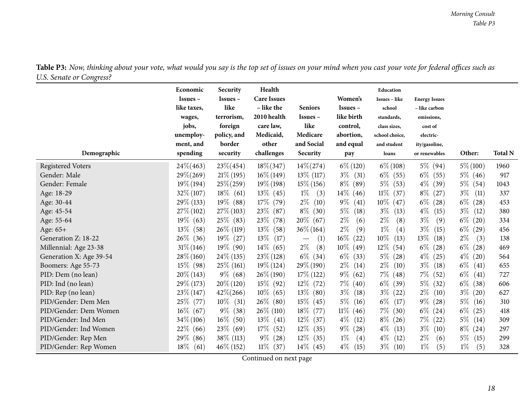<span id="page-17-0"></span>

| 0<br>Demographic         | Economic<br>$Issues -$<br>like taxes,<br>wages,<br>jobs,<br>unemploy-<br>ment, and<br>spending | Security<br>$Issues -$<br>like<br>terrorism,<br>foreign<br>policy, and<br>border<br>security | Health<br><b>Care Issues</b><br>- like the<br>2010 health<br>care law,<br>Medicaid,<br>other<br>challenges | <b>Seniors</b><br>Issues-<br>like<br>Medicare<br>and Social<br>Security | Women's<br>$Issues -$<br>like birth<br>control,<br>abortion,<br>and equal<br>pay | Education<br>Issues - like<br>school<br>standards,<br>class sizes,<br>school choice,<br>and student<br>loans | <b>Energy Issues</b><br>- like carbon<br>emissions,<br>cost of<br>electric-<br>ity/gasoline,<br>or renewables | Other:        | <b>Total N</b> |
|--------------------------|------------------------------------------------------------------------------------------------|----------------------------------------------------------------------------------------------|------------------------------------------------------------------------------------------------------------|-------------------------------------------------------------------------|----------------------------------------------------------------------------------|--------------------------------------------------------------------------------------------------------------|---------------------------------------------------------------------------------------------------------------|---------------|----------------|
| <b>Registered Voters</b> | $24\% (463)$                                                                                   | $23\% (454)$                                                                                 | $18\% (347)$                                                                                               | $14\% (274)$                                                            | $6\% (120)$                                                                      | $6\% (108)$                                                                                                  | $5\%$ (94)                                                                                                    | $5\% (100)$   | 1960           |
| Gender: Male             | $29\% (269)$                                                                                   | $21\%$ (195)                                                                                 | $16\% (149)$                                                                                               | $13\%$ (117)                                                            | $3\%$ (31)                                                                       | $6\%$ (55)                                                                                                   | $6\%$ (55)                                                                                                    | $5\%$ (46)    | 917            |
| Gender: Female           | $19\% (194)$                                                                                   | $25\% (259)$                                                                                 | $19\%$ (198)                                                                                               | $15\%$ (156)                                                            | $8\%$ (89)                                                                       | $5\%$<br>(53)                                                                                                | $4\%$ (39)                                                                                                    | $5\%$ (54)    | 1043           |
| Age: 18-29               | $32\% (107)$                                                                                   | $18\%$ (61)                                                                                  | $13\%$ (45)                                                                                                | $1\%$<br>(3)                                                            | $14\%$ (46)                                                                      | $11\%$<br>(37)                                                                                               | $8\%$<br>(27)                                                                                                 | $3\%$<br>(11) | 337            |
| Age: 30-44               | 29\% (133)                                                                                     | $19\%$ (88)                                                                                  | $17\%$ (79)                                                                                                | $2\%$<br>(10)                                                           | $9\%$<br>(41)                                                                    | $10\%$<br>(47)                                                                                               | $6\%$<br>(28)                                                                                                 | $6\%$<br>(28) | 453            |
| Age: 45-54               | $27\%$ (102)                                                                                   | $27\%$ (103)                                                                                 | 23\%<br>(87)                                                                                               | $8\%$ (30)                                                              | $5\%$<br>(18)                                                                    | $3\%$<br>(13)                                                                                                | $4\%$<br>(15)                                                                                                 | $3\%$<br>(12) | 380            |
| Age: 55-64               | $19\%$ (63)                                                                                    | 25\% (83)                                                                                    | 23\%<br>(78)                                                                                               | $20\%$ (67)                                                             | $2\%$<br>(6)                                                                     | $2\%$<br>(8)                                                                                                 | $3\%$<br>(9)                                                                                                  | $6\%$ (20)    | 334            |
| Age: $65+$               | $13\%$<br>(58)                                                                                 | $26\%$ (119)                                                                                 | $13\%$<br>(58)                                                                                             | $36\% (164)$                                                            | $2\%$<br>(9)                                                                     | $1\%$<br>(4)                                                                                                 | $3\%$<br>(15)                                                                                                 | $6\%$<br>(29) | 456            |
| Generation Z: 18-22      | $26\%$ (36)                                                                                    | $19\%$ (27)                                                                                  | 13\%<br>(17)                                                                                               | (1)<br>$\overbrace{\phantom{123221111}}$                                | $16\%$<br>(22)                                                                   | $10\%$<br>(13)                                                                                               | 13\%<br>(18)                                                                                                  | $2\%$<br>(3)  | 138            |
| Millennial: Age 23-38    | $31\% (146)$                                                                                   | $19\%$ (90)                                                                                  | $14\%$ (65)                                                                                                | $2\%$<br>(8)                                                            | $10\%$ (49)                                                                      | $12\%$<br>(54)                                                                                               | $6\%$<br>(28)                                                                                                 | $6\%$ (28)    | 469            |
| Generation X: Age 39-54  | $28\% (160)$                                                                                   | $24\%$ (135)                                                                                 | $23\%$ (128)                                                                                               | $6\%$ (34)                                                              | $6\%$<br>(33)                                                                    | $5\%$<br>(28)                                                                                                | $4\%$<br>(25)                                                                                                 | $4\%$ (20)    | 564            |
| Boomers: Age 55-73       | $15\%$ (98)                                                                                    | $25\%$ (161)                                                                                 | $19\% (124)$                                                                                               | $29\% (190)$                                                            | $2\%$<br>(14)                                                                    | $2\%$<br>(10)                                                                                                | $3\%$<br>(18)                                                                                                 | $6\%$<br>(41) | 655            |
| PID: Dem (no lean)       | $20\%$ (143)                                                                                   | $9\%$ (68)                                                                                   | $26\% (190)$                                                                                               | $17\%$ (122)                                                            | $9\%$<br>(62)                                                                    | $7\%$<br>(48)                                                                                                | $7\%$<br>(52)                                                                                                 | $6\%$<br>(41) | 727            |
| PID: Ind (no lean)       | $29\%$ (173)                                                                                   | $20\%$ (120)                                                                                 | 15\% (92)                                                                                                  | $12\%$ (72)                                                             | $7\%$ (40)                                                                       | $6\%$<br>(39)                                                                                                | $5\%$<br>(32)                                                                                                 | $6\%$ (38)    | 606            |
| PID: Rep (no lean)       | $23\%$ (147)                                                                                   | $42\% (266)$                                                                                 | $10\%$ (65)                                                                                                | $13\%$ (80)                                                             | $3\%$<br>(18)                                                                    | $3\%$<br>(22)                                                                                                | $2\%$<br>(10)                                                                                                 | $3\%$<br>(20) | 627            |
| PID/Gender: Dem Men      | 25\% (77)                                                                                      | $10\%$<br>(31)                                                                               | $26\%$ (80)                                                                                                | $15\%$ (45)                                                             | $5\%$<br>(16)                                                                    | $6\%$<br>(17)                                                                                                | $9\%$ (28)                                                                                                    | $5\%$<br>(16) | 310            |
| PID/Gender: Dem Women    | $16\%$ (67)                                                                                    | $9\%$<br>(38)                                                                                | 26\% (110)                                                                                                 | 18% (77)                                                                | $11\%$ (46)                                                                      | $7\%$<br>(30)                                                                                                | $6\%$ (24)                                                                                                    | $6\%$ (25)    | 418            |
| PID/Gender: Ind Men      | $34\% (106)$                                                                                   | $16\%$ (50)                                                                                  | $13\%$<br>(41)                                                                                             | $12\%$ (37)                                                             | $4\%$<br>(12)                                                                    | $8\%$<br>(26)                                                                                                | $7\%$<br>(22)                                                                                                 | $5\%$ (14)    | 309            |
| PID/Gender: Ind Women    | 22\%<br>(66)                                                                                   | $23\%$ (69)                                                                                  | 17\%<br>(52)                                                                                               | $12\%$ (35)                                                             | $9\%$<br>(28)                                                                    | $4\%$<br>(13)                                                                                                | $3\%$<br>(10)                                                                                                 | $8\%$ (24)    | 297            |
| PID/Gender: Rep Men      | 29\%<br>(86)                                                                                   | $38\%$ (113)                                                                                 | $9\%$<br>(28)                                                                                              | $12\%$ (35)                                                             | $1\%$<br>(4)                                                                     | $4\%$<br>(12)                                                                                                | $2\%$<br>(6)                                                                                                  | $5\%$<br>(15) | 299            |
| PID/Gender: Rep Women    | $18\%$<br>(61)                                                                                 | $46\% (152)$                                                                                 | $11\%$ (37)                                                                                                | $14\%$ (45)                                                             | $4\%$<br>(15)                                                                    | $3\%$<br>(10)                                                                                                | $1\%$<br>(5)                                                                                                  | $1\%$<br>(5)  | 328            |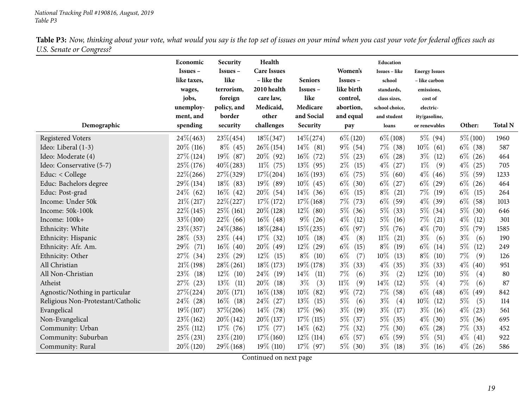| ပ<br>Demographic                  | Economic<br>$Issues -$<br>like taxes,<br>wages,<br>jobs,<br>unemploy-<br>ment, and<br>spending | Security<br><b>Issues</b> –<br>like<br>terrorism,<br>foreign<br>policy, and<br>border<br>security | Health<br><b>Care Issues</b><br>- like the<br>2010 health<br>care law,<br>Medicaid,<br>other<br>challenges | <b>Seniors</b><br>Issues –<br>like<br>Medicare<br>and Social<br>Security | Women's<br>Issues -<br>like birth<br>control,<br>abortion,<br>and equal<br>pay | Education<br>Issues - like<br>school<br>standards,<br>class sizes,<br>school choice,<br>and student<br>loans | <b>Energy Issues</b><br>– like carbon<br>emissions,<br>cost of<br>electric-<br>ity/gasoline,<br>or renewables | Other:        | <b>Total N</b> |
|-----------------------------------|------------------------------------------------------------------------------------------------|---------------------------------------------------------------------------------------------------|------------------------------------------------------------------------------------------------------------|--------------------------------------------------------------------------|--------------------------------------------------------------------------------|--------------------------------------------------------------------------------------------------------------|---------------------------------------------------------------------------------------------------------------|---------------|----------------|
| <b>Registered Voters</b>          | $24\% (463)$                                                                                   | $23\% (454)$                                                                                      | $18\% (347)$                                                                                               | $14\% (274)$                                                             | $6\% (120)$                                                                    | $6\% (108)$                                                                                                  | $5\%$ (94)                                                                                                    | $5\% (100)$   | 1960           |
| Ideo: Liberal (1-3)               | $20\%$ (116)                                                                                   | $8\%$ (45)                                                                                        | $26\% (154)$                                                                                               | $14\%$ (81)                                                              | $9\%$ (54)                                                                     | $7\%$ (38)                                                                                                   | $10\%$<br>(61)                                                                                                | $6\%$ (38)    | 587            |
| Ideo: Moderate (4)                | $27\%$ (124)                                                                                   | $19\%$ (87)                                                                                       | $20\%$ (92)                                                                                                | $16\%$ (72)                                                              | $5\%$<br>(23)                                                                  | $6\%$<br>(28)                                                                                                | $3\%$<br>(12)                                                                                                 | $6\%$ (26)    | 464            |
| Ideo: Conservative (5-7)          | $25\% (176)$                                                                                   | $40\% (283)$                                                                                      | $11\%$ (75)                                                                                                | 13\% (95)                                                                | $2\%$<br>(15)                                                                  | $4\%$<br>(27)                                                                                                | $1\%$<br>(9)                                                                                                  | $4\%$<br>(25) | 705            |
| Educ: < College                   | $22\% (266)$                                                                                   | $27\% (329)$                                                                                      | $17\% (204)$                                                                                               | $16\%$ (193)                                                             | $6\%$<br>(75)                                                                  | $5\%$<br>(60)                                                                                                | $4\%$<br>(46)                                                                                                 | $5\%$ (59)    | 1233           |
| Educ: Bachelors degree            | $29\% (134)$                                                                                   | $18\%$ (83)                                                                                       | $19\%$ (89)                                                                                                | $10\%$ (45)                                                              | $6\%$<br>(30)                                                                  | $6\%$<br>(27)                                                                                                | $6\%$<br>(29)                                                                                                 | $6\%$ (26)    | 464            |
| Educ: Post-grad                   | $24\%$ (62)                                                                                    | $16\%$ (42)                                                                                       | $20\%$ (54)                                                                                                | $14\%$ (36)                                                              | $6\%$<br>(15)                                                                  | $8\%$<br>(21)                                                                                                | $7\%$<br>(19)                                                                                                 | $6\%$<br>(15) | 264            |
| Income: Under 50k                 | $21\%$ (217)                                                                                   | $22\% (227)$                                                                                      | $17\%$ (172)                                                                                               | $17\% (168)$                                                             | $7\%$<br>(73)                                                                  | $6\%$<br>(59)                                                                                                | $4\%$<br>(39)                                                                                                 | $6\%$<br>(58) | 1013           |
| Income: 50k-100k                  | $22\%$ (145)                                                                                   | $25\%$ (161)                                                                                      | $20\%$ (128)                                                                                               | $12\%$ (80)                                                              | $5\%$<br>(36)                                                                  | $5\%$<br>(33)                                                                                                | $5\%$ (34)                                                                                                    | $5\%$ (30)    | 646            |
| Income: 100k+                     | $33\% (100)$                                                                                   | $22\%$ (66)                                                                                       | $16\%$ (48)                                                                                                | $9\%$ (26)                                                               | $4\%$<br>(12)                                                                  | $5\%$<br>(16)                                                                                                | $7\%$<br>(21)                                                                                                 | $4\%$<br>(12) | 301            |
| Ethnicity: White                  | $23\% (357)$                                                                                   | $24\% (386)$                                                                                      | $18\% (284)$                                                                                               | $15\% (235)$                                                             | $6\%$<br>(97)                                                                  | $5\%$<br>(76)                                                                                                | $4\%$<br>(70)                                                                                                 | 5% (79)       | 1585           |
| Ethnicity: Hispanic               | $28\%$ (53)                                                                                    | $23\%$ (44)                                                                                       | $17\%$ (32)                                                                                                | $10\%$ (18)                                                              | $4\%$<br>(8)                                                                   | $11\%$<br>(21)                                                                                               | $3\%$<br>(6)                                                                                                  | $3\%$<br>(6)  | 190            |
| Ethnicity: Afr. Am.               | 29%<br>(71)                                                                                    | $16\%$ (40)                                                                                       | $20\%$ (49)                                                                                                | $12\%$<br>(29)                                                           | $6\%$<br>(15)                                                                  | $8\%$<br>(19)                                                                                                | $6\%$<br>(14)                                                                                                 | $5\%$<br>(12) | 249            |
| Ethnicity: Other                  | 27\%<br>(34)                                                                                   | $23\%$ (29)                                                                                       | $12\%$<br>(15)                                                                                             | $8\%$ (10)                                                               | $6\%$<br>(7)                                                                   | $10\%$<br>(13)                                                                                               | $8\%$<br>(10)                                                                                                 | $7\%$<br>(9)  | 126            |
| All Christian                     | $21\%$ (198)                                                                                   | $28\% (261)$                                                                                      | $18\%$ (173)                                                                                               | $19\% (178)$                                                             | $3\%$<br>(33)                                                                  | $4\%$<br>(35)                                                                                                | $3\%$<br>(33)                                                                                                 | $4\%$<br>(40) | 951            |
| All Non-Christian                 | 23\%<br>(18)                                                                                   | $12\%$<br>(10)                                                                                    | 24\%<br>(19)                                                                                               | $14\%$<br>(11)                                                           | 7%<br>(6)                                                                      | $3\%$<br>(2)                                                                                                 | 12\%<br>(10)                                                                                                  | $5\%$<br>(4)  | 80             |
| Atheist                           | $27\%$ (23)                                                                                    | 13\%<br>(11)                                                                                      | 20%<br>(18)                                                                                                | $3\%$<br>(3)                                                             | $11\%$<br>(9)                                                                  | $14\%$<br>(12)                                                                                               | $5\%$<br>(4)                                                                                                  | $7\%$<br>(6)  | 87             |
| Agnostic/Nothing in particular    | $27\% (224)$                                                                                   | 20\% (171)                                                                                        | $16\% (138)$                                                                                               | $10\%$ (82)                                                              | $9\%$<br>(72)                                                                  | $7\%$<br>(58)                                                                                                | $6\%$<br>(48)                                                                                                 | $6\%$<br>(49) | 842            |
| Religious Non-Protestant/Catholic | $24\%$ (28)                                                                                    | $16\%$ (18)                                                                                       | $24\%$ (27)                                                                                                | $13\%$<br>(15)                                                           | $5\%$<br>(6)                                                                   | $3\%$<br>(4)                                                                                                 | $10\%$<br>(12)                                                                                                | $5\%$<br>(5)  | 114            |
| Evangelical                       | $19\% (107)$                                                                                   | $37\% (206)$                                                                                      | $14\%$ (78)                                                                                                | $17\%$ (96)                                                              | $3\%$<br>(19)                                                                  | $3\%$<br>(17)                                                                                                | $3\%$<br>(16)                                                                                                 | $4\%$<br>(23) | 561            |
| Non-Evangelical                   | $23\%$ (162)                                                                                   | $20\%$ (142)                                                                                      | $20\%$ (137)                                                                                               | $17\%$ (115)                                                             | $5\%$<br>(37)                                                                  | $5\%$<br>(35)                                                                                                | $4\%$<br>(30)                                                                                                 | $5\%$ (36)    | 695            |
| Community: Urban                  | 25\% (112)                                                                                     | $17\%$ (76)                                                                                       | $17\%$ (77)                                                                                                | $14\%$ (62)                                                              | $7\%$<br>(32)                                                                  | $7\%$<br>(30)                                                                                                | $6\%$<br>(28)                                                                                                 | $7\%$<br>(33) | 452            |
| Community: Suburban               | $25\%$ (231)                                                                                   | $23\% (210)$                                                                                      | $17\% (160)$                                                                                               | $12\%$ (114)                                                             | $6\%$<br>(57)                                                                  | $6\%$<br>(59)                                                                                                | $5\%$<br>(51)                                                                                                 | $4\%$<br>(41) | 922            |
| Community: Rural                  | $20\%$ (120)                                                                                   | $29\%$ (168)                                                                                      | $19\%$ (110)                                                                                               | $17\%$ (97)                                                              | $5\%$ (30)                                                                     | $3\%$<br>(18)                                                                                                | $3\%$<br>(16)                                                                                                 | $4\%$ (26)    | 586            |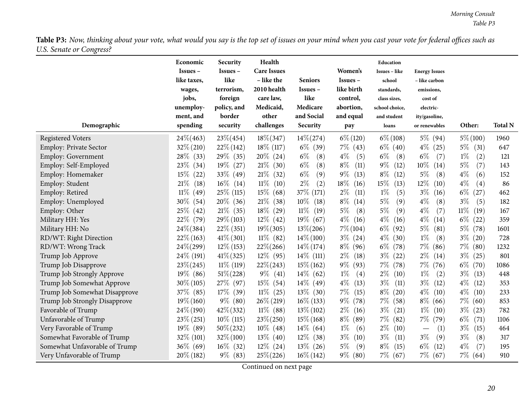| ပ                             | Economic<br>Issues-<br>like taxes,<br>wages,<br>jobs,<br>unemploy-<br>ment, and | Security<br>Issues -<br>like<br>terrorism,<br>foreign<br>policy, and<br>border | Health<br><b>Care Issues</b><br>- like the<br>2010 health<br>care law,<br>Medicaid,<br>other | <b>Seniors</b><br>Issues –<br>like<br>Medicare<br>and Social | Women's<br>Issues -<br>like birth<br>control,<br>abortion,<br>and equal | Education<br>Issues - like<br>school<br>standards,<br>class sizes,<br>school choice,<br>and student | <b>Energy Issues</b><br>– like carbon<br>emissions,<br>cost of<br>electric-<br>ity/gasoline, |                |                |
|-------------------------------|---------------------------------------------------------------------------------|--------------------------------------------------------------------------------|----------------------------------------------------------------------------------------------|--------------------------------------------------------------|-------------------------------------------------------------------------|-----------------------------------------------------------------------------------------------------|----------------------------------------------------------------------------------------------|----------------|----------------|
| Demographic                   | spending                                                                        | security                                                                       | challenges                                                                                   | Security                                                     | pay                                                                     | loans                                                                                               | or renewables                                                                                | Other:         | <b>Total N</b> |
| <b>Registered Voters</b>      | $24\% (463)$                                                                    | $23\% (454)$                                                                   | $18\% (347)$                                                                                 | $14\% (274)$                                                 | $6\% (120)$                                                             | $6\% (108)$                                                                                         | $5\%$ (94)                                                                                   | $5\% (100)$    | 1960           |
| Employ: Private Sector        | $32\% (210)$                                                                    | $22\%$ (142)                                                                   | $18\%$ (117)                                                                                 | $6\%$ (39)                                                   | $7\%$ (43)                                                              | $6\%$ (40)                                                                                          | $4\%$ (25)                                                                                   | $5\%$ (31)     | 647            |
| <b>Employ: Government</b>     | $28\%$<br>(33)                                                                  | 29\% (35)                                                                      | $20\%$ (24)                                                                                  | $6\%$<br>(8)                                                 | $4\%$<br>(5)                                                            | $6\%$<br>(8)                                                                                        | (7)<br>$6\%$                                                                                 | $1\%$<br>(2)   | 121            |
| Employ: Self-Employed         | 23\%<br>(34)                                                                    | $19\%$ (27)                                                                    | 21%<br>(30)                                                                                  | $6\%$<br>(8)                                                 | $8\%$<br>(11)                                                           | $9\%$<br>(12)                                                                                       | $10\%$<br>(14)                                                                               | $5\%$<br>(7)   | 143            |
| Employ: Homemaker             | $15\%$<br>(22)                                                                  | $33\%$ (49)                                                                    | $21\%$ (32)                                                                                  | $6\%$<br>(9)                                                 | $9\%$<br>(13)                                                           | $8\%$<br>(12)                                                                                       | 5%<br>(8)                                                                                    | $4\%$<br>(6)   | 152            |
| Employ: Student               | 21%<br>(18)                                                                     | $16\%$ (14)                                                                    | $11\%$<br>(10)                                                                               | $2\%$<br>(2)                                                 | $18\%$<br>(16)                                                          | 15%<br>(13)                                                                                         | $12\%$<br>(10)                                                                               | $4\%$<br>(4)   | 86             |
| Employ: Retired               | $11\%$<br>(49)                                                                  | 25\% (115)                                                                     | $15\%$<br>(68)                                                                               | 37% (171)                                                    | $2\%$<br>(11)                                                           | $1\%$<br>(5)                                                                                        | $3\%$<br>(16)                                                                                | $6\%$<br>(27)  | 462            |
| Employ: Unemployed            | 30\%<br>(54)                                                                    | $20\%$ (36)                                                                    | $21\%$<br>(38)                                                                               | $10\%$<br>(18)                                               | $8\%$<br>(14)                                                           | $5\%$<br>(9)                                                                                        | $4\%$<br>(8)                                                                                 | $3\%$<br>(5)   | 182            |
| Employ: Other                 | $25\%$ (42)                                                                     | $21\%$ (35)                                                                    | $18\%$<br>(29)                                                                               | $11\%$<br>(19)                                               | $5\%$<br>(8)                                                            | $5\%$<br>(9)                                                                                        | $4\%$<br>(7)                                                                                 | $11\%$<br>(19) | 167            |
| Military HH: Yes              | 22\% (79)                                                                       | $29\% (103)$                                                                   | $12\%$ (42)                                                                                  | $19\%$ (67)                                                  | $4\%$<br>(16)                                                           | $4\%$<br>(16)                                                                                       | $4\%$<br>(14)                                                                                | $6\%$<br>(22)  | 359            |
| Military HH: No               | $24\% (384)$                                                                    | $22\%$ (351)                                                                   | $19\% (305)$                                                                                 | $13\% (206)$                                                 | $7\% (104)$                                                             | $6\%$<br>(92)                                                                                       | $5\%$<br>(81)                                                                                | $5\%$<br>(78)  | 1601           |
| RD/WT: Right Direction        | $22\%$ (163)                                                                    | $41\%$ (301)                                                                   | $11\%$ (82)                                                                                  | $14\% (100)$                                                 | $3\%$ (24)                                                              | $4\%$<br>(30)                                                                                       | $1\%$<br>(8)                                                                                 | $3\%$ (20)     | 728            |
| RD/WT: Wrong Track            | $24\% (299)$                                                                    | $12\%$ (153)                                                                   | $22\% (266)$                                                                                 | $14\% (174)$                                                 | $8\%$<br>(96)                                                           | $6\%$<br>(78)                                                                                       | $7\%$<br>(86)                                                                                | $7\%$ (80)     | 1232           |
| Trump Job Approve             | 24\% (191)                                                                      | $41\% (325)$                                                                   | $12\%$ (95)                                                                                  | $14\%$ (111)                                                 | $2\%$<br>(18)                                                           | $3\%$<br>(22)                                                                                       | $2\%$<br>(14)                                                                                | $3\%$<br>(25)  | 801            |
| Trump Job Disapprove          | $23\% (245)$                                                                    | $11\%$ (119)                                                                   | $22\% (243)$                                                                                 | $15\% (162)$                                                 | $9\%$<br>(93)                                                           | $7\%$<br>(78)                                                                                       | $7\%$ (76)                                                                                   | $6\%$ (70)     | 1086           |
| Trump Job Strongly Approve    | $19\%$ (86)                                                                     | $51\% (228)$                                                                   | $9\%$ (41)                                                                                   | $14\%$ (62)                                                  | $1\%$<br>(4)                                                            | $2\%$<br>(10)                                                                                       | $1\%$<br>(2)                                                                                 | $3\%$<br>(13)  | 448            |
| Trump Job Somewhat Approve    | $30\% (105)$                                                                    | 27\% (97)                                                                      | $15\%$ (54)                                                                                  | $14\%$ (49)                                                  | $4\%$<br>(13)                                                           | $3\%$<br>(11)                                                                                       | $3\%$<br>(12)                                                                                | $4\%$<br>(12)  | 353            |
| Trump Job Somewhat Disapprove | 37\% (85)                                                                       | $17\%$<br>(39)                                                                 | $11\%$ (25)                                                                                  | $13\%$ (30)                                                  | $7\%$<br>(15)                                                           | $8\%$<br>(20)                                                                                       | $4\%$<br>(10)                                                                                | $4\%$<br>(10)  | 233            |
| Trump Job Strongly Disapprove | $19\% (160)$                                                                    | $9\%$ (80)                                                                     | $26\% (219)$                                                                                 | $16\% (133)$                                                 | $9\%$<br>(78)                                                           | $7\%$<br>(58)                                                                                       | $8\%$<br>(66)                                                                                | $7\%$<br>(60)  | 853            |
| Favorable of Trump            | $24\%$ (190)                                                                    | $42\% (332)$                                                                   | $11\%$ (88)                                                                                  | $13\% (102)$                                                 | $2\%$<br>(16)                                                           | $3\%$<br>(21)                                                                                       | $1\%$<br>(10)                                                                                | $3\%$<br>(23)  | 782            |
| Unfavorable of Trump          | $23\% (251)$                                                                    | $10\%$ (115)                                                                   | $23\% (250)$                                                                                 | $15\% (168)$                                                 | $8\%$<br>(89)                                                           | $7\%$<br>(82)                                                                                       | $7\%$<br>(79)                                                                                | $6\%$<br>(71)  | 1106           |
| Very Favorable of Trump       | $19\%$ (89)                                                                     | $50\% (232)$                                                                   | $10\%$ (48)                                                                                  | $14\%$ (64)                                                  | $1\%$<br>(6)                                                            | $2\%$<br>(10)                                                                                       | (1)<br>$\overline{\phantom{m}}$                                                              | $3\%$<br>(15)  | 464            |
| Somewhat Favorable of Trump   | $32\%$ (101)                                                                    | $32\% (100)$                                                                   | $13\%$ (40)                                                                                  | $12\%$ (38)                                                  | $3\%$<br>(10)                                                           | $3\%$<br>(11)                                                                                       | $3\%$<br>(9)                                                                                 | $3\%$<br>(8)   | 317            |
| Somewhat Unfavorable of Trump | $36\%$ (69)                                                                     | $16\%$ (32)                                                                    | $12\%$ (24)                                                                                  | $13\%$ (26)                                                  | $5\%$<br>(9)                                                            | $8\%$<br>(15)                                                                                       | $6\%$<br>(12)                                                                                | $4\%$<br>(7)   | 195            |
| Very Unfavorable of Trump     | $20\%$ (182)                                                                    | $9\%$ (83)                                                                     | $25\% (226)$                                                                                 | $16\% (142)$                                                 | $9\%$ (80)                                                              | $7\%$ (67)                                                                                          | $7\%$ (67)                                                                                   | $7\%$ (64)     | 910            |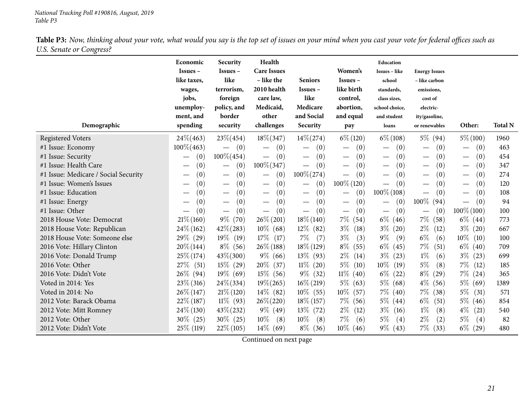|                                      | Economic<br>$Issues -$<br>like taxes,<br>wages,<br>jobs,<br>unemploy- | Security<br>$Issues -$<br>like<br>terrorism,<br>foreign<br>policy, and<br>border | Health<br><b>Care Issues</b><br>- like the<br>2010 health<br>care law,<br>Medicaid,<br>other | <b>Seniors</b><br>$Issues -$<br>like<br>Medicare<br>and Social | Women's<br>$Issues -$<br>like birth<br>control,<br>abortion, | Education<br><b>Issues</b> - like<br>school<br>standards,<br>class sizes,<br>school choice, | <b>Energy Issues</b><br>- like carbon<br>emissions,<br>cost of<br>electric- |                                          |                |
|--------------------------------------|-----------------------------------------------------------------------|----------------------------------------------------------------------------------|----------------------------------------------------------------------------------------------|----------------------------------------------------------------|--------------------------------------------------------------|---------------------------------------------------------------------------------------------|-----------------------------------------------------------------------------|------------------------------------------|----------------|
| Demographic                          | ment, and<br>spending                                                 | security                                                                         | challenges                                                                                   | Security                                                       | and equal<br>pay                                             | and student<br>loans                                                                        | ity/gasoline,<br>or renewables                                              | Other:                                   | <b>Total N</b> |
| <b>Registered Voters</b>             | $24\% (463)$                                                          | $23\% (454)$                                                                     | $18\% (347)$                                                                                 | $14\% (274)$                                                   | $6\% (120)$                                                  | $6\% (108)$                                                                                 | $5\%$ (94)                                                                  | $5\% (100)$                              | 1960           |
| #1 Issue: Economy                    | $100\% (463)$                                                         | (0)                                                                              | (0)                                                                                          | (0)                                                            | (0)<br>$\overline{\phantom{0}}$                              | (0)                                                                                         | (0)                                                                         | (0)                                      | 463            |
| #1 Issue: Security                   | (0)<br>$\overline{\phantom{0}}$                                       | $100\% (454)$                                                                    | (0)                                                                                          | (0)<br>$\hspace{0.1mm}-\hspace{0.1mm}$                         | (0)<br>$\overline{\phantom{0}}$                              | (0)<br>$\overline{\phantom{0}}$                                                             | (0)                                                                         | (0)<br>$\qquad \qquad -$                 | 454            |
| #1 Issue: Health Care                | (0)                                                                   | (0)                                                                              | $100\% (347)$                                                                                | (0)                                                            | (0)<br>$\overbrace{\phantom{13333}}$                         | (0)                                                                                         | (0)                                                                         | (0)<br>$\hspace{0.1mm}-\hspace{0.1mm}$   | 347            |
| #1 Issue: Medicare / Social Security | (0)                                                                   | (0)<br>$\overbrace{\phantom{123221111}}$                                         | (0)                                                                                          | $100\% (274)$                                                  | (0)                                                          | (0)                                                                                         | (0)                                                                         | (0)<br>$\overline{\phantom{m}}$          | 274            |
| #1 Issue: Women's Issues             | (0)                                                                   | (0)<br>$\hspace{0.1mm}-\hspace{0.1mm}$                                           | (0)<br>$\hspace{0.1mm}-\hspace{0.1mm}$                                                       | (0)<br>$\hspace{0.1mm}-\hspace{0.1mm}$                         | $100\%$ (120)                                                | (0)                                                                                         | (0)                                                                         | (0)<br>$\qquad \qquad -$                 | 120            |
| #1 Issue: Education                  | $\left( 0\right)$                                                     | (0)                                                                              | (0)<br>$\hspace{0.1mm}-\hspace{0.1mm}$                                                       | (0)<br>$\overbrace{\phantom{13333}}$                           | (0)                                                          | $100\% (108)$                                                                               | (0)                                                                         | (0)<br>$\overbrace{\phantom{123221111}}$ | 108            |
| #1 Issue: Energy                     | (0)                                                                   | (0)                                                                              | (0)                                                                                          | (0)                                                            | (0)<br>$\overline{\phantom{0}}$                              | (0)                                                                                         | $100\%$ (94)                                                                | (0)                                      | 94             |
| #1 Issue: Other                      | (0)                                                                   | (0)                                                                              | (0)<br>$\overbrace{\phantom{aaaaa}}$                                                         | (0)                                                            | (0)                                                          | (0)<br>$\overline{\phantom{m}}$                                                             | (0)                                                                         | $100\% (100)$                            | 100            |
| 2018 House Vote: Democrat            | $21\% (160)$                                                          | $9\%$ (70)                                                                       | $26\% (201)$                                                                                 | $18\% (140)$                                                   | $7\%$<br>(54)                                                | $6\%$ (46)                                                                                  | $7\%$<br>(58)                                                               | $6\%$ (44)                               | 773            |
| 2018 House Vote: Republican          | $24\%$ (162)                                                          | $42\% (283)$                                                                     | $10\%$ (68)                                                                                  | $12\%$ (82)                                                    | $3\%$<br>(18)                                                | $3\%$<br>(20)                                                                               | $2\%$<br>(12)                                                               | $3\%$ (20)                               | 667            |
| 2018 House Vote: Someone else        | 29\% (29)                                                             | $19\%$ (19)                                                                      | $17\%$ (17)                                                                                  | $7\%$<br>(7)                                                   | $3\%$<br>(3)                                                 | $9\%$<br>(9)                                                                                | $6\%$<br>(6)                                                                | $10\%$<br>(10)                           | 100            |
| 2016 Vote: Hillary Clinton           | $20\% (144)$                                                          | $8\%$ (56)                                                                       | $26\%$ (188)                                                                                 | $18\%$ (129)                                                   | $8\%$<br>(55)                                                | $6\%$<br>(45)                                                                               | $7\%$<br>(51)                                                               | $6\%$<br>(40)                            | 709            |
| 2016 Vote: Donald Trump              | $25\% (174)$                                                          | $43\% (300)$                                                                     | $9\%$ (66)                                                                                   | $13\%$ (93)                                                    | $2\%$<br>(14)                                                | $3\%$<br>(23)                                                                               | $1\%$<br>(6)                                                                | $3\%$<br>(23)                            | 699            |
| 2016 Vote: Other                     | $27\%$ (51)                                                           | $15\%$ (29)                                                                      | $20\%$<br>(37)                                                                               | $11\%$ (20)                                                    | $5\%$<br>(10)                                                | $10\%$<br>(19)                                                                              | $5\%$<br>(8)                                                                | $7\%$<br>(12)                            | 185            |
| 2016 Vote: Didn't Vote               | $26\%$ (94)                                                           | $19\%$ (69)                                                                      | $15\%$ (56)                                                                                  | $9\%$ (32)                                                     | $11\%$<br>(40)                                               | $6\%$<br>(22)                                                                               | $8\%$<br>(29)                                                               | $7\%$<br>(24)                            | 365            |
| Voted in 2014: Yes                   | $23\%$ (316)                                                          | $24\% (334)$                                                                     | $19\% (265)$                                                                                 | $16\% (219)$                                                   | $5\%$<br>(63)                                                | $5\%$ (68)                                                                                  | $4\%$<br>(56)                                                               | $5\%$<br>(69)                            | 1389           |
| Voted in 2014: No                    | $26\% (147)$                                                          | $21\%$ (120)                                                                     | $14\%$ (82)                                                                                  | $10\%$ (55)                                                    | $10\%$<br>(57)                                               | $7\%$ (40)                                                                                  | $7\%$<br>(38)                                                               | $5\%$<br>(31)                            | 571            |
| 2012 Vote: Barack Obama              | $22\%$ (187)                                                          | $11\%$ (93)                                                                      | $26\% (220)$                                                                                 | $18\% (157)$                                                   | $7\%$<br>(56)                                                | $5\%$ (44)                                                                                  | $6\%$<br>(51)                                                               | $5\%$<br>(46)                            | 854            |
| 2012 Vote: Mitt Romney               | $24\%$ (130)                                                          | $43\% (232)$                                                                     | $9\%$ (49)                                                                                   | $13\%$ (72)                                                    | $2\%$<br>(12)                                                | $3\%$<br>(16)                                                                               | $1\%$<br>(8)                                                                | $4\%$<br>(21)                            | 540            |
| 2012 Vote: Other                     | $30\%$ (25)                                                           | $30\%$ (25)                                                                      | $10\%$<br>(8)                                                                                | $10\%$<br>(8)                                                  | $7\%$<br>(6)                                                 | $5\%$<br>(4)                                                                                | $2\%$<br>(2)                                                                | $5\%$<br>(4)                             | 82             |
| 2012 Vote: Didn't Vote               | 25\% (119)                                                            | $22\%$ (105)                                                                     | $14\%$ (69)                                                                                  | $8\%$ (36)                                                     | $10\%$ (46)                                                  | $9\%$ (43)                                                                                  | $7\%$<br>(33)                                                               | $6\%$<br>(29)                            | 480            |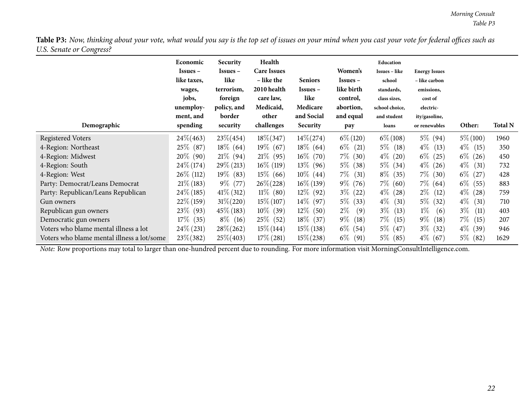| Ö<br>Demographic                           | Economic<br>Issues –<br>like taxes,<br>wages,<br>jobs,<br>unemploy-<br>ment, and<br>spending | Security<br>Issues –<br>like<br>terrorism,<br>foreign<br>policy, and<br>border<br>security | Health<br><b>Care Issues</b><br>– like the<br>2010 health<br>care law,<br>Medicaid,<br>other<br>challenges | <b>Seniors</b><br>$Issues -$<br>like<br>Medicare<br>and Social<br>Security | Women's<br><b>Issues</b> –<br>like birth<br>control,<br>abortion,<br>and equal<br>pay | Education<br><b>Issues - like</b><br>school<br>standards,<br>class sizes,<br>school choice,<br>and student<br>loans | <b>Energy Issues</b><br>- like carbon<br>emissions,<br>cost of<br>electric-<br>ity/gasoline,<br>or renewables | Other:        | <b>Total N</b> |
|--------------------------------------------|----------------------------------------------------------------------------------------------|--------------------------------------------------------------------------------------------|------------------------------------------------------------------------------------------------------------|----------------------------------------------------------------------------|---------------------------------------------------------------------------------------|---------------------------------------------------------------------------------------------------------------------|---------------------------------------------------------------------------------------------------------------|---------------|----------------|
| <b>Registered Voters</b>                   | 24\%(463)                                                                                    | $23\% (454)$                                                                               | $18\% (347)$                                                                                               | $14\% (274)$                                                               | $6\% (120)$                                                                           | $6\% (108)$                                                                                                         | $5\%$ (94)                                                                                                    | $5\% (100)$   | 1960           |
| 4-Region: Northeast                        | $25\%$ (87)                                                                                  | $18\%$ (64)                                                                                | $19\%$ (67)                                                                                                | $18\%$ (64)                                                                | $6\%$<br>(21)                                                                         | $5\%$ (18)                                                                                                          | $4\%$ (13)                                                                                                    | $4\%$<br>(15) | 350            |
| 4-Region: Midwest                          | $20\%$ (90)                                                                                  | $21\%$ (94)                                                                                | $21\%$ (95)                                                                                                | $16\%$ (70)                                                                | $7\%$ (30)                                                                            | $4\%$<br>(20)                                                                                                       | $6\%$<br>(25)                                                                                                 | $6\%$<br>(26) | 450            |
| 4-Region: South                            | $24\%$ (174)                                                                                 | $29\% (213)$                                                                               | $16\%$ (119)                                                                                               | $13\%$ (96)                                                                | $5\%$ (38)                                                                            | $5\%$ (34)                                                                                                          | $4\%$ (26)                                                                                                    | $4\%$<br>(31) | 732            |
| 4-Region: West                             | $26\%$ (112)                                                                                 | $19\%$ (83)                                                                                | $15\%$ (66)                                                                                                | $10\%$ (44)                                                                | $7\%$<br>(31)                                                                         | $8\%$ (35)                                                                                                          | $7\%$ (30)                                                                                                    | $6\%$<br>(27) | 428            |
| Party: Democrat/Leans Democrat             | $21\%$ (183)                                                                                 | $9\%$ (77)                                                                                 | $26\% (228)$                                                                                               | $16\% (139)$                                                               | $9\%$ (76)                                                                            | $7\%$ (60)                                                                                                          | $7\%$ (64)                                                                                                    | $6\%$<br>(55) | 883            |
| Party: Republican/Leans Republican         | $24\%$ (185)                                                                                 | $41\%$ (312)                                                                               | $11\%$ (80)                                                                                                | $12\%$ (92)                                                                | $3\%$ (22)                                                                            | $4\%$<br>(28)                                                                                                       | $2\%$<br>(12)                                                                                                 | $4\%$<br>(28) | 759            |
| Gun owners                                 | $22\%$ (159)                                                                                 | $31\% (220)$                                                                               | $15\% (107)$                                                                                               | $14\%$ (97)                                                                | $5\%$<br>(33)                                                                         | $4\%$ (31)                                                                                                          | $5\%$ (32)                                                                                                    | $4\%$<br>(31) | 710            |
| Republican gun owners                      | 23\% (93)                                                                                    | $45\%$ (183)                                                                               | $10\%$ (39)                                                                                                | $12\%$ (50)                                                                | $2\%$<br>(9)                                                                          | $3\%$<br>(13)                                                                                                       | $1\%$<br>(6)                                                                                                  | $3\%$<br>(11) | 403            |
| Democratic gun owners                      | $17\%$ (35)                                                                                  | $8\%$ (16)                                                                                 | 25\% (52)                                                                                                  | $18\%$ (37)                                                                | $9\%$<br>(18)                                                                         | $7\%$ (15)                                                                                                          | $9\%$<br>(18)                                                                                                 | $7\%$<br>(15) | 207            |
| Voters who blame mental illness a lot      | $24\% (231)$                                                                                 | $28\% (262)$                                                                               | $15\% (144)$                                                                                               | $15\%$ (138)                                                               | $6\%$ (54)                                                                            | $5\%$ (47)                                                                                                          | $3\%$ (32)                                                                                                    | $4\%$<br>(39) | 946            |
| Voters who blame mental illness a lot/some | $23\% (382)$                                                                                 | $25\% (403)$                                                                               | $17\%$ (281)                                                                                               | $15\% (238)$                                                               | $6\%$<br>(91)                                                                         | $5\%$ (85)                                                                                                          | $4\%$ (67)                                                                                                    | $5\%$<br>(82) | 1629           |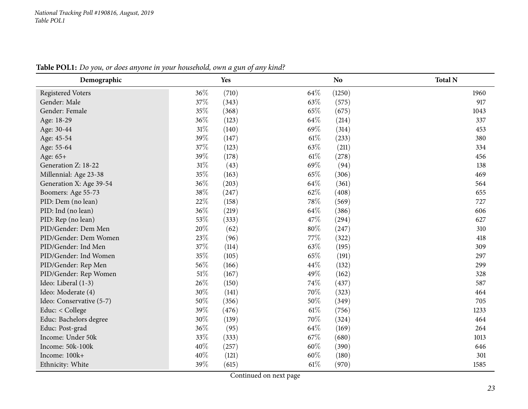<span id="page-22-0"></span>

| Demographic              | Yes          | <b>No</b>       | <b>Total N</b> |
|--------------------------|--------------|-----------------|----------------|
| <b>Registered Voters</b> | 36%<br>(710) | 64\%<br>(1250)  | 1960           |
| Gender: Male             | 37%<br>(343) | 63%<br>(575)    | 917            |
| Gender: Female           | 35%<br>(368) | 65%<br>(675)    | 1043           |
| Age: 18-29               | 36%<br>(123) | 64\%<br>(214)   | 337            |
| Age: 30-44               | 31%<br>(140) | 69%<br>(314)    | 453            |
| Age: 45-54               | 39%<br>(147) | 61%<br>(233)    | 380            |
| Age: 55-64               | 37%<br>(123) | 63%<br>(211)    | 334            |
| Age: 65+                 | 39%<br>(178) | $61\%$<br>(278) | 456            |
| Generation Z: 18-22      | 31%<br>(43)  | 69%<br>(94)     | 138            |
| Millennial: Age 23-38    | 35%<br>(163) | 65%<br>(306)    | 469            |
| Generation X: Age 39-54  | 36%<br>(203) | 64%<br>(361)    | 564            |
| Boomers: Age 55-73       | 38%<br>(247) | 62%<br>(408)    | 655            |
| PID: Dem (no lean)       | 22%<br>(158) | 78%<br>(569)    | 727            |
| PID: Ind (no lean)       | 36%<br>(219) | 64%<br>(386)    | 606            |
| PID: Rep (no lean)       | 53%<br>(333) | 47%<br>(294)    | 627            |
| PID/Gender: Dem Men      | 20%<br>(62)  | 80%<br>(247)    | 310            |
| PID/Gender: Dem Women    | 23%<br>(96)  | 77%<br>(322)    | 418            |
| PID/Gender: Ind Men      | 37%<br>(114) | 63%<br>(195)    | 309            |
| PID/Gender: Ind Women    | 35%<br>(105) | 65%<br>(191)    | 297            |
| PID/Gender: Rep Men      | 56%<br>(166) | 44\%<br>(132)   | 299            |
| PID/Gender: Rep Women    | 51%<br>(167) | 49%<br>(162)    | 328            |
| Ideo: Liberal (1-3)      | 26%<br>(150) | 74%<br>(437)    | 587            |
| Ideo: Moderate (4)       | 30%<br>(141) | 70%<br>(323)    | 464            |
| Ideo: Conservative (5-7) | 50%<br>(356) | 50%<br>(349)    | 705            |
| Educ: < College          | 39%<br>(476) | 61%<br>(756)    | 1233           |
| Educ: Bachelors degree   | 30%<br>(139) | 70%<br>(324)    | 464            |
| Educ: Post-grad          | 36%<br>(95)  | 64%<br>(169)    | 264            |
| Income: Under 50k        | 33%<br>(333) | 67%<br>(680)    | 1013           |
| Income: 50k-100k         | 40%<br>(257) | 60%<br>(390)    | 646            |
| Income: 100k+            | 40%<br>(121) | 60%<br>(180)    | 301            |
| Ethnicity: White         | 39%<br>(615) | 61\%<br>(970)   | 1585           |

Table POL1: Do you, or does anyone in your household, own a gun of any kind?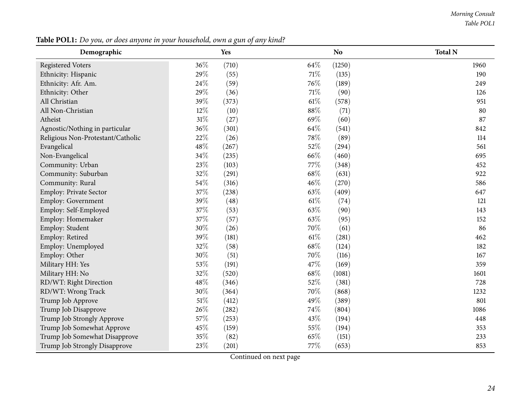#### *Morning Consult Table POL1*

| Demographic                       |        | o<br>Yes |        | <b>No</b> | <b>Total N</b> |
|-----------------------------------|--------|----------|--------|-----------|----------------|
| <b>Registered Voters</b>          | 36%    | (710)    | 64\%   | (1250)    | 1960           |
| Ethnicity: Hispanic               | 29%    | (55)     | 71\%   | (135)     | 190            |
| Ethnicity: Afr. Am.               | 24%    | (59)     | 76%    | (189)     | 249            |
| Ethnicity: Other                  | 29%    | (36)     | $71\%$ | (90)      | 126            |
| All Christian                     | 39%    | (373)    | 61%    | (578)     | 951            |
| All Non-Christian                 | 12%    | (10)     | 88%    | (71)      | 80             |
| Atheist                           | $31\%$ | (27)     | 69%    | (60)      | 87             |
| Agnostic/Nothing in particular    | 36%    | (301)    | 64%    | (541)     | 842            |
| Religious Non-Protestant/Catholic | 22%    | (26)     | 78%    | (89)      | 114            |
| Evangelical                       | 48%    | (267)    | 52%    | (294)     | 561            |
| Non-Evangelical                   | 34%    | (235)    | 66%    | (460)     | 695            |
| Community: Urban                  | 23%    | (103)    | 77%    | (348)     | 452            |
| Community: Suburban               | 32%    | (291)    | 68%    | (631)     | 922            |
| Community: Rural                  | 54%    | (316)    | 46%    | (270)     | 586            |
| Employ: Private Sector            | 37%    | (238)    | 63%    | (409)     | 647            |
| Employ: Government                | 39%    | (48)     | 61%    | (74)      | 121            |
| Employ: Self-Employed             | 37%    | (53)     | 63%    | (90)      | 143            |
| Employ: Homemaker                 | 37%    | (57)     | 63%    | (95)      | 152            |
| Employ: Student                   | 30%    | (26)     | 70%    | (61)      | 86             |
| Employ: Retired                   | 39%    | (181)    | 61%    | (281)     | 462            |
| Employ: Unemployed                | 32%    | (58)     | 68%    | (124)     | 182            |
| Employ: Other                     | 30%    | (51)     | 70%    | (116)     | 167            |
| Military HH: Yes                  | 53%    | (191)    | 47%    | (169)     | 359            |
| Military HH: No                   | 32%    | (520)    | 68%    | (1081)    | 1601           |
| RD/WT: Right Direction            | 48%    | (346)    | 52%    | (381)     | 728            |
| RD/WT: Wrong Track                | 30%    | (364)    | 70%    | (868)     | 1232           |
| Trump Job Approve                 | $51\%$ | (412)    | 49%    | (389)     | 801            |
| Trump Job Disapprove              | 26%    | (282)    | 74%    | (804)     | 1086           |
| Trump Job Strongly Approve        | 57%    | (253)    | 43%    | (194)     | 448            |
| Trump Job Somewhat Approve        | 45%    | (159)    | 55%    | (194)     | 353            |
| Trump Job Somewhat Disapprove     | 35%    | (82)     | 65%    | (151)     | 233            |
| Trump Job Strongly Disapprove     | 23%    | (201)    | 77%    | (653)     | 853            |

Table POL1: Do you, or does anyone in your household, own a gun of any kind?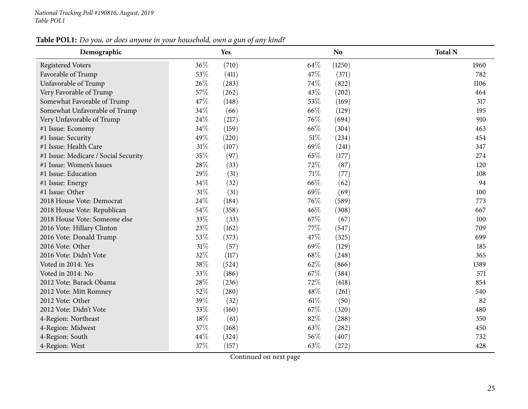## Table POL1: Do you, or does anyone in your household, own a gun of any kind?

| Demographic                          | Yes          |        | N <sub>o</sub> | <b>Total N</b> |
|--------------------------------------|--------------|--------|----------------|----------------|
| <b>Registered Voters</b>             | 36%<br>(710) | 64\%   | (1250)         | 1960           |
| Favorable of Trump                   | 53%<br>(411) | 47%    | (371)          | 782            |
| Unfavorable of Trump                 | 26%<br>(283) | 74%    | (822)          | 1106           |
| Very Favorable of Trump              | 57%<br>(262) | 43\%   | (202)          | 464            |
| Somewhat Favorable of Trump          | 47%<br>(148) | 53%    | (169)          | 317            |
| Somewhat Unfavorable of Trump        | 34%<br>(66)  | 66%    | (129)          | 195            |
| Very Unfavorable of Trump            | 24%<br>(217) | 76%    | (694)          | 910            |
| #1 Issue: Economy                    | 34%<br>(159) | 66%    | (304)          | 463            |
| #1 Issue: Security                   | 49%<br>(220) | $51\%$ | (234)          | 454            |
| #1 Issue: Health Care                | 31%<br>(107) | 69%    | (241)          | 347            |
| #1 Issue: Medicare / Social Security | 35%<br>(97)  | 65%    | (177)          | 274            |
| #1 Issue: Women's Issues             | 28%<br>(33)  | 72%    | (87)           | 120            |
| #1 Issue: Education                  | 29%<br>(31)  | $71\%$ | (77)           | 108            |
| #1 Issue: Energy                     | 34%<br>(32)  | 66%    | (62)           | 94             |
| #1 Issue: Other                      | 31%<br>(31)  | 69%    | (69)           | 100            |
| 2018 House Vote: Democrat            | 24%<br>(184) | 76%    | (589)          | 773            |
| 2018 House Vote: Republican          | 54%<br>(358) | 46%    | (308)          | 667            |
| 2018 House Vote: Someone else        | 33%<br>(33)  | 67\%   | (67)           | 100            |
| 2016 Vote: Hillary Clinton           | 23%<br>(162) | 77%    | (547)          | 709            |
| 2016 Vote: Donald Trump              | 53%<br>(373) | 47%    | (325)          | 699            |
| 2016 Vote: Other                     | 31%<br>(57)  | 69%    | (129)          | 185            |
| 2016 Vote: Didn't Vote               | 32%<br>(117) | 68\%   | (248)          | 365            |
| Voted in 2014: Yes                   | 38%<br>(524) | 62%    | (866)          | 1389           |
| Voted in 2014: No                    | 33%<br>(186) | 67%    | (384)          | 571            |
| 2012 Vote: Barack Obama              | 28%<br>(236) | 72\%   | (618)          | 854            |
| 2012 Vote: Mitt Romney               | 52%<br>(280) | 48\%   | (261)          | 540            |
| 2012 Vote: Other                     | 39%<br>(32)  | $61\%$ | (50)           | 82             |
| 2012 Vote: Didn't Vote               | 33%<br>(160) | 67\%   | (320)          | 480            |
| 4-Region: Northeast                  | 18%<br>(61)  | 82%    | (288)          | 350            |
| 4-Region: Midwest                    | 37%<br>(168) | 63%    | (282)          | 450            |
| 4-Region: South                      | 44%<br>(324) | 56%    | (407)          | 732            |
| 4-Region: West                       | 37%<br>(157) | 63%    | (272)          | 428            |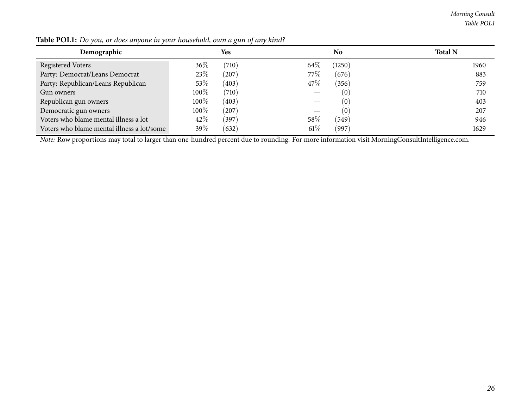*Morning Consult Table POL1*

| Demographic                                |      | Yes   |        | No.    | <b>Total N</b> |
|--------------------------------------------|------|-------|--------|--------|----------------|
| Registered Voters                          | 36%  | (710) | $64\%$ | (1250) | 1960           |
| Party: Democrat/Leans Democrat             | 23\% | (207) | 77%    | (676)  | 883            |
| Party: Republican/Leans Republican         | 53%  | (403) | 47\%   | (356)  | 759            |
| Gun owners                                 | 100% | (710) |        | (0)    | 710            |
| Republican gun owners                      | 100% | (403) |        | (0)    | 403            |
| Democratic gun owners                      | 100% | (207) |        | (0)    | 207            |
| Voters who blame mental illness a lot      | 42\% | (397) | 58%    | (549)  | 946            |
| Voters who blame mental illness a lot/some | 39\% | (632) | $61\%$ | (997)  | 1629           |

Table POL1: Do you, or does anyone in your household, own a gun of any kind?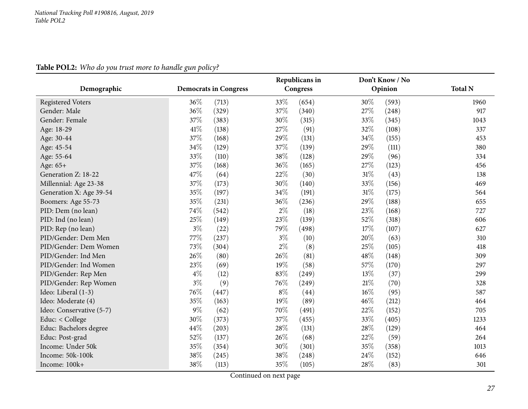<span id="page-26-0"></span>

|                          |       |                              |       | Republicans in |        | Don't Know / No |                |
|--------------------------|-------|------------------------------|-------|----------------|--------|-----------------|----------------|
| Demographic              |       | <b>Democrats in Congress</b> |       | Congress       |        | Opinion         | <b>Total N</b> |
| <b>Registered Voters</b> | 36\%  | (713)                        | 33%   | (654)          | 30%    | (593)           | 1960           |
| Gender: Male             | 36%   | (329)                        | 37%   | (340)          | 27%    | (248)           | 917            |
| Gender: Female           | 37%   | (383)                        | 30%   | (315)          | 33%    | (345)           | 1043           |
| Age: 18-29               | 41\%  | (138)                        | 27%   | (91)           | 32%    | (108)           | 337            |
| Age: 30-44               | 37%   | (168)                        | 29%   | (131)          | 34\%   | (155)           | 453            |
| Age: 45-54               | 34%   | (129)                        | 37%   | (139)          | 29%    | (111)           | 380            |
| Age: 55-64               | 33%   | (110)                        | 38%   | (128)          | 29%    | (96)            | 334            |
| Age: 65+                 | 37%   | (168)                        | 36%   | (165)          | 27%    | (123)           | 456            |
| Generation Z: 18-22      | 47%   | (64)                         | 22%   | (30)           | 31%    | (43)            | 138            |
| Millennial: Age 23-38    | 37%   | (173)                        | 30%   | (140)          | 33%    | (156)           | 469            |
| Generation X: Age 39-54  | 35%   | (197)                        | 34%   | (191)          | 31%    | (175)           | 564            |
| Boomers: Age 55-73       | 35%   | (231)                        | 36%   | (236)          | 29%    | (188)           | 655            |
| PID: Dem (no lean)       | 74%   | (542)                        | $2\%$ | (18)           | 23%    | (168)           | 727            |
| PID: Ind (no lean)       | 25%   | (149)                        | 23%   | (139)          | 52%    | (318)           | 606            |
| PID: Rep (no lean)       | $3\%$ | (22)                         | 79%   | (498)          | 17%    | (107)           | 627            |
| PID/Gender: Dem Men      | 77%   | (237)                        | $3\%$ | (10)           | 20%    | (63)            | 310            |
| PID/Gender: Dem Women    | 73%   | (304)                        | $2\%$ | (8)            | 25%    | (105)           | 418            |
| PID/Gender: Ind Men      | 26%   | (80)                         | 26%   | (81)           | 48%    | (148)           | 309            |
| PID/Gender: Ind Women    | 23%   | (69)                         | 19%   | (58)           | 57%    | (170)           | 297            |
| PID/Gender: Rep Men      | $4\%$ | (12)                         | 83%   | (249)          | 13%    | (37)            | 299            |
| PID/Gender: Rep Women    | $3\%$ | (9)                          | 76%   | (249)          | $21\%$ | (70)            | 328            |
| Ideo: Liberal (1-3)      | 76%   | (447)                        | $8\%$ | (44)           | 16%    | (95)            | 587            |
| Ideo: Moderate (4)       | 35%   | (163)                        | 19%   | (89)           | 46%    | (212)           | 464            |
| Ideo: Conservative (5-7) | $9\%$ | (62)                         | 70%   | (491)          | 22%    | (152)           | 705            |
| Educ: < College          | 30%   | (373)                        | 37%   | (455)          | 33%    | (405)           | 1233           |
| Educ: Bachelors degree   | 44%   | (203)                        | 28%   | (131)          | 28%    | (129)           | 464            |
| Educ: Post-grad          | 52%   | (137)                        | 26%   | (68)           | 22%    | (59)            | 264            |
| Income: Under 50k        | 35%   | (354)                        | 30%   | (301)          | 35%    | (358)           | 1013           |
| Income: 50k-100k         | 38%   | (245)                        | 38%   | (248)          | 24%    | (152)           | 646            |
| Income: 100k+            | 38%   | (113)                        | 35%   | (105)          | 28%    | (83)            | 301            |

**Table POL2:** *Who do you trust more to handle gun policy?*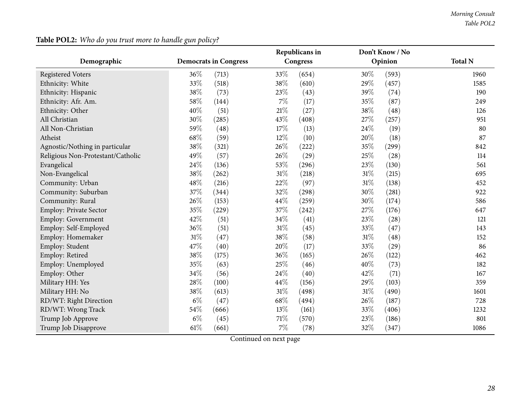|                                   |                              |       |        | Republicans in |        | Don't Know / No |                |  |
|-----------------------------------|------------------------------|-------|--------|----------------|--------|-----------------|----------------|--|
| Demographic                       | <b>Democrats in Congress</b> |       |        | Congress       |        | Opinion         | <b>Total N</b> |  |
| <b>Registered Voters</b>          | 36%                          | (713) | 33%    | (654)          | 30%    | (593)           | 1960           |  |
| Ethnicity: White                  | 33%                          | (518) | 38%    | (610)          | 29%    | (457)           | 1585           |  |
| Ethnicity: Hispanic               | 38%                          | (73)  | 23%    | (43)           | 39%    | (74)            | 190            |  |
| Ethnicity: Afr. Am.               | 58%                          | (144) | $7\%$  | (17)           | 35%    | (87)            | 249            |  |
| Ethnicity: Other                  | 40%                          | (51)  | $21\%$ | (27)           | 38%    | (48)            | 126            |  |
| All Christian                     | 30%                          | (285) | 43%    | (408)          | 27%    | (257)           | 951            |  |
| All Non-Christian                 | 59%                          | (48)  | 17%    | (13)           | 24\%   | (19)            | 80             |  |
| Atheist                           | 68%                          | (59)  | 12%    | (10)           | 20%    | (18)            | 87             |  |
| Agnostic/Nothing in particular    | 38%                          | (321) | 26%    | (222)          | 35%    | (299)           | 842            |  |
| Religious Non-Protestant/Catholic | 49%                          | (57)  | 26%    | (29)           | 25%    | (28)            | 114            |  |
| Evangelical                       | 24%                          | (136) | 53%    | (296)          | 23%    | (130)           | 561            |  |
| Non-Evangelical                   | 38%                          | (262) | 31%    | (218)          | 31%    | (215)           | 695            |  |
| Community: Urban                  | 48%                          | (216) | 22%    | (97)           | $31\%$ | (138)           | 452            |  |
| Community: Suburban               | 37%                          | (344) | 32%    | (298)          | 30%    | (281)           | 922            |  |
| Community: Rural                  | 26%                          | (153) | 44%    | (259)          | 30%    | (174)           | 586            |  |
| Employ: Private Sector            | 35%                          | (229) | 37%    | (242)          | 27%    | (176)           | 647            |  |
| Employ: Government                | 42%                          | (51)  | 34%    | (41)           | 23%    | (28)            | 121            |  |
| Employ: Self-Employed             | 36%                          | (51)  | 31%    | (45)           | 33%    | (47)            | 143            |  |
| Employ: Homemaker                 | 31%                          | (47)  | 38%    | (58)           | $31\%$ | (48)            | 152            |  |
| Employ: Student                   | 47%                          | (40)  | 20%    | (17)           | 33%    | (29)            | 86             |  |
| Employ: Retired                   | 38%                          | (175) | 36%    | (165)          | 26%    | (122)           | 462            |  |
| Employ: Unemployed                | 35%                          | (63)  | 25%    | (46)           | 40%    | (73)            | 182            |  |
| Employ: Other                     | 34%                          | (56)  | 24%    | (40)           | 42%    | (71)            | 167            |  |
| Military HH: Yes                  | 28%                          | (100) | 44%    | (156)          | 29%    | (103)           | 359            |  |
| Military HH: No                   | 38%                          | (613) | 31%    | (498)          | $31\%$ | (490)           | 1601           |  |
| RD/WT: Right Direction            | $6\%$                        | (47)  | 68%    | (494)          | 26\%   | (187)           | 728            |  |
| RD/WT: Wrong Track                | 54%                          | (666) | 13%    | (161)          | 33%    | (406)           | 1232           |  |
| Trump Job Approve                 | $6\%$                        | (45)  | 71%    | (570)          | 23%    | (186)           | 801            |  |
| Trump Job Disapprove              | 61\%                         | (661) | $7\%$  | (78)           | 32%    | (347)           | 1086           |  |

## **Table POL2:** *Who do you trust more to handle gun policy?*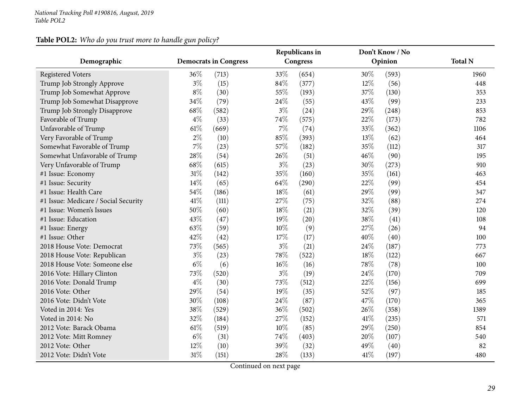## **Table POL2:** *Who do you trust more to handle gun policy?*

|                                      |                              |       |       | Republicans in |        | Don't Know / No |                |
|--------------------------------------|------------------------------|-------|-------|----------------|--------|-----------------|----------------|
| Demographic                          | <b>Democrats in Congress</b> |       |       | Congress       |        | Opinion         | <b>Total N</b> |
| <b>Registered Voters</b>             | 36%                          | (713) | 33%   | (654)          | 30%    | (593)           | 1960           |
| Trump Job Strongly Approve           | $3\%$                        | (15)  | 84%   | (377)          | 12%    | (56)            | 448            |
| Trump Job Somewhat Approve           | $8\%$                        | (30)  | 55%   | (193)          | 37%    | (130)           | 353            |
| Trump Job Somewhat Disapprove        | 34%                          | (79)  | 24%   | (55)           | 43%    | (99)            | 233            |
| Trump Job Strongly Disapprove        | 68%                          | (582) | $3\%$ | (24)           | 29%    | (248)           | 853            |
| Favorable of Trump                   | $4\%$                        | (33)  | 74%   | (575)          | 22%    | (173)           | 782            |
| Unfavorable of Trump                 | 61\%                         | (669) | $7\%$ | (74)           | 33%    | (362)           | 1106           |
| Very Favorable of Trump              | $2\%$                        | (10)  | 85%   | (393)          | 13%    | (62)            | 464            |
| Somewhat Favorable of Trump          | $7\%$                        | (23)  | 57%   | (182)          | 35%    | (112)           | 317            |
| Somewhat Unfavorable of Trump        | 28%                          | (54)  | 26%   | (51)           | 46%    | (90)            | 195            |
| Very Unfavorable of Trump            | 68%                          | (615) | $3\%$ | (23)           | 30%    | (273)           | 910            |
| #1 Issue: Economy                    | 31%                          | (142) | 35%   | (160)          | 35%    | (161)           | 463            |
| #1 Issue: Security                   | 14%                          | (65)  | 64%   | (290)          | 22%    | (99)            | 454            |
| #1 Issue: Health Care                | 54%                          | (186) | 18%   | (61)           | 29%    | (99)            | 347            |
| #1 Issue: Medicare / Social Security | 41%                          | (111) | 27%   | (75)           | 32%    | (88)            | 274            |
| #1 Issue: Women's Issues             | 50%                          | (60)  | 18%   | (21)           | 32%    | (39)            | 120            |
| #1 Issue: Education                  | 43%                          | (47)  | 19%   | (20)           | 38%    | (41)            | 108            |
| #1 Issue: Energy                     | 63%                          | (59)  | 10%   | (9)            | 27%    | (26)            | 94             |
| #1 Issue: Other                      | 42%                          | (42)  | 17%   | (17)           | 40%    | (40)            | 100            |
| 2018 House Vote: Democrat            | 73%                          | (565) | $3\%$ | (21)           | 24%    | (187)           | 773            |
| 2018 House Vote: Republican          | $3\%$                        | (23)  | 78%   | (522)          | 18%    | (122)           | 667            |
| 2018 House Vote: Someone else        | $6\%$                        | (6)   | 16%   | (16)           | 78%    | (78)            | 100            |
| 2016 Vote: Hillary Clinton           | 73%                          | (520) | 3%    | (19)           | 24\%   | (170)           | 709            |
| 2016 Vote: Donald Trump              | $4\%$                        | (30)  | 73%   | (512)          | 22%    | (156)           | 699            |
| 2016 Vote: Other                     | 29%                          | (54)  | 19%   | (35)           | 52%    | (97)            | 185            |
| 2016 Vote: Didn't Vote               | 30%                          | (108) | 24%   | (87)           | 47%    | (170)           | 365            |
| Voted in 2014: Yes                   | 38%                          | (529) | 36%   | (502)          | 26%    | (358)           | 1389           |
| Voted in 2014: No                    | 32%                          | (184) | 27%   | (152)          | $41\%$ | (235)           | 571            |
| 2012 Vote: Barack Obama              | 61\%                         | (519) | 10%   | (85)           | 29%    | (250)           | 854            |
| 2012 Vote: Mitt Romney               | $6\%$                        | (31)  | 74%   | (403)          | 20%    | (107)           | 540            |
| 2012 Vote: Other                     | 12%                          | (10)  | 39%   | (32)           | 49%    | (40)            | 82             |
| 2012 Vote: Didn't Vote               | $31\%$                       | (151) | 28%   | (133)          | 41\%   | (197)           | 480            |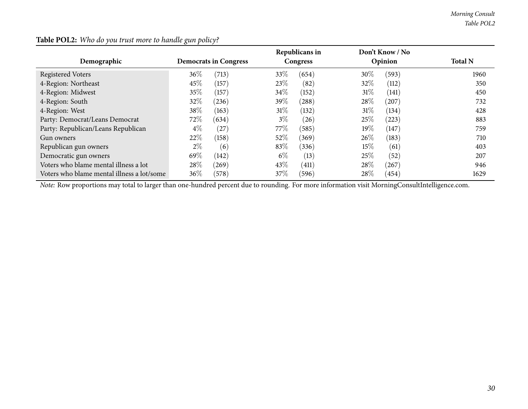| Demographic                                | <b>Democrats in Congress</b> |       |        | Republicans in<br>Congress |        | Don't Know / No<br>Opinion | <b>Total N</b> |
|--------------------------------------------|------------------------------|-------|--------|----------------------------|--------|----------------------------|----------------|
| <b>Registered Voters</b>                   | 36\%                         | (713) | 33\%   | (654)                      | $30\%$ | (593)                      | 1960           |
| 4-Region: Northeast                        | 45\%                         | (157) | 23\%   | (82)                       | 32%    | (112)                      | 350            |
| 4-Region: Midwest                          | 35%                          | (157) | 34\%   | (152)                      | 31%    | (141)                      | 450            |
| 4-Region: South                            | 32%                          | (236) | 39\%   | (288)                      | 28\%   | (207)                      | 732            |
| 4-Region: West                             | 38\%                         | (163) | 31%    | (132)                      | 31%    | (134)                      | 428            |
| Party: Democrat/Leans Democrat             | 72\%                         | (634) | $3\%$  | (26)                       | 25\%   | (223)                      | 883            |
| Party: Republican/Leans Republican         | $4\%$                        | (27)  | 77\%   | (585)                      | 19%    | (147)                      | 759            |
| Gun owners                                 | 22%                          | (158) | 52%    | (369)                      | 26\%   | (183)                      | 710            |
| Republican gun owners                      | $2\%$                        | (6)   | 83\%   | (336)                      | 15\%   | (61)                       | 403            |
| Democratic gun owners                      | 69\%                         | (142) | $6\%$  | (13)                       | 25\%   | (52)                       | 207            |
| Voters who blame mental illness a lot      | 28%                          | (269) | 43\%   | (411)                      | 28\%   | (267)                      | 946            |
| Voters who blame mental illness a lot/some | 36%                          | (578) | $37\%$ | (596)                      | 28%    | (454)                      | 1629           |

## **Table POL2:** *Who do you trust more to handle gun policy?*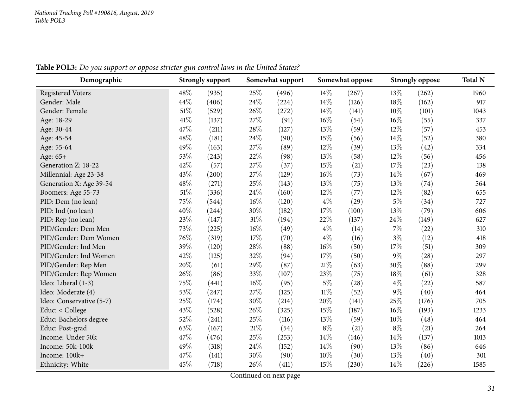Table POL3: Do you support or oppose stricter gun control laws in the United States?

<span id="page-30-0"></span>

| Demographic              |      | <b>Strongly support</b> |     | Somewhat support |        | Somewhat oppose |        | <b>Strongly oppose</b> | <b>Total N</b> |
|--------------------------|------|-------------------------|-----|------------------|--------|-----------------|--------|------------------------|----------------|
| <b>Registered Voters</b> | 48%  | (935)                   | 25% | (496)            | 14%    | (267)           | 13\%   | (262)                  | 1960           |
| Gender: Male             | 44%  | (406)                   | 24% | (224)            | 14%    | (126)           | 18%    | (162)                  | 917            |
| Gender: Female           | 51%  | (529)                   | 26% | (272)            | 14%    | (141)           | 10%    | (101)                  | 1043           |
| Age: 18-29               | 41\% | (137)                   | 27% | (91)             | $16\%$ | (54)            | $16\%$ | (55)                   | 337            |
| Age: 30-44               | 47%  | (211)                   | 28% | (127)            | 13%    | (59)            | $12\%$ | (57)                   | 453            |
| Age: 45-54               | 48%  | (181)                   | 24% | (90)             | 15%    | (56)            | 14\%   | (52)                   | 380            |
| Age: 55-64               | 49%  | (163)                   | 27% | (89)             | 12%    | (39)            | 13%    | (42)                   | 334            |
| Age: 65+                 | 53%  | (243)                   | 22% | (98)             | 13%    | (58)            | 12%    | (56)                   | 456            |
| Generation Z: 18-22      | 42%  | (57)                    | 27% | (37)             | 15%    | (21)            | 17%    | (23)                   | 138            |
| Millennial: Age 23-38    | 43%  | (200)                   | 27% | (129)            | $16\%$ | (73)            | 14\%   | (67)                   | 469            |
| Generation X: Age 39-54  | 48%  | (271)                   | 25% | (143)            | 13%    | (75)            | 13\%   | (74)                   | 564            |
| Boomers: Age 55-73       | 51\% | (336)                   | 24% | (160)            | 12%    | (77)            | $12\%$ | (82)                   | 655            |
| PID: Dem (no lean)       | 75%  | (544)                   | 16% | (120)            | $4\%$  | (29)            | $5\%$  | (34)                   | 727            |
| PID: Ind (no lean)       | 40%  | (244)                   | 30% | (182)            | $17\%$ | (100)           | 13%    | (79)                   | 606            |
| PID: Rep (no lean)       | 23%  | (147)                   | 31% | (194)            | 22%    | (137)           | 24\%   | (149)                  | 627            |
| PID/Gender: Dem Men      | 73%  | (225)                   | 16% | (49)             | $4\%$  | (14)            | $7\%$  | (22)                   | 310            |
| PID/Gender: Dem Women    | 76%  | (319)                   | 17% | (70)             | $4\%$  | (16)            | $3\%$  | (12)                   | 418            |
| PID/Gender: Ind Men      | 39%  | (120)                   | 28% | (88)             | $16\%$ | (50)            | 17%    | (51)                   | 309            |
| PID/Gender: Ind Women    | 42%  | (125)                   | 32% | (94)             | 17%    | (50)            | $9\%$  | (28)                   | 297            |
| PID/Gender: Rep Men      | 20%  | (61)                    | 29% | (87)             | $21\%$ | (63)            | 30%    | (88)                   | 299            |
| PID/Gender: Rep Women    | 26%  | (86)                    | 33% | (107)            | 23\%   | (75)            | 18%    | (61)                   | 328            |
| Ideo: Liberal (1-3)      | 75%  | (441)                   | 16% | (95)             | $5\%$  | (28)            | $4\%$  | (22)                   | 587            |
| Ideo: Moderate (4)       | 53%  | (247)                   | 27% | (125)            | $11\%$ | (52)            | $9\%$  | (40)                   | 464            |
| Ideo: Conservative (5-7) | 25%  | (174)                   | 30% | (214)            | 20%    | (141)           | 25%    | (176)                  | 705            |
| Educ: < College          | 43%  | (528)                   | 26% | (325)            | 15%    | (187)           | 16%    | (193)                  | 1233           |
| Educ: Bachelors degree   | 52%  | (241)                   | 25% | (116)            | 13%    | (59)            | 10%    | (48)                   | 464            |
| Educ: Post-grad          | 63%  | (167)                   | 21% | (54)             | $8\%$  | (21)            | $8\%$  | (21)                   | 264            |
| Income: Under 50k        | 47%  | (476)                   | 25% | (253)            | $14\%$ | (146)           | $14\%$ | (137)                  | 1013           |
| Income: 50k-100k         | 49%  | (318)                   | 24% | (152)            | 14%    | (90)            | 13%    | (86)                   | 646            |
| Income: 100k+            | 47%  | (141)                   | 30% | (90)             | $10\%$ | (30)            | 13%    | (40)                   | 301            |
| Ethnicity: White         | 45%  | (718)                   | 26% | (411)            | 15%    | (230)           | $14\%$ | (226)                  | 1585           |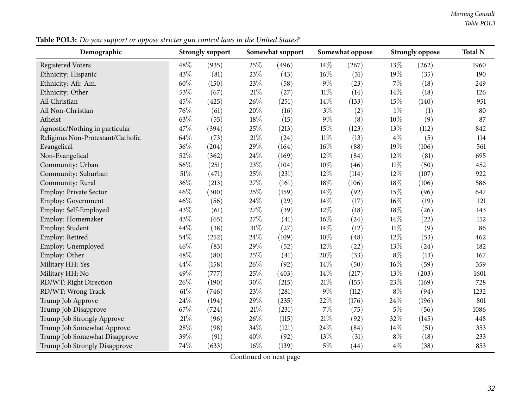Table POL3: Do you support or oppose stricter gun control laws in the United States?

| Demographic                       | <b>Strongly support</b> |       |        | Somewhat support |        | Somewhat oppose | <b>Strongly oppose</b> | <b>Total N</b> |      |
|-----------------------------------|-------------------------|-------|--------|------------------|--------|-----------------|------------------------|----------------|------|
| <b>Registered Voters</b>          | 48%                     | (935) | 25%    | (496)            | $14\%$ | (267)           | 13%                    | (262)          | 1960 |
| Ethnicity: Hispanic               | 43%                     | (81)  | 23%    | (43)             | $16\%$ | (31)            | 19%                    | (35)           | 190  |
| Ethnicity: Afr. Am.               | 60%                     | (150) | 23%    | (58)             | $9\%$  | (23)            | $7\%$                  | (18)           | 249  |
| Ethnicity: Other                  | 53%                     | (67)  | $21\%$ | (27)             | $11\%$ | (14)            | 14%                    | (18)           | 126  |
| All Christian                     | 45%                     | (425) | 26%    | (251)            | 14\%   | (133)           | 15%                    | (140)          | 951  |
| All Non-Christian                 | 76%                     | (61)  | 20%    | (16)             | $3\%$  | (2)             | $1\%$                  | (1)            | 80   |
| Atheist                           | 63\%                    | (55)  | 18%    | (15)             | $9\%$  | (8)             | 10%                    | (9)            | 87   |
| Agnostic/Nothing in particular    | 47%                     | (394) | $25\%$ | (213)            | $15\%$ | (123)           | 13%                    | (112)          | 842  |
| Religious Non-Protestant/Catholic | 64%                     | (73)  | 21%    | (24)             | $11\%$ | (13)            | $4\%$                  | (5)            | 114  |
| Evangelical                       | 36%                     | (204) | 29%    | (164)            | $16\%$ | (88)            | 19%                    | (106)          | 561  |
| Non-Evangelical                   | 52%                     | (362) | 24%    | (169)            | 12%    | (84)            | 12%                    | (81)           | 695  |
| Community: Urban                  | 56%                     | (251) | 23%    | (104)            | $10\%$ | (46)            | $11\%$                 | (50)           | 452  |
| Community: Suburban               | $51\%$                  | (471) | 25%    | (231)            | 12%    | (114)           | 12%                    | (107)          | 922  |
| Community: Rural                  | 36%                     | (213) | 27%    | (161)            | 18%    | (106)           | 18%                    | (106)          | 586  |
| Employ: Private Sector            | 46%                     | (300) | 25%    | (159)            | 14\%   | (92)            | 15%                    | (96)           | 647  |
| <b>Employ: Government</b>         | 46%                     | (56)  | 24%    | (29)             | 14\%   | (17)            | 16%                    | (19)           | 121  |
| Employ: Self-Employed             | 43%                     | (61)  | 27%    | (39)             | 12%    | (18)            | 18%                    | (26)           | 143  |
| Employ: Homemaker                 | 43%                     | (65)  | 27%    | (41)             | $16\%$ | (24)            | 14\%                   | (22)           | 152  |
| Employ: Student                   | 44%                     | (38)  | 31%    | (27)             | 14\%   | (12)            | $11\%$                 | (9)            | 86   |
| Employ: Retired                   | 54%                     | (252) | 24\%   | (109)            | 10%    | (48)            | 12%                    | (53)           | 462  |
| Employ: Unemployed                | $46\%$                  | (83)  | 29%    | (52)             | 12%    | (22)            | 13%                    | (24)           | 182  |
| Employ: Other                     | 48%                     | (80)  | 25%    | (41)             | 20%    | (33)            | $8\%$                  | (13)           | 167  |
| Military HH: Yes                  | 44\%                    | (158) | 26%    | (92)             | 14\%   | (50)            | $16\%$                 | (59)           | 359  |
| Military HH: No                   | 49%                     | (777) | 25%    | (403)            | 14\%   | (217)           | 13%                    | (203)          | 1601 |
| RD/WT: Right Direction            | 26%                     | (190) | 30%    | (215)            | $21\%$ | (155)           | 23%                    | (169)          | 728  |
| RD/WT: Wrong Track                | 61\%                    | (746) | 23%    | (281)            | $9\%$  | (112)           | $8\%$                  | (94)           | 1232 |
| Trump Job Approve                 | 24%                     | (194) | 29%    | (235)            | 22\%   | (176)           | 24%                    | (196)          | 801  |
| Trump Job Disapprove              | 67%                     | (724) | 21%    | (231)            | $7\%$  | (75)            | $5\%$                  | (56)           | 1086 |
| Trump Job Strongly Approve        | $21\%$                  | (96)  | 26%    | (115)            | $21\%$ | (92)            | 32%                    | (145)          | 448  |
| Trump Job Somewhat Approve        | 28\%                    | (98)  | 34%    | (121)            | 24\%   | (84)            | 14%                    | (51)           | 353  |
| Trump Job Somewhat Disapprove     | 39%                     | (91)  | 40%    | (92)             | 13%    | (31)            | $8\%$                  | (18)           | 233  |
| Trump Job Strongly Disapprove     | 74%                     | (633) | 16%    | (139)            | $5\%$  | (44)            | $4\%$                  | (38)           | 853  |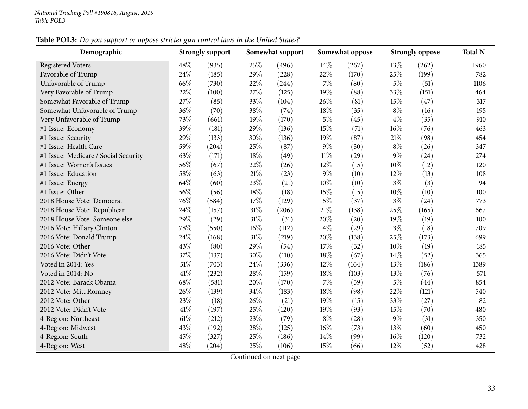## Table POL3: Do you support or oppose stricter gun control laws in the United States?

| Demographic                          |        | <b>Strongly support</b> |        | Somewhat support |        | Somewhat oppose | <b>Strongly oppose</b> | <b>Total N</b> |      |
|--------------------------------------|--------|-------------------------|--------|------------------|--------|-----------------|------------------------|----------------|------|
| <b>Registered Voters</b>             | 48%    | (935)                   | 25%    | (496)            | 14\%   | (267)           | 13%                    | (262)          | 1960 |
| Favorable of Trump                   | 24%    | (185)                   | $29\%$ | (228)            | 22%    | (170)           | 25%                    | (199)          | 782  |
| Unfavorable of Trump                 | 66%    | (730)                   | 22%    | (244)            | $7\%$  | (80)            | $5\%$                  | (51)           | 1106 |
| Very Favorable of Trump              | 22%    | (100)                   | 27%    | (125)            | 19%    | (88)            | 33%                    | (151)          | 464  |
| Somewhat Favorable of Trump          | 27%    | (85)                    | 33%    | (104)            | 26%    | (81)            | 15%                    | (47)           | 317  |
| Somewhat Unfavorable of Trump        | 36%    | (70)                    | 38%    | (74)             | 18%    | (35)            | $8\%$                  | (16)           | 195  |
| Very Unfavorable of Trump            | 73%    | (661)                   | 19%    | (170)            | $5\%$  | (45)            | $4\%$                  | (35)           | 910  |
| #1 Issue: Economy                    | 39%    | (181)                   | 29%    | (136)            | 15%    | (71)            | 16%                    | (76)           | 463  |
| #1 Issue: Security                   | 29%    | (133)                   | 30%    | (136)            | 19%    | (87)            | 21%                    | (98)           | 454  |
| #1 Issue: Health Care                | 59%    | (204)                   | 25%    | (87)             | $9\%$  | (30)            | $8\%$                  | (26)           | 347  |
| #1 Issue: Medicare / Social Security | 63%    | (171)                   | 18%    | (49)             | $11\%$ | (29)            | $9\%$                  | (24)           | 274  |
| #1 Issue: Women's Issues             | 56%    | (67)                    | 22%    | (26)             | 12%    | (15)            | 10%                    | (12)           | 120  |
| #1 Issue: Education                  | 58%    | (63)                    | 21\%   | (23)             | $9\%$  | (10)            | 12%                    | (13)           | 108  |
| #1 Issue: Energy                     | 64%    | (60)                    | 23%    | (21)             | 10%    | (10)            | $3\%$                  | (3)            | 94   |
| #1 Issue: Other                      | 56%    | (56)                    | 18%    | (18)             | 15%    | (15)            | $10\%$                 | (10)           | 100  |
| 2018 House Vote: Democrat            | 76%    | (584)                   | 17%    | (129)            | $5\%$  | (37)            | $3\%$                  | (24)           | 773  |
| 2018 House Vote: Republican          | 24%    | (157)                   | $31\%$ | (206)            | $21\%$ | (138)           | 25%                    | (165)          | 667  |
| 2018 House Vote: Someone else        | 29%    | (29)                    | $31\%$ | (31)             | 20%    | (20)            | 19%                    | (19)           | 100  |
| 2016 Vote: Hillary Clinton           | 78%    | (550)                   | $16\%$ | (112)            | $4\%$  | (29)            | $3\%$                  | (18)           | 709  |
| 2016 Vote: Donald Trump              | 24%    | (168)                   | $31\%$ | (219)            | 20%    | (138)           | 25%                    | (173)          | 699  |
| 2016 Vote: Other                     | 43%    | (80)                    | 29%    | (54)             | 17%    | (32)            | $10\%$                 | (19)           | 185  |
| 2016 Vote: Didn't Vote               | 37%    | (137)                   | 30%    | (110)            | $18\%$ | (67)            | 14%                    | (52)           | 365  |
| Voted in 2014: Yes                   | 51%    | (703)                   | 24%    | (336)            | 12%    | (164)           | 13%                    | (186)          | 1389 |
| Voted in 2014: No                    | 41%    | (232)                   | 28%    | (159)            | 18%    | (103)           | 13%                    | (76)           | 571  |
| 2012 Vote: Barack Obama              | 68%    | (581)                   | 20%    | (170)            | $7\%$  | (59)            | $5\%$                  | (44)           | 854  |
| 2012 Vote: Mitt Romney               | 26%    | (139)                   | 34%    | (183)            | $18\%$ | (98)            | 22%                    | (121)          | 540  |
| 2012 Vote: Other                     | 23%    | (18)                    | 26%    | (21)             | 19%    | (15)            | 33%                    | (27)           | 82   |
| 2012 Vote: Didn't Vote               | 41\%   | (197)                   | 25%    | (120)            | 19%    | (93)            | 15%                    | (70)           | 480  |
| 4-Region: Northeast                  | $61\%$ | (212)                   | 23%    | (79)             | $8\%$  | (28)            | $9\%$                  | (31)           | 350  |
| 4-Region: Midwest                    | 43%    | (192)                   | 28\%   | (125)            | $16\%$ | (73)            | 13%                    | (60)           | 450  |
| 4-Region: South                      | 45%    | (327)                   | 25%    | (186)            | 14%    | (99)            | 16%                    | (120)          | 732  |
| 4-Region: West                       | 48%    | (204)                   | 25%    | (106)            | 15%    | (66)            | 12%                    | (52)           | 428  |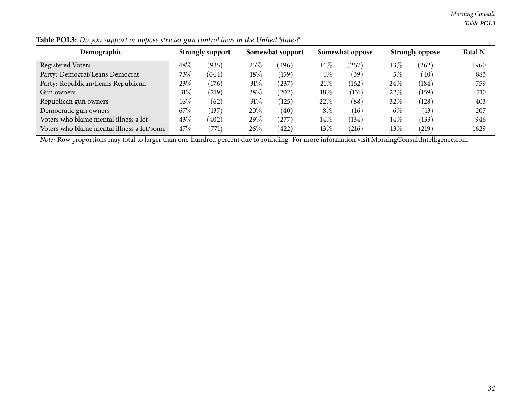*Morning Consult Table POL3*

| .<br>.                                     | ັ      |                         |        |                  |        |                 |        |                        |                |
|--------------------------------------------|--------|-------------------------|--------|------------------|--------|-----------------|--------|------------------------|----------------|
| Demographic                                |        | <b>Strongly support</b> |        | Somewhat support |        | Somewhat oppose |        | <b>Strongly oppose</b> | <b>Total N</b> |
| <b>Registered Voters</b>                   | 48%    | (935)                   | 25%    | (496)            | $14\%$ | (267)           | $13\%$ | (262)                  | 1960           |
| Party: Democrat/Leans Democrat             | 73\%   | (644)                   | 18%    | (159)            | $4\%$  | (39)            | $5\%$  | (40)                   | 883            |
| Party: Republican/Leans Republican         | 23%    | (176)                   | $31\%$ | 237              | 21%    | (162)           | 24%    | (184)                  | 759            |
| Gun owners                                 | 31%    | (219)                   | 28\%   | $^{(202)}$       | $18\%$ | (131)           | 22%    | (159)                  | 710            |
| Republican gun owners                      | $16\%$ | (62)                    | 31%    | (125)            | 22%    | (88)            | 32\%   | (128)                  | 403            |
| Democratic gun owners                      | 67\%   | $^{\prime}137$          | $20\%$ | (40)             | $8\%$  | (16)            | $6\%$  | (13)                   | 207            |
| Voters who blame mental illness a lot      | 43%    | (402)                   | $29\%$ | (277)            | $14\%$ | (134)           | $14\%$ | (133)                  | 946            |
| Voters who blame mental illness a lot/some | 47\%   | (771)                   | $26\%$ | 422)             | $13\%$ | (216)           | 13%    | (219)                  | 1629           |

Table POL3: Do you support or oppose stricter gun control laws in the United States?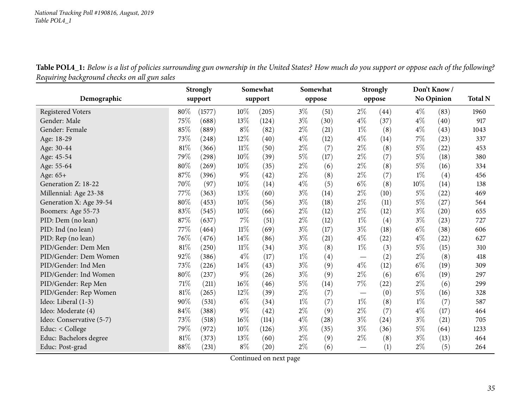Table POL4\_1: Below is a list of policies surrounding gun ownership in the United States? How much do you support or oppose each of the following? *Requiring background checks on all gun sales*

<span id="page-34-0"></span>

|                          |        | <b>Strongly</b> |        | Somewhat |       | Somewhat |                                 | <b>Strongly</b> | Don't Know/ |            |                |
|--------------------------|--------|-----------------|--------|----------|-------|----------|---------------------------------|-----------------|-------------|------------|----------------|
| Demographic              |        | support         |        | support  |       | oppose   |                                 | oppose          |             | No Opinion | <b>Total N</b> |
| <b>Registered Voters</b> | 80%    | (1577)          | $10\%$ | (205)    | $3\%$ | (51)     | $2\%$                           | (44)            | $4\%$       | (83)       | 1960           |
| Gender: Male             | 75%    | (688)           | 13%    | (124)    | $3\%$ | (30)     | $4\%$                           | (37)            | $4\%$       | (40)       | 917            |
| Gender: Female           | 85%    | (889)           | $8\%$  | (82)     | $2\%$ | (21)     | $1\%$                           | (8)             | $4\%$       | (43)       | 1043           |
| Age: 18-29               | 73%    | (248)           | 12%    | (40)     | $4\%$ | (12)     | $4\%$                           | (14)            | 7%          | (23)       | 337            |
| Age: 30-44               | 81%    | (366)           | 11%    | (50)     | $2\%$ | (7)      | $2\%$                           | (8)             | $5\%$       | (22)       | 453            |
| Age: 45-54               | 79%    | (298)           | 10%    | (39)     | $5\%$ | (17)     | $2\%$                           | (7)             | $5\%$       | (18)       | 380            |
| Age: 55-64               | 80%    | (269)           | 10%    | (35)     | $2\%$ | (6)      | $2\%$                           | (8)             | $5\%$       | (16)       | 334            |
| Age: 65+                 | 87%    | (396)           | 9%     | (42)     | $2\%$ | (8)      | $2\%$                           | (7)             | $1\%$       | (4)        | 456            |
| Generation Z: 18-22      | 70%    | (97)            | 10%    | (14)     | $4\%$ | (5)      | $6\%$                           | (8)             | 10%         | (14)       | 138            |
| Millennial: Age 23-38    | 77%    | (363)           | 13%    | (60)     | $3\%$ | (14)     | $2\%$                           | (10)            | $5\%$       | (22)       | 469            |
| Generation X: Age 39-54  | 80%    | (453)           | 10%    | (56)     | $3\%$ | (18)     | $2\%$                           | (11)            | $5\%$       | (27)       | 564            |
| Boomers: Age 55-73       | 83%    | (545)           | 10%    | (66)     | $2\%$ | (12)     | $2\%$                           | (12)            | $3\%$       | (20)       | 655            |
| PID: Dem (no lean)       | 87%    | (637)           | 7%     | (51)     | $2\%$ | (12)     | $1\%$                           | (4)             | $3\%$       | (23)       | 727            |
| PID: Ind (no lean)       | 77%    | (464)           | $11\%$ | (69)     | $3\%$ | (17)     | $3\%$                           | (18)            | $6\%$       | (38)       | 606            |
| PID: Rep (no lean)       | 76%    | (476)           | 14%    | (86)     | $3\%$ | (21)     | $4\%$                           | (22)            | $4\%$       | (22)       | 627            |
| PID/Gender: Dem Men      | 81%    | (250)           | 11%    | (34)     | $3\%$ | (8)      | $1\%$                           | (3)             | $5\%$       | (15)       | 310            |
| PID/Gender: Dem Women    | 92%    | (386)           | $4\%$  | (17)     | $1\%$ | (4)      | $\hspace{0.1mm}-\hspace{0.1mm}$ | (2)             | $2\%$       | (8)        | 418            |
| PID/Gender: Ind Men      | 73%    | (226)           | 14%    | (43)     | $3\%$ | (9)      | $4\%$                           | (12)            | $6\%$       | (19)       | 309            |
| PID/Gender: Ind Women    | 80%    | (237)           | 9%     | (26)     | $3\%$ | (9)      | $2\%$                           | (6)             | $6\%$       | (19)       | 297            |
| PID/Gender: Rep Men      | 71%    | (211)           | 16%    | (46)     | $5\%$ | (14)     | $7\%$                           | (22)            | $2\%$       | (6)        | 299            |
| PID/Gender: Rep Women    | 81%    | (265)           | 12%    | (39)     | $2\%$ | (7)      | $\hspace{0.1mm}-\hspace{0.1mm}$ | (0)             | $5\%$       | (16)       | 328            |
| Ideo: Liberal (1-3)      | 90%    | (531)           | $6\%$  | (34)     | $1\%$ | (7)      | $1\%$                           | (8)             | $1\%$       | (7)        | 587            |
| Ideo: Moderate (4)       | 84%    | (388)           | $9\%$  | (42)     | $2\%$ | (9)      | $2\%$                           | (7)             | $4\%$       | (17)       | 464            |
| Ideo: Conservative (5-7) | 73%    | (518)           | 16%    | (114)    | $4\%$ | (28)     | $3\%$                           | (24)            | $3\%$       | (21)       | 705            |
| Educ: < College          | 79%    | (972)           | 10%    | (126)    | $3\%$ | (35)     | $3\%$                           | (36)            | $5\%$       | (64)       | 1233           |
| Educ: Bachelors degree   | $81\%$ | (373)           | 13%    | (60)     | $2\%$ | (9)      | $2\%$                           | (8)             | $3\%$       | (13)       | 464            |
| Educ: Post-grad          | 88%    | (231)           | $8\%$  | (20)     | $2\%$ | (6)      |                                 | (1)             | $2\%$       | (5)        | 264            |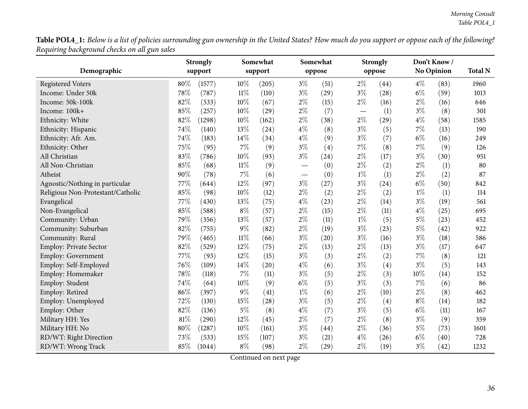**Table POL4\_1:** Below is a list of policies surrounding gun ownership in the United States? How much do you support or oppose each of the following? *Requiring background checks on all gun sales*  $\overline{\phantom{0}}$ 

|                                   | <b>Strongly</b> |        |        | Somewhat |       | Somewhat |       | <b>Strongly</b> |       | Don't Know /     |      |
|-----------------------------------|-----------------|--------|--------|----------|-------|----------|-------|-----------------|-------|------------------|------|
| Demographic                       | support         |        |        | support  |       | oppose   |       | oppose          |       | No Opinion       |      |
| <b>Registered Voters</b>          | 80%             | (1577) | 10%    | (205)    | $3\%$ | (51)     | $2\%$ | (44)            | $4\%$ | (83)             | 1960 |
| Income: Under 50k                 | 78%             | (787)  | $11\%$ | (110)    | $3\%$ | (29)     | $3\%$ | (28)            | $6\%$ | (59)             | 1013 |
| Income: 50k-100k                  | 82%             | (533)  | 10%    | (67)     | $2\%$ | (15)     | $2\%$ | (16)            | $2\%$ | (16)             | 646  |
| Income: 100k+                     | 85%             | (257)  | 10%    | (29)     | $2\%$ | (7)      |       | (1)             | $3\%$ | (8)              | 301  |
| Ethnicity: White                  | 82%             | (1298) | 10%    | (162)    | $2\%$ | (38)     | $2\%$ | (29)            | $4\%$ | (58)             | 1585 |
| Ethnicity: Hispanic               | 74%             | (140)  | 13%    | (24)     | $4\%$ | (8)      | $3\%$ | (5)             | $7\%$ | (13)             | 190  |
| Ethnicity: Afr. Am.               | 74%             | (183)  | 14%    | (34)     | $4\%$ | (9)      | $3\%$ | (7)             | $6\%$ | (16)             | 249  |
| Ethnicity: Other                  | 75%             | (95)   | 7%     | (9)      | $3\%$ | (4)      | 7%    | (8)             | 7%    | (9)              | 126  |
| All Christian                     | 83%             | (786)  | 10%    | (93)     | $3\%$ | (24)     | $2\%$ | (17)            | $3\%$ | (30)             | 951  |
| All Non-Christian                 | 85%             | (68)   | $11\%$ | (9)      |       | (0)      | $2\%$ | (2)             | $2\%$ | (1)              | 80   |
| Atheist                           | 90%             | (78)   | 7%     | (6)      |       | (0)      | $1\%$ | (1)             | $2\%$ | (2)              | 87   |
| Agnostic/Nothing in particular    | 77\%            | (644)  | 12%    | (97)     | $3\%$ | (27)     | $3\%$ | (24)            | $6\%$ | (50)             | 842  |
| Religious Non-Protestant/Catholic | 85%             | (98)   | 10%    | (12)     | $2\%$ | (2)      | $2\%$ | (2)             | $1\%$ | $\left(1\right)$ | 114  |
| Evangelical                       | 77%             | (430)  | 13%    | (75)     | $4\%$ | (23)     | $2\%$ | (14)            | $3\%$ | (19)             | 561  |
| Non-Evangelical                   | 85%             | (588)  | $8\%$  | (57)     | $2\%$ | (15)     | $2\%$ | (11)            | $4\%$ | (25)             | 695  |
| Community: Urban                  | 79%             | (356)  | 13%    | (57)     | $2\%$ | (11)     | $1\%$ | (5)             | $5\%$ | (23)             | 452  |
| Community: Suburban               | 82%             | (755)  | 9%     | (82)     | $2\%$ | (19)     | $3\%$ | (23)            | $5\%$ | (42)             | 922  |
| Community: Rural                  | 79%             | (465)  | $11\%$ | (66)     | $3\%$ | (20)     | $3\%$ | (16)            | $3\%$ | (18)             | 586  |
| Employ: Private Sector            | 82%             | (529)  | 12%    | (75)     | $2\%$ | (13)     | $2\%$ | (13)            | $3\%$ | (17)             | 647  |
| Employ: Government                | 77%             | (93)   | 12%    | (15)     | $3\%$ | (3)      | $2\%$ | (2)             | $7\%$ | (8)              | 121  |
| Employ: Self-Employed             | 76%             | (109)  | 14%    | (20)     | $4\%$ | (6)      | $3\%$ | (4)             | $3\%$ | (5)              | 143  |
| Employ: Homemaker                 | 78%             | (118)  | 7%     | (11)     | $3\%$ | (5)      | $2\%$ | (3)             | 10%   | (14)             | 152  |
| Employ: Student                   | 74%             | (64)   | 10%    | (9)      | $6\%$ | (5)      | $3\%$ | (3)             | 7%    | (6)              | 86   |
| Employ: Retired                   | 86%             | (397)  | 9%     | (41)     | $1\%$ | (6)      | $2\%$ | (10)            | $2\%$ | (8)              | 462  |
| Employ: Unemployed                | 72%             | (130)  | 15%    | (28)     | $3\%$ | (5)      | $2\%$ | (4)             | $8\%$ | (14)             | 182  |
| Employ: Other                     | 82%             | (136)  | $5\%$  | (8)      | $4\%$ | (7)      | $3\%$ | (5)             | $6\%$ | (11)             | 167  |
| Military HH: Yes                  | 81%             | (290)  | 12%    | (45)     | $2\%$ | (7)      | $2\%$ | (8)             | $3\%$ | (9)              | 359  |
| Military HH: No                   | 80%             | (1287) | 10%    | (161)    | $3\%$ | (44)     | $2\%$ | (36)            | $5\%$ | (73)             | 1601 |
| RD/WT: Right Direction            | 73%             | (533)  | 15%    | (107)    | $3\%$ | (21)     | $4\%$ | (26)            | $6\%$ | (40)             | 728  |
| RD/WT: Wrong Track                | 85%             | (1044) | $8\%$  | (98)     | $2\%$ | (29)     | $2\%$ | (19)            | $3\%$ | (42)             | 1232 |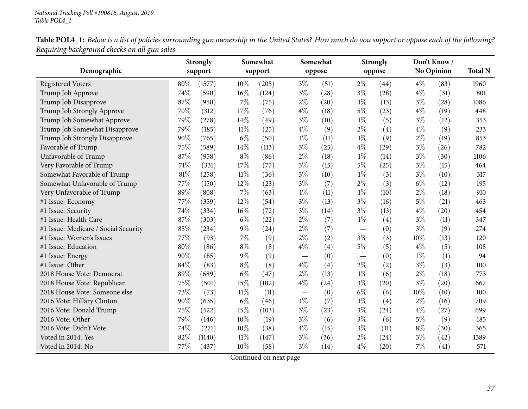Table POL4\_1: Below is a list of policies surrounding gun ownership in the United States? How much do you support or oppose each of the following? *Requiring background checks on all gun sales*  $\overline{\phantom{0}}$ 

|                                      |      | <b>Strongly</b> |        | Somewhat |                                 | Somewhat          |       | <b>Strongly</b>    |        | Don't Know/       |                |
|--------------------------------------|------|-----------------|--------|----------|---------------------------------|-------------------|-------|--------------------|--------|-------------------|----------------|
| Demographic                          |      | support         |        | support  |                                 | oppose            |       | oppose             |        | <b>No Opinion</b> | <b>Total N</b> |
| <b>Registered Voters</b>             | 80%  | (1577)          | $10\%$ | (205)    | $3\%$                           | (51)              | $2\%$ | (44)               | $4\%$  | (83)              | 1960           |
| Trump Job Approve                    | 74%  | (590)           | $16\%$ | (124)    | $3\%$                           | (28)              | $3\%$ | (28)               | $4\%$  | (31)              | 801            |
| Trump Job Disapprove                 | 87%  | (950)           | $7\%$  | (75)     | $2\%$                           | (20)              | $1\%$ | (13)               | $3\%$  | (28)              | 1086           |
| Trump Job Strongly Approve           | 70%  | (312)           | 17%    | (76)     | $4\%$                           | (18)              | $5\%$ | (23)               | $4\%$  | (19)              | 448            |
| Trump Job Somewhat Approve           | 79%  | (278)           | 14%    | (49)     | $3\%$                           | (10)              | $1\%$ | (5)                | $3\%$  | (12)              | 353            |
| Trump Job Somewhat Disapprove        | 79%  | (185)           | $11\%$ | (25)     | $4\%$                           | (9)               | $2\%$ | (4)                | $4\%$  | (9)               | 233            |
| Trump Job Strongly Disapprove        | 90%  | (765)           | $6\%$  | (50)     | $1\%$                           | (11)              | $1\%$ | (9)                | $2\%$  | (19)              | 853            |
| Favorable of Trump                   | 75%  | (589)           | 14%    | (113)    | $3\%$                           | (25)              | $4\%$ | (29)               | $3\%$  | (26)              | 782            |
| Unfavorable of Trump                 | 87%  | (958)           | $8\%$  | (86)     | $2\%$                           | (18)              | $1\%$ | (14)               | $3\%$  | (30)              | 1106           |
| Very Favorable of Trump              | 71%  | (331)           | 17%    | (77)     | $3\%$                           | (15)              | 5%    | (25)               | $3\%$  | (15)              | 464            |
| Somewhat Favorable of Trump          | 81%  | (258)           | $11\%$ | (36)     | $3\%$                           | (10)              | $1\%$ | (3)                | $3\%$  | (10)              | 317            |
| Somewhat Unfavorable of Trump        | 77\% | (150)           | 12%    | (23)     | $3\%$                           | (7)               | $2\%$ | (3)                | $6\%$  | (12)              | 195            |
| Very Unfavorable of Trump            | 89%  | (808)           | $7\%$  | (63)     | $1\%$                           | (11)              | $1\%$ | (10)               | $2\%$  | (18)              | 910            |
| #1 Issue: Economy                    | 77%  | (359)           | 12%    | (54)     | $3\%$                           | (13)              | $3\%$ | (16)               | $5\%$  | (21)              | 463            |
| #1 Issue: Security                   | 74%  | (334)           | $16\%$ | (72)     | $3\%$                           | (14)              | $3\%$ | (13)               | $4\%$  | (20)              | 454            |
| #1 Issue: Health Care                | 87%  | (303)           | $6\%$  | (22)     | $2\%$                           | (7)               | $1\%$ | (4)                | $3\%$  | (11)              | 347            |
| #1 Issue: Medicare / Social Security | 85%  | (234)           | $9\%$  | (24)     | $2\%$                           | (7)               |       | (0)                | $3\%$  | (9)               | 274            |
| #1 Issue: Women's Issues             | 77%  | (93)            | $7\%$  | (9)      | $2\%$                           | (2)               | $3\%$ | (3)                | $10\%$ | (13)              | 120            |
| #1 Issue: Education                  | 80%  | (86)            | $8\%$  | (8)      | $4\%$                           | (4)               | $5\%$ | (5)                | $4\%$  | (5)               | 108            |
| #1 Issue: Energy                     | 90%  | (85)            | $9\%$  | (9)      | $\hspace{0.1mm}-\hspace{0.1mm}$ | (0)               |       | (0)                | $1\%$  | (1)               | 94             |
| #1 Issue: Other                      | 84%  | (83)            | $8\%$  | (8)      | $4\%$                           | $\left( 4\right)$ | $2\%$ | (2)                | $3\%$  | (3)               | 100            |
| 2018 House Vote: Democrat            | 89%  | (689)           | $6\%$  | (47)     | $2\%$                           | (13)              | $1\%$ | (6)                | $2\%$  | (18)              | 773            |
| 2018 House Vote: Republican          | 75%  | (501)           | 15%    | (102)    | $4\%$                           | (24)              | $3\%$ | (20)               | $3\%$  | (20)              | 667            |
| 2018 House Vote: Someone else        | 73%  | (73)            | $11\%$ | (11)     |                                 | (0)               | $6\%$ | (6)                | 10%    | (10)              | 100            |
| 2016 Vote: Hillary Clinton           | 90%  | (635)           | $6\%$  | (46)     | $1\%$                           | (7)               | $1\%$ | (4)                | $2\%$  | (16)              | 709            |
| 2016 Vote: Donald Trump              | 75%  | (522)           | 15%    | (103)    | $3\%$                           | (23)              | $3\%$ | (24)               | $4\%$  | (27)              | 699            |
| 2016 Vote: Other                     | 79%  | (146)           | 10%    | (19)     | $3\%$                           | (6)               | $3\%$ | (6)                | $5\%$  | (9)               | 185            |
| 2016 Vote: Didn't Vote               | 74%  | (271)           | 10%    | (38)     | $4\%$                           | (15)              | $3\%$ | (11)               | $8\%$  | (30)              | 365            |
| Voted in 2014: Yes                   | 82%  | (1140)          | $11\%$ | (147)    | $3\%$                           | (36)              | $2\%$ | (24)               | $3\%$  | (42)              | 1389           |
| Voted in 2014: No                    | 77\% | (437)           | $10\%$ | (58)     | $3\%$                           | (14)              | $4\%$ | $\left( 20\right)$ | $7\%$  | (41)              | 571            |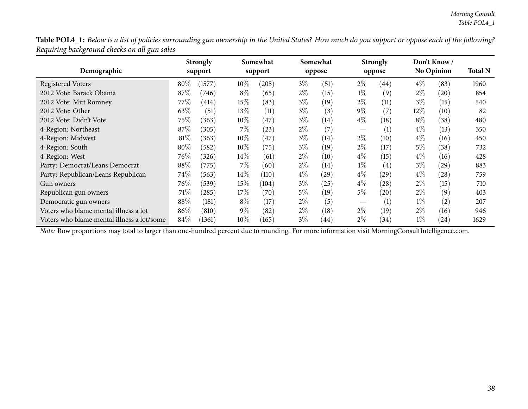Table POL4\_1: Below is a list of policies surrounding gun ownership in the United States? How much do you support or oppose each of the following? *Requiring background checks on all gun sales*

| Demographic                                |        | <b>Strongly</b><br>support |        | Somewhat<br>support |       | Somewhat<br>oppose |                   | <b>Strongly</b><br>oppose |        | Don't Know/<br><b>No Opinion</b> | <b>Total N</b> |
|--------------------------------------------|--------|----------------------------|--------|---------------------|-------|--------------------|-------------------|---------------------------|--------|----------------------------------|----------------|
|                                            |        |                            |        |                     |       |                    |                   |                           |        |                                  |                |
| <b>Registered Voters</b>                   | 80%    | (1577)                     | $10\%$ | (205)               | $3\%$ | (51)               | $2\%$             | (44)                      | $4\%$  | (83)                             | 1960           |
| 2012 Vote: Barack Obama                    | 87%    | (746)                      | $8\%$  | (65)                | $2\%$ | (15)               | $1\%$             | (9)                       | $2\%$  | (20)                             | 854            |
| 2012 Vote: Mitt Romney                     | 77%    | (414)                      | 15%    | (83)                | $3\%$ | (19)               | $2\%$             | (11)                      | $3\%$  | (15)                             | 540            |
| 2012 Vote: Other                           | 63\%   | (51)                       | $13\%$ | (11)                | $3\%$ | (3)                | $9\%$             | (7)                       | $12\%$ | (10)                             | 82             |
| 2012 Vote: Didn't Vote                     | $75\%$ | (363)                      | $10\%$ | (47)                | $3\%$ | $\left(14\right)$  | $4\%$             | $\left(18\right)$         | $8\%$  | (38)                             | 480            |
| 4-Region: Northeast                        | 87\%   | (305)                      | $7\%$  | (23)                | $2\%$ | (7)                | $\hspace{0.05cm}$ | $\left( 1\right)$         | $4\%$  | (13)                             | 350            |
| 4-Region: Midwest                          | $81\%$ | (363)                      | $10\%$ | (47)                | $3\%$ | (14)               | $2\%$             | (10)                      | $4\%$  | (16)                             | 450            |
| 4-Region: South                            | $80\%$ | (582)                      | $10\%$ | (75)                | $3\%$ | (19)               | $2\%$             | (17)                      | 5%     | (38)                             | 732            |
| 4-Region: West                             | 76\%   | (326)                      | $14\%$ | (61)                | $2\%$ | (10)               | $4\%$             | (15)                      | $4\%$  | (16)                             | 428            |
| Party: Democrat/Leans Democrat             | 88\%   | (775)                      | $7\%$  | (60)                | $2\%$ | (14)               | $1\%$             | (4)                       | $3\%$  | (29)                             | 883            |
| Party: Republican/Leans Republican         | 74\%   | (563)                      | $14\%$ | (110)               | $4\%$ | $^{'}29$           | $4\%$             | (29)                      | $4\%$  | (28)                             | 759            |
| Gun owners                                 | 76\%   | (539)                      | 15%    | (104)               | $3\%$ | (25)               | $4\%$             | (28)                      | $2\%$  | (15)                             | 710            |
| Republican gun owners                      | 71\%   | (285)                      | 17%    | (70)                | $5\%$ | (19)               | $5\%$             | (20)                      | $2\%$  | (9)                              | 403            |
| Democratic gun owners                      | 88%    | (181)                      | $8\%$  | (17)                | $2\%$ | (5)                |                   | $\left( 1\right)$         | $1\%$  | (2)                              | 207            |
| Voters who blame mental illness a lot      | 86%    | (810)                      | $9\%$  | (82)                | $2\%$ | (18)               | $2\%$             | (19)                      | $2\%$  | (16)                             | 946            |
| Voters who blame mental illness a lot/some | $84\%$ | (1361)                     | $10\%$ | (165)               | $3\%$ | (44)               | $2\%$             | (34)                      | $1\%$  | (24)                             | 1629           |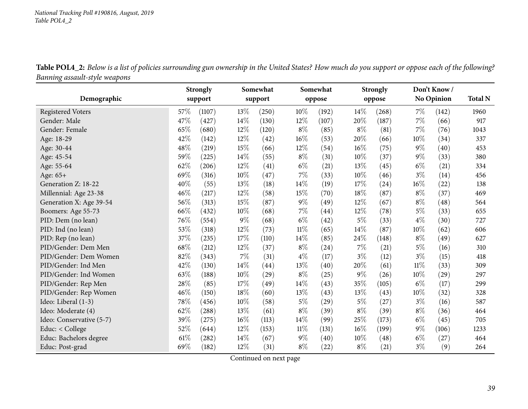| Table POL4_2: Below is a list of policies surrounding gun ownership in the United States? How much do you support or oppose each of the following? |  |
|----------------------------------------------------------------------------------------------------------------------------------------------------|--|
| Banning assault-style weapons                                                                                                                      |  |

|                          |        | <b>Strongly</b> |        | Somewhat |        | Somewhat |       | <b>Strongly</b> |        | Don't Know/        |                |
|--------------------------|--------|-----------------|--------|----------|--------|----------|-------|-----------------|--------|--------------------|----------------|
| Demographic              |        | support         |        | support  |        | oppose   |       | oppose          |        | <b>No Opinion</b>  | <b>Total N</b> |
| <b>Registered Voters</b> | 57%    | (1107)          | 13%    | (250)    | $10\%$ | (192)    | 14\%  | (268)           | $7\%$  | (142)              | 1960           |
| Gender: Male             | 47\%   | (427)           | 14\%   | (130)    | 12%    | (107)    | 20%   | (187)           | 7%     | (66)               | 917            |
| Gender: Female           | 65%    | (680)           | 12%    | (120)    | $8\%$  | (85)     | $8\%$ | (81)            | 7%     | (76)               | 1043           |
| Age: 18-29               | 42%    | (142)           | 12%    | (42)     | 16%    | (53)     | 20%   | (66)            | 10%    | (34)               | 337            |
| Age: 30-44               | 48%    | (219)           | 15%    | (66)     | 12%    | (54)     | 16%   | (75)            | $9\%$  | $\left( 40\right)$ | 453            |
| Age: 45-54               | 59%    | (225)           | 14\%   | (55)     | $8\%$  | (31)     | 10%   | (37)            | $9\%$  | (33)               | 380            |
| Age: 55-64               | 62%    | (206)           | 12%    | (41)     | $6\%$  | (21)     | 13\%  | (45)            | $6\%$  | (21)               | 334            |
| Age: 65+                 | 69%    | (316)           | 10%    | (47)     | 7%     | (33)     | 10%   | (46)            | $3\%$  | (14)               | 456            |
| Generation Z: 18-22      | 40%    | (55)            | 13%    | (18)     | 14%    | (19)     | 17%   | (24)            | 16%    | (22)               | 138            |
| Millennial: Age 23-38    | 46%    | (217)           | 12%    | (58)     | 15%    | (70)     | 18%   | (87)            | $8\%$  | (37)               | 469            |
| Generation X: Age 39-54  | $56\%$ | (313)           | 15%    | (87)     | $9\%$  | (49)     | 12%   | (67)            | $8\%$  | (48)               | 564            |
| Boomers: Age 55-73       | 66%    | (432)           | $10\%$ | (68)     | 7%     | (44)     | 12%   | (78)            | $5\%$  | (33)               | 655            |
| PID: Dem (no lean)       | $76\%$ | (554)           | $9\%$  | (68)     | $6\%$  | (42)     | $5\%$ | (33)            | $4\%$  | (30)               | 727            |
| PID: Ind (no lean)       | 53%    | (318)           | 12%    | (73)     | $11\%$ | (65)     | 14%   | (87)            | 10%    | (62)               | 606            |
| PID: Rep (no lean)       | 37%    | (235)           | 17%    | (110)    | 14%    | (85)     | 24%   | (148)           | $8\%$  | (49)               | 627            |
| PID/Gender: Dem Men      | 68%    | (212)           | 12%    | (37)     | $8\%$  | (24)     | 7%    | (21)            | $5\%$  | (16)               | 310            |
| PID/Gender: Dem Women    | 82%    | (343)           | 7%     | (31)     | $4\%$  | (17)     | $3\%$ | (12)            | $3\%$  | (15)               | 418            |
| PID/Gender: Ind Men      | 42\%   | (130)           | 14%    | (44)     | 13%    | (40)     | 20%   | (61)            | $11\%$ | (33)               | 309            |
| PID/Gender: Ind Women    | 63%    | (188)           | 10%    | (29)     | $8\%$  | (25)     | $9\%$ | (26)            | 10%    | (29)               | 297            |
| PID/Gender: Rep Men      | 28%    | (85)            | 17%    | (49)     | 14%    | (43)     | 35%   | (105)           | $6\%$  | (17)               | 299            |
| PID/Gender: Rep Women    | 46%    | (150)           | 18%    | (60)     | 13%    | (43)     | 13%   | (43)            | 10%    | (32)               | 328            |
| Ideo: Liberal (1-3)      | 78%    | (456)           | 10%    | (58)     | $5\%$  | (29)     | $5\%$ | (27)            | $3\%$  | (16)               | 587            |
| Ideo: Moderate (4)       | 62%    | (288)           | 13%    | (61)     | $8\%$  | (39)     | $8\%$ | (39)            | $8\%$  | (36)               | 464            |
| Ideo: Conservative (5-7) | 39%    | (275)           | $16\%$ | (113)    | $14\%$ | (99)     | 25%   | (173)           | $6\%$  | (45)               | 705            |
| Educ: < College          | 52%    | (644)           | 12%    | (153)    | $11\%$ | (131)    | 16%   | (199)           | $9\%$  | (106)              | 1233           |
| Educ: Bachelors degree   | $61\%$ | (282)           | 14%    | (67)     | $9\%$  | (40)     | 10%   | (48)            | $6\%$  | (27)               | 464            |
| Educ: Post-grad          | 69%    | (182)           | $12\%$ | (31)     | $8\%$  | (22)     | $8\%$ | (21)            | $3\%$  | (9)                | 264            |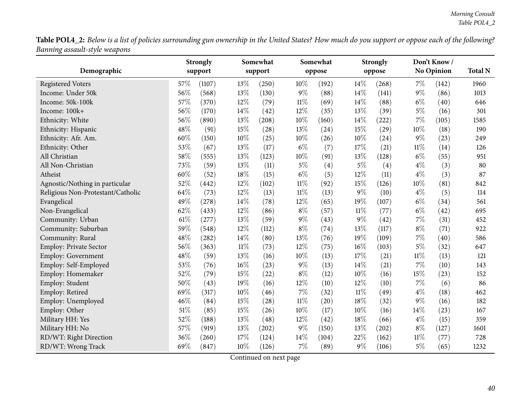Table POL4\_2: Below is a list of policies surrounding gun ownership in the United States? How much do you support or oppose each of the following? *Banning assault-style weapons*  $\overline{\phantom{0}}$ 

|                                   |     | <b>Strongly</b> |        | Somewhat            |        | Somewhat |        | <b>Strongly</b> |        | Don't Know/       |                |
|-----------------------------------|-----|-----------------|--------|---------------------|--------|----------|--------|-----------------|--------|-------------------|----------------|
| Demographic                       |     | support         |        | support             |        | oppose   |        | oppose          |        | <b>No Opinion</b> | <b>Total N</b> |
| <b>Registered Voters</b>          | 57% | (1107)          | 13%    | (250)               | 10%    | (192)    | 14%    | (268)           | $7\%$  | (142)             | 1960           |
| Income: Under 50k                 | 56% | (568)           | 13%    | (130)               | $9\%$  | (88)     | 14%    | (141)           | $9\%$  | (86)              | 1013           |
| Income: 50k-100k                  | 57% | (370)           | 12%    | (79)                | $11\%$ | (69)     | 14%    | (88)            | $6\%$  | (40)              | 646            |
| Income: 100k+                     | 56% | (170)           | 14%    | (42)                | 12%    | (35)     | 13%    | (39)            | $5\%$  | (16)              | 301            |
| Ethnicity: White                  | 56% | (890)           | 13%    | (208)               | $10\%$ | (160)    | 14%    | (222)           | $7\%$  | (105)             | 1585           |
| Ethnicity: Hispanic               | 48% | (91)            | 15%    | (28)                | 13\%   | (24)     | 15%    | (29)            | 10%    | (18)              | 190            |
| Ethnicity: Afr. Am.               | 60% | (150)           | 10%    | (25)                | 10%    | (26)     | 10%    | (24)            | $9\%$  | (23)              | 249            |
| Ethnicity: Other                  | 53% | (67)            | 13%    | (17)                | $6\%$  | (7)      | 17%    | (21)            | $11\%$ | (14)              | 126            |
| All Christian                     | 58% | (555)           | 13%    | (123)               | $10\%$ | (91)     | 13%    | (128)           | $6\%$  | (55)              | 951            |
| All Non-Christian                 | 73% | (59)            | 13%    | (11)                | $5\%$  | (4)      | $5\%$  | (4)             | $4\%$  | (3)               | 80             |
| Atheist                           | 60% | (52)            | 18%    | (15)                | $6\%$  | (5)      | 12%    | (11)            | $4\%$  | (3)               | 87             |
| Agnostic/Nothing in particular    | 52% | (442)           | 12%    | (102)               | $11\%$ | (92)     | 15%    | (126)           | 10%    | (81)              | 842            |
| Religious Non-Protestant/Catholic | 64% | (73)            | 12%    | (13)                | $11\%$ | (13)     | $9\%$  | (10)            | $4\%$  | (5)               | 114            |
| Evangelical                       | 49% | (278)           | 14%    | (78)                | 12%    | (65)     | 19%    | (107)           | $6\%$  | (34)              | 561            |
| Non-Evangelical                   | 62% | (433)           | 12%    | (86)                | $8\%$  | (57)     | $11\%$ | (77)            | $6\%$  | (42)              | 695            |
| Community: Urban                  | 61% | (277)           | 13%    | (59)                | $9\%$  | (43)     | $9\%$  | (42)            | 7%     | (31)              | 452            |
| Community: Suburban               | 59% | (548)           | 12%    | (112)               | $8\%$  | (74)     | 13%    | (117)           | $8\%$  | (71)              | 922            |
| Community: Rural                  | 48% | (282)           | 14%    | (80)                | 13%    | (76)     | 19%    | (109)           | $7\%$  | (40)              | 586            |
| Employ: Private Sector            | 56% | (363)           | $11\%$ | (73)                | 12%    | (75)     | 16%    | (103)           | $5\%$  | (32)              | 647            |
| Employ: Government                | 48% | (59)            | 13%    | (16)                | $10\%$ | (13)     | 17%    | (21)            | $11\%$ | (13)              | 121            |
| Employ: Self-Employed             | 53% | (76)            | 16%    | (23)                | $9\%$  | (13)     | 14%    | (21)            | $7\%$  | (10)              | 143            |
| Employ: Homemaker                 | 52% | (79)            | 15%    | (22)                | $8\%$  | (12)     | 10%    | (16)            | 15%    | (23)              | 152            |
| Employ: Student                   | 50% | (43)            | 19%    | (16)                | 12%    | (10)     | 12%    | (10)            | 7%     | (6)               | 86             |
| Employ: Retired                   | 69% | (317)           | 10%    | (46)                | $7\%$  | (32)     | $11\%$ | (49)            | $4\%$  | (18)              | 462            |
| Employ: Unemployed                | 46% | (84)            | 15%    | (28)                | $11\%$ | (20)     | 18%    | (32)            | $9\%$  | (16)              | 182            |
| Employ: Other                     | 51% | (85)            | 15%    | (26)                | 10%    | (17)     | 10%    | (16)            | 14%    | (23)              | 167            |
| Military HH: Yes                  | 52% | (188)           | 13%    | (48)                | 12%    | (42)     | 18%    | (66)            | $4\%$  | (15)              | 359            |
| Military HH: No                   | 57% | (919)           | 13%    | $\left( 202\right)$ | $9\%$  | (150)    | 13%    | (202)           | $8\%$  | (127)             | 1601           |
| RD/WT: Right Direction            | 36% | (260)           | 17%    | (124)               | $14\%$ | (104)    | 22%    | (162)           | $11\%$ | (77)              | 728            |
| RD/WT: Wrong Track                | 69% | (847)           | 10%    | (126)               | $7\%$  | (89)     | $9\%$  | (106)           | $5\%$  | (65)              | 1232           |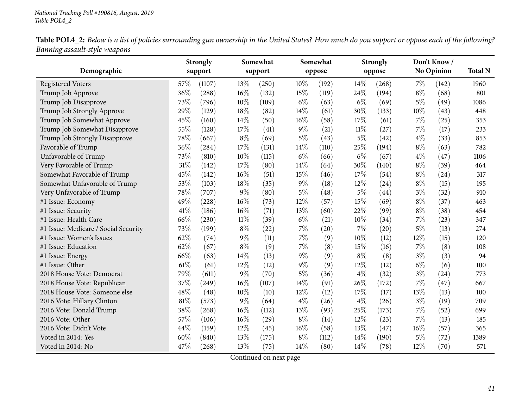Table POL4\_2: Below is a list of policies surrounding gun ownership in the United States? How much do you support or oppose each of the following? *Banning assault-style weapons*  $\overline{\phantom{0}}$ 

|                                      |     | <b>Strongly</b> |        | Somewhat |       | Somewhat |        | <b>Strongly</b> |       | Don't Know/       |                |
|--------------------------------------|-----|-----------------|--------|----------|-------|----------|--------|-----------------|-------|-------------------|----------------|
| Demographic                          |     | support         |        | support  |       | oppose   |        | oppose          |       | <b>No Opinion</b> | <b>Total N</b> |
| <b>Registered Voters</b>             | 57% | (1107)          | 13\%   | (250)    | 10%   | (192)    | 14%    | (268)           | 7%    | (142)             | 1960           |
| Trump Job Approve                    | 36% | (288)           | $16\%$ | (132)    | 15%   | (119)    | 24%    | (194)           | $8\%$ | (68)              | 801            |
| Trump Job Disapprove                 | 73% | (796)           | $10\%$ | (109)    | $6\%$ | (63)     | $6\%$  | (69)            | $5\%$ | (49)              | 1086           |
| Trump Job Strongly Approve           | 29% | (129)           | 18%    | (82)     | 14%   | (61)     | 30%    | (133)           | 10%   | (43)              | 448            |
| Trump Job Somewhat Approve           | 45% | (160)           | 14\%   | (50)     | 16%   | (58)     | 17%    | (61)            | 7%    | (25)              | 353            |
| Trump Job Somewhat Disapprove        | 55% | (128)           | 17%    | (41)     | $9\%$ | (21)     | $11\%$ | (27)            | $7\%$ | (17)              | 233            |
| Trump Job Strongly Disapprove        | 78% | (667)           | $8\%$  | (69)     | $5\%$ | (43)     | 5%     | (42)            | $4\%$ | (33)              | 853            |
| Favorable of Trump                   | 36% | (284)           | 17%    | (131)    | 14%   | (110)    | 25%    | (194)           | $8\%$ | (63)              | 782            |
| Unfavorable of Trump                 | 73% | (810)           | $10\%$ | (115)    | $6\%$ | (66)     | $6\%$  | (67)            | $4\%$ | (47)              | 1106           |
| Very Favorable of Trump              | 31% | (142)           | 17%    | (80)     | 14%   | (64)     | 30%    | (140)           | $8\%$ | (39)              | 464            |
| Somewhat Favorable of Trump          | 45% | (142)           | 16%    | (51)     | 15%   | (46)     | 17%    | (54)            | $8\%$ | (24)              | 317            |
| Somewhat Unfavorable of Trump        | 53% | (103)           | 18%    | (35)     | 9%    | (18)     | 12%    | (24)            | $8\%$ | (15)              | 195            |
| Very Unfavorable of Trump            | 78% | (707)           | $9\%$  | (80)     | $5\%$ | (48)     | 5%     | (44)            | $3\%$ | (32)              | 910            |
| #1 Issue: Economy                    | 49% | (228)           | 16%    | (73)     | 12%   | (57)     | 15%    | (69)            | $8\%$ | (37)              | 463            |
| #1 Issue: Security                   | 41% | (186)           | 16%    | (71)     | 13%   | (60)     | 22%    | (99)            | $8\%$ | (38)              | 454            |
| #1 Issue: Health Care                | 66% | (230)           | $11\%$ | (39)     | $6\%$ | (21)     | 10%    | (34)            | 7%    | (23)              | 347            |
| #1 Issue: Medicare / Social Security | 73% | (199)           | $8\%$  | (22)     | 7%    | (20)     | 7%     | (20)            | $5\%$ | (13)              | 274            |
| #1 Issue: Women's Issues             | 62% | (74)            | $9\%$  | (11)     | 7%    | (9)      | 10%    | (12)            | 12%   | (15)              | 120            |
| #1 Issue: Education                  | 62% | (67)            | $8\%$  | (9)      | 7%    | (8)      | 15%    | (16)            | $7\%$ | (8)               | 108            |
| #1 Issue: Energy                     | 66% | (63)            | 14%    | (13)     | 9%    | (9)      | $8\%$  | (8)             | $3\%$ | (3)               | 94             |
| #1 Issue: Other                      | 61% | (61)            | 12%    | (12)     | $9\%$ | (9)      | 12%    | (12)            | $6\%$ | (6)               | 100            |
| 2018 House Vote: Democrat            | 79% | (611)           | $9\%$  | (70)     | $5\%$ | (36)     | $4\%$  | (32)            | $3\%$ | (24)              | 773            |
| 2018 House Vote: Republican          | 37% | (249)           | 16%    | (107)    | 14%   | (91)     | 26%    | (172)           | 7%    | (47)              | 667            |
| 2018 House Vote: Someone else        | 48% | (48)            | 10%    | (10)     | 12%   | (12)     | 17%    | (17)            | 13%   | (13)              | 100            |
| 2016 Vote: Hillary Clinton           | 81% | (573)           | $9\%$  | (64)     | $4\%$ | (26)     | $4\%$  | (26)            | $3\%$ | (19)              | 709            |
| 2016 Vote: Donald Trump              | 38% | (268)           | 16%    | (112)    | 13%   | (93)     | 25%    | (173)           | 7%    | (52)              | 699            |
| 2016 Vote: Other                     | 57% | (106)           | 16%    | (29)     | $8\%$ | (14)     | 12%    | (23)            | 7%    | (13)              | 185            |
| 2016 Vote: Didn't Vote               | 44% | (159)           | $12\%$ | (45)     | 16%   | (58)     | 13%    | (47)            | 16%   | (57)              | 365            |
| Voted in 2014: Yes                   | 60% | (840)           | 13%    | (175)    | $8\%$ | (112)    | 14%    | (190)           | $5\%$ | (72)              | 1389           |
| Voted in 2014: No                    | 47% | (268)           | 13%    | (75)     | 14%   | (80)     | 14%    | (78)            | 12%   | (70)              | 571            |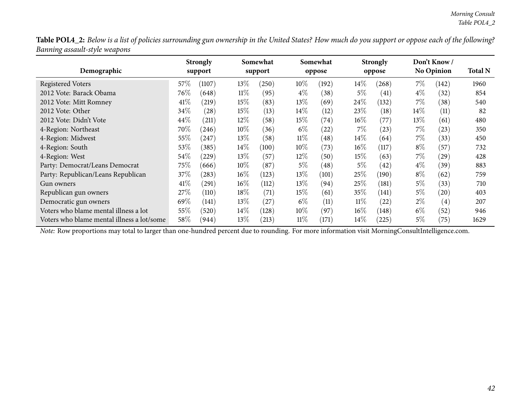Table POL4\_2: Below is a list of policies surrounding gun ownership in the United States? How much do you support or oppose each of the following? *Banning assault-style weapons*

| Demographic                                |        | <b>Strongly</b><br>support |        | Somewhat<br>support |        | Somewhat<br>oppose |        | <b>Strongly</b><br>oppose |        | Don't Know/<br><b>No Opinion</b> | <b>Total N</b> |
|--------------------------------------------|--------|----------------------------|--------|---------------------|--------|--------------------|--------|---------------------------|--------|----------------------------------|----------------|
|                                            |        |                            |        |                     |        |                    |        |                           |        |                                  |                |
| <b>Registered Voters</b>                   | 57\%   | (1107)                     | $13\%$ | (250)               | $10\%$ | (192)              | $14\%$ | (268)                     | $7\%$  | 142                              | 1960           |
| 2012 Vote: Barack Obama                    | 76\%   | (648)                      | $11\%$ | (95)                | $4\%$  | (38)               | 5%     | (41)                      | $4\%$  | (32)                             | 854            |
| 2012 Vote: Mitt Romney                     | 41%    | (219)                      | 15%    | (83)                | $13\%$ | (69)               | 24%    | (132)                     | $7\%$  | (38)                             | 540            |
| 2012 Vote: Other                           | $34\%$ | (28)                       | 15%    | (13)                | $14\%$ | (12)               | 23\%   | (18)                      | $14\%$ | (11)                             | 82             |
| 2012 Vote: Didn't Vote                     | 44\%   | (211)                      | $12\%$ | (58)                | 15%    | (74)               | $16\%$ | (77)                      | $13\%$ | (61)                             | 480            |
| 4-Region: Northeast                        | 70\%   | (246)                      | $10\%$ | (36)                | $6\%$  | (22)               | $7\%$  | (23)                      | 7%     | (23)                             | 350            |
| 4-Region: Midwest                          | 55%    | (247)                      | $13\%$ | (58)                | $11\%$ | (48)               | $14\%$ | (64)                      | $7\%$  | (33)                             | 450            |
| 4-Region: South                            | 53%    | (385)                      | $14\%$ | (100)               | $10\%$ | (73)               | $16\%$ | (117)                     | $8\%$  | (57)                             | 732            |
| 4-Region: West                             | 54%    | (229)                      | $13\%$ | (57)                | $12\%$ | (50)               | $15\%$ | (63)                      | $7\%$  | (29)                             | 428            |
| Party: Democrat/Leans Democrat             | 75\%   | (666)                      | $10\%$ | (87)                | $5\%$  | $\left( 48\right)$ | $5\%$  | (42)                      | $4\%$  | (39)                             | 883            |
| Party: Republican/Leans Republican         | 37\%   | (283)                      | $16\%$ | (123)               | 13\%   | (101)              | 25\%   | (190)                     | $8\%$  | (62)                             | 759            |
| Gun owners                                 | 41%    | (291)                      | $16\%$ | (112)               | 13\%   | (94)               | 25%    | (181)                     | $5\%$  | (33)                             | 710            |
| Republican gun owners                      | 27\%   | (110)                      | 18%    | $\left( 71\right)$  | 15%    | (61)               | 35%    | (141)                     | $5\%$  | (20)                             | 403            |
| Democratic gun owners                      | 69%    | (141)                      | $13\%$ | (27)                | $6\%$  | (11)               | $11\%$ | (22)                      | $2\%$  | (4)                              | 207            |
| Voters who blame mental illness a lot      | 55%    | (520)                      | $14\%$ | (128)               | $10\%$ | (97)               | $16\%$ | (148)                     | $6\%$  | (52)                             | 946            |
| Voters who blame mental illness a lot/some | 58\%   | (944)                      | 13\%   | (213)               | 11%    | (171)              | $14\%$ | $^{'}225)$                | 5%     | (75`                             | 1629           |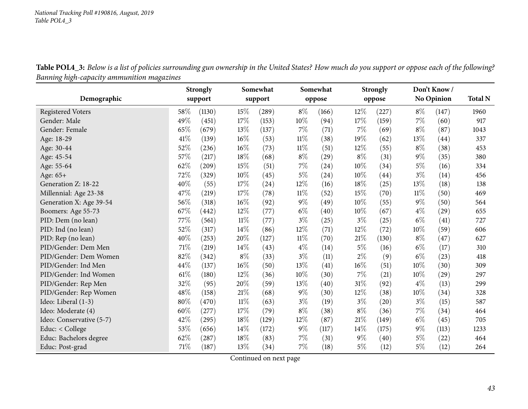Table POL4\_3: Below is a list of policies surrounding gun ownership in the United States? How much do you support or oppose each of the following? *Banning high-capacity ammunition magazines*

|                          |        | <b>Strongly</b> |        | Somewhat |        | Somewhat |        | <b>Strongly</b> |        | Don't Know/        |                |
|--------------------------|--------|-----------------|--------|----------|--------|----------|--------|-----------------|--------|--------------------|----------------|
| Demographic              |        | support         |        | support  |        | oppose   |        | oppose          |        | No Opinion         | <b>Total N</b> |
| <b>Registered Voters</b> | 58%    | (1130)          | 15\%   | (289)    | $8\%$  | (166)    | 12%    | (227)           | $8\%$  | (147)              | 1960           |
| Gender: Male             | 49%    | (451)           | 17%    | (153)    | $10\%$ | (94)     | 17%    | (159)           | $7\%$  | (60)               | 917            |
| Gender: Female           | 65%    | (679)           | 13%    | (137)    | $7\%$  | (71)     | 7%     | (69)            | $8\%$  | (87)               | 1043           |
| Age: 18-29               | 41\%   | (139)           | 16%    | (53)     | $11\%$ | (38)     | 19%    | (62)            | 13%    | $\left( 44\right)$ | 337            |
| Age: 30-44               | 52%    | (236)           | 16%    | (73)     | $11\%$ | (51)     | 12%    | (55)            | $8\%$  | (38)               | 453            |
| Age: 45-54               | 57%    | (217)           | 18%    | (68)     | $8\%$  | (29)     | $8\%$  | (31)            | $9\%$  | (35)               | 380            |
| Age: 55-64               | 62%    | (209)           | 15%    | (51)     | $7\%$  | (24)     | 10%    | (34)            | $5\%$  | (16)               | 334            |
| Age: 65+                 | 72%    | (329)           | 10%    | (45)     | $5\%$  | (24)     | 10%    | (44)            | $3\%$  | (14)               | 456            |
| Generation Z: 18-22      | 40%    | (55)            | 17%    | (24)     | 12\%   | (16)     | 18%    | (25)            | 13%    | (18)               | 138            |
| Millennial: Age 23-38    | 47\%   | (219)           | 17%    | (78)     | $11\%$ | (52)     | 15%    | (70)            | $11\%$ | (50)               | 469            |
| Generation X: Age 39-54  | 56%    | (318)           | 16%    | (92)     | $9\%$  | (49)     | 10%    | (55)            | $9\%$  | (50)               | 564            |
| Boomers: Age 55-73       | 67\%   | (442)           | 12%    | (77)     | $6\%$  | (40)     | 10%    | (67)            | $4\%$  | (29)               | 655            |
| PID: Dem (no lean)       | 77%    | (561)           | $11\%$ | (77)     | $3\%$  | (25)     | $3\%$  | (25)            | $6\%$  | (41)               | 727            |
| PID: Ind (no lean)       | 52%    | (317)           | 14%    | (86)     | $12\%$ | (71)     | $12\%$ | (72)            | $10\%$ | (59)               | 606            |
| PID: Rep (no lean)       | 40%    | (253)           | 20%    | (127)    | $11\%$ | (70)     | 21\%   | (130)           | $8\%$  | (47)               | 627            |
| PID/Gender: Dem Men      | $71\%$ | (219)           | 14\%   | (43)     | $4\%$  | (14)     | $5\%$  | (16)            | $6\%$  | (17)               | 310            |
| PID/Gender: Dem Women    | 82%    | (342)           | $8\%$  | (33)     | $3\%$  | (11)     | $2\%$  | (9)             | $6\%$  | (23)               | 418            |
| PID/Gender: Ind Men      | 44%    | (137)           | 16%    | (50)     | 13%    | (41)     | 16%    | (51)            | 10%    | (30)               | 309            |
| PID/Gender: Ind Women    | 61%    | (180)           | 12%    | (36)     | $10\%$ | (30)     | 7%     | (21)            | 10%    | (29)               | 297            |
| PID/Gender: Rep Men      | 32%    | (95)            | 20%    | (59)     | 13\%   | (40)     | 31%    | (92)            | $4\%$  | (13)               | 299            |
| PID/Gender: Rep Women    | 48%    | (158)           | 21%    | (68)     | $9\%$  | (30)     | 12%    | (38)            | $10\%$ | (34)               | 328            |
| Ideo: Liberal (1-3)      | 80%    | (470)           | $11\%$ | (63)     | $3\%$  | (19)     | $3\%$  | (20)            | $3\%$  | (15)               | 587            |
| Ideo: Moderate (4)       | 60%    | (277)           | 17%    | (79)     | $8\%$  | (38)     | $8\%$  | (36)            | $7\%$  | (34)               | 464            |
| Ideo: Conservative (5-7) | 42%    | (295)           | 18%    | (129)    | 12\%   | (87)     | 21%    | (149)           | $6\%$  | (45)               | 705            |
| Educ: < College          | 53%    | (656)           | 14%    | (172)    | $9\%$  | (117)    | 14%    | (175)           | $9\%$  | (113)              | 1233           |
| Educ: Bachelors degree   | 62%    | (287)           | 18%    | (83)     | $7\%$  | (31)     | $9\%$  | (40)            | $5\%$  | $\left( 22\right)$ | 464            |
| Educ: Post-grad          | 71%    | (187)           | 13%    | (34)     | $7\%$  | (18)     | $5\%$  | (12)            | $5\%$  | (12)               | 264            |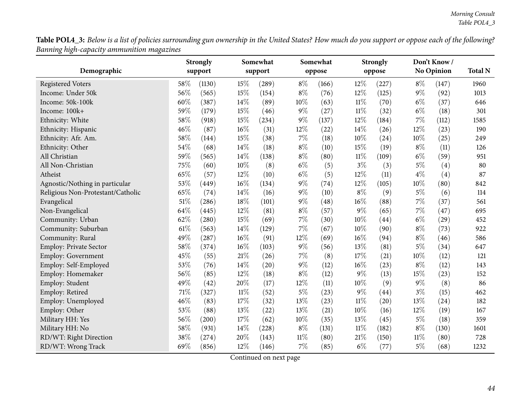Table POL4\_3: Below is a list of policies surrounding gun ownership in the United States? How much do you support or oppose each of the following? *Banning high-capacity ammunition magazines*  $\overline{\phantom{0}}$ 

|                                   |      | <b>Strongly</b> |        | Somewhat |        | Somewhat |        | <b>Strongly</b> |       | Don't Know/       |                |
|-----------------------------------|------|-----------------|--------|----------|--------|----------|--------|-----------------|-------|-------------------|----------------|
| Demographic                       |      | support         |        | support  |        | oppose   |        | oppose          |       | <b>No Opinion</b> | <b>Total N</b> |
| <b>Registered Voters</b>          | 58%  | (1130)          | 15%    | (289)    | $8\%$  | (166)    | 12%    | (227)           | $8\%$ | (147)             | 1960           |
| Income: Under 50k                 | 56%  | (565)           | 15%    | (154)    | $8\%$  | (76)     | 12%    | (125)           | $9\%$ | (92)              | 1013           |
| Income: 50k-100k                  | 60%  | (387)           | 14%    | (89)     | $10\%$ | (63)     | 11%    | (70)            | $6\%$ | (37)              | 646            |
| Income: 100k+                     | 59%  | (179)           | 15%    | (46)     | $9\%$  | (27)     | 11%    | (32)            | $6\%$ | (18)              | 301            |
| Ethnicity: White                  | 58%  | (918)           | 15%    | (234)    | $9\%$  | (137)    | 12%    | (184)           | 7%    | (112)             | 1585           |
| Ethnicity: Hispanic               | 46%  | (87)            | 16%    | (31)     | 12%    | (22)     | 14%    | (26)            | 12%   | (23)              | 190            |
| Ethnicity: Afr. Am.               | 58%  | (144)           | 15%    | (38)     | 7%     | (18)     | 10%    | (24)            | 10%   | (25)              | 249            |
| Ethnicity: Other                  | 54%  | (68)            | 14%    | (18)     | $8\%$  | (10)     | 15%    | (19)            | $8\%$ | (11)              | 126            |
| All Christian                     | 59%  | (565)           | 14%    | (138)    | $8\%$  | (80)     | 11%    | (109)           | $6\%$ | (59)              | 951            |
| All Non-Christian                 | 75%  | (60)            | $10\%$ | (8)      | $6\%$  | (5)      | $3\%$  | (3)             | $5\%$ | (4)               | 80             |
| Atheist                           | 65%  | (57)            | $12\%$ | (10)     | $6\%$  | (5)      | 12%    | (11)            | $4\%$ | (4)               | 87             |
| Agnostic/Nothing in particular    | 53%  | (449)           | 16%    | (134)    | $9\%$  | (74)     | 12%    | (105)           | 10%   | (80)              | 842            |
| Religious Non-Protestant/Catholic | 65%  | (74)            | 14\%   | (16)     | $9\%$  | (10)     | $8\%$  | (9)             | $5\%$ | (6)               | 114            |
| Evangelical                       | 51%  | (286)           | 18%    | (101)    | $9\%$  | (48)     | 16%    | (88)            | 7%    | (37)              | 561            |
| Non-Evangelical                   | 64%  | (445)           | 12%    | (81)     | $8\%$  | (57)     | $9\%$  | (65)            | $7\%$ | (47)              | 695            |
| Community: Urban                  | 62%  | (280)           | 15%    | (69)     | $7\%$  | (30)     | 10%    | (44)            | $6\%$ | (29)              | 452            |
| Community: Suburban               | 61\% | (563)           | 14%    | (129)    | $7\%$  | (67)     | 10%    | (90)            | $8\%$ | (73)              | 922            |
| Community: Rural                  | 49%  | (287)           | 16%    | (91)     | 12%    | (69)     | 16%    | (94)            | $8\%$ | (46)              | 586            |
| Employ: Private Sector            | 58%  | (374)           | $16\%$ | (103)    | $9\%$  | (56)     | 13%    | (81)            | $5\%$ | (34)              | 647            |
| Employ: Government                | 45%  | (55)            | 21%    | (26)     | 7%     | (8)      | 17%    | (21)            | 10%   | (12)              | 121            |
| Employ: Self-Employed             | 53%  | (76)            | 14%    | (20)     | $9\%$  | (12)     | 16%    | (23)            | $8\%$ | (12)              | 143            |
| Employ: Homemaker                 | 56%  | (85)            | 12%    | (18)     | $8\%$  | (12)     | 9%     | (13)            | 15%   | (23)              | 152            |
| Employ: Student                   | 49%  | (42)            | 20%    | (17)     | 12%    | (11)     | 10%    | (9)             | $9\%$ | (8)               | 86             |
| Employ: Retired                   | 71%  | (327)           | $11\%$ | (52)     | $5\%$  | (23)     | 9%     | (44)            | $3\%$ | (15)              | 462            |
| Employ: Unemployed                | 46%  | (83)            | 17%    | (32)     | 13%    | (23)     | $11\%$ | (20)            | 13%   | (24)              | 182            |
| Employ: Other                     | 53%  | (88)            | 13%    | (22)     | 13%    | (21)     | 10%    | (16)            | 12%   | (19)              | 167            |
| Military HH: Yes                  | 56%  | (200)           | 17%    | (62)     | 10%    | (35)     | 13%    | (45)            | $5\%$ | (18)              | 359            |
| Military HH: No                   | 58%  | (931)           | 14%    | (228)    | $8\%$  | (131)    | $11\%$ | (182)           | $8\%$ | (130)             | 1601           |
| RD/WT: Right Direction            | 38%  | (274)           | 20%    | (143)    | 11%    | (80)     | 21%    | (150)           | 11%   | (80)              | 728            |
| RD/WT: Wrong Track                | 69%  | (856)           | 12%    | (146)    | $7\%$  | (85)     | $6\%$  | (77)            | $5\%$ | (68)              | 1232           |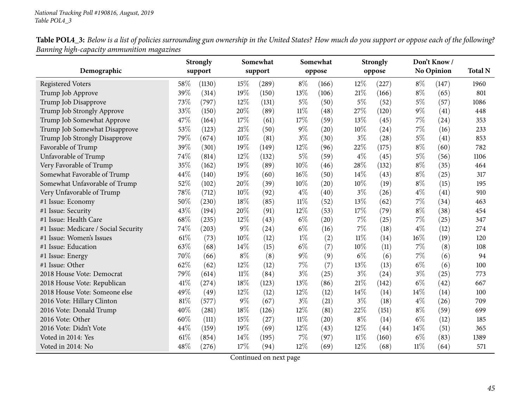Table POL4\_3: Below is a list of policies surrounding gun ownership in the United States? How much do you support or oppose each of the following? *Banning high-capacity ammunition magazines*

|                                      |     | <b>Strongly</b> |        | Somewhat |        | Somewhat |        | <b>Strongly</b> |        | Don't Know/       |                |
|--------------------------------------|-----|-----------------|--------|----------|--------|----------|--------|-----------------|--------|-------------------|----------------|
| Demographic                          |     | support         |        | support  |        | oppose   |        | oppose          |        | <b>No Opinion</b> | <b>Total N</b> |
| <b>Registered Voters</b>             | 58% | (1130)          | 15\%   | (289)    | $8\%$  | (166)    | 12%    | (227)           | $8\%$  | (147)             | 1960           |
| Trump Job Approve                    | 39% | (314)           | 19%    | (150)    | 13%    | (106)    | 21%    | (166)           | $8\%$  | (65)              | 801            |
| Trump Job Disapprove                 | 73% | (797)           | $12\%$ | (131)    | $5\%$  | (50)     | 5%     | (52)            | $5\%$  | (57)              | 1086           |
| Trump Job Strongly Approve           | 33% | (150)           | 20%    | (89)     | $11\%$ | (48)     | 27%    | (120)           | $9\%$  | (41)              | 448            |
| Trump Job Somewhat Approve           | 47% | (164)           | 17%    | (61)     | 17%    | (59)     | 13\%   | (45)            | $7\%$  | (24)              | 353            |
| Trump Job Somewhat Disapprove        | 53% | (123)           | 21%    | (50)     | $9\%$  | (20)     | 10%    | (24)            | $7\%$  | (16)              | 233            |
| Trump Job Strongly Disapprove        | 79% | (674)           | 10%    | (81)     | $3\%$  | (30)     | $3\%$  | (28)            | $5\%$  | (41)              | 853            |
| Favorable of Trump                   | 39% | (301)           | 19%    | (149)    | 12%    | (96)     | 22%    | (175)           | $8\%$  | (60)              | 782            |
| Unfavorable of Trump                 | 74% | (814)           | 12%    | (132)    | $5\%$  | (59)     | $4\%$  | (45)            | $5\%$  | (56)              | 1106           |
| Very Favorable of Trump              | 35% | (162)           | 19%    | (89)     | 10%    | (46)     | 28%    | (132)           | $8\%$  | (35)              | 464            |
| Somewhat Favorable of Trump          | 44% | (140)           | 19%    | (60)     | 16%    | (50)     | 14%    | (43)            | $8\%$  | (25)              | 317            |
| Somewhat Unfavorable of Trump        | 52% | (102)           | 20%    | (39)     | 10%    | (20)     | 10%    | (19)            | $8\%$  | (15)              | 195            |
| Very Unfavorable of Trump            | 78% | (712)           | $10\%$ | (92)     | $4\%$  | (40)     | $3\%$  | (26)            | $4\%$  | (41)              | 910            |
| #1 Issue: Economy                    | 50% | (230)           | 18%    | (85)     | $11\%$ | (52)     | 13%    | (62)            | 7%     | (34)              | 463            |
| #1 Issue: Security                   | 43% | (194)           | 20%    | (91)     | 12%    | (53)     | 17%    | (79)            | $8\%$  | (38)              | 454            |
| #1 Issue: Health Care                | 68% | (235)           | 12%    | (43)     | $6\%$  | (20)     | 7%     | (25)            | 7%     | (25)              | 347            |
| #1 Issue: Medicare / Social Security | 74% | (203)           | $9\%$  | (24)     | $6\%$  | (16)     | 7%     | (18)            | $4\%$  | (12)              | 274            |
| #1 Issue: Women's Issues             | 61% | (73)            | 10%    | (12)     | $1\%$  | (2)      | $11\%$ | (14)            | 16%    | (19)              | 120            |
| #1 Issue: Education                  | 63% | (68)            | 14%    | (15)     | $6\%$  | (7)      | 10%    | (11)            | $7\%$  | (8)               | 108            |
| #1 Issue: Energy                     | 70% | (66)            | $8\%$  | (8)      | $9\%$  | (9)      | $6\%$  | (6)             | 7%     | (6)               | 94             |
| #1 Issue: Other                      | 62% | (62)            | $12\%$ | (12)     | 7%     | (7)      | 13%    | (13)            | $6\%$  | (6)               | 100            |
| 2018 House Vote: Democrat            | 79% | (614)           | $11\%$ | (84)     | $3\%$  | (25)     | $3\%$  | (24)            | $3\%$  | (25)              | 773            |
| 2018 House Vote: Republican          | 41% | (274)           | 18%    | (123)    | 13%    | (86)     | 21%    | (142)           | $6\%$  | (42)              | 667            |
| 2018 House Vote: Someone else        | 49% | (49)            | 12%    | (12)     | 12%    | (12)     | 14%    | (14)            | 14%    | (14)              | 100            |
| 2016 Vote: Hillary Clinton           | 81% | (577)           | $9\%$  | (67)     | $3\%$  | (21)     | $3\%$  | (18)            | $4\%$  | (26)              | 709            |
| 2016 Vote: Donald Trump              | 40% | (281)           | 18%    | (126)    | 12%    | (81)     | 22%    | (151)           | $8\%$  | (59)              | 699            |
| 2016 Vote: Other                     | 60% | (111)           | 15%    | (27)     | $11\%$ | (20)     | $8\%$  | (14)            | $6\%$  | (12)              | 185            |
| 2016 Vote: Didn't Vote               | 44% | (159)           | 19%    | (69)     | 12%    | (43)     | 12%    | (44)            | 14%    | (51)              | 365            |
| Voted in 2014: Yes                   | 61% | (854)           | 14%    | (195)    | 7%     | (97)     | $11\%$ | (160)           | $6\%$  | (83)              | 1389           |
| Voted in 2014: No                    | 48% | (276)           | 17%    | (94)     | 12%    | (69)     | 12%    | (68)            | $11\%$ | (64)              | 571            |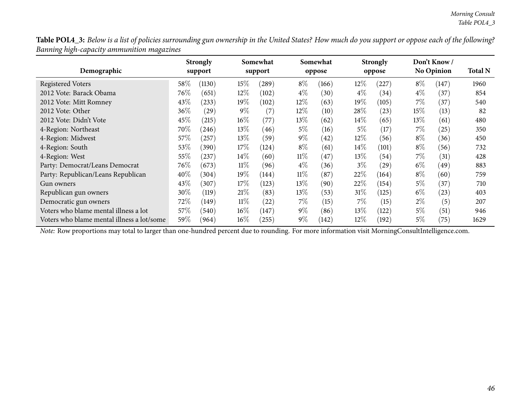Table POL4\_3: Below is a list of policies surrounding gun ownership in the United States? How much do you support or oppose each of the following? *Banning high-capacity ammunition magazines*

|                                            |        | <b>Strongly</b> |        | Somewhat |        | Somewhat |        | <b>Strongly</b> |        | Don't Know/<br>No Opinion | <b>Total N</b> |
|--------------------------------------------|--------|-----------------|--------|----------|--------|----------|--------|-----------------|--------|---------------------------|----------------|
| Demographic                                |        | support         |        | support  |        | oppose   |        | oppose          |        |                           |                |
| <b>Registered Voters</b>                   | 58\%   | (1130)          | 15\%   | (289)    | $8\%$  | (166)    | 12%    | $^{'}227$       | $8\%$  | 147                       | 1960           |
| 2012 Vote: Barack Obama                    | 76\%   | (651)           | $12\%$ | (102)    | $4\%$  | (30)     | $4\%$  | (34)            | $4\%$  | (37)                      | 854            |
| 2012 Vote: Mitt Romney                     | 43\%   | (233)           | $19\%$ | (102)    | $12\%$ | (63)     | $19\%$ | (105)           | $7\%$  | (37)                      | 540            |
| 2012 Vote: Other                           | 36\%   | (29)            | $9\%$  | (7)      | $12\%$ | (10)     | 28\%   | (23)            | $15\%$ | (13)                      | 82             |
| 2012 Vote: Didn't Vote                     | 45%    | (215)           | $16\%$ | (77)     | $13\%$ | (62)     | $14\%$ | (65)            | $13\%$ | (61)                      | 480            |
| 4-Region: Northeast                        | 70\%   | (246)           | $13\%$ | (46)     | $5\%$  | (16)     | $5\%$  | (17)            | $7\%$  | (25)                      | 350            |
| 4-Region: Midwest                          | 57\%   | (257)           | 13\%   | (59)     | $9\%$  | (42)     | $12\%$ | (56)            | $8\%$  | (36)                      | 450            |
| 4-Region: South                            | 53\%   | (390)           | $17\%$ | (124)    | $8\%$  | (61)     | $14\%$ | (101)           | $8\%$  | 56                        | 732            |
| 4-Region: West                             | 55%    | (237)           | $14\%$ | (60)     | $11\%$ | (47)     | 13%    | (54)            | 7%     | (31)                      | 428            |
| Party: Democrat/Leans Democrat             | $76\%$ | (673)           | $11\%$ | (96)     | $4\%$  | (36)     | $3\%$  | (29)            | $6\%$  | $^{\prime}49$             | 883            |
| Party: Republican/Leans Republican         | $40\%$ | (304)           | $19\%$ | (144)    | $11\%$ | (87)     | 22\%   | (164)           | $8\%$  | (60)                      | 759            |
| Gun owners                                 | 43\%   | (307)           | $17\%$ | (123)    | $13\%$ | (90)     | 22\%   | (154)           | $5\%$  | (37)                      | 710            |
| Republican gun owners                      | 30%    | (119)           | 21%    | (83)     | 13\%   | (53)     | $31\%$ | (125)           | $6\%$  | (23)                      | 403            |
| Democratic gun owners                      | 72\%   | (149)           | $11\%$ | (22)     | $7\%$  | (15)     | $7\%$  | (15)            | $2\%$  | (5)                       | 207            |
| Voters who blame mental illness a lot      | 57\%   | (540)           | $16\%$ | (147)    | $9\%$  | (86)     | 13%    | (122)           | 5%     | (51)                      | 946            |
| Voters who blame mental illness a lot/some | 59%    | (964)           | $16\%$ | (255)    | $9\%$  | (142)    | 12%    | (192)           | 5%     | (75)                      | 1629           |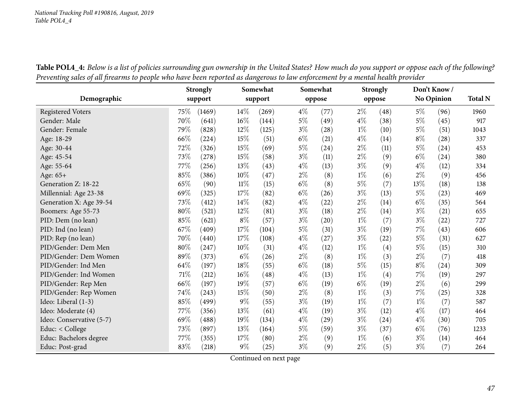|                          |        | <b>Strongly</b> |        | Somewhat |       | Somewhat |       | <b>Strongly</b>    |       | Don't Know/       |                |
|--------------------------|--------|-----------------|--------|----------|-------|----------|-------|--------------------|-------|-------------------|----------------|
| Demographic              |        | support         |        | support  |       | oppose   |       | oppose             |       | <b>No Opinion</b> | <b>Total N</b> |
| <b>Registered Voters</b> | 75\%   | (1469)          | $14\%$ | (269)    | $4\%$ | (77)     | $2\%$ | (48)               | $5\%$ | (96)              | 1960           |
| Gender: Male             | 70%    | (641)           | 16%    | (144)    | $5\%$ | (49)     | $4\%$ | (38)               | $5\%$ | (45)              | 917            |
| Gender: Female           | 79%    | (828)           | 12%    | (125)    | $3\%$ | (28)     | $1\%$ | (10)               | $5\%$ | (51)              | 1043           |
| Age: 18-29               | 66%    | (224)           | $15\%$ | (51)     | $6\%$ | (21)     | $4\%$ | (14)               | $8\%$ | (28)              | 337            |
| Age: 30-44               | 72%    | (326)           | 15%    | (69)     | $5\%$ | (24)     | $2\%$ | (11)               | $5\%$ | (24)              | 453            |
| Age: 45-54               | 73%    | (278)           | 15%    | (58)     | $3\%$ | (11)     | $2\%$ | (9)                | $6\%$ | (24)              | 380            |
| Age: 55-64               | $77\%$ | (256)           | 13%    | (43)     | $4\%$ | (13)     | $3\%$ | (9)                | $4\%$ | (12)              | 334            |
| Age: 65+                 | 85%    | (386)           | 10%    | (47)     | $2\%$ | (8)      | $1\%$ | (6)                | $2\%$ | (9)               | 456            |
| Generation Z: 18-22      | 65%    | (90)            | $11\%$ | (15)     | $6\%$ | (8)      | $5\%$ | (7)                | 13%   | (18)              | 138            |
| Millennial: Age 23-38    | 69%    | (325)           | 17%    | (82)     | $6\%$ | (26)     | $3\%$ | (13)               | $5\%$ | (23)              | 469            |
| Generation X: Age 39-54  | 73%    | (412)           | 14%    | (82)     | $4\%$ | (22)     | $2\%$ | (14)               | $6\%$ | (35)              | 564            |
| Boomers: Age 55-73       | 80%    | (521)           | 12%    | (81)     | $3\%$ | (18)     | $2\%$ | (14)               | $3\%$ | (21)              | 655            |
| PID: Dem (no lean)       | $85\%$ | (621)           | $8\%$  | (57)     | $3\%$ | (20)     | $1\%$ | (7)                | $3\%$ | (22)              | 727            |
| PID: Ind (no lean)       | 67%    | (409)           | 17%    | (104)    | $5\%$ | (31)     | $3\%$ | (19)               | $7\%$ | (43)              | 606            |
| PID: Rep (no lean)       | 70%    | (440)           | 17%    | (108)    | $4\%$ | (27)     | $3\%$ | $\left( 22\right)$ | $5\%$ | (31)              | 627            |
| PID/Gender: Dem Men      | 80%    | (247)           | 10%    | (31)     | $4\%$ | (12)     | $1\%$ | (4)                | $5\%$ | (15)              | 310            |
| PID/Gender: Dem Women    | $89\%$ | (373)           | $6\%$  | (26)     | $2\%$ | (8)      | $1\%$ | (3)                | $2\%$ | (7)               | 418            |
| PID/Gender: Ind Men      | 64%    | (197)           | 18%    | (55)     | $6\%$ | (18)     | $5\%$ | (15)               | $8\%$ | (24)              | 309            |
| PID/Gender: Ind Women    | $71\%$ | (212)           | $16\%$ | (48)     | $4\%$ | (13)     | $1\%$ | (4)                | 7%    | (19)              | 297            |
| PID/Gender: Rep Men      | 66%    | (197)           | 19%    | (57)     | $6\%$ | (19)     | $6\%$ | (19)               | $2\%$ | (6)               | 299            |
| PID/Gender: Rep Women    | $74\%$ | (243)           | 15%    | (50)     | $2\%$ | (8)      | $1\%$ | (3)                | 7%    | (25)              | 328            |
| Ideo: Liberal (1-3)      | 85%    | (499)           | $9\%$  | (55)     | $3\%$ | (19)     | $1\%$ | (7)                | $1\%$ | (7)               | 587            |
| Ideo: Moderate (4)       | 77\%   | (356)           | 13%    | (61)     | $4\%$ | (19)     | $3\%$ | (12)               | $4\%$ | (17)              | 464            |
| Ideo: Conservative (5-7) | 69%    | (488)           | 19%    | (134)    | $4\%$ | (29)     | $3\%$ | (24)               | $4\%$ | (30)              | 705            |
| Educ: < College          | 73%    | (897)           | 13%    | (164)    | $5\%$ | (59)     | $3\%$ | (37)               | $6\%$ | (76)              | 1233           |
| Educ: Bachelors degree   | $77\%$ | (355)           | 17%    | (80)     | $2\%$ | (9)      | $1\%$ | (6)                | $3\%$ | (14)              | 464            |
| Educ: Post-grad          | 83%    | (218)           | $9\%$  | (25)     | $3\%$ | (9)      | $2\%$ | (5)                | $3\%$ | (7)               | 264            |

Table POL4\_4: Below is a list of policies surrounding gun ownership in the United States? How much do you support or oppose each of the following? Preventing sales of all firearms to people who have been reported as dangerous to law enforcement by a mental health provider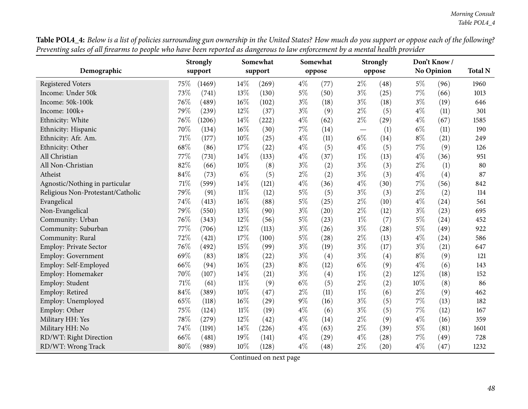| Table POL4_4: Below is a list of policies surrounding gun ownership in the United States? How much do you support or oppose each of the following? |  |
|----------------------------------------------------------------------------------------------------------------------------------------------------|--|
| Preventing sales of all firearms to people who have been reported as dangerous to law enforcement by a mental health provider                      |  |

|                                   |      | <b>Strongly</b> |        | Somewhat |       | Somewhat |                          | <b>Strongly</b> |       | Don't Know/       |                |
|-----------------------------------|------|-----------------|--------|----------|-------|----------|--------------------------|-----------------|-------|-------------------|----------------|
| Demographic                       |      | support         |        | support  |       | oppose   |                          | oppose          |       | <b>No Opinion</b> | <b>Total N</b> |
| <b>Registered Voters</b>          | 75\% | (1469)          | 14%    | (269)    | $4\%$ | (77)     | $2\%$                    | (48)            | $5\%$ | (96)              | 1960           |
| Income: Under 50k                 | 73%  | (741)           | 13%    | (130)    | $5\%$ | (50)     | $3\%$                    | (25)            | $7\%$ | (66)              | 1013           |
| Income: 50k-100k                  | 76\% | (489)           | 16%    | (102)    | $3\%$ | (18)     | $3\%$                    | (18)            | $3\%$ | (19)              | 646            |
| Income: 100k+                     | 79%  | (239)           | 12%    | (37)     | $3\%$ | (9)      | $2\%$                    | (5)             | $4\%$ | (11)              | 301            |
| Ethnicity: White                  | 76%  | (1206)          | 14%    | (222)    | $4\%$ | (62)     | $2\%$                    | (29)            | $4\%$ | (67)              | 1585           |
| Ethnicity: Hispanic               | 70%  | (134)           | 16%    | (30)     | $7\%$ | (14)     | $\overline{\phantom{m}}$ | (1)             | $6\%$ | (11)              | 190            |
| Ethnicity: Afr. Am.               | 71%  | (177)           | 10%    | (25)     | $4\%$ | (11)     | $6\%$                    | (14)            | $8\%$ | (21)              | 249            |
| Ethnicity: Other                  | 68%  | (86)            | 17%    | (22)     | $4\%$ | (5)      | $4\%$                    | (5)             | $7\%$ | (9)               | 126            |
| All Christian                     | 77%  | (731)           | 14%    | (133)    | $4\%$ | (37)     | $1\%$                    | (13)            | $4\%$ | (36)              | 951            |
| All Non-Christian                 | 82%  | (66)            | 10%    | (8)      | $3\%$ | (2)      | $3\%$                    | (3)             | $2\%$ | (1)               | 80             |
| Atheist                           | 84%  | (73)            | $6\%$  | (5)      | $2\%$ | (2)      | $3\%$                    | (3)             | $4\%$ | (4)               | 87             |
| Agnostic/Nothing in particular    | 71%  | (599)           | 14%    | (121)    | $4\%$ | (36)     | $4\%$                    | (30)            | $7\%$ | (56)              | 842            |
| Religious Non-Protestant/Catholic | 79%  | (91)            | $11\%$ | (12)     | $5\%$ | (5)      | $3\%$                    | (3)             | $2\%$ | (2)               | 114            |
| Evangelical                       | 74%  | (413)           | 16%    | (88)     | $5\%$ | (25)     | $2\%$                    | (10)            | $4\%$ | (24)              | 561            |
| Non-Evangelical                   | 79%  | (550)           | 13%    | (90)     | $3\%$ | (20)     | $2\%$                    | (12)            | $3\%$ | (23)              | 695            |
| Community: Urban                  | 76%  | (343)           | 12%    | (56)     | $5\%$ | (23)     | $1\%$                    | (7)             | $5\%$ | (24)              | 452            |
| Community: Suburban               | 77%  | (706)           | 12%    | (113)    | $3\%$ | (26)     | $3\%$                    | (28)            | $5\%$ | (49)              | 922            |
| Community: Rural                  | 72%  | (421)           | 17%    | (100)    | $5\%$ | (28)     | $2\%$                    | (13)            | $4\%$ | (24)              | 586            |
| Employ: Private Sector            | 76%  | (492)           | 15%    | (99)     | $3\%$ | (19)     | $3\%$                    | (17)            | $3\%$ | (21)              | 647            |
| <b>Employ: Government</b>         | 69%  | (83)            | 18%    | (22)     | $3\%$ | (4)      | $3\%$                    | (4)             | $8\%$ | (9)               | 121            |
| Employ: Self-Employed             | 66%  | (94)            | 16%    | (23)     | $8\%$ | (12)     | $6\%$                    | (9)             | $4\%$ | (6)               | 143            |
| Employ: Homemaker                 | 70%  | (107)           | 14%    | (21)     | $3\%$ | (4)      | $1\%$                    | (2)             | 12%   | (18)              | 152            |
| Employ: Student                   | 71%  | (61)            | 11%    | (9)      | $6\%$ | (5)      | $2\%$                    | (2)             | 10%   | (8)               | 86             |
| Employ: Retired                   | 84%  | (389)           | 10%    | (47)     | $2\%$ | (11)     | $1\%$                    | (6)             | $2\%$ | (9)               | 462            |
| Employ: Unemployed                | 65%  | (118)           | 16%    | (29)     | $9\%$ | (16)     | $3\%$                    | (5)             | $7\%$ | (13)              | 182            |
| Employ: Other                     | 75%  | (124)           | $11\%$ | (19)     | $4\%$ | (6)      | $3\%$                    | (5)             | $7\%$ | (12)              | 167            |
| Military HH: Yes                  | 78%  | (279)           | 12%    | (42)     | $4\%$ | (14)     | $2\%$                    | (9)             | $4\%$ | (16)              | 359            |
| Military HH: No                   | 74%  | (1191)          | 14%    | (226)    | $4\%$ | (63)     | $2\%$                    | (39)            | $5\%$ | (81)              | 1601           |
| RD/WT: Right Direction            | 66%  | (481)           | 19%    | (141)    | $4\%$ | (29)     | $4\%$                    | (28)            | $7\%$ | (49)              | 728            |
| RD/WT: Wrong Track                | 80%  | (989)           | 10%    | (128)    | $4\%$ | (48)     | $2\%$                    | (20)            | $4\%$ | (47)              | 1232           |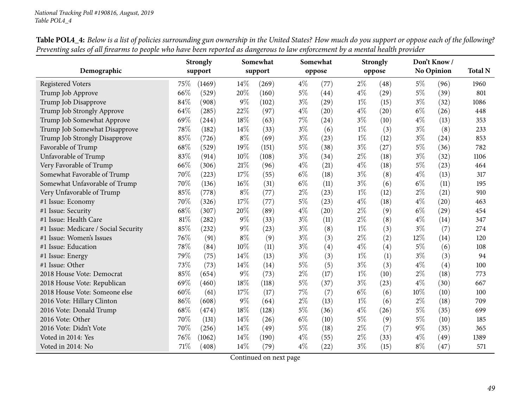| Demographic                          |      | <b>Strongly</b><br>support |        | Somewhat<br>support |       | Somewhat<br>oppose |       | <b>Strongly</b><br>oppose |       | Don't Know/<br><b>No Opinion</b> | <b>Total N</b> |
|--------------------------------------|------|----------------------------|--------|---------------------|-------|--------------------|-------|---------------------------|-------|----------------------------------|----------------|
|                                      |      |                            |        |                     |       |                    |       |                           |       |                                  |                |
| <b>Registered Voters</b>             | 75\% | (1469)                     | $14\%$ | (269)               | $4\%$ | (77)               | $2\%$ | (48)                      | $5\%$ | (96)                             | 1960           |
| Trump Job Approve                    | 66%  | (529)                      | 20%    | (160)               | $5\%$ | (44)               | $4\%$ | (29)                      | $5\%$ | (39)                             | 801            |
| Trump Job Disapprove                 | 84%  | (908)                      | $9\%$  | (102)               | $3\%$ | (29)               | $1\%$ | (15)                      | $3\%$ | (32)                             | 1086           |
| Trump Job Strongly Approve           | 64%  | (285)                      | 22%    | (97)                | $4\%$ | (20)               | $4\%$ | (20)                      | $6\%$ | (26)                             | 448            |
| Trump Job Somewhat Approve           | 69%  | (244)                      | 18%    | (63)                | $7\%$ | (24)               | $3\%$ | (10)                      | $4\%$ | (13)                             | 353            |
| Trump Job Somewhat Disapprove        | 78%  | (182)                      | $14\%$ | (33)                | $3\%$ | (6)                | $1\%$ | (3)                       | $3\%$ | (8)                              | 233            |
| Trump Job Strongly Disapprove        | 85%  | (726)                      | $8\%$  | (69)                | $3\%$ | (23)               | $1\%$ | (12)                      | $3\%$ | (24)                             | 853            |
| Favorable of Trump                   | 68%  | (529)                      | 19%    | (151)               | $5\%$ | (38)               | $3\%$ | (27)                      | $5\%$ | (36)                             | 782            |
| Unfavorable of Trump                 | 83%  | (914)                      | 10%    | (108)               | $3\%$ | (34)               | $2\%$ | (18)                      | $3\%$ | (32)                             | 1106           |
| Very Favorable of Trump              | 66%  | (306)                      | 21%    | (96)                | $4\%$ | (21)               | $4\%$ | (18)                      | $5\%$ | (23)                             | 464            |
| Somewhat Favorable of Trump          | 70%  | (223)                      | 17%    | (55)                | $6\%$ | (18)               | $3\%$ | (8)                       | $4\%$ | (13)                             | 317            |
| Somewhat Unfavorable of Trump        | 70%  | (136)                      | $16\%$ | (31)                | $6\%$ | (11)               | $3\%$ | (6)                       | $6\%$ | (11)                             | 195            |
| Very Unfavorable of Trump            | 85%  | (778)                      | $8\%$  | (77)                | $2\%$ | (23)               | $1\%$ | (12)                      | $2\%$ | (21)                             | 910            |
| #1 Issue: Economy                    | 70%  | (326)                      | 17%    | (77)                | $5\%$ | (23)               | $4\%$ | (18)                      | $4\%$ | $\left( 20\right)$               | 463            |
| #1 Issue: Security                   | 68%  | (307)                      | 20%    | (89)                | $4\%$ | (20)               | $2\%$ | (9)                       | $6\%$ | (29)                             | 454            |
| #1 Issue: Health Care                | 81%  | (282)                      | $9\%$  | (33)                | $3\%$ | (11)               | $2\%$ | (8)                       | $4\%$ | (14)                             | 347            |
| #1 Issue: Medicare / Social Security | 85%  | (232)                      | $9\%$  | (23)                | $3\%$ | (8)                | $1\%$ | (3)                       | $3\%$ | (7)                              | 274            |
| #1 Issue: Women's Issues             | 76%  | (91)                       | $8\%$  | (9)                 | $3\%$ | (3)                | $2\%$ | (2)                       | 12%   | (14)                             | 120            |
| #1 Issue: Education                  | 78%  | (84)                       | 10%    | (11)                | $3\%$ | (4)                | $4\%$ | (4)                       | $5\%$ | (6)                              | 108            |
| #1 Issue: Energy                     | 79%  | (75)                       | $14\%$ | (13)                | $3\%$ | (3)                | $1\%$ | (1)                       | $3\%$ | (3)                              | 94             |
| #1 Issue: Other                      | 73%  | (73)                       | $14\%$ | (14)                | $5\%$ | (5)                | $3\%$ | (3)                       | $4\%$ | (4)                              | 100            |
| 2018 House Vote: Democrat            | 85%  | (654)                      | $9\%$  | (73)                | $2\%$ | (17)               | $1\%$ | (10)                      | $2\%$ | (18)                             | 773            |
| 2018 House Vote: Republican          | 69%  | (460)                      | 18%    | (118)               | $5\%$ | (37)               | $3\%$ | (23)                      | $4\%$ | (30)                             | 667            |
| 2018 House Vote: Someone else        | 60%  | (61)                       | 17%    | (17)                | $7\%$ | (7)                | $6\%$ | (6)                       | 10%   | (10)                             | 100            |
| 2016 Vote: Hillary Clinton           | 86%  | (608)                      | $9\%$  | (64)                | $2\%$ | (13)               | $1\%$ | (6)                       | $2\%$ | (18)                             | 709            |
| 2016 Vote: Donald Trump              | 68%  | (474)                      | 18%    | (128)               | $5\%$ | (36)               | $4\%$ | (26)                      | $5\%$ | (35)                             | 699            |
| 2016 Vote: Other                     | 70%  | (131)                      | 14\%   | (26)                | $6\%$ | (10)               | $5\%$ | (9)                       | $5\%$ | (10)                             | 185            |
| 2016 Vote: Didn't Vote               | 70%  | (256)                      | $14\%$ | (49)                | $5\%$ | (18)               | $2\%$ | (7)                       | $9\%$ | (35)                             | 365            |
| Voted in 2014: Yes                   | 76%  | (1062)                     | 14\%   | (190)               | $4\%$ | (55)               | $2\%$ | (33)                      | $4\%$ | (49)                             | 1389           |
| Voted in 2014: No                    | 71%  | (408)                      | 14%    | (79)                | $4\%$ | (22)               | $3\%$ | (15)                      | $8\%$ | (47)                             | 571            |

Table POL4\_4: Below is a list of policies surrounding gun ownership in the United States? How much do you support or oppose each of the following? Preventing sales of all firearms to people who have been reported as dangerous to law enforcement by a mental health provider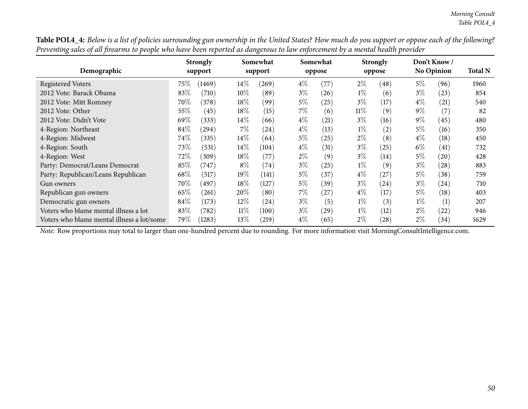| $\circ$<br>$\overline{ }$<br>$\mathbf{I}$<br>Demographic |        | <b>Strongly</b><br>support |        | $\circ$<br>Somewhat<br>support |       | Somewhat<br>oppose |        | <b>Strongly</b><br>oppose |       | Don't Know/<br><b>No Opinion</b> | <b>Total N</b> |
|----------------------------------------------------------|--------|----------------------------|--------|--------------------------------|-------|--------------------|--------|---------------------------|-------|----------------------------------|----------------|
| <b>Registered Voters</b>                                 | $75\%$ | (1469)                     | $14\%$ | (269)                          | $4\%$ | (77)               | $2\%$  | (48)                      | $5\%$ | (96)                             | 1960           |
| 2012 Vote: Barack Obama                                  | 83\%   | (710)                      | $10\%$ | (89)                           | $3\%$ | (26)               | $1\%$  | (6)                       | $3\%$ | (23)                             | 854            |
| 2012 Vote: Mitt Romney                                   | 70\%   | (378)                      | 18%    | (99)                           | 5%    | (25)               | $3\%$  | (17)                      | $4\%$ | (21)                             | 540            |
| 2012 Vote: Other                                         | 55\%   | (45)                       | 18%    | (15)                           | $7\%$ | (6)                | $11\%$ | (9)                       | $9\%$ | (7)                              | 82             |
| 2012 Vote: Didn't Vote                                   | 69\%   | (333)                      | $14\%$ | (66)                           | $4\%$ | (21)               | $3\%$  | (16)                      | $9\%$ | (45)                             | 480            |
| 4-Region: Northeast                                      | 84%    | (294)                      | 7%     | (24)                           | $4\%$ | (13)               | $1\%$  | (2)                       | 5%    | (16)                             | 350            |
| 4-Region: Midwest                                        | 74%    | (335)                      | $14\%$ | (64)                           | $5\%$ | (25)               | $2\%$  | (8)                       | $4\%$ | (18)                             | 450            |
| 4-Region: South                                          | 73\%   | (531)                      | 14\%   | (104)                          | $4\%$ | (31)               | $3\%$  | (25)                      | $6\%$ | (41)                             | 732            |
| 4-Region: West                                           | 72\%   | (309)                      | 18%    | (77)                           | $2\%$ | (9)                | $3\%$  | (14)                      | $5\%$ | (20)                             | 428            |
| Party: Democrat/Leans Democrat                           | 85%    | (747)                      | $8\%$  | (74)                           | $3\%$ | (25)               | $1\%$  | (9)                       | $3\%$ | (28)                             | 883            |
| Party: Republican/Leans Republican                       | 68\%   | (517)                      | 19%    | (141)                          | $5\%$ | (37)               | $4\%$  | (27)                      | $5\%$ | (38)                             | 759            |
| Gun owners                                               | 70\%   | (497)                      | 18%    | (127)                          | $5\%$ | (39)               | $3\%$  | $\left( 24\right)$        | $3\%$ | (24)                             | 710            |
| Republican gun owners                                    | 65%    | (261)                      | 20%    | (80)                           | 7%    | (27)               | $4\%$  | (17)                      | 5%    | (18)                             | 403            |
| Democratic gun owners                                    | 84\%   | (173)                      | 12\%   | (24)                           | $3\%$ | (5)                | $1\%$  | (3)                       | $1\%$ | (1)                              | 207            |
| Voters who blame mental illness a lot                    | 83%    | (782)                      | $11\%$ | (100)                          | $3\%$ | (29)               | $1\%$  | (12)                      | $2\%$ | (22)                             | 946            |
| Voters who blame mental illness a lot/some               | 79\%   | (1283)                     | $13\%$ | (219)                          | $4\%$ | (65)               | $2\%$  | $\left( 28\right)$        | $2\%$ | (34)                             | 1629           |

Table POL4\_4: Below is a list of policies surrounding gun ownership in the United States? How much do you support or oppose each of the following? Preventing sales of all firearms to people who have been reported as dangerous to law enforcement by a mental health provider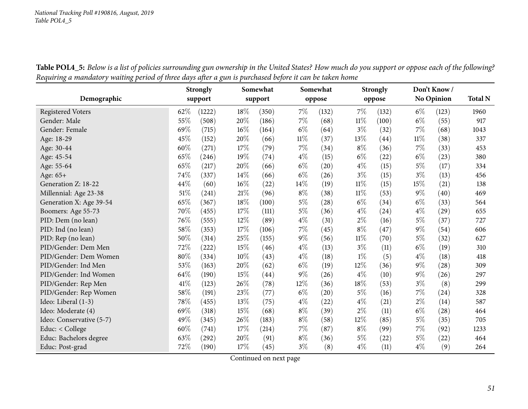|                          |        | <b>Strongly</b> |        | Somewhat |        | Somewhat |        | <b>Strongly</b> |       | Don't Know/       |                |
|--------------------------|--------|-----------------|--------|----------|--------|----------|--------|-----------------|-------|-------------------|----------------|
| Demographic              |        | support         |        | support  |        | oppose   |        | oppose          |       | <b>No Opinion</b> | <b>Total N</b> |
| <b>Registered Voters</b> | 62%    | (1222)          | 18%    | (350)    | 7%     | (132)    | $7\%$  | (132)           | $6\%$ | (123)             | 1960           |
| Gender: Male             | 55%    | (508)           | 20%    | (186)    | 7%     | (68)     | $11\%$ | (100)           | $6\%$ | (55)              | 917            |
| Gender: Female           | 69%    | (715)           | 16%    | (164)    | $6\%$  | (64)     | $3\%$  | (32)            | 7%    | (68)              | 1043           |
| Age: 18-29               | 45%    | (152)           | 20%    | (66)     | $11\%$ | (37)     | 13%    | (44)            | 11%   | (38)              | 337            |
| Age: 30-44               | 60%    | (271)           | 17%    | (79)     | 7%     | (34)     | $8\%$  | (36)            | 7%    | (33)              | 453            |
| Age: 45-54               | 65%    | (246)           | 19%    | (74)     | $4\%$  | (15)     | $6\%$  | (22)            | $6\%$ | (23)              | 380            |
| Age: 55-64               | 65%    | (217)           | 20%    | (66)     | $6\%$  | (20)     | $4\%$  | (15)            | $5\%$ | (17)              | 334            |
| Age: 65+                 | 74%    | (337)           | $14\%$ | (66)     | $6\%$  | (26)     | $3\%$  | (15)            | $3\%$ | (13)              | 456            |
| Generation Z: 18-22      | 44%    | (60)            | $16\%$ | (22)     | 14%    | (19)     | $11\%$ | (15)            | 15%   | (21)              | 138            |
| Millennial: Age 23-38    | $51\%$ | (241)           | $21\%$ | (96)     | $8\%$  | (38)     | $11\%$ | (53)            | $9\%$ | (40)              | 469            |
| Generation X: Age 39-54  | 65%    | (367)           | $18\%$ | (100)    | $5\%$  | (28)     | $6\%$  | (34)            | $6\%$ | (33)              | 564            |
| Boomers: Age 55-73       | 70%    | (455)           | 17%    | (111)    | $5\%$  | (36)     | $4\%$  | (24)            | $4\%$ | (29)              | 655            |
| PID: Dem (no lean)       | 76%    | (555)           | 12%    | (89)     | $4\%$  | (31)     | $2\%$  | (16)            | $5\%$ | (37)              | 727            |
| PID: Ind (no lean)       | $58\%$ | (353)           | 17%    | (106)    | $7\%$  | (45)     | $8\%$  | (47)            | $9\%$ | (54)              | 606            |
| PID: Rep (no lean)       | 50%    | (314)           | 25%    | (155)    | $9\%$  | (56)     | $11\%$ | (70)            | $5\%$ | (32)              | 627            |
| PID/Gender: Dem Men      | 72%    | (222)           | 15%    | (46)     | $4\%$  | (13)     | $3\%$  | (11)            | $6\%$ | (19)              | 310            |
| PID/Gender: Dem Women    | $80\%$ | (334)           | 10%    | (43)     | $4\%$  | (18)     | $1\%$  | (5)             | $4\%$ | (18)              | 418            |
| PID/Gender: Ind Men      | $53\%$ | (163)           | 20%    | (62)     | $6\%$  | (19)     | 12%    | (36)            | $9\%$ | (28)              | 309            |
| PID/Gender: Ind Women    | 64%    | (190)           | 15%    | (44)     | 9%     | (26)     | $4\%$  | (10)            | $9\%$ | (26)              | 297            |
| PID/Gender: Rep Men      | 41\%   | (123)           | 26%    | (78)     | 12%    | (36)     | 18%    | (53)            | $3\%$ | (8)               | 299            |
| PID/Gender: Rep Women    | 58%    | (191)           | 23%    | (77)     | $6\%$  | (20)     | $5\%$  | (16)            | 7%    | (24)              | 328            |
| Ideo: Liberal (1-3)      | $78\%$ | (455)           | 13%    | (75)     | $4\%$  | (22)     | $4\%$  | (21)            | $2\%$ | (14)              | 587            |
| Ideo: Moderate (4)       | 69%    | (318)           | 15%    | (68)     | $8\%$  | (39)     | $2\%$  | (11)            | $6\%$ | (28)              | 464            |
| Ideo: Conservative (5-7) | 49%    | (345)           | 26%    | (183)    | $8\%$  | (58)     | 12%    | (85)            | $5\%$ | (35)              | 705            |
| Educ: < College          | 60%    | (741)           | 17%    | (214)    | $7\%$  | (87)     | $8\%$  | (99)            | 7%    | (92)              | 1233           |
| Educ: Bachelors degree   | 63%    | (292)           | 20%    | (91)     | $8\%$  | (36)     | $5\%$  | (22)            | $5\%$ | (22)              | 464            |
| Educ: Post-grad          | $72\%$ | (190)           | $17\%$ | (45)     | $3\%$  | (8)      | $4\%$  | (11)            | $4\%$ | (9)               | 264            |

Table POL4\_5: Below is a list of policies surrounding gun ownership in the United States? How much do you support or oppose each of the following? Requiring a mandatory waiting period of three days after a gun is purchased before it can be taken home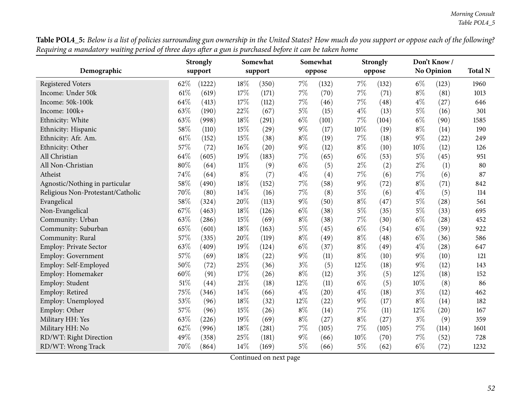Table POL4\_5: Below is a list of policies surrounding gun ownership in the United States? How much do you support or oppose each of the following? Requiring a mandatory waiting period of three days after a gun is purchased before it can be taken home

|                                   |      | <b>Strongly</b> |        | Somewhat |       | Somewhat |       | <b>Strongly</b> |       | Don't Know/       |                |
|-----------------------------------|------|-----------------|--------|----------|-------|----------|-------|-----------------|-------|-------------------|----------------|
| Demographic                       |      | support         |        | support  |       | oppose   |       | oppose          |       | <b>No Opinion</b> | <b>Total N</b> |
| <b>Registered Voters</b>          | 62%  | (1222)          | 18%    | (350)    | $7\%$ | (132)    | 7%    | (132)           | $6\%$ | (123)             | 1960           |
| Income: Under 50k                 | 61\% | (619)           | 17%    | (171)    | $7\%$ | (70)     | 7%    | (71)            | $8\%$ | (81)              | 1013           |
| Income: 50k-100k                  | 64%  | (413)           | 17%    | (112)    | 7%    | (46)     | $7\%$ | (48)            | $4\%$ | (27)              | 646            |
| Income: 100k+                     | 63%  | (190)           | 22%    | (67)     | $5\%$ | (15)     | $4\%$ | (13)            | $5\%$ | (16)              | 301            |
| Ethnicity: White                  | 63%  | (998)           | 18%    | (291)    | $6\%$ | (101)    | 7%    | (104)           | $6\%$ | (90)              | 1585           |
| Ethnicity: Hispanic               | 58%  | (110)           | 15%    | (29)     | $9\%$ | (17)     | 10%   | (19)            | $8\%$ | (14)              | 190            |
| Ethnicity: Afr. Am.               | 61%  | (152)           | 15%    | (38)     | $8\%$ | (19)     | $7\%$ | (18)            | $9\%$ | (22)              | 249            |
| Ethnicity: Other                  | 57%  | (72)            | $16\%$ | (20)     | $9\%$ | (12)     | $8\%$ | (10)            | 10%   | (12)              | 126            |
| All Christian                     | 64%  | (605)           | 19%    | (183)    | 7%    | (65)     | $6\%$ | (53)            | $5\%$ | (45)              | 951            |
| All Non-Christian                 | 80%  | (64)            | $11\%$ | (9)      | $6\%$ | (5)      | $2\%$ | (2)             | $2\%$ | (1)               | 80             |
| Atheist                           | 74%  | (64)            | $8\%$  | (7)      | $4\%$ | (4)      | $7\%$ | (6)             | $7\%$ | (6)               | 87             |
| Agnostic/Nothing in particular    | 58%  | (490)           | 18%    | (152)    | $7\%$ | (58)     | $9\%$ | (72)            | $8\%$ | (71)              | 842            |
| Religious Non-Protestant/Catholic | 70%  | (80)            | 14%    | (16)     | $7\%$ | (8)      | $5\%$ | (6)             | $4\%$ | (5)               | 114            |
| Evangelical                       | 58%  | (324)           | 20%    | (113)    | $9\%$ | (50)     | $8\%$ | (47)            | $5\%$ | (28)              | 561            |
| Non-Evangelical                   | 67%  | (463)           | 18%    | (126)    | $6\%$ | (38)     | $5\%$ | (35)            | $5\%$ | (33)              | 695            |
| Community: Urban                  | 63%  | (286)           | 15%    | (69)     | $8\%$ | (38)     | 7%    | (30)            | $6\%$ | (28)              | 452            |
| Community: Suburban               | 65%  | (601)           | 18%    | (163)    | $5\%$ | (45)     | $6\%$ | (54)            | $6\%$ | (59)              | 922            |
| Community: Rural                  | 57%  | (335)           | 20%    | (119)    | $8\%$ | (49)     | $8\%$ | (48)            | $6\%$ | (36)              | 586            |
| <b>Employ: Private Sector</b>     | 63%  | (409)           | 19%    | (124)    | $6\%$ | (37)     | $8\%$ | (49)            | $4\%$ | (28)              | 647            |
| Employ: Government                | 57%  | (69)            | 18%    | (22)     | $9\%$ | (11)     | $8\%$ | (10)            | $9\%$ | (10)              | 121            |
| Employ: Self-Employed             | 50%  | (72)            | 25%    | (36)     | $3\%$ | (5)      | 12%   | (18)            | $9\%$ | (12)              | 143            |
| Employ: Homemaker                 | 60%  | (91)            | 17%    | (26)     | $8\%$ | (12)     | $3\%$ | (5)             | 12%   | (18)              | 152            |
| Employ: Student                   | 51%  | (44)            | 21%    | (18)     | 12%   | (11)     | $6\%$ | (5)             | 10%   | (8)               | 86             |
| Employ: Retired                   | 75%  | (346)           | 14%    | (66)     | $4\%$ | (20)     | $4\%$ | (18)            | $3\%$ | (12)              | 462            |
| Employ: Unemployed                | 53%  | (96)            | 18%    | (32)     | 12%   | (22)     | $9\%$ | (17)            | $8\%$ | (14)              | 182            |
| Employ: Other                     | 57%  | (96)            | 15%    | (26)     | $8\%$ | (14)     | $7\%$ | (11)            | 12%   | (20)              | 167            |
| Military HH: Yes                  | 63%  | (226)           | 19%    | (69)     | $8\%$ | (27)     | $8\%$ | (27)            | $3\%$ | (9)               | 359            |
| Military HH: No                   | 62%  | (996)           | 18%    | (281)    | $7\%$ | (105)    | 7%    | (105)           | $7\%$ | (114)             | 1601           |
| RD/WT: Right Direction            | 49%  | (358)           | 25%    | (181)    | $9\%$ | (66)     | 10%   | (70)            | $7\%$ | (52)              | 728            |
| RD/WT: Wrong Track                | 70%  | (864)           | $14\%$ | (169)    | 5%    | (66)     | $5\%$ | (62)            | $6\%$ | (72)              | 1232           |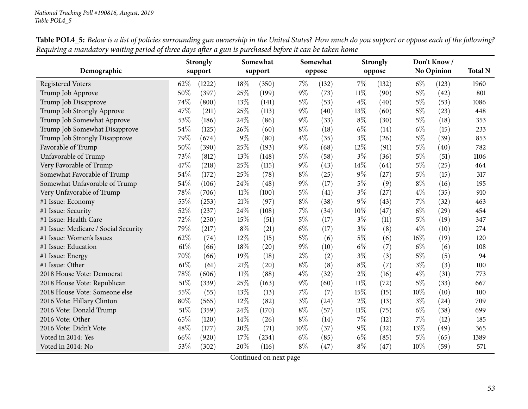|                                      |      | <b>Strongly</b> |       | Somewhat |       | Somewhat |        | <b>Strongly</b> |        | Don't Know/ |                |
|--------------------------------------|------|-----------------|-------|----------|-------|----------|--------|-----------------|--------|-------------|----------------|
| Demographic                          |      | support         |       | support  |       | oppose   |        | oppose          |        | No Opinion  | <b>Total N</b> |
| <b>Registered Voters</b>             | 62%  | (1222)          | 18%   | (350)    | $7\%$ | (132)    | 7%     | (132)           | $6\%$  | (123)       | 1960           |
| Trump Job Approve                    | 50%  | (397)           | 25%   | (199)    | $9\%$ | (73)     | $11\%$ | (90)            | 5%     | (42)        | 801            |
| Trump Job Disapprove                 | 74%  | (800)           | 13%   | (141)    | $5\%$ | (53)     | $4\%$  | (40)            | $5\%$  | (53)        | 1086           |
| Trump Job Strongly Approve           | 47%  | (211)           | 25%   | (113)    | 9%    | (40)     | 13%    | (60)            | $5\%$  | (23)        | 448            |
| Trump Job Somewhat Approve           | 53%  | (186)           | 24%   | (86)     | $9\%$ | (33)     | $8\%$  | (30)            | $5\%$  | (18)        | 353            |
| Trump Job Somewhat Disapprove        | 54%  | (125)           | 26%   | (60)     | $8\%$ | (18)     | $6\%$  | (14)            | $6\%$  | (15)        | 233            |
| Trump Job Strongly Disapprove        | 79%  | (674)           | $9\%$ | (80)     | $4\%$ | (35)     | $3\%$  | (26)            | $5\%$  | (39)        | 853            |
| Favorable of Trump                   | 50%  | (390)           | 25%   | (193)    | $9\%$ | (68)     | 12%    | (91)            | $5\%$  | (40)        | 782            |
| Unfavorable of Trump                 | 73%  | (812)           | 13%   | (148)    | $5\%$ | (58)     | $3\%$  | (36)            | $5\%$  | (51)        | 1106           |
| Very Favorable of Trump              | 47%  | (218)           | 25%   | (115)    | $9\%$ | (43)     | 14\%   | (64)            | $5\%$  | (25)        | 464            |
| Somewhat Favorable of Trump          | 54%  | (172)           | 25%   | (78)     | $8\%$ | (25)     | $9\%$  | (27)            | $5\%$  | (15)        | 317            |
| Somewhat Unfavorable of Trump        | 54%  | (106)           | 24%   | (48)     | $9\%$ | (17)     | $5\%$  | (9)             | $8\%$  | (16)        | 195            |
| Very Unfavorable of Trump            | 78%  | (706)           | 11%   | (100)    | $5\%$ | (41)     | $3\%$  | (27)            | $4\%$  | (35)        | 910            |
| #1 Issue: Economy                    | 55%  | (253)           | 21%   | (97)     | $8\%$ | (38)     | $9\%$  | (43)            | 7%     | (32)        | 463            |
| #1 Issue: Security                   | 52%  | (237)           | 24%   | (108)    | 7%    | (34)     | 10%    | (47)            | $6\%$  | (29)        | 454            |
| #1 Issue: Health Care                | 72%  | (250)           | 15%   | (51)     | $5\%$ | (17)     | $3\%$  | (11)            | $5\%$  | (19)        | 347            |
| #1 Issue: Medicare / Social Security | 79%  | (217)           | $8\%$ | (21)     | $6\%$ | (17)     | $3\%$  | (8)             | $4\%$  | (10)        | 274            |
| #1 Issue: Women's Issues             | 62%  | (74)            | 12%   | (15)     | $5\%$ | (6)      | 5%     | (6)             | 16%    | (19)        | 120            |
| #1 Issue: Education                  | 61\% | (66)            | 18%   | (20)     | $9\%$ | (10)     | $6\%$  | (7)             | $6\%$  | (6)         | 108            |
| #1 Issue: Energy                     | 70%  | (66)            | 19%   | (18)     | $2\%$ | (2)      | $3\%$  | (3)             | $5\%$  | (5)         | 94             |
| #1 Issue: Other                      | 61\% | (61)            | 21%   | (20)     | $8\%$ | (8)      | $8\%$  | (7)             | $3\%$  | (3)         | 100            |
| 2018 House Vote: Democrat            | 78%  | (606)           | 11%   | (88)     | $4\%$ | (32)     | $2\%$  | (16)            | $4\%$  | (31)        | 773            |
| 2018 House Vote: Republican          | 51%  | (339)           | 25%   | (163)    | $9\%$ | (60)     | $11\%$ | (72)            | $5\%$  | (33)        | 667            |
| 2018 House Vote: Someone else        | 55%  | (55)            | 13%   | (13)     | 7%    | (7)      | 15%    | (15)            | $10\%$ | (10)        | 100            |
| 2016 Vote: Hillary Clinton           | 80%  | (565)           | 12%   | (82)     | $3\%$ | (24)     | $2\%$  | (13)            | $3\%$  | (24)        | 709            |
| 2016 Vote: Donald Trump              | 51%  | (359)           | 24%   | (170)    | $8\%$ | (57)     | $11\%$ | (75)            | $6\%$  | (38)        | 699            |
| 2016 Vote: Other                     | 65%  | (120)           | 14\%  | (26)     | $8\%$ | (14)     | 7%     | (12)            | 7%     | (12)        | 185            |
| 2016 Vote: Didn't Vote               | 48%  | (177)           | 20%   | (71)     | 10%   | (37)     | $9\%$  | (32)            | 13%    | (49)        | 365            |
| Voted in 2014: Yes                   | 66%  | (920)           | 17\%  | (234)    | $6\%$ | (85)     | $6\%$  | (85)            | $5\%$  | (65)        | 1389           |
| Voted in 2014: No                    | 53%  | (302)           | 20%   | (116)    | $8\%$ | (47)     | $8\%$  | (47)            | 10%    | (59)        | 571            |

Table POL4\_5: Below is a list of policies surrounding gun ownership in the United States? How much do you support or oppose each of the following? Requiring a mandatory waiting period of three days after a gun is purchased before it can be taken home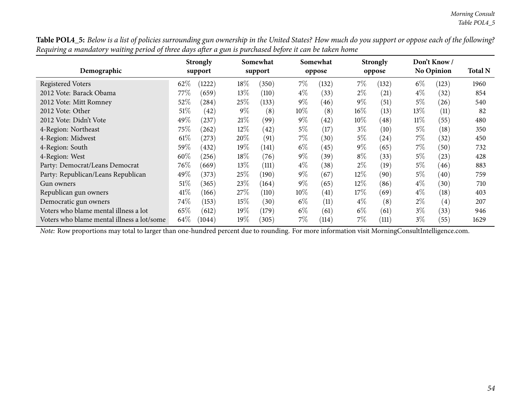Table POL4\_5: Below is a list of policies surrounding gun ownership in the United States? How much do you support or oppose each of the following? Requiring a mandatory waiting period of three days after a gun is purchased before it can be taken home

|                                            |        | <b>Strongly</b> |         | Somewhat |        | Somewhat |        | <b>Strongly</b> |        | Don't Know/       | <b>Total N</b> |
|--------------------------------------------|--------|-----------------|---------|----------|--------|----------|--------|-----------------|--------|-------------------|----------------|
| Demographic                                |        | support         |         | support  |        | oppose   |        | oppose          |        | <b>No Opinion</b> |                |
| <b>Registered Voters</b>                   | 62%    | (1222)          | 18%     | (350)    | $7\%$  | (132)    | $7\%$  | (132)           | $6\%$  | (123)             | 1960           |
| 2012 Vote: Barack Obama                    | 77%    | (659)           | $13\%$  | (110)    | $4\%$  | (33)     | $2\%$  | (21)            | $4\%$  | (32)              | 854            |
| 2012 Vote: Mitt Romney                     | 52%    | (284)           | $25\%$  | (133)    | $9\%$  | (46)     | $9\%$  | (51)            | $5\%$  | (26)              | 540            |
| 2012 Vote: Other                           | $51\%$ | (42)            | $9\%$   | (8)      | $10\%$ | (8)      | $16\%$ | (13)            | $13\%$ | (11)              | 82             |
| 2012 Vote: Didn't Vote                     | 49\%   | (237)           | 21%     | (99)     | $9\%$  | (42)     | $10\%$ | (48)            | $11\%$ | (55)              | 480            |
| 4-Region: Northeast                        | $75\%$ | (262)           | $12\%$  | (42)     | $5\%$  | (17)     | $3\%$  | (10)            | $5\%$  | (18)              | 350            |
| 4-Region: Midwest                          | $61\%$ | (273)           | 20%     | (91)     | $7\%$  | (30)     | $5\%$  | (24)            | $7\%$  | (32)              | 450            |
| 4-Region: South                            | 59%    | (432)           | $19\%$  | (141)    | $6\%$  | (45)     | $9\%$  | (65)            | 7%     | (50)              | 732            |
| 4-Region: West                             | 60%    | (256)           | 18%     | (76)     | $9\%$  | (39)     | $8\%$  | (33)            | 5%     | (23)              | 428            |
| Party: Democrat/Leans Democrat             | 76\%   | (669)           | $13\%$  | (111)    | $4\%$  | (38)     | $2\%$  | (19)            | $5\%$  | (46)              | 883            |
| Party: Republican/Leans Republican         | 49\%   | (373)           | 25\%    | (190)    | $9\%$  | (67)     | $12\%$ | (90)            | $5\%$  | (40)              | 759            |
| Gun owners                                 | $51\%$ | (365)           | 23\%    | (164)    | $9\%$  | (65)     | $12\%$ | (86)            | $4\%$  | (30)              | 710            |
| Republican gun owners                      | 41\%   | (166)           | 27\%    | (110)    | $10\%$ | (41)     | $17\%$ | (69)            | $4\%$  | (18)              | 403            |
| Democratic gun owners                      | 74\%   | (153)           | 15%     | (30)     | $6\%$  | (11)     | $4\%$  | (8)             | $2\%$  | (4)               | 207            |
| Voters who blame mental illness a lot      | 65%    | (612)           | 19%     | (179)    | $6\%$  | (61)     | $6\%$  | (61)            | $3\%$  | (33)              | 946            |
| Voters who blame mental illness a lot/some | 64\%   | (1044)          | 19 $\%$ | (305)    | 7%     | (114)    | $7\%$  | (111)           | $3\%$  | (55)              | 1629           |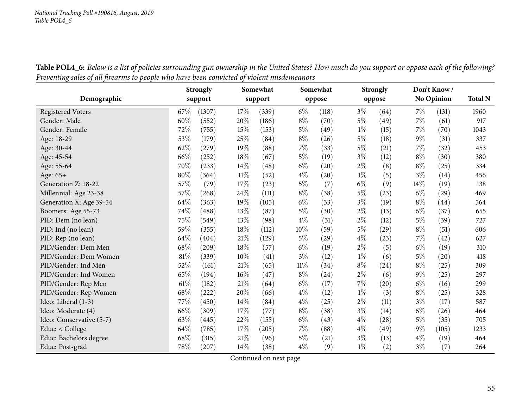|                          |        | <b>Strongly</b> |        | Somewhat |        | Somewhat           |       | <b>Strongly</b>    |       | Don't Know/ |                |
|--------------------------|--------|-----------------|--------|----------|--------|--------------------|-------|--------------------|-------|-------------|----------------|
| Demographic              |        | support         |        | support  |        | oppose             |       | oppose             |       | No Opinion  | <b>Total N</b> |
| <b>Registered Voters</b> | 67%    | (1307)          | 17%    | (339)    | $6\%$  | (118)              | $3\%$ | (64)               | $7\%$ | (131)       | 1960           |
| Gender: Male             | 60%    | (552)           | 20%    | (186)    | $8\%$  | (70)               | $5\%$ | (49)               | $7\%$ | (61)        | 917            |
| Gender: Female           | 72%    | (755)           | 15%    | (153)    | $5\%$  | (49)               | $1\%$ | (15)               | 7%    | (70)        | 1043           |
| Age: 18-29               | 53%    | (179)           | 25%    | (84)     | $8\%$  | (26)               | $5\%$ | (18)               | $9\%$ | (31)        | 337            |
| Age: 30-44               | $62\%$ | (279)           | 19%    | (88)     | $7\%$  | (33)               | $5\%$ | (21)               | $7\%$ | (32)        | 453            |
| Age: 45-54               | 66%    | (252)           | 18%    | (67)     | $5\%$  | (19)               | $3\%$ | (12)               | $8\%$ | (30)        | 380            |
| Age: 55-64               | 70%    | (233)           | 14\%   | (48)     | $6\%$  | $\left( 20\right)$ | $2\%$ | (8)                | $8\%$ | (25)        | 334            |
| Age: 65+                 | 80%    | (364)           | $11\%$ | (52)     | $4\%$  | (20)               | $1\%$ | (5)                | $3\%$ | (14)        | 456            |
| Generation Z: 18-22      | $57\%$ | (79)            | 17%    | (23)     | $5\%$  | (7)                | $6\%$ | (9)                | 14%   | (19)        | 138            |
| Millennial: Age 23-38    | 57%    | (268)           | 24%    | (111)    | $8\%$  | (38)               | $5\%$ | (23)               | $6\%$ | (29)        | 469            |
| Generation X: Age 39-54  | 64%    | (363)           | 19%    | (105)    | $6\%$  | (33)               | $3\%$ | (19)               | $8\%$ | (44)        | 564            |
| Boomers: Age 55-73       | 74%    | (488)           | 13%    | (87)     | $5\%$  | (30)               | $2\%$ | (13)               | $6\%$ | (37)        | 655            |
| PID: Dem (no lean)       | 75%    | (549)           | 13%    | (98)     | $4\%$  | (31)               | $2\%$ | (12)               | $5\%$ | (39)        | 727            |
| PID: Ind (no lean)       | 59%    | (355)           | 18%    | (112)    | 10%    | (59)               | $5\%$ | (29)               | $8\%$ | (51)        | 606            |
| PID: Rep (no lean)       | 64%    | (404)           | 21%    | (129)    | $5\%$  | $\left( 29\right)$ | $4\%$ | (23)               | 7%    | (42)        | 627            |
| PID/Gender: Dem Men      | 68\%   | (209)           | 18%    | (57)     | $6\%$  | (19)               | $2\%$ | (5)                | $6\%$ | (19)        | 310            |
| PID/Gender: Dem Women    | $81\%$ | (339)           | $10\%$ | (41)     | $3\%$  | (12)               | $1\%$ | (6)                | $5\%$ | (20)        | 418            |
| PID/Gender: Ind Men      | 52%    | (161)           | 21%    | (65)     | $11\%$ | (34)               | $8\%$ | $\left( 24\right)$ | $8\%$ | (25)        | 309            |
| PID/Gender: Ind Women    | 65%    | (194)           | 16%    | (47)     | $8\%$  | (24)               | $2\%$ | (6)                | $9\%$ | (25)        | 297            |
| PID/Gender: Rep Men      | $61\%$ | (182)           | $21\%$ | (64)     | $6\%$  | (17)               | $7\%$ | (20)               | $6\%$ | (16)        | 299            |
| PID/Gender: Rep Women    | 68\%   | (222)           | 20%    | (66)     | $4\%$  | (12)               | $1\%$ | (3)                | $8\%$ | (25)        | 328            |
| Ideo: Liberal (1-3)      | 77%    | (450)           | 14%    | (84)     | $4\%$  | (25)               | $2\%$ | (11)               | $3\%$ | (17)        | 587            |
| Ideo: Moderate (4)       | 66%    | (309)           | 17%    | (77)     | $8\%$  | (38)               | $3\%$ | (14)               | $6\%$ | (26)        | 464            |
| Ideo: Conservative (5-7) | 63%    | (445)           | 22%    | (155)    | $6\%$  | (43)               | $4\%$ | (28)               | $5\%$ | (35)        | 705            |
| Educ: < College          | 64%    | (785)           | 17\%   | (205)    | 7%     | (88)               | $4\%$ | (49)               | $9\%$ | (105)       | 1233           |
| Educ: Bachelors degree   | 68%    | (315)           | 21\%   | (96)     | $5\%$  | (21)               | $3\%$ | (13)               | $4\%$ | (19)        | 464            |
| Educ: Post-grad          | $78\%$ | (207)           | 14%    | (38)     | $4\%$  | (9)                | $1\%$ | (2)                | $3\%$ | (7)         | 264            |

Table POL4\_6: Below is a list of policies surrounding gun ownership in the United States? How much do you support or oppose each of the following? Preventing sales of all firearms to people who have been convicted of violent misdemeanors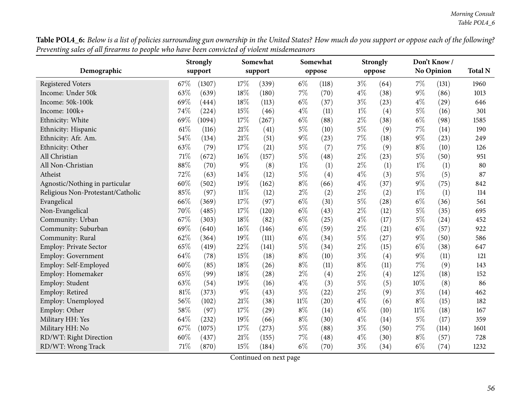Table POL4\_6: Below is a list of policies surrounding gun ownership in the United States? How much do you support or oppose each of the following? Preventing sales of all firearms to people who have been convicted of violent misdemeanors

|                                   |        | <b>Strongly</b> |        | Somewhat |        | Somewhat |       | <b>Strongly</b> |        | Don't Know/       |                |
|-----------------------------------|--------|-----------------|--------|----------|--------|----------|-------|-----------------|--------|-------------------|----------------|
| Demographic                       |        | support         |        | support  |        | oppose   |       | oppose          |        | <b>No Opinion</b> | <b>Total N</b> |
| <b>Registered Voters</b>          | 67%    | (1307)          | 17%    | (339)    | $6\%$  | (118)    | $3\%$ | (64)            | $7\%$  | (131)             | 1960           |
| Income: Under 50k                 | 63%    | (639)           | 18%    | (180)    | $7\%$  | (70)     | $4\%$ | (38)            | $9\%$  | (86)              | 1013           |
| Income: 50k-100k                  | 69%    | (444)           | 18%    | (113)    | $6\%$  | (37)     | $3\%$ | (23)            | $4\%$  | (29)              | 646            |
| Income: 100k+                     | 74%    | (224)           | 15%    | (46)     | $4\%$  | (11)     | $1\%$ | (4)             | $5\%$  | (16)              | 301            |
| Ethnicity: White                  | 69%    | (1094)          | 17%    | (267)    | $6\%$  | (88)     | $2\%$ | (38)            | $6\%$  | (98)              | 1585           |
| Ethnicity: Hispanic               | 61\%   | (116)           | $21\%$ | (41)     | $5\%$  | (10)     | $5\%$ | (9)             | 7%     | (14)              | 190            |
| Ethnicity: Afr. Am.               | 54%    | (134)           | 21%    | (51)     | $9\%$  | (23)     | $7\%$ | (18)            | $9\%$  | (23)              | 249            |
| Ethnicity: Other                  | 63%    | (79)            | 17%    | (21)     | $5\%$  | (7)      | $7\%$ | (9)             | $8\%$  | (10)              | 126            |
| All Christian                     | 71%    | (672)           | 16%    | (157)    | $5\%$  | (48)     | $2\%$ | (23)            | $5\%$  | (50)              | 951            |
| All Non-Christian                 | $88\%$ | (70)            | $9\%$  | (8)      | $1\%$  | (1)      | $2\%$ | (1)             | $1\%$  | (1)               | 80             |
| Atheist                           | 72%    | (63)            | 14%    | (12)     | $5\%$  | (4)      | $4\%$ | (3)             | $5\%$  | (5)               | 87             |
| Agnostic/Nothing in particular    | 60%    | (502)           | 19%    | (162)    | $8\%$  | (66)     | $4\%$ | (37)            | $9\%$  | (75)              | 842            |
| Religious Non-Protestant/Catholic | 85%    | (97)            | $11\%$ | (12)     | $2\%$  | (2)      | $2\%$ | (2)             | $1\%$  | (1)               | 114            |
| Evangelical                       | 66%    | (369)           | 17%    | (97)     | $6\%$  | (31)     | $5\%$ | (28)            | $6\%$  | (36)              | 561            |
| Non-Evangelical                   | 70%    | (485)           | 17%    | (120)    | $6\%$  | (43)     | $2\%$ | (12)            | $5\%$  | (35)              | 695            |
| Community: Urban                  | 67%    | (303)           | 18%    | (82)     | $6\%$  | (25)     | $4\%$ | (17)            | $5\%$  | (24)              | 452            |
| Community: Suburban               | 69%    | (640)           | 16%    | (146)    | $6\%$  | (59)     | $2\%$ | (21)            | $6\%$  | (57)              | 922            |
| Community: Rural                  | 62%    | (364)           | 19%    | (111)    | $6\%$  | (34)     | $5\%$ | (27)            | $9\%$  | (50)              | 586            |
| <b>Employ: Private Sector</b>     | 65%    | (419)           | 22%    | (141)    | $5\%$  | (34)     | $2\%$ | (15)            | $6\%$  | (38)              | 647            |
| Employ: Government                | 64%    | (78)            | 15%    | (18)     | $8\%$  | (10)     | $3\%$ | (4)             | $9\%$  | (11)              | 121            |
| Employ: Self-Employed             | 60%    | (85)            | $18\%$ | (26)     | $8\%$  | (11)     | $8\%$ | (11)            | $7\%$  | (9)               | 143            |
| Employ: Homemaker                 | 65%    | (99)            | 18%    | (28)     | $2\%$  | (4)      | $2\%$ | (4)             | 12%    | (18)              | 152            |
| Employ: Student                   | 63%    | (54)            | 19%    | (16)     | $4\%$  | (3)      | $5\%$ | (5)             | 10%    | (8)               | 86             |
| Employ: Retired                   | 81%    | (373)           | $9\%$  | (43)     | $5\%$  | (22)     | $2\%$ | (9)             | $3\%$  | (14)              | 462            |
| Employ: Unemployed                | 56%    | (102)           | 21%    | (38)     | $11\%$ | (20)     | $4\%$ | (6)             | $8\%$  | (15)              | 182            |
| Employ: Other                     | 58%    | (97)            | 17%    | (29)     | $8\%$  | (14)     | $6\%$ | (10)            | $11\%$ | (18)              | 167            |
| Military HH: Yes                  | 64%    | (232)           | 19%    | (66)     | $8\%$  | (30)     | $4\%$ | (14)            | $5\%$  | (17)              | 359            |
| Military HH: No                   | 67%    | (1075)          | 17%    | (273)    | $5\%$  | (88)     | $3\%$ | (50)            | $7\%$  | (114)             | 1601           |
| RD/WT: Right Direction            | 60%    | (437)           | 21%    | (155)    | $7\%$  | (48)     | $4\%$ | (30)            | $8\%$  | (57)              | 728            |
| RD/WT: Wrong Track                | 71%    | (870)           | 15%    | (184)    | $6\%$  | (70)     | $3\%$ | (34)            | $6\%$  | (74)              | 1232           |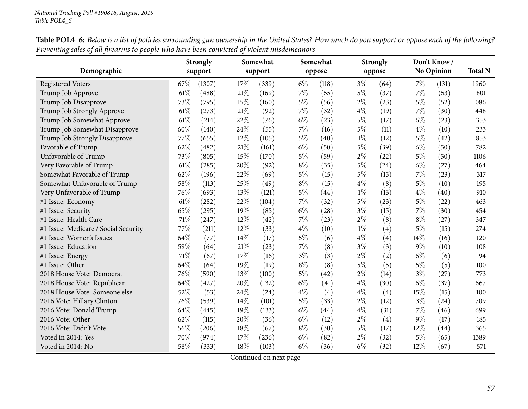|                                      |        | <b>Strongly</b> |        | Somewhat |       | Somewhat |       | <b>Strongly</b> |       | Don't Know/       |                |
|--------------------------------------|--------|-----------------|--------|----------|-------|----------|-------|-----------------|-------|-------------------|----------------|
| Demographic                          |        | support         |        | support  |       | oppose   |       | oppose          |       | <b>No Opinion</b> | <b>Total N</b> |
| <b>Registered Voters</b>             | 67\%   | (1307)          | 17%    | (339)    | $6\%$ | (118)    | $3\%$ | (64)            | $7\%$ | (131)             | 1960           |
| Trump Job Approve                    | 61\%   | (488)           | 21%    | (169)    | $7\%$ | (55)     | $5\%$ | (37)            | $7\%$ | (53)              | 801            |
| Trump Job Disapprove                 | 73%    | (795)           | 15%    | (160)    | $5\%$ | (56)     | $2\%$ | (23)            | $5\%$ | (52)              | 1086           |
| Trump Job Strongly Approve           | 61\%   | (273)           | $21\%$ | (92)     | $7\%$ | (32)     | $4\%$ | (19)            | $7\%$ | (30)              | 448            |
| Trump Job Somewhat Approve           | 61\%   | (214)           | 22%    | (76)     | $6\%$ | (23)     | $5\%$ | (17)            | $6\%$ | (23)              | 353            |
| Trump Job Somewhat Disapprove        | 60%    | (140)           | 24%    | (55)     | $7\%$ | (16)     | $5\%$ | (11)            | $4\%$ | (10)              | 233            |
| Trump Job Strongly Disapprove        | 77%    | (655)           | 12%    | (105)    | $5\%$ | (40)     | $1\%$ | (12)            | $5\%$ | (42)              | 853            |
| Favorable of Trump                   | 62%    | (482)           | 21%    | (161)    | $6\%$ | (50)     | $5\%$ | (39)            | $6\%$ | (50)              | 782            |
| Unfavorable of Trump                 | 73%    | (805)           | 15%    | (170)    | $5\%$ | (59)     | $2\%$ | (22)            | $5\%$ | (50)              | 1106           |
| Very Favorable of Trump              | 61\%   | (285)           | 20%    | (92)     | $8\%$ | (35)     | $5\%$ | (24)            | $6\%$ | (27)              | 464            |
| Somewhat Favorable of Trump          | 62%    | (196)           | 22%    | (69)     | $5\%$ | (15)     | $5\%$ | (15)            | $7\%$ | (23)              | 317            |
| Somewhat Unfavorable of Trump        | 58%    | (113)           | 25%    | (49)     | $8\%$ | (15)     | $4\%$ | (8)             | $5\%$ | (10)              | 195            |
| Very Unfavorable of Trump            | 76%    | (693)           | 13%    | (121)    | $5\%$ | (44)     | $1\%$ | (13)            | $4\%$ | (40)              | 910            |
| #1 Issue: Economy                    | 61\%   | (282)           | 22%    | (104)    | $7\%$ | (32)     | $5\%$ | (23)            | $5\%$ | (22)              | 463            |
| #1 Issue: Security                   | 65%    | (295)           | 19%    | (85)     | $6\%$ | (28)     | $3\%$ | (15)            | $7\%$ | (30)              | 454            |
| #1 Issue: Health Care                | 71%    | (247)           | 12%    | (42)     | $7\%$ | (23)     | $2\%$ | (8)             | $8\%$ | (27)              | 347            |
| #1 Issue: Medicare / Social Security | 77\%   | (211)           | $12\%$ | (33)     | $4\%$ | (10)     | $1\%$ | (4)             | $5\%$ | (15)              | 274            |
| #1 Issue: Women's Issues             | 64%    | (77)            | 14%    | (17)     | $5\%$ | (6)      | $4\%$ | (4)             | 14%   | (16)              | 120            |
| #1 Issue: Education                  | 59%    | (64)            | 21%    | (23)     | 7%    | (8)      | $3\%$ | (3)             | $9\%$ | (10)              | 108            |
| #1 Issue: Energy                     | 71%    | (67)            | 17%    | (16)     | $3\%$ | (3)      | $2\%$ | (2)             | $6\%$ | (6)               | 94             |
| #1 Issue: Other                      | 64%    | (64)            | 19%    | (19)     | $8\%$ | (8)      | $5\%$ | (5)             | $5\%$ | (5)               | 100            |
| 2018 House Vote: Democrat            | 76%    | (590)           | 13%    | (100)    | 5%    | (42)     | $2\%$ | (14)            | $3\%$ | (27)              | 773            |
| 2018 House Vote: Republican          | 64%    | (427)           | 20%    | (132)    | $6\%$ | (41)     | $4\%$ | (30)            | $6\%$ | (37)              | 667            |
| 2018 House Vote: Someone else        | 52%    | (53)            | 24\%   | (24)     | $4\%$ | (4)      | $4\%$ | (4)             | 15%   | (15)              | 100            |
| 2016 Vote: Hillary Clinton           | 76%    | (539)           | 14%    | (101)    | $5\%$ | (33)     | $2\%$ | (12)            | $3\%$ | (24)              | 709            |
| 2016 Vote: Donald Trump              | 64%    | (445)           | 19%    | (133)    | $6\%$ | (44)     | $4\%$ | (31)            | 7%    | (46)              | 699            |
| 2016 Vote: Other                     | 62%    | (115)           | 20%    | (36)     | $6\%$ | (12)     | $2\%$ | (4)             | $9\%$ | (17)              | 185            |
| 2016 Vote: Didn't Vote               | 56%    | (206)           | 18%    | (67)     | $8\%$ | (30)     | $5\%$ | (17)            | 12%   | (44)              | 365            |
| Voted in 2014: Yes                   | 70%    | (974)           | 17%    | (236)    | $6\%$ | (82)     | $2\%$ | (32)            | $5\%$ | (65)              | 1389           |
| Voted in 2014: No                    | $58\%$ | (333)           | 18%    | (103)    | $6\%$ | (36)     | $6\%$ | (32)            | 12%   | (67)              | 571            |

Table POL4\_6: Below is a list of policies surrounding gun ownership in the United States? How much do you support or oppose each of the following? Preventing sales of all firearms to people who have been convicted of violent misdemeanors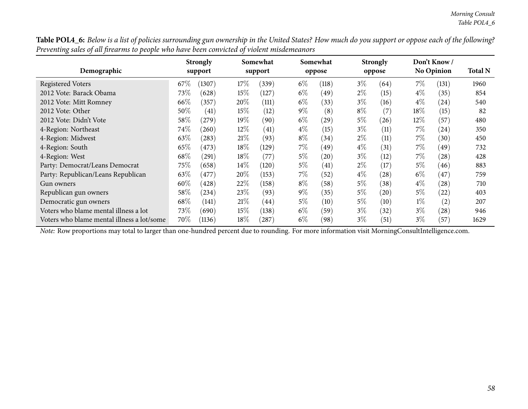Table POL4\_6: Below is a list of policies surrounding gun ownership in the United States? How much do you support or oppose each of the following? Preventing sales of all firearms to people who have been convicted of violent misdemeanors

| Demographic                                |        | <b>Strongly</b><br>support |        | Somewhat<br>support |       | Somewhat  |       | <b>Strongly</b><br>oppose |        | Don't Know/<br><b>No Opinion</b> | <b>Total N</b> |
|--------------------------------------------|--------|----------------------------|--------|---------------------|-------|-----------|-------|---------------------------|--------|----------------------------------|----------------|
|                                            |        |                            |        |                     |       | oppose    |       |                           |        |                                  |                |
| <b>Registered Voters</b>                   | 67\%   | (1307)                     | 17\%   | (339)               | $6\%$ | (118)     | $3\%$ | (64)                      | 7%     | (131)                            | 1960           |
| 2012 Vote: Barack Obama                    | 73\%   | (628)                      | 15%    | (127)               | $6\%$ | (49)      | $2\%$ | (15)                      | $4\%$  | (35)                             | 854            |
| 2012 Vote: Mitt Romney                     | 66\%   | (357)                      | 20%    | (111)               | $6\%$ | (33)      | $3\%$ | (16)                      | $4\%$  | (24)                             | 540            |
| 2012 Vote: Other                           | $50\%$ | (41)                       | 15%    | (12)                | $9\%$ | (8)       | $8\%$ | (7)                       | $18\%$ | (15)                             | 82             |
| 2012 Vote: Didn't Vote                     | 58%    | (279)                      | $19\%$ | (90)                | $6\%$ | 29        | $5\%$ | (26)                      | $12\%$ | (57)                             | 480            |
| 4-Region: Northeast                        | 74\%   | (260)                      | 12\%   | (41)                | $4\%$ | (15)      | $3\%$ | (11)                      | 7%     | (24)                             | 350            |
| 4-Region: Midwest                          | 63\%   | (283)                      | 21%    | (93)                | $8\%$ | (34)      | $2\%$ | (11)                      | $7\%$  | (30)                             | 450            |
| 4-Region: South                            | 65\%   | (473)                      | 18%    | (129)               | 7%    | (49)      | $4\%$ | (31)                      | 7%     | 49 <sup>°</sup>                  | 732            |
| 4-Region: West                             | 68\%   | (291)                      | 18%    | (77)                | $5\%$ | $^{'}20)$ | $3\%$ | (12)                      | $7\%$  | (28)                             | 428            |
| Party: Democrat/Leans Democrat             | 75\%   | (658)                      | $14\%$ | (120)               | $5\%$ | (41)      | $2\%$ | (17)                      | $5\%$  | (46)                             | 883            |
| Party: Republican/Leans Republican         | 63\%   | $^{\prime}477$             | 20%    | (153)               | $7\%$ | (52)      | $4\%$ | (28)                      | $6\%$  | $^{'}47$                         | 759            |
| Gun owners                                 | $60\%$ | (428)                      | 22%    | (158)               | $8\%$ | (58)      | $5\%$ | (38)                      | $4\%$  | (28)                             | 710            |
| Republican gun owners                      | 58\%   | (234)                      | 23\%   | (93)                | $9\%$ | (35)      | $5\%$ | (20)                      | $5\%$  | (22)                             | 403            |
| Democratic gun owners                      | 68\%   | (141)                      | 21%    | (44)                | $5\%$ | (10)      | $5\%$ | (10)                      | $1\%$  | (2)                              | 207            |
| Voters who blame mental illness a lot      | 73%    | (690)                      | 15%    | (138)               | $6\%$ | (59)      | $3\%$ | (32)                      | $3\%$  | (28)                             | 946            |
| Voters who blame mental illness a lot/some | 70%    | (1136)                     | 18%    | (287)               | $6\%$ | (98)      | $3\%$ | (51)                      | $3\%$  | (57)                             | 1629           |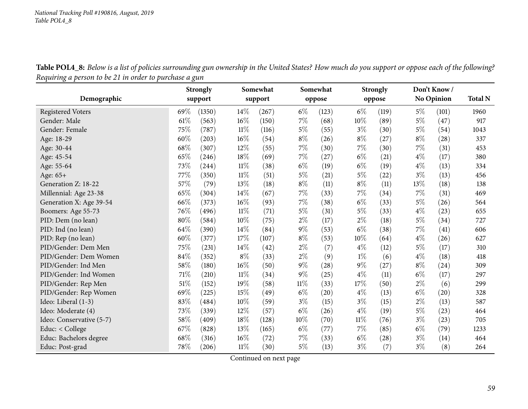Table POL4\_8: Below is a list of policies surrounding gun ownership in the United States? How much do you support or oppose each of the following? *Requiring <sup>a</sup> person to be <sup>21</sup> in order to purchase <sup>a</sup> gun*

|                          |      | <b>Strongly</b> |        | Somewhat |        | Somewhat |        | <b>Strongly</b> |       | Don't Know/<br>No Opinion |                |
|--------------------------|------|-----------------|--------|----------|--------|----------|--------|-----------------|-------|---------------------------|----------------|
| Demographic              |      | support         |        | support  |        | oppose   |        | oppose          |       |                           | <b>Total N</b> |
| <b>Registered Voters</b> | 69%  | (1350)          | $14\%$ | (267)    | $6\%$  | (123)    | $6\%$  | (119)           | $5\%$ | (101)                     | 1960           |
| Gender: Male             | 61%  | (563)           | 16%    | (150)    | $7\%$  | (68)     | 10%    | (89)            | $5\%$ | (47)                      | 917            |
| Gender: Female           | 75%  | (787)           | $11\%$ | (116)    | $5\%$  | (55)     | $3\%$  | (30)            | $5\%$ | (54)                      | 1043           |
| Age: 18-29               | 60%  | (203)           | 16%    | (54)     | $8\%$  | (26)     | $8\%$  | (27)            | $8\%$ | (28)                      | 337            |
| Age: 30-44               | 68%  | (307)           | 12%    | (55)     | $7\%$  | (30)     | 7%     | (30)            | $7\%$ | (31)                      | 453            |
| Age: 45-54               | 65%  | (246)           | 18%    | (69)     | $7\%$  | (27)     | $6\%$  | (21)            | $4\%$ | (17)                      | 380            |
| Age: 55-64               | 73%  | (244)           | 11%    | (38)     | $6\%$  | (19)     | $6\%$  | (19)            | $4\%$ | (13)                      | 334            |
| Age: 65+                 | 77\% | (350)           | 11%    | (51)     | $5\%$  | (21)     | 5%     | $^{(22)}$       | $3\%$ | (13)                      | 456            |
| Generation Z: 18-22      | 57%  | (79)            | 13%    | (18)     | $8\%$  | (11)     | $8\%$  | (11)            | 13%   | (18)                      | 138            |
| Millennial: Age 23-38    | 65%  | (304)           | 14%    | (67)     | $7\%$  | (33)     | 7%     | (34)            | $7\%$ | (31)                      | 469            |
| Generation X: Age 39-54  | 66%  | (373)           | 16%    | (93)     | $7\%$  | (38)     | $6\%$  | (33)            | $5\%$ | (26)                      | 564            |
| Boomers: Age 55-73       | 76\% | (496)           | 11%    | (71)     | $5\%$  | (31)     | $5\%$  | (33)            | $4\%$ | (23)                      | 655            |
| PID: Dem (no lean)       | 80%  | (584)           | 10%    | (75)     | $2\%$  | (17)     | $2\%$  | (18)            | $5\%$ | (34)                      | 727            |
| PID: Ind (no lean)       | 64%  | (390)           | 14%    | (84)     | $9\%$  | (53)     | $6\%$  | (38)            | $7\%$ | (41)                      | 606            |
| PID: Rep (no lean)       | 60%  | (377)           | 17%    | (107)    | $8\%$  | (53)     | 10%    | (64)            | $4\%$ | (26)                      | 627            |
| PID/Gender: Dem Men      | 75%  | (231)           | 14\%   | (42)     | $2\%$  | (7)      | $4\%$  | (12)            | $5\%$ | (17)                      | 310            |
| PID/Gender: Dem Women    | 84%  | (352)           | $8\%$  | (33)     | $2\%$  | (9)      | $1\%$  | (6)             | $4\%$ | (18)                      | 418            |
| PID/Gender: Ind Men      | 58%  | (180)           | 16%    | (50)     | $9\%$  | (28)     | $9\%$  | (27)            | $8\%$ | (24)                      | 309            |
| PID/Gender: Ind Women    | 71%  | (210)           | 11%    | (34)     | $9\%$  | (25)     | $4\%$  | (11)            | $6\%$ | (17)                      | 297            |
| PID/Gender: Rep Men      | 51%  | (152)           | 19%    | (58)     | $11\%$ | (33)     | 17%    | (50)            | $2\%$ | (6)                       | 299            |
| PID/Gender: Rep Women    | 69%  | (225)           | 15%    | (49)     | $6\%$  | (20)     | $4\%$  | (13)            | $6\%$ | (20)                      | 328            |
| Ideo: Liberal (1-3)      | 83%  | (484)           | 10%    | (59)     | $3\%$  | (15)     | $3\%$  | (15)            | $2\%$ | (13)                      | 587            |
| Ideo: Moderate (4)       | 73%  | (339)           | 12%    | (57)     | $6\%$  | (26)     | $4\%$  | (19)            | $5\%$ | (23)                      | 464            |
| Ideo: Conservative (5-7) | 58%  | (409)           | 18%    | (128)    | $10\%$ | (70)     | $11\%$ | (76)            | $3\%$ | (23)                      | 705            |
| Educ: < College          | 67%  | (828)           | 13%    | (165)    | $6\%$  | (77)     | 7%     | (85)            | $6\%$ | (79)                      | 1233           |
| Educ: Bachelors degree   | 68%  | (316)           | 16%    | (72)     | $7\%$  | (33)     | $6\%$  | (28)            | $3\%$ | (14)                      | 464            |
| Educ: Post-grad          | 78%  | (206)           | $11\%$ | (30)     | $5\%$  | (13)     | $3\%$  | (7)             | $3\%$ | (8)                       | 264            |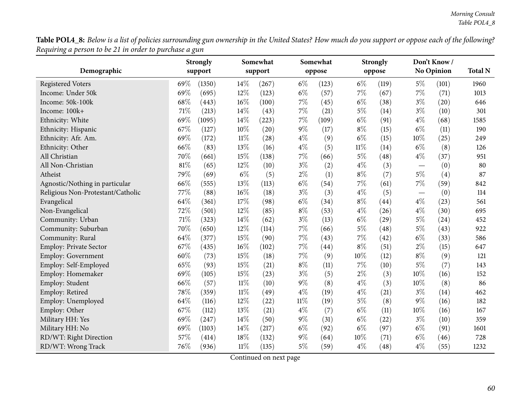Table POL4\_8: Below is a list of policies surrounding gun ownership in the United States? How much do you support or oppose each of the following? *Requiring <sup>a</sup> person to be <sup>21</sup> in order to purchase <sup>a</sup> gun*

|                                   |        | <b>Strongly</b> |        | Somewhat |        | Somewhat |        | <b>Strongly</b>    |                          | Don't Know/       |                |
|-----------------------------------|--------|-----------------|--------|----------|--------|----------|--------|--------------------|--------------------------|-------------------|----------------|
| Demographic                       |        | support         |        | support  |        | oppose   |        | oppose             |                          | <b>No Opinion</b> | <b>Total N</b> |
| <b>Registered Voters</b>          | 69%    | (1350)          | 14%    | (267)    | $6\%$  | (123)    | $6\%$  | (119)              | $5\%$                    | (101)             | 1960           |
| Income: Under 50k                 | 69%    | (695)           | 12%    | (123)    | $6\%$  | (57)     | $7\%$  | (67)               | $7\%$                    | (71)              | 1013           |
| Income: 50k-100k                  | 68%    | (443)           | 16%    | (100)    | $7\%$  | (45)     | $6\%$  | (38)               | $3\%$                    | (20)              | 646            |
| Income: 100k+                     | 71%    | (213)           | 14%    | (43)     | $7\%$  | (21)     | $5\%$  | (14)               | $3\%$                    | (10)              | 301            |
| Ethnicity: White                  | 69%    | (1095)          | 14%    | (223)    | $7\%$  | (109)    | $6\%$  | (91)               | $4\%$                    | (68)              | 1585           |
| Ethnicity: Hispanic               | 67%    | (127)           | $10\%$ | (20)     | $9\%$  | (17)     | $8\%$  | (15)               | $6\%$                    | (11)              | 190            |
| Ethnicity: Afr. Am.               | 69%    | (172)           | $11\%$ | (28)     | $4\%$  | (9)      | $6\%$  | (15)               | 10%                      | (25)              | 249            |
| Ethnicity: Other                  | 66%    | (83)            | 13%    | (16)     | $4\%$  | (5)      | $11\%$ | (14)               | $6\%$                    | (8)               | 126            |
| All Christian                     | 70%    | (661)           | 15%    | (138)    | 7%     | (66)     | $5\%$  | (48)               | $4\%$                    | (37)              | 951            |
| All Non-Christian                 | $81\%$ | (65)            | 12%    | (10)     | $3\%$  | (2)      | $4\%$  | (3)                | $\overline{\phantom{0}}$ | (0)               | 80             |
| Atheist                           | 79%    | (69)            | $6\%$  | (5)      | $2\%$  | (1)      | $8\%$  | (7)                | $5\%$                    | (4)               | 87             |
| Agnostic/Nothing in particular    | 66%    | (555)           | 13%    | (113)    | $6\%$  | (54)     | $7\%$  | (61)               | $7\%$                    | (59)              | 842            |
| Religious Non-Protestant/Catholic | 77%    | (88)            | 16%    | (18)     | $3\%$  | (3)      | $4\%$  | (5)                |                          | (0)               | 114            |
| Evangelical                       | 64%    | (361)           | 17%    | (98)     | $6\%$  | (34)     | $8\%$  | (44)               | $4\%$                    | (23)              | 561            |
| Non-Evangelical                   | 72%    | (501)           | 12%    | (85)     | $8\%$  | (53)     | $4\%$  | (26)               | $4\%$                    | (30)              | 695            |
| Community: Urban                  | $71\%$ | (323)           | 14%    | (62)     | $3\%$  | (13)     | $6\%$  | $\left( 29\right)$ | $5\%$                    | (24)              | 452            |
| Community: Suburban               | 70%    | (650)           | 12%    | (114)    | 7%     | (66)     | 5%     | (48)               | $5\%$                    | (43)              | 922            |
| Community: Rural                  | 64%    | (377)           | 15%    | (90)     | 7%     | (43)     | 7%     | (42)               | $6\%$                    | (33)              | 586            |
| <b>Employ: Private Sector</b>     | 67%    | (435)           | $16\%$ | (102)    | $7\%$  | (44)     | $8\%$  | (51)               | $2\%$                    | (15)              | 647            |
| Employ: Government                | 60%    | (73)            | 15%    | (18)     | 7%     | (9)      | 10%    | (12)               | $8\%$                    | (9)               | 121            |
| Employ: Self-Employed             | 65%    | (93)            | 15%    | (21)     | $8\%$  | (11)     | $7\%$  | (10)               | $5\%$                    | (7)               | 143            |
| Employ: Homemaker                 | 69%    | (105)           | 15%    | (23)     | $3\%$  | (5)      | $2\%$  | (3)                | 10%                      | (16)              | 152            |
| Employ: Student                   | 66%    | (57)            | $11\%$ | (10)     | $9\%$  | (8)      | $4\%$  | (3)                | 10%                      | (8)               | 86             |
| Employ: Retired                   | 78%    | (359)           | $11\%$ | (49)     | $4\%$  | (19)     | $4\%$  | (21)               | $3\%$                    | (14)              | 462            |
| Employ: Unemployed                | 64%    | (116)           | 12%    | (22)     | $11\%$ | (19)     | $5\%$  | (8)                | $9\%$                    | (16)              | 182            |
| Employ: Other                     | 67%    | (112)           | 13%    | (21)     | $4\%$  | (7)      | $6\%$  | (11)               | 10%                      | (16)              | 167            |
| Military HH: Yes                  | 69%    | (247)           | $14\%$ | (50)     | $9\%$  | (31)     | $6\%$  | (22)               | $3\%$                    | (10)              | 359            |
| Military HH: No                   | 69%    | (1103)          | 14%    | (217)    | $6\%$  | (92)     | 6%     | (97)               | $6\%$                    | (91)              | 1601           |
| RD/WT: Right Direction            | 57%    | (414)           | 18%    | (132)    | $9\%$  | (64)     | 10%    | (71)               | $6\%$                    | (46)              | 728            |
| RD/WT: Wrong Track                | 76%    | (936)           | $11\%$ | (135)    | $5\%$  | (59)     | $4\%$  | (48)               | $4\%$                    | (55)              | 1232           |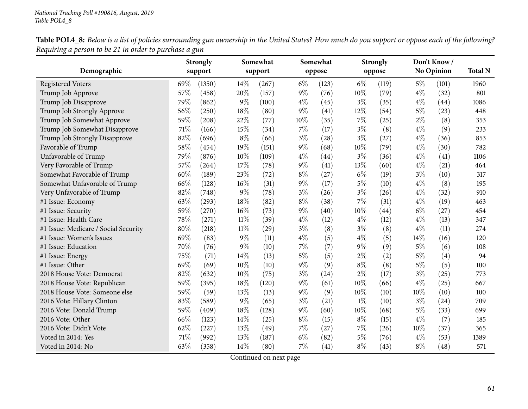Table POL4\_8: Below is a list of policies surrounding gun ownership in the United States? How much do you support or oppose each of the following? *Requiring <sup>a</sup> person to be <sup>21</sup> in order to purchase <sup>a</sup> gun* $\overline{\phantom{0}}$ 

|                                      |     | <b>Strongly</b> |        | Somewhat |        | Somewhat |       | <b>Strongly</b> |       | Don't Know/<br>No Opinion |                |
|--------------------------------------|-----|-----------------|--------|----------|--------|----------|-------|-----------------|-------|---------------------------|----------------|
| Demographic                          |     | support         |        | support  |        | oppose   |       | oppose          |       |                           | <b>Total N</b> |
| <b>Registered Voters</b>             | 69% | (1350)          | 14\%   | (267)    | $6\%$  | (123)    | $6\%$ | (119)           | $5\%$ | (101)                     | 1960           |
| Trump Job Approve                    | 57% | (458)           | 20%    | (157)    | $9\%$  | (76)     | 10%   | (79)            | $4\%$ | (32)                      | 801            |
| Trump Job Disapprove                 | 79% | (862)           | $9\%$  | (100)    | $4\%$  | (45)     | $3\%$ | (35)            | $4\%$ | (44)                      | 1086           |
| Trump Job Strongly Approve           | 56% | (250)           | 18%    | (80)     | $9\%$  | (41)     | 12%   | (54)            | $5\%$ | (23)                      | 448            |
| Trump Job Somewhat Approve           | 59% | (208)           | 22%    | (77)     | $10\%$ | (35)     | $7\%$ | (25)            | $2\%$ | (8)                       | 353            |
| Trump Job Somewhat Disapprove        | 71% | (166)           | 15%    | (34)     | 7%     | (17)     | $3\%$ | (8)             | $4\%$ | (9)                       | 233            |
| Trump Job Strongly Disapprove        | 82% | (696)           | $8\%$  | (66)     | $3\%$  | (28)     | $3\%$ | (27)            | $4\%$ | (36)                      | 853            |
| Favorable of Trump                   | 58% | (454)           | 19%    | (151)    | 9%     | (68)     | 10%   | (79)            | $4\%$ | (30)                      | 782            |
| Unfavorable of Trump                 | 79% | (876)           | 10%    | (109)    | $4\%$  | (44)     | $3\%$ | (36)            | $4\%$ | (41)                      | 1106           |
| Very Favorable of Trump              | 57% | (264)           | 17%    | (78)     | 9%     | (41)     | 13%   | (60)            | $4\%$ | (21)                      | 464            |
| Somewhat Favorable of Trump          | 60% | (189)           | 23%    | (72)     | $8\%$  | (27)     | $6\%$ | (19)            | $3\%$ | (10)                      | 317            |
| Somewhat Unfavorable of Trump        | 66% | (128)           | 16%    | (31)     | $9\%$  | (17)     | $5\%$ | (10)            | $4\%$ | (8)                       | 195            |
| Very Unfavorable of Trump            | 82% | (748)           | $9\%$  | (78)     | $3\%$  | (26)     | $3\%$ | (26)            | $4\%$ | (32)                      | 910            |
| #1 Issue: Economy                    | 63% | (293)           | 18%    | (82)     | $8\%$  | (38)     | $7\%$ | (31)            | $4\%$ | (19)                      | 463            |
| #1 Issue: Security                   | 59% | (270)           | $16\%$ | (73)     | 9%     | (40)     | 10%   | (44)            | $6\%$ | (27)                      | 454            |
| #1 Issue: Health Care                | 78% | (271)           | $11\%$ | (39)     | $4\%$  | (12)     | $4\%$ | (12)            | $4\%$ | (13)                      | 347            |
| #1 Issue: Medicare / Social Security | 80% | (218)           | $11\%$ | (29)     | $3\%$  | (8)      | $3\%$ | (8)             | $4\%$ | (11)                      | 274            |
| #1 Issue: Women's Issues             | 69% | (83)            | $9\%$  | (11)     | $4\%$  | (5)      | $4\%$ | (5)             | 14%   | (16)                      | 120            |
| #1 Issue: Education                  | 70% | (76)            | $9\%$  | (10)     | 7%     | (7)      | 9%    | (9)             | $5\%$ | (6)                       | 108            |
| #1 Issue: Energy                     | 75% | (71)            | 14%    | (13)     | $5\%$  | (5)      | $2\%$ | (2)             | $5\%$ | (4)                       | 94             |
| #1 Issue: Other                      | 69% | (69)            | 10%    | (10)     | $9\%$  | (9)      | $8\%$ | (8)             | $5\%$ | (5)                       | 100            |
| 2018 House Vote: Democrat            | 82% | (632)           | 10%    | (75)     | $3\%$  | (24)     | $2\%$ | (17)            | $3\%$ | (25)                      | 773            |
| 2018 House Vote: Republican          | 59% | (395)           | 18%    | (120)    | 9%     | (61)     | 10%   | (66)            | $4\%$ | (25)                      | 667            |
| 2018 House Vote: Someone else        | 59% | (59)            | 13%    | (13)     | $9\%$  | (9)      | 10%   | (10)            | 10%   | (10)                      | 100            |
| 2016 Vote: Hillary Clinton           | 83% | (589)           | $9\%$  | (65)     | $3\%$  | (21)     | $1\%$ | (10)            | $3\%$ | (24)                      | 709            |
| 2016 Vote: Donald Trump              | 59% | (409)           | 18%    | (128)    | 9%     | (60)     | 10%   | (68)            | $5\%$ | (33)                      | 699            |
| 2016 Vote: Other                     | 66% | (123)           | 14%    | (25)     | $8\%$  | (15)     | $8\%$ | (15)            | $4\%$ | (7)                       | 185            |
| 2016 Vote: Didn't Vote               | 62% | (227)           | 13%    | (49)     | 7%     | (27)     | 7%    | (26)            | 10%   | (37)                      | 365            |
| Voted in 2014: Yes                   | 71% | (992)           | 13%    | (187)    | $6\%$  | (82)     | 5%    | (76)            | $4\%$ | (53)                      | 1389           |
| Voted in 2014: No                    | 63% | (358)           | 14%    | (80)     | 7%     | (41)     | $8\%$ | (43)            | $8\%$ | (48)                      | 571            |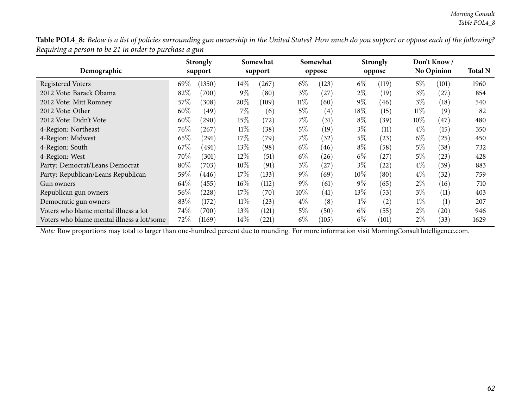Table POL4\_8: Below is a list of policies surrounding gun ownership in the United States? How much do you support or oppose each of the following? *Requiring <sup>a</sup> person to be <sup>21</sup> in order to purchase <sup>a</sup> gun*

| Demographic                                |        | <b>Strongly</b><br>support |        | Somewhat<br>support |        | Somewhat<br>oppose |        | <b>Strongly</b><br>oppose |        | Don't Know/<br><b>No Opinion</b> | <b>Total N</b> |
|--------------------------------------------|--------|----------------------------|--------|---------------------|--------|--------------------|--------|---------------------------|--------|----------------------------------|----------------|
|                                            |        |                            |        |                     |        |                    |        |                           |        |                                  |                |
| <b>Registered Voters</b>                   | 69\%   | (1350)                     | $14\%$ | (267)               | $6\%$  | (123)              | $6\%$  | (119)                     | 5%     | (101)                            | 1960           |
| 2012 Vote: Barack Obama                    | 82%    | (700)                      | $9\%$  | (80)                | $3\%$  | $^{'}27)$          | $2\%$  | (19)                      | $3\%$  | (27                              | 854            |
| 2012 Vote: Mitt Romney                     | 57%    | (308)                      | 20%    | (109)               | $11\%$ | (60)               | $9\%$  | (46)                      | $3\%$  | (18)                             | 540            |
| 2012 Vote: Other                           | $60\%$ | (49                        | $7\%$  | (6)                 | $5\%$  | $\left( 4\right)$  | $18\%$ | (15)                      | $11\%$ | (9)                              | 82             |
| 2012 Vote: Didn't Vote                     | 60\%   | (290)                      | 15%    | (72)                | $7\%$  | (31)               | $8\%$  | (39)                      | $10\%$ | $^{'}47$                         | 480            |
| 4-Region: Northeast                        | 76\%   | (267)                      | $11\%$ | (38)                | 5%     | (19)               | $3\%$  | (11)                      | $4\%$  | (15)                             | 350            |
| 4-Region: Midwest                          | 65\%   | (291)                      | 17%    | (79)                | $7\%$  | (32)               | $5\%$  | (23)                      | $6\%$  | (25)                             | 450            |
| 4-Region: South                            | 67\%   | (491)                      | $13\%$ | (98)                | $6\%$  | (46)               | $8\%$  | (58)                      | 5%     | (38)                             | 732            |
| 4-Region: West                             | 70\%   | (301)                      | $12\%$ | (51)                | $6\%$  | (26)               | $6\%$  | (27)                      | $5\%$  | (23)                             | 428            |
| Party: Democrat/Leans Democrat             | $80\%$ | (703)                      | $10\%$ | (91)                | $3\%$  | $^{'}27)$          | $3\%$  | (22)                      | $4\%$  | (39)                             | 883            |
| Party: Republican/Leans Republican         | 59%    | (446)                      | 17\%   | (133)               | $9\%$  | (69)               | $10\%$ | (80)                      | $4\%$  | (32)                             | 759            |
| Gun owners                                 | 64\%   | (455)                      | $16\%$ | (112)               | $9\%$  | (61)               | $9\%$  | (65)                      | $2\%$  | (16)                             | 710            |
| Republican gun owners                      | 56\%   | (228)                      | 17%    | (70)                | $10\%$ | (41)               | $13\%$ | (53)                      | $3\%$  | (11)                             | 403            |
| Democratic gun owners                      | 83\%   | (172)                      | $11\%$ | (23)                | $4\%$  | (8)                | $1\%$  | (2)                       | $1\%$  | (1)                              | 207            |
| Voters who blame mental illness a lot      | 74\%   | (700)                      | $13\%$ | (121)               | $5\%$  | (50)               | $6\%$  | (55)                      | $2\%$  | (20)                             | 946            |
| Voters who blame mental illness a lot/some | 72\%   | (1169)                     | $14\%$ | (221)               | $6\%$  | (105)              | $6\%$  | (101)                     | $2\%$  | (33)                             | 1629           |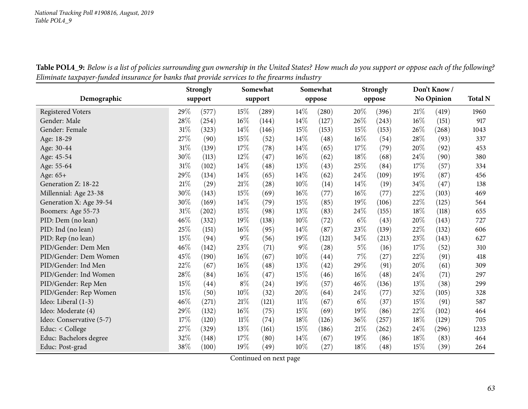|                          | <b>Strongly</b> |         | Somewhat |         | Somewhat |        | <b>Strongly</b> |        | Don't Know/ |            |                |
|--------------------------|-----------------|---------|----------|---------|----------|--------|-----------------|--------|-------------|------------|----------------|
| Demographic              |                 | support |          | support |          |        |                 |        |             | No Opinion | <b>Total N</b> |
|                          |                 |         |          |         |          | oppose |                 | oppose |             |            |                |
| <b>Registered Voters</b> | 29%             | (577)   | 15%      | (289)   | 14\%     | (280)  | 20%             | (396)  | 21\%        | (419)      | 1960           |
| Gender: Male             | 28%             | (254)   | 16%      | (144)   | 14%      | (127)  | 26%             | (243)  | 16%         | (151)      | 917            |
| Gender: Female           | 31%             | (323)   | 14\%     | (146)   | 15%      | (153)  | 15%             | (153)  | 26%         | (268)      | 1043           |
| Age: 18-29               | 27%             | (90)    | 15%      | (52)    | 14%      | (48)   | 16%             | (54)   | 28%         | (93)       | 337            |
| Age: 30-44               | 31%             | (139)   | 17%      | (78)    | 14%      | (65)   | 17%             | (79)   | 20%         | (92)       | 453            |
| Age: 45-54               | 30%             | (113)   | 12%      | (47)    | 16%      | (62)   | 18%             | (68)   | 24\%        | (90)       | 380            |
| Age: 55-64               | 31%             | (102)   | 14%      | (48)    | 13%      | (43)   | 25%             | (84)   | 17%         | (57)       | 334            |
| Age: 65+                 | 29%             | (134)   | 14%      | (65)    | 14%      | (62)   | 24%             | (109)  | 19%         | (87)       | 456            |
| Generation Z: 18-22      | $21\%$          | (29)    | 21%      | (28)    | 10%      | (14)   | 14%             | (19)   | 34%         | (47)       | 138            |
| Millennial: Age 23-38    | 30%             | (143)   | 15%      | (69)    | 16%      | (77)   | 16%             | (77)   | 22%         | (103)      | 469            |
| Generation X: Age 39-54  | 30%             | (169)   | 14%      | (79)    | 15%      | (85)   | 19%             | (106)  | 22%         | (125)      | 564            |
| Boomers: Age 55-73       | $31\%$          | (202)   | 15%      | (98)    | 13%      | (83)   | 24\%            | (155)  | 18%         | (118)      | 655            |
| PID: Dem (no lean)       | $46\%$          | (332)   | $19\%$   | (138)   | $10\%$   | (72)   | $6\%$           | (43)   | 20%         | (143)      | 727            |
| PID: Ind (no lean)       | 25%             | (151)   | 16%      | (95)    | 14%      | (87)   | 23%             | (139)  | 22%         | (132)      | 606            |
| PID: Rep (no lean)       | 15%             | (94)    | $9\%$    | (56)    | 19%      | (121)  | 34%             | (213)  | 23%         | (143)      | 627            |
| PID/Gender: Dem Men      | 46%             | (142)   | 23\%     | (71)    | $9\%$    | (28)   | $5\%$           | (16)   | 17%         | (52)       | 310            |
| PID/Gender: Dem Women    | 45%             | (190)   | 16%      | (67)    | 10%      | (44)   | 7%              | (27)   | 22%         | (91)       | 418            |
| PID/Gender: Ind Men      | $22\%$          | (67)    | 16%      | (48)    | 13%      | (42)   | 29%             | (91)   | 20%         | (61)       | 309            |
| PID/Gender: Ind Women    | 28%             | (84)    | 16%      | (47)    | 15%      | (46)   | 16%             | (48)   | 24\%        | (71)       | 297            |
| PID/Gender: Rep Men      | 15%             | (44)    | $8\%$    | (24)    | 19%      | (57)   | 46%             | (136)  | 13%         | (38)       | 299            |
| PID/Gender: Rep Women    | $15\%$          | (50)    | 10%      | (32)    | 20%      | (64)   | 24%             | (77)   | 32%         | (105)      | 328            |
| Ideo: Liberal (1-3)      | 46%             | (271)   | $21\%$   | (121)   | 11%      | (67)   | $6\%$           | (37)   | 15%         | (91)       | 587            |
| Ideo: Moderate (4)       | 29%             | (132)   | 16%      | (75)    | 15%      | (69)   | 19%             | (86)   | 22%         | (102)      | 464            |
| Ideo: Conservative (5-7) | $17\%$          | (120)   | $11\%$   | (74)    | 18%      | (126)  | 36%             | (257)  | 18%         | (129)      | 705            |
| Educ: < College          | $27\%$          | (329)   | 13%      | (161)   | 15%      | (186)  | 21%             | (262)  | 24\%        | (296)      | 1233           |
| Educ: Bachelors degree   | 32%             | (148)   | 17%      | (80)    | 14%      | (67)   | 19%             | (86)   | 18%         | (83)       | 464            |
| Educ: Post-grad          | $38\%$          | (100)   | 19%      | (49)    | 10%      | (27)   | 18%             | (48)   | 15%         | (39)       | 264            |

Table POL4\_9: Below is a list of policies surrounding gun ownership in the United States? How much do you support or oppose each of the following? Eliminate taxpayer-funded insurance for banks that provide services to the firearms industry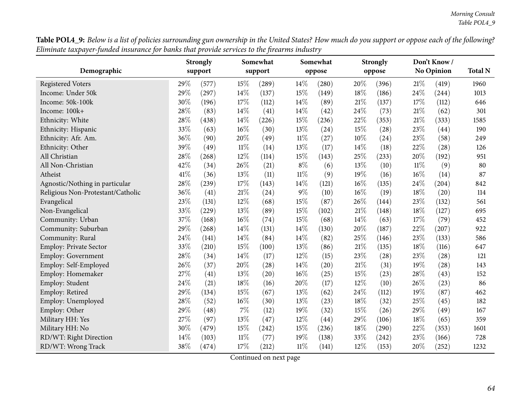Table POL4\_9: Below is a list of policies surrounding gun ownership in the United States? How much do you support or oppose each of the following? Eliminate taxpayer-funded insurance for banks that provide services to the firearms industry

|                                   |      | <b>Strongly</b> |        | Somewhat |        | Somewhat |      | <b>Strongly</b> |        | Don't Know/       |                |
|-----------------------------------|------|-----------------|--------|----------|--------|----------|------|-----------------|--------|-------------------|----------------|
| Demographic                       |      | support         |        | support  |        | oppose   |      | oppose          |        | <b>No Opinion</b> | <b>Total N</b> |
| <b>Registered Voters</b>          | 29%  | (577)           | 15%    | (289)    | 14%    | (280)    | 20%  | (396)           | 21%    | (419)             | 1960           |
| Income: Under 50k                 | 29%  | (297)           | 14%    | (137)    | 15%    | (149)    | 18%  | (186)           | 24\%   | (244)             | 1013           |
| Income: 50k-100k                  | 30%  | (196)           | 17%    | (112)    | 14%    | (89)     | 21%  | (137)           | 17%    | (112)             | 646            |
| Income: 100k+                     | 28%  | (83)            | 14%    | (41)     | 14%    | (42)     | 24%  | (73)            | 21%    | (62)              | 301            |
| Ethnicity: White                  | 28%  | (438)           | 14%    | (226)    | 15%    | (236)    | 22%  | (353)           | 21%    | (333)             | 1585           |
| Ethnicity: Hispanic               | 33%  | (63)            | $16\%$ | (30)     | 13%    | (24)     | 15%  | (28)            | 23%    | (44)              | 190            |
| Ethnicity: Afr. Am.               | 36%  | (90)            | 20%    | (49)     | $11\%$ | (27)     | 10%  | (24)            | 23%    | (58)              | 249            |
| Ethnicity: Other                  | 39%  | (49)            | $11\%$ | (14)     | 13%    | (17)     | 14\% | (18)            | 22%    | (28)              | 126            |
| All Christian                     | 28%  | (268)           | 12%    | (114)    | 15%    | (143)    | 25%  | (233)           | 20%    | (192)             | 951            |
| All Non-Christian                 | 42%  | (34)            | 26%    | (21)     | $8\%$  | (6)      | 13%  | (10)            | $11\%$ | (9)               | 80             |
| Atheist                           | 41\% | (36)            | 13%    | (11)     | $11\%$ | (9)      | 19%  | (16)            | 16%    | (14)              | 87             |
| Agnostic/Nothing in particular    | 28%  | (239)           | 17%    | (143)    | 14%    | (121)    | 16%  | (135)           | 24\%   | (204)             | 842            |
| Religious Non-Protestant/Catholic | 36%  | (41)            | $21\%$ | (24)     | $9\%$  | (10)     | 16%  | (19)            | 18%    | (20)              | 114            |
| Evangelical                       | 23%  | (131)           | 12%    | (68)     | 15%    | (87)     | 26%  | (144)           | 23%    | (132)             | 561            |
| Non-Evangelical                   | 33%  | (229)           | 13%    | (89)     | 15%    | (102)    | 21%  | (148)           | 18%    | (127)             | 695            |
| Community: Urban                  | 37%  | (168)           | $16\%$ | (74)     | 15%    | (68)     | 14%  | (63)            | 17%    | (79)              | 452            |
| Community: Suburban               | 29%  | (268)           | 14%    | (131)    | 14%    | (130)    | 20%  | (187)           | 22%    | (207)             | 922            |
| Community: Rural                  | 24%  | (141)           | 14%    | (84)     | 14%    | (82)     | 25%  | (146)           | 23%    | (133)             | 586            |
| Employ: Private Sector            | 33%  | (210)           | 15%    | (100)    | 13%    | (86)     | 21%  | (135)           | 18%    | (116)             | 647            |
| <b>Employ: Government</b>         | 28%  | (34)            | 14%    | (17)     | 12%    | (15)     | 23%  | (28)            | 23%    | (28)              | 121            |
| Employ: Self-Employed             | 26%  | (37)            | 20%    | (28)     | 14%    | (20)     | 21%  | (31)            | 19%    | (28)              | 143            |
| Employ: Homemaker                 | 27%  | (41)            | 13%    | (20)     | 16%    | (25)     | 15%  | (23)            | 28%    | (43)              | 152            |
| Employ: Student                   | 24%  | (21)            | 18%    | (16)     | 20%    | (17)     | 12%  | (10)            | 26%    | (23)              | 86             |
| Employ: Retired                   | 29%  | (134)           | 15%    | (67)     | 13%    | (62)     | 24%  | (112)           | $19\%$ | (87)              | 462            |
| Employ: Unemployed                | 28%  | (52)            | $16\%$ | (30)     | 13%    | (23)     | 18%  | (32)            | 25%    | (45)              | 182            |
| Employ: Other                     | 29%  | (48)            | $7\%$  | (12)     | 19%    | (32)     | 15%  | (26)            | 29%    | (49)              | 167            |
| Military HH: Yes                  | 27%  | (97)            | 13%    | (47)     | 12%    | (44)     | 29%  | (106)           | 18%    | (65)              | 359            |
| Military HH: No                   | 30%  | (479)           | 15%    | (242)    | 15%    | (236)    | 18%  | (290)           | 22%    | (353)             | 1601           |
| RD/WT: Right Direction            | 14%  | (103)           | $11\%$ | (77)     | 19%    | (138)    | 33%  | (242)           | 23%    | (166)             | 728            |
| RD/WT: Wrong Track                | 38%  | (474)           | 17%    | (212)    | 11%    | (141)    | 12%  | (153)           | 20%    | (252)             | 1232           |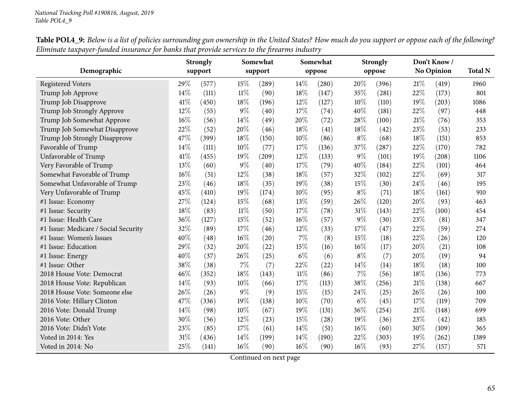|                                      |      | <b>Strongly</b> |        | Somewhat            |       | Somewhat |       | <b>Strongly</b> |      | Don't Know/         |                |
|--------------------------------------|------|-----------------|--------|---------------------|-------|----------|-------|-----------------|------|---------------------|----------------|
| Demographic                          |      | support         |        | support             |       | oppose   |       | oppose          |      | No Opinion          | <b>Total N</b> |
| <b>Registered Voters</b>             | 29%  | (577)           | 15%    | (289)               | 14\%  | (280)    | 20%   | (396)           | 21\% | (419)               | 1960           |
| Trump Job Approve                    | 14%  | (111)           | $11\%$ | (90)                | 18%   | (147)    | 35%   | (281)           | 22%  | (173)               | 801            |
| Trump Job Disapprove                 | 41\% | (450)           | 18%    | (196)               | 12%   | (127)    | 10%   | (110)           | 19%  | (203)               | 1086           |
| Trump Job Strongly Approve           | 12%  | (55)            | $9\%$  | (40)                | 17%   | (74)     | 40%   | (181)           | 22%  | (97)                | 448            |
| Trump Job Somewhat Approve           | 16%  | (56)            | 14%    | (49)                | 20%   | (72)     | 28%   | (100)           | 21%  | (76)                | 353            |
| Trump Job Somewhat Disapprove        | 22%  | (52)            | 20%    | (46)                | 18%   | (41)     | 18%   | (42)            | 23%  | (53)                | 233            |
| Trump Job Strongly Disapprove        | 47%  | (399)           | 18%    | (150)               | 10%   | (86)     | $8\%$ | (68)            | 18%  | (151)               | 853            |
| Favorable of Trump                   | 14%  | (111)           | 10%    | (77)                | 17%   | (136)    | 37%   | (287)           | 22%  | (170)               | 782            |
| Unfavorable of Trump                 | 41\% | (455)           | 19%    | $\left( 209\right)$ | 12%   | (133)    | $9\%$ | (101)           | 19%  | $\left( 208\right)$ | 1106           |
| Very Favorable of Trump              | 13%  | (60)            | $9\%$  | (40)                | 17%   | (79)     | 40%   | (184)           | 22%  | (101)               | 464            |
| Somewhat Favorable of Trump          | 16%  | (51)            | 12%    | (38)                | 18%   | (57)     | 32%   | (102)           | 22%  | (69)                | 317            |
| Somewhat Unfavorable of Trump        | 23%  | (46)            | 18%    | (35)                | 19%   | (38)     | 15%   | (30)            | 24%  | (46)                | 195            |
| Very Unfavorable of Trump            | 45%  | (410)           | 19%    | (174)               | 10%   | (95)     | $8\%$ | (71)            | 18%  | (161)               | 910            |
| #1 Issue: Economy                    | 27%  | (124)           | 15%    | (68)                | 13%   | (59)     | 26%   | (120)           | 20%  | (93)                | 463            |
| #1 Issue: Security                   | 18%  | (83)            | $11\%$ | (50)                | 17%   | (78)     | 31%   | (143)           | 22%  | (100)               | 454            |
| #1 Issue: Health Care                | 36%  | (127)           | 15%    | (52)                | 16%   | (57)     | $9\%$ | (30)            | 23%  | (81)                | 347            |
| #1 Issue: Medicare / Social Security | 32%  | (89)            | 17%    | (46)                | 12%   | (33)     | 17%   | (47)            | 22%  | (59)                | 274            |
| #1 Issue: Women's Issues             | 40%  | (48)            | 16%    | (20)                | 7%    | (8)      | 15%   | (18)            | 22%  | (26)                | 120            |
| #1 Issue: Education                  | 29%  | (32)            | 20%    | (22)                | 15%   | (16)     | 16%   | (17)            | 20%  | (21)                | 108            |
| #1 Issue: Energy                     | 40%  | (37)            | 26%    | (25)                | $6\%$ | (6)      | $8\%$ | (7)             | 20%  | (19)                | 94             |
| #1 Issue: Other                      | 38%  | (38)            | 7%     | (7)                 | 22%   | (22)     | 14%   | (14)            | 18%  | (18)                | 100            |
| 2018 House Vote: Democrat            | 46%  | (352)           | 18%    | (143)               | 11%   | (86)     | $7\%$ | (56)            | 18%  | (136)               | 773            |
| 2018 House Vote: Republican          | 14%  | (93)            | 10%    | (66)                | 17%   | (113)    | 38%   | (256)           | 21%  | (138)               | 667            |
| 2018 House Vote: Someone else        | 26%  | (26)            | $9\%$  | (9)                 | 15%   | (15)     | 24%   | (25)            | 26%  | (26)                | 100            |
| 2016 Vote: Hillary Clinton           | 47%  | (336)           | 19%    | (138)               | 10%   | (70)     | $6\%$ | (45)            | 17%  | (119)               | 709            |
| 2016 Vote: Donald Trump              | 14%  | (98)            | 10%    | (67)                | 19%   | (131)    | 36%   | (254)           | 21%  | (148)               | 699            |
| 2016 Vote: Other                     | 30%  | (56)            | 12%    | (23)                | 15%   | (28)     | 19%   | (36)            | 23%  | (42)                | 185            |
| 2016 Vote: Didn't Vote               | 23%  | (85)            | 17\%   | (61)                | 14\%  | (51)     | 16%   | (60)            | 30%  | (109)               | 365            |
| Voted in 2014: Yes                   | 31%  | (436)           | 14%    | (199)               | 14%   | (190)    | 22%   | (303)           | 19%  | (262)               | 1389           |
| Voted in 2014: No                    | 25%  | (141)           | 16%    | (90)                | 16%   | (90)     | 16%   | (93)            | 27%  | (157)               | 571            |

Table POL4\_9: Below is a list of policies surrounding gun ownership in the United States? How much do you support or oppose each of the following? Eliminate taxpayer-funded insurance for banks that provide services to the firearms industry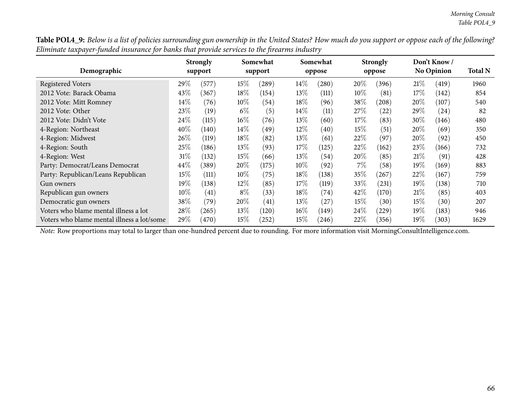Table POL4\_9: Below is a list of policies surrounding gun ownership in the United States? How much do you support or oppose each of the following? Eliminate taxpayer-funded insurance for banks that provide services to the firearms industry

| Demographic                                |        | <b>Strongly</b><br>support |        | Somewhat<br>support |        | Somewhat |        | <b>Strongly</b><br>oppose |        | Don't Know /<br><b>No Opinion</b> | <b>Total N</b> |
|--------------------------------------------|--------|----------------------------|--------|---------------------|--------|----------|--------|---------------------------|--------|-----------------------------------|----------------|
|                                            |        |                            |        |                     |        | oppose   |        |                           |        |                                   |                |
| <b>Registered Voters</b>                   | 29%    | (577)                      | 15%    | (289)               | 14\%   | (280)    | 20%    | (396)                     | 21%    | (419)                             | 1960           |
| 2012 Vote: Barack Obama                    | 43%    | 367                        | 18%    | (154)               | $13\%$ | (111)    | $10\%$ | (81)                      | 17%    | $\left(142\right)$                | 854            |
| 2012 Vote: Mitt Romney                     | 14%    | (76)                       | $10\%$ | (54)                | $18\%$ | (96)     | 38\%   | (208)                     | $20\%$ | (107)                             | 540            |
| 2012 Vote: Other                           | 23\%   | (19)                       | $6\%$  | (5)                 | $14\%$ | (11)     | 27%    | (22)                      | 29\%   | (24)                              | 82             |
| 2012 Vote: Didn't Vote                     | 24%    | (115)                      | $16\%$ | (76)                | $13\%$ | (60)     | 17%    | (83)                      | $30\%$ | (146)                             | 480            |
| 4-Region: Northeast                        | 40%    | (140)                      | $14\%$ | (49)                | $12\%$ | (40)     | $15\%$ | (51)                      | $20\%$ | (69)                              | 350            |
| 4-Region: Midwest                          | $26\%$ | (119)                      | $18\%$ | (82)                | $13\%$ | (61)     | 22\%   | (97)                      | $20\%$ | (92)                              | 450            |
| 4-Region: South                            | 25%    | (186)                      | $13\%$ | (93)                | 17%    | (125)    | 22%    | (162)                     | 23\%   | (166)                             | 732            |
| 4-Region: West                             | $31\%$ | (132)                      | 15%    | (66)                | 13\%   | (54)     | 20%    | (85)                      | 21%    | (91)                              | 428            |
| Party: Democrat/Leans Democrat             | $44\%$ | (389)                      | 20%    | (175)               | $10\%$ | (92)     | 7%     | (58)                      | $19\%$ | (169)                             | 883            |
| Party: Republican/Leans Republican         | $15\%$ | (111)                      | $10\%$ | (75)                | 18\%   | (138)    | 35%    | (267)                     | 22%    | (167)                             | 759            |
| Gun owners                                 | 19%    | (138)                      | $12\%$ | (85)                | $17\%$ | (119)    | $33\%$ | (231)                     | $19\%$ | (138)                             | 710            |
| Republican gun owners                      | $10\%$ | (41)                       | $8\%$  | (33)                | 18%    | (74)     | 42\%   | (170)                     | 21%    | (85)                              | 403            |
| Democratic gun owners                      | 38%    | (79                        | 20%    | (41)                | $13\%$ | (27)     | $15\%$ | (30)                      | 15%    | (30)                              | 207            |
| Voters who blame mental illness a lot      | 28%    | (265)                      | 13\%   | (120)               | $16\%$ | (149)    | 24%    | $^{'}229)$                | $19\%$ | (183)                             | 946            |
| Voters who blame mental illness a lot/some | 29%    | (470)                      | 15%    | (252)               | $15\%$ | (246)    | 22%    | (356)                     | $19\%$ | (303)                             | 1629           |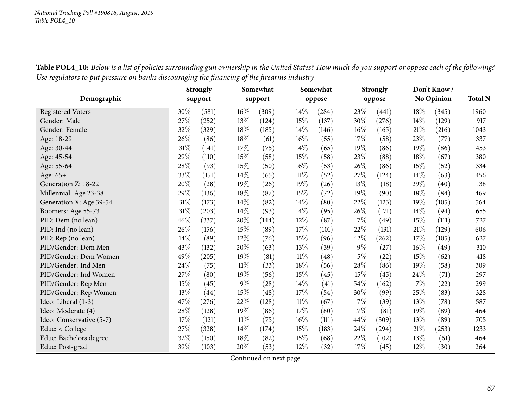|                          |        | <b>Strongly</b> |        | Somewhat |        | Somewhat |       | <b>Strongly</b> |        | Don't Know/ |                |
|--------------------------|--------|-----------------|--------|----------|--------|----------|-------|-----------------|--------|-------------|----------------|
| Demographic              |        | support         |        | support  |        | oppose   |       | oppose          |        | No Opinion  | <b>Total N</b> |
| <b>Registered Voters</b> | 30%    | (581)           | $16\%$ | (309)    | $14\%$ | (284)    | 23%   | (441)           | 18%    | (345)       | 1960           |
| Gender: Male             | 27%    | (252)           | 13%    | (124)    | 15%    | (137)    | 30%   | (276)           | 14%    | (129)       | 917            |
| Gender: Female           | 32%    | (329)           | 18%    | (185)    | 14%    | (146)    | 16%   | (165)           | 21%    | (216)       | 1043           |
| Age: 18-29               | 26%    | (86)            | 18%    | (61)     | $16\%$ | (55)     | 17%   | (58)            | 23%    | (77)        | 337            |
| Age: 30-44               | 31%    | (141)           | 17%    | (75)     | 14%    | (65)     | 19%   | (86)            | 19%    | (86)        | 453            |
| Age: 45-54               | 29%    | (110)           | 15%    | (58)     | 15%    | (58)     | 23%   | (88)            | 18%    | (67)        | 380            |
| Age: 55-64               | 28%    | (93)            | 15%    | (50)     | 16%    | (53)     | 26%   | (86)            | 15%    | (52)        | 334            |
| Age: 65+                 | 33%    | (151)           | 14%    | (65)     | $11\%$ | (52)     | 27%   | (124)           | 14%    | (63)        | 456            |
| Generation Z: 18-22      | 20%    | (28)            | 19%    | (26)     | 19%    | (26)     | 13%   | (18)            | 29%    | (40)        | 138            |
| Millennial: Age 23-38    | 29%    | (136)           | 18%    | (87)     | $15\%$ | (72)     | 19%   | (90)            | 18%    | (84)        | 469            |
| Generation X: Age 39-54  | 31%    | (173)           | 14%    | (82)     | 14%    | (80)     | 22%   | (123)           | 19%    | (105)       | 564            |
| Boomers: Age 55-73       | $31\%$ | (203)           | 14%    | (93)     | 14%    | (95)     | 26%   | (171)           | 14%    | (94)        | 655            |
| PID: Dem (no lean)       | 46\%   | (337)           | 20%    | (144)    | $12\%$ | (87)     | 7%    | (49)            | 15%    | (111)       | 727            |
| PID: Ind (no lean)       | 26%    | (156)           | 15%    | (89)     | 17%    | (101)    | 22%   | (131)           | $21\%$ | (129)       | 606            |
| PID: Rep (no lean)       | 14%    | (89)            | $12\%$ | (76)     | 15%    | (96)     | 42%   | (262)           | 17%    | (105)       | 627            |
| PID/Gender: Dem Men      | 43%    | (132)           | 20%    | (63)     | 13%    | (39)     | $9\%$ | (27)            | 16%    | (49)        | 310            |
| PID/Gender: Dem Women    | 49%    | (205)           | 19%    | (81)     | $11\%$ | (48)     | $5\%$ | (22)            | 15%    | (62)        | 418            |
| PID/Gender: Ind Men      | 24%    | (75)            | $11\%$ | (33)     | 18%    | (56)     | 28%   | (86)            | 19%    | (58)        | 309            |
| PID/Gender: Ind Women    | 27%    | (80)            | 19%    | (56)     | 15%    | (45)     | 15%   | (45)            | 24%    | (71)        | 297            |
| PID/Gender: Rep Men      | 15%    | (45)            | $9\%$  | (28)     | 14%    | (41)     | 54%   | (162)           | 7%     | (22)        | 299            |
| PID/Gender: Rep Women    | 13%    | (44)            | 15%    | (48)     | 17%    | (54)     | 30%   | (99)            | 25%    | (83)        | 328            |
| Ideo: Liberal (1-3)      | 47%    | (276)           | 22%    | (128)    | $11\%$ | (67)     | $7\%$ | (39)            | 13%    | (78)        | 587            |
| Ideo: Moderate (4)       | 28\%   | (128)           | 19%    | (86)     | 17%    | (80)     | 17%   | (81)            | 19%    | (89)        | 464            |
| Ideo: Conservative (5-7) | 17%    | (121)           | $11\%$ | (75)     | $16\%$ | (111)    | 44%   | (309)           | 13%    | (89)        | 705            |
| Educ: < College          | $27\%$ | (328)           | 14%    | (174)    | 15%    | (183)    | 24\%  | (294)           | 21%    | (253)       | 1233           |
| Educ: Bachelors degree   | 32%    | (150)           | 18%    | (82)     | 15%    | (68)     | 22%   | (102)           | 13%    | (61)        | 464            |
| Educ: Post-grad          | 39%    | (103)           | 20%    | (53)     | 12%    | (32)     | 17%   | (45)            | 12%    | (30)        | 264            |

Table POL4\_10: Below is a list of policies surrounding gun ownership in the United States? How much do you support or oppose each of the following? Use regulators to put pressure on banks discouraging the financing of the firearms industry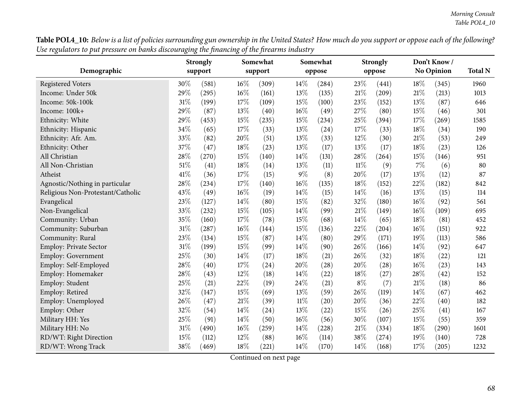**Table POL4\_10:** Below is a list of policies surrounding gun ownership in the United States? How much do you support or oppose each of the following? Use regulators to put pressure on banks discouraging the financing of the firearms industry

|                                   |        | <b>Strongly</b> |        | Somewhat            |        | Somewhat |        | <b>Strongly</b> |     | Don't Know/       |                |
|-----------------------------------|--------|-----------------|--------|---------------------|--------|----------|--------|-----------------|-----|-------------------|----------------|
| Demographic                       |        | support         |        | support             |        | oppose   |        | oppose          |     | <b>No Opinion</b> | <b>Total N</b> |
| <b>Registered Voters</b>          | 30%    | (581)           | 16%    | (309)               | 14%    | (284)    | 23%    | (441)           | 18% | (345)             | 1960           |
| Income: Under 50k                 | 29%    | (295)           | $16\%$ | (161)               | 13%    | (135)    | 21%    | (209)           | 21% | (213)             | 1013           |
| Income: 50k-100k                  | 31%    | (199)           | 17%    | (109)               | 15%    | (100)    | 23%    | (152)           | 13% | (87)              | 646            |
| Income: 100k+                     | 29%    | (87)            | 13%    | (40)                | 16%    | (49)     | 27%    | (80)            | 15% | (46)              | 301            |
| Ethnicity: White                  | 29%    | (453)           | 15%    | (235)               | 15%    | (234)    | 25%    | (394)           | 17% | (269)             | 1585           |
| Ethnicity: Hispanic               | 34%    | (65)            | 17%    | (33)                | 13%    | (24)     | 17%    | (33)            | 18% | (34)              | 190            |
| Ethnicity: Afr. Am.               | 33%    | (82)            | 20%    | (51)                | 13%    | (33)     | 12%    | (30)            | 21% | (53)              | 249            |
| Ethnicity: Other                  | 37%    | (47)            | 18%    | (23)                | 13%    | (17)     | 13%    | (17)            | 18% | (23)              | 126            |
| All Christian                     | 28%    | (270)           | 15%    | (140)               | 14%    | (131)    | 28%    | (264)           | 15% | (146)             | 951            |
| All Non-Christian                 | $51\%$ | (41)            | 18%    | (14)                | 13%    | (11)     | $11\%$ | (9)             | 7%  | (6)               | 80             |
| Atheist                           | 41\%   | (36)            | 17%    | (15)                | $9\%$  | (8)      | 20%    | (17)            | 13% | (12)              | 87             |
| Agnostic/Nothing in particular    | 28%    | (234)           | 17%    | (140)               | 16%    | (135)    | 18%    | (152)           | 22% | (182)             | 842            |
| Religious Non-Protestant/Catholic | 43%    | (49)            | $16\%$ | (19)                | 14%    | (15)     | 14%    | (16)            | 13% | (15)              | 114            |
| Evangelical                       | 23%    | (127)           | 14%    | (80)                | 15%    | (82)     | 32%    | (180)           | 16% | (92)              | 561            |
| Non-Evangelical                   | 33%    | (232)           | 15%    | (105)               | 14%    | (99)     | 21%    | (149)           | 16% | (109)             | 695            |
| Community: Urban                  | 35%    | (160)           | 17%    | (78)                | 15%    | (68)     | 14%    | (65)            | 18% | (81)              | 452            |
| Community: Suburban               | 31%    | (287)           | 16%    | (144)               | 15%    | (136)    | 22%    | (204)           | 16% | (151)             | 922            |
| Community: Rural                  | 23%    | (134)           | 15%    | (87)                | 14%    | (80)     | 29%    | (171)           | 19% | (113)             | 586            |
| <b>Employ: Private Sector</b>     | 31%    | (199)           | 15%    | (99)                | 14%    | (90)     | 26%    | (166)           | 14% | (92)              | 647            |
| Employ: Government                | 25%    | (30)            | 14%    | (17)                | 18%    | (21)     | 26%    | (32)            | 18% | (22)              | 121            |
| Employ: Self-Employed             | 28%    | (40)            | 17%    | (24)                | 20%    | (28)     | 20%    | (28)            | 16% | (23)              | 143            |
| Employ: Homemaker                 | 28%    | (43)            | 12%    | (18)                | 14%    | (22)     | 18%    | (27)            | 28% | (42)              | 152            |
| Employ: Student                   | 25%    | (21)            | 22%    | (19)                | 24%    | (21)     | $8\%$  | (7)             | 21% | (18)              | 86             |
| Employ: Retired                   | 32%    | (147)           | 15%    | (69)                | 13%    | (59)     | 26%    | (119)           | 14% | (67)              | 462            |
| Employ: Unemployed                | 26%    | (47)            | $21\%$ | (39)                | $11\%$ | (20)     | 20%    | (36)            | 22% | (40)              | 182            |
| Employ: Other                     | 32%    | (54)            | 14%    | (24)                | 13%    | (22)     | 15%    | (26)            | 25% | (41)              | 167            |
| Military HH: Yes                  | 25%    | (91)            | 14%    | (50)                | 16%    | (56)     | 30%    | (107)           | 15% | (55)              | 359            |
| Military HH: No                   | 31%    | (490)           | 16%    | $\left( 259\right)$ | 14\%   | (228)    | 21%    | (334)           | 18% | (290)             | 1601           |
| RD/WT: Right Direction            | 15%    | (112)           | 12%    | (88)                | 16%    | (114)    | 38%    | (274)           | 19% | (140)             | 728            |
| RD/WT: Wrong Track                | 38%    | (469)           | 18%    | (221)               | 14\%   | (170)    | 14%    | (168)           | 17% | (205)             | 1232           |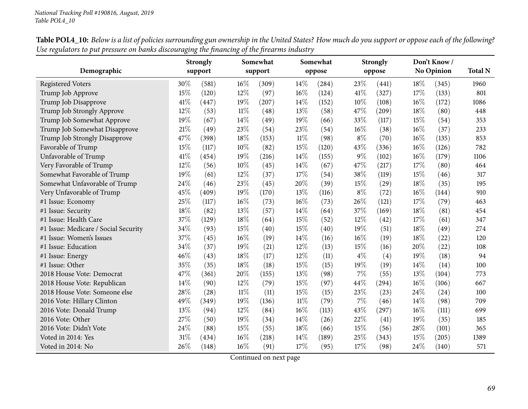| Demographic                          |      | <b>Strongly</b><br>support |        | Somewhat<br>support |      | Somewhat<br>oppose |       | <b>Strongly</b><br>oppose |      | Don't Know/<br>No Opinion | <b>Total N</b> |
|--------------------------------------|------|----------------------------|--------|---------------------|------|--------------------|-------|---------------------------|------|---------------------------|----------------|
| <b>Registered Voters</b>             | 30%  | (581)                      | $16\%$ | (309)               | 14\% | (284)              | 23%   | (441)                     | 18%  | (345)                     | 1960           |
| Trump Job Approve                    | 15%  | (120)                      | 12%    | (97)                | 16%  | (124)              | 41\%  | (327)                     | 17%  | (133)                     | 801            |
| Trump Job Disapprove                 | 41\% | (447)                      | 19%    | (207)               | 14%  | (152)              | 10%   | (108)                     | 16%  | (172)                     | 1086           |
| Trump Job Strongly Approve           | 12%  | (53)                       | 11%    | (48)                | 13%  | (58)               | 47%   | (209)                     | 18%  | (80)                      | 448            |
| Trump Job Somewhat Approve           | 19%  | (67)                       | 14%    | (49)                | 19%  | (66)               | 33%   | (117)                     | 15%  | (54)                      | 353            |
| Trump Job Somewhat Disapprove        | 21%  | (49)                       | 23%    | (54)                | 23%  | (54)               | 16%   | (38)                      | 16%  | (37)                      | 233            |
| Trump Job Strongly Disapprove        | 47%  | (398)                      | 18%    | (153)               | 11%  | (98)               | $8\%$ | (70)                      | 16%  | (135)                     | 853            |
| Favorable of Trump                   | 15%  | (117)                      | 10%    | (82)                | 15%  | (120)              | 43%   | (336)                     | 16%  | (126)                     | 782            |
| Unfavorable of Trump                 | 41\% | (454)                      | 19%    | (216)               | 14%  | (155)              | $9\%$ | (102)                     | 16%  | (179)                     | 1106           |
| Very Favorable of Trump              | 12%  | (56)                       | 10%    | (45)                | 14\% | (67)               | 47%   | (217)                     | 17%  | (80)                      | 464            |
| Somewhat Favorable of Trump          | 19%  | (61)                       | 12%    | (37)                | 17%  | (54)               | 38%   | (119)                     | 15%  | (46)                      | 317            |
| Somewhat Unfavorable of Trump        | 24%  | (46)                       | 23%    | (45)                | 20%  | (39)               | 15%   | (29)                      | 18%  | (35)                      | 195            |
| Very Unfavorable of Trump            | 45%  | (409)                      | 19%    | (170)               | 13%  | (116)              | $8\%$ | (72)                      | 16%  | (144)                     | 910            |
| #1 Issue: Economy                    | 25%  | (117)                      | $16\%$ | (73)                | 16%  | (73)               | 26%   | (121)                     | 17%  | (79)                      | 463            |
| #1 Issue: Security                   | 18%  | (82)                       | 13%    | (57)                | 14%  | (64)               | 37%   | (169)                     | 18%  | (81)                      | 454            |
| #1 Issue: Health Care                | 37%  | (129)                      | 18%    | (64)                | 15%  | (52)               | 12%   | (42)                      | 17%  | (61)                      | 347            |
| #1 Issue: Medicare / Social Security | 34%  | (93)                       | 15%    | (40)                | 15%  | (40)               | 19%   | (51)                      | 18%  | (49)                      | 274            |
| #1 Issue: Women's Issues             | 37%  | (45)                       | 16%    | (19)                | 14%  | (16)               | 16%   | (19)                      | 18%  | (22)                      | 120            |
| #1 Issue: Education                  | 34%  | (37)                       | 19%    | (21)                | 12%  | (13)               | 15%   | (16)                      | 20%  | (22)                      | 108            |
| #1 Issue: Energy                     | 46%  | (43)                       | 18%    | (17)                | 12%  | (11)               | $4\%$ | (4)                       | 19%  | (18)                      | 94             |
| #1 Issue: Other                      | 35%  | (35)                       | 18%    | (18)                | 15%  | (15)               | 19%   | (19)                      | 14%  | (14)                      | 100            |
| 2018 House Vote: Democrat            | 47%  | (361)                      | 20%    | (155)               | 13\% | (98)               | 7%    | (55)                      | 13%  | (104)                     | 773            |
| 2018 House Vote: Republican          | 14%  | (90)                       | 12%    | (79)                | 15%  | (97)               | 44%   | (294)                     | 16%  | (106)                     | 667            |
| 2018 House Vote: Someone else        | 28%  | (28)                       | $11\%$ | (11)                | 15%  | (15)               | 23%   | (23)                      | 24%  | (24)                      | 100            |
| 2016 Vote: Hillary Clinton           | 49%  | (349)                      | 19%    | (136)               | 11%  | (79)               | $7\%$ | (46)                      | 14\% | (98)                      | 709            |
| 2016 Vote: Donald Trump              | 13%  | (94)                       | 12%    | (84)                | 16%  | (113)              | 43%   | (297)                     | 16%  | (111)                     | 699            |
| 2016 Vote: Other                     | 27%  | (50)                       | 19%    | (34)                | 14%  | (26)               | 22%   | (41)                      | 19%  | (35)                      | 185            |
| 2016 Vote: Didn't Vote               | 24%  | (88)                       | 15%    | (55)                | 18%  | (66)               | 15%   | (56)                      | 28%  | (101)                     | 365            |
| Voted in 2014: Yes                   | 31%  | (434)                      | 16%    | (218)               | 14%  | (189)              | 25%   | (343)                     | 15%  | (205)                     | 1389           |
| Voted in 2014: No                    | 26%  | (148)                      | $16\%$ | (91)                | 17%  | (95)               | 17%   | (98)                      | 24%  | (140)                     | 571            |

Table POL4\_10: Below is a list of policies surrounding gun ownership in the United States? How much do you support or oppose each of the following? Use regulators to put pressure on banks discouraging the financing of the firearms industry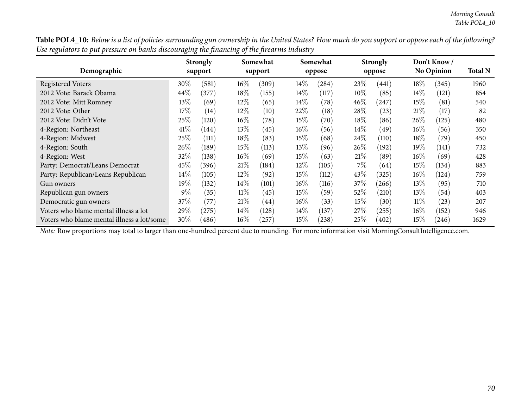Table POL4\_10: Below is a list of policies surrounding gun ownership in the United States? How much do you support or oppose each of the following? Use regulators to put pressure on banks discouraging the financing of the firearms industry

|                                            |        | <b>Strongly</b> |        | Somewhat |        | Somewhat   |        | <b>Strongly</b> |        | Don't Know/<br>No Opinion | <b>Total N</b> |
|--------------------------------------------|--------|-----------------|--------|----------|--------|------------|--------|-----------------|--------|---------------------------|----------------|
| Demographic                                |        | support         |        | support  |        | oppose     |        | oppose          |        |                           |                |
| <b>Registered Voters</b>                   | 30%    | (581)           | $16\%$ | (309)    | 14\%   | $^{'}284)$ | 23\%   | (441)           | 18%    | (345)                     | 1960           |
| 2012 Vote: Barack Obama                    | $44\%$ | (377)           | $18\%$ | (155)    | $14\%$ | (117)      | 10%    | (85)            | $14\%$ | (121)                     | 854            |
| 2012 Vote: Mitt Romney                     | $13\%$ | (69)            | $12\%$ | (65)     | $14\%$ | (78)       | $46\%$ | (247)           | $15\%$ | (81)                      | 540            |
| 2012 Vote: Other                           | 17%    | (14)            | $12\%$ | (10)     | $22\%$ | (18)       | 28\%   | (23)            | 21%    | (17)                      | 82             |
| 2012 Vote: Didn't Vote                     | 25\%   | (120)           | $16\%$ | (78)     | 15%    | (70)       | $18\%$ | (86)            | $26\%$ | (125)                     | 480            |
| 4-Region: Northeast                        | 41\%   | (144)           | $13\%$ | (45)     | $16\%$ | (56)       | $14\%$ | (49)            | $16\%$ | (56)                      | 350            |
| 4-Region: Midwest                          | 25\%   | (111)           | 18%    | (83)     | 15%    | (68)       | 24%    | (110)           | 18%    | (79`                      | 450            |
| 4-Region: South                            | $26\%$ | (189)           | 15%    | (113)    | $13\%$ | (96)       | $26\%$ | (192)           | $19\%$ | (141)                     | 732            |
| 4-Region: West                             | 32\%   | (138)           | $16\%$ | (69)     | 15%    | (63)       | 21%    | (89)            | $16\%$ | (69)                      | 428            |
| Party: Democrat/Leans Democrat             | 45\%   | (396)           | 21%    | (184)    | $12\%$ | (105)      | $7\%$  | (64)            | $15\%$ | (134)                     | 883            |
| Party: Republican/Leans Republican         | $14\%$ | (105)           | $12\%$ | (92)     | 15%    | (112)      | 43\%   | (325)           | $16\%$ | (124)                     | 759            |
| Gun owners                                 | 19%    | (132)           | $14\%$ | (101)    | $16\%$ | (116)      | 37\%   | (266)           | $13\%$ | (95)                      | 710            |
| Republican gun owners                      | $9\%$  | (35)            | $11\%$ | (45)     | 15%    | (59)       | 52\%   | (210)           | $13\%$ | (54)                      | 403            |
| Democratic gun owners                      | 37\%   | (77)            | 21%    | (44)     | $16\%$ | (33)       | $15\%$ | (30)            | $11\%$ | (23)                      | 207            |
| Voters who blame mental illness a lot      | 29%    | (275)           | $14\%$ | (128)    | $14\%$ | (137)      | 27%    | (255)           | $16\%$ | (152)                     | 946            |
| Voters who blame mental illness a lot/some | $30\%$ | (486)           | $16\%$ | 257)     | $15\%$ | (238)      | 25%    | (402)           | $15\%$ | (246)                     | 1629           |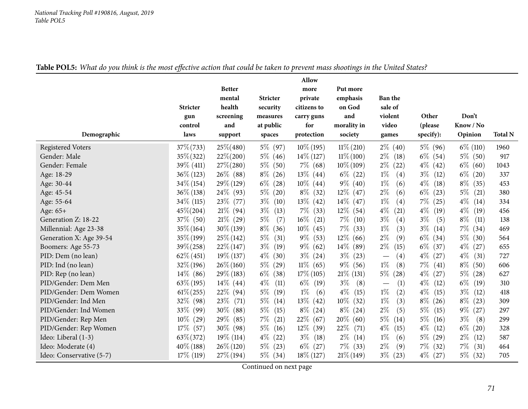## Table POL5: What do you think is the most effective action that could be taken to prevent mass shootings in the United States?

|                          |                 |                  |                       | Allow             |                |                    |               |               |                |
|--------------------------|-----------------|------------------|-----------------------|-------------------|----------------|--------------------|---------------|---------------|----------------|
|                          |                 | <b>Better</b>    |                       | more              | Put more       |                    |               |               |                |
|                          |                 | mental           | <b>Stricter</b>       | private           | emphasis       | <b>Ban the</b>     |               |               |                |
|                          | <b>Stricter</b> | health           | security              | citizens to       | on God<br>and  | sale of<br>violent | Other         | Don't         |                |
|                          | gun<br>control  | screening<br>and | measures<br>at public | carry guns<br>for | morality in    | video              | (please       | Know / No     |                |
| Demographic              | laws            | support          | spaces                | protection        | society        | games              | specify):     | Opinion       | <b>Total N</b> |
| <b>Registered Voters</b> | $37\% (733)$    | $25\% (480)$     | $5\%$ (97)            | $10\%$ (195)      | $11\% (210)$   | $2\%$ (40)         | $5\%$ (96)    | $6\%$ (110)   | 1960           |
| Gender: Male             | $35\% (322)$    | $22\% (200)$     | $5\%$ (46)            | $14\%$ (127)      | $11\% (100)$   | $2\%$<br>(18)      | $6\%$ (54)    | $5\%$ (50)    | 917            |
| Gender: Female           | $39\%$ (411)    | $27\% (280)$     | $5\%$<br>(50)         | $7\%$ (68)        | $10\% (109)$   | $2\%$<br>(22)      | $4\%$ (42)    | $6\%$ (60)    | 1043           |
| Age: 18-29               | $36\% (123)$    | $26\%$ (88)      | $8\%$<br>(26)         | $13\%$ (44)       | $6\%$ (22)     | $1\%$<br>(4)       | $3\%$<br>(12) | $6\%$ (20)    | 337            |
| Age: 30-44               | $34\% (154)$    | $29\%$ (129)     | $6\%$<br>(28)         | $10\%$ (44)       | $9\%$ (40)     | $1\%$<br>(6)       | $4\%$<br>(18) | $8\%$<br>(35) | 453            |
| Age: 45-54               | $36\% (138)$    | $24\%$ (93)      | $5\%$<br>(20)         | $8\%$ (32)        | $12\%$ (47)    | $2\%$<br>(6)       | $6\%$ (23)    | $5\%$<br>(21) | 380            |
| Age: 55-64               | $34\%$ (115)    | $23\%$ (77)      | $3\%$<br>(10)         | $13\%$ (42)       | $14\%$ (47)    | $1\%$<br>(4)       | $7\%$ (25)    | $4\%$<br>(14) | 334            |
| Age: 65+                 | $45\% (204)$    | $21\%$ (94)      | $3\%$<br>(13)         | $7\%$<br>(33)     | $12\%$ (54)    | $4\%$<br>(21)      | $4\%$<br>(19) | $4\%$<br>(19) | 456            |
| Generation Z: 18-22      | $37\%$ (50)     | $21\%$ (29)      | $5\%$<br>(7)          | $16\%$ (21)       | $7\%$<br>(10)  | $3\%$<br>(4)       | $3\%$<br>(5)  | $8\%$<br>(11) | 138            |
| Millennial: Age 23-38    | $35\% (164)$    | $30\% (139)$     | $8\%$<br>(36)         | $10\%$ (45)       | $7\%$<br>(33)  | $1\%$<br>(3)       | $3\%$<br>(14) | $7\%$ (34)    | 469            |
| Generation X: Age 39-54  | $35\% (199)$    | $25\%$ (142)     | $5\%$<br>(31)         | $9\%$<br>(53)     | $12\%$<br>(66) | $2\%$<br>(9)       | $6\%$ (34)    | $5\%$ (30)    | 564            |
| Boomers: Age 55-73       | $39\% (258)$    | $22\%$ (147)     | $3\%$<br>(19)         | $9\%$ (62)        | $14\%$ (89)    | $2\%$<br>(15)      | $6\%$ (37)    | $4\%$<br>(27) | 655            |
| PID: Dem (no lean)       | $62\% (451)$    | $19\%$ (137)     | $4\%$<br>(30)         | $3\%$ (24)        | $3\%$<br>(23)  | (4)                | $4\%$ (27)    | $4\%$<br>(31) | 727            |
| PID: Ind (no lean)       | $32\% (196)$    | $26\% (160)$     | $5\%$<br>(29)         | $11\%$ (65)       | $9\%$ (56)     | $1\%$<br>(8)       | $7\%$<br>(41) | $8\%$ (50)    | 606            |
| PID: Rep (no lean)       | $14\%$ (86)     | 29\% (183)       | $6\%$<br>(38)         | $17\%$ (105)      | $21\%$ (131)   | $5\%$<br>(28)      | $4\%$<br>(27) | $5\%$ (28)    | 627            |
| PID/Gender: Dem Men      | $63\%$ (195)    | $14\%$ (44)      | $4\%$<br>(11)         | $6\%$ (19)        | $3\%$<br>(8)   | (1)                | $4\%$<br>(12) | $6\%$<br>(19) | 310            |
| PID/Gender: Dem Women    | $61\% (255)$    | 22\% (94)        | $5\%$<br>(19)         | $1\%$<br>(6)      | $4\%$<br>(15)  | $1\%$<br>(2)       | $4\%$<br>(15) | $3\%$<br>(12) | 418            |
| PID/Gender: Ind Men      | $32\%$ (98)     | 23\%<br>(71)     | $5\%$<br>(14)         | $13\%$ (42)       | $10\%$<br>(32) | $1\%$<br>(3)       | $8\%$<br>(26) | $8\%$<br>(23) | 309            |
| PID/Gender: Ind Women    | 33\%<br>(99)    | $30\%$ (88)      | $5\%$<br>(15)         | $8\%$ (24)        | $8\%$<br>(24)  | $2\%$<br>(5)       | $5\%$<br>(15) | $9\%$ (27)    | 297            |
| PID/Gender: Rep Men      | $10\%$<br>(29)  | $29\%$<br>(85)   | $7\%$<br>(21)         | $22\%$ (67)       | 20\%<br>(60)   | $5\%$<br>(14)      | $5\%$<br>(16) | $3\%$<br>(8)  | 299            |
| PID/Gender: Rep Women    | $17\%$<br>(57)  | $30\%$ (98)      | $5\%$<br>(16)         | $12\%$ (39)       | 22%<br>(71)    | $4\%$<br>(15)      | $4\%$<br>(12) | $6\%$ (20)    | 328            |
| Ideo: Liberal (1-3)      | $63\% (372)$    | $19\%$ (114)     | $4\%$<br>(22)         | $3\%$ (18)        | $2\%$<br>(14)  | $1\%$<br>(6)       | $5\%$ (29)    | $2\%$<br>(12) | 587            |
| Ideo: Moderate (4)       | $40\%$ (188)    | $26\% (120)$     | $5\%$<br>(23)         | $6\%$ (27)        | $7\%$ (33)     | $2\%$<br>(9)       | $7\%$ (32)    | $7\%$<br>(31) | 464            |
| Ideo: Conservative (5-7) | $17\%$ (119)    | $27\%$ (194)     | $5\%$ (34)            | $18\% (127)$      | $21\%$ (149)   | $3\%$<br>(23)      | $4\%$ (27)    | $5\%$ (32)    | 705            |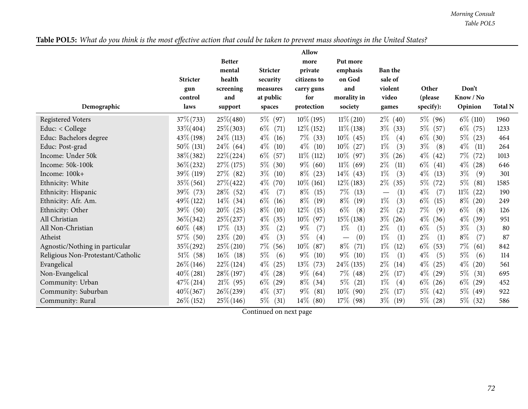Table POL5: What do you think is the most effective action that could be taken to prevent mass shootings in the United States?

|                                   | <b>Stricter</b><br>gun<br>control | <b>Better</b><br>mental<br>health<br>screening<br>and | <b>Stricter</b><br>security<br>measures<br>at public | Allow<br>more<br>private<br>citizens to<br>carry guns<br>for | Put more<br>emphasis<br>on God<br>and<br>morality in | <b>Ban the</b><br>sale of<br>violent<br>video | Other<br>(please | Don't<br>Know / No |                |
|-----------------------------------|-----------------------------------|-------------------------------------------------------|------------------------------------------------------|--------------------------------------------------------------|------------------------------------------------------|-----------------------------------------------|------------------|--------------------|----------------|
| Demographic                       | laws                              | support                                               | spaces                                               | protection                                                   | society                                              | games                                         | specify):        | Opinion            | <b>Total N</b> |
| <b>Registered Voters</b>          | $37\% (733)$                      | $25\% (480)$                                          | 5% (97)                                              | $10\%$ (195)                                                 | $11\% (210)$                                         | $2\%$ (40)                                    | 5\% (96)         | $6\%$ (110)        | 1960           |
| Educ: < College                   | 33\%(404)                         | $25\% (303)$                                          | $6\%$<br>(71)                                        | $12\%$ (152)                                                 | $11\% (138)$                                         | $3\%$ (33)                                    | 5% (57)          | $6\%$ (75)         | 1233           |
| Educ: Bachelors degree            | $43\%$ (198)                      | $24\%$ (113)                                          | $4\%$<br>(16)                                        | 7% (33)                                                      | $10\%$ (45)                                          | $1\%$<br>(4)                                  | $6\%$<br>(30)    | $5\%$ (23)         | 464            |
| Educ: Post-grad                   | $50\%$ (131)                      | $24\%$ (64)                                           | $4\%$<br>(10)                                        | $4\%$ (10)                                                   | $10\%$ (27)                                          | $1\%$<br>(3)                                  | $3\%$<br>(8)     | $4\%$<br>(11)      | 264            |
| Income: Under 50k                 | 38\%(382)                         | $22\% (224)$                                          | $6\%$<br>(57)                                        | $11\% (112)$                                                 | $10\%$ (97)                                          | $3\%$<br>(26)                                 | $4\%$<br>(42)    | $7\%$ (72)         | 1013           |
| Income: 50k-100k                  | $36\% (232)$                      | $27\%$ (175)                                          | $5\%$<br>(30)                                        | $9\%$ (60)                                                   | $11\%$ (69)                                          | $2\%$<br>(11)                                 | $6\%$<br>(41)    | $4\%$<br>(28)      | 646            |
| Income: 100k+                     | 39\% (119)                        | $27\%$ (82)                                           | $3\%$<br>(10)                                        | $8\%$ (23)                                                   | $14\%$ (43)                                          | $1\%$<br>(3)                                  | $4\%$<br>(13)    | $3\%$<br>(9)       | 301            |
| Ethnicity: White                  | $35\% (561)$                      | $27\% (422)$                                          | $4\%$<br>(70)                                        | $10\%$ (161)                                                 | $12\%$ (183)                                         | $2\%$<br>(35)                                 | $5\%$<br>(72)    | $5\%$<br>(81)      | 1585           |
| Ethnicity: Hispanic               | 39% (73)                          | 28\% (52)                                             | $4\%$<br>(7)                                         | $8\%$<br>(15)                                                | $7\%$<br>(13)                                        | (1)                                           | $4\%$<br>(7)     | $11\%$ (22)        | 190            |
| Ethnicity: Afr. Am.               | 49\% (122)                        | $14\%$ (34)                                           | $6\%$<br>(16)                                        | $8\%$<br>(19)                                                | $8\%$<br>(19)                                        | $1\%$<br>(3)                                  | $6\%$<br>(15)    | $8\%$ (20)         | 249            |
| Ethnicity: Other                  | 39\% (50)                         | $20\%$ (25)                                           | $8\%$<br>(10)                                        | $12\%$<br>(15)                                               | $6\%$<br>(8)                                         | $2\%$<br>(2)                                  | $7\%$<br>(9)     | $6\%$<br>(8)       | 126            |
| All Christian                     | $36\% (342)$                      | $25\% (237)$                                          | $4\%$<br>(35)                                        | $10\%$ (97)                                                  | $15\% (138)$                                         | $3\%$<br>(26)                                 | $4\%$<br>(36)    | $4\%$<br>(39)      | 951            |
| All Non-Christian                 | $60\%$ (48)                       | $17\%$ (13)                                           | $3\%$<br>(2)                                         | $9\%$<br>(7)                                                 | $1\%$<br>(1)                                         | $2\%$<br>(1)                                  | $6\%$<br>(5)     | $3\%$<br>(3)       | 80             |
| Atheist                           | 57% (50)                          | 23\% (20)                                             | $4\%$<br>(3)                                         | $5\%$<br>(4)                                                 | (0)<br>$\hspace{0.1mm}-\hspace{0.1mm}$               | $1\%$<br>(1)                                  | $2\%$<br>(1)     | $8\%$<br>(7)       | 87             |
| Agnostic/Nothing in particular    | $35\% (292)$                      | $25\% (210)$                                          | $7\%$<br>(56)                                        | $10\%$<br>(87)                                               | $8\%$<br>(71)                                        | $1\%$<br>(12)                                 | $6\%$<br>(53)    | $7\%$<br>(61)      | 842            |
| Religious Non-Protestant/Catholic | $51\%$ (58)                       | $16\%$ (18)                                           | $5\%$<br>(6)                                         | $9\%$<br>(10)                                                | $9\%$<br>(10)                                        | $1\%$<br>(1)                                  | $4\%$<br>(5)     | $5\%$<br>(6)       | 114            |
| Evangelical                       | $26\% (146)$                      | $22\%$ (124)                                          | $4\%$<br>(25)                                        | $13\%$<br>(73)                                               | 24\% (135)                                           | $2\%$<br>(14)                                 | $4\%$<br>(25)    | $4\%$<br>(20)      | 561            |
| Non-Evangelical                   | $40\%$ (281)                      | $28\%$ (197)                                          | $4\%$<br>(28)                                        | $9\%$ (64)                                                   | $7\%$ (48)                                           | $2\%$<br>(17)                                 | $4\%$<br>(29)    | $5\%$<br>(31)      | 695            |
| Community: Urban                  | $47\%$ (214)                      | 21\% (95)                                             | $6\%$<br>(29)                                        | $8\%$ (34)                                                   | $5\%$<br>(21)                                        | $1\%$<br>(4)                                  | $6\%$<br>(26)    | $6\%$ (29)         | 452            |
| Community: Suburban               | $40\% (367)$                      | $26\%(239)$                                           | $4\%$<br>(37)                                        | $9\%$<br>(81)                                                | $10\%$<br>(90)                                       | $2\%$<br>(17)                                 | $5\%$ (42)       | $5\%$ (49)         | 922            |
| Community: Rural                  | 26\% (152)                        | $25\% (146)$                                          | $5\%$<br>(31)                                        | $14\%$ (80)                                                  | 17\% (98)                                            | $3\%$<br>(19)                                 | $5\%$<br>(28)    | $5\%$ (32)         | 586            |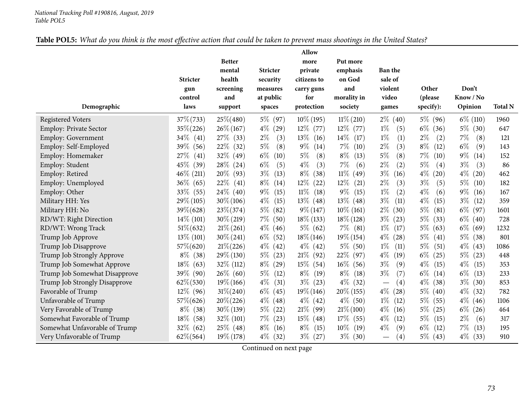### Table POL5: What do you think is the most effective action that could be taken to prevent mass shootings in the United States?

|                               |                 |               |                 | Allow          |                |                                 |               |               |                |
|-------------------------------|-----------------|---------------|-----------------|----------------|----------------|---------------------------------|---------------|---------------|----------------|
|                               |                 | <b>Better</b> |                 | more           | Put more       |                                 |               |               |                |
|                               |                 | mental        | <b>Stricter</b> | private        | emphasis       | <b>Ban the</b>                  |               |               |                |
|                               | <b>Stricter</b> | health        | security        | citizens to    | on God         | sale of                         |               |               |                |
|                               | gun             | screening     | measures        | carry guns     | and            | violent                         | Other         | Don't         |                |
|                               | control<br>laws | and           | at public       | for            | morality in    | video                           | (please       | Know / No     | <b>Total N</b> |
| Demographic                   |                 | support       | spaces          | protection     | society        | games                           | specify):     | Opinion       |                |
| <b>Registered Voters</b>      | $37\% (733)$    | $25\% (480)$  | $5\%$<br>(97)   | $10\%$ (195)   | $11\%$ (210)   | $2\%$ (40)                      | 5\% (96)      | $6\%$ (110)   | 1960           |
| Employ: Private Sector        | $35\% (226)$    | $26\% (167)$  | $4\%$<br>(29)   | $12\%$ (77)    | $12\%$ (77)    | $1\%$<br>(5)                    | $6\%$<br>(36) | $5\%$ (30)    | 647            |
| Employ: Government            | $34\%$ (41)     | 27\% (33)     | $2\%$<br>(3)    | $13\%$<br>(16) | 14\%<br>(17)   | $1\%$<br>(1)                    | $2\%$<br>(2)  | $7\%$<br>(8)  | 121            |
| Employ: Self-Employed         | $39\%$<br>(56)  | 22\%<br>(32)  | $5\%$<br>(8)    | $9\%$<br>(14)  | $7\%$<br>(10)  | (3)<br>$2\%$                    | $8\%$<br>(12) | $6\%$<br>(9)  | 143            |
| Employ: Homemaker             | 27%<br>(41)     | 32\%<br>(49)  | $6\%$<br>(10)   | $5\%$<br>(8)   | $8\%$<br>(13)  | $5\%$<br>(8)                    | $7\%$<br>(10) | $9\%$<br>(14) | 152            |
| Employ: Student               | $45\%$<br>(39)  | $28\%$ (24)   | $6\%$<br>(5)    | $4\%$<br>(3)   | 7%<br>(6)      | $2\%$<br>(2)                    | $5\%$<br>(4)  | $3\%$<br>(3)  | 86             |
| Employ: Retired               | $46\%$ (211)    | 20%<br>(93)   | $3\%$<br>(13)   | $8\%$<br>(38)  | $11\%$<br>(49) | $3\%$<br>(16)                   | $4\%$<br>(20) | $4\%$<br>(20) | 462            |
| Employ: Unemployed            | $36\%$<br>(65)  | 22\%<br>(41)  | $8\%$<br>(14)   | $12\%$<br>(22) | 12\%<br>(21)   | $2\%$<br>(3)                    | $3\%$<br>(5)  | $5\%$<br>(10) | 182            |
| Employ: Other                 | $33\%$ (55)     | $24\%$ (40)   | $9\%$<br>(15)   | $11\%$<br>(18) | $9\%$<br>(15)  | $1\%$<br>(2)                    | $4\%$<br>(6)  | $9\%$<br>(16) | 167            |
| Military HH: Yes              | $29\% (105)$    | $30\% (106)$  | $4\%$<br>(15)   | $13\%$ (48)    | 13\%<br>(48)   | $3\%$<br>(11)                   | $4\%$<br>(15) | $3\%$<br>(12) | 359            |
| Military HH: No               | $39\% (628)$    | $23\% (374)$  | $5\%$<br>(82)   | $9\% (147)$    | $10\%$ (161)   | $2\%$<br>(30)                   | $5\%$<br>(81) | $6\%$ (97)    | 1601           |
| RD/WT: Right Direction        | $14\%$ (101)    | $30\% (219)$  | $7\%$<br>(50)   | $18\%$ (133)   | $18\%$ (128)   | $3\%$<br>(23)                   | $5\%$<br>(33) | $6\%$ (40)    | 728            |
| RD/WT: Wrong Track            | $51\% (632)$    | $21\% (261)$  | $4\%$<br>(46)   | $5\%$ (62)     | $7\%$ (81)     | $1\%$<br>(17)                   | $5\%$<br>(63) | $6\%$ (69)    | 1232           |
| Trump Job Approve             | $13\%$ (101)    | $30\% (241)$  | $6\%$<br>(52)   | $18\% (146)$   | $19\% (154)$   | $4\%$<br>(28)                   | $5\%$<br>(41) | $5\%$<br>(38) | 801            |
| Trump Job Disapprove          | $57\%$ (620)    | $21\% (226)$  | $4\%$<br>(42)   | $4\%$ (42)     | $5\%$ (50)     | $1\%$<br>(11)                   | $5\%$<br>(51) | $4\%$<br>(43) | 1086           |
| Trump Job Strongly Approve    | $8\%$ (38)      | $29\%$ (130)  | $5\%$<br>(23)   | $21\%$ (92)    | 22\%<br>(97)   | $4\%$<br>(19)                   | $6\%$<br>(25) | $5\%$<br>(23) | 448            |
| Trump Job Somewhat Approve    | $18\%$<br>(63)  | $32\%$ (112)  | $8\%$<br>(29)   | $15\%$ (54)    | $16\%$<br>(56) | $3\%$<br>(9)                    | $4\%$<br>(15) | $4\%$<br>(15) | 353            |
| Trump Job Somewhat Disapprove | 39\% (90)       | $26\%$ (60)   | $5\%$<br>(12)   | $8\%$ (19)     | $8\%$<br>(18)  | $3\%$<br>(7)                    | $6\%$<br>(14) | $6\%$<br>(13) | 233            |
| Trump Job Strongly Disapprove | $62\% (530)$    | $19\% (166)$  | $4\%$<br>(31)   | $3\%$ (23)     | $4\%$<br>(32)  | (4)                             | $4\%$<br>(38) | $3\%$<br>(30) | 853            |
| Favorable of Trump            | $12\%$ (96)     | $31\% (240)$  | $6\%$<br>(45)   | $19\% (146)$   | $20\%$ (155)   | $4\%$<br>(28)                   | $5\%$ (40)    | $4\%$<br>(32) | 782            |
| Unfavorable of Trump          | 57\%(626)       | $20\% (226)$  | $4\%$<br>(48)   | $4\%$ (42)     | $4\%$ (50)     | $1\%$<br>(12)                   | $5\%$<br>(55) | $4\%$<br>(46) | 1106           |
| Very Favorable of Trump       | $8\%$ (38)      | $30\% (139)$  | $5\%$<br>(22)   | $21\%$ (99)    | $21\% (100)$   | $4\%$<br>(16)                   | $5\%$<br>(25) | $6\%$<br>(26) | 464            |
| Somewhat Favorable of Trump   | $18\%$<br>(58)  | $32\%$ (101)  | $7\%$<br>(23)   | $15\%$ (48)    | $17\%$<br>(55) | $4\%$<br>(12)                   | $5\%$<br>(15) | $2\%$<br>(6)  | 317            |
| Somewhat Unfavorable of Trump | $32\%$ (62)     | $25\%$ (48)   | $8\%$<br>(16)   | $8\%$<br>(15)  | $10\%$<br>(19) | $4\%$<br>(9)                    | $6\%$<br>(12) | $7\%$<br>(13) | 195            |
| Very Unfavorable of Trump     | $62\% (564)$    | $19\% (178)$  | $4\%$ (32)      | $3\%$ (27)     | $3\%$<br>(30)  | (4)<br>$\overline{\phantom{m}}$ | $5\%$ (43)    | $4\%$<br>(33) | 910            |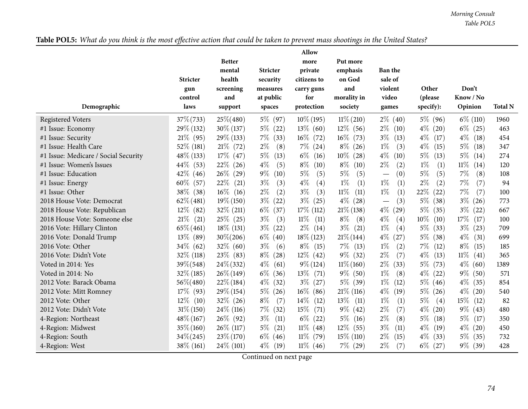Table POL5: What do you think is the most effective action that could be taken to prevent mass shootings in the United States?

|                                      | <b>Stricter</b><br>gun<br>control | <b>Better</b><br>mental<br>health<br>screening<br>and | <b>Stricter</b><br>security<br>measures<br>at public | Allow<br>more<br>private<br>citizens to<br>carry guns<br>for | Put more<br>emphasis<br>on God<br>and<br>morality in | <b>Ban the</b><br>sale of<br>violent<br>video | Other<br>(please | Don't<br>Know / No | <b>Total N</b> |
|--------------------------------------|-----------------------------------|-------------------------------------------------------|------------------------------------------------------|--------------------------------------------------------------|------------------------------------------------------|-----------------------------------------------|------------------|--------------------|----------------|
| Demographic                          | laws                              | support                                               | spaces                                               | protection                                                   | society                                              | games                                         | specify):        | Opinion            |                |
| <b>Registered Voters</b>             | $37\% (733)$                      | $25\% (480)$                                          | 5\% (97)                                             | $10\%$ (195)                                                 | $11\% (210)$                                         | $2\%$ (40)                                    | 5\% (96)         | $6\%$ (110)        | 1960           |
| #1 Issue: Economy                    | 29\% (132)                        | $30\% (137)$                                          | $5\%$ (22)                                           | $13\%$ (60)                                                  | $12\%$ (56)                                          | $2\%$<br>(10)                                 | $4\%$<br>(20)    | $6\%$ (25)         | 463            |
| #1 Issue: Security                   | $21\%$ (95)                       | 29\% (133)                                            | $7\%$<br>(33)                                        | $16\%$ (72)                                                  | $16\%$ (73)                                          | $3\%$<br>(13)                                 | $4\%$<br>(17)    | $4\%$<br>(18)      | 454            |
| #1 Issue: Health Care                | 52\% (181)                        | $21\%$ (72)                                           | $2\%$<br>(8)                                         | $7\%$ (24)                                                   | $8\%$<br>(26)                                        | $1\%$<br>(3)                                  | $4\%$<br>(15)    | $5\%$<br>(18)      | 347            |
| #1 Issue: Medicare / Social Security | 48\% (133)                        | $17\%$ (47)                                           | $5\%$<br>(13)                                        | $6\%$<br>(16)                                                | $10\%$<br>(28)                                       | $4\%$<br>(10)                                 | $5\%$<br>(13)    | $5\%$<br>(14)      | 274            |
| #1 Issue: Women's Issues             | $44\%$ (53)                       | $22\%$ (26)                                           | $4\%$<br>(5)                                         | $8\%$<br>(10)                                                | $8\%$<br>(10)                                        | $2\%$<br>(2)                                  | $1\%$<br>(1)     | $11\%$<br>(14)     | 120            |
| #1 Issue: Education                  | $42\%$ (46)                       | $26\%$ (29)                                           | $9\%$<br>(10)                                        | $5\%$<br>(5)                                                 | $5\%$<br>(5)                                         | (0)                                           | $5\%$<br>(5)     | $7\%$<br>(8)       | 108            |
| #1 Issue: Energy                     | 60%<br>(57)                       | 22\%<br>(21)                                          | $3\%$<br>(3)                                         | $4\%$<br>(4)                                                 | $1\%$<br>(1)                                         | $1\%$<br>(1)                                  | $2\%$<br>(2)     | $7\%$<br>(7)       | 94             |
| #1 Issue: Other                      | 38\% (38)                         | $16\%$ (16)                                           | $2\%$<br>(2)                                         | $3\%$<br>(3)                                                 | $11\%$<br>(11)                                       | $1\%$<br>(1)                                  | 22%<br>(22)      | $7\%$<br>(7)       | 100            |
| 2018 House Vote: Democrat            | $62\%$ (481)                      | $19\%$ (150)                                          | $3\%$<br>(22)                                        | $3\%$<br>(25)                                                | $4\%$<br>(28)                                        | (3)<br>$\overline{\phantom{0}}$               | $5\%$<br>(38)    | $3\%$<br>(26)      | 773            |
| 2018 House Vote: Republican          | $12\%$ (82)                       | $32\%$ (211)                                          | $6\%$<br>(37)                                        | $17\%$ (112)                                                 | $21\%$ (138)                                         | $4\%$<br>(29)                                 | $5\%$<br>(35)    | $3\%$ (22)         | 667            |
| 2018 House Vote: Someone else        | 21%<br>(21)                       | $25\%$ (25)                                           | $3\%$<br>(3)                                         | $11\%$<br>(11)                                               | $8\%$<br>(8)                                         | $4\%$<br>(4)                                  | $10\%$<br>(10)   | 17%<br>(17)        | 100            |
| 2016 Vote: Hillary Clinton           | $65\% (461)$                      | $18\%$ (131)                                          | $3\%$<br>(22)                                        | $2\%$<br>(14)                                                | $3\%$<br>(21)                                        | $1\%$<br>(4)                                  | $5\%$<br>(33)    | $3\%$<br>(23)      | 709            |
| 2016 Vote: Donald Trump              | 13\% (89)                         | $30\% (206)$                                          | $6\%$<br>(40)                                        | $18\%$ (123)                                                 | $21\%$ (144)                                         | $4\%$<br>(27)                                 | $5\%$<br>(38)    | $4\%$<br>(31)      | 699            |
| 2016 Vote: Other                     | $34\%$ (62)                       | $32\%$ (60)                                           | $3\%$<br>(6)                                         | $8\%$ (15)                                                   | $7\%$<br>(13)                                        | $1\%$<br>(2)                                  | $7\%$<br>(12)    | $8\%$<br>(15)      | 185            |
| 2016 Vote: Didn't Vote               | $32\%$ (118)                      | $23\%$ (83)                                           | $8\%$<br>(28)                                        | $12\%$ (42)                                                  | $9\%$ (32)                                           | $2\%$<br>(7)                                  | $4\%$<br>(13)    | $11\%$<br>(41)     | 365            |
| Voted in 2014: Yes                   | 39\%(548)                         | $24\% (332)$                                          | $4\%$<br>(61)                                        | $9\% (124)$                                                  | $11\% (160)$                                         | $2\%$<br>(33)                                 | $5\%$<br>(73)    | $4\%$ (60)         | 1389           |
| Voted in 2014: No                    | $32\%$ (185)                      | $26\% (149)$                                          | $6\%$<br>(36)                                        | $13\%$<br>(71)                                               | $9\%$ (50)                                           | $1\%$<br>(8)                                  | $4\%$<br>(22)    | $9\%$ (50)         | 571            |
| 2012 Vote: Barack Obama              | 56%(480)                          | $22\%$ (184)                                          | $4\%$<br>(32)                                        | $3\%$<br>(27)                                                | $5\%$ (39)                                           | $1\%$<br>(12)                                 | $5\%$ (46)       | $4\%$ (35)         | 854            |
| 2012 Vote: Mitt Romney               | 17% (93)                          | $29\%$ (154)                                          | $5\%$<br>(26)                                        | $16\%$ (86)                                                  | $21\%$ (116)                                         | $4\%$<br>(19)                                 | $5\%$<br>(26)    | $4\%$ (20)         | 540            |
| 2012 Vote: Other                     | $12\%$<br>(10)                    | $32\%$ (26)                                           | $8\%$<br>(7)                                         | $14\%$<br>(12)                                               | 13\%<br>(11)                                         | $1\%$<br>(1)                                  | $5\%$<br>(4)     | $15\%$<br>(12)     | 82             |
| 2012 Vote: Didn't Vote               | $31\% (150)$                      | $24\%$ (116)                                          | $7\%$<br>(32)                                        | 15%<br>(71)                                                  | $9\%$<br>(42)                                        | $2\%$<br>(7)                                  | $4\%$<br>(20)    | $9\%$<br>(43)      | 480            |
| 4-Region: Northeast                  | $48\% (167)$                      | $26\%$ (92)                                           | $3\%$<br>(11)                                        | $6\%$<br>(22)                                                | $5\%$<br>(16)                                        | $2\%$<br>(8)                                  | $5\%$<br>(18)    | $5\%$<br>(17)      | 350            |
| 4-Region: Midwest                    | $35\% (160)$                      | $26\%$ (117)                                          | $5\%$<br>(21)                                        | $11\%$<br>(48)                                               | $12\%$<br>(55)                                       | $3\%$<br>(11)                                 | $4\%$<br>(19)    | $4\%$ (20)         | 450            |
| 4-Region: South                      | $34\% (245)$                      | $23\%$ (170)                                          | $6\%$<br>(46)                                        | $11\%$<br>(79)                                               | $15\%$ (110)                                         | $2\%$<br>(15)                                 | $4\%$<br>(33)    | $5\%$ (35)         | 732            |
| 4-Region: West                       | 38\% (161)                        | $24\%$ (101)                                          | $4\%$<br>(19)                                        | $11\%$ (46)                                                  | $7\%$ (29)                                           | $2\%$<br>(7)                                  | $6\%$ (27)       | $9\%$ (39)         | 428            |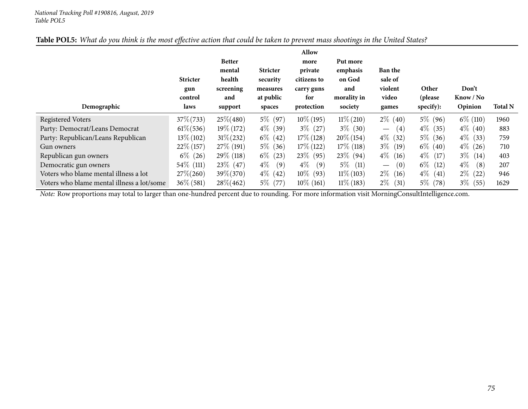| Table POL5: What do you think is the most effective action that could be taken to prevent mass shootings in the United States? |
|--------------------------------------------------------------------------------------------------------------------------------|
|--------------------------------------------------------------------------------------------------------------------------------|

| Demographic                                | <b>Stricter</b><br>gun<br>control<br>laws | <b>Better</b><br>mental<br>health<br>screening<br>and<br>support | <b>Stricter</b><br>security<br>measures<br>at public<br>spaces | Allow<br>more<br>private<br>citizens to<br>carry guns<br>for<br>protection | Put more<br>emphasis<br>on God<br>and<br>morality in<br>society | <b>Ban the</b><br>sale of<br>violent<br>video<br>games | Other<br>(please<br>specify): | Don't<br>Know / No<br>Opinion | <b>Total N</b> |
|--------------------------------------------|-------------------------------------------|------------------------------------------------------------------|----------------------------------------------------------------|----------------------------------------------------------------------------|-----------------------------------------------------------------|--------------------------------------------------------|-------------------------------|-------------------------------|----------------|
| Registered Voters                          | $37\% (733)$                              | $25\% (480)$                                                     | $5\%$ (97)                                                     | $10\%$ (195)                                                               | $11\%$ (210)                                                    | $2\%$<br>(40)                                          | $5\%$ (96)                    | $6\%$ (110)                   | 1960           |
| Party: Democrat/Leans Democrat             | $61\% (536)$                              | $19\%$ (172)                                                     | $4\%$ (39)                                                     | $3\%$ (27)                                                                 | $3\%$ (30)                                                      | (4)<br>$\overline{\phantom{m}}$                        | $4\%$ (35)                    | $4\%$ (40)                    | 883            |
| Party: Republican/Leans Republican         | $13\% (102)$                              | $31\% (232)$                                                     | $6\%$ (42)                                                     | $17\%$ (128)                                                               | $20\%$ (154)                                                    | $4\%$<br>(32)                                          | $5\%$ (36)                    | $4\%$<br>(33)                 | 759            |
| Gun owners                                 | $22\%$ (157)                              | $27\%$ (191)                                                     | $5\%$ (36)                                                     | $17\%$ (122)                                                               | $17\%$ (118)                                                    | $3\%$<br>(19)                                          | $6\%$ (40)                    | $4\%$<br>(26)                 | 710            |
| Republican gun owners                      | $6\%$ (26)                                | $29\%$ (118)                                                     | $6\%$ (23)                                                     | $23\%$ (95)                                                                | $23\%$ (94)                                                     | $4\%$<br>(16)                                          | $4\%$ (17)                    | $3\%$ (14)                    | 403            |
| Democratic gun owners                      | $54\%$ (111)                              | $23\%$ (47)                                                      | $4\%$<br>(9)                                                   | $4\%$<br>(9)                                                               | $5\%$<br>(11)                                                   | (0)<br>$\overline{\phantom{m}}$                        | $6\%$<br>(12)                 | $4\%$<br>(8)                  | 207            |
| Voters who blame mental illness a lot      | $27\% (260)$                              | 39\%(370)                                                        | $4\%$ (42)                                                     | $10\%$ (93)                                                                | $11\%$ (103)                                                    | $2\%$<br>(16)                                          | $4\%$<br>(41)                 | $2\%$<br>(22)                 | 946            |
| Voters who blame mental illness a lot/some | $36\% (581)$                              | $28\% (462)$                                                     | $5\%$ (77)                                                     | $10\%$ (161)                                                               | $11\%$ (183)                                                    | $2\%$<br>(31)                                          | $5\%$ (78)                    | $3\%$ (55)                    | 1629           |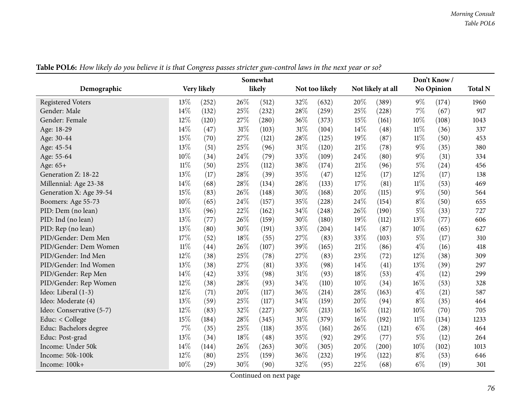|                          | Somewhat |             |     |        |     |                | Don't Know/ |                   |        |                   |                |  |
|--------------------------|----------|-------------|-----|--------|-----|----------------|-------------|-------------------|--------|-------------------|----------------|--|
| Demographic              |          | Very likely |     | likely |     | Not too likely |             | Not likely at all |        | <b>No Opinion</b> | <b>Total N</b> |  |
| <b>Registered Voters</b> | 13%      | (252)       | 26% | (512)  | 32% | (632)          | 20%         | (389)             | $9\%$  | (174)             | 1960           |  |
| Gender: Male             | 14%      | (132)       | 25% | (232)  | 28% | (259)          | 25%         | (228)             | 7%     | (67)              | 917            |  |
| Gender: Female           | 12%      | (120)       | 27% | (280)  | 36% | (373)          | 15%         | (161)             | 10%    | (108)             | 1043           |  |
| Age: 18-29               | 14%      | (47)        | 31% | (103)  | 31% | (104)          | 14%         | (48)              | 11%    | (36)              | 337            |  |
| Age: 30-44               | 15%      | (70)        | 27% | (121)  | 28% | (125)          | 19%         | (87)              | $11\%$ | (50)              | 453            |  |
| Age: 45-54               | 13%      | (51)        | 25% | (96)   | 31% | (120)          | 21%         | (78)              | $9\%$  | (35)              | 380            |  |
| Age: 55-64               | $10\%$   | (34)        | 24% | (79)   | 33% | (109)          | 24%         | (80)              | $9\%$  | (31)              | 334            |  |
| Age: 65+                 | $11\%$   | (50)        | 25% | (112)  | 38% | (174)          | 21%         | (96)              | $5\%$  | (24)              | 456            |  |
| Generation Z: 18-22      | 13%      | (17)        | 28% | (39)   | 35% | (47)           | 12%         | (17)              | $12\%$ | (17)              | 138            |  |
| Millennial: Age 23-38    | 14%      | (68)        | 28% | (134)  | 28% | (133)          | 17%         | (81)              | 11%    | (53)              | 469            |  |
| Generation X: Age 39-54  | 15%      | (83)        | 26% | (148)  | 30% | (168)          | 20%         | (115)             | $9\%$  | (50)              | 564            |  |
| Boomers: Age 55-73       | 10%      | (65)        | 24% | (157)  | 35% | (228)          | 24%         | (154)             | $8\%$  | (50)              | 655            |  |
| PID: Dem (no lean)       | 13%      | (96)        | 22% | (162)  | 34% | (248)          | 26%         | (190)             | $5\%$  | (33)              | 727            |  |
| PID: Ind (no lean)       | 13%      | (77)        | 26% | (159)  | 30% | (180)          | 19%         | (112)             | 13%    | (77)              | 606            |  |
| PID: Rep (no lean)       | 13%      | (80)        | 30% | (191)  | 33% | (204)          | 14%         | (87)              | 10%    | (65)              | 627            |  |
| PID/Gender: Dem Men      | 17%      | (52)        | 18% | (55)   | 27% | (83)           | 33%         | (103)             | $5\%$  | (17)              | 310            |  |
| PID/Gender: Dem Women    | $11\%$   | (44)        | 26% | (107)  | 39% | (165)          | 21%         | (86)              | $4\%$  | (16)              | 418            |  |
| PID/Gender: Ind Men      | 12%      | (38)        | 25% | (78)   | 27% | (83)           | 23%         | (72)              | 12%    | (38)              | 309            |  |
| PID/Gender: Ind Women    | 13%      | (38)        | 27% | (81)   | 33% | (98)           | 14%         | (41)              | 13%    | (39)              | 297            |  |
| PID/Gender: Rep Men      | 14%      | (42)        | 33% | (98)   | 31% | (93)           | 18%         | (53)              | $4\%$  | (12)              | 299            |  |
| PID/Gender: Rep Women    | 12%      | (38)        | 28% | (93)   | 34% | (110)          | 10%         | (34)              | 16%    | (53)              | 328            |  |
| Ideo: Liberal (1-3)      | 12%      | (71)        | 20% | (117)  | 36% | (214)          | 28%         | (163)             | $4\%$  | (21)              | 587            |  |
| Ideo: Moderate (4)       | 13%      | (59)        | 25% | (117)  | 34% | (159)          | 20%         | (94)              | $8\%$  | (35)              | 464            |  |
| Ideo: Conservative (5-7) | 12%      | (83)        | 32% | (227)  | 30% | (213)          | 16%         | (112)             | 10%    | (70)              | 705            |  |
| Educ: < College          | 15%      | (184)       | 28% | (345)  | 31% | (379)          | 16%         | (192)             | $11\%$ | (134)             | 1233           |  |
| Educ: Bachelors degree   | 7%       | (35)        | 25% | (118)  | 35% | (161)          | 26%         | (121)             | $6\%$  | (28)              | 464            |  |
| Educ: Post-grad          | 13%      | (34)        | 18% | (48)   | 35% | (92)           | 29%         | (77)              | $5\%$  | (12)              | 264            |  |
| Income: Under 50k        | 14%      | (144)       | 26% | (263)  | 30% | (305)          | 20%         | (200)             | 10%    | (102)             | 1013           |  |
| Income: 50k-100k         | 12%      | (80)        | 25% | (159)  | 36% | (232)          | 19%         | (122)             | $8\%$  | (53)              | 646            |  |
| Income: 100k+            | 10%      | (29)        | 30% | (90)   | 32% | (95)           | 22%         | (68)              | $6\%$  | (19)              | 301            |  |

Table POL6: How likely do you believe it is that Congress passes stricter gun-control laws in the next year or so?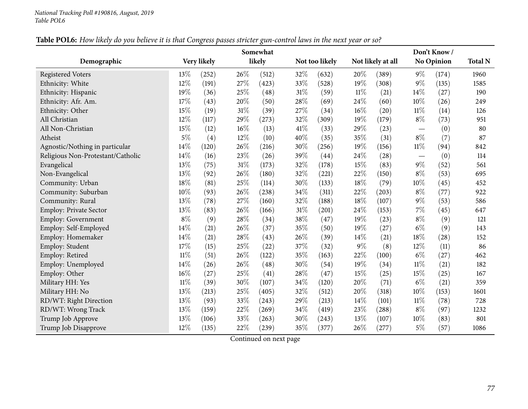|                                   |        |             |        | Somewhat |      |                     |       |                   |                                   | Don't Know/       |                |
|-----------------------------------|--------|-------------|--------|----------|------|---------------------|-------|-------------------|-----------------------------------|-------------------|----------------|
| Demographic                       |        | Very likely |        | likely   |      | Not too likely      |       | Not likely at all |                                   | <b>No Opinion</b> | <b>Total N</b> |
| <b>Registered Voters</b>          | 13%    | (252)       | 26\%   | (512)    | 32%  | (632)               | 20%   | (389)             | $9\%$                             | (174)             | 1960           |
| Ethnicity: White                  | 12%    | (191)       | 27\%   | (423)    | 33%  | (528)               | 19%   | (308)             | $9\%$                             | (135)             | 1585           |
| Ethnicity: Hispanic               | 19%    | (36)        | 25%    | (48)     | 31%  | (59)                | 11%   | (21)              | 14%                               | (27)              | 190            |
| Ethnicity: Afr. Am.               | 17%    | (43)        | 20%    | (50)     | 28%  | (69)                | 24%   | (60)              | 10%                               | (26)              | 249            |
| Ethnicity: Other                  | 15%    | (19)        | $31\%$ | (39)     | 27%  | (34)                | 16%   | (20)              | $11\%$                            | (14)              | 126            |
| All Christian                     | 12%    | (117)       | 29\%   | (273)    | 32%  | (309)               | 19%   | (179)             | $8\%$                             | (73)              | 951            |
| All Non-Christian                 | 15%    | (12)        | $16\%$ | (13)     | 41\% | (33)                | 29%   | (23)              | $\overline{\phantom{m}}$          | (0)               | 80             |
| Atheist                           | $5\%$  | (4)         | 12%    | (10)     | 40%  | (35)                | 35%   | (31)              | $8\%$                             | (7)               | 87             |
| Agnostic/Nothing in particular    | 14%    | (120)       | 26%    | (216)    | 30%  | (256)               | 19%   | (156)             | 11%                               | (94)              | 842            |
| Religious Non-Protestant/Catholic | 14%    | (16)        | 23%    | (26)     | 39%  | (44)                | 24%   | (28)              | $\overbrace{\phantom{123221111}}$ | (0)               | 114            |
| Evangelical                       | 13%    | (75)        | $31\%$ | (173)    | 32%  | (178)               | 15%   | (83)              | $9\%$                             | (52)              | 561            |
| Non-Evangelical                   | 13%    | (92)        | 26%    | (180)    | 32%  | (221)               | 22%   | (150)             | $8\%$                             | (53)              | 695            |
| Community: Urban                  | 18%    | (81)        | 25%    | (114)    | 30%  | (133)               | 18%   | (79)              | 10%                               | (45)              | 452            |
| Community: Suburban               | 10%    | (93)        | 26%    | (238)    | 34%  | (311)               | 22%   | (203)             | $8\%$                             | (77)              | 922            |
| Community: Rural                  | 13%    | (78)        | 27%    | (160)    | 32%  | (188)               | 18%   | (107)             | $9\%$                             | (53)              | 586            |
| <b>Employ: Private Sector</b>     | 13%    | (83)        | 26\%   | (166)    | 31%  | $\left( 201\right)$ | 24%   | (153)             | 7%                                | (45)              | 647            |
| Employ: Government                | $8\%$  | (9)         | 28%    | (34)     | 38%  | (47)                | 19%   | (23)              | $8\%$                             | (9)               | 121            |
| Employ: Self-Employed             | 14%    | (21)        | 26%    | (37)     | 35%  | (50)                | 19%   | (27)              | $6\%$                             | (9)               | 143            |
| Employ: Homemaker                 | 14%    | (21)        | 28%    | (43)     | 26%  | (39)                | 14\%  | (21)              | 18%                               | (28)              | 152            |
| Employ: Student                   | 17%    | (15)        | 25%    | (22)     | 37%  | (32)                | $9\%$ | (8)               | 12%                               | (11)              | 86             |
| Employ: Retired                   | $11\%$ | (51)        | 26%    | (122)    | 35%  | (163)               | 22\%  | (100)             | $6\%$                             | (27)              | 462            |
| Employ: Unemployed                | 14%    | (26)        | 26\%   | (48)     | 30%  | (54)                | 19%   | (34)              | $11\%$                            | (21)              | 182            |
| Employ: Other                     | 16%    | (27)        | 25%    | (41)     | 28%  | (47)                | 15%   | (25)              | 15%                               | (25)              | 167            |
| Military HH: Yes                  | 11%    | (39)        | 30%    | (107)    | 34%  | (120)               | 20%   | (71)              | $6\%$                             | (21)              | 359            |
| Military HH: No                   | 13%    | (213)       | 25%    | (405)    | 32%  | (512)               | 20%   | (318)             | 10%                               | (153)             | 1601           |
| RD/WT: Right Direction            | 13%    | (93)        | 33%    | (243)    | 29%  | (213)               | 14%   | (101)             | $11\%$                            | (78)              | 728            |
| RD/WT: Wrong Track                | 13%    | (159)       | 22%    | (269)    | 34%  | (419)               | 23%   | (288)             | $8\%$                             | (97)              | 1232           |
| Trump Job Approve                 | 13%    | (106)       | 33%    | (263)    | 30%  | (243)               | 13%   | (107)             | 10%                               | (83)              | 801            |
| Trump Job Disapprove              | 12%    | (135)       | 22%    | (239)    | 35%  | (377)               | 26%   | (277)             | $5\%$                             | (57)              | 1086           |

### Table POL6: How likely do you believe it is that Congress passes stricter gun-control laws in the next year or so?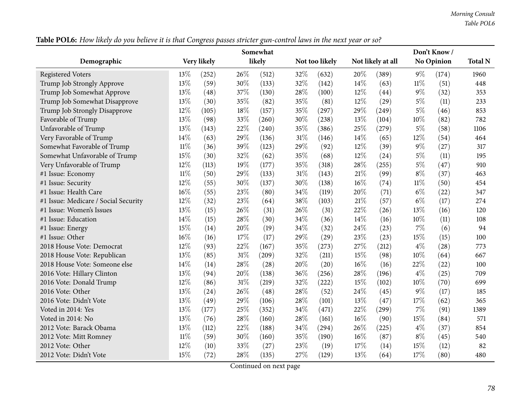| Table POL6: How likely do you believe it is that Congress passes stricter gun-control laws in the next year or so? |  |
|--------------------------------------------------------------------------------------------------------------------|--|
|--------------------------------------------------------------------------------------------------------------------|--|

|                                      |        | $\circ$     |        | Somewhat |     |                |        |                     |        | Don't Know / |                |
|--------------------------------------|--------|-------------|--------|----------|-----|----------------|--------|---------------------|--------|--------------|----------------|
| Demographic                          |        | Very likely |        | likely   |     | Not too likely |        | Not likely at all   |        | No Opinion   | <b>Total N</b> |
| <b>Registered Voters</b>             | 13%    | (252)       | 26%    | (512)    | 32% | (632)          | 20%    | (389)               | $9\%$  | (174)        | 1960           |
| Trump Job Strongly Approve           | 13%    | (59)        | 30%    | (133)    | 32% | (142)          | 14%    | (63)                | $11\%$ | (51)         | 448            |
| Trump Job Somewhat Approve           | 13%    | (48)        | 37%    | (130)    | 28% | (100)          | $12\%$ | (44)                | $9\%$  | (32)         | 353            |
| Trump Job Somewhat Disapprove        | 13%    | (30)        | 35%    | (82)     | 35% | (81)           | 12%    | (29)                | $5\%$  | (11)         | 233            |
| Trump Job Strongly Disapprove        | 12%    | (105)       | 18%    | (157)    | 35% | (297)          | 29\%   | (249)               | $5\%$  | (46)         | 853            |
| Favorable of Trump                   | 13%    | (98)        | 33%    | (260)    | 30% | (238)          | 13%    | (104)               | $10\%$ | (82)         | 782            |
| Unfavorable of Trump                 | 13%    | (143)       | 22%    | (240)    | 35% | (386)          | 25%    | (279)               | $5\%$  | (58)         | 1106           |
| Very Favorable of Trump              | 14%    | (63)        | 29%    | (136)    | 31% | (146)          | 14%    | (65)                | 12%    | (54)         | 464            |
| Somewhat Favorable of Trump          | $11\%$ | (36)        | 39%    | (123)    | 29% | (92)           | 12%    | (39)                | $9\%$  | (27)         | 317            |
| Somewhat Unfavorable of Trump        | 15%    | (30)        | 32%    | (62)     | 35% | (68)           | 12%    | (24)                | $5\%$  | (11)         | 195            |
| Very Unfavorable of Trump            | 12%    | (113)       | 19%    | (177)    | 35% | (318)          | 28%    | (255)               | $5\%$  | (47)         | 910            |
| #1 Issue: Economy                    | $11\%$ | (50)        | 29%    | (133)    | 31% | (143)          | 21\%   | (99)                | $8\%$  | (37)         | 463            |
| #1 Issue: Security                   | 12%    | (55)        | 30%    | (137)    | 30% | (138)          | 16%    | (74)                | $11\%$ | (50)         | 454            |
| #1 Issue: Health Care                | 16%    | (55)        | 23%    | (80)     | 34% | (119)          | 20%    | (71)                | $6\%$  | (22)         | 347            |
| #1 Issue: Medicare / Social Security | 12%    | (32)        | 23%    | (64)     | 38% | (103)          | 21\%   | (57)                | $6\%$  | (17)         | 274            |
| #1 Issue: Women's Issues             | 13%    | (15)        | 26%    | (31)     | 26% | (31)           | 22%    | (26)                | 13%    | (16)         | 120            |
| #1 Issue: Education                  | 14%    | (15)        | 28%    | (30)     | 34% | (36)           | 14%    | (16)                | 10%    | (11)         | 108            |
| #1 Issue: Energy                     | 15%    | (14)        | $20\%$ | (19)     | 34% | (32)           | 24%    | (23)                | $7\%$  | (6)          | 94             |
| #1 Issue: Other                      | 16%    | (16)        | 17%    | (17)     | 29% | (29)           | 23%    | (23)                | 15%    | (15)         | 100            |
| 2018 House Vote: Democrat            | 12%    | (93)        | 22%    | (167)    | 35% | (273)          | 27%    | (212)               | $4\%$  | (28)         | 773            |
| 2018 House Vote: Republican          | 13%    | (85)        | 31%    | (209)    | 32% | (211)          | 15%    | (98)                | 10%    | (64)         | 667            |
| 2018 House Vote: Someone else        | 14%    | (14)        | 28%    | (28)     | 20% | (20)           | 16%    | (16)                | 22%    | (22)         | 100            |
| 2016 Vote: Hillary Clinton           | 13%    | (94)        | 20%    | (138)    | 36% | (256)          | 28%    | (196)               | $4\%$  | (25)         | 709            |
| 2016 Vote: Donald Trump              | 12%    | (86)        | 31%    | (219)    | 32% | (222)          | 15%    | (102)               | $10\%$ | (70)         | 699            |
| 2016 Vote: Other                     | 13%    | (24)        | 26%    | (48)     | 28% | (52)           | 24%    | (45)                | $9\%$  | (17)         | 185            |
| 2016 Vote: Didn't Vote               | 13%    | (49)        | 29%    | (106)    | 28% | (101)          | 13%    | (47)                | 17%    | (62)         | 365            |
| Voted in 2014: Yes                   | 13%    | (177)       | 25%    | (352)    | 34% | (471)          | 22%    | $\left( 299\right)$ | $7\%$  | (91)         | 1389           |
| Voted in 2014: No                    | 13%    | (76)        | 28%    | (160)    | 28% | (161)          | 16%    | (90)                | 15%    | (84)         | 571            |
| 2012 Vote: Barack Obama              | 13%    | (112)       | 22%    | (188)    | 34% | (294)          | 26%    | (225)               | $4\%$  | (37)         | 854            |
| 2012 Vote: Mitt Romney               | $11\%$ | (59)        | 30%    | (160)    | 35% | (190)          | 16%    | (87)                | $8\%$  | (45)         | 540            |
| 2012 Vote: Other                     | 12%    | (10)        | 33%    | (27)     | 23% | (19)           | 17%    | (14)                | 15%    | (12)         | 82             |
| 2012 Vote: Didn't Vote               | 15%    | (72)        | 28%    | (135)    | 27% | (129)          | 13%    | (64)                | 17%    | (80)         | 480            |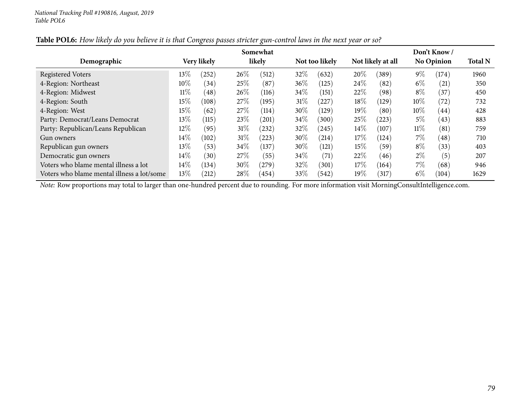|                                            | Somewhat |             |        |        |        |                | Don't Know / |                   |        |                   |                |  |
|--------------------------------------------|----------|-------------|--------|--------|--------|----------------|--------------|-------------------|--------|-------------------|----------------|--|
| Demographic                                |          | Very likely |        | likely |        | Not too likely |              | Not likely at all |        | <b>No Opinion</b> | <b>Total N</b> |  |
| <b>Registered Voters</b>                   | 13\%     | (252)       | $26\%$ | (512)  | 32%    | (632)          | 20%          | (389)             | $9\%$  | (174)             | 1960           |  |
| 4-Region: Northeast                        | $10\%$   | (34)        | 25%    | (87)   | 36%    | (125)          | 24%          | (82)              | $6\%$  | (21)              | 350            |  |
| 4-Region: Midwest                          | $11\%$   | (48)        | $26\%$ | (116)  | $34\%$ | (151)          | 22%          | (98)              | $8\%$  | (37               | 450            |  |
| 4-Region: South                            | 15%      | (108)       | 27%    | (195)  | 31%    | $^{'}227$      | $18\%$       | (129)             | $10\%$ | (72               | 732            |  |
| 4-Region: West                             | 15%      | (62)        | 27%    | (114)  | $30\%$ | (129)          | $19\%$       | (80)              | $10\%$ | (44)              | 428            |  |
| Party: Democrat/Leans Democrat             | 13\%     | (115)       | 23%    | (201)  | 34%    | (300)          | $25\%$       | (223)             | $5\%$  | (43)              | 883            |  |
| Party: Republican/Leans Republican         | 12%      | (95)        | $31\%$ | (232)  | $32\%$ | (245)          | $14\%$       | (107)             | 11%    | (81)              | 759            |  |
| Gun owners                                 | $14\%$   | (102)       | $31\%$ | (223)  | $30\%$ | (214)          | $17\%$       | (124)             | $7\%$  | (48)              | 710            |  |
| Republican gun owners                      | 13\%     | (53)        | $34\%$ | (137)  | $30\%$ | (121)          | $15\%$       | (59`              | $8\%$  | (33)              | 403            |  |
| Democratic gun owners                      | 14%      | (30)        | 27%    | (55)   | 34%    | (71)           | 22\%         | (46)              | $2\%$  | (5)               | 207            |  |
| Voters who blame mental illness a lot      | 14%      | (134)       | $30\%$ | (279)  | 32%    | (301)          | $17\%$       | (164)             | $7\%$  | (68)              | 946            |  |
| Voters who blame mental illness a lot/some | 13\%     | (212)       | $28\%$ | (454)  | 33\%   | (542)          | 19%          | (317)             | $6\%$  | (104)             | 1629           |  |

### Table POL6: How likely do you believe it is that Congress passes stricter gun-control laws in the next year or so?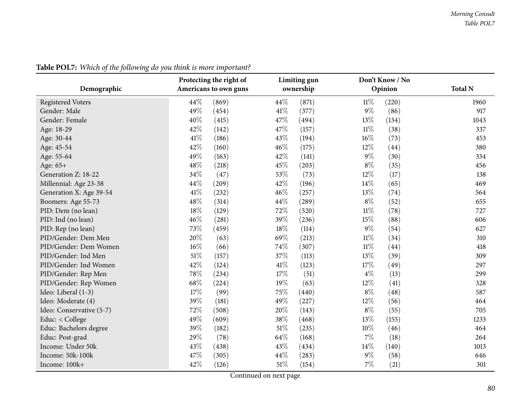| Demographic              | Protecting the right of<br>Americans to own guns | Limiting gun<br>ownership | Don't Know / No<br>Opinion | <b>Total N</b> |
|--------------------------|--------------------------------------------------|---------------------------|----------------------------|----------------|
|                          |                                                  |                           |                            |                |
| <b>Registered Voters</b> | 44\%<br>(869)                                    | 44\%<br>(871)             | $11\%$<br>(220)            | 1960           |
| Gender: Male             | 49%<br>(454)                                     | 41\%<br>(377)             | $9\%$<br>(86)              | 917            |
| Gender: Female           | 40%<br>(415)                                     | 47%<br>(494)              | 13%<br>(134)               | 1043           |
| Age: 18-29               | 42%<br>(142)                                     | 47%<br>(157)              | $11\%$<br>(38)             | 337            |
| Age: 30-44               | 41\%<br>(186)                                    | 43%<br>(194)              | $16\%$<br>(73)             | 453            |
| Age: 45-54               | 42%<br>(160)                                     | 46%<br>(175)              | 12%<br>(44)                | 380            |
| Age: 55-64               | 49%<br>(163)                                     | 42%<br>(141)              | $9\%$<br>(30)              | 334            |
| Age: 65+                 | 48%<br>(218)                                     | 45%<br>(203)              | $8\%$<br>(35)              | 456            |
| Generation Z: 18-22      | 34%<br>(47)                                      | 53%<br>(73)               | 12%<br>(17)                | 138            |
| Millennial: Age 23-38    | 44%<br>(209)                                     | 42%<br>(196)              | 14%<br>(65)                | 469            |
| Generation X: Age 39-54  | 41\%<br>(232)                                    | 46%<br>(257)              | 13%<br>(74)                | 564            |
| Boomers: Age 55-73       | 48%<br>(314)                                     | 44%<br>(289)              | $8\%$<br>(52)              | 655            |
| PID: Dem (no lean)       | 18%<br>(129)                                     | 72%<br>(520)              | $11\%$<br>(78)             | 727            |
| PID: Ind (no lean)       | 46%<br>(281)                                     | 39%<br>(236)              | 15%<br>(88)                | 606            |
| PID: Rep (no lean)       | 73%<br>(459)                                     | 18%<br>(114)              | $9\%$<br>(54)              | 627            |
| PID/Gender: Dem Men      | 20%<br>(63)                                      | 69%<br>(213)              | $11\%$<br>(34)             | 310            |
| PID/Gender: Dem Women    | 16%<br>(66)                                      | 74%<br>(307)              | $11\%$<br>(44)             | 418            |
| PID/Gender: Ind Men      | 51%<br>(157)                                     | 37%<br>(113)              | 13%<br>(39)                | 309            |
| PID/Gender: Ind Women    | 42%<br>(124)                                     | 41%<br>(123)              | 17%<br>(49)                | 297            |
| PID/Gender: Rep Men      | 78%<br>(234)                                     | 17%<br>(51)               | $4\%$<br>(13)              | 299            |
| PID/Gender: Rep Women    | 68%<br>(224)                                     | 19%<br>(63)               | 12%<br>(41)                | 328            |
| Ideo: Liberal (1-3)      | 17%<br>(99)                                      | 75%<br>(440)              | $8\%$<br>(48)              | 587            |
| Ideo: Moderate (4)       | 39%<br>(181)                                     | 49%<br>(227)              | 12%<br>(56)                | 464            |
| Ideo: Conservative (5-7) | 72%<br>(508)                                     | 20%<br>(143)              | $8\%$<br>(55)              | 705            |
| Educ: < College          | 49%<br>(609)                                     | 38%<br>(468)              | 13%<br>(155)               | 1233           |
| Educ: Bachelors degree   | 39%<br>(182)                                     | 51%<br>(235)              | 10%<br>(46)                | 464            |
| Educ: Post-grad          | 29%<br>(78)                                      | 64%<br>(168)              | 7%<br>(18)                 | 264            |
| Income: Under 50k        | 43%<br>(438)                                     | 43%<br>(434)              | 14%<br>(140)               | 1013           |
| Income: 50k-100k         | 47%<br>(305)                                     | 44%<br>(283)              | $9\%$<br>(58)              | 646            |
| Income: 100k+            | 42%<br>(126)                                     | 51%<br>(154)              | 7%<br>(21)                 | 301            |

**Table POL7:** *Which of the following do you think is more important?*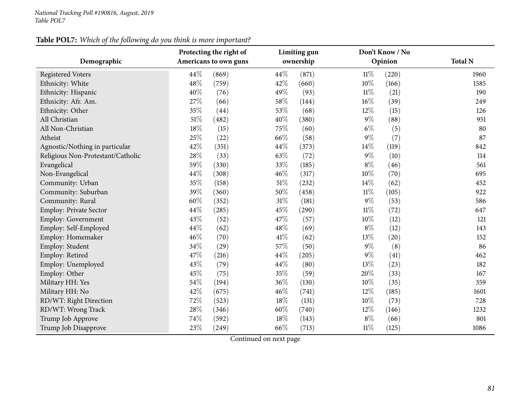## **Table POL7:** *Which of the following do you think is more important?*

|                                   | Protecting the right of<br>Americans to own guns |       |      | Limiting gun |        | Don't Know / No | <b>Total N</b> |
|-----------------------------------|--------------------------------------------------|-------|------|--------------|--------|-----------------|----------------|
| Demographic                       |                                                  |       |      | ownership    |        | Opinion         |                |
| <b>Registered Voters</b>          | 44%                                              | (869) | 44\% | (871)        | $11\%$ | (220)           | 1960           |
| Ethnicity: White                  | 48%                                              | (759) | 42%  | (660)        | 10%    | (166)           | 1585           |
| Ethnicity: Hispanic               | 40%                                              | (76)  | 49%  | (93)         | $11\%$ | (21)            | 190            |
| Ethnicity: Afr. Am.               | 27%                                              | (66)  | 58%  | (144)        | 16%    | (39)            | 249            |
| Ethnicity: Other                  | 35%                                              | (44)  | 53%  | (68)         | 12%    | (15)            | 126            |
| All Christian                     | 51%                                              | (482) | 40%  | (380)        | 9%     | (88)            | 951            |
| All Non-Christian                 | 18%                                              | (15)  | 75%  | (60)         | $6\%$  | (5)             | 80             |
| Atheist                           | 25%                                              | (22)  | 66%  | (58)         | 9%     | (7)             | 87             |
| Agnostic/Nothing in particular    | 42%                                              | (351) | 44%  | (373)        | 14%    | (119)           | 842            |
| Religious Non-Protestant/Catholic | 28%                                              | (33)  | 63%  | (72)         | $9\%$  | (10)            | 114            |
| Evangelical                       | 59%                                              | (330) | 33%  | (185)        | $8\%$  | (46)            | 561            |
| Non-Evangelical                   | 44%                                              | (308) | 46%  | (317)        | 10%    | (70)            | 695            |
| Community: Urban                  | 35%                                              | (158) | 51%  | (232)        | 14%    | (62)            | 452            |
| Community: Suburban               | 39%                                              | (360) | 50%  | (458)        | $11\%$ | (105)           | 922            |
| Community: Rural                  | 60%                                              | (352) | 31%  | (181)        | $9\%$  | (53)            | 586            |
| Employ: Private Sector            | 44%                                              | (285) | 45%  | (290)        | $11\%$ | (72)            | 647            |
| <b>Employ: Government</b>         | 43%                                              | (52)  | 47%  | (57)         | 10%    | (12)            | 121            |
| Employ: Self-Employed             | 44%                                              | (62)  | 48%  | (69)         | $8\%$  | (12)            | 143            |
| Employ: Homemaker                 | 46%                                              | (70)  | 41\% | (62)         | 13%    | (20)            | 152            |
| Employ: Student                   | 34%                                              | (29)  | 57%  | (50)         | $9\%$  | (8)             | 86             |
| Employ: Retired                   | 47%                                              | (216) | 44%  | (205)        | $9\%$  | (41)            | 462            |
| Employ: Unemployed                | 43%                                              | (79)  | 44%  | (80)         | 13%    | (23)            | 182            |
| Employ: Other                     | 45%                                              | (75)  | 35%  | (59)         | 20%    | (33)            | 167            |
| Military HH: Yes                  | 54%                                              | (194) | 36%  | (130)        | 10%    | (35)            | 359            |
| Military HH: No                   | 42%                                              | (675) | 46%  | (741)        | 12%    | (185)           | 1601           |
| RD/WT: Right Direction            | 72%                                              | (523) | 18%  | (131)        | 10%    | (73)            | 728            |
| RD/WT: Wrong Track                | 28%                                              | (346) | 60%  | (740)        | 12%    | (146)           | 1232           |
| Trump Job Approve                 | 74%                                              | (592) | 18%  | (143)        | $8\%$  | (66)            | 801            |
| Trump Job Disapprove              | 23%                                              | (249) | 66%  | (713)        | $11\%$ | (125)           | 1086           |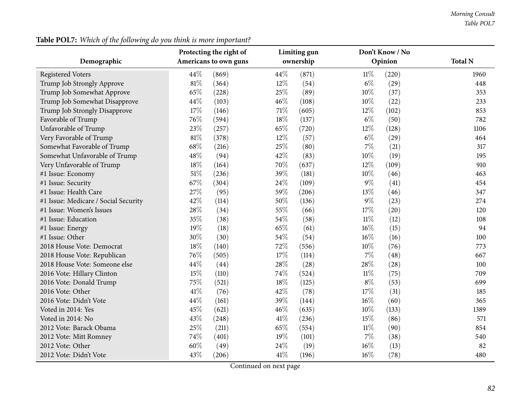| <b>Table POL7:</b> Which of the following do you think is more important? |     |
|---------------------------------------------------------------------------|-----|
| Protecting the right of                                                   | Lin |

|                                      |      | Protecting the right of |      | Limiting gun |        | Don't Know / No |                |
|--------------------------------------|------|-------------------------|------|--------------|--------|-----------------|----------------|
| Demographic                          |      | Americans to own guns   |      | ownership    |        | Opinion         | <b>Total N</b> |
| <b>Registered Voters</b>             | 44%  | (869)                   | 44%  | (871)        | $11\%$ | (220)           | 1960           |
| Trump Job Strongly Approve           | 81%  | (364)                   | 12%  | (54)         | $6\%$  | (29)            | 448            |
| Trump Job Somewhat Approve           | 65%  | (228)                   | 25%  | (89)         | 10%    | (37)            | 353            |
| Trump Job Somewhat Disapprove        | 44%  | (103)                   | 46%  | (108)        | 10%    | (22)            | 233            |
| Trump Job Strongly Disapprove        | 17%  | (146)                   | 71%  | (605)        | 12%    | (102)           | 853            |
| Favorable of Trump                   | 76%  | (594)                   | 18%  | (137)        | $6\%$  | (50)            | 782            |
| Unfavorable of Trump                 | 23%  | (257)                   | 65%  | (720)        | 12%    | (128)           | 1106           |
| Very Favorable of Trump              | 81%  | (378)                   | 12%  | (57)         | $6\%$  | (29)            | 464            |
| Somewhat Favorable of Trump          | 68%  | (216)                   | 25%  | (80)         | $7\%$  | (21)            | 317            |
| Somewhat Unfavorable of Trump        | 48%  | (94)                    | 42%  | (83)         | 10%    | (19)            | 195            |
| Very Unfavorable of Trump            | 18%  | (164)                   | 70%  | (637)        | $12\%$ | (109)           | 910            |
| #1 Issue: Economy                    | 51%  | (236)                   | 39%  | (181)        | 10%    | (46)            | 463            |
| #1 Issue: Security                   | 67%  | (304)                   | 24%  | (109)        | $9\%$  | (41)            | 454            |
| #1 Issue: Health Care                | 27%  | (95)                    | 59%  | (206)        | 13%    | (46)            | 347            |
| #1 Issue: Medicare / Social Security | 42%  | (114)                   | 50%  | (136)        | $9\%$  | (23)            | 274            |
| #1 Issue: Women's Issues             | 28%  | (34)                    | 55%  | (66)         | 17%    | (20)            | 120            |
| #1 Issue: Education                  | 35%  | (38)                    | 54%  | (58)         | $11\%$ | (12)            | 108            |
| #1 Issue: Energy                     | 19%  | (18)                    | 65%  | (61)         | $16\%$ | (15)            | 94             |
| #1 Issue: Other                      | 30%  | (30)                    | 54%  | (54)         | 16%    | (16)            | 100            |
| 2018 House Vote: Democrat            | 18%  | (140)                   | 72%  | (556)        | 10%    | (76)            | 773            |
| 2018 House Vote: Republican          | 76%  | (505)                   | 17%  | (114)        | $7\%$  | (48)            | 667            |
| 2018 House Vote: Someone else        | 44%  | (44)                    | 28%  | (28)         | 28%    | (28)            | 100            |
| 2016 Vote: Hillary Clinton           | 15%  | (110)                   | 74%  | (524)        | $11\%$ | (75)            | 709            |
| 2016 Vote: Donald Trump              | 75%  | (521)                   | 18%  | (125)        | $8\%$  | (53)            | 699            |
| 2016 Vote: Other                     | 41\% | (76)                    | 42%  | (78)         | 17%    | (31)            | 185            |
| 2016 Vote: Didn't Vote               | 44%  | (161)                   | 39%  | (144)        | $16\%$ | (60)            | 365            |
| Voted in 2014: Yes                   | 45%  | (621)                   | 46%  | (635)        | 10%    | (133)           | 1389           |
| Voted in 2014: No                    | 43%  | (248)                   | 41\% | (236)        | 15%    | (86)            | 571            |
| 2012 Vote: Barack Obama              | 25%  | (211)                   | 65%  | (554)        | $11\%$ | (90)            | 854            |
| 2012 Vote: Mitt Romney               | 74%  | (401)                   | 19%  | (101)        | $7\%$  | (38)            | 540            |
| 2012 Vote: Other                     | 60%  | (49)                    | 24%  | (19)         | $16\%$ | (13)            | 82             |
| 2012 Vote: Didn't Vote               | 43%  | (206)                   | 41%  | (196)        | $16\%$ | (78)            | 480            |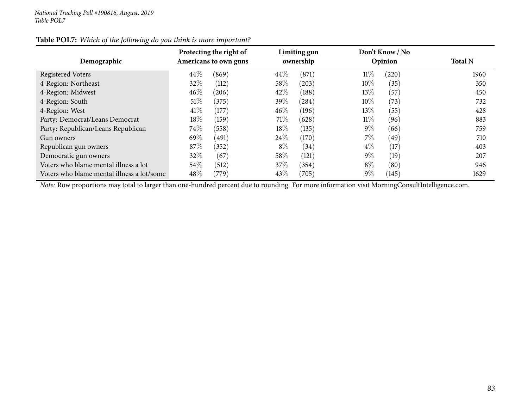| Table POL7: Which of the following do you think is more important? |
|--------------------------------------------------------------------|
|--------------------------------------------------------------------|

| Demographic                                | Protecting the right of<br>Americans to own guns |       | Limiting gun<br>ownership |       | Don't Know / No<br>Opinion | <b>Total N</b>     |      |
|--------------------------------------------|--------------------------------------------------|-------|---------------------------|-------|----------------------------|--------------------|------|
| <b>Registered Voters</b>                   | 44\%                                             | (869) | 44\%                      | (871) | $11\%$                     | (220)              | 1960 |
| 4-Region: Northeast                        | $32\%$                                           | (112) | 58\%                      | (203) | $10\%$                     | (35)               | 350  |
| 4-Region: Midwest                          | $46\%$                                           | (206) | 42\%                      | (188) | 13\%                       | (57)               | 450  |
| 4-Region: South                            | 51%                                              | (375) | 39\%                      | (284) | $10\%$                     | (73)               | 732  |
| 4-Region: West                             | 41\%                                             | (177) | 46%                       | (196) | $13\%$                     | (55)               | 428  |
| Party: Democrat/Leans Democrat             | $18\%$                                           | (159) | 71%                       | (628) | $11\%$                     | (96)               | 883  |
| Party: Republican/Leans Republican         | $74\%$                                           | (558) | $18\%$                    | (135) | $9\%$                      | (66)               | 759  |
| Gun owners                                 | 69%                                              | (491) | 24%                       | (170) | $7\%$                      | (49)               | 710  |
| Republican gun owners                      | 87\%                                             | (352) | $8\%$                     | (34)  | $4\%$                      | (17)               | 403  |
| Democratic gun owners                      | 32\%                                             | (67)  | 58%                       | (121) | $9\%$                      | (19)               | 207  |
| Voters who blame mental illness a lot      | 54\%                                             | (512) | 37\%                      | (354) | $8\%$                      | $\left( 80\right)$ | 946  |
| Voters who blame mental illness a lot/some | $48\%$                                           | (779) | $43\%$                    | (705) | $9\%$                      | (145)              | 1629 |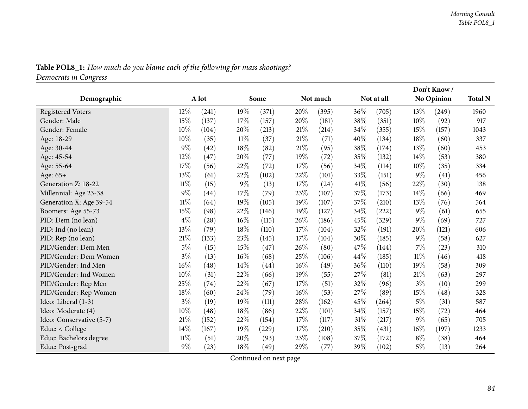|                          |        |       |        |       |        |          |         |            |        | Don't Know/       |                |
|--------------------------|--------|-------|--------|-------|--------|----------|---------|------------|--------|-------------------|----------------|
| Demographic              |        | A lot |        | Some  |        | Not much |         | Not at all |        | <b>No Opinion</b> | <b>Total N</b> |
| <b>Registered Voters</b> | $12\%$ | (241) | 19%    | (371) | $20\%$ | (395)    | 36%     | (705)      | $13\%$ | (249)             | 1960           |
| Gender: Male             | 15%    | (137) | 17%    | (157) | 20%    | (181)    | $38\%$  | (351)      | 10%    | (92)              | 917            |
| Gender: Female           | 10%    | (104) | 20%    | (213) | 21%    | (214)    | 34\%    | (355)      | 15%    | (157)             | 1043           |
| Age: 18-29               | 10%    | (35)  | $11\%$ | (37)  | 21\%   | (71)     | 40%     | (134)      | 18%    | (60)              | 337            |
| Age: 30-44               | $9\%$  | (42)  | 18%    | (82)  | 21%    | (95)     | 38%     | (174)      | 13%    | (60)              | 453            |
| Age: 45-54               | 12%    | (47)  | 20%    | (77)  | 19%    | (72)     | 35%     | (132)      | 14\%   | (53)              | 380            |
| Age: 55-64               | $17\%$ | (56)  | 22%    | (72)  | 17%    | (56)     | 34%     | (114)      | 10\%   | (35)              | 334            |
| Age: 65+                 | 13%    | (61)  | 22%    | (102) | 22%    | (101)    | 33\%    | (151)      | $9\%$  | (41)              | 456            |
| Generation Z: 18-22      | $11\%$ | (15)  | 9%     | (13)  | 17%    | (24)     | 41\%    | (56)       | 22%    | (30)              | 138            |
| Millennial: Age 23-38    | $9\%$  | (44)  | 17%    | (79)  | 23%    | (107)    | 37%     | (173)      | $14\%$ | (66)              | 469            |
| Generation X: Age 39-54  | $11\%$ | (64)  | 19%    | (105) | 19%    | (107)    | 37%     | (210)      | 13\%   | (76)              | 564            |
| Boomers: Age 55-73       | 15%    | (98)  | 22%    | (146) | 19%    | (127)    | 34%     | (222)      | $9\%$  | (61)              | 655            |
| PID: Dem (no lean)       | $4\%$  | (28)  | 16%    | (115) | 26%    | (186)    | 45%     | (329)      | $9\%$  | (69)              | 727            |
| PID: Ind (no lean)       | 13\%   | (79)  | 18%    | (110) | 17%    | (104)    | 32%     | (191)      | 20%    | (121)             | 606            |
| PID: Rep (no lean)       | 21\%   | (133) | 23%    | (145) | 17%    | (104)    | 30%     | (185)      | $9\%$  | (58)              | 627            |
| PID/Gender: Dem Men      | $5\%$  | (15)  | 15%    | (47)  | 26%    | (80)     | 47%     | (144)      | $7\%$  | (23)              | 310            |
| PID/Gender: Dem Women    | $3\%$  | (13)  | 16%    | (68)  | 25%    | (106)    | 44%     | (185)      | $11\%$ | (46)              | 418            |
| PID/Gender: Ind Men      | $16\%$ | (48)  | 14%    | (44)  | 16%    | (49)     | 36%     | (110)      | 19%    | (58)              | 309            |
| PID/Gender: Ind Women    | 10%    | (31)  | 22%    | (66)  | 19%    | (55)     | 27\%    | (81)       | 21%    | (63)              | 297            |
| PID/Gender: Rep Men      | 25%    | (74)  | 22%    | (67)  | 17%    | (51)     | 32%     | (96)       | $3\%$  | (10)              | 299            |
| PID/Gender: Rep Women    | 18%    | (60)  | 24%    | (79)  | 16%    | (53)     | 27%     | (89)       | 15%    | (48)              | 328            |
| Ideo: Liberal (1-3)      | $3\%$  | (19)  | 19%    | (111) | 28%    | (162)    | 45%     | (264)      | $5\%$  | (31)              | 587            |
| Ideo: Moderate (4)       | 10%    | (48)  | 18%    | (86)  | 22%    | (101)    | 34%     | (157)      | 15%    | (72)              | 464            |
| Ideo: Conservative (5-7) | $21\%$ | (152) | 22%    | (154) | 17%    | (117)    | 31\%    | (217)      | $9\%$  | (65)              | 705            |
| Educ: < College          | 14\%   | (167) | 19%    | (229) | 17%    | (210)    | 35%     | (431)      | $16\%$ | (197)             | 1233           |
| Educ: Bachelors degree   | $11\%$ | (51)  | 20%    | (93)  | 23\%   | (108)    | 37%     | (172)      | $8\%$  | (38)              | 464            |
| Educ: Post-grad          | $9\%$  | (23)  | 18%    | (49)  | 29%    | (77)     | 39 $\%$ | (102)      | $5\%$  | (13)              | 264            |

Table POL8\_1: How much do you blame each of the following for mass shootings?

*Democrats in Congress*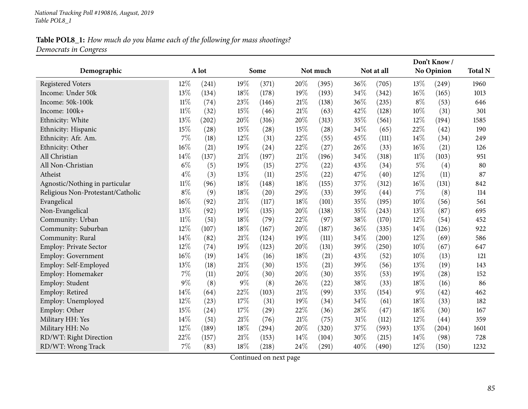## Table POL8\_1: How much do you blame each of the following for mass shootings? *Democrats in Congress*

| Demographic                       |        | A lot |        | Some  |        | Not much |     | Not at all |        | Don't Know/<br>No Opinion | <b>Total N</b> |
|-----------------------------------|--------|-------|--------|-------|--------|----------|-----|------------|--------|---------------------------|----------------|
|                                   |        |       |        |       |        |          |     |            |        |                           |                |
| <b>Registered Voters</b>          | 12%    | (241) | 19%    | (371) | 20%    | (395)    | 36% | (705)      | 13%    | (249)                     | 1960           |
| Income: Under 50k                 | 13%    | (134) | 18%    | (178) | 19%    | (193)    | 34% | (342)      | 16%    | (165)                     | 1013           |
| Income: 50k-100k                  | $11\%$ | (74)  | 23%    | (146) | $21\%$ | (138)    | 36% | (235)      | $8\%$  | (53)                      | 646            |
| Income: 100k+                     | $11\%$ | (32)  | 15%    | (46)  | $21\%$ | (63)     | 42% | (128)      | 10%    | (31)                      | 301            |
| Ethnicity: White                  | 13%    | (202) | 20%    | (316) | 20%    | (313)    | 35% | (561)      | 12%    | (194)                     | 1585           |
| Ethnicity: Hispanic               | $15\%$ | (28)  | 15%    | (28)  | 15%    | (28)     | 34% | (65)       | 22%    | (42)                      | 190            |
| Ethnicity: Afr. Am.               | 7%     | (18)  | 12%    | (31)  | 22%    | (55)     | 45% | (111)      | 14%    | (34)                      | 249            |
| Ethnicity: Other                  | 16%    | (21)  | 19%    | (24)  | 22%    | (27)     | 26% | (33)       | 16%    | (21)                      | 126            |
| All Christian                     | 14%    | (137) | $21\%$ | (197) | $21\%$ | (196)    | 34% | (318)      | $11\%$ | (103)                     | 951            |
| All Non-Christian                 | $6\%$  | (5)   | 19%    | (15)  | 27%    | (22)     | 43% | (34)       | $5\%$  | (4)                       | 80             |
| Atheist                           | $4\%$  | (3)   | 13%    | (11)  | 25%    | (22)     | 47% | (40)       | 12%    | (11)                      | 87             |
| Agnostic/Nothing in particular    | $11\%$ | (96)  | 18%    | (148) | 18%    | (155)    | 37% | (312)      | 16%    | (131)                     | 842            |
| Religious Non-Protestant/Catholic | $8\%$  | (9)   | 18%    | (20)  | 29%    | (33)     | 39% | (44)       | 7%     | (8)                       | 114            |
| Evangelical                       | 16%    | (92)  | 21\%   | (117) | 18%    | (101)    | 35% | (195)      | 10%    | (56)                      | 561            |
| Non-Evangelical                   | 13%    | (92)  | 19%    | (135) | 20%    | (138)    | 35% | (243)      | 13%    | (87)                      | 695            |
| Community: Urban                  | $11\%$ | (51)  | 18%    | (79)  | 22%    | (97)     | 38% | (170)      | 12%    | (54)                      | 452            |
| Community: Suburban               | 12%    | (107) | 18%    | (167) | 20%    | (187)    | 36% | (335)      | 14%    | (126)                     | 922            |
| Community: Rural                  | 14%    | (82)  | 21%    | (124) | 19%    | (111)    | 34% | (200)      | 12%    | (69)                      | 586            |
| Employ: Private Sector            | 12%    | (74)  | 19%    | (123) | 20%    | (131)    | 39% | (250)      | 10%    | (67)                      | 647            |
| Employ: Government                | 16%    | (19)  | 14%    | (16)  | 18%    | (21)     | 43% | (52)       | 10%    | (13)                      | 121            |
| Employ: Self-Employed             | 13%    | (18)  | $21\%$ | (30)  | 15%    | (21)     | 39% | (56)       | 13%    | (19)                      | 143            |
| Employ: Homemaker                 | 7%     | (11)  | 20%    | (30)  | 20%    | (30)     | 35% | (53)       | 19%    | (28)                      | 152            |
| Employ: Student                   | 9%     | (8)   | $9\%$  | (8)   | 26%    | (22)     | 38% | (33)       | 18%    | (16)                      | 86             |
| Employ: Retired                   | 14%    | (64)  | 22%    | (103) | $21\%$ | (99)     | 33% | (154)      | $9\%$  | (42)                      | 462            |
| Employ: Unemployed                | 12%    | (23)  | 17%    | (31)  | 19%    | (34)     | 34% | (61)       | 18%    | (33)                      | 182            |
| Employ: Other                     | 15%    | (24)  | 17%    | (29)  | 22%    | (36)     | 28% | (47)       | 18%    | (30)                      | 167            |
| Military HH: Yes                  | 14%    | (51)  | 21%    | (76)  | $21\%$ | (75)     | 31% | (112)      | 12%    | (44)                      | 359            |
| Military HH: No                   | 12%    | (189) | 18%    | (294) | 20%    | (320)    | 37% | (593)      | 13%    | (204)                     | 1601           |
| RD/WT: Right Direction            | 22%    | (157) | 21%    | (153) | 14%    | (104)    | 30% | (215)      | 14%    | (98)                      | 728            |
| RD/WT: Wrong Track                | 7%     | (83)  | 18%    | (218) | 24\%   | (291)    | 40% | (490)      | 12%    | (150)                     | 1232           |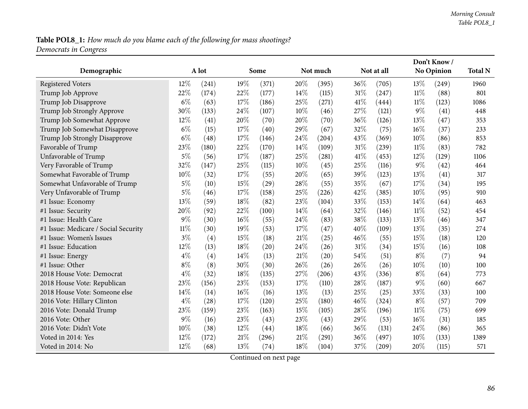# Table POL8\_1: How much do you blame each of the following for mass shootings? *Democrats in Congress*

|                                      |        |       |      |       |        |          |      | Don't Know/ |        |            |      |
|--------------------------------------|--------|-------|------|-------|--------|----------|------|-------------|--------|------------|------|
| Demographic                          |        | A lot |      | Some  |        | Not much |      | Not at all  |        | No Opinion |      |
| <b>Registered Voters</b>             | 12%    | (241) | 19%  | (371) | 20%    | (395)    | 36%  | (705)       | 13%    | (249)      | 1960 |
| Trump Job Approve                    | 22%    | (174) | 22%  | (177) | 14\%   | (115)    | 31%  | (247)       | $11\%$ | (88)       | 801  |
| Trump Job Disapprove                 | $6\%$  | (63)  | 17%  | (186) | 25%    | (271)    | 41%  | (444)       | $11\%$ | (123)      | 1086 |
| Trump Job Strongly Approve           | 30%    | (133) | 24%  | (107) | $10\%$ | (46)     | 27%  | (121)       | 9%     | (41)       | 448  |
| Trump Job Somewhat Approve           | 12%    | (41)  | 20%  | (70)  | 20%    | (70)     | 36%  | (126)       | 13%    | (47)       | 353  |
| Trump Job Somewhat Disapprove        | $6\%$  | (15)  | 17%  | (40)  | 29%    | (67)     | 32%  | (75)        | 16%    | (37)       | 233  |
| Trump Job Strongly Disapprove        | $6\%$  | (48)  | 17%  | (146) | 24\%   | (204)    | 43%  | (369)       | 10%    | (86)       | 853  |
| Favorable of Trump                   | 23%    | (180) | 22%  | (170) | 14%    | (109)    | 31%  | (239)       | $11\%$ | (83)       | 782  |
| Unfavorable of Trump                 | $5\%$  | (56)  | 17%  | (187) | 25%    | (281)    | 41\% | (453)       | $12\%$ | (129)      | 1106 |
| Very Favorable of Trump              | 32%    | (147) | 25%  | (115) | $10\%$ | (45)     | 25%  | (116)       | $9\%$  | (42)       | 464  |
| Somewhat Favorable of Trump          | 10%    | (32)  | 17\% | (55)  | 20%    | (65)     | 39%  | (123)       | 13%    | (41)       | 317  |
| Somewhat Unfavorable of Trump        | $5\%$  | (10)  | 15%  | (29)  | 28\%   | (55)     | 35%  | (67)        | 17%    | (34)       | 195  |
| Very Unfavorable of Trump            | $5\%$  | (46)  | 17%  | (158) | 25%    | (226)    | 42%  | (385)       | 10%    | (95)       | 910  |
| #1 Issue: Economy                    | 13%    | (59)  | 18%  | (82)  | 23%    | (104)    | 33%  | (153)       | $14\%$ | (64)       | 463  |
| #1 Issue: Security                   | 20%    | (92)  | 22%  | (100) | 14%    | (64)     | 32%  | (146)       | $11\%$ | (52)       | 454  |
| #1 Issue: Health Care                | 9%     | (30)  | 16%  | (55)  | 24%    | (83)     | 38%  | (133)       | 13%    | (46)       | 347  |
| #1 Issue: Medicare / Social Security | $11\%$ | (30)  | 19%  | (53)  | 17%    | (47)     | 40%  | (109)       | 13%    | (35)       | 274  |
| #1 Issue: Women's Issues             | $3\%$  | (4)   | 15%  | (18)  | 21%    | (25)     | 46%  | (55)        | 15%    | (18)       | 120  |
| #1 Issue: Education                  | 12%    | (13)  | 18%  | (20)  | 24%    | (26)     | 31%  | (34)        | 15%    | (16)       | 108  |
| #1 Issue: Energy                     | $4\%$  | (4)   | 14%  | (13)  | 21\%   | (20)     | 54%  | (51)        | $8\%$  | (7)        | 94   |
| #1 Issue: Other                      | $8\%$  | (8)   | 30%  | (30)  | 26%    | (26)     | 26%  | (26)        | 10%    | (10)       | 100  |
| 2018 House Vote: Democrat            | $4\%$  | (32)  | 18%  | (135) | 27%    | (206)    | 43%  | (336)       | $8\%$  | (64)       | 773  |
| 2018 House Vote: Republican          | 23%    | (156) | 23%  | (153) | 17%    | (110)    | 28%  | (187)       | 9%     | (60)       | 667  |
| 2018 House Vote: Someone else        | 14%    | (14)  | 16%  | (16)  | 13%    | (13)     | 25%  | (25)        | 33%    | (33)       | 100  |
| 2016 Vote: Hillary Clinton           | $4\%$  | (28)  | 17%  | (120) | 25%    | (180)    | 46%  | (324)       | $8\%$  | (57)       | 709  |
| 2016 Vote: Donald Trump              | 23%    | (159) | 23%  | (163) | 15%    | (105)    | 28%  | (196)       | $11\%$ | (75)       | 699  |
| 2016 Vote: Other                     | 9%     | (16)  | 23%  | (43)  | 23%    | (43)     | 29%  | (53)        | 16%    | (31)       | 185  |
| 2016 Vote: Didn't Vote               | 10%    | (38)  | 12%  | (44)  | 18%    | (66)     | 36%  | (131)       | 24\%   | (86)       | 365  |
| Voted in 2014: Yes                   | 12%    | (172) | 21%  | (296) | 21%    | (291)    | 36%  | (497)       | 10%    | (133)      | 1389 |
| Voted in 2014: No                    | 12%    | (68)  | 13%  | (74)  | 18%    | (104)    | 37%  | (209)       | 20%    | (115)      | 571  |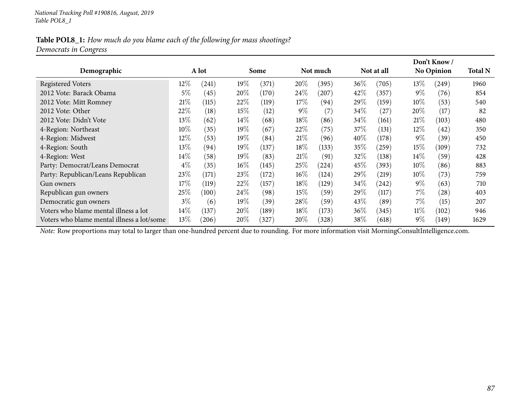### Table POL8\_1: How much do you blame each of the following for mass shootings? *Democrats in Congress*

|                                            |        |       |        |       |        |            |        |            |        | Don't Know /       |                |
|--------------------------------------------|--------|-------|--------|-------|--------|------------|--------|------------|--------|--------------------|----------------|
| Demographic                                |        | A lot |        | Some  |        | Not much   |        | Not at all |        | <b>No Opinion</b>  | <b>Total N</b> |
| <b>Registered Voters</b>                   | 12%    | (241) | 19%    | (371) | 20%    | (395)      | $36\%$ | (705)      | $13\%$ | (249)              | 1960           |
| 2012 Vote: Barack Obama                    | $5\%$  | (45)  | 20%    | (170) | 24%    | (207)      | 42\%   | (357)      | $9\%$  | (76)               | 854            |
| 2012 Vote: Mitt Romney                     | 21%    | (115) | 22%    | (119) | 17%    | (94)       | 29\%   | (159)      | $10\%$ | (53)               | 540            |
| 2012 Vote: Other                           | 22\%   | (18)  | 15%    | (12)  | $9\%$  | (7)        | 34%    | (27        | 20%    | (17)               | 82             |
| 2012 Vote: Didn't Vote                     | $13\%$ | (62)  | $14\%$ | (68)  | 18%    | (86)       | 34%    | (161)      | $21\%$ | (103)              | 480            |
| 4-Region: Northeast                        | $10\%$ | (35)  | $19\%$ | (67)  | 22%    | (75)       | $37\%$ | (131)      | $12\%$ | (42)               | 350            |
| 4-Region: Midwest                          | $12\%$ | (53)  | 19%    | (84)  | 21%    | (96)       | $40\%$ | (178)      | $9\%$  | (39)               | 450            |
| 4-Region: South                            | $13\%$ | (94)  | $19\%$ | (137) | $18\%$ | (133)      | 35%    | $^{'}259)$ | $15\%$ | (109)              | 732            |
| 4-Region: West                             | $14\%$ | (58)  | $19\%$ | (83)  | 21%    | (91)       | $32\%$ | (138)      | $14\%$ | (59)               | 428            |
| Party: Democrat/Leans Democrat             | $4\%$  | (35)  | $16\%$ | (145) | $25\%$ | $^{(224)}$ | 45\%   | (393)      | $10\%$ | (86)               | 883            |
| Party: Republican/Leans Republican         | 23\%   | (171) | 23\%   | (172) | $16\%$ | (124)      | 29\%   | (219)      | $10\%$ | (73)               | 759            |
| Gun owners                                 | $17\%$ | (119) | 22%    | (157) | $18\%$ | (129)      | 34%    | (242)      | $9\%$  | (63)               | 710            |
| Republican gun owners                      | 25\%   | (100) | 24%    | (98)  | 15%    | (59)       | 29\%   | (117)      | $7\%$  | $\left( 28\right)$ | 403            |
| Democratic gun owners                      | $3\%$  | (6)   | 19%    | (39)  | 28\%   | (59)       | 43\%   | (89`       | $7\%$  | (15)               | 207            |
| Voters who blame mental illness a lot      | $14\%$ | (137) | $20\%$ | (189) | 18%    | (173)      | $36\%$ | (345)      | $11\%$ | (102)              | 946            |
| Voters who blame mental illness a lot/some | 13\%   | (206) | $20\%$ | (327) | 20%    | (328)      | $38\%$ | (618)      | $9\%$  | [149]              | 1629           |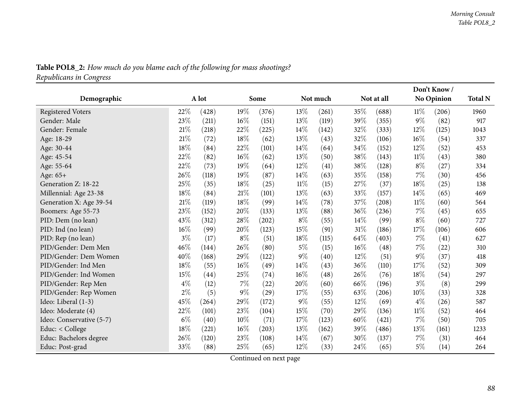|                          |        |       |        |       |        |          |            | Don't Know/ |            |       |                |
|--------------------------|--------|-------|--------|-------|--------|----------|------------|-------------|------------|-------|----------------|
| Demographic              |        | A lot |        | Some  |        | Not much | Not at all |             | No Opinion |       | <b>Total N</b> |
| <b>Registered Voters</b> | 22\%   | (428) | 19%    | (376) | 13%    | (261)    | 35%        | (688)       | $11\%$     | (206) | 1960           |
| Gender: Male             | 23%    | (211) | 16%    | (151) | 13%    | (119)    | 39%        | (355)       | $9\%$      | (82)  | 917            |
| Gender: Female           | 21%    | (218) | 22%    | (225) | 14\%   | (142)    | 32%        | (333)       | 12%        | (125) | 1043           |
| Age: 18-29               | 21%    | (72)  | 18%    | (62)  | 13%    | (43)     | 32%        | (106)       | 16%        | (54)  | 337            |
| Age: 30-44               | 18%    | (84)  | 22%    | (101) | 14%    | (64)     | 34%        | (152)       | 12%        | (52)  | 453            |
| Age: 45-54               | 22%    | (82)  | 16%    | (62)  | 13%    | (50)     | 38\%       | (143)       | $11\%$     | (43)  | 380            |
| Age: 55-64               | 22%    | (73)  | 19%    | (64)  | 12%    | (41)     | 38%        | (128)       | $8\%$      | (27)  | 334            |
| Age: 65+                 | 26%    | (118) | 19%    | (87)  | 14\%   | (63)     | 35%        | (158)       | 7%         | (30)  | 456            |
| Generation Z: 18-22      | 25%    | (35)  | 18%    | (25)  | $11\%$ | (15)     | 27%        | (37)        | 18%        | (25)  | 138            |
| Millennial: Age 23-38    | $18\%$ | (84)  | $21\%$ | (101) | 13%    | (63)     | 33%        | (157)       | 14%        | (65)  | 469            |
| Generation X: Age 39-54  | $21\%$ | (119) | 18%    | (99)  | 14%    | (78)     | 37%        | (208)       | $11\%$     | (60)  | 564            |
| Boomers: Age 55-73       | 23\%   | (152) | 20%    | (133) | 13%    | (88)     | 36%        | (236)       | 7%         | (45)  | 655            |
| PID: Dem (no lean)       | 43%    | (312) | 28%    | (202) | $8\%$  | (55)     | 14%        | (99)        | $8\%$      | (60)  | 727            |
| PID: Ind (no lean)       | $16\%$ | (99)  | 20%    | (123) | 15%    | (91)     | $31\%$     | (186)       | 17%        | (106) | 606            |
| PID: Rep (no lean)       | $3\%$  | (17)  | $8\%$  | (51)  | 18%    | (115)    | 64\%       | (403)       | $7\%$      | (41)  | 627            |
| PID/Gender: Dem Men      | 46%    | (144) | 26%    | (80)  | $5\%$  | (15)     | $16\%$     | (48)        | 7%         | (22)  | 310            |
| PID/Gender: Dem Women    | 40%    | (168) | 29%    | (122) | 9%     | (40)     | 12%        | (51)        | $9\%$      | (37)  | 418            |
| PID/Gender: Ind Men      | $18\%$ | (55)  | 16%    | (49)  | 14%    | (43)     | 36%        | (110)       | 17%        | (52)  | 309            |
| PID/Gender: Ind Women    | 15%    | (44)  | 25%    | (74)  | 16%    | (48)     | 26%        | (76)        | 18%        | (54)  | 297            |
| PID/Gender: Rep Men      | $4\%$  | (12)  | 7%     | (22)  | 20%    | (60)     | 66\%       | (196)       | $3\%$      | (8)   | 299            |
| PID/Gender: Rep Women    | $2\%$  | (5)   | $9\%$  | (29)  | 17%    | (55)     | 63%        | (206)       | $10\%$     | (33)  | 328            |
| Ideo: Liberal (1-3)      | 45%    | (264) | 29%    | (172) | $9\%$  | (55)     | 12%        | (69)        | $4\%$      | (26)  | 587            |
| Ideo: Moderate (4)       | 22%    | (101) | 23%    | (104) | 15%    | (70)     | 29%        | (136)       | $11\%$     | (52)  | 464            |
| Ideo: Conservative (5-7) | $6\%$  | (40)  | 10%    | (71)  | 17%    | (123)    | 60%        | (421)       | 7%         | (50)  | 705            |
| Educ: < College          | 18%    | (221) | 16%    | (203) | 13%    | (162)    | 39%        | (486)       | 13%        | (161) | 1233           |
| Educ: Bachelors degree   | 26%    | (120) | 23%    | (108) | 14%    | (67)     | 30%        | (137)       | 7%         | (31)  | 464            |
| Educ: Post-grad          | 33%    | (88)  | 25%    | (65)  | 12%    | (33)     | 24%        | (65)        | 5%         | (14)  | 264            |

Table POL8\_2: How much do you blame each of the following for mass shootings? *Republicans in Congress*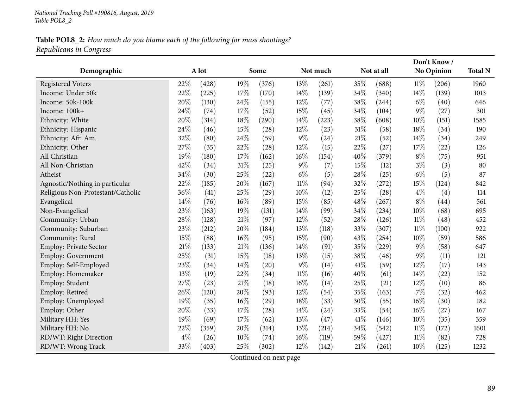# Table POL8\_2: How much do you blame each of the following for mass shootings? *Republicans in Congress*

|                                   |       |       |        |       |        |          |      |            |        | Don't Know/       | <b>Total N</b> |
|-----------------------------------|-------|-------|--------|-------|--------|----------|------|------------|--------|-------------------|----------------|
| Demographic                       |       | A lot |        | Some  |        | Not much |      | Not at all |        | <b>No Opinion</b> |                |
| <b>Registered Voters</b>          | 22%   | (428) | 19%    | (376) | 13%    | (261)    | 35%  | (688)      | $11\%$ | (206)             | 1960           |
| Income: Under 50k                 | 22%   | (225) | 17%    | (170) | 14%    | (139)    | 34%  | (340)      | $14\%$ | (139)             | 1013           |
| Income: 50k-100k                  | 20%   | (130) | 24%    | (155) | 12%    | (77)     | 38%  | (244)      | $6\%$  | (40)              | 646            |
| Income: 100k+                     | 24%   | (74)  | 17%    | (52)  | 15%    | (45)     | 34%  | (104)      | 9%     | (27)              | 301            |
| Ethnicity: White                  | 20%   | (314) | 18%    | (290) | 14%    | (223)    | 38%  | (608)      | 10%    | (151)             | 1585           |
| Ethnicity: Hispanic               | 24%   | (46)  | 15%    | (28)  | 12%    | (23)     | 31%  | (58)       | 18%    | (34)              | 190            |
| Ethnicity: Afr. Am.               | 32%   | (80)  | 24\%   | (59)  | $9\%$  | (24)     | 21%  | (52)       | 14%    | (34)              | 249            |
| Ethnicity: Other                  | 27%   | (35)  | 22%    | (28)  | 12%    | (15)     | 22%  | (27)       | 17%    | (22)              | 126            |
| All Christian                     | 19%   | (180) | 17%    | (162) | 16%    | (154)    | 40%  | (379)      | $8\%$  | (75)              | 951            |
| All Non-Christian                 | 42%   | (34)  | $31\%$ | (25)  | $9\%$  | (7)      | 15%  | (12)       | $3\%$  | (3)               | 80             |
| Atheist                           | 34%   | (30)  | 25%    | (22)  | $6\%$  | (5)      | 28%  | (25)       | $6\%$  | (5)               | 87             |
| Agnostic/Nothing in particular    | 22%   | (185) | 20%    | (167) | $11\%$ | (94)     | 32%  | (272)      | 15%    | (124)             | 842            |
| Religious Non-Protestant/Catholic | 36%   | (41)  | 25%    | (29)  | $10\%$ | (12)     | 25%  | (28)       | $4\%$  | (4)               | 114            |
| Evangelical                       | 14%   | (76)  | $16\%$ | (89)  | 15%    | (85)     | 48%  | (267)      | $8\%$  | (44)              | 561            |
| Non-Evangelical                   | 23%   | (163) | 19%    | (131) | 14%    | (99)     | 34%  | (234)      | 10%    | (68)              | 695            |
| Community: Urban                  | 28%   | (128) | 21%    | (97)  | 12%    | (52)     | 28%  | (126)      | $11\%$ | (48)              | 452            |
| Community: Suburban               | 23%   | (212) | 20%    | (184) | 13%    | (118)    | 33%  | (307)      | $11\%$ | (100)             | 922            |
| Community: Rural                  | 15%   | (88)  | 16%    | (95)  | 15%    | (90)     | 43%  | (254)      | 10%    | (59)              | 586            |
| <b>Employ: Private Sector</b>     | 21%   | (133) | $21\%$ | (136) | 14%    | (91)     | 35%  | (229)      | $9\%$  | (58)              | 647            |
| Employ: Government                | 25%   | (31)  | 15%    | (18)  | 13%    | (15)     | 38%  | (46)       | $9\%$  | (11)              | 121            |
| Employ: Self-Employed             | 23%   | (34)  | 14%    | (20)  | $9\%$  | (14)     | 41\% | (59)       | 12%    | (17)              | 143            |
| Employ: Homemaker                 | 13%   | (19)  | 22%    | (34)  | $11\%$ | (16)     | 40%  | (61)       | 14%    | (22)              | 152            |
| Employ: Student                   | 27%   | (23)  | 21%    | (18)  | $16\%$ | (14)     | 25%  | (21)       | 12%    | (10)              | 86             |
| Employ: Retired                   | 26%   | (120) | 20%    | (93)  | $12\%$ | (54)     | 35%  | (163)      | 7%     | (32)              | 462            |
| Employ: Unemployed                | 19%   | (35)  | $16\%$ | (29)  | 18%    | (33)     | 30%  | (55)       | 16%    | (30)              | 182            |
| Employ: Other                     | 20%   | (33)  | 17%    | (28)  | 14%    | (24)     | 33%  | (54)       | 16%    | (27)              | 167            |
| Military HH: Yes                  | 19%   | (69)  | 17%    | (62)  | 13%    | (47)     | 41\% | (146)      | 10%    | (35)              | 359            |
| Military HH: No                   | 22%   | (359) | 20%    | (314) | 13%    | (214)    | 34%  | (542)      | $11\%$ | (172)             | 1601           |
| RD/WT: Right Direction            | $4\%$ | (26)  | $10\%$ | (74)  | 16%    | (119)    | 59%  | (427)      | $11\%$ | (82)              | 728            |
| RD/WT: Wrong Track                | 33%   | (403) | 25%    | (302) | 12%    | (142)    | 21%  | (261)      | 10%    | (125)             | 1232           |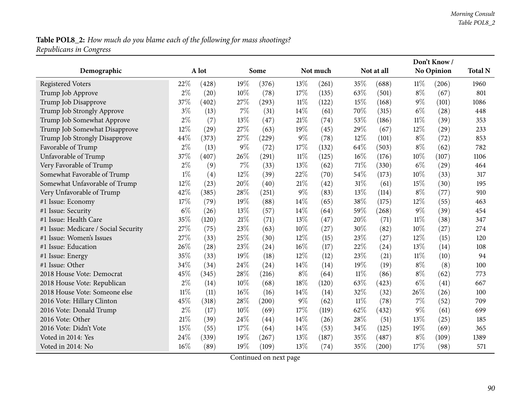# Table POL8\_2: How much do you blame each of the following for mass shootings? *Republicans in Congress*

|                                      |        |       |       |       |       |          |        | Don't Know/ |        |            |      |
|--------------------------------------|--------|-------|-------|-------|-------|----------|--------|-------------|--------|------------|------|
| Demographic                          |        | A lot |       | Some  |       | Not much |        | Not at all  |        | No Opinion |      |
| <b>Registered Voters</b>             | 22%    | (428) | 19%   | (376) | 13%   | (261)    | 35%    | (688)       | $11\%$ | (206)      | 1960 |
| Trump Job Approve                    | $2\%$  | (20)  | 10%   | (78)  | 17%   | (135)    | 63%    | (501)       | $8\%$  | (67)       | 801  |
| Trump Job Disapprove                 | 37%    | (402) | 27%   | (293) | 11%   | (122)    | 15%    | (168)       | $9\%$  | (101)      | 1086 |
| Trump Job Strongly Approve           | $3\%$  | (13)  | 7%    | (31)  | 14\%  | (61)     | 70%    | (315)       | $6\%$  | (28)       | 448  |
| Trump Job Somewhat Approve           | $2\%$  | (7)   | 13%   | (47)  | 21%   | (74)     | 53%    | (186)       | $11\%$ | (39)       | 353  |
| Trump Job Somewhat Disapprove        | 12%    | (29)  | 27%   | (63)  | 19%   | (45)     | 29%    | (67)        | 12%    | (29)       | 233  |
| Trump Job Strongly Disapprove        | 44%    | (373) | 27%   | (229) | $9\%$ | (78)     | 12%    | (101)       | $8\%$  | (72)       | 853  |
| Favorable of Trump                   | $2\%$  | (13)  | $9\%$ | (72)  | 17%   | (132)    | 64%    | (503)       | $8\%$  | (62)       | 782  |
| Unfavorable of Trump                 | 37%    | (407) | 26%   | (291) | 11%   | (125)    | 16%    | (176)       | 10%    | (107)      | 1106 |
| Very Favorable of Trump              | $2\%$  | (9)   | 7%    | (33)  | 13%   | (62)     | 71%    | (330)       | $6\%$  | (29)       | 464  |
| Somewhat Favorable of Trump          | $1\%$  | (4)   | 12%   | (39)  | 22%   | (70)     | 54%    | (173)       | 10%    | (33)       | 317  |
| Somewhat Unfavorable of Trump        | 12%    | (23)  | 20%   | (40)  | 21%   | (42)     | 31%    | (61)        | 15%    | (30)       | 195  |
| Very Unfavorable of Trump            | 42%    | (385) | 28%   | (251) | $9\%$ | (83)     | 13%    | (114)       | $8\%$  | (77)       | 910  |
| #1 Issue: Economy                    | 17%    | (79)  | 19%   | (88)  | 14%   | (65)     | 38%    | (175)       | 12%    | (55)       | 463  |
| #1 Issue: Security                   | $6\%$  | (26)  | 13%   | (57)  | 14%   | (64)     | 59%    | (268)       | $9\%$  | (39)       | 454  |
| #1 Issue: Health Care                | 35%    | (120) | 21%   | (71)  | 13%   | (47)     | 20%    | (71)        | $11\%$ | (38)       | 347  |
| #1 Issue: Medicare / Social Security | 27%    | (75)  | 23%   | (63)  | 10%   | (27)     | 30%    | (82)        | 10%    | (27)       | 274  |
| #1 Issue: Women's Issues             | 27%    | (33)  | 25%   | (30)  | 12%   | (15)     | 23%    | (27)        | 12%    | (15)       | 120  |
| #1 Issue: Education                  | 26%    | (28)  | 23%   | (24)  | 16%   | (17)     | 22%    | (24)        | 13%    | (14)       | 108  |
| #1 Issue: Energy                     | 35%    | (33)  | 19%   | (18)  | 12%   | (12)     | 23%    | (21)        | $11\%$ | (10)       | 94   |
| #1 Issue: Other                      | 34%    | (34)  | 24%   | (24)  | 14%   | (14)     | 19%    | (19)        | $8\%$  | (8)        | 100  |
| 2018 House Vote: Democrat            | 45%    | (345) | 28%   | (216) | $8\%$ | (64)     | $11\%$ | (86)        | $8\%$  | (62)       | 773  |
| 2018 House Vote: Republican          | $2\%$  | (14)  | 10%   | (68)  | 18%   | (120)    | 63%    | (423)       | $6\%$  | (41)       | 667  |
| 2018 House Vote: Someone else        | $11\%$ | (11)  | 16%   | (16)  | 14\%  | (14)     | 32%    | (32)        | 26%    | (26)       | 100  |
| 2016 Vote: Hillary Clinton           | 45%    | (318) | 28%   | (200) | $9\%$ | (62)     | $11\%$ | (78)        | $7\%$  | (52)       | 709  |
| 2016 Vote: Donald Trump              | $2\%$  | (17)  | 10%   | (69)  | 17%   | (119)    | 62%    | (432)       | $9\%$  | (61)       | 699  |
| 2016 Vote: Other                     | 21%    | (39)  | 24%   | (44)  | 14%   | (26)     | 28%    | (51)        | 13%    | (25)       | 185  |
| 2016 Vote: Didn't Vote               | 15%    | (55)  | 17%   | (64)  | 14%   | (53)     | 34%    | (125)       | 19%    | (69)       | 365  |
| Voted in 2014: Yes                   | 24%    | (339) | 19%   | (267) | 13%   | (187)    | 35%    | (487)       | $8\%$  | (109)      | 1389 |
| Voted in 2014: No                    | 16%    | (89)  | 19%   | (109) | 13%   | (74)     | 35%    | (200)       | 17%    | (98)       | 571  |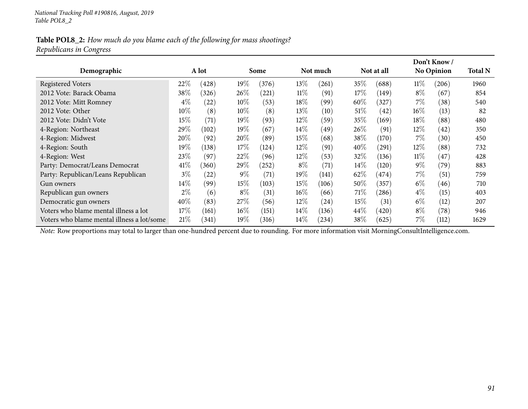### Table POL8\_2: How much do you blame each of the following for mass shootings? *Republicans in Congress*

|                                            |        |       |        |       |        |          |        |            |        | Don't Know /      |                |
|--------------------------------------------|--------|-------|--------|-------|--------|----------|--------|------------|--------|-------------------|----------------|
| Demographic                                |        | A lot |        | Some  |        | Not much |        | Not at all |        | <b>No Opinion</b> | <b>Total N</b> |
| <b>Registered Voters</b>                   | 22%    | (428) | 19%    | (376) | 13\%   | (261)    | $35\%$ | (688)      | $11\%$ | (206)             | 1960           |
| 2012 Vote: Barack Obama                    | 38\%   | (326) | $26\%$ | (221) | $11\%$ | (91)     | $17\%$ | (149)      | $8\%$  | (67)              | 854            |
| 2012 Vote: Mitt Romney                     | $4\%$  | (22)  | $10\%$ | (53)  | 18%    | (99)     | $60\%$ | 327        | $7\%$  | (38)              | 540            |
| 2012 Vote: Other                           | $10\%$ | (8)   | $10\%$ | (8)   | 13\%   | (10)     | 51%    | (42)       | $16\%$ | (13)              | 82             |
| 2012 Vote: Didn't Vote                     | 15\%   | (71)  | $19\%$ | (93)  | 12%    | (59)     | $35\%$ | (169)      | $18\%$ | (88)              | 480            |
| 4-Region: Northeast                        | 29%    | (102) | $19\%$ | (67)  | $14\%$ | (49)     | 26%    | (91)       | $12\%$ | (42)              | 350            |
| 4-Region: Midwest                          | 20%    | (92)  | 20%    | (89)  | 15%    | (68)     | 38\%   | (170)      | 7%     | (30)              | 450            |
| 4-Region: South                            | 19%    | (138) | 17%    | (124) | $12\%$ | (91)     | $40\%$ | (291)      | $12\%$ | (88)              | 732            |
| 4-Region: West                             | 23%    | (97)  | 22%    | (96)  | $12\%$ | (53)     | $32\%$ | (136)      | $11\%$ | (47)              | 428            |
| Party: Democrat/Leans Democrat             | 41\%   | (360) | 29\%   | (252) | $8\%$  | (71)     | $14\%$ | (120)      | $9\%$  | (79)              | 883            |
| Party: Republican/Leans Republican         | $3\%$  | (22)  | $9\%$  | (71)  | $19\%$ | (141)    | $62\%$ | (474)      | 7%     | (51)              | 759            |
| Gun owners                                 | $14\%$ | (99)  | 15%    | (103) | $15\%$ | (106)    | $50\%$ | (357)      | $6\%$  | (46)              | 710            |
| Republican gun owners                      | $2\%$  | (6)   | $8\%$  | (31)  | $16\%$ | (66)     | 71%    | (286)      | $4\%$  | (15)              | 403            |
| Democratic gun owners                      | 40\%   | (83)  | 27%    | (56)  | $12\%$ | (24)     | $15\%$ | (31)       | $6\%$  | (12)              | 207            |
| Voters who blame mental illness a lot      | $17\%$ | (161) | $16\%$ | (151) | $14\%$ | (136)    | $44\%$ | (420)      | $8\%$  | (78)              | 946            |
| Voters who blame mental illness a lot/some | $21\%$ | (341) | 19%    | (316) | $14\%$ | (234)    | 38\%   | (625)      | $7\%$  | (112)             | 1629           |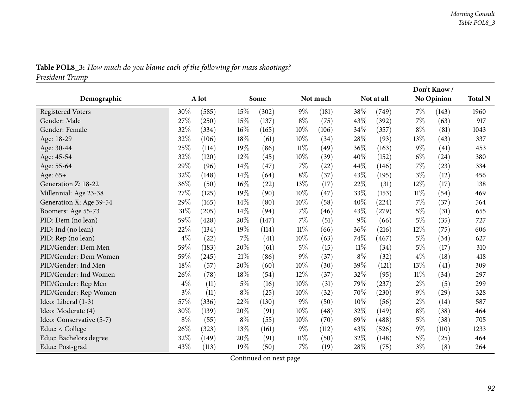|                          |       |       |       |       |        |          |            |       |       | Don't Know/       |                |
|--------------------------|-------|-------|-------|-------|--------|----------|------------|-------|-------|-------------------|----------------|
| Demographic              |       | A lot |       | Some  |        | Not much | Not at all |       |       | <b>No Opinion</b> | <b>Total N</b> |
| <b>Registered Voters</b> | 30%   | (585) | 15%   | (302) | $9\%$  | (181)    | 38%        | (749) | $7\%$ | (143)             | 1960           |
| Gender: Male             | 27%   | (250) | 15%   | (137) | $8\%$  | (75)     | 43%        | (392) | 7%    | (63)              | 917            |
| Gender: Female           | 32%   | (334) | 16%   | (165) | $10\%$ | (106)    | 34\%       | (357) | $8\%$ | (81)              | 1043           |
| Age: 18-29               | 32%   | (106) | 18%   | (61)  | $10\%$ | (34)     | 28\%       | (93)  | 13\%  | (43)              | 337            |
| Age: 30-44               | 25%   | (114) | 19%   | (86)  | $11\%$ | (49)     | 36%        | (163) | $9\%$ | (41)              | 453            |
| Age: 45-54               | 32%   | (120) | 12%   | (45)  | 10%    | (39)     | 40%        | (152) | $6\%$ | (24)              | 380            |
| Age: 55-64               | 29%   | (96)  | 14%   | (47)  | 7%     | (22)     | 44%        | (146) | 7%    | (23)              | 334            |
| Age: 65+                 | 32%   | (148) | 14\%  | (64)  | $8\%$  | (37)     | 43%        | (195) | $3\%$ | (12)              | 456            |
| Generation Z: 18-22      | 36%   | (50)  | 16%   | (22)  | 13%    | (17)     | 22%        | (31)  | 12%   | (17)              | 138            |
| Millennial: Age 23-38    | 27\%  | (125) | 19%   | (90)  | 10%    | (47)     | 33%        | (153) | 11%   | (54)              | 469            |
| Generation X: Age 39-54  | 29%   | (165) | 14%   | (80)  | 10%    | (58)     | 40%        | (224) | 7%    | (37)              | 564            |
| Boomers: Age 55-73       | 31%   | (205) | 14%   | (94)  | 7%     | (46)     | 43%        | (279) | $5\%$ | (31)              | 655            |
| PID: Dem (no lean)       | 59%   | (428) | 20%   | (147) | $7\%$  | (51)     | $9\%$      | (66)  | $5\%$ | (35)              | 727            |
| PID: Ind (no lean)       | 22%   | (134) | 19%   | (114) | $11\%$ | (66)     | 36%        | (216) | 12%   | (75)              | 606            |
| PID: Rep (no lean)       | $4\%$ | (22)  | 7%    | (41)  | 10%    | (63)     | 74%        | (467) | $5\%$ | (34)              | 627            |
| PID/Gender: Dem Men      | 59%   | (183) | 20%   | (61)  | $5\%$  | (15)     | $11\%$     | (34)  | $5\%$ | (17)              | 310            |
| PID/Gender: Dem Women    | 59%   | (245) | 21\%  | (86)  | 9%     | (37)     | $8\%$      | (32)  | $4\%$ | (18)              | 418            |
| PID/Gender: Ind Men      | 18%   | (57)  | 20%   | (60)  | 10%    | (30)     | 39%        | (121) | 13%   | (41)              | 309            |
| PID/Gender: Ind Women    | 26%   | (78)  | 18%   | (54)  | 12%    | (37)     | 32%        | (95)  | 11%   | (34)              | 297            |
| PID/Gender: Rep Men      | $4\%$ | (11)  | $5\%$ | (16)  | 10%    | (31)     | 79%        | (237) | $2\%$ | (5)               | 299            |
| PID/Gender: Rep Women    | $3\%$ | (11)  | $8\%$ | (25)  | 10%    | (32)     | 70%        | (230) | $9\%$ | (29)              | 328            |
| Ideo: Liberal (1-3)      | 57%   | (336) | 22%   | (130) | $9\%$  | (50)     | 10%        | (56)  | $2\%$ | (14)              | 587            |
| Ideo: Moderate (4)       | 30%   | (139) | 20%   | (91)  | 10%    | (48)     | 32%        | (149) | $8\%$ | (38)              | 464            |
| Ideo: Conservative (5-7) | $8\%$ | (55)  | $8\%$ | (55)  | 10%    | (70)     | 69%        | (488) | $5\%$ | (38)              | 705            |
| Educ: < College          | 26%   | (323) | 13%   | (161) | $9\%$  | (112)    | 43%        | (526) | $9\%$ | (110)             | 1233           |
| Educ: Bachelors degree   | 32%   | (149) | 20%   | (91)  | 11%    | (50)     | 32%        | (148) | $5\%$ | (25)              | 464            |
| Educ: Post-grad          | 43%   | (113) | 19%   | (50)  | 7%     | (19)     | 28%        | (75)  | $3\%$ | (8)               | 264            |

Table POL8\_3: How much do you blame each of the following for mass shootings?

*President Trump*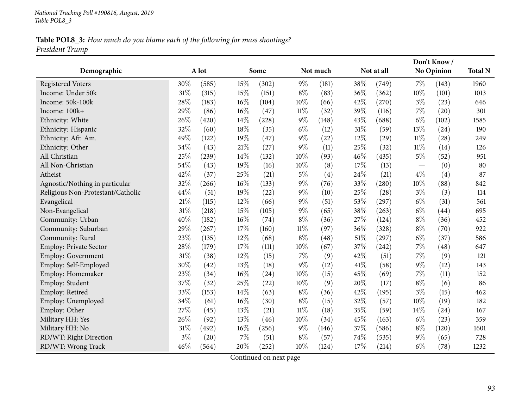## Table POL8\_3: How much do you blame each of the following for mass shootings? *President Trump*

|                                   |        |       |     |       |        |          |      |            |        | Don't Know/ |                |
|-----------------------------------|--------|-------|-----|-------|--------|----------|------|------------|--------|-------------|----------------|
| Demographic                       |        | A lot |     | Some  |        | Not much |      | Not at all |        | No Opinion  | <b>Total N</b> |
| <b>Registered Voters</b>          | 30%    | (585) | 15% | (302) | $9\%$  | (181)    | 38%  | (749)      | $7\%$  | (143)       | 1960           |
| Income: Under 50k                 | 31%    | (315) | 15% | (151) | $8\%$  | (83)     | 36%  | (362)      | 10%    | (101)       | 1013           |
| Income: 50k-100k                  | 28%    | (183) | 16% | (104) | 10%    | (66)     | 42%  | (270)      | $3\%$  | (23)        | 646            |
| Income: 100k+                     | 29%    | (86)  | 16% | (47)  | $11\%$ | (32)     | 39%  | (116)      | $7\%$  | (20)        | 301            |
| Ethnicity: White                  | 26%    | (420) | 14% | (228) | $9\%$  | (148)    | 43%  | (688)      | $6\%$  | (102)       | 1585           |
| Ethnicity: Hispanic               | 32%    | (60)  | 18% | (35)  | $6\%$  | (12)     | 31%  | (59)       | 13%    | (24)        | 190            |
| Ethnicity: Afr. Am.               | 49%    | (122) | 19% | (47)  | $9\%$  | (22)     | 12%  | (29)       | $11\%$ | (28)        | 249            |
| Ethnicity: Other                  | 34%    | (43)  | 21% | (27)  | $9\%$  | (11)     | 25%  | (32)       | $11\%$ | (14)        | 126            |
| All Christian                     | 25%    | (239) | 14% | (132) | $10\%$ | (93)     | 46%  | (435)      | $5\%$  | (52)        | 951            |
| All Non-Christian                 | 54%    | (43)  | 19% | (16)  | $10\%$ | (8)      | 17%  | (13)       |        | (0)         | 80             |
| Atheist                           | 42%    | (37)  | 25% | (21)  | $5\%$  | (4)      | 24%  | (21)       | $4\%$  | (4)         | 87             |
| Agnostic/Nothing in particular    | 32%    | (266) | 16% | (133) | $9\%$  | (76)     | 33%  | (280)      | 10%    | (88)        | 842            |
| Religious Non-Protestant/Catholic | 44%    | (51)  | 19% | (22)  | $9\%$  | (10)     | 25%  | (28)       | $3\%$  | (3)         | 114            |
| Evangelical                       | 21%    | (115) | 12% | (66)  | $9\%$  | (51)     | 53%  | (297)      | $6\%$  | (31)        | 561            |
| Non-Evangelical                   | 31%    | (218) | 15% | (105) | $9\%$  | (65)     | 38%  | (263)      | $6\%$  | (44)        | 695            |
| Community: Urban                  | 40%    | (182) | 16% | (74)  | $8\%$  | (36)     | 27%  | (124)      | $8\%$  | (36)        | 452            |
| Community: Suburban               | 29%    | (267) | 17% | (160) | $11\%$ | (97)     | 36%  | (328)      | $8\%$  | (70)        | 922            |
| Community: Rural                  | 23%    | (135) | 12% | (68)  | $8\%$  | (48)     | 51%  | (297)      | $6\%$  | (37)        | 586            |
| <b>Employ: Private Sector</b>     | 28%    | (179) | 17% | (111) | 10%    | (67)     | 37%  | (242)      | $7\%$  | (48)        | 647            |
| Employ: Government                | $31\%$ | (38)  | 12% | (15)  | $7\%$  | (9)      | 42%  | (51)       | $7\%$  | (9)         | 121            |
| Employ: Self-Employed             | 30%    | (42)  | 13% | (18)  | $9\%$  | (12)     | 41\% | (58)       | $9\%$  | (12)        | 143            |
| Employ: Homemaker                 | 23%    | (34)  | 16% | (24)  | 10%    | (15)     | 45%  | (69)       | 7%     | (11)        | 152            |
| Employ: Student                   | 37%    | (32)  | 25% | (22)  | 10%    | (9)      | 20%  | (17)       | $8\%$  | (6)         | 86             |
| Employ: Retired                   | 33%    | (153) | 14% | (63)  | $8\%$  | (36)     | 42%  | (195)      | $3\%$  | (15)        | 462            |
| Employ: Unemployed                | 34%    | (61)  | 16% | (30)  | $8\%$  | (15)     | 32%  | (57)       | 10%    | (19)        | 182            |
| Employ: Other                     | 27%    | (45)  | 13% | (21)  | $11\%$ | (18)     | 35%  | (59)       | 14%    | (24)        | 167            |
| Military HH: Yes                  | 26%    | (92)  | 13% | (46)  | $10\%$ | (34)     | 45%  | (163)      | $6\%$  | (23)        | 359            |
| Military HH: No                   | 31%    | (492) | 16% | (256) | $9\%$  | (146)    | 37%  | (586)      | $8\%$  | (120)       | 1601           |
| RD/WT: Right Direction            | $3\%$  | (20)  | 7%  | (51)  | $8\%$  | (57)     | 74\% | (535)      | $9\%$  | (65)        | 728            |
| RD/WT: Wrong Track                | 46%    | (564) | 20% | (252) | $10\%$ | (124)    | 17%  | (214)      | $6\%$  | (78)        | 1232           |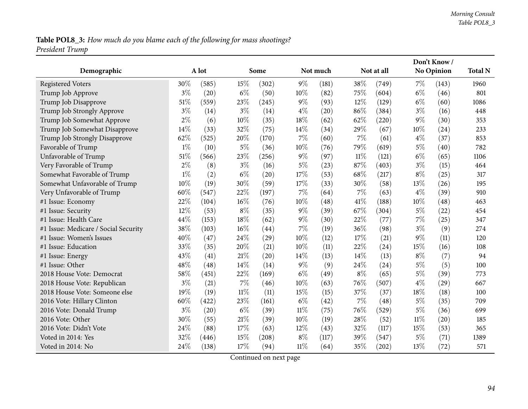# Table POL8\_3: How much do you blame each of the following for mass shootings? *President Trump*

|                                      |       |       |        |       |        |          |        |            | Don't Know/ |                   |                |
|--------------------------------------|-------|-------|--------|-------|--------|----------|--------|------------|-------------|-------------------|----------------|
| Demographic                          |       | A lot |        | Some  |        | Not much |        | Not at all |             | <b>No Opinion</b> | <b>Total N</b> |
| <b>Registered Voters</b>             | 30%   | (585) | 15%    | (302) | $9\%$  | (181)    | 38%    | (749)      | $7\%$       | (143)             | 1960           |
| Trump Job Approve                    | $3\%$ | (20)  | $6\%$  | (50)  | $10\%$ | (82)     | 75%    | (604)      | $6\%$       | (46)              | 801            |
| Trump Job Disapprove                 | 51%   | (559) | 23%    | (245) | $9\%$  | (93)     | 12%    | (129)      | $6\%$       | (60)              | 1086           |
| Trump Job Strongly Approve           | $3\%$ | (14)  | $3\%$  | (14)  | $4\%$  | (20)     | 86%    | (384)      | $3\%$       | (16)              | 448            |
| Trump Job Somewhat Approve           | $2\%$ | (6)   | 10%    | (35)  | 18%    | (62)     | 62%    | (220)      | $9\%$       | (30)              | 353            |
| Trump Job Somewhat Disapprove        | 14%   | (33)  | 32%    | (75)  | 14%    | (34)     | 29%    | (67)       | 10%         | (24)              | 233            |
| Trump Job Strongly Disapprove        | 62%   | (525) | 20%    | (170) | $7\%$  | (60)     | 7%     | (61)       | $4\%$       | (37)              | 853            |
| Favorable of Trump                   | $1\%$ | (10)  | $5\%$  | (36)  | 10%    | (76)     | 79%    | (619)      | 5%          | (40)              | 782            |
| Unfavorable of Trump                 | 51%   | (566) | 23%    | (256) | $9\%$  | (97)     | $11\%$ | (121)      | $6\%$       | (65)              | 1106           |
| Very Favorable of Trump              | $2\%$ | (8)   | $3\%$  | (16)  | $5\%$  | (23)     | 87%    | (403)      | $3\%$       | (15)              | 464            |
| Somewhat Favorable of Trump          | $1\%$ | (2)   | $6\%$  | (20)  | 17%    | (53)     | 68%    | (217)      | $8\%$       | (25)              | 317            |
| Somewhat Unfavorable of Trump        | 10%   | (19)  | 30%    | (59)  | 17%    | (33)     | 30%    | (58)       | 13%         | (26)              | 195            |
| Very Unfavorable of Trump            | 60%   | (547) | 22%    | (197) | 7%     | (64)     | 7%     | (63)       | $4\%$       | (39)              | 910            |
| #1 Issue: Economy                    | 22%   | (104) | 16%    | (76)  | 10%    | (48)     | 41\%   | (188)      | 10%         | (48)              | 463            |
| #1 Issue: Security                   | 12%   | (53)  | $8\%$  | (35)  | $9\%$  | (39)     | 67%    | (304)      | $5\%$       | (22)              | 454            |
| #1 Issue: Health Care                | 44%   | (153) | 18%    | (62)  | $9\%$  | (30)     | 22%    | (77)       | $7\%$       | (25)              | 347            |
| #1 Issue: Medicare / Social Security | 38%   | (103) | 16%    | (44)  | 7%     | (19)     | 36%    | (98)       | $3\%$       | (9)               | 274            |
| #1 Issue: Women's Issues             | 40%   | (47)  | 24%    | (29)  | 10%    | (12)     | 17%    | (21)       | 9%          | (11)              | 120            |
| #1 Issue: Education                  | 33%   | (35)  | 20%    | (21)  | 10%    | (11)     | 22%    | (24)       | 15%         | (16)              | 108            |
| #1 Issue: Energy                     | 43%   | (41)  | 21%    | (20)  | 14%    | (13)     | 14%    | (13)       | $8\%$       | (7)               | 94             |
| #1 Issue: Other                      | 48%   | (48)  | 14\%   | (14)  | $9\%$  | (9)      | 24\%   | (24)       | $5\%$       | (5)               | 100            |
| 2018 House Vote: Democrat            | 58%   | (451) | 22%    | (169) | $6\%$  | (49)     | $8\%$  | (65)       | $5\%$       | (39)              | 773            |
| 2018 House Vote: Republican          | $3\%$ | (21)  | 7%     | (46)  | 10%    | (63)     | 76%    | (507)      | $4\%$       | (29)              | 667            |
| 2018 House Vote: Someone else        | 19%   | (19)  | $11\%$ | (11)  | 15%    | (15)     | 37%    | (37)       | 18%         | (18)              | 100            |
| 2016 Vote: Hillary Clinton           | 60%   | (422) | 23%    | (161) | $6\%$  | (42)     | 7%     | (48)       | $5\%$       | (35)              | 709            |
| 2016 Vote: Donald Trump              | $3\%$ | (20)  | $6\%$  | (39)  | 11%    | (75)     | 76%    | (529)      | $5\%$       | (36)              | 699            |
| 2016 Vote: Other                     | 30%   | (55)  | 21%    | (39)  | 10%    | (19)     | 28%    | (52)       | $11\%$      | (20)              | 185            |
| 2016 Vote: Didn't Vote               | 24%   | (88)  | 17%    | (63)  | 12%    | (43)     | 32%    | (117)      | 15%         | (53)              | 365            |
| Voted in 2014: Yes                   | 32%   | (446) | 15%    | (208) | $8\%$  | (117)    | 39%    | (547)      | $5\%$       | (71)              | 1389           |
| Voted in 2014: No                    | 24%   | (138) | 17%    | (94)  | $11\%$ | (64)     | 35%    | (202)      | 13%         | (72)              | 571            |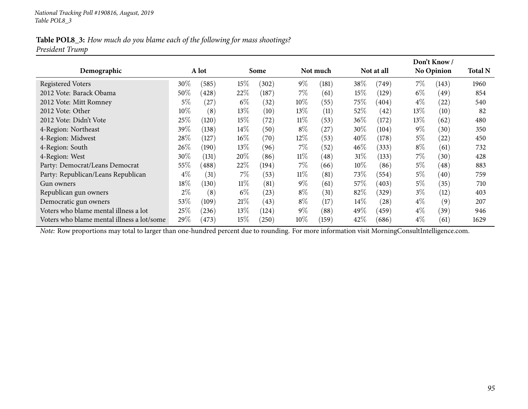### Table POL8\_3: How much do you blame each of the following for mass shootings? *President Trump*

|                                            |        |       |        |       |        |           |         |            |        | Don't Know /      |                |
|--------------------------------------------|--------|-------|--------|-------|--------|-----------|---------|------------|--------|-------------------|----------------|
| Demographic                                |        | A lot |        | Some  |        | Not much  |         | Not at all |        | <b>No Opinion</b> | <b>Total N</b> |
| <b>Registered Voters</b>                   | 30%    | (585) | 15\%   | (302) | $9\%$  | (181)     | 38\%    | (749)      | $7\%$  | (143)             | 1960           |
| 2012 Vote: Barack Obama                    | $50\%$ | (428) | 22%    | (187) | $7\%$  | (61)      | $15\%$  | (129)      | $6\%$  | (49)              | 854            |
| 2012 Vote: Mitt Romney                     | $5\%$  | (27)  | $6\%$  | (32)  | $10\%$ | (55)      | 75\%    | (404)      | $4\%$  | (22)              | 540            |
| 2012 Vote: Other                           | $10\%$ | (8)   | $13\%$ | (10)  | 13\%   | (11)      | $52\%$  | (42)       | $13\%$ | (10)              | 82             |
| 2012 Vote: Didn't Vote                     | 25\%   | (120) | 15\%   | (72)  | $11\%$ | (53)      | $36\%$  | (172)      | $13\%$ | (62)              | 480            |
| 4-Region: Northeast                        | 39%    | (138) | $14\%$ | (50)  | $8\%$  | $^{'}27)$ | $30\%$  | (104)      | $9\%$  | (30)              | 350            |
| 4-Region: Midwest                          | 28\%   | (127  | $16\%$ | (70)  | 12%    | (53)      | $40\%$  | (178)      | $5\%$  | (22)              | 450            |
| 4-Region: South                            | 26\%   | (190) | $13\%$ | (96)  | $7\%$  | (52)      | $46\%$  | (333)      | $8\%$  | (61)              | 732            |
| 4-Region: West                             | 30%    | (131) | 20%    | (86)  | $11\%$ | (48)      | 31%     | (133)      | 7%     | (30)              | 428            |
| Party: Democrat/Leans Democrat             | 55%    | (488) | 22%    | (194) | $7\%$  | (66)      | $10\%$  | (86)       | $5\%$  | (48)              | 883            |
| Party: Republican/Leans Republican         | $4\%$  | (31)  | 7%     | (53)  | $11\%$ | (81)      | 73\%    | (554)      | $5\%$  | (40)              | 759            |
| Gun owners                                 | $18\%$ | (130) | $11\%$ | (81)  | $9\%$  | (61)      | 57 $\%$ | (403)      | $5\%$  | (35)              | 710            |
| Republican gun owners                      | $2\%$  | (8)   | $6\%$  | (23)  | $8\%$  | (31)      | 82\%    | (329)      | $3\%$  | (12)              | 403            |
| Democratic gun owners                      | 53\%   | (109) | 21%    | (43)  | $8\%$  | (17)      | $14\%$  | (28)       | $4\%$  | (9)               | 207            |
| Voters who blame mental illness a lot      | 25\%   | (236) | $13\%$ | (124) | $9\%$  | (88)      | 49%     | (459)      | $4\%$  | (39)              | 946            |
| Voters who blame mental illness a lot/some | 29\%   | (473) | 15\%   | (250) | $10\%$ | (159)     | 42\%    | (686)      | $4\%$  | (61)              | 1629           |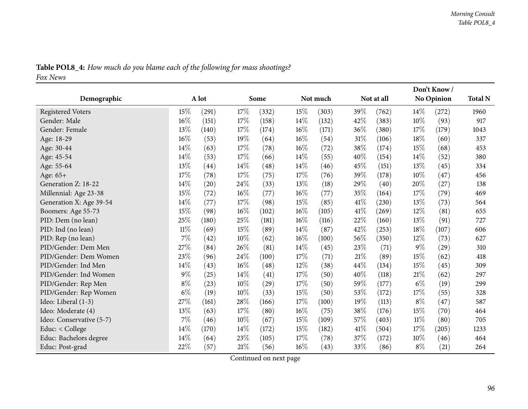| <b>Table POL8_4:</b> How much do you blame each of the following for mass shootings? |  |
|--------------------------------------------------------------------------------------|--|
| Fox News                                                                             |  |

|                          |        |       |        |       |        |          |      |            |        | Don't Know/ |                |
|--------------------------|--------|-------|--------|-------|--------|----------|------|------------|--------|-------------|----------------|
| Demographic              |        | A lot |        | Some  |        | Not much |      | Not at all |        | No Opinion  | <b>Total N</b> |
| <b>Registered Voters</b> | 15%    | (291) | 17%    | (332) | 15%    | (303)    | 39%  | (762)      | $14\%$ | (272)       | 1960           |
| Gender: Male             | $16\%$ | (151) | 17%    | (158) | 14%    | (132)    | 42%  | (383)      | 10%    | (93)        | 917            |
| Gender: Female           | 13%    | (140) | 17%    | (174) | 16%    | (171)    | 36%  | (380)      | 17%    | (179)       | 1043           |
| Age: 18-29               | 16%    | (53)  | 19%    | (64)  | 16%    | (54)     | 31%  | (106)      | 18%    | (60)        | 337            |
| Age: 30-44               | 14%    | (63)  | 17%    | (78)  | 16%    | (72)     | 38%  | (174)      | 15%    | (68)        | 453            |
| Age: 45-54               | $14\%$ | (53)  | 17%    | (66)  | 14%    | (55)     | 40%  | (154)      | $14\%$ | (52)        | 380            |
| Age: 55-64               | 13%    | (44)  | 14\%   | (48)  | 14\%   | (46)     | 45%  | (151)      | 13%    | (45)        | 334            |
| Age: 65+                 | 17%    | (78)  | 17%    | (75)  | 17%    | (76)     | 39%  | (178)      | 10\%   | (47)        | 456            |
| Generation Z: 18-22      | 14%    | (20)  | 24%    | (33)  | 13%    | (18)     | 29%  | (40)       | 20%    | (27)        | 138            |
| Millennial: Age 23-38    | 15%    | (72)  | $16\%$ | (77)  | $16\%$ | (77)     | 35%  | (164)      | 17%    | (79)        | 469            |
| Generation X: Age 39-54  | 14%    | (77)  | 17%    | (98)  | 15%    | (85)     | 41\% | (230)      | 13%    | (73)        | 564            |
| Boomers: Age 55-73       | 15%    | (98)  | 16%    | (102) | 16%    | (105)    | 41\% | (269)      | 12%    | (81)        | 655            |
| PID: Dem (no lean)       | 25%    | (180) | 25%    | (181) | 16%    | (116)    | 22%  | (160)      | 13%    | (91)        | 727            |
| PID: Ind (no lean)       | $11\%$ | (69)  | 15%    | (89)  | 14%    | (87)     | 42%  | (253)      | 18%    | (107)       | 606            |
| PID: Rep (no lean)       | $7\%$  | (42)  | 10%    | (62)  | 16%    | (100)    | 56%  | (350)      | 12%    | (73)        | 627            |
| PID/Gender: Dem Men      | 27%    | (84)  | 26%    | (81)  | 14%    | (45)     | 23%  | (71)       | $9\%$  | (29)        | 310            |
| PID/Gender: Dem Women    | 23%    | (96)  | 24%    | (100) | 17%    | (71)     | 21%  | (89)       | 15%    | (62)        | 418            |
| PID/Gender: Ind Men      | $14\%$ | (43)  | 16%    | (48)  | 12%    | (38)     | 44%  | (134)      | 15%    | (45)        | 309            |
| PID/Gender: Ind Women    | $9\%$  | (25)  | 14%    | (41)  | 17%    | (50)     | 40%  | (118)      | 21%    | (62)        | 297            |
| PID/Gender: Rep Men      | $8\%$  | (23)  | 10%    | (29)  | 17%    | (50)     | 59%  | (177)      | $6\%$  | (19)        | 299            |
| PID/Gender: Rep Women    | $6\%$  | (19)  | $10\%$ | (33)  | 15%    | (50)     | 53%  | (172)      | 17%    | (55)        | 328            |
| Ideo: Liberal (1-3)      | $27\%$ | (161) | $28\%$ | (166) | 17%    | (100)    | 19%  | (113)      | $8\%$  | (47)        | 587            |
| Ideo: Moderate (4)       | 13%    | (63)  | 17%    | (80)  | 16%    | (75)     | 38%  | (176)      | 15%    | (70)        | 464            |
| Ideo: Conservative (5-7) | $7\%$  | (46)  | 10%    | (67)  | 15%    | (109)    | 57%  | (403)      | 11%    | (80)        | 705            |
| Educ: < College          | $14\%$ | (170) | 14%    | (172) | 15%    | (182)    | 41\% | (504)      | 17%    | (205)       | 1233           |
| Educ: Bachelors degree   | $14\%$ | (64)  | 23%    | (105) | 17%    | (78)     | 37%  | (172)      | 10%    | (46)        | 464            |
| Educ: Post-grad          | 22%    | (57)  | 21%    | (56)  | 16%    | (43)     | 33%  | (86)       | $8\%$  | (21)        | 264            |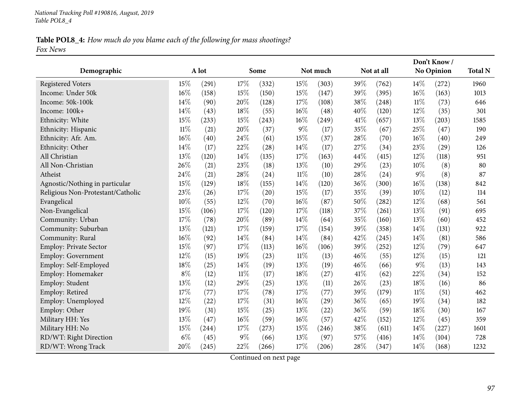#### Table POL8\_4: How much do you blame each of the following for mass shootings? *Fox News*

|                                   |        |       |        |       |        |          |      |            |        | Don't Know/       |                |
|-----------------------------------|--------|-------|--------|-------|--------|----------|------|------------|--------|-------------------|----------------|
| Demographic                       |        | A lot |        | Some  |        | Not much |      | Not at all |        | <b>No Opinion</b> | <b>Total N</b> |
| <b>Registered Voters</b>          | 15%    | (291) | 17%    | (332) | 15%    | (303)    | 39%  | (762)      | 14%    | (272)             | 1960           |
| Income: Under 50k                 | 16%    | (158) | 15%    | (150) | 15%    | (147)    | 39%  | (395)      | $16\%$ | (163)             | 1013           |
| Income: 50k-100k                  | 14%    | (90)  | 20%    | (128) | 17%    | (108)    | 38%  | (248)      | $11\%$ | (73)              | 646            |
| Income: 100k+                     | 14%    | (43)  | 18%    | (55)  | $16\%$ | (48)     | 40%  | (120)      | 12%    | (35)              | 301            |
| Ethnicity: White                  | 15%    | (233) | 15%    | (243) | $16\%$ | (249)    | 41\% | (657)      | 13%    | (203)             | 1585           |
| Ethnicity: Hispanic               | $11\%$ | (21)  | 20%    | (37)  | $9\%$  | (17)     | 35%  | (67)       | 25%    | (47)              | 190            |
| Ethnicity: Afr. Am.               | 16%    | (40)  | 24%    | (61)  | 15%    | (37)     | 28%  | (70)       | 16%    | (40)              | 249            |
| Ethnicity: Other                  | 14%    | (17)  | 22%    | (28)  | 14%    | (17)     | 27%  | (34)       | 23%    | (29)              | 126            |
| All Christian                     | 13%    | (120) | 14%    | (135) | 17%    | (163)    | 44%  | (415)      | 12%    | (118)             | 951            |
| All Non-Christian                 | 26%    | (21)  | 23%    | (18)  | 13%    | (10)     | 29%  | (23)       | 10%    | (8)               | 80             |
| Atheist                           | 24%    | (21)  | 28%    | (24)  | $11\%$ | (10)     | 28%  | (24)       | $9\%$  | (8)               | 87             |
| Agnostic/Nothing in particular    | 15%    | (129) | 18%    | (155) | 14%    | (120)    | 36%  | (300)      | 16%    | (138)             | 842            |
| Religious Non-Protestant/Catholic | 23%    | (26)  | 17%    | (20)  | 15%    | (17)     | 35%  | (39)       | 10%    | (12)              | 114            |
| Evangelical                       | 10%    | (55)  | 12%    | (70)  | 16%    | (87)     | 50%  | (282)      | 12%    | (68)              | 561            |
| Non-Evangelical                   | 15%    | (106) | 17%    | (120) | 17%    | (118)    | 37%  | (261)      | 13%    | (91)              | 695            |
| Community: Urban                  | 17%    | (78)  | 20%    | (89)  | 14%    | (64)     | 35%  | (160)      | 13%    | (60)              | 452            |
| Community: Suburban               | 13%    | (121) | 17%    | (159) | 17%    | (154)    | 39%  | (358)      | 14%    | (131)             | 922            |
| Community: Rural                  | 16%    | (92)  | 14%    | (84)  | 14%    | (84)     | 42%  | (245)      | 14\%   | (81)              | 586            |
| <b>Employ: Private Sector</b>     | 15%    | (97)  | 17%    | (113) | $16\%$ | (106)    | 39%  | (252)      | 12%    | (79)              | 647            |
| Employ: Government                | 12%    | (15)  | 19%    | (23)  | $11\%$ | (13)     | 46%  | (55)       | 12%    | (15)              | 121            |
| Employ: Self-Employed             | 18%    | (25)  | 14\%   | (19)  | 13%    | (19)     | 46%  | (66)       | 9%     | (13)              | 143            |
| Employ: Homemaker                 | $8\%$  | (12)  | $11\%$ | (17)  | 18%    | (27)     | 41\% | (62)       | 22%    | (34)              | 152            |
| Employ: Student                   | 13%    | (12)  | 29%    | (25)  | 13%    | (11)     | 26%  | (23)       | 18%    | (16)              | 86             |
| Employ: Retired                   | 17%    | (77)  | 17%    | (78)  | 17%    | (77)     | 39%  | (179)      | $11\%$ | (51)              | 462            |
| Employ: Unemployed                | 12%    | (22)  | 17%    | (31)  | $16\%$ | (29)     | 36%  | (65)       | 19%    | (34)              | 182            |
| Employ: Other                     | 19%    | (31)  | 15%    | (25)  | 13%    | (22)     | 36%  | (59)       | 18%    | (30)              | 167            |
| Military HH: Yes                  | 13%    | (47)  | 16%    | (59)  | 16%    | (57)     | 42%  | (152)      | 12%    | (45)              | 359            |
| Military HH: No                   | 15%    | (244) | 17%    | (273) | 15%    | (246)    | 38%  | (611)      | 14\%   | (227)             | 1601           |
| RD/WT: Right Direction            | $6\%$  | (45)  | $9\%$  | (66)  | 13%    | (97)     | 57%  | (416)      | 14%    | (104)             | 728            |
| RD/WT: Wrong Track                | 20%    | (245) | 22%    | (266) | 17%    | (206)    | 28%  | (347)      | 14%    | (168)             | 1232           |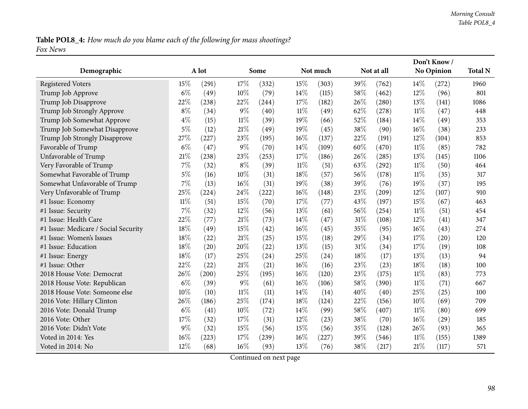## Table POL8\_4: How much do you blame each of the following for mass shootings? *Fox News*

|                                      |        |       |        |       |        |          |      |            |        | Don't Know / |                |
|--------------------------------------|--------|-------|--------|-------|--------|----------|------|------------|--------|--------------|----------------|
| Demographic                          |        | A lot |        | Some  |        | Not much |      | Not at all |        | No Opinion   | <b>Total N</b> |
| <b>Registered Voters</b>             | 15%    | (291) | 17%    | (332) | 15%    | (303)    | 39%  | (762)      | 14%    | (272)        | 1960           |
| Trump Job Approve                    | $6\%$  | (49)  | 10%    | (79)  | 14%    | (115)    | 58%  | (462)      | 12%    | (96)         | 801            |
| Trump Job Disapprove                 | 22%    | (238) | 22%    | (244) | 17%    | (182)    | 26\% | (280)      | 13%    | (141)        | 1086           |
| Trump Job Strongly Approve           | $8\%$  | (34)  | 9%     | (40)  | $11\%$ | (49)     | 62%  | (278)      | $11\%$ | (47)         | 448            |
| Trump Job Somewhat Approve           | $4\%$  | (15)  | $11\%$ | (39)  | 19%    | (66)     | 52%  | (184)      | 14%    | (49)         | 353            |
| Trump Job Somewhat Disapprove        | $5\%$  | (12)  | 21%    | (49)  | 19%    | (45)     | 38%  | (90)       | 16%    | (38)         | 233            |
| Trump Job Strongly Disapprove        | 27%    | (227) | 23%    | (195) | 16%    | (137)    | 22%  | (191)      | 12%    | (104)        | 853            |
| Favorable of Trump                   | $6\%$  | (47)  | 9%     | (70)  | 14%    | (109)    | 60%  | (470)      | $11\%$ | (85)         | 782            |
| Unfavorable of Trump                 | 21%    | (238) | 23%    | (253) | 17%    | (186)    | 26%  | (285)      | 13%    | (145)        | 1106           |
| Very Favorable of Trump              | $7\%$  | (32)  | $8\%$  | (39)  | $11\%$ | (51)     | 63%  | (292)      | $11\%$ | (50)         | 464            |
| Somewhat Favorable of Trump          | $5\%$  | (16)  | 10%    | (31)  | 18%    | (57)     | 56\% | (178)      | $11\%$ | (35)         | 317            |
| Somewhat Unfavorable of Trump        | 7%     | (13)  | 16%    | (31)  | 19%    | (38)     | 39%  | (76)       | 19%    | (37)         | 195            |
| Very Unfavorable of Trump            | 25%    | (224) | 24%    | (222) | 16%    | (148)    | 23%  | (209)      | 12%    | (107)        | 910            |
| #1 Issue: Economy                    | $11\%$ | (51)  | 15%    | (70)  | 17%    | (77)     | 43%  | (197)      | 15%    | (67)         | 463            |
| #1 Issue: Security                   | 7%     | (32)  | 12%    | (56)  | 13%    | (61)     | 56%  | (254)      | $11\%$ | (51)         | 454            |
| #1 Issue: Health Care                | 22%    | (77)  | 21%    | (73)  | 14%    | (47)     | 31%  | (108)      | 12%    | (41)         | 347            |
| #1 Issue: Medicare / Social Security | 18%    | (49)  | 15%    | (42)  | 16%    | (45)     | 35%  | (95)       | 16%    | (43)         | 274            |
| #1 Issue: Women's Issues             | 18%    | (22)  | 21%    | (25)  | 15%    | (18)     | 29%  | (34)       | 17%    | (20)         | 120            |
| #1 Issue: Education                  | 18%    | (20)  | 20%    | (22)  | 13%    | (15)     | 31%  | (34)       | 17%    | (19)         | 108            |
| #1 Issue: Energy                     | 18%    | (17)  | 25%    | (24)  | 25%    | (24)     | 18%  | (17)       | 13%    | (13)         | 94             |
| #1 Issue: Other                      | 22%    | (22)  | 21%    | (21)  | 16%    | (16)     | 23%  | (23)       | 18%    | (18)         | 100            |
| 2018 House Vote: Democrat            | 26%    | (200) | 25%    | (195) | 16%    | (120)    | 23%  | (175)      | $11\%$ | (83)         | 773            |
| 2018 House Vote: Republican          | $6\%$  | (39)  | 9%     | (61)  | 16%    | (106)    | 58%  | (390)      | $11\%$ | (71)         | 667            |
| 2018 House Vote: Someone else        | 10%    | (10)  | $11\%$ | (11)  | 14%    | (14)     | 40%  | (40)       | 25%    | (25)         | 100            |
| 2016 Vote: Hillary Clinton           | 26%    | (186) | 25%    | (174) | 18%    | (124)    | 22%  | (156)      | 10%    | (69)         | 709            |
| 2016 Vote: Donald Trump              | $6\%$  | (41)  | 10%    | (72)  | 14%    | (99)     | 58%  | (407)      | $11\%$ | (80)         | 699            |
| 2016 Vote: Other                     | 17%    | (32)  | 17%    | (31)  | 12%    | (23)     | 38%  | (70)       | 16%    | (29)         | 185            |
| 2016 Vote: Didn't Vote               | 9%     | (32)  | 15%    | (56)  | 15%    | (56)     | 35%  | (128)      | 26%    | (93)         | 365            |
| Voted in 2014: Yes                   | 16%    | (223) | 17%    | (239) | 16%    | (227)    | 39%  | (546)      | $11\%$ | (155)        | 1389           |
| Voted in 2014: No                    | 12%    | (68)  | 16%    | (93)  | 13%    | (76)     | 38%  | (217)      | 21%    | (117)        | 571            |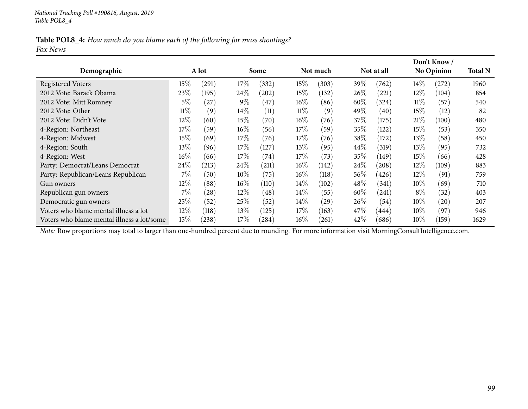#### Table POL8\_4: How much do you blame each of the following for mass shootings? *Fox News*

|                                            |        |       |        |                    |        |          |        |            |        | Don't Know /      |                |
|--------------------------------------------|--------|-------|--------|--------------------|--------|----------|--------|------------|--------|-------------------|----------------|
| Demographic                                |        | A lot |        | Some               |        | Not much |        | Not at all |        | <b>No Opinion</b> | <b>Total N</b> |
| <b>Registered Voters</b>                   | 15\%   | (291) | 17\%   | (332)              | $15\%$ | (303)    | 39%    | (762)      | $14\%$ | (272)             | 1960           |
| 2012 Vote: Barack Obama                    | 23\%   | (195) | 24%    | (202)              | 15%    | (132)    | 26%    | (221)      | $12\%$ | (104)             | 854            |
| 2012 Vote: Mitt Romney                     | 5%     | (27)  | $9\%$  | $\left(47\right)$  | $16\%$ | (86)     | $60\%$ | (324)      | $11\%$ | (57)              | 540            |
| 2012 Vote: Other                           | $11\%$ | (9)   | $14\%$ | (11)               | $11\%$ | (9)      | 49\%   | (40)       | $15\%$ | (12)              | 82             |
| 2012 Vote: Didn't Vote                     | $12\%$ | (60)  | 15%    | (70)               | $16\%$ | (76)     | 37\%   | (175)      | $21\%$ | (100)             | 480            |
| 4-Region: Northeast                        | 17%    | (59)  | $16\%$ | (56)               | 17%    | (59)     | $35\%$ | (122)      | $15\%$ | (53)              | 350            |
| 4-Region: Midwest                          | $15\%$ | (69)  | 17%    | (76)               | $17\%$ | (76)     | 38\%   | (172)      | 13%    | (58)              | 450            |
| 4-Region: South                            | 13\%   | (96)  | 17%    | (127)              | 13\%   | (95)     | $44\%$ | (319)      | $13\%$ | (95)              | 732            |
| 4-Region: West                             | $16\%$ | (66)  | 17%    | (74)               | 17\%   | (73)     | 35%    | (149)      | $15\%$ | (66)              | 428            |
| Party: Democrat/Leans Democrat             | 24\%   | (213) | 24\%   | (211)              | $16\%$ | (142)    | 24%    | (208)      | $12\%$ | (109)             | 883            |
| Party: Republican/Leans Republican         | $7\%$  | (50)  | $10\%$ | (75)               | $16\%$ | (118)    | 56%    | (426)      | $12\%$ | (91)              | 759            |
| Gun owners                                 | $12\%$ | (88)  | $16\%$ | (110)              | $14\%$ | (102)    | 48\%   | (341)      | $10\%$ | (69)              | 710            |
| Republican gun owners                      | $7\%$  | (28)  | $12\%$ | $\left( 48\right)$ | $14\%$ | (55)     | $60\%$ | (241)      | $8\%$  | (32)              | 403            |
| Democratic gun owners                      | 25%    | (52)  | 25%    | (52)               | $14\%$ | (29)     | $26\%$ | (54)       | $10\%$ | (20)              | 207            |
| Voters who blame mental illness a lot      | $12\%$ | (118) | $13\%$ | (125)              | 17%    | (163)    | 47\%   | (444)      | $10\%$ | (97)              | 946            |
| Voters who blame mental illness a lot/some | $15\%$ | (238) | 17\%   | (284)              | $16\%$ | (261)    | 42\%   | (686)      | 10%    | (159)             | 1629           |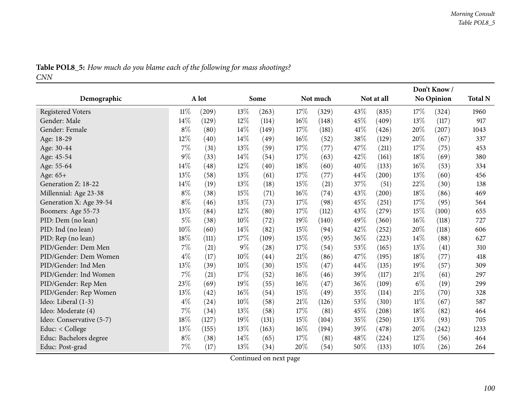|            |  |  | Table POL8_5: How much do you blame each of the following for mass shootings? |
|------------|--|--|-------------------------------------------------------------------------------|
| <b>CNN</b> |  |  |                                                                               |

|                          |        |       |        |       |        |          |     | Don't Know/ |        |            |                |
|--------------------------|--------|-------|--------|-------|--------|----------|-----|-------------|--------|------------|----------------|
| Demographic              |        | A lot |        | Some  |        | Not much |     | Not at all  |        | No Opinion | <b>Total N</b> |
| <b>Registered Voters</b> | $11\%$ | (209) | 13\%   | (263) | 17%    | (329)    | 43% | (835)       | 17%    | (324)      | 1960           |
| Gender: Male             | 14%    | (129) | 12%    | (114) | 16%    | (148)    | 45% | (409)       | 13%    | (117)      | 917            |
| Gender: Female           | $8\%$  | (80)  | 14%    | (149) | 17%    | (181)    | 41% | (426)       | 20%    | (207)      | 1043           |
| Age: 18-29               | 12%    | (40)  | 14%    | (49)  | 16%    | (52)     | 38% | (129)       | 20%    | (67)       | 337            |
| Age: 30-44               | $7\%$  | (31)  | 13%    | (59)  | 17%    | (77)     | 47% | (211)       | 17%    | (75)       | 453            |
| Age: 45-54               | $9\%$  | (33)  | 14%    | (54)  | 17%    | (63)     | 42% | (161)       | 18%    | (69)       | 380            |
| Age: 55-64               | 14%    | (48)  | $12\%$ | (40)  | 18%    | (60)     | 40% | (133)       | 16%    | (53)       | 334            |
| Age: 65+                 | 13%    | (58)  | 13%    | (61)  | 17%    | (77)     | 44% | (200)       | 13%    | (60)       | 456            |
| Generation Z: 18-22      | 14%    | (19)  | 13%    | (18)  | $15\%$ | (21)     | 37% | (51)        | 22%    | (30)       | 138            |
| Millennial: Age 23-38    | $8\%$  | (38)  | 15%    | (71)  | 16%    | (74)     | 43% | (200)       | 18%    | (86)       | 469            |
| Generation X: Age 39-54  | $8\%$  | (46)  | 13%    | (73)  | $17\%$ | (98)     | 45% | (251)       | 17%    | (95)       | 564            |
| Boomers: Age 55-73       | 13%    | (84)  | 12%    | (80)  | 17%    | (112)    | 43% | (279)       | 15%    | (100)      | 655            |
| PID: Dem (no lean)       | $5\%$  | (38)  | 10%    | (72)  | 19%    | (140)    | 49% | (360)       | 16%    | (118)      | 727            |
| PID: Ind (no lean)       | $10\%$ | (60)  | 14%    | (82)  | 15%    | (94)     | 42% | (252)       | 20%    | (118)      | 606            |
| PID: Rep (no lean)       | $18\%$ | (111) | 17%    | (109) | 15%    | (95)     | 36% | (223)       | 14%    | (88)       | 627            |
| PID/Gender: Dem Men      | $7\%$  | (21)  | $9\%$  | (28)  | 17%    | (54)     | 53% | (165)       | 13\%   | (41)       | 310            |
| PID/Gender: Dem Women    | $4\%$  | (17)  | 10%    | (44)  | $21\%$ | (86)     | 47% | (195)       | 18%    | (77)       | 418            |
| PID/Gender: Ind Men      | 13%    | (39)  | 10%    | (30)  | 15%    | (47)     | 44% | (135)       | 19%    | (57)       | 309            |
| PID/Gender: Ind Women    | $7\%$  | (21)  | 17%    | (52)  | $16\%$ | (46)     | 39% | (117)       | 21%    | (61)       | 297            |
| PID/Gender: Rep Men      | 23%    | (69)  | 19%    | (55)  | $16\%$ | (47)     | 36% | (109)       | $6\%$  | (19)       | 299            |
| PID/Gender: Rep Women    | 13%    | (42)  | 16%    | (54)  | $15\%$ | (49)     | 35% | (114)       | 21\%   | (70)       | 328            |
| Ideo: Liberal (1-3)      | $4\%$  | (24)  | 10%    | (58)  | $21\%$ | (126)    | 53% | (310)       | $11\%$ | (67)       | 587            |
| Ideo: Moderate (4)       | $7\%$  | (34)  | 13%    | (58)  | 17%    | (81)     | 45% | (208)       | 18%    | (82)       | 464            |
| Ideo: Conservative (5-7) | 18%    | (127) | 19%    | (131) | 15%    | (104)    | 35% | (250)       | 13%    | (93)       | 705            |
| Educ: < College          | 13%    | (155) | 13%    | (163) | 16%    | (194)    | 39% | (478)       | 20%    | (242)      | 1233           |
| Educ: Bachelors degree   | $8\%$  | (38)  | 14%    | (65)  | 17%    | (81)     | 48% | (224)       | 12%    | (56)       | 464            |
| Educ: Post-grad          | 7%     | (17)  | 13%    | (34)  | 20%    | (54)     | 50% | (133)       | 10%    | (26)       | 264            |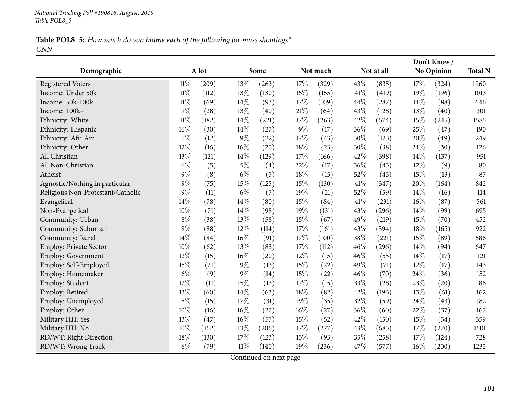### Table POL8\_5: How much do you blame each of the following for mass shootings? *CNN*

|                                   |        |       |        |       |        |          |      |            |        | Don't Know/       |                |
|-----------------------------------|--------|-------|--------|-------|--------|----------|------|------------|--------|-------------------|----------------|
| Demographic                       |        | A lot |        | Some  |        | Not much |      | Not at all |        | <b>No Opinion</b> | <b>Total N</b> |
| <b>Registered Voters</b>          | $11\%$ | (209) | 13%    | (263) | 17%    | (329)    | 43%  | (835)      | 17%    | (324)             | 1960           |
| Income: Under 50k                 | $11\%$ | (112) | 13%    | (130) | 15%    | (155)    | 41\% | (419)      | 19%    | (196)             | 1013           |
| Income: 50k-100k                  | $11\%$ | (69)  | 14%    | (93)  | 17%    | (109)    | 44%  | (287)      | $14\%$ | (88)              | 646            |
| Income: 100k+                     | 9%     | (28)  | 13%    | (40)  | $21\%$ | (64)     | 43%  | (128)      | 13%    | (40)              | 301            |
| Ethnicity: White                  | $11\%$ | (182) | 14\%   | (221) | 17%    | (263)    | 42%  | (674)      | $15\%$ | (245)             | 1585           |
| Ethnicity: Hispanic               | $16\%$ | (30)  | 14%    | (27)  | $9\%$  | (17)     | 36%  | (69)       | 25%    | (47)              | 190            |
| Ethnicity: Afr. Am.               | 5%     | (12)  | $9\%$  | (22)  | 17%    | (43)     | 50%  | (123)      | 20%    | (49)              | 249            |
| Ethnicity: Other                  | 12%    | (16)  | 16%    | (20)  | 18%    | (23)     | 30%  | (38)       | 24%    | (30)              | 126            |
| All Christian                     | 13%    | (121) | 14\%   | (129) | 17%    | (166)    | 42%  | (398)      | $14\%$ | (137)             | 951            |
| All Non-Christian                 | $6\%$  | (5)   | $5\%$  | (4)   | 22%    | (17)     | 56%  | (45)       | 12%    | (9)               | 80             |
| Atheist                           | $9\%$  | (8)   | $6\%$  | (5)   | 18%    | (15)     | 52%  | (45)       | 15%    | (13)              | 87             |
| Agnostic/Nothing in particular    | $9\%$  | (75)  | 15%    | (125) | 15%    | (130)    | 41\% | (347)      | 20%    | (164)             | 842            |
| Religious Non-Protestant/Catholic | 9%     | (11)  | $6\%$  | (7)   | 19%    | (21)     | 52%  | (59)       | 14%    | (16)              | 114            |
| Evangelical                       | $14\%$ | (78)  | 14\%   | (80)  | 15%    | (84)     | 41\% | (231)      | 16%    | (87)              | 561            |
| Non-Evangelical                   | 10%    | (71)  | 14\%   | (98)  | 19%    | (131)    | 43%  | (296)      | 14%    | (99)              | 695            |
| Community: Urban                  | $8\%$  | (38)  | 13%    | (58)  | 15%    | (67)     | 49%  | (219)      | 15%    | (70)              | 452            |
| Community: Suburban               | 9%     | (88)  | 12%    | (114) | 17%    | (161)    | 43%  | (394)      | 18%    | (165)             | 922            |
| Community: Rural                  | 14%    | (84)  | 16%    | (91)  | 17%    | (100)    | 38%  | (221)      | 15%    | (89)              | 586            |
| Employ: Private Sector            | 10%    | (62)  | 13%    | (83)  | 17%    | (112)    | 46%  | (296)      | 14%    | (94)              | 647            |
| <b>Employ: Government</b>         | 12%    | (15)  | 16%    | (20)  | 12%    | (15)     | 46%  | (55)       | 14%    | (17)              | 121            |
| Employ: Self-Employed             | 15%    | (21)  | $9\%$  | (13)  | 15%    | (22)     | 49%  | (71)       | 12%    | (17)              | 143            |
| Employ: Homemaker                 | $6\%$  | (9)   | $9\%$  | (14)  | 15%    | (22)     | 46%  | (70)       | 24%    | (36)              | 152            |
| Employ: Student                   | 12%    | (11)  | 15%    | (13)  | 17%    | (15)     | 33%  | (28)       | 23%    | (20)              | 86             |
| Employ: Retired                   | 13%    | (60)  | 14%    | (63)  | 18%    | (82)     | 42%  | (196)      | 13%    | (61)              | 462            |
| Employ: Unemployed                | $8\%$  | (15)  | 17%    | (31)  | 19%    | (35)     | 32%  | (59)       | 24%    | (43)              | 182            |
| Employ: Other                     | 10%    | (16)  | 16%    | (27)  | $16\%$ | (27)     | 36%  | (60)       | 22%    | (37)              | 167            |
| Military HH: Yes                  | 13%    | (47)  | 16%    | (57)  | 15%    | (52)     | 42%  | (150)      | 15%    | (54)              | 359            |
| Military HH: No                   | 10%    | (162) | 13%    | (206) | 17%    | (277)    | 43%  | (685)      | $17\%$ | (270)             | 1601           |
| RD/WT: Right Direction            | 18%    | (130) | 17%    | (123) | 13%    | (93)     | 35%  | (258)      | 17%    | (124)             | 728            |
| RD/WT: Wrong Track                | $6\%$  | (79)  | $11\%$ | (140) | 19%    | (236)    | 47\% | (577)      | 16%    | (200)             | 1232           |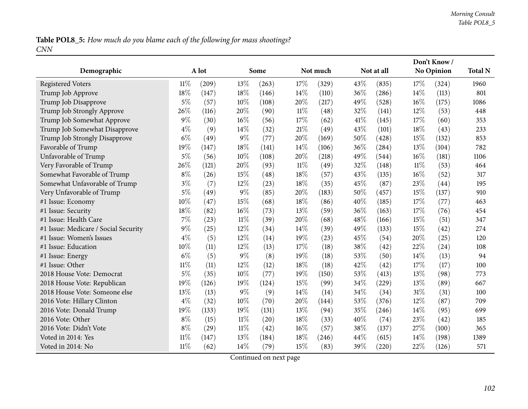Table POL8\_5: How much do you blame each of the following for mass shootings? *CNN*

|                                      |        |       |        |       |        |          | Don't Know/ |            |        |            |                |
|--------------------------------------|--------|-------|--------|-------|--------|----------|-------------|------------|--------|------------|----------------|
| Demographic                          |        | A lot |        | Some  |        | Not much |             | Not at all |        | No Opinion | <b>Total N</b> |
| <b>Registered Voters</b>             | $11\%$ | (209) | 13%    | (263) | 17%    | (329)    | 43%         | (835)      | 17%    | (324)      | 1960           |
| Trump Job Approve                    | 18%    | (147) | 18%    | (146) | 14%    | (110)    | 36%         | (286)      | 14%    | (113)      | 801            |
| Trump Job Disapprove                 | $5\%$  | (57)  | 10%    | (108) | 20%    | (217)    | 49%         | (528)      | 16%    | (175)      | 1086           |
| Trump Job Strongly Approve           | 26%    | (116) | 20%    | (90)  | 11%    | (48)     | 32%         | (141)      | 12%    | (53)       | 448            |
| Trump Job Somewhat Approve           | $9\%$  | (30)  | 16%    | (56)  | 17%    | (62)     | 41\%        | (145)      | 17%    | (60)       | 353            |
| Trump Job Somewhat Disapprove        | $4\%$  | (9)   | 14%    | (32)  | 21%    | (49)     | 43%         | (101)      | 18%    | (43)       | 233            |
| Trump Job Strongly Disapprove        | $6\%$  | (49)  | $9\%$  | (77)  | 20%    | (169)    | 50%         | (428)      | 15%    | (132)      | 853            |
| Favorable of Trump                   | 19%    | (147) | 18%    | (141) | 14%    | (106)    | 36%         | (284)      | 13%    | (104)      | 782            |
| Unfavorable of Trump                 | $5\%$  | (56)  | 10%    | (108) | 20%    | (218)    | 49%         | (544)      | 16%    | (181)      | 1106           |
| Very Favorable of Trump              | 26%    | (121) | 20%    | (93)  | $11\%$ | (49)     | 32%         | (148)      | $11\%$ | (53)       | 464            |
| Somewhat Favorable of Trump          | $8\%$  | (26)  | 15%    | (48)  | 18%    | (57)     | 43%         | (135)      | 16%    | (52)       | 317            |
| Somewhat Unfavorable of Trump        | $3\%$  | (7)   | 12%    | (23)  | 18%    | (35)     | 45%         | (87)       | 23%    | (44)       | 195            |
| Very Unfavorable of Trump            | $5\%$  | (49)  | 9%     | (85)  | 20%    | (183)    | 50%         | (457)      | 15%    | (137)      | 910            |
| #1 Issue: Economy                    | 10%    | (47)  | 15%    | (68)  | 18%    | (86)     | 40%         | (185)      | 17%    | (77)       | 463            |
| #1 Issue: Security                   | 18%    | (82)  | 16%    | (73)  | 13%    | (59)     | 36%         | (163)      | 17%    | (76)       | 454            |
| #1 Issue: Health Care                | $7\%$  | (23)  | 11%    | (39)  | 20%    | (68)     | 48%         | (166)      | 15%    | (51)       | 347            |
| #1 Issue: Medicare / Social Security | $9\%$  | (25)  | 12%    | (34)  | 14%    | (39)     | 49%         | (133)      | 15%    | (42)       | 274            |
| #1 Issue: Women's Issues             | $4\%$  | (5)   | 12%    | (14)  | 19%    | (23)     | 45%         | (54)       | 20%    | (25)       | 120            |
| #1 Issue: Education                  | 10%    | (11)  | 12%    | (13)  | 17%    | (18)     | 38%         | (42)       | 22%    | (24)       | 108            |
| #1 Issue: Energy                     | $6\%$  | (5)   | $9\%$  | (8)   | 19%    | (18)     | 53%         | (50)       | 14%    | (13)       | 94             |
| #1 Issue: Other                      | $11\%$ | (11)  | 12%    | (12)  | 18%    | (18)     | 42\%        | (42)       | 17%    | (17)       | 100            |
| 2018 House Vote: Democrat            | $5\%$  | (35)  | 10%    | (77)  | 19%    | (150)    | 53%         | (413)      | 13%    | (98)       | 773            |
| 2018 House Vote: Republican          | 19%    | (126) | 19%    | (124) | 15%    | (99)     | 34%         | (229)      | 13%    | (89)       | 667            |
| 2018 House Vote: Someone else        | 13%    | (13)  | $9\%$  | (9)   | 14%    | (14)     | 34%         | (34)       | 31%    | (31)       | 100            |
| 2016 Vote: Hillary Clinton           | $4\%$  | (32)  | 10%    | (70)  | 20%    | (144)    | 53%         | (376)      | 12%    | (87)       | 709            |
| 2016 Vote: Donald Trump              | 19%    | (133) | 19%    | (131) | 13%    | (94)     | 35%         | (246)      | 14%    | (95)       | 699            |
| 2016 Vote: Other                     | $8\%$  | (15)  | $11\%$ | (20)  | 18%    | (33)     | 40%         | (74)       | 23%    | (42)       | 185            |
| 2016 Vote: Didn't Vote               | $8\%$  | (29)  | $11\%$ | (42)  | 16%    | (57)     | 38%         | (137)      | 27\%   | (100)      | 365            |
| Voted in 2014: Yes                   | $11\%$ | (147) | 13%    | (184) | 18%    | (246)    | 44%         | (615)      | 14\%   | (198)      | 1389           |
| Voted in 2014: No                    | $11\%$ | (62)  | 14%    | (79)  | 15%    | (83)     | 39%         | (220)      | 22%    | (126)      | 571            |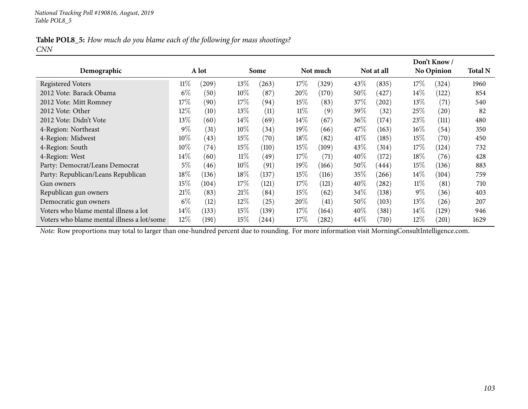|            |  |  | Table POL8_5: How much do you blame each of the following for mass shootings? |
|------------|--|--|-------------------------------------------------------------------------------|
| <b>CNN</b> |  |  |                                                                               |

|                                            |        |       |        |       |        |          |        |            |        | Don't Know /      |      |  |  |
|--------------------------------------------|--------|-------|--------|-------|--------|----------|--------|------------|--------|-------------------|------|--|--|
| Demographic                                | A lot  |       |        | Some  |        | Not much |        | Not at all |        | <b>No Opinion</b> |      |  |  |
| <b>Registered Voters</b>                   | $11\%$ | (209) | 13\%   | (263) | 17%    | (329)    | 43%    | (835)      | 17%    | (324)             | 1960 |  |  |
| 2012 Vote: Barack Obama                    | $6\%$  | (50)  | $10\%$ | (87)  | $20\%$ | (170)    | 50\%   | 427        | 14%    | (122)             | 854  |  |  |
| 2012 Vote: Mitt Romney                     | 17%    | (90)  | 17%    | (94)  | 15%    | (83)     | $37\%$ | (202)      | $13\%$ | (71)              | 540  |  |  |
| 2012 Vote: Other                           | $12\%$ | (10)  | $13\%$ | (11)  | $11\%$ | (9)      | $39\%$ | (32)       | 25%    | (20)              | 82   |  |  |
| 2012 Vote: Didn't Vote                     | $13\%$ | (60)  | $14\%$ | (69)  | $14\%$ | (67)     | $36\%$ | (174)      | 23\%   | (111)             | 480  |  |  |
| 4-Region: Northeast                        | $9\%$  | (31)  | $10\%$ | (34)  | 19%    | (66)     | 47\%   | (163)      | $16\%$ | (54)              | 350  |  |  |
| 4-Region: Midwest                          | $10\%$ | (43)  | 15%    | (70)  | $18\%$ | (82)     | 41%    | (185)      | $15\%$ | (70)              | 450  |  |  |
| 4-Region: South                            | $10\%$ | (74)  | 15%    | (110) | 15%    | (109)    | 43\%   | (314)      | $17\%$ | (124)             | 732  |  |  |
| 4-Region: West                             | $14\%$ | (60)  | $11\%$ | (49)  | 17%    | (71)     | $40\%$ | (172)      | $18\%$ | (76)              | 428  |  |  |
| Party: Democrat/Leans Democrat             | $5\%$  | (46)  | $10\%$ | (91)  | $19\%$ | (166)    | $50\%$ | (444)      | $15\%$ | (136)             | 883  |  |  |
| Party: Republican/Leans Republican         | $18\%$ | (136) | 18\%   | (137) | $15\%$ | (116)    | $35\%$ | (266)      | $14\%$ | (104)             | 759  |  |  |
| Gun owners                                 | $15\%$ | (104) | 17\%   | (121) | 17%    | (121)    | $40\%$ | (282)      | $11\%$ | (81)              | 710  |  |  |
| Republican gun owners                      | 21%    | (83)  | 21%    | (84)  | $15\%$ | (62)     | 34\%   | (138)      | $9\%$  | (36)              | 403  |  |  |
| Democratic gun owners                      | $6\%$  | (12)  | $12\%$ | (25)  | $20\%$ | (41)     | $50\%$ | (103)      | $13\%$ | (26)              | 207  |  |  |
| Voters who blame mental illness a lot      | $14\%$ | (133) | 15%    | (139) | $17\%$ | (164)    | 40%    | (381)      | $14\%$ | (129)             | 946  |  |  |
| Voters who blame mental illness a lot/some | $12\%$ | (191) | 15%    | (244) | 17%    | (282)    | $44\%$ | (710)      | $12\%$ | (201)             | 1629 |  |  |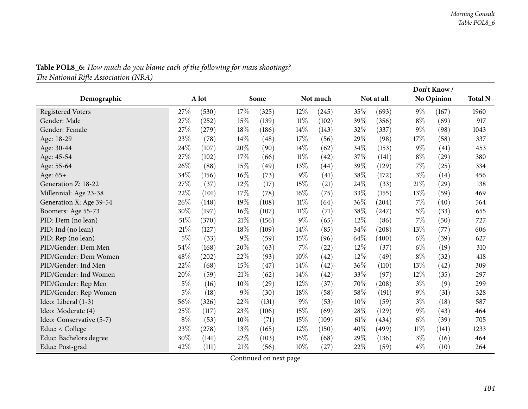|                          |        |       |        |       |        |                    |      |            |        | Don't Know/        |      |  |
|--------------------------|--------|-------|--------|-------|--------|--------------------|------|------------|--------|--------------------|------|--|
| Demographic              | A lot  |       |        | Some  |        | Not much           |      | Not at all |        | <b>No Opinion</b>  |      |  |
| <b>Registered Voters</b> | 27\%   | (530) | 17\%   | (325) | 12%    | (245)              | 35%  | (693)      | $9\%$  | (167)              | 1960 |  |
| Gender: Male             | 27%    | (252) | 15%    | (139) | $11\%$ | (102)              | 39%  | (356)      | $8\%$  | (69)               | 917  |  |
| Gender: Female           | 27%    | (279) | 18%    | (186) | 14\%   | (143)              | 32%  | (337)      | $9\%$  | (98)               | 1043 |  |
| Age: 18-29               | 23%    | (78)  | 14\%   | (48)  | 17%    | (56)               | 29%  | (98)       | 17%    | (58)               | 337  |  |
| Age: 30-44               | 24%    | (107) | 20%    | (90)  | 14%    | (62)               | 34%  | (153)      | $9\%$  | (41)               | 453  |  |
| Age: 45-54               | 27%    | (102) | 17%    | (66)  | $11\%$ | (42)               | 37%  | (141)      | $8\%$  | $\left( 29\right)$ | 380  |  |
| Age: 55-64               | 26%    | (88)  | 15%    | (49)  | 13%    | (44)               | 39%  | (129)      | 7%     | (25)               | 334  |  |
| Age: 65+                 | 34\%   | (156) | 16%    | (73)  | $9\%$  | (41)               | 38%  | (172)      | $3\%$  | (14)               | 456  |  |
| Generation Z: 18-22      | 27%    | (37)  | 12%    | (17)  | 15%    | (21)               | 24%  | (33)       | 21%    | (29)               | 138  |  |
| Millennial: Age 23-38    | 22%    | (101) | 17%    | (78)  | 16%    | (75)               | 33%  | (155)      | 13%    | (59)               | 469  |  |
| Generation X: Age 39-54  | 26%    | (148) | 19%    | (108) | 11%    | (64)               | 36%  | (204)      | 7%     | (40)               | 564  |  |
| Boomers: Age 55-73       | 30%    | (197) | 16%    | (107) | 11%    | (71)               | 38%  | (247)      | $5\%$  | (33)               | 655  |  |
| PID: Dem (no lean)       | $51\%$ | (370) | 21%    | (156) | $9\%$  | (65)               | 12%  | (86)       | 7%     | (50)               | 727  |  |
| PID: Ind (no lean)       | $21\%$ | (127) | 18%    | (109) | 14%    | (85)               | 34%  | (208)      | 13%    | (77)               | 606  |  |
| PID: Rep (no lean)       | $5\%$  | (33)  | $9\%$  | (59)  | 15%    | (96)               | 64\% | (400)      | $6\%$  | (39)               | 627  |  |
| PID/Gender: Dem Men      | $54\%$ | (168) | 20%    | (63)  | $7\%$  | (22)               | 12%  | (37)       | $6\%$  | (19)               | 310  |  |
| PID/Gender: Dem Women    | 48%    | (202) | 22%    | (93)  | 10%    | (42)               | 12%  | (49)       | $8\%$  | (32)               | 418  |  |
| PID/Gender: Ind Men      | 22%    | (68)  | 15%    | (47)  | 14%    | (42)               | 36%  | (110)      | 13%    | (42)               | 309  |  |
| PID/Gender: Ind Women    | 20%    | (59)  | 21%    | (62)  | 14%    | $\left( 42\right)$ | 33%  | (97)       | 12%    | (35)               | 297  |  |
| PID/Gender: Rep Men      | $5\%$  | (16)  | 10%    | (29)  | 12%    | (37)               | 70%  | (208)      | $3\%$  | (9)                | 299  |  |
| PID/Gender: Rep Women    | $5\%$  | (18)  | $9\%$  | (30)  | 18%    | (58)               | 58%  | (191)      | $9\%$  | (31)               | 328  |  |
| Ideo: Liberal (1-3)      | 56%    | (326) | 22%    | (131) | $9\%$  | (53)               | 10%  | (59)       | $3\%$  | (18)               | 587  |  |
| Ideo: Moderate (4)       | 25%    | (117) | 23%    | (106) | 15%    | (69)               | 28%  | (129)      | $9\%$  | (43)               | 464  |  |
| Ideo: Conservative (5-7) | $8\%$  | (53)  | $10\%$ | (71)  | 15%    | (109)              | 61%  | (434)      | $6\%$  | (39)               | 705  |  |
| Educ: < College          | 23%    | (278) | 13%    | (165) | 12%    | (150)              | 40%  | (499)      | $11\%$ | (141)              | 1233 |  |
| Educ: Bachelors degree   | 30%    | (141) | 22%    | (103) | 15%    | (68)               | 29%  | (136)      | $3\%$  | (16)               | 464  |  |
| Educ: Post-grad          | 42%    | (111) | 21\%   | (56)  | 10%    | $^{(27)}$          | 22%  | (59)       | $4\%$  | (10)               | 264  |  |

**Table POL8\_6:** How much do you blame each of the following for mass shootings?

*The National Riܨe Association (NRA)*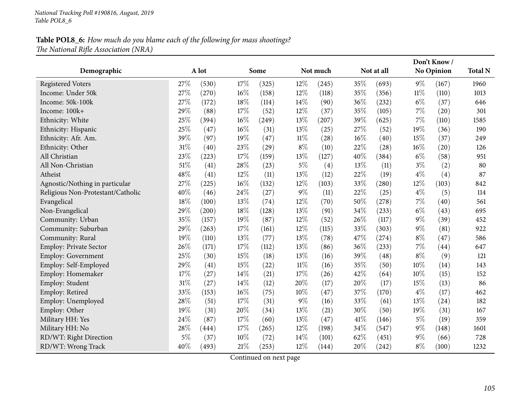### Table POL8\_6: How much do you blame each of the following for mass shootings? *The National Riܨe Association (NRA)*

|                                   |       |       |        |       |        |          |      |            | Don't Know/ |                   |      |
|-----------------------------------|-------|-------|--------|-------|--------|----------|------|------------|-------------|-------------------|------|
| Demographic                       |       | A lot |        | Some  |        | Not much |      | Not at all |             | <b>No Opinion</b> |      |
| <b>Registered Voters</b>          | 27%   | (530) | 17%    | (325) | 12%    | (245)    | 35%  | (693)      | $9\%$       | (167)             | 1960 |
| Income: Under 50k                 | 27%   | (270) | $16\%$ | (158) | 12%    | (118)    | 35%  | (356)      | $11\%$      | (110)             | 1013 |
| Income: 50k-100k                  | 27%   | (172) | 18%    | (114) | 14%    | (90)     | 36%  | (232)      | $6\%$       | (37)              | 646  |
| Income: 100k+                     | 29%   | (88)  | 17%    | (52)  | 12%    | (37)     | 35%  | (105)      | 7%          | (20)              | 301  |
| Ethnicity: White                  | 25%   | (394) | $16\%$ | (249) | 13%    | (207)    | 39%  | (625)      | 7%          | (110)             | 1585 |
| Ethnicity: Hispanic               | 25%   | (47)  | $16\%$ | (31)  | 13%    | (25)     | 27%  | (52)       | 19%         | (36)              | 190  |
| Ethnicity: Afr. Am.               | 39%   | (97)  | 19%    | (47)  | $11\%$ | (28)     | 16%  | (40)       | 15%         | (37)              | 249  |
| Ethnicity: Other                  | 31%   | (40)  | 23%    | (29)  | $8\%$  | (10)     | 22%  | (28)       | 16%         | (20)              | 126  |
| All Christian                     | 23%   | (223) | 17%    | (159) | 13%    | (127)    | 40%  | (384)      | $6\%$       | (58)              | 951  |
| All Non-Christian                 | 51%   | (41)  | 28%    | (23)  | $5\%$  | (4)      | 13%  | (11)       | $3\%$       | (2)               | 80   |
| Atheist                           | 48%   | (41)  | 12%    | (11)  | 13%    | (12)     | 22%  | (19)       | $4\%$       | (4)               | 87   |
| Agnostic/Nothing in particular    | 27%   | (225) | 16%    | (132) | 12%    | (103)    | 33%  | (280)      | 12%         | (103)             | 842  |
| Religious Non-Protestant/Catholic | 40%   | (46)  | 24%    | (27)  | $9\%$  | (11)     | 22%  | (25)       | $4\%$       | (5)               | 114  |
| Evangelical                       | 18%   | (100) | 13%    | (74)  | 12%    | (70)     | 50%  | (278)      | 7%          | (40)              | 561  |
| Non-Evangelical                   | 29%   | (200) | 18%    | (128) | 13%    | (91)     | 34%  | (233)      | $6\%$       | (43)              | 695  |
| Community: Urban                  | 35%   | (157) | 19%    | (87)  | 12%    | (52)     | 26%  | (117)      | $9\%$       | (39)              | 452  |
| Community: Suburban               | 29%   | (263) | 17%    | (161) | 12%    | (115)    | 33%  | (303)      | $9\%$       | (81)              | 922  |
| Community: Rural                  | 19%   | (110) | 13%    | (77)  | 13%    | (78)     | 47%  | (274)      | $8\%$       | (47)              | 586  |
| <b>Employ: Private Sector</b>     | 26%   | (171) | 17%    | (112) | 13%    | (86)     | 36%  | (233)      | 7%          | (44)              | 647  |
| Employ: Government                | 25%   | (30)  | 15%    | (18)  | 13%    | (16)     | 39%  | (48)       | $8\%$       | (9)               | 121  |
| Employ: Self-Employed             | 29%   | (41)  | 15%    | (22)  | $11\%$ | (16)     | 35%  | (50)       | 10%         | (14)              | 143  |
| Employ: Homemaker                 | 17%   | (27)  | 14%    | (21)  | 17%    | (26)     | 42%  | (64)       | 10%         | (15)              | 152  |
| Employ: Student                   | 31%   | (27)  | 14%    | (12)  | 20%    | (17)     | 20%  | (17)       | 15%         | (13)              | 86   |
| Employ: Retired                   | 33%   | (153) | 16%    | (75)  | 10%    | (47)     | 37%  | (170)      | $4\%$       | (17)              | 462  |
| Employ: Unemployed                | 28%   | (51)  | 17%    | (31)  | $9\%$  | (16)     | 33%  | (61)       | 13%         | (24)              | 182  |
| Employ: Other                     | 19%   | (31)  | 20%    | (34)  | 13%    | (21)     | 30%  | (50)       | 19%         | (31)              | 167  |
| Military HH: Yes                  | 24%   | (87)  | 17%    | (60)  | 13%    | (47)     | 41\% | (146)      | $5\%$       | (19)              | 359  |
| Military HH: No                   | 28%   | (444) | 17%    | (265) | 12%    | (198)    | 34%  | (547)      | $9\%$       | (148)             | 1601 |
| RD/WT: Right Direction            | $5\%$ | (37)  | $10\%$ | (72)  | 14\%   | (101)    | 62%  | (451)      | $9\%$       | (66)              | 728  |
| RD/WT: Wrong Track                | 40%   | (493) | 21\%   | (253) | 12%    | (144)    | 20%  | (242)      | $8\%$       | (100)             | 1232 |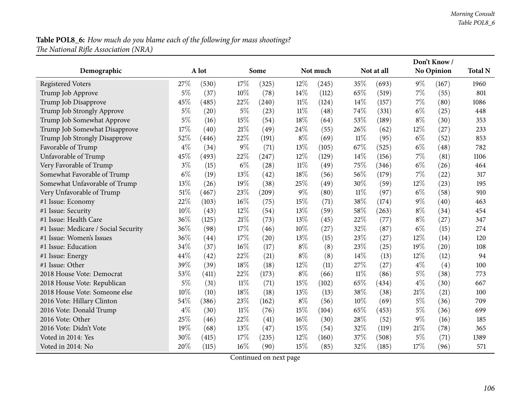# **Table POL8\_6:** How much do you blame each of the following for mass shootings? *The National Riܨe Association (NRA)*

|                                      |       |       |        |       |        |          |        |            |        | Don't Know/        |      |
|--------------------------------------|-------|-------|--------|-------|--------|----------|--------|------------|--------|--------------------|------|
| Demographic                          |       | A lot |        | Some  |        | Not much |        | Not at all |        | No Opinion         |      |
| <b>Registered Voters</b>             | 27%   | (530) | 17\%   | (325) | $12\%$ | (245)    | 35%    | (693)      | $9\%$  | (167)              | 1960 |
| Trump Job Approve                    | $5\%$ | (37)  | 10%    | (78)  | 14%    | (112)    | 65%    | (519)      | $7\%$  | (55)               | 801  |
| Trump Job Disapprove                 | 45%   | (485) | 22%    | (240) | 11%    | (124)    | 14\%   | (157)      | $7\%$  | (80)               | 1086 |
| Trump Job Strongly Approve           | $5\%$ | (20)  | $5\%$  | (23)  | $11\%$ | (48)     | 74%    | (331)      | $6\%$  | (25)               | 448  |
| Trump Job Somewhat Approve           | $5\%$ | (16)  | 15%    | (54)  | 18%    | (64)     | 53%    | (189)      | $8\%$  | (30)               | 353  |
| Trump Job Somewhat Disapprove        | 17%   | (40)  | 21%    | (49)  | 24\%   | (55)     | 26%    | (62)       | $12\%$ | (27)               | 233  |
| Trump Job Strongly Disapprove        | 52%   | (446) | 22%    | (191) | $8\%$  | (69)     | $11\%$ | (95)       | $6\%$  | (52)               | 853  |
| Favorable of Trump                   | $4\%$ | (34)  | $9\%$  | (71)  | 13%    | (105)    | 67%    | (525)      | $6\%$  | (48)               | 782  |
| Unfavorable of Trump                 | 45%   | (493) | 22%    | (247) | 12%    | (129)    | 14%    | (156)      | $7\%$  | (81)               | 1106 |
| Very Favorable of Trump              | $3\%$ | (15)  | $6\%$  | (28)  | $11\%$ | (49)     | 75%    | (346)      | $6\%$  | (26)               | 464  |
| Somewhat Favorable of Trump          | $6\%$ | (19)  | 13%    | (42)  | 18%    | (56)     | 56%    | (179)      | $7\%$  | (22)               | 317  |
| Somewhat Unfavorable of Trump        | 13%   | (26)  | 19%    | (38)  | 25%    | (49)     | 30%    | (59)       | 12%    | (23)               | 195  |
| Very Unfavorable of Trump            | 51%   | (467) | 23%    | (209) | $9\%$  | (80)     | $11\%$ | (97)       | $6\%$  | (58)               | 910  |
| #1 Issue: Economy                    | 22%   | (103) | 16%    | (75)  | 15%    | (71)     | 38%    | (174)      | 9%     | $\left( 40\right)$ | 463  |
| #1 Issue: Security                   | 10%   | (43)  | 12%    | (54)  | 13%    | (59)     | 58%    | (263)      | $8\%$  | (34)               | 454  |
| #1 Issue: Health Care                | 36%   | (125) | 21%    | (73)  | 13%    | (45)     | 22%    | (77)       | $8\%$  | (27)               | 347  |
| #1 Issue: Medicare / Social Security | 36%   | (98)  | 17\%   | (46)  | 10%    | (27)     | 32%    | (87)       | $6\%$  | (15)               | 274  |
| #1 Issue: Women's Issues             | 36%   | (44)  | 17%    | (20)  | 13%    | (15)     | 23%    | (27)       | 12%    | (14)               | 120  |
| #1 Issue: Education                  | 34%   | (37)  | 16%    | (17)  | $8\%$  | (8)      | 23%    | (25)       | 19%    | (20)               | 108  |
| #1 Issue: Energy                     | 44%   | (42)  | 22%    | (21)  | $8\%$  | (8)      | 14%    | (13)       | 12%    | (12)               | 94   |
| #1 Issue: Other                      | 39%   | (39)  | 18%    | (18)  | 12%    | (11)     | 27%    | (27)       | $4\%$  | (4)                | 100  |
| 2018 House Vote: Democrat            | 53%   | (411) | 22%    | (173) | $8\%$  | (66)     | $11\%$ | (86)       | $5\%$  | (38)               | 773  |
| 2018 House Vote: Republican          | $5\%$ | (31)  | $11\%$ | (71)  | 15%    | (102)    | 65%    | (434)      | $4\%$  | (30)               | 667  |
| 2018 House Vote: Someone else        | 10%   | (10)  | 18%    | (18)  | 13%    | (13)     | 38%    | (38)       | 21%    | (21)               | 100  |
| 2016 Vote: Hillary Clinton           | 54%   | (386) | 23%    | (162) | $8\%$  | (56)     | 10%    | (69)       | $5\%$  | (36)               | 709  |
| 2016 Vote: Donald Trump              | $4\%$ | (30)  | $11\%$ | (76)  | 15%    | (104)    | 65%    | (453)      | $5\%$  | (36)               | 699  |
| 2016 Vote: Other                     | 25%   | (46)  | 22%    | (41)  | 16%    | (30)     | 28%    | (52)       | $9\%$  | (16)               | 185  |
| 2016 Vote: Didn't Vote               | 19%   | (68)  | 13%    | (47)  | 15%    | (54)     | 32%    | (119)      | 21%    | (78)               | 365  |
| Voted in 2014: Yes                   | 30%   | (415) | 17%    | (235) | 12%    | (160)    | 37%    | (508)      | $5\%$  | (71)               | 1389 |
| Voted in 2014: No                    | 20%   | (115) | 16%    | (90)  | 15%    | (85)     | 32%    | (185)      | 17%    | (96)               | 571  |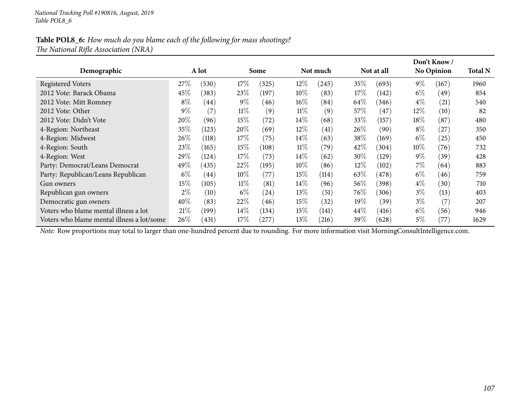#### Table POL8\_6: How much do you blame each of the following for mass shootings? *The National Riܨe Association (NRA)*

|                                            |        |                    |        |            |        |          |        |            |        | Don't Know /      |      |  |
|--------------------------------------------|--------|--------------------|--------|------------|--------|----------|--------|------------|--------|-------------------|------|--|
| Demographic                                | A lot  |                    |        | Some       |        | Not much |        | Not at all |        | <b>No Opinion</b> |      |  |
| <b>Registered Voters</b>                   | 27%    | (530)              | 17\%   | (325)      | 12\%   | (245)    | $35\%$ | (693)      | $9\%$  | (167)             | 1960 |  |
| 2012 Vote: Barack Obama                    | 45\%   | (383)              | 23\%   | (197)      | $10\%$ | (83)     | $17\%$ | (142)      | $6\%$  | (49)              | 854  |  |
| 2012 Vote: Mitt Romney                     | $8\%$  | $\left( 44\right)$ | $9\%$  | (46)       | $16\%$ | (84)     | 64\%   | (346)      | $4\%$  | (21)              | 540  |  |
| 2012 Vote: Other                           | $9\%$  | (7)                | $11\%$ | (9)        | $11\%$ | (9)      | $57\%$ | (47)       | $12\%$ | (10)              | 82   |  |
| 2012 Vote: Didn't Vote                     | 20%    | (96)               | 15%    | (72)       | $14\%$ | (68)     | $33\%$ | (157)      | $18\%$ | (87)              | 480  |  |
| 4-Region: Northeast                        | 35%    | (123)              | 20%    | (69)       | 12%    | (41)     | $26\%$ | (90)       | $8\%$  | (27)              | 350  |  |
| 4-Region: Midwest                          | 26\%   | (118)              | 17\%   | (75)       | $14\%$ | (63)     | 38\%   | (169)      | $6\%$  | (25)              | 450  |  |
| 4-Region: South                            | 23\%   | (165)              | 15%    | (108)      | $11\%$ | (79)     | 42\%   | (304)      | $10\%$ | (76)              | 732  |  |
| 4-Region: West                             | 29%    | (124)              | 17%    | (73)       | $14\%$ | (62)     | $30\%$ | (129)      | $9\%$  | (39)              | 428  |  |
| Party: Democrat/Leans Democrat             | 49\%   | (435)              | 22%    | (195)      | $10\%$ | (86)     | $12\%$ | (102)      | 7%     | (64)              | 883  |  |
| Party: Republican/Leans Republican         | $6\%$  | (44)               | $10\%$ | (77)       | $15\%$ | (114)    | 63\%   | (478)      | $6\%$  | (46)              | 759  |  |
| Gun owners                                 | $15\%$ | (105)              | $11\%$ | (81)       | $14\%$ | (96)     | 56%    | (398)      | $4\%$  | (30)              | 710  |  |
| Republican gun owners                      | $2\%$  | (10)               | $6\%$  | (24)       | $13\%$ | (51)     | 76%    | (306)      | $3\%$  | (13)              | 403  |  |
| Democratic gun owners                      | $40\%$ | (83)               | 22%    | (46)       | $15\%$ | (32)     | $19\%$ | (39)       | $3\%$  | (7)               | 207  |  |
| Voters who blame mental illness a lot      | 21%    | (199)              | $14\%$ | (134)      | $15\%$ | (141)    | $44\%$ | (416)      | $6\%$  | (56)              | 946  |  |
| Voters who blame mental illness a lot/some | $26\%$ | (431)              | 17\%   | $^{'}277)$ | $13\%$ | (216)    | 39%    | (628)      | 5%     | (77)              | 1629 |  |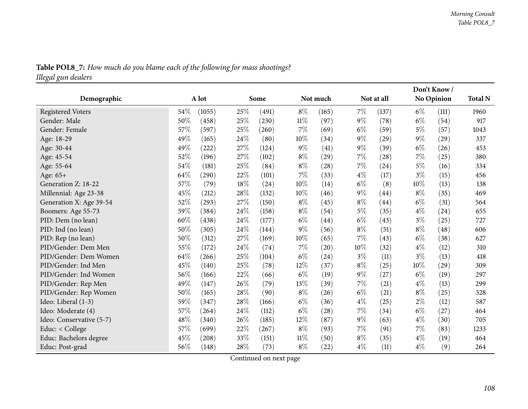|                          |        |        |      |       |        |                    |       |                    | Don't Know/ | <b>Total N</b> |      |  |
|--------------------------|--------|--------|------|-------|--------|--------------------|-------|--------------------|-------------|----------------|------|--|
| Demographic              | A lot  |        |      | Some  |        | Not much           |       | Not at all         |             | No Opinion     |      |  |
| <b>Registered Voters</b> | 54\%   | (1055) | 25%  | (491) | $8\%$  | (165)              | 7%    | (137)              | $6\%$       | (111)          | 1960 |  |
| Gender: Male             | 50%    | (458)  | 25%  | (230) | $11\%$ | (97)               | $9\%$ | (78)               | $6\%$       | (54)           | 917  |  |
| Gender: Female           | 57%    | (597)  | 25%  | (260) | $7\%$  | (69)               | $6\%$ | (59)               | $5\%$       | (57)           | 1043 |  |
| Age: 18-29               | 49%    | (165)  | 24%  | (80)  | 10%    | (34)               | $9\%$ | (29)               | $9\%$       | (29)           | 337  |  |
| Age: 30-44               | 49%    | (222)  | 27%  | (124) | $9\%$  | (41)               | $9\%$ | (39)               | $6\%$       | (26)           | 453  |  |
| Age: 45-54               | 52%    | (196)  | 27%  | (102) | $8\%$  | (29)               | 7%    | (28)               | 7%          | (25)           | 380  |  |
| Age: 55-64               | 54%    | (181)  | 25%  | (84)  | $8\%$  | (28)               | 7%    | (24)               | $5\%$       | (16)           | 334  |  |
| Age: 65+                 | 64%    | (290)  | 22%  | (101) | 7%     | (33)               | $4\%$ | (17)               | $3\%$       | (15)           | 456  |  |
| Generation Z: 18-22      | 57%    | (79)   | 18%  | (24)  | 10%    | (14)               | $6\%$ | (8)                | $10\%$      | (13)           | 138  |  |
| Millennial: Age 23-38    | 45%    | (212)  | 28%  | (132) | 10%    | (46)               | $9\%$ | (44)               | $8\%$       | (35)           | 469  |  |
| Generation X: Age 39-54  | 52%    | (293)  | 27%  | (150) | $8\%$  | (45)               | $8\%$ | $\left( 44\right)$ | $6\%$       | (31)           | 564  |  |
| Boomers: Age 55-73       | 59%    | (384)  | 24%  | (158) | $8\%$  | (54)               | $5\%$ | (35)               | $4\%$       | (24)           | 655  |  |
| PID: Dem (no lean)       | 60%    | (438)  | 24\% | (177) | $6\%$  | (44)               | $6\%$ | (43)               | $3\%$       | (25)           | 727  |  |
| PID: Ind (no lean)       | 50%    | (305)  | 24\% | (144) | 9%     | (56)               | $8\%$ | (51)               | $8\%$       | (48)           | 606  |  |
| PID: Rep (no lean)       | $50\%$ | (312)  | 27%  | (169) | 10%    | (65)               | 7%    | (43)               | $6\%$       | (38)           | 627  |  |
| PID/Gender: Dem Men      | 55%    | (172)  | 24%  | (74)  | 7%     | $\left( 20\right)$ | 10%   | (32)               | $4\%$       | (12)           | 310  |  |
| PID/Gender: Dem Women    | 64\%   | (266)  | 25%  | (104) | $6\%$  | (24)               | $3\%$ | (11)               | $3\%$       | (13)           | 418  |  |
| PID/Gender: Ind Men      | 45%    | (140)  | 25%  | (78)  | 12%    | (37)               | $8\%$ | (25)               | 10%         | (29)           | 309  |  |
| PID/Gender: Ind Women    | 56%    | (166)  | 22%  | (66)  | $6\%$  | (19)               | $9\%$ | (27)               | $6\%$       | (19)           | 297  |  |
| PID/Gender: Rep Men      | 49%    | (147)  | 26%  | (79)  | 13%    | (39)               | 7%    | (21)               | $4\%$       | (13)           | 299  |  |
| PID/Gender: Rep Women    | $50\%$ | (165)  | 28%  | (90)  | $8\%$  | (26)               | $6\%$ | (21)               | $8\%$       | (25)           | 328  |  |
| Ideo: Liberal (1-3)      | 59%    | (347)  | 28%  | (166) | $6\%$  | (36)               | $4\%$ | (25)               | $2\%$       | (12)           | 587  |  |
| Ideo: Moderate (4)       | 57%    | (264)  | 24%  | (112) | $6\%$  | $\left( 28\right)$ | $7\%$ | (34)               | $6\%$       | (27)           | 464  |  |
| Ideo: Conservative (5-7) | 48%    | (340)  | 26%  | (185) | 12%    | (87)               | $9\%$ | (63)               | $4\%$       | (30)           | 705  |  |
| Educ: < College          | 57%    | (699)  | 22%  | (267) | $8\%$  | (93)               | 7%    | (91)               | 7%          | (83)           | 1233 |  |
| Educ: Bachelors degree   | 45%    | (208)  | 33%  | (151) | 11%    | (50)               | $8\%$ | (35)               | $4\%$       | (19)           | 464  |  |
| Educ: Post-grad          | 56%    | (148)  | 28%  | (73)  | $8\%$  | $\left( 22\right)$ | $4\%$ | (11)               | $4\%$       | (9)            | 264  |  |

Table POL8\_7: How much do you blame each of the following for mass shootings? *Illegal gun dealers*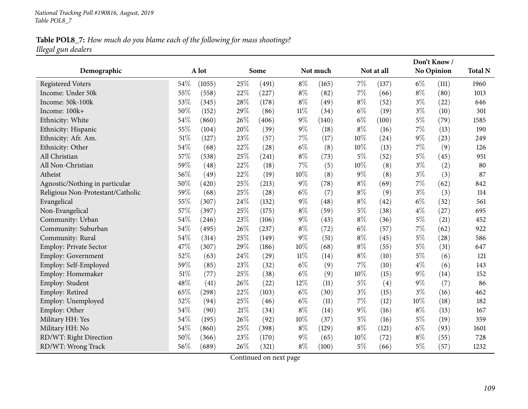# Table POL8\_7: How much do you blame each of the following for mass shootings? *Illegal gun dealers*

|                                   |     |        |      |       |        |          |       |            |       | Don't Know/       |                |
|-----------------------------------|-----|--------|------|-------|--------|----------|-------|------------|-------|-------------------|----------------|
| Demographic                       |     | A lot  |      | Some  |        | Not much |       | Not at all |       | <b>No Opinion</b> | <b>Total N</b> |
| <b>Registered Voters</b>          | 54% | (1055) | 25%  | (491) | $8\%$  | (165)    | 7%    | (137)      | $6\%$ | (111)             | 1960           |
| Income: Under 50k                 | 55% | (558)  | 22%  | (227) | $8\%$  | (82)     | $7\%$ | (66)       | $8\%$ | (80)              | 1013           |
| Income: 50k-100k                  | 53% | (345)  | 28%  | (178) | $8\%$  | (49)     | $8\%$ | (52)       | $3\%$ | (22)              | 646            |
| Income: 100k+                     | 50% | (152)  | 29%  | (86)  | $11\%$ | (34)     | $6\%$ | (19)       | $3\%$ | (10)              | 301            |
| Ethnicity: White                  | 54% | (860)  | 26%  | (406) | $9\%$  | (140)    | $6\%$ | (100)      | $5\%$ | (79)              | 1585           |
| Ethnicity: Hispanic               | 55% | (104)  | 20%  | (39)  | $9\%$  | (18)     | $8\%$ | (16)       | $7\%$ | (13)              | 190            |
| Ethnicity: Afr. Am.               | 51% | (127)  | 23%  | (57)  | $7\%$  | (17)     | 10%   | (24)       | $9\%$ | (23)              | 249            |
| Ethnicity: Other                  | 54% | (68)   | 22%  | (28)  | $6\%$  | (8)      | 10%   | (13)       | 7%    | (9)               | 126            |
| All Christian                     | 57% | (538)  | 25%  | (241) | $8\%$  | (73)     | $5\%$ | (52)       | $5\%$ | (45)              | 951            |
| All Non-Christian                 | 59% | (48)   | 22%  | (18)  | $7\%$  | (5)      | 10%   | (8)        | $3\%$ | (2)               | 80             |
| Atheist                           | 56% | (49)   | 22%  | (19)  | 10%    | (8)      | $9\%$ | (8)        | $3\%$ | (3)               | 87             |
| Agnostic/Nothing in particular    | 50% | (420)  | 25%  | (213) | $9\%$  | (78)     | $8\%$ | (69)       | 7%    | (62)              | 842            |
| Religious Non-Protestant/Catholic | 59% | (68)   | 25%  | (28)  | $6\%$  | (7)      | $8\%$ | (9)        | $3\%$ | (3)               | 114            |
| Evangelical                       | 55% | (307)  | 24%  | (132) | $9\%$  | (48)     | $8\%$ | (42)       | $6\%$ | (32)              | 561            |
| Non-Evangelical                   | 57% | (397)  | 25%  | (175) | $8\%$  | (59)     | $5\%$ | (38)       | $4\%$ | (27)              | 695            |
| Community: Urban                  | 54% | (246)  | 23%  | (106) | $9\%$  | (43)     | $8\%$ | (36)       | $5\%$ | (21)              | 452            |
| Community: Suburban               | 54% | (495)  | 26%  | (237) | $8\%$  | (72)     | $6\%$ | (57)       | 7%    | (62)              | 922            |
| Community: Rural                  | 54% | (314)  | 25%  | (149) | $9\%$  | (51)     | $8\%$ | (45)       | $5\%$ | (28)              | 586            |
| <b>Employ: Private Sector</b>     | 47% | (307)  | 29%  | (186) | 10%    | (68)     | $8\%$ | (55)       | $5\%$ | (31)              | 647            |
| Employ: Government                | 52% | (63)   | 24\% | (29)  | $11\%$ | (14)     | $8\%$ | (10)       | $5\%$ | (6)               | 121            |
| Employ: Self-Employed             | 59% | (85)   | 23%  | (32)  | $6\%$  | (9)      | $7\%$ | (10)       | $4\%$ | (6)               | 143            |
| Employ: Homemaker                 | 51% | (77)   | 25%  | (38)  | $6\%$  | (9)      | 10%   | (15)       | 9%    | (14)              | 152            |
| Employ: Student                   | 48% | (41)   | 26%  | (22)  | 12%    | (11)     | $5\%$ | (4)        | 9%    | (7)               | 86             |
| Employ: Retired                   | 65% | (298)  | 22%  | (103) | $6\%$  | (30)     | $3\%$ | (15)       | $3\%$ | (16)              | 462            |
| Employ: Unemployed                | 52% | (94)   | 25%  | (46)  | $6\%$  | (11)     | $7\%$ | (12)       | 10%   | (18)              | 182            |
| Employ: Other                     | 54% | (90)   | 21%  | (34)  | $8\%$  | (14)     | $9\%$ | (16)       | $8\%$ | (13)              | 167            |
| Military HH: Yes                  | 54% | (195)  | 26%  | (92)  | 10%    | (37)     | 5%    | (16)       | $5\%$ | (19)              | 359            |
| Military HH: No                   | 54% | (860)  | 25%  | (398) | $8\%$  | (129)    | $8\%$ | (121)      | $6\%$ | (93)              | 1601           |
| RD/WT: Right Direction            | 50% | (366)  | 23%  | (170) | $9\%$  | (65)     | 10%   | (72)       | $8\%$ | (55)              | 728            |
| RD/WT: Wrong Track                | 56% | (689)  | 26\% | (321) | $8\%$  | (100)    | $5\%$ | (66)       | $5\%$ | (57)              | 1232           |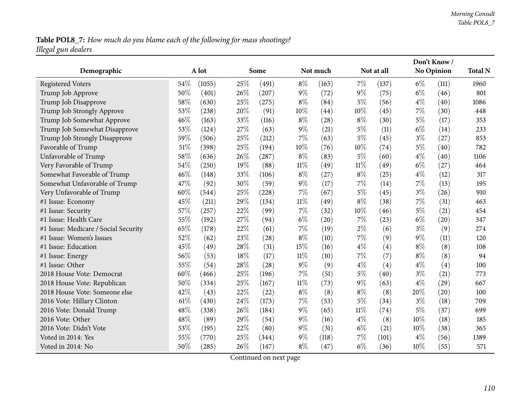# Table POL8\_7: How much do you blame each of the following for mass shootings? *Illegal gun dealers*

|                                      |     |        |     |       |        |          |        |            |       | Don't Know/       |                |
|--------------------------------------|-----|--------|-----|-------|--------|----------|--------|------------|-------|-------------------|----------------|
| Demographic                          |     | A lot  |     | Some  |        | Not much |        | Not at all |       | No Opinion        | <b>Total N</b> |
| <b>Registered Voters</b>             | 54% | (1055) | 25% | (491) | $8\%$  | (165)    | 7%     | (137)      | $6\%$ | (111)             | 1960           |
| Trump Job Approve                    | 50% | (401)  | 26% | (207) | $9\%$  | (72)     | $9\%$  | (75)       | $6\%$ | (46)              | 801            |
| Trump Job Disapprove                 | 58% | (630)  | 25% | (275) | $8\%$  | (84)     | $5\%$  | (56)       | $4\%$ | (40)              | 1086           |
| Trump Job Strongly Approve           | 53% | (238)  | 20% | (91)  | 10%    | (44)     | 10%    | (45)       | $7\%$ | (30)              | 448            |
| Trump Job Somewhat Approve           | 46% | (163)  | 33% | (116) | $8\%$  | (28)     | $8\%$  | (30)       | $5\%$ | (17)              | 353            |
| Trump Job Somewhat Disapprove        | 53% | (124)  | 27% | (63)  | $9\%$  | (21)     | $5\%$  | (11)       | $6\%$ | (14)              | 233            |
| Trump Job Strongly Disapprove        | 59% | (506)  | 25% | (212) | $7\%$  | (63)     | $5\%$  | (45)       | $3\%$ | (27)              | 853            |
| Favorable of Trump                   | 51% | (398)  | 25% | (194) | 10%    | (76)     | 10%    | (74)       | $5\%$ | (40)              | 782            |
| Unfavorable of Trump                 | 58% | (636)  | 26% | (287) | $8\%$  | (83)     | $5\%$  | (60)       | $4\%$ | (40)              | 1106           |
| Very Favorable of Trump              | 54% | (250)  | 19% | (88)  | $11\%$ | (49)     | $11\%$ | (49)       | $6\%$ | (27)              | 464            |
| Somewhat Favorable of Trump          | 46% | (148)  | 33% | (106) | $8\%$  | (27)     | $8\%$  | (25)       | $4\%$ | (12)              | 317            |
| Somewhat Unfavorable of Trump        | 47% | (92)   | 30% | (59)  | $9\%$  | (17)     | 7%     | (14)       | $7\%$ | (13)              | 195            |
| Very Unfavorable of Trump            | 60% | (544)  | 25% | (228) | $7\%$  | (67)     | $5\%$  | (45)       | $3\%$ | (26)              | 910            |
| #1 Issue: Economy                    | 45% | (211)  | 29% | (134) | $11\%$ | (49)     | $8\%$  | (38)       | $7\%$ | (31)              | 463            |
| #1 Issue: Security                   | 57% | (257)  | 22% | (99)  | 7%     | (32)     | 10%    | (46)       | $5\%$ | (21)              | 454            |
| #1 Issue: Health Care                | 55% | (192)  | 27% | (94)  | $6\%$  | (20)     | $7\%$  | (23)       | $6\%$ | (20)              | 347            |
| #1 Issue: Medicare / Social Security | 65% | (178)  | 22% | (61)  | $7\%$  | (19)     | $2\%$  | (6)        | $3\%$ | (9)               | 274            |
| #1 Issue: Women's Issues             | 52% | (62)   | 23% | (28)  | $8\%$  | (10)     | 7%     | (9)        | $9\%$ | (11)              | 120            |
| #1 Issue: Education                  | 45% | (49)   | 28% | (31)  | 15%    | (16)     | $4\%$  | (4)        | $8\%$ | (8)               | 108            |
| #1 Issue: Energy                     | 56% | (53)   | 18% | (17)  | $11\%$ | (10)     | 7%     | (7)        | $8\%$ | (8)               | 94             |
| #1 Issue: Other                      | 55% | (54)   | 28% | (28)  | $9\%$  | (9)      | $4\%$  | (4)        | $4\%$ | $\left( 4\right)$ | 100            |
| 2018 House Vote: Democrat            | 60% | (466)  | 25% | (196) | $7\%$  | (51)     | $5\%$  | (40)       | $3\%$ | (21)              | 773            |
| 2018 House Vote: Republican          | 50% | (334)  | 25% | (167) | $11\%$ | (73)     | $9\%$  | (63)       | $4\%$ | (29)              | 667            |
| 2018 House Vote: Someone else        | 42% | (43)   | 22% | (22)  | $8\%$  | (8)      | $8\%$  | (8)        | 20%   | (20)              | 100            |
| 2016 Vote: Hillary Clinton           | 61% | (430)  | 24% | (173) | 7%     | (53)     | $5\%$  | (34)       | $3\%$ | (18)              | 709            |
| 2016 Vote: Donald Trump              | 48% | (338)  | 26% | (184) | $9\%$  | (65)     | $11\%$ | (74)       | $5\%$ | (37)              | 699            |
| 2016 Vote: Other                     | 48% | (89)   | 29% | (54)  | $9\%$  | (16)     | $4\%$  | (8)        | 10%   | (18)              | 185            |
| 2016 Vote: Didn't Vote               | 53% | (195)  | 22% | (80)  | $9\%$  | (31)     | $6\%$  | (21)       | 10%   | (38)              | 365            |
| Voted in 2014: Yes                   | 55% | (770)  | 25% | (344) | $9\%$  | (118)    | 7%     | (101)      | $4\%$ | (56)              | 1389           |
| Voted in 2014: No                    | 50% | (285)  | 26% | (147) | $8\%$  | (47)     | $6\%$  | (36)       | 10%   | (55)              | 571            |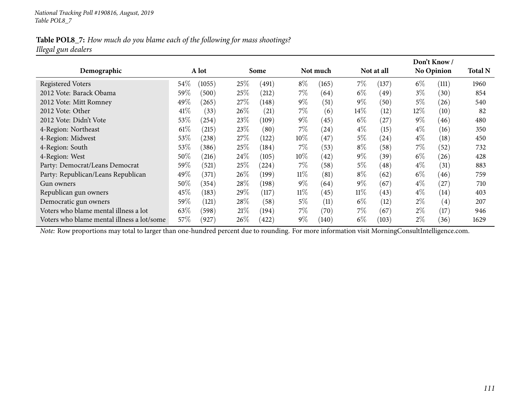### Table POL8\_7: How much do you blame each of the following for mass shootings? *Illegal gun dealers*

|                                            |        |        |        |       |        |          |        |            |        | Don't Know /      |                |
|--------------------------------------------|--------|--------|--------|-------|--------|----------|--------|------------|--------|-------------------|----------------|
| Demographic                                |        | A lot  |        | Some  |        | Not much |        | Not at all |        | <b>No Opinion</b> | <b>Total N</b> |
| <b>Registered Voters</b>                   | 54\%   | (1055) | 25\%   | (491) | $8\%$  | (165)    | $7\%$  | (137)      | $6\%$  | (111)             | 1960           |
| 2012 Vote: Barack Obama                    | 59\%   | (500)  | 25%    | (212) | $7\%$  | (64)     | $6\%$  | (49)       | $3\%$  | (30)              | 854            |
| 2012 Vote: Mitt Romney                     | 49%    | (265)  | $27\%$ | (148) | $9\%$  | (51)     | $9\%$  | (50)       | $5\%$  | (26)              | 540            |
| 2012 Vote: Other                           | 41%    | (33)   | $26\%$ | (21)  | $7\%$  | (6)      | $14\%$ | (12)       | $12\%$ | (10)              | 82             |
| 2012 Vote: Didn't Vote                     | 53\%   | (254)  | $23\%$ | (109) | $9\%$  | (45)     | $6\%$  | (27)       | $9\%$  | (46)              | 480            |
| 4-Region: Northeast                        | $61\%$ | (215)  | 23\%   | (80)  | 7%     | (24)     | $4\%$  | (15)       | $4\%$  | (16)              | 350            |
| 4-Region: Midwest                          | 53\%   | (238)  | 27\%   | (122) | $10\%$ | (47)     | $5\%$  | (24)       | $4\%$  | (18)              | 450            |
| 4-Region: South                            | 53\%   | (386)  | 25%    | (184) | 7%     | (53)     | $8\%$  | (58)       | $7\%$  | (52)              | 732            |
| 4-Region: West                             | 50%    | (216)  | 24%    | (105) | $10\%$ | (42)     | $9\%$  | (39)       | $6\%$  | (26)              | 428            |
| Party: Democrat/Leans Democrat             | 59%    | (521)  | 25%    | (224) | $7\%$  | (58)     | $5\%$  | (48)       | $4\%$  | (31)              | 883            |
| Party: Republican/Leans Republican         | 49%    | (371)  | $26\%$ | (199) | $11\%$ | (81)     | $8\%$  | (62)       | $6\%$  | (46)              | 759            |
| Gun owners                                 | $50\%$ | (354)  | $28\%$ | (198) | $9\%$  | (64)     | $9\%$  | (67)       | $4\%$  | (27)              | 710            |
| Republican gun owners                      | 45\%   | (183)  | $29\%$ | (117) | $11\%$ | (45)     | $11\%$ | (43)       | $4\%$  | (14)              | 403            |
| Democratic gun owners                      | 59%    | (121)  | 28%    | (58)  | $5\%$  | (11)     | $6\%$  | (12)       | $2\%$  | (4)               | 207            |
| Voters who blame mental illness a lot      | 63\%   | (598)  | 21%    | (194) | $7\%$  | (70)     | $7\%$  | (67)       | $2\%$  | (17)              | 946            |
| Voters who blame mental illness a lot/some | 57\%   | (927)  | $26\%$ | (422) | $9\%$  | (140)    | $6\%$  | (103)      | $2\%$  | (36)              | 1629           |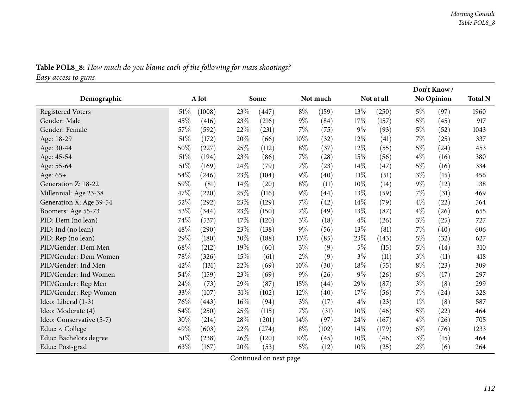| <b>Table POL8_8:</b> How much do you blame each of the following for mass shootings? |  |
|--------------------------------------------------------------------------------------|--|
| Easy access to guns                                                                  |  |

| Table POL8_8: How much do you blame each of the following for mass shootings? |  |  |  |  |  |
|-------------------------------------------------------------------------------|--|--|--|--|--|
| $\Gamma$ am annon to mun                                                      |  |  |  |  |  |

|                          |        |        |     |       |        |          |        |            |       | Don't Know/       |                |
|--------------------------|--------|--------|-----|-------|--------|----------|--------|------------|-------|-------------------|----------------|
| Demographic              |        | A lot  |     | Some  |        | Not much |        | Not at all |       | <b>No Opinion</b> | <b>Total N</b> |
| <b>Registered Voters</b> | $51\%$ | (1008) | 23% | (447) | $8\%$  | (159)    | 13%    | (250)      | $5\%$ | (97)              | 1960           |
| Gender: Male             | 45%    | (416)  | 23% | (216) | $9\%$  | (84)     | 17%    | (157)      | $5\%$ | (45)              | 917            |
| Gender: Female           | 57%    | (592)  | 22% | (231) | $7\%$  | (75)     | $9\%$  | (93)       | $5\%$ | (52)              | 1043           |
| Age: 18-29               | 51%    | (172)  | 20% | (66)  | $10\%$ | (32)     | 12%    | (41)       | $7\%$ | (25)              | 337            |
| Age: 30-44               | 50%    | (227)  | 25% | (112) | $8\%$  | (37)     | 12%    | (55)       | $5\%$ | (24)              | 453            |
| Age: 45-54               | 51%    | (194)  | 23% | (86)  | $7\%$  | (28)     | 15%    | (56)       | $4\%$ | (16)              | 380            |
| Age: 55-64               | 51%    | (169)  | 24% | (79)  | $7\%$  | (23)     | 14%    | (47)       | $5\%$ | (16)              | 334            |
| Age: 65+                 | 54%    | (246)  | 23% | (104) | $9\%$  | (40)     | $11\%$ | (51)       | $3\%$ | (15)              | 456            |
| Generation Z: 18-22      | 59%    | (81)   | 14% | (20)  | $8\%$  | (11)     | 10%    | (14)       | $9\%$ | (12)              | 138            |
| Millennial: Age 23-38    | 47%    | (220)  | 25% | (116) | $9\%$  | (44)     | 13%    | (59)       | $7\%$ | (31)              | 469            |
| Generation X: Age 39-54  | 52%    | (292)  | 23% | (129) | $7\%$  | (42)     | 14%    | (79)       | $4\%$ | (22)              | 564            |
| Boomers: Age 55-73       | 53%    | (344)  | 23% | (150) | $7\%$  | (49)     | 13%    | (87)       | $4\%$ | (26)              | 655            |
| PID: Dem (no lean)       | 74%    | (537)  | 17% | (120) | $3\%$  | (18)     | $4\%$  | (26)       | $3\%$ | (25)              | 727            |
| PID: Ind (no lean)       | 48%    | (290)  | 23% | (138) | $9\%$  | (56)     | 13%    | (81)       | $7\%$ | (40)              | 606            |
| PID: Rep (no lean)       | 29%    | (180)  | 30% | (188) | 13%    | (85)     | 23%    | (143)      | $5\%$ | (32)              | 627            |
| PID/Gender: Dem Men      | 68%    | (212)  | 19% | (60)  | $3\%$  | (9)      | $5\%$  | (15)       | $5\%$ | (14)              | 310            |
| PID/Gender: Dem Women    | 78%    | (326)  | 15% | (61)  | $2\%$  | (9)      | $3\%$  | (11)       | $3\%$ | (11)              | 418            |
| PID/Gender: Ind Men      | 42%    | (131)  | 22% | (69)  | $10\%$ | (30)     | 18%    | (55)       | $8\%$ | (23)              | 309            |
| PID/Gender: Ind Women    | 54%    | (159)  | 23% | (69)  | $9\%$  | (26)     | 9%     | (26)       | $6\%$ | (17)              | 297            |
| PID/Gender: Rep Men      | 24%    | (73)   | 29% | (87)  | 15%    | (44)     | 29%    | (87)       | $3\%$ | (8)               | 299            |
| PID/Gender: Rep Women    | 33%    | (107)  | 31% | (102) | 12%    | (40)     | 17%    | (56)       | $7\%$ | (24)              | 328            |
| Ideo: Liberal (1-3)      | 76%    | (443)  | 16% | (94)  | $3\%$  | (17)     | $4\%$  | (23)       | $1\%$ | (8)               | 587            |
| Ideo: Moderate (4)       | 54%    | (250)  | 25% | (115) | 7%     | (31)     | 10%    | (46)       | $5\%$ | (22)              | 464            |
| Ideo: Conservative (5-7) | 30%    | (214)  | 28% | (201) | 14%    | (97)     | 24%    | (167)      | $4\%$ | (26)              | 705            |
| Educ: < College          | 49%    | (603)  | 22% | (274) | $8\%$  | (102)    | 14%    | (179)      | $6\%$ | (76)              | 1233           |
| Educ: Bachelors degree   | 51%    | (238)  | 26% | (120) | $10\%$ | (45)     | 10%    | (46)       | $3\%$ | (15)              | 464            |
| Educ: Post-grad          | 63%    | (167)  | 20% | (53)  | $5\%$  | (12)     | 10%    | (25)       | $2\%$ | (6)               | 264            |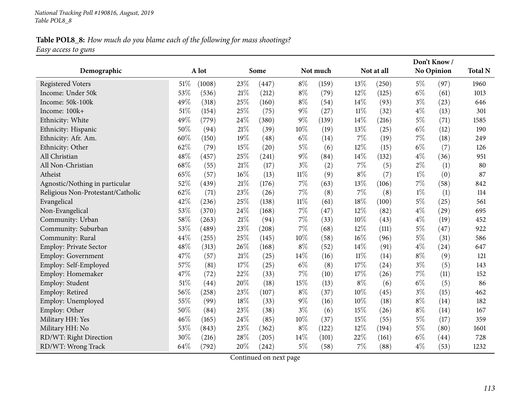### Table POL8\_8: How much do you blame each of the following for mass shootings? *Easy access to guns*

| Demographic                       |        | A lot  |        | Some                |        | Not much |        | Not at all |       | Don't Know/<br>No Opinion | <b>Total N</b> |
|-----------------------------------|--------|--------|--------|---------------------|--------|----------|--------|------------|-------|---------------------------|----------------|
|                                   |        |        |        |                     |        |          |        |            |       |                           |                |
| <b>Registered Voters</b>          | $51\%$ | (1008) | 23%    | (447)               | $8\%$  | (159)    | 13%    | (250)      | $5\%$ | (97)                      | 1960           |
| Income: Under 50k                 | 53%    | (536)  | $21\%$ | (212)               | $8\%$  | (79)     | 12%    | (125)      | $6\%$ | (61)                      | 1013           |
| Income: 50k-100k                  | 49%    | (318)  | 25%    | (160)               | $8\%$  | (54)     | 14%    | (93)       | $3\%$ | (23)                      | 646            |
| Income: 100k+                     | 51%    | (154)  | 25%    | (75)                | $9\%$  | (27)     | $11\%$ | (32)       | $4\%$ | (13)                      | 301            |
| Ethnicity: White                  | 49%    | (779)  | 24%    | (380)               | $9\%$  | (139)    | 14%    | (216)      | $5\%$ | (71)                      | 1585           |
| Ethnicity: Hispanic               | 50%    | (94)   | 21%    | (39)                | 10%    | (19)     | 13%    | (25)       | $6\%$ | (12)                      | 190            |
| Ethnicity: Afr. Am.               | 60%    | (150)  | 19%    | (48)                | $6\%$  | (14)     | 7%     | (19)       | 7%    | (18)                      | 249            |
| Ethnicity: Other                  | 62%    | (79)   | 15%    | (20)                | $5\%$  | (6)      | 12%    | (15)       | $6\%$ | (7)                       | 126            |
| All Christian                     | 48%    | (457)  | 25%    | (241)               | $9\%$  | (84)     | 14%    | (132)      | $4\%$ | (36)                      | 951            |
| All Non-Christian                 | 68%    | (55)   | 21\%   | (17)                | $3\%$  | (2)      | 7%     | (5)        | $2\%$ | (1)                       | 80             |
| Atheist                           | 65%    | (57)   | 16%    | (13)                | $11\%$ | (9)      | $8\%$  | (7)        | $1\%$ | (0)                       | 87             |
| Agnostic/Nothing in particular    | 52%    | (439)  | $21\%$ | (176)               | $7\%$  | (63)     | 13%    | (106)      | $7\%$ | (58)                      | 842            |
| Religious Non-Protestant/Catholic | 62%    | (71)   | 23%    | (26)                | 7%     | (8)      | $7\%$  | (8)        | $1\%$ | (1)                       | 114            |
| Evangelical                       | 42%    | (236)  | 25%    | (138)               | $11\%$ | (61)     | 18%    | (100)      | $5\%$ | (25)                      | 561            |
| Non-Evangelical                   | 53%    | (370)  | 24\%   | (168)               | $7\%$  | (47)     | 12%    | (82)       | $4\%$ | (29)                      | 695            |
| Community: Urban                  | 58%    | (263)  | $21\%$ | (94)                | $7\%$  | (33)     | 10%    | (43)       | $4\%$ | (19)                      | 452            |
| Community: Suburban               | 53%    | (489)  | 23%    | $\left( 208\right)$ | $7\%$  | (68)     | $12\%$ | (111)      | $5\%$ | (47)                      | 922            |
| Community: Rural                  | 44%    | (255)  | 25%    | (145)               | 10%    | (58)     | 16%    | (96)       | $5\%$ | (31)                      | 586            |
| <b>Employ: Private Sector</b>     | 48%    | (313)  | 26%    | (168)               | $8\%$  | (52)     | 14%    | (91)       | $4\%$ | (24)                      | 647            |
| Employ: Government                | 47%    | (57)   | 21%    | (25)                | 14%    | (16)     | $11\%$ | (14)       | $8\%$ | (9)                       | 121            |
| Employ: Self-Employed             | 57%    | (81)   | 17%    | (25)                | $6\%$  | (8)      | 17%    | (24)       | $3\%$ | (5)                       | 143            |
| Employ: Homemaker                 | 47%    | (72)   | $22\%$ | (33)                | $7\%$  | (10)     | 17%    | (26)       | 7%    | (11)                      | 152            |
| Employ: Student                   | 51%    | (44)   | 20%    | (18)                | 15%    | (13)     | $8\%$  | (6)        | $6\%$ | (5)                       | 86             |
| Employ: Retired                   | 56%    | (258)  | 23%    | (107)               | $8\%$  | (37)     | 10%    | (45)       | $3\%$ | (15)                      | 462            |
| Employ: Unemployed                | 55%    | (99)   | 18%    | (33)                | $9\%$  | (16)     | 10%    | (18)       | $8\%$ | (14)                      | 182            |
| Employ: Other                     | 50%    | (84)   | 23%    | (38)                | $3\%$  | (6)      | 15%    | (26)       | $8\%$ | (14)                      | 167            |
| Military HH: Yes                  | 46%    | (165)  | 24\%   | (85)                | 10%    | (37)     | 15%    | (55)       | $5\%$ | (17)                      | 359            |
| Military HH: No                   | 53%    | (843)  | 23%    | (362)               | $8\%$  | (122)    | 12%    | (194)      | $5\%$ | (80)                      | 1601           |
| RD/WT: Right Direction            | 30%    | (216)  | 28%    | (205)               | 14\%   | (101)    | 22%    | (161)      | $6\%$ | $\left( 44\right)$        | 728            |
| RD/WT: Wrong Track                | 64%    | (792)  | 20%    | (242)               | $5\%$  | (58)     | $7\%$  | (88)       | $4\%$ | (53)                      | 1232           |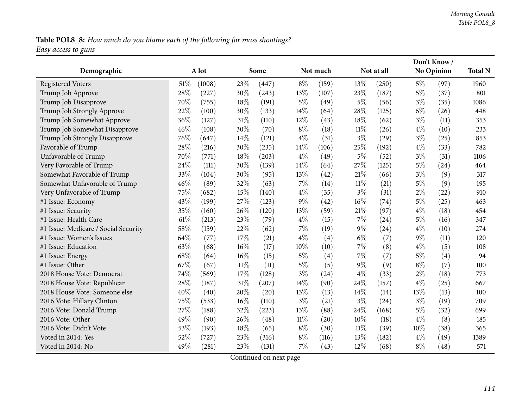### Table POL8\_8: How much do you blame each of the following for mass shootings? *Easy access to guns*

|                                      |      | A lot  |        | Some  |        | Not much |        | Not at all |       | Don't Know/<br><b>No Opinion</b> | <b>Total N</b> |
|--------------------------------------|------|--------|--------|-------|--------|----------|--------|------------|-------|----------------------------------|----------------|
| Demographic                          |      |        |        |       |        |          |        |            |       |                                  |                |
| <b>Registered Voters</b>             | 51\% | (1008) | 23%    | (447) | $8\%$  | (159)    | 13%    | (250)      | $5\%$ | (97)                             | 1960           |
| Trump Job Approve                    | 28%  | (227)  | 30%    | (243) | 13%    | (107)    | 23%    | (187)      | $5\%$ | (37)                             | 801            |
| Trump Job Disapprove                 | 70%  | (755)  | 18%    | (191) | $5\%$  | (49)     | $5\%$  | (56)       | $3\%$ | (35)                             | 1086           |
| Trump Job Strongly Approve           | 22%  | (100)  | 30%    | (133) | 14%    | (64)     | 28%    | (125)      | $6\%$ | (26)                             | 448            |
| Trump Job Somewhat Approve           | 36%  | (127)  | 31%    | (110) | $12\%$ | (43)     | 18%    | (62)       | $3\%$ | (11)                             | 353            |
| Trump Job Somewhat Disapprove        | 46%  | (108)  | 30%    | (70)  | $8\%$  | (18)     | $11\%$ | (26)       | $4\%$ | (10)                             | 233            |
| Trump Job Strongly Disapprove        | 76%  | (647)  | 14%    | (121) | $4\%$  | (31)     | $3\%$  | (29)       | $3\%$ | (25)                             | 853            |
| Favorable of Trump                   | 28%  | (216)  | 30%    | (235) | 14%    | (106)    | 25%    | (192)      | $4\%$ | (33)                             | 782            |
| Unfavorable of Trump                 | 70%  | (771)  | 18%    | (203) | $4\%$  | (49)     | $5\%$  | (52)       | $3\%$ | (31)                             | 1106           |
| Very Favorable of Trump              | 24%  | (111)  | 30%    | (139) | 14%    | (64)     | 27%    | (125)      | $5\%$ | (24)                             | 464            |
| Somewhat Favorable of Trump          | 33%  | (104)  | 30%    | (95)  | 13%    | (42)     | 21\%   | (66)       | $3\%$ | (9)                              | 317            |
| Somewhat Unfavorable of Trump        | 46%  | (89)   | 32%    | (63)  | 7%     | (14)     | 11%    | (21)       | $5\%$ | (9)                              | 195            |
| Very Unfavorable of Trump            | 75%  | (682)  | 15%    | (140) | $4\%$  | (35)     | $3\%$  | (31)       | $2\%$ | (22)                             | 910            |
| #1 Issue: Economy                    | 43%  | (199)  | 27%    | (123) | $9\%$  | (42)     | 16%    | (74)       | $5\%$ | (25)                             | 463            |
| #1 Issue: Security                   | 35%  | (160)  | 26%    | (120) | 13%    | (59)     | 21\%   | (97)       | $4\%$ | (18)                             | 454            |
| #1 Issue: Health Care                | 61%  | (213)  | 23%    | (79)  | $4\%$  | (15)     | 7%     | (24)       | $5\%$ | (16)                             | 347            |
| #1 Issue: Medicare / Social Security | 58%  | (159)  | 22%    | (62)  | $7\%$  | (19)     | $9\%$  | (24)       | $4\%$ | (10)                             | 274            |
| #1 Issue: Women's Issues             | 64%  | (77)   | 17%    | (21)  | $4\%$  | (4)      | $6\%$  | (7)        | $9\%$ | (11)                             | 120            |
| #1 Issue: Education                  | 63%  | (68)   | 16%    | (17)  | $10\%$ | (10)     | 7%     | (8)        | $4\%$ | (5)                              | 108            |
| #1 Issue: Energy                     | 68%  | (64)   | $16\%$ | (15)  | $5\%$  | (4)      | $7\%$  | (7)        | $5\%$ | (4)                              | 94             |
| #1 Issue: Other                      | 67%  | (67)   | $11\%$ | (11)  | $5\%$  | (5)      | $9\%$  | (9)        | $8\%$ | (7)                              | 100            |
| 2018 House Vote: Democrat            | 74%  | (569)  | 17%    | (128) | $3\%$  | (24)     | $4\%$  | (33)       | $2\%$ | (18)                             | 773            |
| 2018 House Vote: Republican          | 28%  | (187)  | 31%    | (207) | 14%    | (90)     | 24%    | (157)      | $4\%$ | (25)                             | 667            |
| 2018 House Vote: Someone else        | 40%  | (40)   | 20%    | (20)  | 13%    | (13)     | 14%    | (14)       | 13%   | (13)                             | 100            |
| 2016 Vote: Hillary Clinton           | 75%  | (533)  | 16%    | (110) | $3\%$  | (21)     | $3\%$  | (24)       | $3\%$ | (19)                             | 709            |
| 2016 Vote: Donald Trump              | 27%  | (188)  | 32%    | (223) | 13%    | (88)     | 24%    | (168)      | $5\%$ | (32)                             | 699            |
| 2016 Vote: Other                     | 49%  | (90)   | 26%    | (48)  | $11\%$ | (20)     | 10%    | (18)       | $4\%$ | (8)                              | 185            |
| 2016 Vote: Didn't Vote               | 53%  | (193)  | 18%    | (65)  | $8\%$  | (30)     | $11\%$ | (39)       | 10%   | (38)                             | 365            |
| Voted in 2014: Yes                   | 52%  | (727)  | 23%    | (316) | $8\%$  | (116)    | 13%    | (182)      | $4\%$ | (49)                             | 1389           |
| Voted in 2014: No                    | 49%  | (281)  | 23%    | (131) | 7%     | (43)     | 12%    | (68)       | $8\%$ | (48)                             | 571            |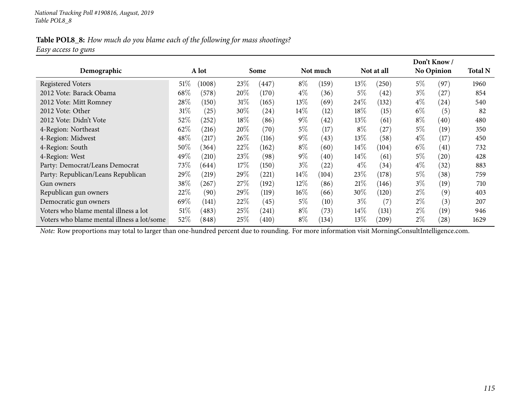### Table POL8\_8: How much do you blame each of the following for mass shootings? *Easy access to guns*

|                                            |        |           |        |       |        |          |        |            |       | Don't Know/       |                |
|--------------------------------------------|--------|-----------|--------|-------|--------|----------|--------|------------|-------|-------------------|----------------|
| Demographic                                |        | A lot     |        | Some  |        | Not much |        | Not at all |       | <b>No Opinion</b> | <b>Total N</b> |
| <b>Registered Voters</b>                   | 51%    | (1008)    | 23%    | (447) | $8\%$  | (159)    | $13\%$ | $^{'}250)$ | $5\%$ | (97)              | 1960           |
| 2012 Vote: Barack Obama                    | 68\%   | (578)     | 20%    | (170) | $4\%$  | (36)     | $5\%$  | (42)       | $3\%$ | (27               | 854            |
| 2012 Vote: Mitt Romney                     | 28\%   | (150)     | 31%    | (165) | $13\%$ | (69)     | 24\%   | (132)      | $4\%$ | (24)              | 540            |
| 2012 Vote: Other                           | $31\%$ | (25)      | 30\%   | (24)  | $14\%$ | (12)     | 18%    | (15)       | 6%    | (5)               | 82             |
| 2012 Vote: Didn't Vote                     | 52%    | (252)     | 18%    | (86)  | $9\%$  | (42)     | $13\%$ | (61)       | $8\%$ | (40)              | 480            |
| 4-Region: Northeast                        | 62\%   | (216)     | 20%    | (70)  | $5\%$  | (17)     | $8\%$  | 27         | 5%    | (19)              | 350            |
| 4-Region: Midwest                          | 48\%   | (217)     | $26\%$ | (116) | $9\%$  | (43)     | $13\%$ | (58)       | $4\%$ | (17)              | 450            |
| 4-Region: South                            | $50\%$ | (364)     | 22\%   | (162) | $8\%$  | (60)     | $14\%$ | (104)      | $6\%$ | (41)              | 732            |
| 4-Region: West                             | 49\%   | (210)     | $23\%$ | (98)  | $9\%$  | (40)     | $14\%$ | (61)       | $5\%$ | (20)              | 428            |
| Party: Democrat/Leans Democrat             | 73\%   | (644)     | 17%    | (150) | $3\%$  | (22)     | $4\%$  | (34)       | $4\%$ | (32)              | 883            |
| Party: Republican/Leans Republican         | 29\%   | (219)     | $29\%$ | (221) | 14\%   | (104)    | $23\%$ | (178)      | $5\%$ | (38)              | 759            |
| Gun owners                                 | 38\%   | $^{'}267$ | 27%    | (192) | $12\%$ | (86)     | 21%    | (146)      | $3\%$ | (19)              | 710            |
| Republican gun owners                      | 22%    | (90)      | $29\%$ | (119) | $16\%$ | (66)     | $30\%$ | (120)      | $2\%$ | (9)               | 403            |
| Democratic gun owners                      | 69%    | (141)     | 22\%   | (45)  | $5\%$  | (10)     | $3\%$  | (7)        | $2\%$ | (3)               | 207            |
| Voters who blame mental illness a lot      | 51%    | (483)     | $25\%$ | (241) | $8\%$  | (73)     | $14\%$ | (131)      | $2\%$ | (19)              | 946            |
| Voters who blame mental illness a lot/some | 52\%   | (848)     | 25%    | (410) | $8\%$  | (134)    | 13%    | (209)      | $2\%$ | (28)              | 1629           |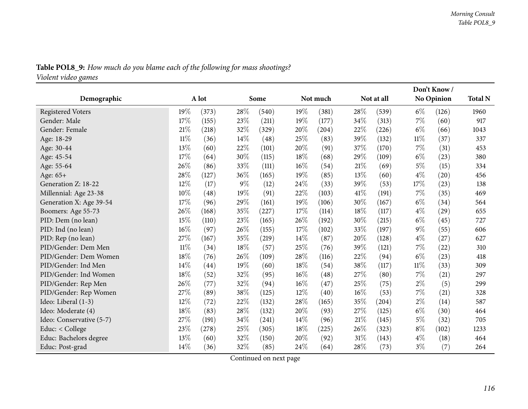| Demographic              | A lot  |       | Some |       |     | Not much |        | Not at all |       | Don't Know/<br>No Opinion | <b>Total N</b> |
|--------------------------|--------|-------|------|-------|-----|----------|--------|------------|-------|---------------------------|----------------|
|                          |        |       |      |       |     |          |        |            |       |                           |                |
| <b>Registered Voters</b> | 19%    | (373) | 28%  | (540) | 19% | (381)    | 28%    | (539)      | $6\%$ | (126)                     | 1960           |
| Gender: Male             | 17%    | (155) | 23%  | (211) | 19% | (177)    | 34%    | (313)      | $7\%$ | (60)                      | 917            |
| Gender: Female           | 21%    | (218) | 32%  | (329) | 20% | (204)    | 22%    | (226)      | $6\%$ | (66)                      | 1043           |
| Age: 18-29               | $11\%$ | (36)  | 14%  | (48)  | 25% | (83)     | 39%    | (132)      | 11%   | (37)                      | 337            |
| Age: 30-44               | 13%    | (60)  | 22%  | (101) | 20% | (91)     | 37%    | (170)      | $7\%$ | (31)                      | 453            |
| Age: 45-54               | 17%    | (64)  | 30%  | (115) | 18% | (68)     | 29%    | (109)      | $6\%$ | (23)                      | 380            |
| Age: 55-64               | 26%    | (86)  | 33%  | (111) | 16% | (54)     | 21%    | (69)       | 5%    | (15)                      | 334            |
| Age: 65+                 | 28\%   | (127) | 36%  | (165) | 19% | (85)     | 13%    | (60)       | $4\%$ | (20)                      | 456            |
| Generation Z: 18-22      | 12%    | (17)  | 9%   | (12)  | 24% | (33)     | 39%    | (53)       | 17%   | (23)                      | 138            |
| Millennial: Age 23-38    | 10%    | (48)  | 19%  | (91)  | 22% | (103)    | 41\%   | (191)      | $7\%$ | (35)                      | 469            |
| Generation X: Age 39-54  | 17%    | (96)  | 29%  | (161) | 19% | (106)    | 30%    | (167)      | $6\%$ | (34)                      | 564            |
| Boomers: Age 55-73       | 26%    | (168) | 35%  | (227) | 17% | (114)    | 18%    | (117)      | $4\%$ | (29)                      | 655            |
| PID: Dem (no lean)       | 15%    | (110) | 23%  | (165) | 26% | (192)    | 30%    | (215)      | $6\%$ | (45)                      | 727            |
| PID: Ind (no lean)       | 16%    | (97)  | 26%  | (155) | 17% | (102)    | 33%    | (197)      | $9\%$ | (55)                      | 606            |
| PID: Rep (no lean)       | $27\%$ | (167) | 35%  | (219) | 14% | (87)     | 20%    | (128)      | $4\%$ | (27)                      | 627            |
| PID/Gender: Dem Men      | $11\%$ | (34)  | 18%  | (57)  | 25% | (76)     | 39%    | (121)      | $7\%$ | (22)                      | 310            |
| PID/Gender: Dem Women    | $18\%$ | (76)  | 26%  | (109) | 28% | (116)    | 22\%   | (94)       | $6\%$ | (23)                      | 418            |
| PID/Gender: Ind Men      | 14%    | (44)  | 19%  | (60)  | 18% | (54)     | 38\%   | (117)      | 11%   | (33)                      | 309            |
| PID/Gender: Ind Women    | 18%    | (52)  | 32%  | (95)  | 16% | (48)     | 27%    | (80)       | $7\%$ | (21)                      | 297            |
| PID/Gender: Rep Men      | 26%    | (77)  | 32%  | (94)  | 16% | (47)     | 25%    | (75)       | $2\%$ | (5)                       | 299            |
| PID/Gender: Rep Women    | 27%    | (89)  | 38%  | (125) | 12% | (40)     | $16\%$ | (53)       | $7\%$ | (21)                      | 328            |
| Ideo: Liberal (1-3)      | 12%    | (72)  | 22%  | (132) | 28% | (165)    | 35%    | (204)      | $2\%$ | (14)                      | 587            |
| Ideo: Moderate (4)       | 18%    | (83)  | 28%  | (132) | 20% | (93)     | 27%    | (125)      | $6\%$ | (30)                      | 464            |
| Ideo: Conservative (5-7) | 27%    | (191) | 34%  | (241) | 14% | (96)     | 21%    | (145)      | $5\%$ | (32)                      | 705            |
| Educ: < College          | 23\%   | (278) | 25%  | (305) | 18% | (225)    | 26%    | (323)      | $8\%$ | (102)                     | 1233           |
| Educ: Bachelors degree   | 13%    | (60)  | 32%  | (150) | 20% | (92)     | 31%    | (143)      | $4\%$ | (18)                      | 464            |
| Educ: Post-grad          | 14%    | (36)  | 32\% | (85)  | 24% | (64)     | 28\%   | (73)       | $3\%$ | (7)                       | 264            |

Table POL8\_9: How much do you blame each of the following for mass shootings?

*Violent video games*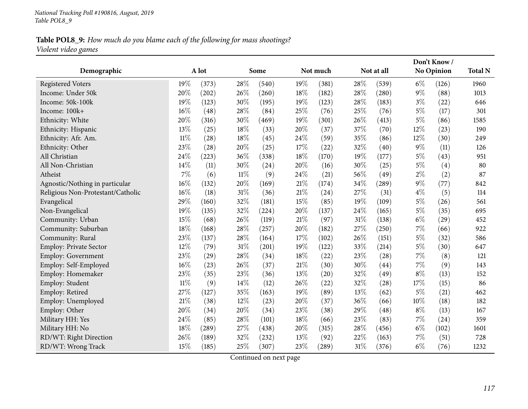### Table POL8\_9: How much do you blame each of the following for mass shootings? *Violent video games*

| Demographic                       |        | A lot |        | Some  |        | Not much |     | Not at all         |       | Don't Know/<br>No Opinion | <b>Total N</b> |
|-----------------------------------|--------|-------|--------|-------|--------|----------|-----|--------------------|-------|---------------------------|----------------|
|                                   |        |       |        |       |        |          |     |                    |       |                           |                |
| <b>Registered Voters</b>          | 19%    | (373) | 28%    | (540) | 19%    | (381)    | 28% | (539)              | $6\%$ | (126)                     | 1960           |
| Income: Under 50k                 | 20%    | (202) | 26\%   | (260) | 18%    | (182)    | 28% | (280)              | $9\%$ | (88)                      | 1013           |
| Income: 50k-100k                  | 19%    | (123) | 30%    | (195) | 19%    | (123)    | 28% | (183)              | $3\%$ | (22)                      | 646            |
| Income: 100k+                     | 16%    | (48)  | 28%    | (84)  | 25%    | (76)     | 25% | (76)               | $5\%$ | (17)                      | 301            |
| Ethnicity: White                  | 20%    | (316) | 30%    | (469) | 19%    | (301)    | 26% | (413)              | $5\%$ | (86)                      | 1585           |
| Ethnicity: Hispanic               | 13%    | (25)  | 18%    | (33)  | 20%    | (37)     | 37% | (70)               | 12%   | (23)                      | 190            |
| Ethnicity: Afr. Am.               | $11\%$ | (28)  | 18%    | (45)  | 24%    | (59)     | 35% | (86)               | 12%   | (30)                      | 249            |
| Ethnicity: Other                  | 23%    | (28)  | 20%    | (25)  | 17%    | (22)     | 32% | (40)               | 9%    | (11)                      | 126            |
| All Christian                     | 24%    | (223) | 36%    | (338) | 18%    | (170)    | 19% | (177)              | $5\%$ | (43)                      | 951            |
| All Non-Christian                 | 14%    | (11)  | 30%    | (24)  | 20%    | (16)     | 30% | (25)               | $5\%$ | (4)                       | 80             |
| Atheist                           | 7%     | (6)   | $11\%$ | (9)   | 24%    | (21)     | 56% | (49)               | $2\%$ | (2)                       | 87             |
| Agnostic/Nothing in particular    | 16%    | (132) | 20%    | (169) | $21\%$ | (174)    | 34% | (289)              | $9\%$ | (77)                      | 842            |
| Religious Non-Protestant/Catholic | 16%    | (18)  | $31\%$ | (36)  | $21\%$ | (24)     | 27% | (31)               | $4\%$ | (5)                       | 114            |
| Evangelical                       | 29%    | (160) | 32%    | (181) | 15%    | (85)     | 19% | (109)              | $5\%$ | (26)                      | 561            |
| Non-Evangelical                   | 19%    | (135) | 32%    | (224) | 20%    | (137)    | 24% | (165)              | $5\%$ | (35)                      | 695            |
| Community: Urban                  | 15%    | (68)  | 26%    | (119) | $21\%$ | (97)     | 31% | (138)              | $6\%$ | (29)                      | 452            |
| Community: Suburban               | 18%    | (168) | 28%    | (257) | 20%    | (182)    | 27% | (250)              | 7%    | (66)                      | 922            |
| Community: Rural                  | 23%    | (137) | 28%    | (164) | 17%    | (102)    | 26% | (151)              | $5\%$ | (32)                      | 586            |
| <b>Employ: Private Sector</b>     | 12%    | (79)  | 31%    | (201) | 19%    | (122)    | 33% | (214)              | $5\%$ | (30)                      | 647            |
| <b>Employ: Government</b>         | 23%    | (29)  | 28%    | (34)  | 18%    | (22)     | 23% | (28)               | 7%    | (8)                       | 121            |
| Employ: Self-Employed             | 16%    | (23)  | 26%    | (37)  | $21\%$ | (30)     | 30% | (44)               | 7%    | (9)                       | 143            |
| Employ: Homemaker                 | 23%    | (35)  | 23%    | (36)  | 13%    | (20)     | 32% | (49)               | $8\%$ | (13)                      | 152            |
| Employ: Student                   | $11\%$ | (9)   | 14%    | (12)  | 26%    | (22)     | 32% | $\left( 28\right)$ | 17%   | (15)                      | 86             |
| Employ: Retired                   | 27%    | (127) | 35%    | (163) | 19%    | (89)     | 13% | (62)               | $5\%$ | (21)                      | 462            |
| Employ: Unemployed                | 21%    | (38)  | $12\%$ | (23)  | $20\%$ | (37)     | 36% | (66)               | 10%   | (18)                      | 182            |
| Employ: Other                     | 20%    | (34)  | 20%    | (34)  | 23%    | (38)     | 29% | (48)               | $8\%$ | (13)                      | 167            |
| Military HH: Yes                  | 24%    | (85)  | 28%    | (101) | 18%    | (66)     | 23% | (83)               | 7%    | (24)                      | 359            |
| Military HH: No                   | 18%    | (289) | 27%    | (438) | 20%    | (315)    | 28% | (456)              | $6\%$ | (102)                     | 1601           |
| RD/WT: Right Direction            | 26%    | (189) | 32%    | (232) | 13%    | (92)     | 22% | (163)              | 7%    | (51)                      | 728            |
| RD/WT: Wrong Track                | 15%    | (185) | 25%    | (307) | 23%    | (289)    | 31% | (376)              | $6\%$ | (76)                      | 1232           |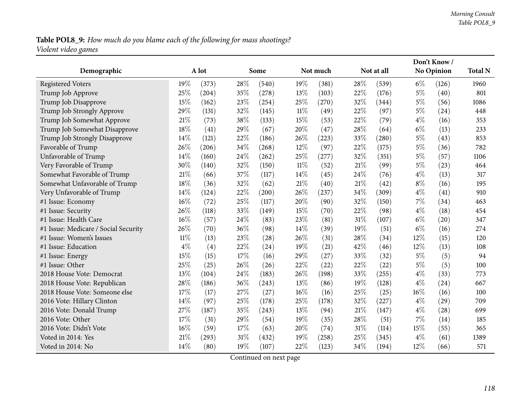# Table POL8\_9: How much do you blame each of the following for mass shootings? *Violent video games*

|                                      |        |       |     |       |        |          |      |            |       | Don't Know /      |                |
|--------------------------------------|--------|-------|-----|-------|--------|----------|------|------------|-------|-------------------|----------------|
| Demographic                          |        | A lot |     | Some  |        | Not much |      | Not at all |       | <b>No Opinion</b> | <b>Total N</b> |
| <b>Registered Voters</b>             | 19%    | (373) | 28% | (540) | 19%    | (381)    | 28%  | (539)      | $6\%$ | (126)             | 1960           |
| Trump Job Approve                    | 25%    | (204) | 35% | (278) | 13%    | (103)    | 22%  | (176)      | $5\%$ | (40)              | 801            |
| Trump Job Disapprove                 | 15%    | (162) | 23% | (254) | 25%    | (270)    | 32%  | (344)      | $5\%$ | (56)              | 1086           |
| Trump Job Strongly Approve           | 29%    | (131) | 32% | (145) | $11\%$ | (49)     | 22%  | (97)       | $5\%$ | (24)              | 448            |
| Trump Job Somewhat Approve           | 21%    | (73)  | 38% | (133) | 15%    | (53)     | 22%  | (79)       | $4\%$ | (16)              | 353            |
| Trump Job Somewhat Disapprove        | 18%    | (41)  | 29% | (67)  | 20%    | (47)     | 28%  | (64)       | $6\%$ | (13)              | 233            |
| Trump Job Strongly Disapprove        | 14%    | (121) | 22% | (186) | 26%    | (223)    | 33%  | (280)      | $5\%$ | (43)              | 853            |
| Favorable of Trump                   | 26%    | (206) | 34% | (268) | 12%    | (97)     | 22%  | (175)      | $5\%$ | (36)              | 782            |
| Unfavorable of Trump                 | 14%    | (160) | 24% | (262) | 25%    | (277)    | 32%  | (351)      | $5\%$ | (57)              | 1106           |
| Very Favorable of Trump              | 30%    | (140) | 32% | (150) | $11\%$ | (52)     | 21%  | (99)       | $5\%$ | (23)              | 464            |
| Somewhat Favorable of Trump          | 21%    | (66)  | 37% | (117) | 14%    | (45)     | 24\% | (76)       | $4\%$ | (13)              | 317            |
| Somewhat Unfavorable of Trump        | 18%    | (36)  | 32% | (62)  | 21%    | (40)     | 21%  | (42)       | $8\%$ | (16)              | 195            |
| Very Unfavorable of Trump            | 14%    | (124) | 22% | (200) | 26%    | (237)    | 34%  | (309)      | $4\%$ | (41)              | 910            |
| #1 Issue: Economy                    | 16%    | (72)  | 25% | (117) | 20%    | (90)     | 32%  | (150)      | $7\%$ | (34)              | 463            |
| #1 Issue: Security                   | 26%    | (118) | 33% | (149) | 15%    | (70)     | 22%  | (98)       | $4\%$ | (18)              | 454            |
| #1 Issue: Health Care                | 16%    | (57)  | 24% | (83)  | 23%    | (81)     | 31%  | (107)      | $6\%$ | (20)              | 347            |
| #1 Issue: Medicare / Social Security | 26%    | (70)  | 36% | (98)  | 14%    | (39)     | 19%  | (51)       | $6\%$ | (16)              | 274            |
| #1 Issue: Women's Issues             | $11\%$ | (13)  | 23% | (28)  | 26%    | (31)     | 28%  | (34)       | 12%   | (15)              | 120            |
| #1 Issue: Education                  | $4\%$  | (4)   | 22% | (24)  | 19%    | (21)     | 42%  | (46)       | 12%   | (13)              | 108            |
| #1 Issue: Energy                     | 15%    | (15)  | 17% | (16)  | 29%    | (27)     | 33%  | (32)       | $5\%$ | (5)               | 94             |
| #1 Issue: Other                      | 25%    | (25)  | 26% | (26)  | 22%    | (22)     | 22%  | (22)       | $5\%$ | (5)               | 100            |
| 2018 House Vote: Democrat            | 13%    | (104) | 24% | (183) | 26%    | (198)    | 33%  | (255)      | $4\%$ | (33)              | 773            |
| 2018 House Vote: Republican          | 28%    | (186) | 36% | (243) | 13%    | (86)     | 19%  | (128)      | $4\%$ | (24)              | 667            |
| 2018 House Vote: Someone else        | 17%    | (17)  | 27% | (27)  | 16%    | (16)     | 25%  | (25)       | 16%   | (16)              | 100            |
| 2016 Vote: Hillary Clinton           | 14%    | (97)  | 25% | (178) | 25%    | (178)    | 32%  | (227)      | $4\%$ | (29)              | 709            |
| 2016 Vote: Donald Trump              | 27%    | (187) | 35% | (243) | 13%    | (94)     | 21%  | (147)      | $4\%$ | (28)              | 699            |
| 2016 Vote: Other                     | 17%    | (31)  | 29% | (54)  | 19%    | (35)     | 28%  | (51)       | $7\%$ | (14)              | 185            |
| 2016 Vote: Didn't Vote               | 16%    | (59)  | 17% | (63)  | 20%    | (74)     | 31%  | (114)      | 15%   | (55)              | 365            |
| Voted in 2014: Yes                   | 21%    | (293) | 31% | (432) | 19%    | (258)    | 25%  | (345)      | $4\%$ | (61)              | 1389           |
| Voted in 2014: No                    | 14%    | (80)  | 19% | (107) | 22%    | (123)    | 34%  | (194)      | 12%   | (66)              | 571            |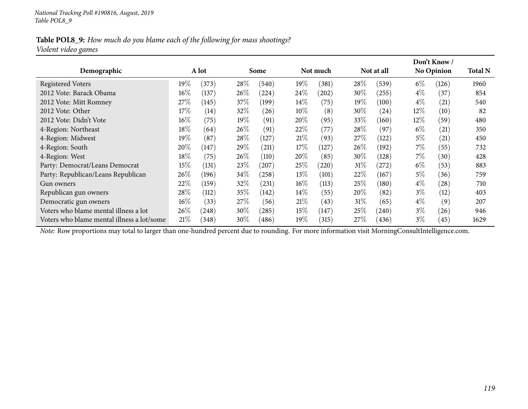### Table POL8\_9: How much do you blame each of the following for mass shootings? *Violent video games*

|                                            |        |       |        |       |        |            |        |            |        | Don't Know /      |                |
|--------------------------------------------|--------|-------|--------|-------|--------|------------|--------|------------|--------|-------------------|----------------|
| Demographic                                |        | A lot |        | Some  |        | Not much   |        | Not at all |        | <b>No Opinion</b> | <b>Total N</b> |
| <b>Registered Voters</b>                   | 19%    | (373) | 28\%   | (540) | 19%    | (381)      | 28\%   | (539)      | $6\%$  | (126)             | 1960           |
| 2012 Vote: Barack Obama                    | $16\%$ | (137) | $26\%$ | (224) | $24\%$ | $^{'}202)$ | $30\%$ | (255)      | $4\%$  | (37)              | 854            |
| 2012 Vote: Mitt Romney                     | 27\%   | (145) | 37%    | (199) | $14\%$ | (75)       | $19\%$ | (100)      | $4\%$  | (21)              | 540            |
| 2012 Vote: Other                           | 17%    | (14)  | $32\%$ | (26)  | $10\%$ | (8)        | $30\%$ | (24)       | $12\%$ | (10)              | 82             |
| 2012 Vote: Didn't Vote                     | $16\%$ | (75)  | $19\%$ | (91)  | 20%    | (95)       | 33%    | (160)      | $12\%$ | (59)              | 480            |
| 4-Region: Northeast                        | 18%    | (64)  | 26\%   | (91)  | 22%    | (77)       | 28\%   | (97)       | $6\%$  | (21)              | 350            |
| 4-Region: Midwest                          | 19%    | (87)  | 28\%   | (127) | 21%    | (93)       | 27%    | (122)      | $5\%$  | (21)              | 450            |
| 4-Region: South                            | 20%    | (147) | 29\%   | (211) | 17%    | (127)      | 26%    | (192)      | $7\%$  | (55)              | 732            |
| 4-Region: West                             | 18%    | (75)  | 26%    | (110) | $20\%$ | (85)       | $30\%$ | (128)      | $7\%$  | (30)              | 428            |
| Party: Democrat/Leans Democrat             | 15%    | (131) | 23%    | (207) | 25%    | $^{'}220)$ | 31%    | (272)      | $6\%$  | (53)              | 883            |
| Party: Republican/Leans Republican         | $26\%$ | (196) | 34%    | (258) | 13\%   | (101)      | 22%    | (167)      | $5\%$  | (36)              | 759            |
| Gun owners                                 | 22\%   | (159) | $32\%$ | (231) | $16\%$ | (113)      | $25\%$ | (180)      | $4\%$  | (28)              | 710            |
| Republican gun owners                      | 28%    | (112) | 35%    | (142) | $14\%$ | (55)       | $20\%$ | (82)       | $3\%$  | (12)              | 403            |
| Democratic gun owners                      | $16\%$ | (33)  | 27\%   | (56)  | 21%    | (43)       | 31%    | (65)       | $4\%$  | (9)               | 207            |
| Voters who blame mental illness a lot      | 26\%   | (248) | $30\%$ | (285) | $15\%$ | (147)      | 25%    | (240)      | $3\%$  | (26)              | 946            |
| Voters who blame mental illness a lot/some | 21%    | (348) | $30\%$ | (486) | 19%    | (315)      | 27%    | (436)      | $3\%$  | (45)              | 1629           |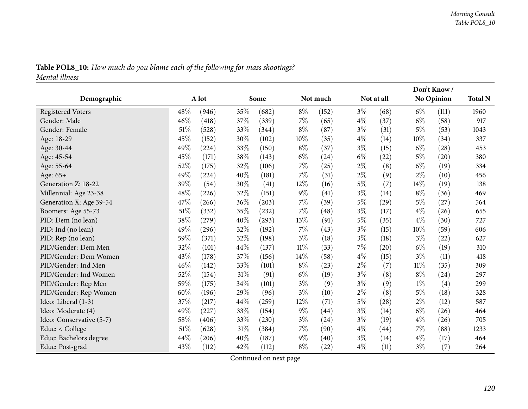| Table POL8_10: How much do you blame each of the following for mass shootings? |  |
|--------------------------------------------------------------------------------|--|
| Mental illness                                                                 |  |

|                          |        |       |     |       |        |          |       |            |        | Don't Know/ |                |
|--------------------------|--------|-------|-----|-------|--------|----------|-------|------------|--------|-------------|----------------|
| Demographic              |        | A lot |     | Some  |        | Not much |       | Not at all |        | No Opinion  | <b>Total N</b> |
| <b>Registered Voters</b> | 48%    | (946) | 35% | (682) | $8\%$  | (152)    | $3\%$ | (68)       | $6\%$  | (111)       | 1960           |
| Gender: Male             | 46%    | (418) | 37% | (339) | 7%     | (65)     | $4\%$ | (37)       | $6\%$  | (58)        | 917            |
| Gender: Female           | $51\%$ | (528) | 33% | (344) | $8\%$  | (87)     | $3\%$ | (31)       | $5\%$  | (53)        | 1043           |
| Age: 18-29               | 45%    | (152) | 30% | (102) | $10\%$ | (35)     | $4\%$ | (14)       | 10%    | (34)        | 337            |
| Age: 30-44               | 49%    | (224) | 33% | (150) | $8\%$  | (37)     | $3\%$ | (15)       | $6\%$  | (28)        | 453            |
| Age: 45-54               | 45%    | (171) | 38% | (143) | $6\%$  | (24)     | $6\%$ | (22)       | $5\%$  | (20)        | 380            |
| Age: 55-64               | 52%    | (175) | 32% | (106) | 7%     | (25)     | $2\%$ | (8)        | $6\%$  | (19)        | 334            |
| Age: 65+                 | 49%    | (224) | 40% | (181) | 7%     | (31)     | $2\%$ | (9)        | $2\%$  | (10)        | 456            |
| Generation Z: 18-22      | 39%    | (54)  | 30% | (41)  | 12%    | (16)     | $5\%$ | (7)        | 14%    | (19)        | 138            |
| Millennial: Age 23-38    | 48%    | (226) | 32% | (151) | $9\%$  | (41)     | $3\%$ | (14)       | $8\%$  | (36)        | 469            |
| Generation X: Age 39-54  | 47%    | (266) | 36% | (203) | 7%     | (39)     | $5\%$ | (29)       | $5\%$  | (27)        | 564            |
| Boomers: Age 55-73       | 51%    | (332) | 35% | (232) | 7%     | (48)     | $3\%$ | (17)       | $4\%$  | (26)        | 655            |
| PID: Dem (no lean)       | 38%    | (279) | 40% | (293) | $13\%$ | (91)     | $5\%$ | (35)       | $4\%$  | (30)        | 727            |
| PID: Ind (no lean)       | 49%    | (296) | 32% | (192) | 7%     | (43)     | $3\%$ | (15)       | 10\%   | (59)        | 606            |
| PID: Rep (no lean)       | 59%    | (371) | 32% | (198) | $3\%$  | (18)     | $3\%$ | (18)       | $3\%$  | (22)        | 627            |
| PID/Gender: Dem Men      | 32%    | (101) | 44% | (137) | $11\%$ | (33)     | 7%    | (20)       | $6\%$  | (19)        | 310            |
| PID/Gender: Dem Women    | 43%    | (178) | 37% | (156) | 14%    | (58)     | $4\%$ | (15)       | $3\%$  | (11)        | 418            |
| PID/Gender: Ind Men      | $46\%$ | (142) | 33% | (101) | $8\%$  | (23)     | $2\%$ | (7)        | $11\%$ | (35)        | 309            |
| PID/Gender: Ind Women    | 52%    | (154) | 31% | (91)  | $6\%$  | (19)     | $3\%$ | (8)        | $8\%$  | (24)        | 297            |
| PID/Gender: Rep Men      | 59%    | (175) | 34% | (101) | $3\%$  | (9)      | $3\%$ | (9)        | $1\%$  | (4)         | 299            |
| PID/Gender: Rep Women    | 60%    | (196) | 29% | (96)  | $3\%$  | (10)     | $2\%$ | (8)        | $5\%$  | (18)        | 328            |
| Ideo: Liberal (1-3)      | 37%    | (217) | 44% | (259) | 12%    | (71)     | $5\%$ | (28)       | $2\%$  | (12)        | 587            |
| Ideo: Moderate (4)       | 49%    | (227) | 33% | (154) | $9\%$  | (44)     | $3\%$ | (14)       | $6\%$  | (26)        | 464            |
| Ideo: Conservative (5-7) | 58%    | (406) | 33% | (230) | $3\%$  | (24)     | $3\%$ | (19)       | $4\%$  | (26)        | 705            |
| Educ: < College          | $51\%$ | (628) | 31% | (384) | 7%     | (90)     | $4\%$ | (44)       | $7\%$  | (88)        | 1233           |
| Educ: Bachelors degree   | 44%    | (206) | 40% | (187) | $9\%$  | (40)     | $3\%$ | (14)       | $4\%$  | (17)        | 464            |
| Educ: Post-grad          | 43%    | (112) | 42% | (112) | $8\%$  | (22)     | $4\%$ | (11)       | $3\%$  | (7)         | 264            |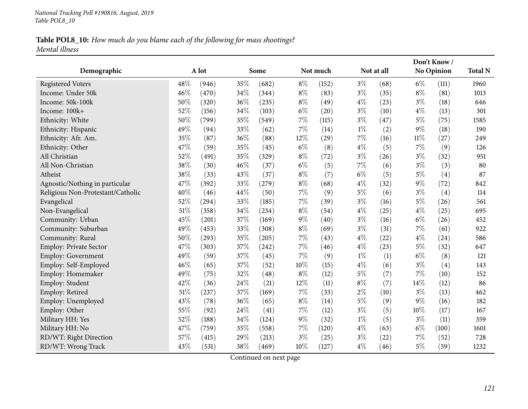### Table POL8\_10: How much do you blame each of the following for mass shootings? *Mental illness*

| Demographic                       |        | A lot |     | Some  |        | Not much |       | Not at all |        | Don't Know/<br>No Opinion | <b>Total N</b> |
|-----------------------------------|--------|-------|-----|-------|--------|----------|-------|------------|--------|---------------------------|----------------|
|                                   |        |       |     |       |        |          |       |            |        |                           |                |
| <b>Registered Voters</b>          | 48%    | (946) | 35% | (682) | $8\%$  | (152)    | $3\%$ | (68)       | $6\%$  | (111)                     | 1960           |
| Income: Under 50k                 | 46%    | (470) | 34% | (344) | $8\%$  | (83)     | $3\%$ | (35)       | $8\%$  | (81)                      | 1013           |
| Income: 50k-100k                  | 50%    | (320) | 36% | (235) | $8\%$  | (49)     | $4\%$ | (23)       | $3\%$  | (18)                      | 646            |
| Income: 100k+                     | 52%    | (156) | 34% | (103) | $6\%$  | (20)     | $3\%$ | (10)       | $4\%$  | (13)                      | 301            |
| Ethnicity: White                  | 50%    | (799) | 35% | (549) | $7\%$  | (115)    | $3\%$ | (47)       | $5\%$  | (75)                      | 1585           |
| Ethnicity: Hispanic               | 49%    | (94)  | 33% | (62)  | $7\%$  | (14)     | $1\%$ | (2)        | $9\%$  | (18)                      | 190            |
| Ethnicity: Afr. Am.               | 35%    | (87)  | 36% | (88)  | 12%    | (29)     | 7%    | (16)       | $11\%$ | (27)                      | 249            |
| Ethnicity: Other                  | 47%    | (59)  | 35% | (45)  | $6\%$  | (8)      | $4\%$ | (5)        | 7%     | (9)                       | 126            |
| All Christian                     | 52%    | (491) | 35% | (329) | $8\%$  | (72)     | $3\%$ | (26)       | $3\%$  | (32)                      | 951            |
| All Non-Christian                 | 38%    | (30)  | 46% | (37)  | $6\%$  | (5)      | 7%    | (6)        | $3\%$  | (3)                       | 80             |
| Atheist                           | 38%    | (33)  | 43% | (37)  | $8\%$  | (7)      | $6\%$ | (5)        | $5\%$  | (4)                       | 87             |
| Agnostic/Nothing in particular    | 47%    | (392) | 33% | (279) | $8\%$  | (68)     | $4\%$ | (32)       | $9\%$  | (72)                      | 842            |
| Religious Non-Protestant/Catholic | 40%    | (46)  | 44% | (50)  | 7%     | (9)      | $5\%$ | (6)        | $3\%$  | (4)                       | 114            |
| Evangelical                       | 52%    | (294) | 33% | (185) | 7%     | (39)     | $3\%$ | (16)       | $5\%$  | (26)                      | 561            |
| Non-Evangelical                   | $51\%$ | (358) | 34% | (234) | $8\%$  | (54)     | $4\%$ | (25)       | $4\%$  | (25)                      | 695            |
| Community: Urban                  | 45%    | (201) | 37% | (169) | $9\%$  | (40)     | $3\%$ | (16)       | $6\%$  | (26)                      | 452            |
| Community: Suburban               | 49%    | (453) | 33% | (308) | $8\%$  | (69)     | $3\%$ | (31)       | $7\%$  | (61)                      | 922            |
| Community: Rural                  | 50%    | (293) | 35% | (205) | 7%     | (43)     | $4\%$ | (22)       | $4\%$  | (24)                      | 586            |
| <b>Employ: Private Sector</b>     | 47%    | (303) | 37% | (242) | $7\%$  | (46)     | $4\%$ | (23)       | $5\%$  | (32)                      | 647            |
| Employ: Government                | 49%    | (59)  | 37% | (45)  | $7\%$  | (9)      | $1\%$ | (1)        | $6\%$  | (8)                       | 121            |
| Employ: Self-Employed             | 46%    | (65)  | 37% | (52)  | $10\%$ | (15)     | $4\%$ | (6)        | $3\%$  | (4)                       | 143            |
| Employ: Homemaker                 | 49%    | (75)  | 32% | (48)  | $8\%$  | (12)     | $5\%$ | (7)        | 7%     | (10)                      | 152            |
| Employ: Student                   | 42%    | (36)  | 24% | (21)  | 12%    | (11)     | $8\%$ | (7)        | 14%    | (12)                      | 86             |
| Employ: Retired                   | 51%    | (237) | 37% | (169) | $7\%$  | (33)     | $2\%$ | (10)       | $3\%$  | (13)                      | 462            |
| Employ: Unemployed                | 43%    | (78)  | 36% | (65)  | $8\%$  | (14)     | $5\%$ | (9)        | $9\%$  | (16)                      | 182            |
| Employ: Other                     | 55%    | (92)  | 24% | (41)  | 7%     | (12)     | $3\%$ | (5)        | 10%    | (17)                      | 167            |
| Military HH: Yes                  | 52%    | (188) | 34% | (124) | $9\%$  | (32)     | $1\%$ | (5)        | $3\%$  | (11)                      | 359            |
| Military HH: No                   | 47%    | (759) | 35% | (558) | $7\%$  | (120)    | $4\%$ | (63)       | $6\%$  | (100)                     | 1601           |
| RD/WT: Right Direction            | 57%    | (415) | 29% | (213) | $3\%$  | (25)     | $3\%$ | $^{(22)}$  | $7\%$  | (52)                      | 728            |
| RD/WT: Wrong Track                | 43%    | (531) | 38% | (469) | $10\%$ | (127)    | $4\%$ | (46)       | $5\%$  | (59)                      | 1232           |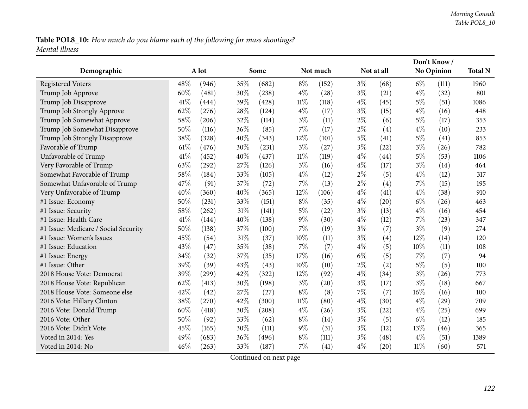## Table POL8\_10: How much do you blame each of the following for mass shootings? *Mental illness*

|                                      |      |       |     |       |        |          |       |            |        | Don't Know/ |                |
|--------------------------------------|------|-------|-----|-------|--------|----------|-------|------------|--------|-------------|----------------|
| Demographic                          |      | A lot |     | Some  |        | Not much |       | Not at all |        | No Opinion  | <b>Total N</b> |
| <b>Registered Voters</b>             | 48%  | (946) | 35% | (682) | $8\%$  | (152)    | $3\%$ | (68)       | $6\%$  | (111)       | 1960           |
| Trump Job Approve                    | 60%  | (481) | 30% | (238) | $4\%$  | (28)     | $3\%$ | (21)       | $4\%$  | (32)        | 801            |
| Trump Job Disapprove                 | 41\% | (444) | 39% | (428) | $11\%$ | (118)    | $4\%$ | (45)       | $5\%$  | (51)        | 1086           |
| Trump Job Strongly Approve           | 62%  | (276) | 28% | (124) | $4\%$  | (17)     | $3\%$ | (15)       | $4\%$  | (16)        | 448            |
| Trump Job Somewhat Approve           | 58%  | (206) | 32% | (114) | $3\%$  | (11)     | $2\%$ | (6)        | $5\%$  | (17)        | 353            |
| Trump Job Somewhat Disapprove        | 50%  | (116) | 36% | (85)  | $7\%$  | (17)     | $2\%$ | (4)        | $4\%$  | (10)        | 233            |
| Trump Job Strongly Disapprove        | 38%  | (328) | 40% | (343) | 12\%   | (101)    | $5\%$ | (41)       | $5\%$  | (41)        | 853            |
| Favorable of Trump                   | 61\% | (476) | 30% | (231) | $3\%$  | (27)     | $3\%$ | (22)       | $3\%$  | (26)        | 782            |
| Unfavorable of Trump                 | 41%  | (452) | 40% | (437) | $11\%$ | (119)    | $4\%$ | (44)       | $5\%$  | (53)        | 1106           |
| Very Favorable of Trump              | 63%  | (292) | 27% | (126) | $3\%$  | (16)     | $4\%$ | (17)       | $3\%$  | (14)        | 464            |
| Somewhat Favorable of Trump          | 58%  | (184) | 33% | (105) | $4\%$  | (12)     | $2\%$ | (5)        | $4\%$  | (12)        | 317            |
| Somewhat Unfavorable of Trump        | 47%  | (91)  | 37% | (72)  | $7\%$  | (13)     | $2\%$ | (4)        | $7\%$  | (15)        | 195            |
| Very Unfavorable of Trump            | 40%  | (360) | 40% | (365) | 12%    | (106)    | $4\%$ | (41)       | $4\%$  | (38)        | 910            |
| #1 Issue: Economy                    | 50%  | (231) | 33% | (151) | $8\%$  | (35)     | $4\%$ | (20)       | $6\%$  | (26)        | 463            |
| #1 Issue: Security                   | 58%  | (262) | 31% | (141) | $5\%$  | (22)     | $3\%$ | (13)       | $4\%$  | (16)        | 454            |
| #1 Issue: Health Care                | 41\% | (144) | 40% | (138) | $9\%$  | (30)     | $4\%$ | (12)       | 7%     | (23)        | 347            |
| #1 Issue: Medicare / Social Security | 50%  | (138) | 37% | (100) | $7\%$  | (19)     | $3\%$ | (7)        | $3\%$  | (9)         | 274            |
| #1 Issue: Women's Issues             | 45%  | (54)  | 31% | (37)  | 10%    | (11)     | $3\%$ | (4)        | $12\%$ | (14)        | 120            |
| #1 Issue: Education                  | 43%  | (47)  | 35% | (38)  | $7\%$  | (7)      | $4\%$ | (5)        | 10%    | (11)        | 108            |
| #1 Issue: Energy                     | 34%  | (32)  | 37% | (35)  | 17%    | (16)     | $6\%$ | (5)        | $7\%$  | (7)         | 94             |
| #1 Issue: Other                      | 39%  | (39)  | 43% | (43)  | $10\%$ | (10)     | $2\%$ | (2)        | $5\%$  | (5)         | 100            |
| 2018 House Vote: Democrat            | 39%  | (299) | 42% | (322) | 12%    | (92)     | $4\%$ | (34)       | $3\%$  | (26)        | 773            |
| 2018 House Vote: Republican          | 62%  | (413) | 30% | (198) | $3\%$  | (20)     | $3\%$ | (17)       | $3\%$  | (18)        | 667            |
| 2018 House Vote: Someone else        | 42%  | (42)  | 27% | (27)  | $8\%$  | (8)      | 7%    | (7)        | 16%    | (16)        | 100            |
| 2016 Vote: Hillary Clinton           | 38%  | (270) | 42% | (300) | $11\%$ | (80)     | $4\%$ | (30)       | $4\%$  | (29)        | 709            |
| 2016 Vote: Donald Trump              | 60%  | (418) | 30% | (208) | $4\%$  | (26)     | $3\%$ | (22)       | $4\%$  | (25)        | 699            |
| 2016 Vote: Other                     | 50%  | (92)  | 33% | (62)  | $8\%$  | (14)     | $3\%$ | (5)        | $6\%$  | (12)        | 185            |
| 2016 Vote: Didn't Vote               | 45%  | (165) | 30% | (111) | $9\%$  | (31)     | $3\%$ | (12)       | 13%    | (46)        | 365            |
| Voted in 2014: Yes                   | 49%  | (683) | 36% | (496) | $8\%$  | (111)    | $3\%$ | (48)       | $4\%$  | (51)        | 1389           |
| Voted in 2014: No                    | 46%  | (263) | 33% | (187) | $7\%$  | (41)     | $4\%$ | (20)       | $11\%$ | (60)        | 571            |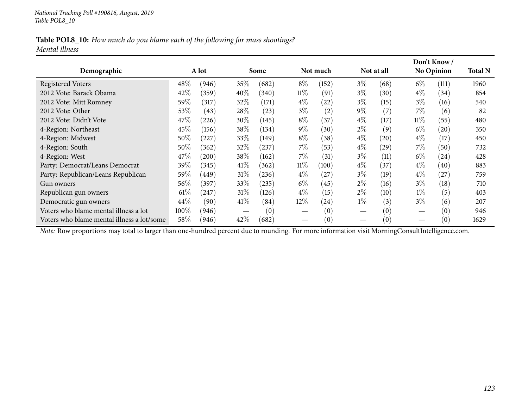### Table POL8\_10: How much do you blame each of the following for mass shootings? *Mental illness*

|                                                                                                                                                |        |       |        |            |        |                   |       |            |       | Don't Know/       |                |
|------------------------------------------------------------------------------------------------------------------------------------------------|--------|-------|--------|------------|--------|-------------------|-------|------------|-------|-------------------|----------------|
| Demographic                                                                                                                                    |        | A lot |        | Some       |        | Not much          |       | Not at all |       | <b>No Opinion</b> | <b>Total N</b> |
| <b>Registered Voters</b>                                                                                                                       | 48\%   | (946) | $35\%$ | (682)      | $8\%$  | (152)             | $3\%$ | (68)       | $6\%$ | (111)             | 1960           |
| 2012 Vote: Barack Obama                                                                                                                        | 42%    | (359) | 40%    | (340)      | $11\%$ | (91)              | $3\%$ | (30)       | $4\%$ | (34)              | 854            |
| 2012 Vote: Mitt Romney                                                                                                                         | 59%    | (317) | 32\%   | (171)      | $4\%$  | (22)              | $3\%$ | (15)       | $3\%$ | (16)              | 540            |
| 2012 Vote: Other                                                                                                                               | 53%    | (43)  | $28\%$ | (23)       | $3\%$  | (2)               | $9\%$ | (7)        | 7%    | (6)               | 82             |
| 2012 Vote: Didn't Vote                                                                                                                         | 47\%   | (226) | $30\%$ | (145)      | $8\%$  | (37)              | $4\%$ | (17)       | 11%   | (55)              | 480            |
| 4-Region: Northeast                                                                                                                            | 45\%   | (156) | 38\%   | (134)      | $9\%$  | (30)              | $2\%$ | (9)        | $6\%$ | (20)              | 350            |
| 4-Region: Midwest                                                                                                                              | 50%    | (227) | $33\%$ | (149)      | $8\%$  | (38)              | $4\%$ | (20)       | $4\%$ | (17)              | 450            |
| 4-Region: South                                                                                                                                | 50%    | (362) | 32\%   | $^{'}237)$ | $7\%$  | (53)              | $4\%$ | (29)       | $7\%$ | (50)              | 732            |
| 4-Region: West                                                                                                                                 | 47\%   | (200) | 38\%   | (162)      | $7\%$  | (31)              | $3\%$ | (11)       | $6\%$ | (24)              | 428            |
| Party: Democrat/Leans Democrat                                                                                                                 | 39%    | (345) | 41\%   | (362)      | $11\%$ | (100)             | $4\%$ | (37)       | $4\%$ | (40)              | 883            |
| Party: Republican/Leans Republican                                                                                                             | 59%    | (449) | 31%    | (236)      | $4\%$  | $^{'}27$          | $3\%$ | (19)       | $4\%$ | (27               | 759            |
| Gun owners                                                                                                                                     | 56\%   | (397) | $33\%$ | (235)      | $6\%$  | (45)              | $2\%$ | (16)       | $3\%$ | (18)              | 710            |
| Republican gun owners                                                                                                                          | $61\%$ | (247) | $31\%$ | (126)      | $4\%$  | (15)              | $2\%$ | (10)       | $1\%$ | (5)               | 403            |
| Democratic gun owners                                                                                                                          | 44\%   | (90)  | 41\%   | (84)       | $12\%$ | (24)              | $1\%$ | (3)        | $3\%$ | (6)               | 207            |
| Voters who blame mental illness a lot                                                                                                          | 100\%  | (946) |        | (0)        |        | (0)               |       | (0)        |       | (0)               | 946            |
| Voters who blame mental illness a lot/some                                                                                                     | 58\%   | (946) | 42\%   | (682)      |        | $\left( 0\right)$ |       | (0)        |       | (0)               | 1629           |
| Note: Row proportions may total to larger than one-hundred percent due to rounding. For more information visit MorningConsultIntelligence.com. |        |       |        |            |        |                   |       |            |       |                   |                |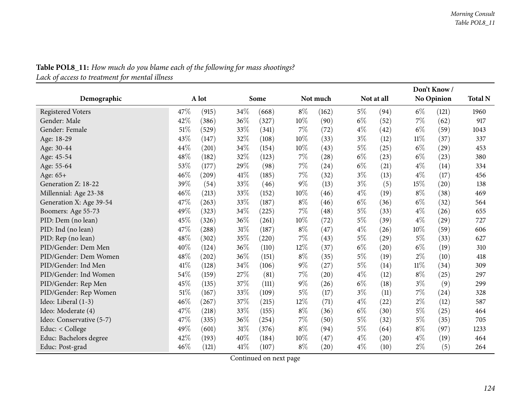|                          |      |       |      |       |       |          |       |                    |        | Don't Know/       |                |
|--------------------------|------|-------|------|-------|-------|----------|-------|--------------------|--------|-------------------|----------------|
| Demographic              |      | A lot |      | Some  |       | Not much |       | Not at all         |        | <b>No Opinion</b> | <b>Total N</b> |
| <b>Registered Voters</b> | 47\% | (915) | 34\% | (668) | $8\%$ | (162)    | $5\%$ | (94)               | $6\%$  | (121)             | 1960           |
| Gender: Male             | 42%  | (386) | 36%  | (327) | 10%   | (90)     | $6\%$ | (52)               | 7%     | (62)              | 917            |
| Gender: Female           | 51%  | (529) | 33%  | (341) | 7%    | (72)     | $4\%$ | (42)               | $6\%$  | (59)              | 1043           |
| Age: 18-29               | 43%  | (147) | 32%  | (108) | 10%   | (33)     | $3\%$ | (12)               | $11\%$ | (37)              | 337            |
| Age: 30-44               | 44%  | (201) | 34%  | (154) | 10%   | (43)     | 5%    | (25)               | $6\%$  | (29)              | 453            |
| Age: 45-54               | 48%  | (182) | 32%  | (123) | $7\%$ | (28)     | $6\%$ | (23)               | $6\%$  | (23)              | 380            |
| Age: 55-64               | 53%  | (177) | 29%  | (98)  | 7%    | (24)     | $6\%$ | (21)               | $4\%$  | (14)              | 334            |
| Age: 65+                 | 46%  | (209) | 41\% | (185) | 7%    | (32)     | $3\%$ | (13)               | $4\%$  | (17)              | 456            |
| Generation Z: 18-22      | 39%  | (54)  | 33%  | (46)  | $9\%$ | (13)     | $3\%$ | (5)                | 15%    | (20)              | 138            |
| Millennial: Age 23-38    | 46%  | (213) | 33%  | (152) | 10%   | (46)     | $4\%$ | (19)               | $8\%$  | (38)              | 469            |
| Generation X: Age 39-54  | 47%  | (263) | 33%  | (187) | $8\%$ | (46)     | $6\%$ | (36)               | $6\%$  | (32)              | 564            |
| Boomers: Age 55-73       | 49%  | (323) | 34%  | (225) | $7\%$ | (48)     | $5\%$ | (33)               | $4\%$  | (26)              | 655            |
| PID: Dem (no lean)       | 45%  | (326) | 36%  | (261) | 10%   | (72)     | $5\%$ | (39)               | $4\%$  | (29)              | 727            |
| PID: Ind (no lean)       | 47\% | (288) | 31\% | (187) | $8\%$ | (47)     | $4\%$ | (26)               | $10\%$ | (59)              | 606            |
| PID: Rep (no lean)       | 48%  | (302) | 35%  | (220) | 7%    | (43)     | $5\%$ | (29)               | $5\%$  | (33)              | 627            |
| PID/Gender: Dem Men      | 40%  | (124) | 36%  | (110) | 12%   | (37)     | $6\%$ | (20)               | $6\%$  | (19)              | 310            |
| PID/Gender: Dem Women    | 48%  | (202) | 36%  | (151) | $8\%$ | (35)     | $5\%$ | (19)               | $2\%$  | (10)              | 418            |
| PID/Gender: Ind Men      | 41%  | (128) | 34%  | (106) | $9\%$ | (27)     | $5\%$ | (14)               | $11\%$ | (34)              | 309            |
| PID/Gender: Ind Women    | 54%  | (159) | 27\% | (81)  | 7%    | (20)     | $4\%$ | (12)               | $8\%$  | (25)              | 297            |
| PID/Gender: Rep Men      | 45%  | (135) | 37%  | (111) | $9\%$ | (26)     | $6\%$ | (18)               | $3\%$  | (9)               | 299            |
| PID/Gender: Rep Women    | 51%  | (167) | 33%  | (109) | $5\%$ | (17)     | $3\%$ | (11)               | $7\%$  | (24)              | 328            |
| Ideo: Liberal (1-3)      | 46%  | (267) | 37%  | (215) | 12%   | (71)     | $4\%$ | (22)               | $2\%$  | (12)              | 587            |
| Ideo: Moderate (4)       | 47%  | (218) | 33%  | (155) | $8\%$ | (36)     | $6\%$ | (30)               | $5\%$  | (25)              | 464            |
| Ideo: Conservative (5-7) | 47\% | (335) | 36%  | (254) | 7%    | (50)     | $5\%$ | (32)               | $5\%$  | (35)              | 705            |
| Educ: < College          | 49%  | (601) | 31%  | (376) | $8\%$ | (94)     | $5\%$ | (64)               | $8\%$  | (97)              | 1233           |
| Educ: Bachelors degree   | 42%  | (193) | 40%  | (184) | 10%   | (47)     | $4\%$ | $\left( 20\right)$ | $4\%$  | (19)              | 464            |
| Educ: Post-grad          | 46%  | (121) | 41\% | (107) | $8\%$ | (20)     | $4\%$ | (10)               | $2\%$  | (5)               | 264            |

**Table POL8\_11:** How much do you blame each of the following for mass shootings? *Lack of access to treatment for mental illness*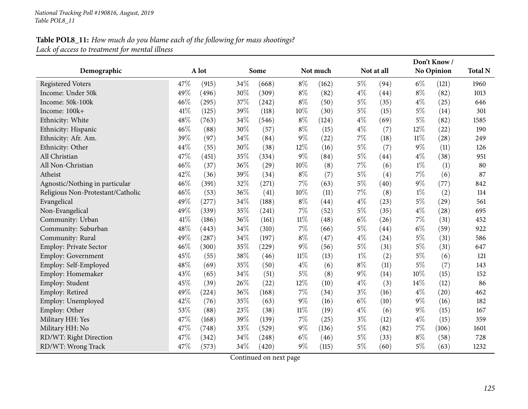# Table POL8\_11: How much do you blame each of the following for mass shootings? *Lack of access to treatment for mental illness*

|                                   |      |       |     |       |        |          |       |            |        | Don't Know/        |                |
|-----------------------------------|------|-------|-----|-------|--------|----------|-------|------------|--------|--------------------|----------------|
| Demographic                       |      | A lot |     | Some  |        | Not much |       | Not at all |        | <b>No Opinion</b>  | <b>Total N</b> |
| <b>Registered Voters</b>          | 47%  | (915) | 34% | (668) | $8\%$  | (162)    | $5\%$ | (94)       | $6\%$  | (121)              | 1960           |
| Income: Under 50k                 | 49%  | (496) | 30% | (309) | $8\%$  | (82)     | $4\%$ | (44)       | $8\%$  | (82)               | 1013           |
| Income: 50k-100k                  | 46%  | (295) | 37% | (242) | $8\%$  | (50)     | $5\%$ | (35)       | $4\%$  | (25)               | 646            |
| Income: 100k+                     | 41%  | (125) | 39% | (118) | $10\%$ | (30)     | $5\%$ | (15)       | $5\%$  | (14)               | 301            |
| Ethnicity: White                  | 48%  | (763) | 34% | (546) | $8\%$  | (124)    | $4\%$ | (69)       | $5\%$  | (82)               | 1585           |
| Ethnicity: Hispanic               | 46%  | (88)  | 30% | (57)  | $8\%$  | (15)     | $4\%$ | (7)        | 12%    | (22)               | 190            |
| Ethnicity: Afr. Am.               | 39%  | (97)  | 34% | (84)  | $9\%$  | (22)     | 7%    | (18)       | $11\%$ | $\left( 28\right)$ | 249            |
| Ethnicity: Other                  | 44%  | (55)  | 30% | (38)  | 12%    | (16)     | $5\%$ | (7)        | $9\%$  | (11)               | 126            |
| All Christian                     | 47%  | (451) | 35% | (334) | $9\%$  | (84)     | $5\%$ | (44)       | $4\%$  | (38)               | 951            |
| All Non-Christian                 | 46%  | (37)  | 36% | (29)  | 10%    | (8)      | $7\%$ | (6)        | $1\%$  | (1)                | 80             |
| Atheist                           | 42%  | (36)  | 39% | (34)  | $8\%$  | (7)      | 5%    | (4)        | 7%     | (6)                | 87             |
| Agnostic/Nothing in particular    | 46%  | (391) | 32% | (271) | $7\%$  | (63)     | $5\%$ | (40)       | $9\%$  | (77)               | 842            |
| Religious Non-Protestant/Catholic | 46%  | (53)  | 36% | (41)  | 10%    | (11)     | $7\%$ | (8)        | $1\%$  | (2)                | 114            |
| Evangelical                       | 49%  | (277) | 34% | (188) | $8\%$  | (44)     | $4\%$ | (23)       | $5\%$  | (29)               | 561            |
| Non-Evangelical                   | 49%  | (339) | 35% | (241) | 7%     | (52)     | $5\%$ | (35)       | $4\%$  | (28)               | 695            |
| Community: Urban                  | 41\% | (186) | 36% | (161) | $11\%$ | (48)     | $6\%$ | (26)       | 7%     | (31)               | 452            |
| Community: Suburban               | 48%  | (443) | 34% | (310) | $7\%$  | (66)     | $5\%$ | (44)       | $6\%$  | (59)               | 922            |
| Community: Rural                  | 49%  | (287) | 34% | (197) | $8\%$  | (47)     | $4\%$ | (24)       | $5\%$  | (31)               | 586            |
| Employ: Private Sector            | 46%  | (300) | 35% | (229) | $9\%$  | (56)     | $5\%$ | (31)       | $5\%$  | (31)               | 647            |
| <b>Employ: Government</b>         | 45%  | (55)  | 38% | (46)  | $11\%$ | (13)     | $1\%$ | (2)        | $5\%$  | (6)                | 121            |
| Employ: Self-Employed             | 48%  | (69)  | 35% | (50)  | $4\%$  | (6)      | $8\%$ | (11)       | $5\%$  | (7)                | 143            |
| Employ: Homemaker                 | 43%  | (65)  | 34% | (51)  | $5\%$  | (8)      | $9\%$ | (14)       | 10%    | (15)               | 152            |
| Employ: Student                   | 45%  | (39)  | 26% | (22)  | 12%    | (10)     | $4\%$ | (3)        | 14%    | (12)               | 86             |
| Employ: Retired                   | 49%  | (224) | 36% | (168) | 7%     | (34)     | $3\%$ | (16)       | $4\%$  | (20)               | 462            |
| Employ: Unemployed                | 42%  | (76)  | 35% | (63)  | $9\%$  | (16)     | $6\%$ | (10)       | 9%     | (16)               | 182            |
| Employ: Other                     | 53%  | (88)  | 23% | (38)  | $11\%$ | (19)     | $4\%$ | (6)        | $9\%$  | (15)               | 167            |
| Military HH: Yes                  | 47%  | (168) | 39% | (139) | $7\%$  | (25)     | $3\%$ | (12)       | $4\%$  | (15)               | 359            |
| Military HH: No                   | 47%  | (748) | 33% | (529) | $9\%$  | (136)    | $5\%$ | (82)       | $7\%$  | (106)              | 1601           |
| RD/WT: Right Direction            | 47%  | (342) | 34% | (248) | $6\%$  | (46)     | $5\%$ | (33)       | $8\%$  | (58)               | 728            |
| RD/WT: Wrong Track                | 47%  | (573) | 34% | (420) | $9\%$  | (115)    | $5\%$ | (60)       | 5%     | (63)               | 1232           |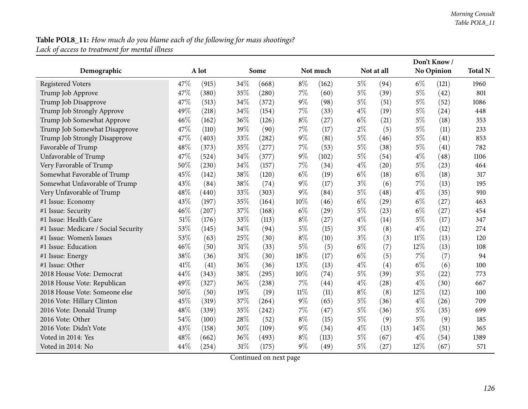# Table POL8\_11: How much do you blame each of the following for mass shootings? *Lack of access to treatment for mental illness*

|                                      |      |       |      |       |        |          |       |            |       | Don't Know/ |                |
|--------------------------------------|------|-------|------|-------|--------|----------|-------|------------|-------|-------------|----------------|
| Demographic                          |      | A lot |      | Some  |        | Not much |       | Not at all |       | No Opinion  | <b>Total N</b> |
| <b>Registered Voters</b>             | 47%  | (915) | 34\% | (668) | $8\%$  | (162)    | $5\%$ | (94)       | $6\%$ | (121)       | 1960           |
| Trump Job Approve                    | 47%  | (380) | 35%  | (280) | $7\%$  | (60)     | $5\%$ | (39)       | $5\%$ | (42)        | 801            |
| Trump Job Disapprove                 | 47%  | (513) | 34%  | (372) | $9\%$  | (98)     | $5\%$ | (51)       | $5\%$ | (52)        | 1086           |
| Trump Job Strongly Approve           | 49%  | (218) | 34%  | (154) | 7%     | (33)     | $4\%$ | (19)       | $5\%$ | (24)        | 448            |
| Trump Job Somewhat Approve           | 46%  | (162) | 36%  | (126) | $8\%$  | (27)     | $6\%$ | (21)       | $5\%$ | (18)        | 353            |
| Trump Job Somewhat Disapprove        | 47%  | (110) | 39%  | (90)  | $7\%$  | (17)     | $2\%$ | (5)        | $5\%$ | (11)        | 233            |
| Trump Job Strongly Disapprove        | 47%  | (403) | 33%  | (282) | $9\%$  | (81)     | $5\%$ | (46)       | $5\%$ | (41)        | 853            |
| Favorable of Trump                   | 48%  | (373) | 35%  | (277) | 7%     | (53)     | $5\%$ | (38)       | $5\%$ | (41)        | 782            |
| Unfavorable of Trump                 | 47%  | (524) | 34%  | (377) | $9\%$  | (102)    | $5\%$ | (54)       | $4\%$ | (48)        | 1106           |
| Very Favorable of Trump              | 50%  | (230) | 34%  | (157) | $7\%$  | (34)     | $4\%$ | (20)       | $5\%$ | (23)        | 464            |
| Somewhat Favorable of Trump          | 45%  | (142) | 38%  | (120) | $6\%$  | (19)     | $6\%$ | (18)       | $6\%$ | (18)        | 317            |
| Somewhat Unfavorable of Trump        | 43%  | (84)  | 38%  | (74)  | $9\%$  | (17)     | $3\%$ | (6)        | 7%    | (13)        | 195            |
| Very Unfavorable of Trump            | 48%  | (440) | 33%  | (303) | $9\%$  | (84)     | $5\%$ | (48)       | $4\%$ | (35)        | 910            |
| #1 Issue: Economy                    | 43%  | (197) | 35%  | (164) | 10%    | (46)     | $6\%$ | (29)       | $6\%$ | (27)        | 463            |
| #1 Issue: Security                   | 46%  | (207) | 37%  | (168) | $6\%$  | (29)     | $5\%$ | (23)       | $6\%$ | (27)        | 454            |
| #1 Issue: Health Care                | 51%  | (176) | 33%  | (113) | $8\%$  | (27)     | $4\%$ | (14)       | $5\%$ | (17)        | 347            |
| #1 Issue: Medicare / Social Security | 53%  | (145) | 34%  | (94)  | $5\%$  | (15)     | $3\%$ | (8)        | $4\%$ | (12)        | 274            |
| #1 Issue: Women's Issues             | 53%  | (63)  | 25%  | (30)  | $8\%$  | (10)     | $3\%$ | (3)        | 11%   | (13)        | 120            |
| #1 Issue: Education                  | 46%  | (50)  | 31%  | (33)  | $5\%$  | (5)      | $6\%$ | (7)        | 12%   | (13)        | 108            |
| #1 Issue: Energy                     | 38%  | (36)  | 31%  | (30)  | $18\%$ | (17)     | $6\%$ | (5)        | 7%    | (7)         | 94             |
| #1 Issue: Other                      | 41\% | (41)  | 36%  | (36)  | 13%    | (13)     | $4\%$ | (4)        | $6\%$ | (6)         | 100            |
| 2018 House Vote: Democrat            | 44%  | (343) | 38%  | (295) | 10%    | (74)     | 5%    | (39)       | $3\%$ | (22)        | 773            |
| 2018 House Vote: Republican          | 49%  | (327) | 36%  | (238) | 7%     | (44)     | $4\%$ | (28)       | $4\%$ | (30)        | 667            |
| 2018 House Vote: Someone else        | 50%  | (50)  | 19%  | (19)  | $11\%$ | (11)     | $8\%$ | (8)        | 12%   | (12)        | 100            |
| 2016 Vote: Hillary Clinton           | 45%  | (319) | 37%  | (264) | $9\%$  | (65)     | $5\%$ | (36)       | $4\%$ | (26)        | 709            |
| 2016 Vote: Donald Trump              | 48%  | (339) | 35%  | (242) | $7\%$  | (47)     | $5\%$ | (36)       | $5\%$ | (35)        | 699            |
| 2016 Vote: Other                     | 54%  | (100) | 28%  | (52)  | $8\%$  | (15)     | $5\%$ | (9)        | $5\%$ | (9)         | 185            |
| 2016 Vote: Didn't Vote               | 43%  | (158) | 30%  | (109) | $9\%$  | (34)     | $4\%$ | (13)       | 14%   | (51)        | 365            |
| Voted in 2014: Yes                   | 48%  | (662) | 36%  | (493) | $8\%$  | (113)    | $5\%$ | (67)       | $4\%$ | (54)        | 1389           |
| Voted in 2014: No                    | 44%  | (254) | 31\% | (175) | $9\%$  | (49)     | $5\%$ | (27)       | 12%   | (67)        | 571            |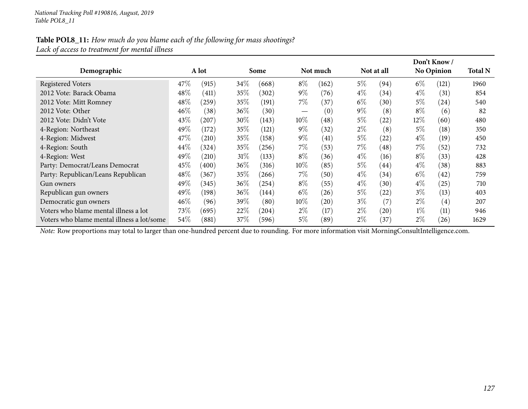### Table POL8\_11: How much do you blame each of the following for mass shootings? *Lack of access to treatment for mental illness*

|                                            |      |       |        |            |                   |          |       |            |        | Don't Know/       |                |
|--------------------------------------------|------|-------|--------|------------|-------------------|----------|-------|------------|--------|-------------------|----------------|
| Demographic                                |      | A lot |        | Some       |                   | Not much |       | Not at all |        | <b>No Opinion</b> | <b>Total N</b> |
| <b>Registered Voters</b>                   | 47\% | (915) | $34\%$ | (668)      | $8\%$             | (162)    | $5\%$ | (94)       | $6\%$  | (121)             | 1960           |
| 2012 Vote: Barack Obama                    | 48%  | (411) | $35\%$ | (302)      | $9\%$             | (76)     | $4\%$ | (34)       | $4\%$  | (31)              | 854            |
| 2012 Vote: Mitt Romney                     | 48%  | (259) | $35\%$ | (191)      | $7\%$             | (37)     | $6\%$ | (30)       | $5\%$  | (24)              | 540            |
| 2012 Vote: Other                           | 46%  | (38)  | $36\%$ | (30)       | $\hspace{0.05cm}$ | (0)      | $9\%$ | (8)        | $8\%$  | (6)               | 82             |
| 2012 Vote: Didn't Vote                     | 43\% | (207) | $30\%$ | (143)      | $10\%$            | (48)     | $5\%$ | (22)       | $12\%$ | (60)              | 480            |
| 4-Region: Northeast                        | 49%  | (172) | 35%    | (121)      | $9\%$             | (32)     | $2\%$ | (8)        | $5\%$  | (18)              | 350            |
| 4-Region: Midwest                          | 47\% | (210) | 35%    | (158)      | $9\%$             | (41)     | $5\%$ | (22)       | $4\%$  | (19)              | 450            |
| 4-Region: South                            | 44%  | (324) | 35\%   | (256)      | $7\%$             | (53)     | $7\%$ | (48)       | 7%     | (52)              | 732            |
| 4-Region: West                             | 49%  | (210) | 31%    | (133)      | $8\%$             | (36)     | $4\%$ | (16)       | $8\%$  | (33)              | 428            |
| Party: Democrat/Leans Democrat             | 45%  | (400) | $36\%$ | (316)      | $10\%$            | (85)     | $5\%$ | (44)       | $4\%$  | (38)              | 883            |
| Party: Republican/Leans Republican         | 48%  | (367) | 35%    | (266)      | $7\%$             | (50)     | $4\%$ | (34)       | $6\%$  | (42)              | 759            |
| Gun owners                                 | 49%  | (345) | $36\%$ | $^{(254)}$ | $8\%$             | (55)     | $4\%$ | (30)       | $4\%$  | (25)              | 710            |
| Republican gun owners                      | 49%  | (198) | $36\%$ | (144)      | $6\%$             | (26)     | 5%    | (22)       | $3\%$  | (13)              | 403            |
| Democratic gun owners                      | 46%  | (96)  | 39%    | (80)       | $10\%$            | (20)     | $3\%$ | (7)        | $2\%$  | (4)               | 207            |
| Voters who blame mental illness a lot      | 73%  | (695) | $22\%$ | (204)      | $2\%$             | (17)     | $2\%$ | (20)       | $1\%$  | (11)              | 946            |
| Voters who blame mental illness a lot/some | 54\% | (881) | 37%    | (596)      | 5%                | (89)     | $2\%$ | (37)       | $2\%$  | (26)              | 1629           |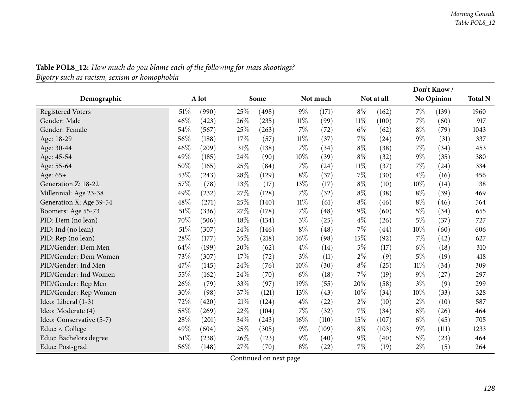| Demographic              |        | A lot |        | Some  |        | Not much |        | Not at all |       | Don't Know/<br>No Opinion | <b>Total N</b> |
|--------------------------|--------|-------|--------|-------|--------|----------|--------|------------|-------|---------------------------|----------------|
| <b>Registered Voters</b> | 51\%   | (990) | 25%    | (498) | $9\%$  | (171)    | $8\%$  | (162)      | $7\%$ | (139)                     | 1960           |
| Gender: Male             | 46%    | (423) | 26%    | (235) | 11%    | (99)     | $11\%$ | (100)      | $7\%$ | (60)                      | 917            |
| Gender: Female           | 54%    | (567) | 25%    | (263) | 7%     | (72)     | $6\%$  | (62)       | $8\%$ | (79)                      | 1043           |
| Age: 18-29               | 56%    | (188) | 17%    | (57)  | 11%    | (37)     | $7\%$  | (24)       | $9\%$ | (31)                      | 337            |
| Age: 30-44               | 46%    | (209) | $31\%$ | (138) | 7%     | (34)     | $8\%$  | (38)       | 7%    | (34)                      | 453            |
| Age: 45-54               | 49%    | (185) | 24%    | (90)  | 10%    | (39)     | $8\%$  | (32)       | $9\%$ | (35)                      | 380            |
| Age: 55-64               | 50%    | (165) | 25%    | (84)  | 7%     | (24)     | $11\%$ | (37)       | $7\%$ | (24)                      | 334            |
| Age: 65+                 | 53%    | (243) | 28%    | (129) | $8\%$  | (37)     | 7%     | (30)       | $4\%$ | (16)                      | 456            |
| Generation Z: 18-22      | 57%    | (78)  | 13%    | (17)  | 13%    | (17)     | $8\%$  | (10)       | 10%   | (14)                      | 138            |
| Millennial: Age 23-38    | 49%    | (232) | 27%    | (128) | 7%     | (32)     | $8\%$  | (38)       | $8\%$ | (39)                      | 469            |
| Generation X: Age 39-54  | 48%    | (271) | 25%    | (140) | $11\%$ | (61)     | $8\%$  | (46)       | $8\%$ | (46)                      | 564            |
| Boomers: Age 55-73       | $51\%$ | (336) | 27%    | (178) | 7%     | (48)     | $9\%$  | (60)       | $5\%$ | (34)                      | 655            |
| PID: Dem (no lean)       | 70%    | (506) | 18%    | (134) | $3\%$  | (25)     | $4\%$  | (26)       | $5\%$ | (37)                      | 727            |
| PID: Ind (no lean)       | $51\%$ | (307) | 24%    | (146) | $8\%$  | (48)     | 7%     | (44)       | 10%   | (60)                      | 606            |
| PID: Rep (no lean)       | 28%    | (177) | 35%    | (218) | 16%    | (98)     | 15%    | (92)       | $7\%$ | (42)                      | 627            |
| PID/Gender: Dem Men      | 64%    | (199) | 20%    | (62)  | $4\%$  | (14)     | $5\%$  | (17)       | $6\%$ | (18)                      | 310            |
| PID/Gender: Dem Women    | 73%    | (307) | 17%    | (72)  | $3\%$  | (11)     | $2\%$  | (9)        | $5\%$ | (19)                      | 418            |
| PID/Gender: Ind Men      | 47%    | (145) | 24%    | (76)  | 10%    | (30)     | $8\%$  | (25)       | 11%   | (34)                      | 309            |
| PID/Gender: Ind Women    | 55%    | (162) | 24%    | (70)  | $6\%$  | (18)     | 7%     | (19)       | $9\%$ | (27)                      | 297            |
| PID/Gender: Rep Men      | 26%    | (79)  | 33%    | (97)  | 19%    | (55)     | 20%    | (58)       | $3\%$ | (9)                       | 299            |
| PID/Gender: Rep Women    | 30%    | (98)  | 37%    | (121) | 13%    | (43)     | 10%    | (34)       | 10%   | (33)                      | 328            |
| Ideo: Liberal (1-3)      | 72%    | (420) | 21%    | (124) | $4\%$  | (22)     | $2\%$  | (10)       | $2\%$ | (10)                      | 587            |
| Ideo: Moderate (4)       | 58%    | (269) | 22%    | (104) | 7%     | (32)     | $7\%$  | (34)       | $6\%$ | (26)                      | 464            |
| Ideo: Conservative (5-7) | 28%    | (201) | 34%    | (243) | 16%    | (110)    | 15%    | (107)      | $6\%$ | (45)                      | 705            |
| Educ: $<$ College        | 49%    | (604) | 25%    | (305) | $9\%$  | (109)    | $8\%$  | (103)      | $9\%$ | (111)                     | 1233           |
| Educ: Bachelors degree   | 51%    | (238) | 26%    | (123) | $9\%$  | (40)     | $9\%$  | (40)       | $5\%$ | (23)                      | 464            |
| Educ: Post-grad          | 56%    | (148) | 27\%   | (70)  | $8\%$  | (22)     | 7%     | (19)       | $2\%$ | (5)                       | 264            |

# **Table POL8\_12:** How much do you blame each of the following for mass shootings?

*Bigotry such as racism, sexism or homophobia*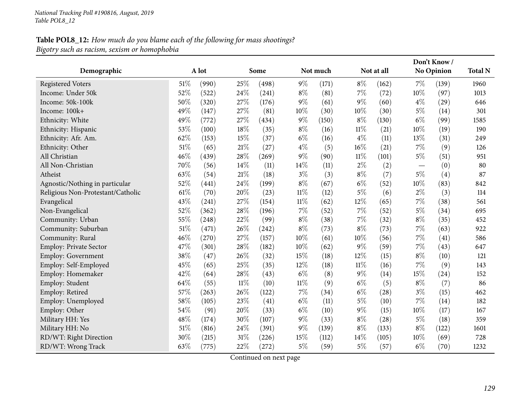# **Table POL8\_12:** How much do you blame each of the following for mass shootings? *Bigotry such as racism, sexism or homophobia*

|                                   |        |       |        |       |        |          |        |            |        | Don't Know/ |                |
|-----------------------------------|--------|-------|--------|-------|--------|----------|--------|------------|--------|-------------|----------------|
| Demographic                       |        | A lot |        | Some  |        | Not much |        | Not at all |        | No Opinion  | <b>Total N</b> |
| <b>Registered Voters</b>          | 51%    | (990) | 25%    | (498) | $9\%$  | (171)    | $8\%$  | (162)      | 7%     | (139)       | 1960           |
| Income: Under 50k                 | 52%    | (522) | 24%    | (241) | $8\%$  | (81)     | $7\%$  | (72)       | 10%    | (97)        | 1013           |
| Income: 50k-100k                  | 50%    | (320) | 27%    | (176) | $9\%$  | (61)     | $9\%$  | (60)       | $4\%$  | (29)        | 646            |
| Income: 100k+                     | 49%    | (147) | 27%    | (81)  | 10%    | (30)     | 10%    | (30)       | $5\%$  | (14)        | 301            |
| Ethnicity: White                  | 49%    | (772) | 27%    | (434) | $9\%$  | (150)    | $8\%$  | (130)      | $6\%$  | (99)        | 1585           |
| Ethnicity: Hispanic               | 53%    | (100) | 18%    | (35)  | $8\%$  | (16)     | $11\%$ | (21)       | $10\%$ | (19)        | 190            |
| Ethnicity: Afr. Am.               | 62%    | (153) | 15\%   | (37)  | $6\%$  | (16)     | $4\%$  | (11)       | 13%    | (31)        | 249            |
| Ethnicity: Other                  | 51%    | (65)  | 21%    | (27)  | $4\%$  | (5)      | 16%    | (21)       | 7%     | (9)         | 126            |
| All Christian                     | 46%    | (439) | 28%    | (269) | $9\%$  | (90)     | $11\%$ | (101)      | $5\%$  | (51)        | 951            |
| All Non-Christian                 | 70%    | (56)  | 14%    | (11)  | 14%    | (11)     | $2\%$  | (2)        |        | (0)         | 80             |
| Atheist                           | 63%    | (54)  | 21%    | (18)  | $3\%$  | (3)      | $8\%$  | (7)        | $5\%$  | (4)         | 87             |
| Agnostic/Nothing in particular    | 52%    | (441) | 24%    | (199) | $8\%$  | (67)     | $6\%$  | (52)       | 10%    | (83)        | 842            |
| Religious Non-Protestant/Catholic | 61%    | (70)  | 20%    | (23)  | $11\%$ | (12)     | $5\%$  | (6)        | $2\%$  | (3)         | 114            |
| Evangelical                       | 43%    | (241) | 27%    | (154) | 11%    | (62)     | 12%    | (65)       | 7%     | (38)        | 561            |
| Non-Evangelical                   | 52%    | (362) | 28%    | (196) | 7%     | (52)     | 7%     | (52)       | $5\%$  | (34)        | 695            |
| Community: Urban                  | 55%    | (248) | 22%    | (99)  | $8\%$  | (38)     | $7\%$  | (32)       | $8\%$  | (35)        | 452            |
| Community: Suburban               | $51\%$ | (471) | 26%    | (242) | $8\%$  | (73)     | $8\%$  | (73)       | 7%     | (63)        | 922            |
| Community: Rural                  | 46%    | (270) | 27%    | (157) | 10%    | (61)     | 10%    | (56)       | 7%     | (41)        | 586            |
| Employ: Private Sector            | 47%    | (301) | 28%    | (182) | 10%    | (62)     | $9\%$  | (59)       | $7\%$  | (43)        | 647            |
| <b>Employ: Government</b>         | 38%    | (47)  | 26%    | (32)  | 15%    | (18)     | 12%    | (15)       | $8\%$  | (10)        | 121            |
| Employ: Self-Employed             | 45%    | (65)  | 25%    | (35)  | 12%    | (18)     | $11\%$ | (16)       | 7%     | (9)         | 143            |
| Employ: Homemaker                 | 42%    | (64)  | 28%    | (43)  | $6\%$  | (8)      | $9\%$  | (14)       | 15%    | (24)        | 152            |
| Employ: Student                   | 64%    | (55)  | $11\%$ | (10)  | $11\%$ | (9)      | $6\%$  | (5)        | $8\%$  | (7)         | 86             |
| Employ: Retired                   | 57%    | (263) | 26%    | (122) | 7%     | (34)     | $6\%$  | (28)       | $3\%$  | (15)        | 462            |
| Employ: Unemployed                | 58%    | (105) | 23%    | (41)  | $6\%$  | (11)     | $5\%$  | (10)       | 7%     | (14)        | 182            |
| Employ: Other                     | 54%    | (91)  | 20%    | (33)  | $6\%$  | (10)     | $9\%$  | (15)       | 10%    | (17)        | 167            |
| Military HH: Yes                  | 48%    | (174) | 30%    | (107) | $9\%$  | (33)     | $8\%$  | (28)       | $5\%$  | (18)        | 359            |
| Military HH: No                   | $51\%$ | (816) | 24%    | (391) | $9\%$  | (139)    | $8\%$  | (133)      | $8\%$  | (122)       | 1601           |
| RD/WT: Right Direction            | 30%    | (215) | 31%    | (226) | 15%    | (112)    | 14%    | (105)      | 10%    | (69)        | 728            |
| RD/WT: Wrong Track                | 63%    | (775) | 22%    | (272) | $5\%$  | (59)     | $5\%$  | (57)       | $6\%$  | (70)        | 1232           |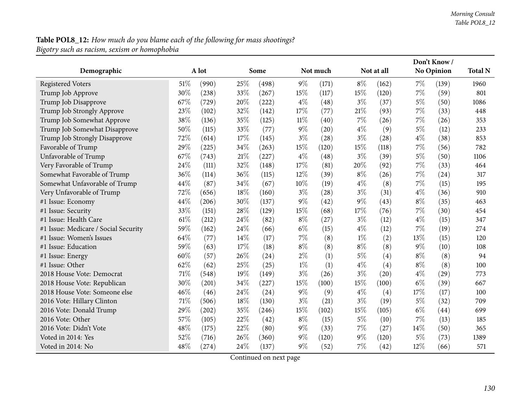## **Table POL8\_12:** How much do you blame each of the following for mass shootings? *Bigotry such as racism, sexism or homophobia*

|                                      |     |       |     |       |       |          |       |                   |       | Don't Know/ |                |
|--------------------------------------|-----|-------|-----|-------|-------|----------|-------|-------------------|-------|-------------|----------------|
| Demographic                          |     | A lot |     | Some  |       | Not much |       | Not at all        |       | No Opinion  | <b>Total N</b> |
| <b>Registered Voters</b>             | 51% | (990) | 25% | (498) | $9\%$ | (171)    | $8\%$ | (162)             | $7\%$ | (139)       | 1960           |
| Trump Job Approve                    | 30% | (238) | 33% | (267) | 15%   | (117)    | 15%   | (120)             | $7\%$ | (59)        | 801            |
| Trump Job Disapprove                 | 67% | (729) | 20% | (222) | $4\%$ | (48)     | $3\%$ | (37)              | $5\%$ | (50)        | 1086           |
| Trump Job Strongly Approve           | 23% | (102) | 32% | (142) | 17%   | (77)     | 21%   | (93)              | $7\%$ | (33)        | 448            |
| Trump Job Somewhat Approve           | 38% | (136) | 35% | (125) | 11%   | (40)     | 7%    | (26)              | $7\%$ | (26)        | 353            |
| Trump Job Somewhat Disapprove        | 50% | (115) | 33% | (77)  | $9\%$ | (20)     | $4\%$ | (9)               | $5\%$ | (12)        | 233            |
| Trump Job Strongly Disapprove        | 72% | (614) | 17% | (145) | $3\%$ | (28)     | $3\%$ | (28)              | $4\%$ | (38)        | 853            |
| Favorable of Trump                   | 29% | (225) | 34% | (263) | 15%   | (120)    | 15%   | (118)             | $7\%$ | (56)        | 782            |
| Unfavorable of Trump                 | 67% | (743) | 21% | (227) | $4\%$ | (48)     | $3\%$ | (39)              | $5\%$ | (50)        | 1106           |
| Very Favorable of Trump              | 24% | (111) | 32% | (148) | 17%   | (81)     | 20%   | (92)              | $7\%$ | (33)        | 464            |
| Somewhat Favorable of Trump          | 36% | (114) | 36% | (115) | 12%   | (39)     | $8\%$ | (26)              | $7\%$ | (24)        | 317            |
| Somewhat Unfavorable of Trump        | 44% | (87)  | 34% | (67)  | 10%   | (19)     | $4\%$ | (8)               | $7\%$ | (15)        | 195            |
| Very Unfavorable of Trump            | 72% | (656) | 18% | (160) | $3\%$ | (28)     | $3\%$ | (31)              | $4\%$ | (36)        | 910            |
| #1 Issue: Economy                    | 44% | (206) | 30% | (137) | $9\%$ | (42)     | $9\%$ | (43)              | $8\%$ | (35)        | 463            |
| #1 Issue: Security                   | 33% | (151) | 28% | (129) | 15%   | (68)     | 17%   | (76)              | $7\%$ | (30)        | 454            |
| #1 Issue: Health Care                | 61% | (212) | 24% | (82)  | $8\%$ | (27)     | $3\%$ | (12)              | $4\%$ | (15)        | 347            |
| #1 Issue: Medicare / Social Security | 59% | (162) | 24% | (66)  | $6\%$ | (15)     | $4\%$ | (12)              | $7\%$ | (19)        | 274            |
| #1 Issue: Women's Issues             | 64% | (77)  | 14% | (17)  | 7%    | (8)      | $1\%$ | (2)               | 13%   | (15)        | 120            |
| #1 Issue: Education                  | 59% | (63)  | 17% | (18)  | $8\%$ | (8)      | $8\%$ | (8)               | $9\%$ | (10)        | 108            |
| #1 Issue: Energy                     | 60% | (57)  | 26% | (24)  | $2\%$ | (1)      | $5\%$ | $\left( 4\right)$ | $8\%$ | (8)         | 94             |
| #1 Issue: Other                      | 62% | (62)  | 25% | (25)  | $1\%$ | (1)      | $4\%$ | $\left( 4\right)$ | $8\%$ | (8)         | 100            |
| 2018 House Vote: Democrat            | 71% | (548) | 19% | (149) | $3\%$ | (26)     | $3\%$ | (20)              | $4\%$ | (29)        | 773            |
| 2018 House Vote: Republican          | 30% | (201) | 34% | (227) | 15%   | (100)    | 15%   | (100)             | $6\%$ | (39)        | 667            |
| 2018 House Vote: Someone else        | 46% | (46)  | 24% | (24)  | $9\%$ | (9)      | $4\%$ | (4)               | 17%   | (17)        | 100            |
| 2016 Vote: Hillary Clinton           | 71% | (506) | 18% | (130) | $3\%$ | (21)     | $3\%$ | (19)              | $5\%$ | (32)        | 709            |
| 2016 Vote: Donald Trump              | 29% | (202) | 35% | (246) | 15%   | (102)    | 15%   | (105)             | $6\%$ | (44)        | 699            |
| 2016 Vote: Other                     | 57% | (105) | 22% | (42)  | $8\%$ | (15)     | $5\%$ | (10)              | $7\%$ | (13)        | 185            |
| 2016 Vote: Didn't Vote               | 48% | (175) | 22% | (80)  | $9\%$ | (33)     | 7%    | (27)              | 14%   | (50)        | 365            |
| Voted in 2014: Yes                   | 52% | (716) | 26% | (360) | $9\%$ | (120)    | $9\%$ | (120)             | $5\%$ | (73)        | 1389           |
| Voted in 2014: No                    | 48% | (274) | 24% | (137) | $9\%$ | (52)     | 7%    | (42)              | 12%   | (66)        | 571            |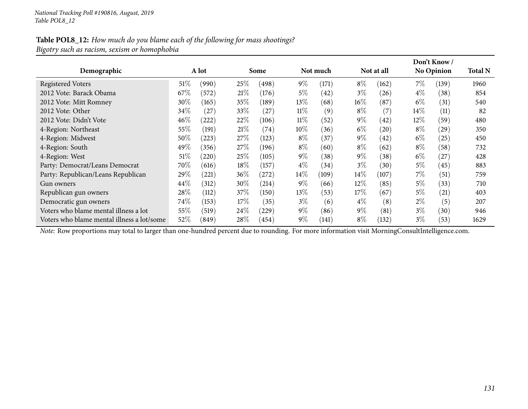## Table POL8\_12: How much do you blame each of the following for mass shootings? *Bigotry such as racism, sexism or homophobia*

|                                            |        |       |        |            |        |          |        |            |        | Don't Know /      |                |
|--------------------------------------------|--------|-------|--------|------------|--------|----------|--------|------------|--------|-------------------|----------------|
| Demographic                                |        | A lot |        | Some       |        | Not much |        | Not at all |        | <b>No Opinion</b> | <b>Total N</b> |
| <b>Registered Voters</b>                   | $51\%$ | (990) | 25%    | (498)      | $9\%$  | (171)    | $8\%$  | (162)      | 7%     | (139)             | 1960           |
| 2012 Vote: Barack Obama                    | 67\%   | (572) | 21%    | (176)      | 5%     | (42)     | $3\%$  | (26)       | $4\%$  | (38)              | 854            |
| 2012 Vote: Mitt Romney                     | $30\%$ | (165) | 35%    | (189)      | $13\%$ | (68)     | $16\%$ | (87)       | $6\%$  | (31)              | 540            |
| 2012 Vote: Other                           | $34\%$ | (27)  | 33\%   | (27)       | $11\%$ | (9)      | $8\%$  | (7)        | $14\%$ | (11)              | 82             |
| 2012 Vote: Didn't Vote                     | $46\%$ | (222) | 22\%   | (106)      | $11\%$ | (52)     | $9\%$  | 42         | $12\%$ | (59`              | 480            |
| 4-Region: Northeast                        | $55\%$ | (191) | 21%    | (74)       | $10\%$ | (36)     | $6\%$  | (20)       | $8\%$  | (29)              | 350            |
| 4-Region: Midwest                          | $50\%$ | (223) | $27\%$ | (123)      | $8\%$  | (37)     | $9\%$  | (42)       | $6\%$  | (25)              | 450            |
| 4-Region: South                            | 49%    | (356) | 27\%   | (196)      | $8\%$  | (60)     | $8\%$  | (62)       | $8\%$  | (58)              | 732            |
| 4-Region: West                             | $51\%$ | (220) | 25%    | (105)      | $9\%$  | (38)     | $9\%$  | (38)       | $6\%$  | (27)              | 428            |
| Party: Democrat/Leans Democrat             | 70\%   | (616) | $18\%$ | (157)      | $4\%$  | (34)     | $3\%$  | (30)       | $5\%$  | (45)              | 883            |
| Party: Republican/Leans Republican         | 29\%   | (221) | $36\%$ | (272)      | $14\%$ | (109)    | $14\%$ | (107)      | 7%     | (51)              | 759            |
| Gun owners                                 | 44\%   | (312) | $30\%$ | (214)      | $9\%$  | (66)     | $12\%$ | (85)       | $5\%$  | (33)              | 710            |
| Republican gun owners                      | 28\%   | (112) | 37%    | (150)      | $13\%$ | (53)     | $17\%$ | (67)       | $5\%$  | (21)              | 403            |
| Democratic gun owners                      | 74\%   | (153) | $17\%$ | (35)       | $3\%$  | (6)      | $4\%$  | (8)        | $2\%$  | (5)               | 207            |
| Voters who blame mental illness a lot      | 55\%   | (519) | $24\%$ | $^{'}229)$ | $9\%$  | (86)     | $9\%$  | (81)       | $3\%$  | (30)              | 946            |
| Voters who blame mental illness a lot/some | 52\%   | (849) | $28\%$ | (454)      | $9\%$  | (141)    | $8\%$  | (132)      | $3\%$  | (53)              | 1629           |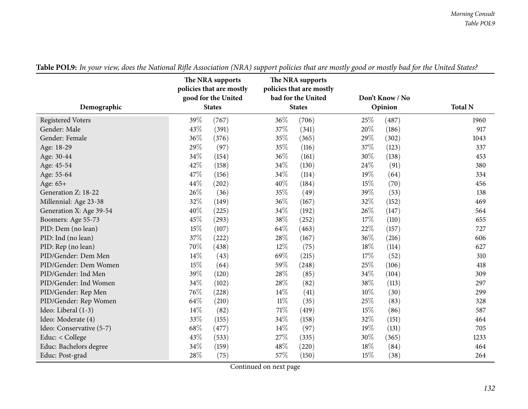|                          | The NRA supports<br>policies that are mostly<br>good for the United |               |        | The NRA supports<br>policies that are mostly<br>bad for the United |      | Don't Know / No |                |
|--------------------------|---------------------------------------------------------------------|---------------|--------|--------------------------------------------------------------------|------|-----------------|----------------|
| Demographic              |                                                                     | <b>States</b> |        | <b>States</b>                                                      |      | Opinion         | <b>Total N</b> |
| <b>Registered Voters</b> | 39%                                                                 | (767)         | 36%    | (706)                                                              | 25%  | (487)           | 1960           |
| Gender: Male             | 43%                                                                 | (391)         | 37%    | (341)                                                              | 20%  | (186)           | 917            |
| Gender: Female           | 36%                                                                 | (376)         | 35%    | (365)                                                              | 29%  | (302)           | 1043           |
| Age: 18-29               | 29%                                                                 | (97)          | 35%    | (116)                                                              | 37%  | (123)           | 337            |
| Age: 30-44               | 34%                                                                 | (154)         | 36%    | (161)                                                              | 30%  | (138)           | 453            |
| Age: 45-54               | 42%                                                                 | (158)         | 34%    | (130)                                                              | 24\% | (91)            | 380            |
| Age: 55-64               | 47%                                                                 | (156)         | 34%    | (114)                                                              | 19%  | (64)            | 334            |
| Age: 65+                 | 44%                                                                 | (202)         | 40%    | (184)                                                              | 15%  | (70)            | 456            |
| Generation Z: 18-22      | 26%                                                                 | (36)          | 35%    | (49)                                                               | 39%  | (53)            | 138            |
| Millennial: Age 23-38    | 32%                                                                 | (149)         | 36%    | (167)                                                              | 32%  | (152)           | 469            |
| Generation X: Age 39-54  | 40%                                                                 | (225)         | 34%    | (192)                                                              | 26%  | (147)           | 564            |
| Boomers: Age 55-73       | 45%                                                                 | (293)         | 38%    | (252)                                                              | 17%  | (110)           | 655            |
| PID: Dem (no lean)       | 15%                                                                 | (107)         | 64%    | (463)                                                              | 22%  | (157)           | 727            |
| PID: Ind (no lean)       | 37%                                                                 | (222)         | 28%    | (167)                                                              | 36%  | (216)           | 606            |
| PID: Rep (no lean)       | 70%                                                                 | (438)         | 12%    | (75)                                                               | 18%  | (114)           | 627            |
| PID/Gender: Dem Men      | 14%                                                                 | (43)          | 69%    | (215)                                                              | 17%  | (52)            | 310            |
| PID/Gender: Dem Women    | 15%                                                                 | (64)          | 59%    | (248)                                                              | 25%  | (106)           | 418            |
| PID/Gender: Ind Men      | 39%                                                                 | (120)         | 28%    | (85)                                                               | 34%  | (104)           | 309            |
| PID/Gender: Ind Women    | 34%                                                                 | (102)         | 28%    | (82)                                                               | 38%  | (113)           | 297            |
| PID/Gender: Rep Men      | 76%                                                                 | (228)         | 14%    | (41)                                                               | 10%  | (30)            | 299            |
| PID/Gender: Rep Women    | 64%                                                                 | (210)         | $11\%$ | (35)                                                               | 25%  | (83)            | 328            |
| Ideo: Liberal (1-3)      | 14%                                                                 | (82)          | 71%    | (419)                                                              | 15%  | (86)            | 587            |
| Ideo: Moderate (4)       | 33%                                                                 | (155)         | 34%    | (158)                                                              | 32%  | (151)           | 464            |
| Ideo: Conservative (5-7) | 68%                                                                 | (477)         | 14\%   | (97)                                                               | 19%  | (131)           | 705            |
| Educ: < College          | 43%                                                                 | (533)         | 27%    | (335)                                                              | 30%  | (365)           | 1233           |
| Educ: Bachelors degree   | 34%                                                                 | (159)         | 48%    | (220)                                                              | 18%  | (84)            | 464            |
| Educ: Post-grad          | 28%                                                                 | (75)          | 57%    | (150)                                                              | 15%  | (38)            | 264            |

Table POL9: In your view, does the National Rifle Association (NRA) support policies that are mostly good or mostly bad for the United States?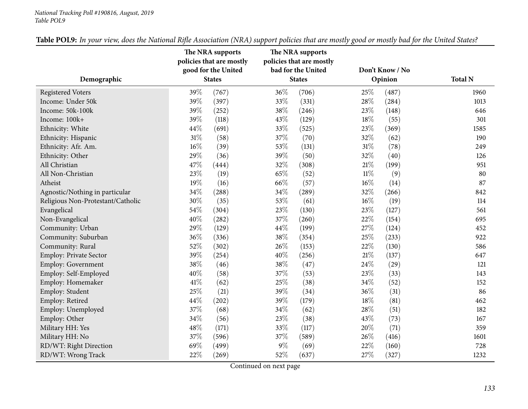#### *National Tracking Poll #190816, August, <sup>2019</sup> Table POL9*

|                                   | The NRA supports<br>policies that are mostly | The NRA supports<br>policies that are mostly |                 |                |
|-----------------------------------|----------------------------------------------|----------------------------------------------|-----------------|----------------|
|                                   | good for the United                          | bad for the United                           | Don't Know / No |                |
| Demographic                       | <b>States</b>                                | <b>States</b>                                | Opinion         | <b>Total N</b> |
| <b>Registered Voters</b>          | 39%<br>(767)                                 | 36%<br>(706)                                 | 25%<br>(487)    | 1960           |
| Income: Under 50k                 | 39%<br>(397)                                 | 33%<br>(331)                                 | 28%<br>(284)    | 1013           |
| Income: 50k-100k                  | 39%<br>(252)                                 | 38%<br>(246)                                 | 23%<br>(148)    | 646            |
| Income: 100k+                     | 39%<br>(118)                                 | 43\%<br>(129)                                | 18%<br>(55)     | 301            |
| Ethnicity: White                  | 44%<br>(691)                                 | 33%<br>(525)                                 | 23%<br>(369)    | 1585           |
| Ethnicity: Hispanic               | 31%<br>(58)                                  | 37%<br>(70)                                  | 32%<br>(62)     | 190            |
| Ethnicity: Afr. Am.               | 16%<br>(39)                                  | 53%<br>(131)                                 | 31%<br>(78)     | 249            |
| Ethnicity: Other                  | 29%<br>(36)                                  | 39%<br>(50)                                  | 32%<br>(40)     | 126            |
| All Christian                     | 47%<br>(444)                                 | 32%<br>(308)                                 | $21\%$<br>(199) | 951            |
| All Non-Christian                 | 23%<br>(19)                                  | 65%<br>(52)                                  | $11\%$<br>(9)   | 80             |
| Atheist                           | 19%<br>(16)                                  | 66%<br>(57)                                  | $16\%$<br>(14)  | 87             |
| Agnostic/Nothing in particular    | 34%<br>(288)                                 | 34\%<br>(289)                                | 32%<br>(266)    | 842            |
| Religious Non-Protestant/Catholic | 30%<br>(35)                                  | 53%<br>(61)                                  | $16\%$<br>(19)  | 114            |
| Evangelical                       | 54%<br>(304)                                 | 23\%<br>(130)                                | 23%<br>(127)    | 561            |
| Non-Evangelical                   | 40%<br>(282)                                 | 37%<br>(260)                                 | 22%<br>(154)    | 695            |
| Community: Urban                  | 29%<br>(129)                                 | 44\%<br>(199)                                | 27%<br>(124)    | 452            |
| Community: Suburban               | 36%<br>(336)                                 | $38\%$<br>(354)                              | 25%<br>(233)    | 922            |
| Community: Rural                  | 52%<br>(302)                                 | 26%<br>(153)                                 | 22%<br>(130)    | 586            |
| <b>Employ: Private Sector</b>     | 39%<br>(254)                                 | 40%<br>(256)                                 | $21\%$<br>(137) | 647            |
| Employ: Government                | 38%<br>(46)                                  | 38%<br>(47)                                  | 24%<br>(29)     | 121            |
| Employ: Self-Employed             | 40%<br>(58)                                  | 37%<br>(53)                                  | 23%<br>(33)     | 143            |
| Employ: Homemaker                 | 41\%<br>(62)                                 | 25%<br>(38)                                  | 34%<br>(52)     | 152            |
| Employ: Student                   | 25%<br>(21)                                  | 39%<br>(34)                                  | 36%<br>(31)     | 86             |
| Employ: Retired                   | 44%<br>(202)                                 | 39%<br>(179)                                 | $18\%$<br>(81)  | 462            |
| Employ: Unemployed                | 37%<br>(68)                                  | $34\%$<br>(62)                               | 28%<br>(51)     | 182            |
| Employ: Other                     | 34%<br>(56)                                  | 23\%<br>(38)                                 | 43%<br>(73)     | 167            |
| Military HH: Yes                  | 48%<br>(171)                                 | 33%<br>(117)                                 | 20%<br>(71)     | 359            |
| Military HH: No                   | 37%<br>(596)                                 | 37%<br>(589)                                 | 26%<br>(416)    | 1601           |
| RD/WT: Right Direction            | 69%<br>(499)                                 | $9\%$<br>(69)                                | 22%<br>(160)    | 728            |
| RD/WT: Wrong Track                | 22%<br>(269)                                 | 52%<br>(637)                                 | 27%<br>(327)    | 1232           |

Table POL9: In your view, does the National Rifle Association (NRA) support policies that are mostly good or mostly bad for the United States?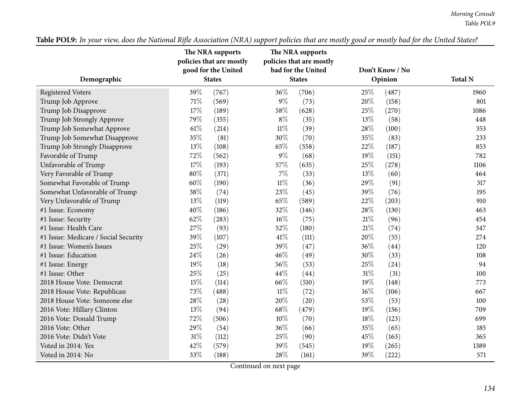|                                      | The NRA supports<br>policies that are mostly<br>good for the United | The NRA supports<br>policies that are mostly<br>bad for the United | Don't Know / No |                |
|--------------------------------------|---------------------------------------------------------------------|--------------------------------------------------------------------|-----------------|----------------|
| Demographic                          | <b>States</b>                                                       | <b>States</b>                                                      | Opinion         | <b>Total N</b> |
| <b>Registered Voters</b>             | 39%<br>(767)                                                        | 36%<br>(706)                                                       | 25%<br>(487)    | 1960           |
| Trump Job Approve                    | 71\%<br>(569)                                                       | $9\%$<br>(73)                                                      | 20%<br>(158)    | 801            |
| Trump Job Disapprove                 | 17%<br>(189)                                                        | 58%<br>(628)                                                       | 25%<br>(270)    | 1086           |
| Trump Job Strongly Approve           | 79%<br>(355)                                                        | $8\%$<br>(35)                                                      | 13%<br>(58)     | 448            |
| Trump Job Somewhat Approve           | 61%<br>(214)                                                        | $11\%$<br>(39)                                                     | 28%<br>(100)    | 353            |
| Trump Job Somewhat Disapprove        | 35%<br>(81)                                                         | 30%<br>(70)                                                        | 35%<br>(83)     | 233            |
| Trump Job Strongly Disapprove        | 13%<br>(108)                                                        | 65%<br>(558)                                                       | 22%<br>(187)    | 853            |
| Favorable of Trump                   | 72%<br>(562)                                                        | $9\%$<br>(68)                                                      | 19%<br>(151)    | 782            |
| Unfavorable of Trump                 | 17%<br>(193)                                                        | 57%<br>(635)                                                       | $25\%$<br>(278) | 1106           |
| Very Favorable of Trump              | 80%<br>(371)                                                        | $7\%$<br>(33)                                                      | 13%<br>(60)     | 464            |
| Somewhat Favorable of Trump          | 60%<br>(190)                                                        | $11\%$<br>(36)                                                     | 29%<br>(91)     | 317            |
| Somewhat Unfavorable of Trump        | 38%<br>(74)                                                         | 23%<br>(45)                                                        | 39%<br>(76)     | 195            |
| Very Unfavorable of Trump            | 13%<br>(119)                                                        | 65%<br>(589)                                                       | 22%<br>(203)    | 910            |
| #1 Issue: Economy                    | 40%<br>(186)                                                        | 32%<br>(146)                                                       | 28\%<br>(130)   | 463            |
| #1 Issue: Security                   | 62%<br>(283)                                                        | 16%<br>(75)                                                        | 21%<br>(96)     | 454            |
| #1 Issue: Health Care                | 27%<br>(93)                                                         | 52%<br>(180)                                                       | $21\%$<br>(74)  | 347            |
| #1 Issue: Medicare / Social Security | 39%<br>(107)                                                        | 41\%<br>(111)                                                      | 20%<br>(55)     | 274            |
| #1 Issue: Women's Issues             | 25%<br>(29)                                                         | 39%<br>(47)                                                        | 36%<br>(44)     | 120            |
| #1 Issue: Education                  | 24%<br>(26)                                                         | 46%<br>(49)                                                        | 30%<br>(33)     | 108            |
| #1 Issue: Energy                     | 19%<br>(18)                                                         | 56%<br>(53)                                                        | 25%<br>(24)     | 94             |
| #1 Issue: Other                      | 25%<br>(25)                                                         | 44%<br>(44)                                                        | $31\%$<br>(31)  | 100            |
| 2018 House Vote: Democrat            | 15%<br>(114)                                                        | 66%<br>(510)                                                       | 19%<br>(148)    | 773            |
| 2018 House Vote: Republican          | 73%<br>(488)                                                        | $11\%$<br>(72)                                                     | $16\%$<br>(106) | 667            |
| 2018 House Vote: Someone else        | 28%<br>(28)                                                         | $20\%$<br>(20)                                                     | 53%<br>(53)     | 100            |
| 2016 Vote: Hillary Clinton           | 13%<br>(94)                                                         | 68\%<br>(479)                                                      | 19%<br>(136)    | 709            |
| 2016 Vote: Donald Trump              | 72%<br>(506)                                                        | 10%<br>(70)                                                        | 18%<br>(123)    | 699            |
| 2016 Vote: Other                     | 29%<br>(54)                                                         | 36%<br>(66)                                                        | 35%<br>(65)     | 185            |
| 2016 Vote: Didn't Vote               | $31\%$<br>(112)                                                     | 25%<br>(90)                                                        | 45%<br>(163)    | 365            |
| Voted in 2014: Yes                   | 42%<br>(579)                                                        | 39%<br>(545)                                                       | 19%<br>(265)    | 1389           |
| Voted in 2014: No                    | 33%<br>(188)                                                        | 28%<br>(161)                                                       | 39%<br>(222)    | 571            |

Table POL9: In your view, does the National Rifle Association (NRA) support policies that are mostly good or mostly bad for the United States?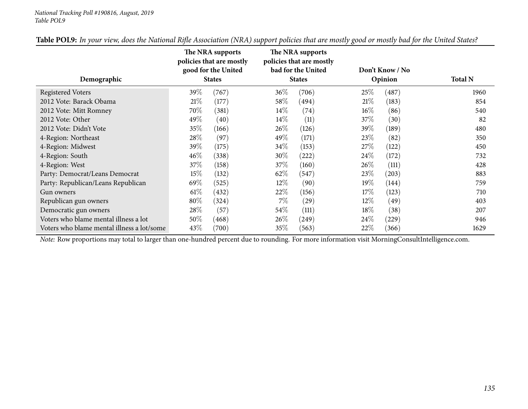#### *National Tracking Poll #190816, August, <sup>2019</sup> Table POL9*

|                                            | The NRA supports<br>policies that are mostly<br>good for the United |               |        | The NRA supports<br>policies that are mostly<br>bad for the United |        | Don't Know / No |                |
|--------------------------------------------|---------------------------------------------------------------------|---------------|--------|--------------------------------------------------------------------|--------|-----------------|----------------|
| Demographic                                |                                                                     | <b>States</b> |        | <b>States</b>                                                      |        | Opinion         | <b>Total N</b> |
| <b>Registered Voters</b>                   | $39\%$                                                              | (767)         | $36\%$ | (706)                                                              | 25%    | (487)           | 1960           |
| 2012 Vote: Barack Obama                    | 21%                                                                 | (177)         | 58\%   | (494)                                                              | 21%    | (183)           | 854            |
| 2012 Vote: Mitt Romney                     | 70\%                                                                | (381)         | $14\%$ | (74)                                                               | $16\%$ | (86)            | 540            |
| 2012 Vote: Other                           | 49\%                                                                | (40)          | $14\%$ | (11)                                                               | 37\%   | (30)            | 82             |
| 2012 Vote: Didn't Vote                     | $35\%$                                                              | (166)         | $26\%$ | (126)                                                              | $39\%$ | (189)           | 480            |
| 4-Region: Northeast                        | 28\%                                                                | (97)          | 49\%   | (171)                                                              | 23\%   | (82)            | 350            |
| 4-Region: Midwest                          | 39%                                                                 | (175)         | 34\%   | (153)                                                              | 27\%   | (122)           | 450            |
| 4-Region: South                            | $46\%$                                                              | (338)         | $30\%$ | (222)                                                              | 24\%   | (172)           | 732            |
| 4-Region: West                             | 37%                                                                 | (158)         | 37\%   | (160)                                                              | 26\%   | (111)           | 428            |
| Party: Democrat/Leans Democrat             | 15%                                                                 | (132)         | 62\%   | (547)                                                              | 23\%   | (203)           | 883            |
| Party: Republican/Leans Republican         | 69\%                                                                | (525)         | $12\%$ | (90)                                                               | 19%    | (144)           | 759            |
| Gun owners                                 | $61\%$                                                              | (432)         | 22\%   | (156)                                                              | 17%    | (123)           | 710            |
| Republican gun owners                      | $80\%$                                                              | (324)         | $7\%$  | (29)                                                               | $12\%$ | (49)            | 403            |
| Democratic gun owners                      | 28%                                                                 | (57)          | $54\%$ | (111)                                                              | 18%    | (38)            | 207            |
| Voters who blame mental illness a lot      | $50\%$                                                              | (468)         | $26\%$ | (249)                                                              | 24%    | (229)           | 946            |
| Voters who blame mental illness a lot/some | 43\%                                                                | (700)         | 35%    | (563)                                                              | 22\%   | (366)           | 1629           |

Table POL9: In your view, does the National Rifle Association (NRA) support policies that are mostly good or mostly bad for the United States?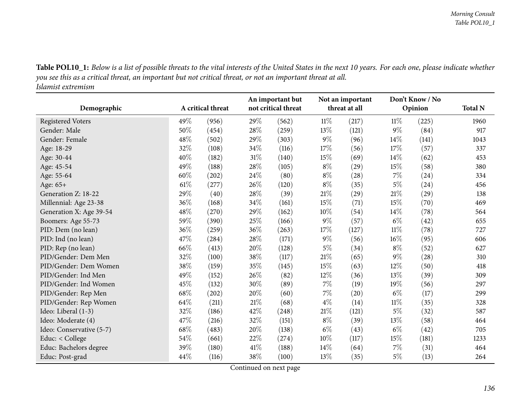Table POL10\_1: Below is a list of possible threats to the vital interests of the United States in the next 10 years. For each one, please indicate whether you see this as a critical threat, an important but not critical threat, or not an important threat at all. *Islamist extremism*

| Demographic              |        | A critical threat |        | An important but<br>not critical threat |        | Not an important<br>threat at all |        | Don't Know / No<br>Opinion | <b>Total N</b> |
|--------------------------|--------|-------------------|--------|-----------------------------------------|--------|-----------------------------------|--------|----------------------------|----------------|
| Registered Voters        | 49%    | (956)             | 29%    | (562)                                   | $11\%$ | (217)                             | $11\%$ | (225)                      | 1960           |
| Gender: Male             | 50%    | (454)             | 28%    | (259)                                   | 13%    | (121)                             | $9\%$  | (84)                       | 917            |
| Gender: Female           | 48%    | (502)             | 29%    | (303)                                   | $9\%$  | (96)                              | $14\%$ | (141)                      | 1043           |
| Age: 18-29               | 32%    | (108)             | 34%    | (116)                                   | 17\%   | (56)                              | 17%    | (57)                       | 337            |
| Age: 30-44               | 40%    | (182)             | $31\%$ | (140)                                   | 15%    | (69)                              | 14%    | (62)                       | 453            |
| Age: 45-54               | 49%    | (188)             | 28%    | (105)                                   | $8\%$  | (29)                              | 15%    | (58)                       | 380            |
| Age: 55-64               | 60%    | (202)             | 24%    | (80)                                    | $8\%$  | (28)                              | $7\%$  | (24)                       | 334            |
| Age: 65+                 | 61\%   | (277)             | 26%    | (120)                                   | $8\%$  | (35)                              | $5\%$  | (24)                       | 456            |
| Generation Z: 18-22      | 29%    | (40)              | 28%    | (39)                                    | $21\%$ | (29)                              | 21%    | (29)                       | 138            |
| Millennial: Age 23-38    | 36%    | (168)             | 34%    | (161)                                   | 15%    | (71)                              | 15%    | (70)                       | 469            |
| Generation X: Age 39-54  | 48%    | (270)             | 29%    | (162)                                   | 10%    | (54)                              | $14\%$ | (78)                       | 564            |
| Boomers: Age 55-73       | 59%    | (390)             | 25%    | (166)                                   | $9\%$  | (57)                              | $6\%$  | (42)                       | 655            |
| PID: Dem (no lean)       | 36%    | (259)             | 36%    | (263)                                   | 17%    | (127)                             | $11\%$ | (78)                       | 727            |
| PID: Ind (no lean)       | 47%    | (284)             | 28%    | (171)                                   | $9\%$  | (56)                              | 16%    | (95)                       | 606            |
| PID: Rep (no lean)       | 66%    | (413)             | 20%    | (128)                                   | $5\%$  | (34)                              | $8\%$  | (52)                       | 627            |
| PID/Gender: Dem Men      | 32%    | (100)             | 38%    | (117)                                   | 21%    | (65)                              | $9\%$  | (28)                       | 310            |
| PID/Gender: Dem Women    | 38%    | (159)             | 35%    | (145)                                   | 15%    | (63)                              | 12%    | (50)                       | 418            |
| PID/Gender: Ind Men      | 49%    | (152)             | 26%    | (82)                                    | 12%    | (36)                              | 13%    | (39)                       | 309            |
| PID/Gender: Ind Women    | 45%    | (132)             | 30%    | (89)                                    | $7\%$  | (19)                              | 19%    | (56)                       | 297            |
| PID/Gender: Rep Men      | 68%    | (202)             | 20%    | (60)                                    | $7\%$  | (20)                              | $6\%$  | (17)                       | 299            |
| PID/Gender: Rep Women    | 64%    | (211)             | 21\%   | (68)                                    | $4\%$  | (14)                              | $11\%$ | (35)                       | 328            |
| Ideo: Liberal (1-3)      | 32%    | (186)             | 42%    | (248)                                   | 21\%   | (121)                             | $5\%$  | (32)                       | 587            |
| Ideo: Moderate (4)       | 47%    | (216)             | 32%    | (151)                                   | $8\%$  | (39)                              | 13%    | (58)                       | 464            |
| Ideo: Conservative (5-7) | 68%    | (483)             | 20%    | (138)                                   | $6\%$  | (43)                              | $6\%$  | (42)                       | 705            |
| Educ: < College          | $54\%$ | (661)             | 22%    | (274)                                   | 10%    | (117)                             | 15%    | (181)                      | 1233           |
| Educ: Bachelors degree   | 39%    | (180)             | 41\%   | (188)                                   | 14%    | (64)                              | 7%     | (31)                       | 464            |
| Educ: Post-grad          | 44%    | (116)             | 38%    | (100)                                   | 13%    | (35)                              | $5\%$  | (13)                       | 264            |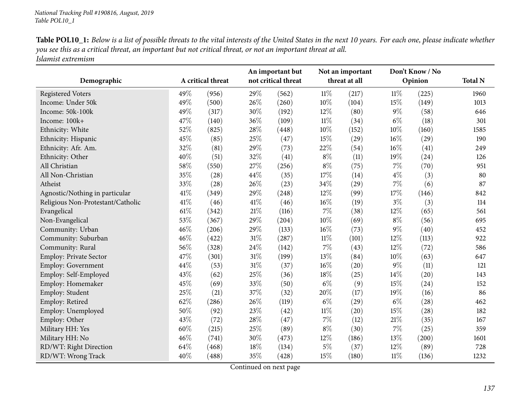| <b>Table POL10_1:</b> Below is a list of possible threats to the vital interests of the United States in the next 10 years. For each one, please indicate whether |
|-------------------------------------------------------------------------------------------------------------------------------------------------------------------|
| you see this as a critical threat, an important but not critical threat, or not an important threat at all.                                                       |
| Islamist extremism                                                                                                                                                |

|                                   |      |                   |        | An important but    |        | Not an important |        | Don't Know / No |                |
|-----------------------------------|------|-------------------|--------|---------------------|--------|------------------|--------|-----------------|----------------|
| Demographic                       |      | A critical threat |        | not critical threat |        | threat at all    |        | Opinion         | <b>Total N</b> |
| <b>Registered Voters</b>          | 49%  | (956)             | 29%    | (562)               | $11\%$ | (217)            | $11\%$ | (225)           | 1960           |
| Income: Under 50k                 | 49%  | (500)             | 26\%   | (260)               | $10\%$ | (104)            | 15%    | (149)           | 1013           |
| Income: 50k-100k                  | 49%  | (317)             | 30%    | (192)               | 12%    | (80)             | $9\%$  | (58)            | 646            |
| Income: 100k+                     | 47%  | (140)             | 36%    | (109)               | $11\%$ | (34)             | $6\%$  | (18)            | 301            |
| Ethnicity: White                  | 52%  | (825)             | 28%    | (448)               | 10%    | (152)            | $10\%$ | (160)           | 1585           |
| Ethnicity: Hispanic               | 45%  | (85)              | 25%    | (47)                | 15%    | (29)             | 16%    | (29)            | 190            |
| Ethnicity: Afr. Am.               | 32%  | (81)              | 29%    | (73)                | 22%    | (54)             | 16%    | (41)            | 249            |
| Ethnicity: Other                  | 40%  | (51)              | 32%    | (41)                | $8\%$  | (11)             | 19%    | (24)            | 126            |
| All Christian                     | 58%  | (550)             | 27%    | (256)               | $8\%$  | (75)             | 7%     | (70)            | 951            |
| All Non-Christian                 | 35%  | (28)              | 44%    | (35)                | 17%    | (14)             | $4\%$  | (3)             | 80             |
| Atheist                           | 33%  | (28)              | 26%    | (23)                | 34%    | (29)             | 7%     | (6)             | 87             |
| Agnostic/Nothing in particular    | 41\% | (349)             | 29%    | (248)               | 12%    | (99)             | 17%    | (146)           | 842            |
| Religious Non-Protestant/Catholic | 41\% | (46)              | $41\%$ | (46)                | $16\%$ | (19)             | $3\%$  | (3)             | 114            |
| Evangelical                       | 61\% | (342)             | 21%    | (116)               | 7%     | (38)             | 12%    | (65)            | 561            |
| Non-Evangelical                   | 53%  | (367)             | $29\%$ | (204)               | 10%    | (69)             | $8\%$  | (56)            | 695            |
| Community: Urban                  | 46%  | (206)             | 29%    | (133)               | 16%    | (73)             | $9\%$  | (40)            | 452            |
| Community: Suburban               | 46%  | (422)             | $31\%$ | (287)               | $11\%$ | (101)            | 12%    | (113)           | 922            |
| Community: Rural                  | 56%  | (328)             | 24%    | (142)               | $7\%$  | (43)             | 12%    | (72)            | 586            |
| Employ: Private Sector            | 47%  | (301)             | $31\%$ | (199)               | 13%    | (84)             | 10%    | (63)            | 647            |
| <b>Employ: Government</b>         | 44%  | (53)              | 31\%   | (37)                | $16\%$ | (20)             | $9\%$  | (11)            | 121            |
| Employ: Self-Employed             | 43%  | (62)              | 25%    | (36)                | 18%    | (25)             | 14%    | (20)            | 143            |
| Employ: Homemaker                 | 45%  | (69)              | 33%    | (50)                | $6\%$  | (9)              | 15%    | (24)            | 152            |
| Employ: Student                   | 25%  | (21)              | 37%    | (32)                | 20%    | (17)             | 19%    | (16)            | 86             |
| Employ: Retired                   | 62%  | (286)             | 26%    | (119)               | $6\%$  | (29)             | $6\%$  | (28)            | 462            |
| Employ: Unemployed                | 50%  | (92)              | 23%    | (42)                | $11\%$ | (20)             | 15%    | (28)            | 182            |
| Employ: Other                     | 43%  | (72)              | 28%    | (47)                | $7\%$  | (12)             | 21%    | (35)            | 167            |
| Military HH: Yes                  | 60%  | (215)             | 25%    | (89)                | $8\%$  | (30)             | 7%     | (25)            | 359            |
| Military HH: No                   | 46%  | (741)             | 30%    | (473)               | 12%    | (186)            | 13%    | (200)           | 1601           |
| RD/WT: Right Direction            | 64%  | (468)             | 18%    | (134)               | $5\%$  | (37)             | 12%    | (89)            | 728            |
| RD/WT: Wrong Track                | 40%  | (488)             | 35%    | (428)               | 15%    | (180)            | $11\%$ | (136)           | 1232           |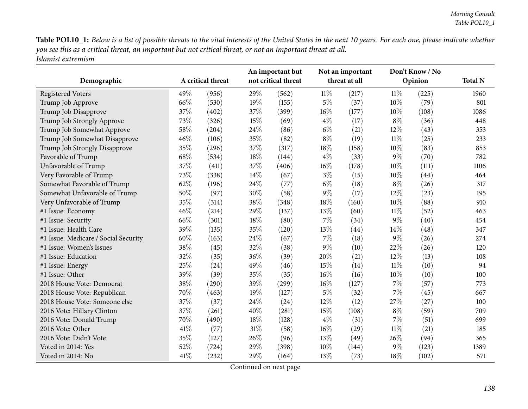Table POL10\_1: Below is a list of possible threats to the vital interests of the United States in the next 10 years. For each one, please indicate whether you see this as a critical threat, an important but not critical threat, or not an important threat at all. *Islamist extremism*

| Demographic                          |      | A critical threat |     | An important but<br>not critical threat |        | Not an important<br>threat at all |        | Don't Know / No<br>Opinion | <b>Total N</b> |
|--------------------------------------|------|-------------------|-----|-----------------------------------------|--------|-----------------------------------|--------|----------------------------|----------------|
| <b>Registered Voters</b>             | 49%  | (956)             | 29% | (562)                                   | $11\%$ | (217)                             | $11\%$ | (225)                      | 1960           |
| Trump Job Approve                    | 66\% | (530)             | 19% | (155)                                   | $5\%$  | (37)                              | $10\%$ | (79)                       | 801            |
| Trump Job Disapprove                 | 37%  | (402)             | 37% | (399)                                   | $16\%$ | (177)                             | $10\%$ | (108)                      | 1086           |
| Trump Job Strongly Approve           | 73%  | (326)             | 15% | (69)                                    | $4\%$  | (17)                              | $8\%$  | (36)                       | 448            |
| Trump Job Somewhat Approve           | 58%  | (204)             | 24% | (86)                                    | $6\%$  | (21)                              | 12%    | (43)                       | 353            |
| Trump Job Somewhat Disapprove        | 46%  | (106)             | 35% | (82)                                    | $8\%$  | (19)                              | $11\%$ | (25)                       | 233            |
| Trump Job Strongly Disapprove        | 35%  | (296)             | 37% | (317)                                   | 18%    | (158)                             | 10%    | (83)                       | 853            |
| Favorable of Trump                   | 68%  | (534)             | 18% | (144)                                   | $4\%$  | (33)                              | $9\%$  | (70)                       | 782            |
| Unfavorable of Trump                 | 37%  | (411)             | 37% | (406)                                   | 16%    | (178)                             | $10\%$ | (111)                      | 1106           |
| Very Favorable of Trump              | 73%  | (338)             | 14% | (67)                                    | $3\%$  | (15)                              | 10%    | (44)                       | 464            |
| Somewhat Favorable of Trump          | 62%  | (196)             | 24% | (77)                                    | $6\%$  | (18)                              | $8\%$  | (26)                       | 317            |
| Somewhat Unfavorable of Trump        | 50%  | (97)              | 30% | (58)                                    | $9\%$  | (17)                              | 12%    | (23)                       | 195            |
| Very Unfavorable of Trump            | 35%  | (314)             | 38% | (348)                                   | 18%    | (160)                             | $10\%$ | (88)                       | 910            |
| #1 Issue: Economy                    | 46%  | (214)             | 29% | (137)                                   | 13%    | (60)                              | $11\%$ | (52)                       | 463            |
| #1 Issue: Security                   | 66%  | (301)             | 18% | (80)                                    | $7\%$  | (34)                              | $9\%$  | (40)                       | 454            |
| #1 Issue: Health Care                | 39%  | (135)             | 35% | (120)                                   | 13%    | (44)                              | 14%    | (48)                       | 347            |
| #1 Issue: Medicare / Social Security | 60%  | (163)             | 24% | (67)                                    | 7%     | (18)                              | $9\%$  | (26)                       | 274            |
| #1 Issue: Women's Issues             | 38%  | (45)              | 32% | (38)                                    | $9\%$  | (10)                              | 22%    | (26)                       | 120            |
| #1 Issue: Education                  | 32%  | (35)              | 36% | (39)                                    | 20%    | (21)                              | 12%    | (13)                       | 108            |
| #1 Issue: Energy                     | 25%  | (24)              | 49% | (46)                                    | 15%    | (14)                              | $11\%$ | (10)                       | 94             |
| #1 Issue: Other                      | 39%  | (39)              | 35% | (35)                                    | $16\%$ | (16)                              | $10\%$ | (10)                       | 100            |
| 2018 House Vote: Democrat            | 38%  | (290)             | 39% | (299)                                   | $16\%$ | (127)                             | $7\%$  | (57)                       | 773            |
| 2018 House Vote: Republican          | 70%  | (463)             | 19% | (127)                                   | $5\%$  | (32)                              | $7\%$  | (45)                       | 667            |
| 2018 House Vote: Someone else        | 37%  | (37)              | 24% | (24)                                    | 12%    | (12)                              | 27%    | (27)                       | 100            |
| 2016 Vote: Hillary Clinton           | 37%  | (261)             | 40% | (281)                                   | 15%    | (108)                             | $8\%$  | (59)                       | 709            |
| 2016 Vote: Donald Trump              | 70%  | (490)             | 18% | (128)                                   | $4\%$  | (31)                              | $7\%$  | (51)                       | 699            |
| 2016 Vote: Other                     | 41%  | (77)              | 31% | (58)                                    | $16\%$ | (29)                              | $11\%$ | (21)                       | 185            |
| 2016 Vote: Didn't Vote               | 35%  | (127)             | 26% | (96)                                    | 13%    | (49)                              | 26\%   | (94)                       | 365            |
| Voted in 2014: Yes                   | 52%  | (724)             | 29% | (398)                                   | 10%    | (144)                             | $9\%$  | (123)                      | 1389           |
| Voted in 2014: No                    | 41%  | (232)             | 29% | (164)                                   | 13%    | (73)                              | 18%    | (102)                      | 571            |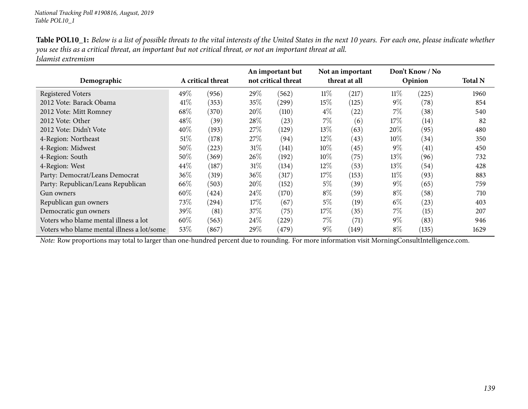| <b>Table POL10_1:</b> Below is a list of possible threats to the vital interests of the United States in the next 10 years. For each one, please indicate whether |
|-------------------------------------------------------------------------------------------------------------------------------------------------------------------|
| you see this as a critical threat, an important but not critical threat, or not an important threat at all.                                                       |
| Islamist extremism                                                                                                                                                |

| Demographic                                |        | A critical threat |         | An important but<br>not critical threat |        | Not an important<br>threat at all |        | Don't Know / No<br>Opinion | <b>Total N</b> |
|--------------------------------------------|--------|-------------------|---------|-----------------------------------------|--------|-----------------------------------|--------|----------------------------|----------------|
|                                            |        |                   |         |                                         |        |                                   |        |                            |                |
| <b>Registered Voters</b>                   | 49%    | (956)             | 29\%    | (562)                                   | $11\%$ | (217)                             | $11\%$ | (225)                      | 1960           |
| 2012 Vote: Barack Obama                    | 41\%   | (353)             | 35%     | (299)                                   | 15%    | (125)                             | $9\%$  | (78)                       | 854            |
| 2012 Vote: Mitt Romney                     | 68%    | (370)             | $20\%$  | (110)                                   | $4\%$  | (22)                              | 7%     | (38)                       | 540            |
| 2012 Vote: Other                           | 48%    | (39)              | 28\%    | (23)                                    | 7%     | (6)                               | 17%    | (14)                       | 82             |
| 2012 Vote: Didn't Vote                     | 40%    | (193)             | 27%     | (129)                                   | $13\%$ | (63)                              | $20\%$ | (95)                       | 480            |
| 4-Region: Northeast                        | 51%    | (178)             | 27\%    | (94)                                    | 12%    | (43)                              | $10\%$ | (34)                       | 350            |
| 4-Region: Midwest                          | 50%    | (223)             | 31%     | (141)                                   | $10\%$ | (45)                              | $9\%$  | (41)                       | 450            |
| 4-Region: South                            | 50%    | (369)             | 26\%    | (192)                                   | $10\%$ | (75)                              | 13%    | (96)                       | 732            |
| 4-Region: West                             | 44\%   | (187)             | 31%     | (134)                                   | 12\%   | (53)                              | 13%    | (54)                       | 428            |
| Party: Democrat/Leans Democrat             | 36\%   | (319)             | 36\%    | (317)                                   | 17\%   | (153)                             | $11\%$ | (93)                       | 883            |
| Party: Republican/Leans Republican         | 66\%   | (503)             | 20%     | (152)                                   | 5%     | (39)                              | $9\%$  | (65)                       | 759            |
| Gun owners                                 | $60\%$ | (424)             | 24\%    | (170)                                   | $8\%$  | (59)                              | $8\%$  | (58)                       | 710            |
| Republican gun owners                      | 73\%   | (294)             | 17%     | (67)                                    | 5%     | (19)                              | $6\%$  | (23)                       | 403            |
| Democratic gun owners                      | 39\%   | (81)              | 37\%    | (75)                                    | 17%    | (35)                              | 7%     | (15)                       | 207            |
| Voters who blame mental illness a lot      | 60%    | (563)             | $24\%$  | (229)                                   | $7\%$  | (71)                              | $9\%$  | (83)                       | 946            |
| Voters who blame mental illness a lot/some | 53\%   | (867)             | 29 $\%$ | (479)                                   | $9\%$  | (149)                             | $8\%$  | (135)                      | 1629           |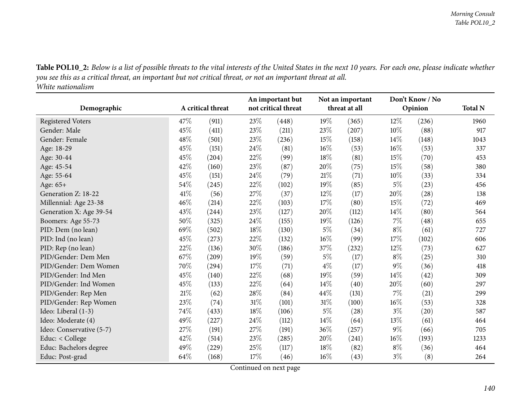Table POL10\_2: Below is a list of possible threats to the vital interests of the United States in the next 10 years. For each one, please indicate whether you see this as a critical threat, an important but not critical threat, or not an important threat at all. *White nationalism*

| Demographic              |     | A critical threat | An important but<br>not critical threat |       | Not an important<br>threat at all |       | Don't Know / No<br>Opinion |       | <b>Total N</b> |
|--------------------------|-----|-------------------|-----------------------------------------|-------|-----------------------------------|-------|----------------------------|-------|----------------|
| Registered Voters        | 47% | (911)             | 23%                                     | (448) | 19%                               | (365) | 12%                        | (236) | 1960           |
| Gender: Male             | 45% | (411)             | 23%                                     | (211) | 23%                               | (207) | 10%                        | (88)  | 917            |
| Gender: Female           | 48% | (501)             | 23%                                     | (236) | 15%                               | (158) | 14%                        | (148) | 1043           |
| Age: 18-29               | 45% | (151)             | 24%                                     | (81)  | 16%                               | (53)  | 16%                        | (53)  | 337            |
| Age: 30-44               | 45% | (204)             | 22%                                     | (99)  | 18%                               | (81)  | 15%                        | (70)  | 453            |
| Age: 45-54               | 42% | (160)             | 23%                                     | (87)  | 20%                               | (75)  | 15%                        | (58)  | 380            |
| Age: 55-64               | 45% | (151)             | 24%                                     | (79)  | 21%                               | (71)  | 10%                        | (33)  | 334            |
| Age: 65+                 | 54% | (245)             | 22%                                     | (102) | 19%                               | (85)  | $5\%$                      | (23)  | 456            |
| Generation Z: 18-22      | 41% | (56)              | 27%                                     | (37)  | 12%                               | (17)  | 20%                        | (28)  | 138            |
| Millennial: Age 23-38    | 46% | (214)             | 22%                                     | (103) | 17\%                              | (80)  | 15%                        | (72)  | 469            |
| Generation X: Age 39-54  | 43% | (244)             | 23%                                     | (127) | 20%                               | (112) | 14%                        | (80)  | 564            |
| Boomers: Age 55-73       | 50% | (325)             | 24%                                     | (155) | 19%                               | (126) | 7%                         | (48)  | 655            |
| PID: Dem (no lean)       | 69% | (502)             | 18%                                     | (130) | $5\%$                             | (34)  | $8\%$                      | (61)  | 727            |
| PID: Ind (no lean)       | 45% | (273)             | 22%                                     | (132) | $16\%$                            | (99)  | 17%                        | (102) | 606            |
| PID: Rep (no lean)       | 22% | (136)             | 30%                                     | (186) | 37%                               | (232) | 12%                        | (73)  | 627            |
| PID/Gender: Dem Men      | 67% | (209)             | 19%                                     | (59)  | $5\%$                             | (17)  | $8\%$                      | (25)  | 310            |
| PID/Gender: Dem Women    | 70% | (294)             | 17%                                     | (71)  | $4\%$                             | (17)  | $9\%$                      | (36)  | 418            |
| PID/Gender: Ind Men      | 45% | (140)             | 22%                                     | (68)  | 19%                               | (59)  | 14%                        | (42)  | 309            |
| PID/Gender: Ind Women    | 45% | (133)             | 22%                                     | (64)  | 14%                               | (40)  | 20%                        | (60)  | 297            |
| PID/Gender: Rep Men      | 21% | (62)              | 28%                                     | (84)  | 44%                               | (131) | 7%                         | (21)  | 299            |
| PID/Gender: Rep Women    | 23% | (74)              | 31%                                     | (101) | 31%                               | (100) | $16\%$                     | (53)  | 328            |
| Ideo: Liberal (1-3)      | 74% | (433)             | 18%                                     | (106) | $5\%$                             | (28)  | $3\%$                      | (20)  | 587            |
| Ideo: Moderate (4)       | 49% | (227)             | 24\%                                    | (112) | 14%                               | (64)  | 13%                        | (61)  | 464            |
| Ideo: Conservative (5-7) | 27% | (191)             | 27%                                     | (191) | 36%                               | (257) | $9\%$                      | (66)  | 705            |
| Educ: < College          | 42% | (514)             | 23%                                     | (285) | 20%                               | (241) | $16\%$                     | (193) | 1233           |
| Educ: Bachelors degree   | 49% | (229)             | 25%                                     | (117) | 18%                               | (82)  | $8\%$                      | (36)  | 464            |
| Educ: Post-grad          | 64% | (168)             | 17%                                     | (46)  | 16%                               | (43)  | $3\%$                      | (8)   | 264            |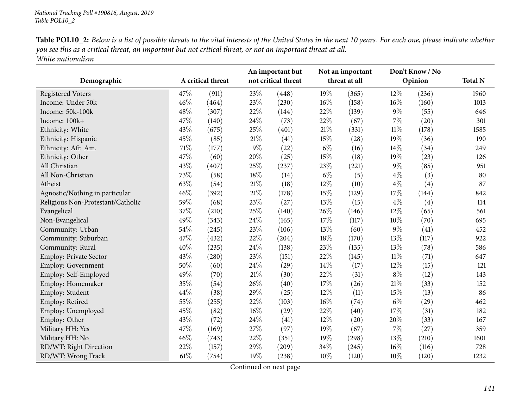| <b>Table POL10_2:</b> Below is a list of possible threats to the vital interests of the United States in the next 10 years. For each one, please indicate whether |
|-------------------------------------------------------------------------------------------------------------------------------------------------------------------|
| you see this as a critical threat, an important but not critical threat, or not an important threat at all.                                                       |
| White nationalism                                                                                                                                                 |

|                                   |      |                   | An important but    |       | Not an important |       | Don't Know / No |       |                |
|-----------------------------------|------|-------------------|---------------------|-------|------------------|-------|-----------------|-------|----------------|
| Demographic                       |      | A critical threat | not critical threat |       | threat at all    |       | Opinion         |       | <b>Total N</b> |
| <b>Registered Voters</b>          | 47%  | (911)             | 23%                 | (448) | 19%              | (365) | $12\%$          | (236) | 1960           |
| Income: Under 50k                 | 46%  | (464)             | 23%                 | (230) | $16\%$           | (158) | $16\%$          | (160) | 1013           |
| Income: 50k-100k                  | 48%  | (307)             | 22%                 | (144) | 22%              | (139) | $9\%$           | (55)  | 646            |
| Income: 100k+                     | 47%  | (140)             | 24\%                | (73)  | 22%              | (67)  | 7%              | (20)  | 301            |
| Ethnicity: White                  | 43%  | (675)             | 25%                 | (401) | $21\%$           | (331) | $11\%$          | (178) | 1585           |
| Ethnicity: Hispanic               | 45%  | (85)              | $21\%$              | (41)  | 15%              | (28)  | 19%             | (36)  | 190            |
| Ethnicity: Afr. Am.               | 71%  | (177)             | $9\%$               | (22)  | $6\%$            | (16)  | 14%             | (34)  | 249            |
| Ethnicity: Other                  | 47%  | (60)              | 20%                 | (25)  | 15%              | (18)  | 19%             | (23)  | 126            |
| All Christian                     | 43%  | (407)             | 25\%                | (237) | 23%              | (221) | $9\%$           | (85)  | 951            |
| All Non-Christian                 | 73%  | (58)              | 18%                 | (14)  | $6\%$            | (5)   | $4\%$           | (3)   | 80             |
| Atheist                           | 63%  | (54)              | $21\%$              | (18)  | 12%              | (10)  | $4\%$           | (4)   | 87             |
| Agnostic/Nothing in particular    | 46%  | (392)             | $21\%$              | (178) | 15%              | (129) | 17%             | (144) | 842            |
| Religious Non-Protestant/Catholic | 59%  | (68)              | 23%                 | (27)  | 13%              | (15)  | $4\%$           | (4)   | 114            |
| Evangelical                       | 37%  | (210)             | 25%                 | (140) | 26%              | (146) | 12%             | (65)  | 561            |
| Non-Evangelical                   | 49%  | (343)             | 24\%                | (165) | 17%              | (117) | 10%             | (70)  | 695            |
| Community: Urban                  | 54%  | (245)             | 23%                 | (106) | 13%              | (60)  | $9\%$           | (41)  | 452            |
| Community: Suburban               | 47%  | (432)             | 22%                 | (204) | 18%              | (170) | 13%             | (117) | 922            |
| Community: Rural                  | 40%  | (235)             | 24%                 | (138) | 23%              | (135) | 13%             | (78)  | 586            |
| Employ: Private Sector            | 43%  | (280)             | 23%                 | (151) | 22%              | (145) | $11\%$          | (71)  | 647            |
| <b>Employ: Government</b>         | 50%  | (60)              | 24%                 | (29)  | 14%              | (17)  | 12%             | (15)  | 121            |
| Employ: Self-Employed             | 49%  | (70)              | $21\%$              | (30)  | 22%              | (31)  | $8\%$           | (12)  | 143            |
| Employ: Homemaker                 | 35%  | (54)              | 26%                 | (40)  | 17%              | (26)  | 21%             | (33)  | 152            |
| Employ: Student                   | 44%  | (38)              | 29%                 | (25)  | 12%              | (11)  | 15%             | (13)  | 86             |
| Employ: Retired                   | 55%  | (255)             | 22%                 | (103) | $16\%$           | (74)  | $6\%$           | (29)  | 462            |
| Employ: Unemployed                | 45%  | (82)              | $16\%$              | (29)  | 22%              | (40)  | 17%             | (31)  | 182            |
| Employ: Other                     | 43%  | (72)              | 24\%                | (41)  | 12%              | (20)  | 20%             | (33)  | 167            |
| Military HH: Yes                  | 47%  | (169)             | 27%                 | (97)  | 19%              | (67)  | 7%              | (27)  | 359            |
| Military HH: No                   | 46%  | (743)             | 22%                 | (351) | 19%              | (298) | 13%             | (210) | 1601           |
| RD/WT: Right Direction            | 22%  | (157)             | 29%                 | (209) | 34%              | (245) | 16%             | (116) | 728            |
| RD/WT: Wrong Track                | 61\% | (754)             | 19%                 | (238) | 10%              | (120) | $10\%$          | (120) | 1232           |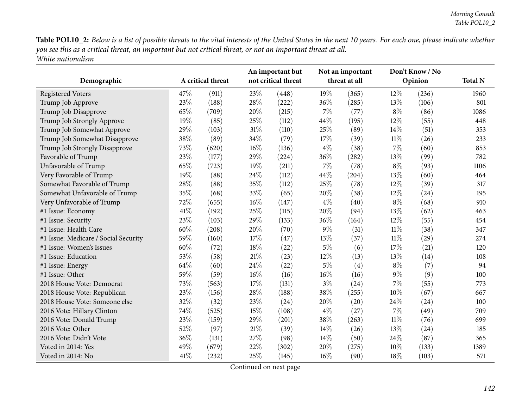Table POL10\_2: Below is a list of possible threats to the vital interests of the United States in the next 10 years. For each one, please indicate whether you see this as a critical threat, an important but not critical threat, or not an important threat at all. *White nationalism*

| Demographic                          | A critical threat |       | An important but<br>not critical threat |       | Not an important<br>threat at all |                   | Don't Know / No<br>Opinion |       | <b>Total N</b> |
|--------------------------------------|-------------------|-------|-----------------------------------------|-------|-----------------------------------|-------------------|----------------------------|-------|----------------|
| <b>Registered Voters</b>             | 47%               | (911) | 23%                                     | (448) | 19%                               | (365)             | 12%                        | (236) | 1960           |
| Trump Job Approve                    | 23%               | (188) | 28%                                     | (222) | 36%                               | (285)             | 13\%                       | (106) | 801            |
| Trump Job Disapprove                 | 65%               | (709) | 20%                                     | (215) | 7%                                | (77)              | $8\%$                      | (86)  | 1086           |
| Trump Job Strongly Approve           | 19%               | (85)  | 25%                                     | (112) | 44%                               | (195)             | $12\%$                     | (55)  | 448            |
| Trump Job Somewhat Approve           | 29%               | (103) | 31%                                     | (110) | 25%                               | (89)              | 14%                        | (51)  | 353            |
| Trump Job Somewhat Disapprove        | 38%               | (89)  | 34%                                     | (79)  | 17%                               | (39)              | $11\%$                     | (26)  | 233            |
| Trump Job Strongly Disapprove        | 73%               | (620) | 16%                                     | (136) | $4\%$                             | (38)              | $7\%$                      | (60)  | 853            |
| Favorable of Trump                   | 23%               | (177) | 29%                                     | (224) | 36%                               | (282)             | 13\%                       | (99)  | 782            |
| Unfavorable of Trump                 | 65%               | (723) | 19%                                     | (211) | $7\%$                             | (78)              | $8\%$                      | (93)  | 1106           |
| Very Favorable of Trump              | 19%               | (88)  | 24%                                     | (112) | 44%                               | (204)             | 13%                        | (60)  | 464            |
| Somewhat Favorable of Trump          | 28%               | (88)  | 35%                                     | (112) | 25%                               | (78)              | $12\%$                     | (39)  | 317            |
| Somewhat Unfavorable of Trump        | 35%               | (68)  | 33%                                     | (65)  | 20%                               | (38)              | 12%                        | (24)  | 195            |
| Very Unfavorable of Trump            | 72%               | (655) | 16%                                     | (147) | $4\%$                             | (40)              | $8\%$                      | (68)  | 910            |
| #1 Issue: Economy                    | 41%               | (192) | 25%                                     | (115) | 20%                               | (94)              | 13%                        | (62)  | 463            |
| #1 Issue: Security                   | 23%               | (103) | 29%                                     | (133) | 36\%                              | (164)             | $12\%$                     | (55)  | 454            |
| #1 Issue: Health Care                | 60%               | (208) | 20%                                     | (70)  | $9\%$                             | (31)              | $11\%$                     | (38)  | 347            |
| #1 Issue: Medicare / Social Security | 59%               | (160) | 17%                                     | (47)  | 13%                               | (37)              | $11\%$                     | (29)  | 274            |
| #1 Issue: Women's Issues             | 60%               | (72)  | 18%                                     | (22)  | $5\%$                             | (6)               | 17%                        | (21)  | 120            |
| #1 Issue: Education                  | 53%               | (58)  | $21\%$                                  | (23)  | 12%                               | (13)              | 13%                        | (14)  | 108            |
| #1 Issue: Energy                     | 64%               | (60)  | 24\%                                    | (22)  | $5\%$                             | $\left( 4\right)$ | $8\%$                      | (7)   | 94             |
| #1 Issue: Other                      | 59%               | (59)  | 16%                                     | (16)  | $16\%$                            | (16)              | $9\%$                      | (9)   | 100            |
| 2018 House Vote: Democrat            | 73%               | (563) | 17%                                     | (131) | $3\%$                             | (24)              | $7\%$                      | (55)  | 773            |
| 2018 House Vote: Republican          | 23%               | (156) | 28%                                     | (188) | 38%                               | (255)             | 10%                        | (67)  | 667            |
| 2018 House Vote: Someone else        | 32%               | (32)  | 23%                                     | (24)  | 20%                               | (20)              | 24\%                       | (24)  | 100            |
| 2016 Vote: Hillary Clinton           | 74%               | (525) | 15%                                     | (108) | $4\%$                             | (27)              | $7\%$                      | (49)  | 709            |
| 2016 Vote: Donald Trump              | 23%               | (159) | 29%                                     | (201) | 38%                               | (263)             | $11\%$                     | (76)  | 699            |
| 2016 Vote: Other                     | 52%               | (97)  | $21\%$                                  | (39)  | 14%                               | (26)              | 13\%                       | (24)  | 185            |
| 2016 Vote: Didn't Vote               | 36%               | (131) | 27%                                     | (98)  | 14%                               | (50)              | 24\%                       | (87)  | 365            |
| Voted in 2014: Yes                   | 49%               | (679) | 22%                                     | (302) | 20%                               | (275)             | 10%                        | (133) | 1389           |
| Voted in 2014: No                    | 41%               | (232) | 25%                                     | (145) | $16\%$                            | (90)              | 18%                        | (103) | 571            |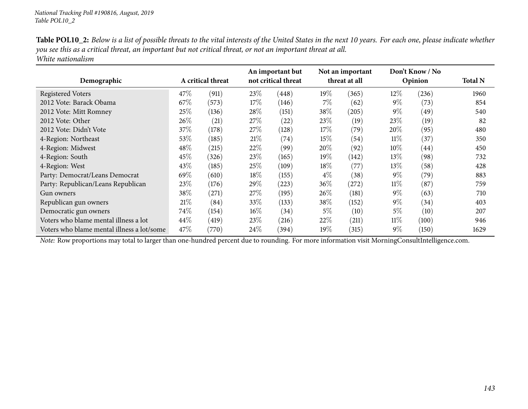| <b>Table POL10_2:</b> Below is a list of possible threats to the vital interests of the United States in the next 10 years. For each one, please indicate whether |
|-------------------------------------------------------------------------------------------------------------------------------------------------------------------|
| you see this as a critical threat, an important but not critical threat, or not an important threat at all.                                                       |
| White nationalism                                                                                                                                                 |

| Demographic                                | A critical threat |       | An important but<br>not critical threat |            | Not an important<br>threat at all |       | Don't Know / No<br>Opinion |       | <b>Total N</b> |
|--------------------------------------------|-------------------|-------|-----------------------------------------|------------|-----------------------------------|-------|----------------------------|-------|----------------|
| <b>Registered Voters</b>                   | 47\%              | (911) | 23\%                                    | (448)      | $19\%$                            | (365) | $12\%$                     | (236) | 1960           |
| 2012 Vote: Barack Obama                    | 67\%              | (573) | 17%                                     | (146)      | 7%                                | (62)  | $9\%$                      | (73)  | 854            |
| 2012 Vote: Mitt Romney                     | 25%               | (136) | 28%                                     | (151)      | 38%                               | (205) | $9\%$                      | (49)  | 540            |
| 2012 Vote: Other                           | 26\%              | (21)  | 27\%                                    | (22)       | 23\%                              | (19)  | 23%                        | (19)  | 82             |
| 2012 Vote: Didn't Vote                     | 37\%              | (178) | 27%                                     | (128)      | 17%                               | (79)  | $20\%$                     | (95)  | 480            |
| 4-Region: Northeast                        | 53\%              | (185) | 21%                                     | (74)       | 15%                               | (54)  | $11\%$                     | (37)  | 350            |
| 4-Region: Midwest                          | 48%               | (215) | 22%                                     | (99)       | $20\%$                            | (92)  | $10\%$                     | (44)  | 450            |
| 4-Region: South                            | 45\%              | (326) | 23\%                                    | (165)      | 19%                               | (142) | 13%                        | (98)  | 732            |
| 4-Region: West                             | 43%               | (185) | 25%                                     | (109)      | $18\%$                            | (77)  | 13%                        | (58)  | 428            |
| Party: Democrat/Leans Democrat             | 69%               | (610) | 18%                                     | (155)      | $4\%$                             | (38)  | $9\%$                      | (79)  | 883            |
| Party: Republican/Leans Republican         | 23\%              | (176) | $29\%$                                  | $^{'}223)$ | $36\%$                            | (272) | $11\%$                     | (87)  | 759            |
| Gun owners                                 | 38\%              | (271) | 27\%                                    | (195)      | $26\%$                            | (181) | $9\%$                      | (63)  | 710            |
| Republican gun owners                      | 21%               | (84)  | 33\%                                    | (133)      | $38\%$                            | (152) | $9\%$                      | (34)  | 403            |
| Democratic gun owners                      | 74\%              | (154) | $16\%$                                  | (34)       | 5%                                | (10)  | 5%                         | (10)  | 207            |
| Voters who blame mental illness a lot      | 44\%              | (419) | 23%                                     | $^{(216)}$ | $22\%$                            | (211) | $11\%$                     | (100) | 946            |
| Voters who blame mental illness a lot/some | 47%               | (770) | 24%                                     | (394)      | $19\%$                            | (315) | $9\%$                      | (150) | 1629           |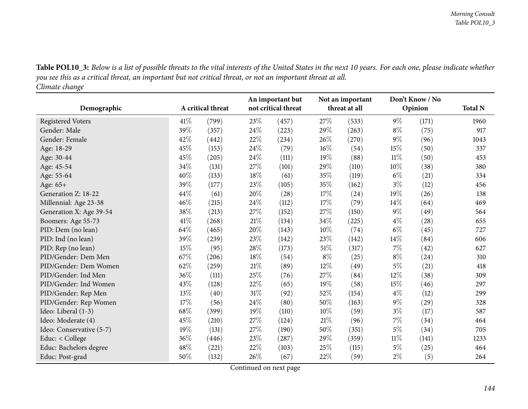Table POL10\_3: Below is a list of possible threats to the vital interests of the United States in the next 10 years. For each one, please indicate whether you see this as a critical threat, an important but not critical threat, or not an important threat at all. *Climate change*

|                          |      |                   | An important but |                     |        | Not an important |        | Don't Know / No |      |
|--------------------------|------|-------------------|------------------|---------------------|--------|------------------|--------|-----------------|------|
| Demographic              |      | A critical threat |                  | not critical threat |        | threat at all    |        | Opinion         |      |
| <b>Registered Voters</b> | 41\% | (799)             | 23%              | (457)               | 27%    | (533)            | $9\%$  | (171)           | 1960 |
| Gender: Male             | 39%  | (357)             | 24%              | (223)               | 29%    | (263)            | $8\%$  | (75)            | 917  |
| Gender: Female           | 42%  | (442)             | 22\%             | (234)               | 26%    | (270)            | $9\%$  | (96)            | 1043 |
| Age: 18-29               | 45%  | (153)             | 24\%             | (79)                | $16\%$ | (54)             | 15%    | (50)            | 337  |
| Age: 30-44               | 45%  | (205)             | 24%              | (111)               | 19%    | (88)             | $11\%$ | (50)            | 453  |
| Age: 45-54               | 34%  | (131)             | 27%              | (101)               | 29%    | (110)            | 10%    | (38)            | 380  |
| Age: 55-64               | 40%  | (133)             | 18%              | (61)                | 35%    | (119)            | $6\%$  | (21)            | 334  |
| Age: 65+                 | 39%  | (177)             | 23%              | (105)               | 35%    | (162)            | $3\%$  | (12)            | 456  |
| Generation Z: 18-22      | 44%  | (61)              | 20%              | (28)                | 17%    | (24)             | 19%    | (26)            | 138  |
| Millennial: Age 23-38    | 46%  | (215)             | 24%              | (112)               | 17%    | (79)             | 14%    | (64)            | 469  |
| Generation X: Age 39-54  | 38%  | (213)             | $27\%$           | (152)               | $27\%$ | (150)            | $9\%$  | (49)            | 564  |
| Boomers: Age 55-73       | 41\% | (268)             | 21%              | (134)               | 34%    | (225)            | $4\%$  | (28)            | 655  |
| PID: Dem (no lean)       | 64%  | (465)             | 20%              | (143)               | 10%    | (74)             | $6\%$  | (45)            | 727  |
| PID: Ind (no lean)       | 39%  | (239)             | 23%              | (142)               | 23%    | (142)            | 14%    | (84)            | 606  |
| PID: Rep (no lean)       | 15%  | (95)              | 28%              | (173)               | $51\%$ | (317)            | 7%     | (42)            | 627  |
| PID/Gender: Dem Men      | 67%  | (206)             | 18%              | (54)                | $8\%$  | (25)             | $8\%$  | (24)            | 310  |
| PID/Gender: Dem Women    | 62%  | (259)             | $21\%$           | (89)                | 12%    | (49)             | $5\%$  | (21)            | 418  |
| PID/Gender: Ind Men      | 36%  | (111)             | 25%              | (76)                | 27%    | (84)             | 12%    | (38)            | 309  |
| PID/Gender: Ind Women    | 43%  | (128)             | 22%              | (65)                | 19%    | (58)             | 15%    | (46)            | 297  |
| PID/Gender: Rep Men      | 13%  | (40)              | $31\%$           | (92)                | 52%    | (154)            | $4\%$  | (12)            | 299  |
| PID/Gender: Rep Women    | 17%  | (56)              | 24%              | (80)                | 50%    | (163)            | $9\%$  | (29)            | 328  |
| Ideo: Liberal (1-3)      | 68%  | (399)             | 19%              | (110)               | 10%    | (59)             | $3\%$  | (17)            | 587  |
| Ideo: Moderate (4)       | 45%  | (210)             | 27%              | (124)               | $21\%$ | (96)             | 7%     | (34)            | 464  |
| Ideo: Conservative (5-7) | 19%  | (131)             | 27%              | (190)               | 50%    | (351)            | $5\%$  | (34)            | 705  |
| Educ: < College          | 36%  | (446)             | 23%              | (287)               | 29%    | (359)            | 11%    | (141)           | 1233 |
| Educ: Bachelors degree   | 48%  | (221)             | 22%              | (103)               | 25%    | (115)            | $5\%$  | (25)            | 464  |
| Educ: Post-grad          | 50%  | (132)             | 26%              | (67)                | 22%    | (59)             | $2\%$  | (5)             | 264  |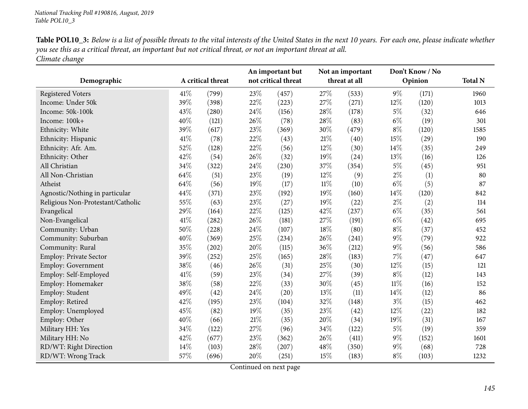| Table POL10_3: Below is a list of possible threats to the vital interests of the United States in the next 10 years. For each one, please indicate whether |  |
|------------------------------------------------------------------------------------------------------------------------------------------------------------|--|
| you see this as a critical threat, an important but not critical threat, or not an important threat at all.                                                |  |
| Climate change                                                                                                                                             |  |

|                                   |      |                   |        | An important but    |        | Not an important |         | Don't Know / No |                |
|-----------------------------------|------|-------------------|--------|---------------------|--------|------------------|---------|-----------------|----------------|
| Demographic                       |      | A critical threat |        | not critical threat |        | threat at all    | Opinion |                 | <b>Total N</b> |
| <b>Registered Voters</b>          | 41\% | (799)             | 23%    | (457)               | 27\%   | (533)            | $9\%$   | (171)           | 1960           |
| Income: Under 50k                 | 39%  | (398)             | 22%    | (223)               | 27%    | (271)            | 12%     | (120)           | 1013           |
| Income: 50k-100k                  | 43%  | (280)             | 24\%   | (156)               | 28%    | (178)            | $5\%$   | (32)            | 646            |
| Income: 100k+                     | 40%  | (121)             | 26%    | (78)                | 28%    | (83)             | $6\%$   | (19)            | 301            |
| Ethnicity: White                  | 39%  | (617)             | 23%    | (369)               | 30%    | (479)            | $8\%$   | (120)           | 1585           |
| Ethnicity: Hispanic               | 41%  | (78)              | 22%    | (43)                | $21\%$ | (40)             | 15%     | (29)            | 190            |
| Ethnicity: Afr. Am.               | 52%  | (128)             | 22%    | (56)                | 12%    | (30)             | 14%     | (35)            | 249            |
| Ethnicity: Other                  | 42%  | (54)              | 26%    | (32)                | 19%    | (24)             | 13\%    | (16)            | 126            |
| All Christian                     | 34%  | (322)             | 24\%   | (230)               | 37%    | (354)            | $5\%$   | (45)            | 951            |
| All Non-Christian                 | 64%  | (51)              | 23%    | (19)                | 12%    | (9)              | $2\%$   | (1)             | 80             |
| Atheist                           | 64%  | (56)              | 19%    | (17)                | $11\%$ | (10)             | $6\%$   | (5)             | 87             |
| Agnostic/Nothing in particular    | 44%  | (371)             | 23%    | (192)               | 19%    | (160)            | 14%     | (120)           | 842            |
| Religious Non-Protestant/Catholic | 55%  | (63)              | 23%    | (27)                | 19%    | (22)             | $2\%$   | (2)             | 114            |
| Evangelical                       | 29%  | (164)             | 22%    | (125)               | 42%    | (237)            | $6\%$   | (35)            | 561            |
| Non-Evangelical                   | 41%  | (282)             | 26%    | (181)               | 27%    | (191)            | $6\%$   | (42)            | 695            |
| Community: Urban                  | 50%  | (228)             | 24\%   | (107)               | 18%    | (80)             | $8\%$   | (37)            | 452            |
| Community: Suburban               | 40%  | (369)             | 25%    | (234)               | 26%    | (241)            | $9\%$   | (79)            | 922            |
| Community: Rural                  | 35%  | (202)             | 20%    | (115)               | 36%    | (212)            | $9\%$   | (56)            | 586            |
| Employ: Private Sector            | 39%  | (252)             | 25%    | (165)               | 28%    | (183)            | $7\%$   | (47)            | 647            |
| Employ: Government                | 38%  | (46)              | 26%    | (31)                | $25\%$ | (30)             | 12%     | (15)            | 121            |
| Employ: Self-Employed             | 41\% | (59)              | 23%    | (34)                | 27%    | (39)             | $8\%$   | (12)            | 143            |
| Employ: Homemaker                 | 38%  | (58)              | 22%    | (33)                | 30%    | (45)             | $11\%$  | (16)            | 152            |
| Employ: Student                   | 49%  | (42)              | 24\%   | (20)                | 13%    | (11)             | 14\%    | (12)            | 86             |
| Employ: Retired                   | 42%  | (195)             | 23%    | (104)               | 32%    | (148)            | $3\%$   | (15)            | 462            |
| Employ: Unemployed                | 45%  | (82)              | 19%    | (35)                | 23%    | (42)             | 12%     | (22)            | 182            |
| Employ: Other                     | 40%  | (66)              | $21\%$ | (35)                | 20%    | (34)             | 19%     | (31)            | 167            |
| Military HH: Yes                  | 34%  | (122)             | 27%    | (96)                | 34%    | (122)            | $5\%$   | (19)            | 359            |
| Military HH: No                   | 42%  | (677)             | 23%    | (362)               | 26%    | (411)            | $9\%$   | (152)           | 1601           |
| RD/WT: Right Direction            | 14%  | (103)             | 28\%   | (207)               | 48%    | (350)            | $9\%$   | (68)            | 728            |
| RD/WT: Wrong Track                | 57%  | (696)             | 20%    | (251)               | 15%    | (183)            | $8\%$   | (103)           | 1232           |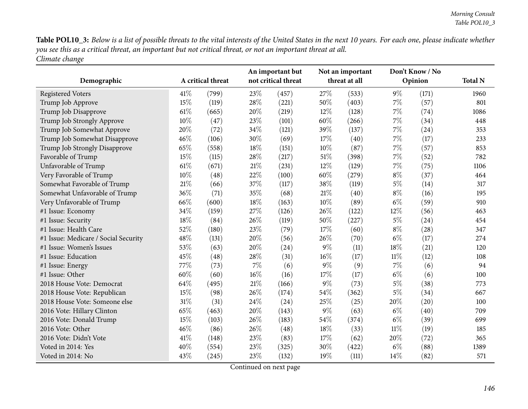Table POL10\_3: Below is a list of possible threats to the vital interests of the United States in the next 10 years. For each one, please indicate whether you see this as a critical threat, an important but not critical threat, or not an important threat at all. *Climate change*

| Demographic                          |        | A critical threat |       | An important but<br>not critical threat |        | Not an important<br>threat at all |        | Don't Know / No<br>Opinion | <b>Total N</b> |
|--------------------------------------|--------|-------------------|-------|-----------------------------------------|--------|-----------------------------------|--------|----------------------------|----------------|
| <b>Registered Voters</b>             | 41\%   | (799)             | 23%   | (457)                                   | 27%    | (533)                             | $9\%$  | (171)                      | 1960           |
| Trump Job Approve                    | 15%    | (119)             | 28%   | (221)                                   | 50%    | (403)                             | $7\%$  | (57)                       | 801            |
| Trump Job Disapprove                 | $61\%$ | (665)             | 20%   | (219)                                   | 12%    | (128)                             | $7\%$  | (74)                       | 1086           |
| Trump Job Strongly Approve           | 10%    | (47)              | 23%   | (101)                                   | $60\%$ | (266)                             | $7\%$  | (34)                       | 448            |
| Trump Job Somewhat Approve           | 20%    | (72)              | 34%   | (121)                                   | 39%    | (137)                             | 7%     | (24)                       | 353            |
| Trump Job Somewhat Disapprove        | 46%    | (106)             | 30%   | (69)                                    | 17%    | (40)                              | $7\%$  | (17)                       | 233            |
| Trump Job Strongly Disapprove        | 65%    | (558)             | 18%   | (151)                                   | $10\%$ | (87)                              | $7\%$  | (57)                       | 853            |
| Favorable of Trump                   | 15%    | (115)             | 28%   | (217)                                   | $51\%$ | (398)                             | $7\%$  | (52)                       | 782            |
| Unfavorable of Trump                 | 61\%   | (671)             | 21\%  | (231)                                   | 12%    | (129)                             | $7\%$  | (75)                       | 1106           |
| Very Favorable of Trump              | 10%    | (48)              | 22%   | (100)                                   | 60%    | (279)                             | $8\%$  | (37)                       | 464            |
| Somewhat Favorable of Trump          | 21\%   | (66)              | 37%   | (117)                                   | 38%    | (119)                             | $5\%$  | (14)                       | 317            |
| Somewhat Unfavorable of Trump        | 36%    | (71)              | 35%   | (68)                                    | $21\%$ | (40)                              | $8\%$  | (16)                       | 195            |
| Very Unfavorable of Trump            | 66%    | (600)             | 18%   | (163)                                   | $10\%$ | (89)                              | $6\%$  | (59)                       | 910            |
| #1 Issue: Economy                    | 34%    | (159)             | 27%   | (126)                                   | 26%    | (122)                             | 12%    | (56)                       | 463            |
| #1 Issue: Security                   | 18%    | (84)              | 26%   | (119)                                   | 50%    | (227)                             | $5\%$  | (24)                       | 454            |
| #1 Issue: Health Care                | 52%    | (180)             | 23%   | (79)                                    | 17%    | (60)                              | $8\%$  | (28)                       | 347            |
| #1 Issue: Medicare / Social Security | 48%    | (131)             | 20%   | (56)                                    | 26%    | (70)                              | $6\%$  | (17)                       | 274            |
| #1 Issue: Women's Issues             | 53%    | (63)              | 20%   | (24)                                    | $9\%$  | (11)                              | 18%    | (21)                       | 120            |
| #1 Issue: Education                  | 45%    | (48)              | 28%   | (31)                                    | $16\%$ | (17)                              | $11\%$ | (12)                       | 108            |
| #1 Issue: Energy                     | 77%    | (73)              | $7\%$ | (6)                                     | $9\%$  | (9)                               | 7%     | (6)                        | 94             |
| #1 Issue: Other                      | 60%    | (60)              | 16%   | (16)                                    | 17%    | (17)                              | $6\%$  | (6)                        | 100            |
| 2018 House Vote: Democrat            | 64%    | (495)             | 21\%  | (166)                                   | $9\%$  | (73)                              | $5\%$  | (38)                       | 773            |
| 2018 House Vote: Republican          | 15%    | (98)              | 26%   | (174)                                   | 54%    | (362)                             | $5\%$  | (34)                       | 667            |
| 2018 House Vote: Someone else        | 31%    | (31)              | 24%   | (24)                                    | 25%    | (25)                              | 20%    | (20)                       | 100            |
| 2016 Vote: Hillary Clinton           | 65%    | (463)             | 20%   | (143)                                   | $9\%$  | (63)                              | $6\%$  | (40)                       | 709            |
| 2016 Vote: Donald Trump              | 15%    | (103)             | 26%   | (183)                                   | 54%    | (374)                             | $6\%$  | (39)                       | 699            |
| 2016 Vote: Other                     | 46%    | (86)              | 26%   | (48)                                    | 18%    | (33)                              | $11\%$ | (19)                       | 185            |
| 2016 Vote: Didn't Vote               | 41\%   | (148)             | 23%   | (83)                                    | 17%    | (62)                              | 20%    | (72)                       | 365            |
| Voted in 2014: Yes                   | 40%    | (554)             | 23%   | (325)                                   | 30%    | (422)                             | $6\%$  | (88)                       | 1389           |
| Voted in 2014: No                    | 43%    | (245)             | 23%   | (132)                                   | 19%    | (111)                             | 14%    | (82)                       | 571            |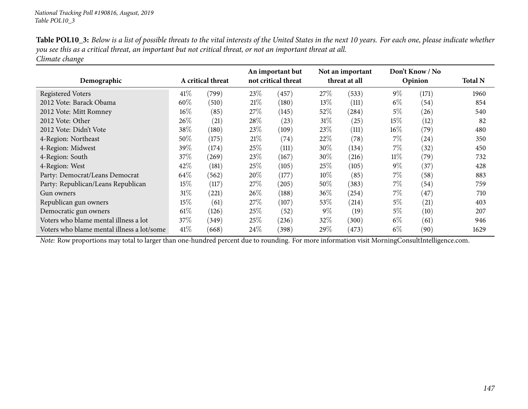| <b>Table POL10_3:</b> Below is a list of possible threats to the vital interests of the United States in the next 10 years. For each one, please indicate whether |
|-------------------------------------------------------------------------------------------------------------------------------------------------------------------|
| you see this as a critical threat, an important but not critical threat, or not an important threat at all.                                                       |
| Climate change                                                                                                                                                    |

| Demographic                                |        | A critical threat |        | An important but<br>not critical threat |        | Not an important<br>threat at all |        | Don't Know / No<br>Opinion | <b>Total N</b> |
|--------------------------------------------|--------|-------------------|--------|-----------------------------------------|--------|-----------------------------------|--------|----------------------------|----------------|
| <b>Registered Voters</b>                   | 41%    | (799)             | 23\%   | (457)                                   | 27\%   | (533)                             | $9\%$  | (171)                      | 1960           |
| 2012 Vote: Barack Obama                    | 60%    | (510)             | 21%    | (180)                                   | 13%    | (111)                             | $6\%$  | (54)                       | 854            |
| 2012 Vote: Mitt Romney                     | 16%    | (85)              | 27%    | (145)                                   | 52\%   | (284)                             | 5%     | (26)                       | 540            |
| 2012 Vote: Other                           | 26\%   | (21)              | 28%    | (23)                                    | 31%    | (25)                              | 15%    | (12)                       | 82             |
| 2012 Vote: Didn't Vote                     | 38%    | (180)             | 23\%   | (109)                                   | 23\%   | (111)                             | $16\%$ | (79)                       | 480            |
| 4-Region: Northeast                        | 50%    | (175)             | 21\%   | (74)                                    | 22%    | (78)                              | 7%     | (24)                       | 350            |
| 4-Region: Midwest                          | 39\%   | (174)             | 25\%   | (111)                                   | $30\%$ | (134)                             | 7%     | (32)                       | 450            |
| 4-Region: South                            | 37\%   | (269)             | 23\%   | (167)                                   | $30\%$ | (216)                             | $11\%$ | (79)                       | 732            |
| 4-Region: West                             | 42%    | (181)             | 25\%   | (105)                                   | $25\%$ | (105)                             | $9\%$  | (37)                       | 428            |
| Party: Democrat/Leans Democrat             | 64\%   | (562)             | $20\%$ | (177)                                   | $10\%$ | (85)                              | 7%     | (58)                       | 883            |
| Party: Republican/Leans Republican         | 15\%   | (117)             | 27%    | (205)                                   | $50\%$ | (383)                             | 7%     | (54)                       | 759            |
| Gun owners                                 | $31\%$ | (221)             | 26\%   | (188)                                   | $36\%$ | (254)                             | $7\%$  | (47)                       | 710            |
| Republican gun owners                      | 15\%   | (61)              | 27\%   | (107)                                   | $53\%$ | (214)                             | 5%     | $\left( 21\right)$         | 403            |
| Democratic gun owners                      | $61\%$ | (126)             | 25%    | (52)                                    | $9\%$  | (19)                              | 5%     | (10)                       | 207            |
| Voters who blame mental illness a lot      | 37\%   | (349)             | 25\%   | (236)                                   | 32\%   | (300)                             | $6\%$  | (61)                       | 946            |
| Voters who blame mental illness a lot/some | 41%    | (668)             | 24%    | (398)                                   | $29\%$ | (473)                             | $6\%$  | (90)                       | 1629           |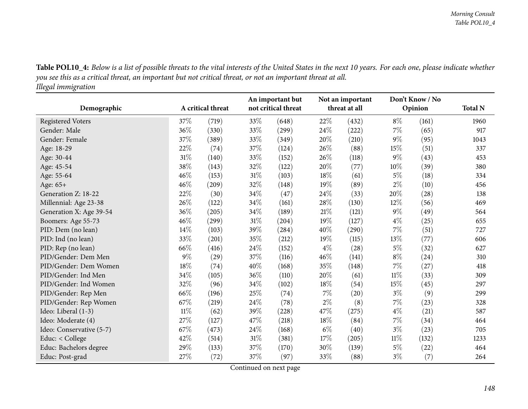Table POL10\_4: Below is a list of possible threats to the vital interests of the United States in the next 10 years. For each one, please indicate whether you see this as a critical threat, an important but not critical threat, or not an important threat at all. *Illegal immigration*

| Demographic              | A critical threat |       |      | An important but<br>not critical threat |        | Not an important<br>threat at all |        | Don't Know / No<br>Opinion | <b>Total N</b> |
|--------------------------|-------------------|-------|------|-----------------------------------------|--------|-----------------------------------|--------|----------------------------|----------------|
|                          |                   |       |      |                                         |        |                                   |        |                            |                |
| <b>Registered Voters</b> | 37%               | (719) | 33%  | (648)                                   | $22\%$ | (432)                             | $8\%$  | (161)                      | 1960           |
| Gender: Male             | 36%               | (330) | 33%  | (299)                                   | 24%    | (222)                             | 7%     | (65)                       | 917            |
| Gender: Female           | 37%               | (389) | 33%  | (349)                                   | 20%    | (210)                             | $9\%$  | (95)                       | 1043           |
| Age: 18-29               | 22%               | (74)  | 37%  | (124)                                   | 26%    | (88)                              | 15%    | (51)                       | 337            |
| Age: 30-44               | $31\%$            | (140) | 33%  | (152)                                   | 26%    | (118)                             | $9\%$  | (43)                       | 453            |
| Age: 45-54               | 38%               | (143) | 32%  | (122)                                   | 20%    | (77)                              | 10%    | (39)                       | 380            |
| Age: 55-64               | 46%               | (153) | 31%  | (103)                                   | 18%    | (61)                              | $5\%$  | (18)                       | 334            |
| Age: 65+                 | 46%               | (209) | 32%  | (148)                                   | 19%    | (89)                              | $2\%$  | (10)                       | 456            |
| Generation Z: 18-22      | 22%               | (30)  | 34\% | (47)                                    | 24%    | (33)                              | 20%    | (28)                       | 138            |
| Millennial: Age 23-38    | 26\%              | (122) | 34\% | (161)                                   | 28%    | (130)                             | 12%    | (56)                       | 469            |
| Generation X: Age 39-54  | $36\%$            | (205) | 34%  | (189)                                   | $21\%$ | (121)                             | $9\%$  | (49)                       | 564            |
| Boomers: Age 55-73       | 46%               | (299) | 31%  | (204)                                   | 19%    | (127)                             | $4\%$  | (25)                       | 655            |
| PID: Dem (no lean)       | 14%               | (103) | 39%  | (284)                                   | 40%    | (290)                             | 7%     | (51)                       | 727            |
| PID: Ind (no lean)       | 33%               | (201) | 35%  | (212)                                   | 19%    | (115)                             | 13%    | (77)                       | 606            |
| PID: Rep (no lean)       | $66\%$            | (416) | 24%  | (152)                                   | $4\%$  | (28)                              | $5\%$  | (32)                       | 627            |
| PID/Gender: Dem Men      | $9\%$             | (29)  | 37%  | (116)                                   | 46%    | (141)                             | $8\%$  | (24)                       | 310            |
| PID/Gender: Dem Women    | $18\%$            | (74)  | 40%  | (168)                                   | 35%    | (148)                             | 7%     | (27)                       | 418            |
| PID/Gender: Ind Men      | $34\%$            | (105) | 36%  | (110)                                   | 20%    | (61)                              | $11\%$ | (33)                       | 309            |
| PID/Gender: Ind Women    | 32%               | (96)  | 34%  | (102)                                   | 18%    | (54)                              | 15%    | (45)                       | 297            |
| PID/Gender: Rep Men      | 66%               | (196) | 25%  | (74)                                    | $7\%$  | (20)                              | $3\%$  | (9)                        | 299            |
| PID/Gender: Rep Women    | 67%               | (219) | 24\% | (78)                                    | $2\%$  | (8)                               | 7%     | (23)                       | 328            |
| Ideo: Liberal (1-3)      | $11\%$            | (62)  | 39%  | (228)                                   | 47%    | (275)                             | $4\%$  | (21)                       | 587            |
| Ideo: Moderate (4)       | 27%               | (127) | 47%  | (218)                                   | 18%    | (84)                              | 7%     | (34)                       | 464            |
| Ideo: Conservative (5-7) | 67%               | (473) | 24\% | (168)                                   | $6\%$  | (40)                              | $3\%$  | (23)                       | 705            |
| Educ: < College          | 42%               | (514) | 31%  | (381)                                   | 17%    | (205)                             | 11%    | (132)                      | 1233           |
| Educ: Bachelors degree   | 29%               | (133) | 37\% | (170)                                   | 30%    | (139)                             | $5\%$  | (22)                       | 464            |
| Educ: Post-grad          | 27%               | (72)  | 37%  | (97)                                    | 33%    | (88)                              | $3\%$  | (7)                        | 264            |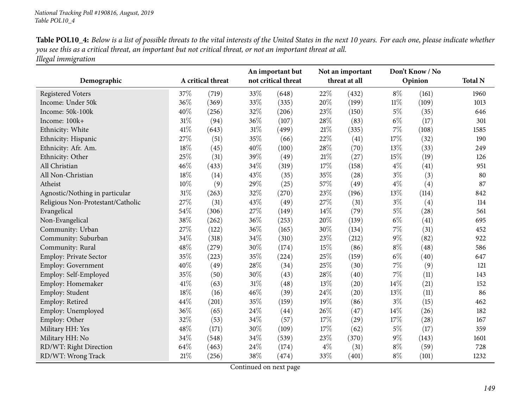| <b>Table POL10_4:</b> Below is a list of possible threats to the vital interests of the United States in the next 10 years. For each one, please indicate whether |
|-------------------------------------------------------------------------------------------------------------------------------------------------------------------|
| you see this as a critical threat, an important but not critical threat, or not an important threat at all.                                                       |
| Illegal immigration                                                                                                                                               |

|                                   |        |                   |        | An important but    |        | Not an important |        | Don't Know / No |                |
|-----------------------------------|--------|-------------------|--------|---------------------|--------|------------------|--------|-----------------|----------------|
| Demographic                       |        | A critical threat |        | not critical threat |        | threat at all    |        | Opinion         | <b>Total N</b> |
| <b>Registered Voters</b>          | 37%    | (719)             | 33%    | (648)               | 22%    | (432)            | $8\%$  | (161)           | 1960           |
| Income: Under 50k                 | 36%    | (369)             | 33%    | (335)               | 20%    | (199)            | $11\%$ | (109)           | 1013           |
| Income: 50k-100k                  | 40%    | (256)             | 32%    | (206)               | 23%    | (150)            | $5\%$  | (35)            | 646            |
| Income: 100k+                     | 31%    | (94)              | 36%    | (107)               | 28%    | (83)             | $6\%$  | (17)            | 301            |
| Ethnicity: White                  | 41\%   | (643)             | $31\%$ | (499)               | $21\%$ | (335)            | $7\%$  | (108)           | 1585           |
| Ethnicity: Hispanic               | 27%    | (51)              | 35%    | (66)                | 22%    | (41)             | 17%    | (32)            | 190            |
| Ethnicity: Afr. Am.               | 18%    | (45)              | 40%    | (100)               | 28%    | (70)             | 13%    | (33)            | 249            |
| Ethnicity: Other                  | 25%    | (31)              | 39%    | (49)                | $21\%$ | (27)             | 15%    | (19)            | 126            |
| All Christian                     | 46%    | (433)             | 34\%   | (319)               | 17%    | (158)            | $4\%$  | (41)            | 951            |
| All Non-Christian                 | 18%    | (14)              | 43%    | (35)                | 35%    | (28)             | $3\%$  | (3)             | 80             |
| Atheist                           | $10\%$ | (9)               | 29%    | (25)                | 57%    | (49)             | $4\%$  | (4)             | 87             |
| Agnostic/Nothing in particular    | 31%    | (263)             | 32%    | (270)               | 23%    | (196)            | 13%    | (114)           | 842            |
| Religious Non-Protestant/Catholic | 27%    | (31)              | 43%    | (49)                | 27%    | (31)             | $3\%$  | (4)             | 114            |
| Evangelical                       | 54%    | (306)             | 27%    | (149)               | 14%    | (79)             | $5\%$  | (28)            | 561            |
| Non-Evangelical                   | 38%    | (262)             | 36%    | (253)               | 20%    | (139)            | $6\%$  | (41)            | 695            |
| Community: Urban                  | 27%    | (122)             | 36%    | (165)               | 30%    | (134)            | $7\%$  | (31)            | 452            |
| Community: Suburban               | 34%    | (318)             | 34%    | (310)               | 23%    | (212)            | $9\%$  | (82)            | 922            |
| Community: Rural                  | 48%    | (279)             | 30%    | (174)               | 15%    | (86)             | $8\%$  | (48)            | 586            |
| Employ: Private Sector            | 35%    | (223)             | 35%    | (224)               | 25%    | (159)            | $6\%$  | (40)            | 647            |
| <b>Employ: Government</b>         | 40%    | (49)              | 28\%   | (34)                | 25%    | (30)             | $7\%$  | (9)             | 121            |
| Employ: Self-Employed             | 35%    | (50)              | 30%    | (43)                | 28%    | (40)             | 7%     | (11)            | 143            |
| Employ: Homemaker                 | 41\%   | (63)              | $31\%$ | (48)                | 13%    | (20)             | 14%    | (21)            | 152            |
| Employ: Student                   | 18%    | (16)              | 46%    | (39)                | 24\%   | (20)             | 13%    | (11)            | 86             |
| Employ: Retired                   | 44%    | (201)             | 35%    | (159)               | 19%    | (86)             | $3\%$  | (15)            | 462            |
| Employ: Unemployed                | 36%    | (65)              | 24\%   | (44)                | 26%    | (47)             | 14%    | (26)            | 182            |
| Employ: Other                     | 32%    | (53)              | 34%    | (57)                | 17%    | (29)             | 17%    | (28)            | 167            |
| Military HH: Yes                  | 48%    | (171)             | 30%    | (109)               | 17%    | (62)             | $5\%$  | (17)            | 359            |
| Military HH: No                   | 34%    | (548)             | 34%    | (539)               | 23%    | (370)            | $9\%$  | (143)           | 1601           |
| RD/WT: Right Direction            | 64%    | (463)             | 24\%   | (174)               | $4\%$  | (31)             | $8\%$  | (59)            | 728            |
| RD/WT: Wrong Track                | 21%    | (256)             | 38%    | (474)               | 33%    | (401)            | $8\%$  | (101)           | 1232           |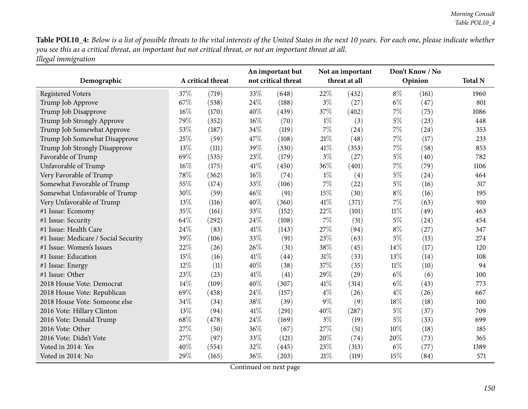Table POL10\_4: Below is a list of possible threats to the vital interests of the United States in the next 10 years. For each one, please indicate whether you see this as a critical threat, an important but not critical threat, or not an important threat at all. *Illegal immigration*

| Demographic                          | A critical threat |       | An important but<br>not critical threat |       | Not an important<br>threat at all |       | Don't Know / No<br>Opinion |       | <b>Total N</b> |
|--------------------------------------|-------------------|-------|-----------------------------------------|-------|-----------------------------------|-------|----------------------------|-------|----------------|
| <b>Registered Voters</b>             | 37%               | (719) | 33%                                     | (648) | 22%                               | (432) | $8\%$                      | (161) | 1960           |
| Trump Job Approve                    | 67%               | (538) | 24\%                                    | (188) | $3\%$                             | (27)  | $6\%$                      | (47)  | 801            |
| Trump Job Disapprove                 | 16%               | (170) | 40%                                     | (439) | 37%                               | (402) | 7%                         | (75)  | 1086           |
| Trump Job Strongly Approve           | 79%               | (352) | $16\%$                                  | (70)  | $1\%$                             | (3)   | $5\%$                      | (23)  | 448            |
| Trump Job Somewhat Approve           | 53%               | (187) | 34%                                     | (119) | $7\%$                             | (24)  | $7\%$                      | (24)  | 353            |
| Trump Job Somewhat Disapprove        | 25%               | (59)  | 47%                                     | (108) | 21\%                              | (48)  | $7\%$                      | (17)  | 233            |
| Trump Job Strongly Disapprove        | 13%               | (111) | 39%                                     | (330) | 41\%                              | (353) | $7\%$                      | (58)  | 853            |
| Favorable of Trump                   | 69%               | (535) | 23%                                     | (179) | $3\%$                             | (27)  | $5\%$                      | (40)  | 782            |
| Unfavorable of Trump                 | 16%               | (175) | 41\%                                    | (450) | 36%                               | (401) | $7\%$                      | (79)  | 1106           |
| Very Favorable of Trump              | 78%               | (362) | $16\%$                                  | (74)  | $1\%$                             | (4)   | $5\%$                      | (24)  | 464            |
| Somewhat Favorable of Trump          | 55%               | (174) | 33%                                     | (106) | $7\%$                             | (22)  | $5\%$                      | (16)  | 317            |
| Somewhat Unfavorable of Trump        | 30%               | (59)  | 46%                                     | (91)  | $15\%$                            | (30)  | $8\%$                      | (16)  | 195            |
| Very Unfavorable of Trump            | 13%               | (116) | 40%                                     | (360) | 41\%                              | (371) | $7\%$                      | (63)  | 910            |
| #1 Issue: Economy                    | 35%               | (161) | 33%                                     | (152) | 22%                               | (101) | $11\%$                     | (49)  | 463            |
| #1 Issue: Security                   | 64%               | (292) | 24\%                                    | (108) | $7\%$                             | (31)  | $5\%$                      | (24)  | 454            |
| #1 Issue: Health Care                | 24%               | (83)  | 41\%                                    | (143) | 27\%                              | (94)  | $8\%$                      | (27)  | 347            |
| #1 Issue: Medicare / Social Security | 39%               | (106) | 33%                                     | (91)  | 23%                               | (63)  | $5\%$                      | (13)  | 274            |
| #1 Issue: Women's Issues             | 22%               | (26)  | 26%                                     | (31)  | 38%                               | (45)  | 14%                        | (17)  | 120            |
| #1 Issue: Education                  | 15%               | (16)  | 41\%                                    | (44)  | $31\%$                            | (33)  | 13%                        | (14)  | 108            |
| #1 Issue: Energy                     | 12%               | (11)  | 40%                                     | (38)  | 37%                               | (35)  | $11\%$                     | (10)  | 94             |
| #1 Issue: Other                      | 23%               | (23)  | 41\%                                    | (41)  | 29%                               | (29)  | $6\%$                      | (6)   | 100            |
| 2018 House Vote: Democrat            | 14%               | (109) | 40%                                     | (307) | 41\%                              | (314) | $6\%$                      | (43)  | 773            |
| 2018 House Vote: Republican          | 69%               | (458) | 24\%                                    | (157) | $4\%$                             | (26)  | $4\%$                      | (26)  | 667            |
| 2018 House Vote: Someone else        | 34%               | (34)  | 38%                                     | (39)  | $9\%$                             | (9)   | 18%                        | (18)  | 100            |
| 2016 Vote: Hillary Clinton           | 13%               | (94)  | 41\%                                    | (291) | 40%                               | (287) | $5\%$                      | (37)  | 709            |
| 2016 Vote: Donald Trump              | 68%               | (478) | 24\%                                    | (169) | $3\%$                             | (19)  | $5\%$                      | (33)  | 699            |
| 2016 Vote: Other                     | 27%               | (50)  | 36%                                     | (67)  | 27\%                              | (51)  | 10%                        | (18)  | 185            |
| 2016 Vote: Didn't Vote               | 27%               | (97)  | 33%                                     | (121) | 20%                               | (74)  | 20%                        | (73)  | 365            |
| Voted in 2014: Yes                   | 40%               | (554) | 32%                                     | (445) | 23%                               | (313) | $6\%$                      | (77)  | 1389           |
| Voted in 2014: No                    | 29%               | (165) | 36%                                     | (203) | 21%                               | (119) | 15%                        | (84)  | 571            |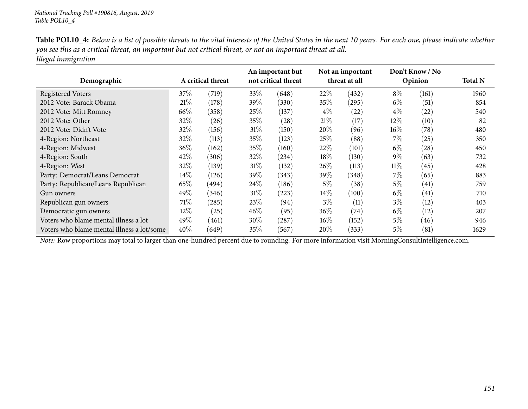| <b>Table POL10_4:</b> Below is a list of possible threats to the vital interests of the United States in the next 10 years. For each one, please indicate whether |
|-------------------------------------------------------------------------------------------------------------------------------------------------------------------|
| you see this as a critical threat, an important but not critical threat, or not an important threat at all.                                                       |
| Illegal immigration                                                                                                                                               |

| Demographic                                | A critical threat |       | An important but<br>not critical threat |            | Not an important<br>threat at all |       | Don't Know / No<br>Opinion |       | <b>Total N</b> |
|--------------------------------------------|-------------------|-------|-----------------------------------------|------------|-----------------------------------|-------|----------------------------|-------|----------------|
| <b>Registered Voters</b>                   | 37\%              | (719) | 33\%                                    | (648)      | 22%                               | (432) | $8\%$                      | (161) | 1960           |
| 2012 Vote: Barack Obama                    | 21%               | (178) | 39\%                                    | (330)      | $35\%$                            | (295) | $6\%$                      | (51)  | 854            |
| 2012 Vote: Mitt Romney                     | 66\%              | (358) | 25%                                     | (137)      | $4\%$                             | (22)  | $4\%$                      | (22)  | 540            |
| 2012 Vote: Other                           | 32%               | (26)  | 35%                                     | (28)       | 21%                               | (17)  | $12\%$                     | (10)  | 82             |
| 2012 Vote: Didn't Vote                     | 32%               | (156) | $31\%$                                  | (150)      | 20%                               | (96)  | $16\%$                     | (78)  | 480            |
| 4-Region: Northeast                        | 32%               | (113) | 35%                                     | (123)      | 25%                               | (88)  | $7\%$                      | (25)  | 350            |
| 4-Region: Midwest                          | $36\%$            | (162) | 35%                                     | (160)      | $22\%$                            | (101) | $6\%$                      | (28)  | 450            |
| 4-Region: South                            | 42\%              | (306) | 32\%                                    | (234)      | 18%                               | (130) | $9\%$                      | (63)  | 732            |
| 4-Region: West                             | 32%               | (139) | $31\%$                                  | (132)      | $26\%$                            | (113) | $11\%$                     | (45)  | 428            |
| Party: Democrat/Leans Democrat             | $14\%$            | (126) | 39\%                                    | (343)      | 39%                               | (348) | 7%                         | (65)  | 883            |
| Party: Republican/Leans Republican         | 65\%              | (494) | $24\%$                                  | (186)      | 5%                                | (38)  | 5%                         | (41)  | 759            |
| Gun owners                                 | 49%               | (346) | $31\%$                                  | $^{'}223)$ | $14\%$                            | (100) | $6\%$                      | (41)  | 710            |
| Republican gun owners                      | 71\%              | (285) | 23%                                     | (94)       | $3\%$                             | (11)  | $3\%$                      | (12)  | 403            |
| Democratic gun owners                      | 12%               | (25)  | $46\%$                                  | (95)       | $36\%$                            | (74)  | $6\%$                      | (12)  | 207            |
| Voters who blame mental illness a lot      | 49%               | (461) | $30\%$                                  | (287)      | $16\%$                            | (152) | 5%                         | (46)  | 946            |
| Voters who blame mental illness a lot/some | 40%               | (649) | 35%                                     | (567)      | $20\%$                            | (333) | 5%                         | (81)  | 1629           |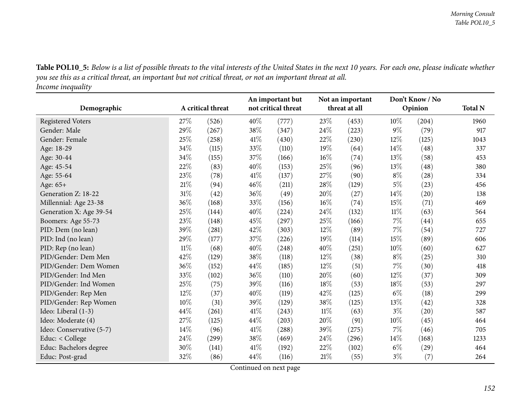Table POL10\_5: Below is a list of possible threats to the vital interests of the United States in the next 10 years. For each one, please indicate whether you see this as a critical threat, an important but not critical threat, or not an important threat at all. *Income inequality*

|                          |        |                   | Not an important<br>An important but |                                                 |        |       | Don't Know / No |       |      |
|--------------------------|--------|-------------------|--------------------------------------|-------------------------------------------------|--------|-------|-----------------|-------|------|
| Demographic              |        | A critical threat |                                      | not critical threat<br>threat at all<br>Opinion |        |       | <b>Total N</b>  |       |      |
| <b>Registered Voters</b> | 27%    | (526)             | 40%                                  | (777)                                           | 23%    | (453) | $10\%$          | (204) | 1960 |
| Gender: Male             | 29%    | (267)             | 38%                                  | (347)                                           | $24\%$ | (223) | $9\%$           | (79)  | 917  |
| Gender: Female           | 25%    | (258)             | 41\%                                 | (430)                                           | 22\%   | (230) | 12\%            | (125) | 1043 |
| Age: 18-29               | 34%    | (115)             | 33%                                  | (110)                                           | 19%    | (64)  | $14\%$          | (48)  | 337  |
| Age: 30-44               | 34%    | (155)             | 37%                                  | (166)                                           | 16%    | (74)  | 13\%            | (58)  | 453  |
| Age: 45-54               | 22%    | (83)              | 40%                                  | (153)                                           | $25\%$ | (96)  | 13\%            | (48)  | 380  |
| Age: 55-64               | 23%    | (78)              | 41\%                                 | (137)                                           | $27\%$ | (90)  | $8\%$           | (28)  | 334  |
| Age: 65+                 | 21\%   | (94)              | 46%                                  | (211)                                           | $28\%$ | (129) | $5\%$           | (23)  | 456  |
| Generation Z: 18-22      | 31%    | (42)              | 36%                                  | (49)                                            | 20%    | (27)  | $14\%$          | (20)  | 138  |
| Millennial: Age 23-38    | 36%    | (168)             | 33%                                  | (156)                                           | $16\%$ | (74)  | 15\%            | (71)  | 469  |
| Generation X: Age 39-54  | 25%    | (144)             | 40%                                  | (224)                                           | 24%    | (132) | $11\%$          | (63)  | 564  |
| Boomers: Age 55-73       | 23%    | (148)             | 45%                                  | (297)                                           | $25\%$ | (166) | $7\%$           | (44)  | 655  |
| PID: Dem (no lean)       | 39%    | (281)             | 42%                                  | (303)                                           | 12%    | (89)  | $7\%$           | (54)  | 727  |
| PID: Ind (no lean)       | 29%    | (177)             | 37%                                  | (226)                                           | 19%    | (114) | 15\%            | (89)  | 606  |
| PID: Rep (no lean)       | $11\%$ | (68)              | 40%                                  | (248)                                           | 40%    | (251) | $10\%$          | (60)  | 627  |
| PID/Gender: Dem Men      | 42%    | (129)             | 38%                                  | (118)                                           | $12\%$ | (38)  | $8\%$           | (25)  | 310  |
| PID/Gender: Dem Women    | 36%    | (152)             | 44%                                  | (185)                                           | 12%    | (51)  | $7\%$           | (30)  | 418  |
| PID/Gender: Ind Men      | 33%    | (102)             | 36%                                  | (110)                                           | 20%    | (60)  | 12\%            | (37)  | 309  |
| PID/Gender: Ind Women    | 25%    | (75)              | 39%                                  | (116)                                           | 18%    | (53)  | 18%             | (53)  | 297  |
| PID/Gender: Rep Men      | 12%    | (37)              | 40%                                  | (119)                                           | 42%    | (125) | $6\%$           | (18)  | 299  |
| PID/Gender: Rep Women    | $10\%$ | (31)              | 39%                                  | (129)                                           | 38\%   | (125) | 13\%            | (42)  | 328  |
| Ideo: Liberal (1-3)      | 44%    | (261)             | 41%                                  | (243)                                           | $11\%$ | (63)  | $3\%$           | (20)  | 587  |
| Ideo: Moderate (4)       | 27%    | (125)             | 44%                                  | (203)                                           | 20%    | (91)  | $10\%$          | (45)  | 464  |
| Ideo: Conservative (5-7) | 14\%   | (96)              | 41\%                                 | (288)                                           | 39%    | (275) | $7\%$           | (46)  | 705  |
| Educ: $<$ College        | 24%    | (299)             | 38%                                  | (469)                                           | 24\%   | (296) | $14\%$          | (168) | 1233 |
| Educ: Bachelors degree   | 30%    | (141)             | 41\%                                 | (192)                                           | 22%    | (102) | $6\%$           | (29)  | 464  |
| Educ: Post-grad          | 32%    | (86)              | 44%                                  | (116)                                           | $21\%$ | (55)  | $3\%$           | (7)   | 264  |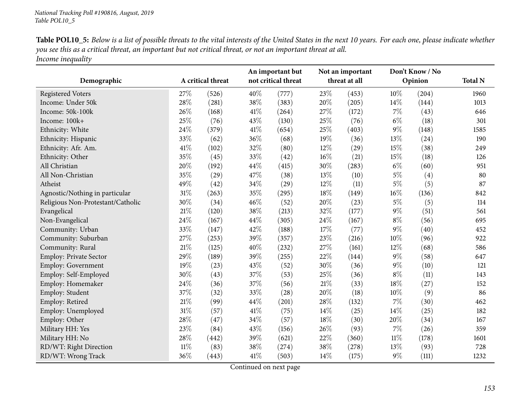| <b>Table POL10_5:</b> Below is a list of possible threats to the vital interests of the United States in the next 10 years. For each one, please indicate whether |
|-------------------------------------------------------------------------------------------------------------------------------------------------------------------|
| you see this as a critical threat, an important but not critical threat, or not an important threat at all.                                                       |
| Income inequality                                                                                                                                                 |

|                                   |        |                   |      | An important but    | Not an important |               | Don't Know / No |         | <b>Total N</b> |
|-----------------------------------|--------|-------------------|------|---------------------|------------------|---------------|-----------------|---------|----------------|
| Demographic                       |        | A critical threat |      | not critical threat |                  | threat at all |                 | Opinion |                |
| <b>Registered Voters</b>          | 27%    | (526)             | 40%  | (777)               | 23%              | (453)         | 10%             | (204)   | 1960           |
| Income: Under 50k                 | 28%    | (281)             | 38%  | (383)               | 20%              | (205)         | 14%             | (144)   | 1013           |
| Income: 50k-100k                  | 26%    | (168)             | 41\% | (264)               | 27%              | (172)         | $7\%$           | (43)    | 646            |
| Income: 100k+                     | 25%    | (76)              | 43%  | (130)               | 25%              | (76)          | $6\%$           | (18)    | 301            |
| Ethnicity: White                  | 24%    | (379)             | 41\% | (654)               | 25%              | (403)         | $9\%$           | (148)   | 1585           |
| Ethnicity: Hispanic               | 33%    | (62)              | 36%  | (68)                | 19%              | (36)          | 13%             | (24)    | 190            |
| Ethnicity: Afr. Am.               | 41\%   | (102)             | 32%  | (80)                | 12%              | (29)          | 15%             | (38)    | 249            |
| Ethnicity: Other                  | 35%    | (45)              | 33%  | (42)                | $16\%$           | (21)          | $15\%$          | (18)    | 126            |
| All Christian                     | 20%    | (192)             | 44\% | (415)               | 30%              | (283)         | $6\%$           | (60)    | 951            |
| All Non-Christian                 | 35%    | (29)              | 47%  | (38)                | 13%              | (10)          | $5\%$           | (4)     | 80             |
| Atheist                           | 49%    | (42)              | 34%  | (29)                | 12%              | (11)          | $5\%$           | (5)     | 87             |
| Agnostic/Nothing in particular    | $31\%$ | (263)             | 35%  | (295)               | 18%              | (149)         | $16\%$          | (136)   | 842            |
| Religious Non-Protestant/Catholic | 30%    | (34)              | 46%  | (52)                | 20%              | (23)          | $5\%$           | (5)     | 114            |
| Evangelical                       | 21%    | (120)             | 38%  | (213)               | 32%              | (177)         | $9\%$           | (51)    | 561            |
| Non-Evangelical                   | 24%    | (167)             | 44%  | (305)               | 24%              | (167)         | $8\%$           | (56)    | 695            |
| Community: Urban                  | 33%    | (147)             | 42%  | (188)               | 17%              | (77)          | $9\%$           | (40)    | 452            |
| Community: Suburban               | 27%    | (253)             | 39%  | (357)               | 23%              | (216)         | 10%             | (96)    | 922            |
| Community: Rural                  | 21%    | (125)             | 40%  | (232)               | 27%              | (161)         | 12%             | (68)    | 586            |
| Employ: Private Sector            | 29%    | (189)             | 39%  | (255)               | 22%              | (144)         | $9\%$           | (58)    | 647            |
| <b>Employ: Government</b>         | 19%    | (23)              | 43%  | (52)                | 30%              | (36)          | $9\%$           | (10)    | 121            |
| Employ: Self-Employed             | 30%    | (43)              | 37%  | (53)                | 25%              | (36)          | $8\%$           | (11)    | 143            |
| Employ: Homemaker                 | 24%    | (36)              | 37%  | (56)                | $21\%$           | (33)          | 18%             | (27)    | 152            |
| Employ: Student                   | 37%    | (32)              | 33%  | (28)                | 20%              | (18)          | 10%             | (9)     | 86             |
| Employ: Retired                   | 21%    | (99)              | 44%  | (201)               | 28%              | (132)         | 7%              | (30)    | 462            |
| Employ: Unemployed                | 31%    | (57)              | 41\% | (75)                | 14%              | (25)          | 14%             | (25)    | 182            |
| Employ: Other                     | 28%    | (47)              | 34%  | (57)                | $18\%$           | (30)          | 20%             | (34)    | 167            |
| Military HH: Yes                  | 23%    | (84)              | 43%  | (156)               | 26%              | (93)          | $7\%$           | (26)    | 359            |
| Military HH: No                   | 28%    | (442)             | 39%  | (621)               | 22%              | (360)         | $11\%$          | (178)   | 1601           |
| RD/WT: Right Direction            | $11\%$ | (83)              | 38%  | (274)               | 38%              | (278)         | 13%             | (93)    | 728            |
| RD/WT: Wrong Track                | 36%    | (443)             | 41\% | (503)               | 14%              | (175)         | $9\%$           | (111)   | 1232           |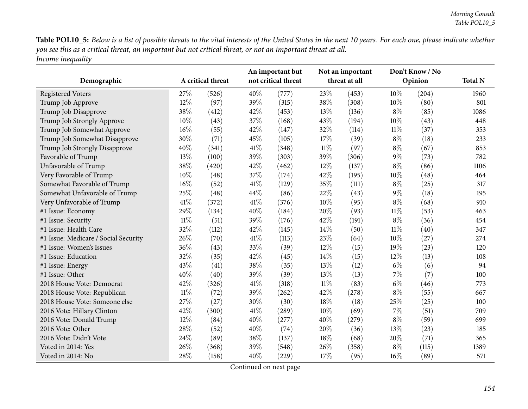Table POL10\_5: Below is a list of possible threats to the vital interests of the United States in the next 10 years. For each one, please indicate whether you see this as a critical threat, an important but not critical threat, or not an important threat at all. *Income inequality*

| Demographic                          | A critical threat |       | An important but<br>not critical threat |       | Not an important<br>threat at all |       | Don't Know / No<br>Opinion |       | <b>Total N</b> |
|--------------------------------------|-------------------|-------|-----------------------------------------|-------|-----------------------------------|-------|----------------------------|-------|----------------|
| <b>Registered Voters</b>             | 27%               | (526) | 40%                                     | (777) | 23%                               | (453) | 10%                        | (204) | 1960           |
| Trump Job Approve                    | 12%               | (97)  | 39%                                     | (315) | 38%                               | (308) | $10\%$                     | (80)  | 801            |
| Trump Job Disapprove                 | 38%               | (412) | 42%                                     | (453) | 13%                               | (136) | $8\%$                      | (85)  | 1086           |
| Trump Job Strongly Approve           | 10%               | (43)  | 37%                                     | (168) | 43%                               | (194) | 10%                        | (43)  | 448            |
| Trump Job Somewhat Approve           | 16%               | (55)  | 42%                                     | (147) | 32%                               | (114) | $11\%$                     | (37)  | 353            |
| Trump Job Somewhat Disapprove        | 30%               | (71)  | 45%                                     | (105) | 17%                               | (39)  | $8\%$                      | (18)  | 233            |
| Trump Job Strongly Disapprove        | 40%               | (341) | 41\%                                    | (348) | $11\%$                            | (97)  | $8\%$                      | (67)  | 853            |
| Favorable of Trump                   | 13%               | (100) | 39%                                     | (303) | 39%                               | (306) | $9\%$                      | (73)  | 782            |
| Unfavorable of Trump                 | 38%               | (420) | 42%                                     | (462) | 12%                               | (137) | $8\%$                      | (86)  | 1106           |
| Very Favorable of Trump              | 10%               | (48)  | 37%                                     | (174) | 42%                               | (195) | 10%                        | (48)  | 464            |
| Somewhat Favorable of Trump          | 16%               | (52)  | 41\%                                    | (129) | 35%                               | (111) | $8\%$                      | (25)  | 317            |
| Somewhat Unfavorable of Trump        | 25%               | (48)  | 44%                                     | (86)  | 22%                               | (43)  | $9\%$                      | (18)  | 195            |
| Very Unfavorable of Trump            | 41\%              | (372) | 41\%                                    | (376) | $10\%$                            | (95)  | $8\%$                      | (68)  | 910            |
| #1 Issue: Economy                    | 29%               | (134) | 40%                                     | (184) | 20%                               | (93)  | $11\%$                     | (53)  | 463            |
| #1 Issue: Security                   | $11\%$            | (51)  | 39%                                     | (176) | 42%                               | (191) | $8\%$                      | (36)  | 454            |
| #1 Issue: Health Care                | 32%               | (112) | 42%                                     | (145) | 14%                               | (50)  | $11\%$                     | (40)  | 347            |
| #1 Issue: Medicare / Social Security | 26%               | (70)  | 41\%                                    | (113) | 23%                               | (64)  | $10\%$                     | (27)  | 274            |
| #1 Issue: Women's Issues             | 36%               | (43)  | 33%                                     | (39)  | 12%                               | (15)  | 19%                        | (23)  | 120            |
| #1 Issue: Education                  | 32%               | (35)  | 42%                                     | (45)  | 14%                               | (15)  | $12\%$                     | (13)  | 108            |
| #1 Issue: Energy                     | 43%               | (41)  | 38%                                     | (35)  | 13%                               | (12)  | $6\%$                      | (6)   | 94             |
| #1 Issue: Other                      | 40%               | (40)  | 39%                                     | (39)  | 13%                               | (13)  | $7\%$                      | (7)   | 100            |
| 2018 House Vote: Democrat            | 42%               | (326) | 41\%                                    | (318) | $11\%$                            | (83)  | $6\%$                      | (46)  | 773            |
| 2018 House Vote: Republican          | $11\%$            | (72)  | 39%                                     | (262) | 42%                               | (278) | $8\%$                      | (55)  | 667            |
| 2018 House Vote: Someone else        | 27%               | (27)  | 30%                                     | (30)  | 18%                               | (18)  | 25%                        | (25)  | 100            |
| 2016 Vote: Hillary Clinton           | 42%               | (300) | 41\%                                    | (289) | $10\%$                            | (69)  | $7\%$                      | (51)  | 709            |
| 2016 Vote: Donald Trump              | 12%               | (84)  | 40%                                     | (277) | 40%                               | (279) | $8\%$                      | (59)  | 699            |
| 2016 Vote: Other                     | 28%               | (52)  | 40%                                     | (74)  | 20%                               | (36)  | 13%                        | (23)  | 185            |
| 2016 Vote: Didn't Vote               | 24%               | (89)  | 38%                                     | (137) | 18%                               | (68)  | 20%                        | (71)  | 365            |
| Voted in 2014: Yes                   | 26%               | (368) | 39%                                     | (548) | 26%                               | (358) | $8\%$                      | (115) | 1389           |
| Voted in 2014: No                    | 28%               | (158) | 40%                                     | (229) | 17%                               | (95)  | $16\%$                     | (89)  | 571            |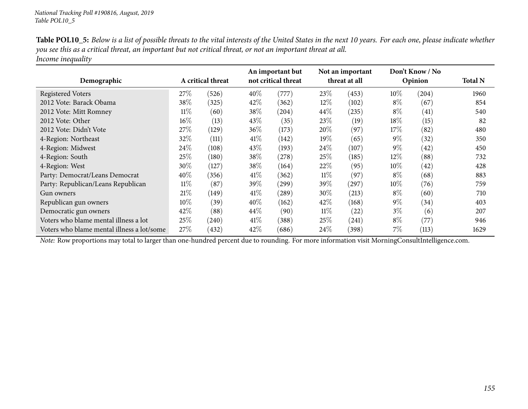| <b>Table POL10_5:</b> Below is a list of possible threats to the vital interests of the United States in the next 10 years. For each one, please indicate whether |
|-------------------------------------------------------------------------------------------------------------------------------------------------------------------|
| you see this as a critical threat, an important but not critical threat, or not an important threat at all.                                                       |
| Income inequality                                                                                                                                                 |

|                                            |        |                   |        | An important but    | Not an important |               | Don't Know / No |         |                |
|--------------------------------------------|--------|-------------------|--------|---------------------|------------------|---------------|-----------------|---------|----------------|
| Demographic                                |        | A critical threat |        | not critical threat |                  | threat at all |                 | Opinion | <b>Total N</b> |
| <b>Registered Voters</b>                   | 27\%   | (526)             | 40%    | (777)               | 23\%             | (453)         | $10\%$          | (204)   | 1960           |
| 2012 Vote: Barack Obama                    | 38\%   | (325)             | 42\%   | (362)               | $12\%$           | (102)         | $8\%$           | (67)    | 854            |
| 2012 Vote: Mitt Romney                     | $11\%$ | (60)              | 38\%   | (204)               | 44\%             | (235)         | $8\%$           | (41)    | 540            |
| 2012 Vote: Other                           | $16\%$ | (13)              | 43\%   | (35)                | 23\%             | (19)          | $18\%$          | (15)    | 82             |
| 2012 Vote: Didn't Vote                     | 27\%   | (129)             | 36\%   | (173)               | 20%              | (97)          | 17\%            | (82)    | 480            |
| 4-Region: Northeast                        | 32%    | (111)             | 41%    | (142)               | $19\%$           | (65)          | $9\%$           | (32)    | 350            |
| 4-Region: Midwest                          | 24\%   | (108)             | 43\%   | (193)               | $24\%$           | (107)         | $9\%$           | (42)    | 450            |
| 4-Region: South                            | 25\%   | (180)             | 38\%   | (278)               | $25\%$           | (185)         | $12\%$          | (88)    | 732            |
| 4-Region: West                             | 30\%   | (127)             | 38\%   | (164)               | 22%              | (95)          | $10\%$          | (42)    | 428            |
| Party: Democrat/Leans Democrat             | 40%    | (356)             | 41\%   | (362)               | $11\%$           | (97)          | $8\%$           | (68)    | 883            |
| Party: Republican/Leans Republican         | $11\%$ | (87)              | 39\%   | (299)               | 39%              | (297)         | $10\%$          | (76)    | 759            |
| Gun owners                                 | 21%    | (149)             | $41\%$ | (289)               | $30\%$           | (213)         | $8\%$           | (60)    | 710            |
| Republican gun owners                      | $10\%$ | (39)              | 40%    | (162)               | 42\%             | (168)         | $9\%$           | (34)    | 403            |
| Democratic gun owners                      | 42%    | (88)              | $44\%$ | (90)                | $11\%$           | (22)          | $3\%$           | (6)     | 207            |
| Voters who blame mental illness a lot      | 25\%   | (240)             | 41\%   | (388)               | 25%              | (241)         | $8\%$           | (77)    | 946            |
| Voters who blame mental illness a lot/some | 27%    | (432)             | 42\%   | (686)               | $24\%$           | (398)         | $7\%$           | (113)   | 1629           |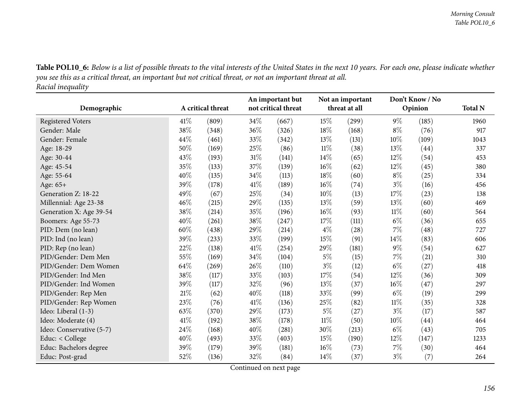Table POL10\_6: Below is a list of possible threats to the vital interests of the United States in the next 10 years. For each one, please indicate whether you see this as a critical threat, an important but not critical threat, or not an important threat at all. *Racial inequality*

| Demographic              |        | A critical threat |      | An important but<br>not critical threat |        | Not an important<br>threat at all |        | Don't Know / No<br>Opinion | <b>Total N</b> |
|--------------------------|--------|-------------------|------|-----------------------------------------|--------|-----------------------------------|--------|----------------------------|----------------|
| <b>Registered Voters</b> | 41\%   | (809)             | 34\% | (667)                                   | 15%    | (299)                             | $9\%$  | (185)                      | 1960           |
| Gender: Male             | $38\%$ | (348)             | 36%  | (326)                                   | 18%    | (168)                             | $8\%$  | (76)                       | 917            |
| Gender: Female           | 44%    | (461)             | 33%  | (342)                                   | 13%    | (131)                             | 10%    | (109)                      | 1043           |
| Age: 18-29               | 50%    | (169)             | 25%  | (86)                                    | $11\%$ | (38)                              | 13%    | (44)                       | 337            |
| Age: 30-44               | 43%    | (193)             | 31%  | (141)                                   | 14%    | (65)                              | 12%    | (54)                       | 453            |
| Age: 45-54               | $35\%$ | (133)             | 37%  | (139)                                   | $16\%$ | (62)                              | 12%    | (45)                       | 380            |
| Age: 55-64               | 40%    | (135)             | 34%  | (113)                                   | 18%    | (60)                              | $8\%$  | (25)                       | 334            |
| Age: 65+                 | 39%    | (178)             | 41\% | (189)                                   | $16\%$ | (74)                              | $3\%$  | (16)                       | 456            |
| Generation Z: 18-22      | 49%    | (67)              | 25%  | (34)                                    | $10\%$ | (13)                              | 17%    | (23)                       | 138            |
| Millennial: Age 23-38    | 46%    | (215)             | 29%  | (135)                                   | 13%    | (59)                              | 13%    | (60)                       | 469            |
| Generation X: Age 39-54  | 38\%   | (214)             | 35%  | (196)                                   | $16\%$ | (93)                              | $11\%$ | (60)                       | 564            |
| Boomers: Age 55-73       | 40%    | (261)             | 38%  | (247)                                   | 17%    | (111)                             | $6\%$  | (36)                       | 655            |
| PID: Dem (no lean)       | 60%    | (438)             | 29%  | (214)                                   | $4\%$  | (28)                              | $7\%$  | (48)                       | 727            |
| PID: Ind (no lean)       | 39%    | (233)             | 33\% | (199)                                   | 15%    | (91)                              | 14%    | (83)                       | 606            |
| PID: Rep (no lean)       | 22%    | (138)             | 41\% | (254)                                   | 29%    | (181)                             | $9\%$  | (54)                       | 627            |
| PID/Gender: Dem Men      | 55%    | (169)             | 34\% | (104)                                   | $5\%$  | (15)                              | 7%     | (21)                       | 310            |
| PID/Gender: Dem Women    | 64\%   | (269)             | 26\% | (110)                                   | $3\%$  | (12)                              | $6\%$  | (27)                       | 418            |
| PID/Gender: Ind Men      | 38\%   | (117)             | 33%  | (103)                                   | 17%    | (54)                              | 12%    | (36)                       | 309            |
| PID/Gender: Ind Women    | 39%    | (117)             | 32%  | (96)                                    | 13%    | (37)                              | $16\%$ | (47)                       | 297            |
| PID/Gender: Rep Men      | 21%    | (62)              | 40%  | (118)                                   | 33%    | (99)                              | $6\%$  | (19)                       | 299            |
| PID/Gender: Rep Women    | 23%    | (76)              | 41\% | (136)                                   | 25%    | (82)                              | $11\%$ | (35)                       | 328            |
| Ideo: Liberal (1-3)      | 63%    | (370)             | 29%  | (173)                                   | $5\%$  | (27)                              | $3\%$  | (17)                       | 587            |
| Ideo: Moderate (4)       | 41\%   | (192)             | 38%  | (178)                                   | $11\%$ | (50)                              | 10%    | (44)                       | 464            |
| Ideo: Conservative (5-7) | 24%    | (168)             | 40%  | (281)                                   | 30%    | (213)                             | $6\%$  | (43)                       | 705            |
| Educ: < College          | 40%    | (493)             | 33%  | (403)                                   | 15%    | (190)                             | 12%    | (147)                      | 1233           |
| Educ: Bachelors degree   | 39%    | (179)             | 39%  | (181)                                   | $16\%$ | (73)                              | $7\%$  | (30)                       | 464            |
| Educ: Post-grad          | 52%    | (136)             | 32%  | (84)                                    | 14%    | (37)                              | $3\%$  | (7)                        | 264            |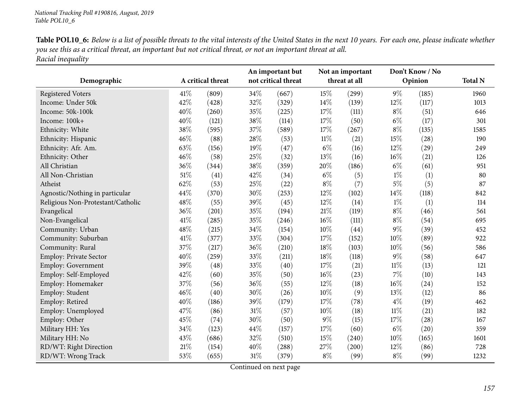| Table POL10_6: Below is a list of possible threats to the vital interests of the United States in the next 10 years. For each one, please indicate whether |
|------------------------------------------------------------------------------------------------------------------------------------------------------------|
| you see this as a critical threat, an important but not critical threat, or not an important threat at all.                                                |
| Racial inequality                                                                                                                                          |

|                                   |        |                   |      | An important but    | Not an important |       | Don't Know / No |       |                |
|-----------------------------------|--------|-------------------|------|---------------------|------------------|-------|-----------------|-------|----------------|
| Demographic                       |        | A critical threat |      | not critical threat | threat at all    |       | Opinion         |       | <b>Total N</b> |
| <b>Registered Voters</b>          | 41\%   | (809)             | 34\% | (667)               | 15%              | (299) | $9\%$           | (185) | 1960           |
| Income: Under 50k                 | 42%    | (428)             | 32%  | (329)               | $14\%$           | (139) | 12%             | (117) | 1013           |
| Income: 50k-100k                  | 40%    | (260)             | 35%  | (225)               | 17%              | (111) | $8\%$           | (51)  | 646            |
| Income: 100k+                     | 40%    | (121)             | 38%  | (114)               | 17%              | (50)  | $6\%$           | (17)  | 301            |
| Ethnicity: White                  | 38%    | (595)             | 37%  | (589)               | 17%              | (267) | $8\%$           | (135) | 1585           |
| Ethnicity: Hispanic               | 46%    | (88)              | 28%  | (53)                | $11\%$           | (21)  | $15\%$          | (28)  | 190            |
| Ethnicity: Afr. Am.               | 63%    | (156)             | 19%  | (47)                | $6\%$            | (16)  | 12%             | (29)  | 249            |
| Ethnicity: Other                  | 46%    | (58)              | 25%  | (32)                | 13%              | (16)  | $16\%$          | (21)  | 126            |
| All Christian                     | 36%    | (344)             | 38%  | (359)               | 20%              | (186) | $6\%$           | (61)  | 951            |
| All Non-Christian                 | 51%    | (41)              | 42%  | (34)                | $6\%$            | (5)   | $1\%$           | (1)   | 80             |
| Atheist                           | 62%    | (53)              | 25%  | (22)                | $8\%$            | (7)   | $5\%$           | (5)   | 87             |
| Agnostic/Nothing in particular    | 44%    | (370)             | 30%  | (253)               | 12%              | (102) | 14%             | (118) | 842            |
| Religious Non-Protestant/Catholic | 48%    | (55)              | 39%  | (45)                | 12%              | (14)  | $1\%$           | (1)   | 114            |
| Evangelical                       | 36%    | (201)             | 35%  | (194)               | $21\%$           | (119) | $8\%$           | (46)  | 561            |
| Non-Evangelical                   | 41%    | (285)             | 35%  | (246)               | 16%              | (111) | $8\%$           | (54)  | 695            |
| Community: Urban                  | 48%    | (215)             | 34%  | (154)               | 10%              | (44)  | $9\%$           | (39)  | 452            |
| Community: Suburban               | 41\%   | (377)             | 33%  | (304)               | 17%              | (152) | 10%             | (89)  | 922            |
| Community: Rural                  | 37%    | (217)             | 36%  | (210)               | 18%              | (103) | 10%             | (56)  | 586            |
| Employ: Private Sector            | 40%    | (259)             | 33%  | (211)               | 18%              | (118) | $9\%$           | (58)  | 647            |
| <b>Employ: Government</b>         | 39%    | (48)              | 33%  | (40)                | 17%              | (21)  | $11\%$          | (13)  | 121            |
| Employ: Self-Employed             | 42%    | (60)              | 35%  | (50)                | $16\%$           | (23)  | 7%              | (10)  | 143            |
| Employ: Homemaker                 | 37%    | (56)              | 36%  | (55)                | 12%              | (18)  | 16%             | (24)  | 152            |
| Employ: Student                   | 46%    | (40)              | 30%  | (26)                | 10%              | (9)   | 13%             | (12)  | 86             |
| Employ: Retired                   | 40%    | (186)             | 39%  | (179)               | 17%              | (78)  | $4\%$           | (19)  | 462            |
| Employ: Unemployed                | 47%    | (86)              | 31%  | (57)                | 10%              | (18)  | $11\%$          | (21)  | 182            |
| Employ: Other                     | 45%    | (74)              | 30%  | (50)                | $9\%$            | (15)  | 17%             | (28)  | 167            |
| Military HH: Yes                  | 34%    | (123)             | 44%  | (157)               | 17%              | (60)  | $6\%$           | (20)  | 359            |
| Military HH: No                   | 43%    | (686)             | 32%  | (510)               | 15%              | (240) | $10\%$          | (165) | 1601           |
| RD/WT: Right Direction            | $21\%$ | (154)             | 40%  | (288)               | 27%              | (200) | 12%             | (86)  | 728            |
| RD/WT: Wrong Track                | 53%    | (655)             | 31\% | (379)               | $8\%$            | (99)  | $8\%$           | (99)  | 1232           |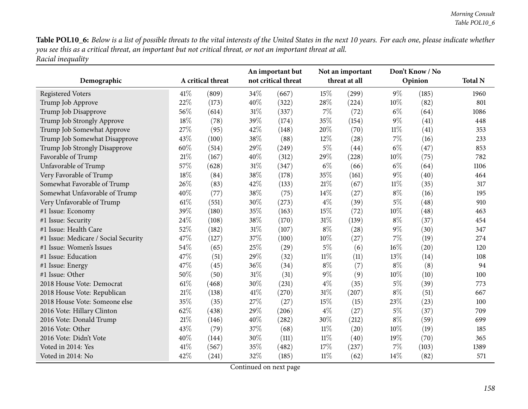Table POL10\_6: Below is a list of possible threats to the vital interests of the United States in the next 10 years. For each one, please indicate whether you see this as a critical threat, an important but not critical threat, or not an important threat at all. *Racial inequality*

| Demographic                          |      | A critical threat |      | An important but<br>not critical threat |        | Not an important<br>threat at all |        | Don't Know / No<br>Opinion | <b>Total N</b> |
|--------------------------------------|------|-------------------|------|-----------------------------------------|--------|-----------------------------------|--------|----------------------------|----------------|
| <b>Registered Voters</b>             | 41\% | (809)             | 34%  | (667)                                   | 15%    | (299)                             | $9\%$  | (185)                      | 1960           |
| Trump Job Approve                    | 22%  | (173)             | 40%  | (322)                                   | 28%    | (224)                             | $10\%$ | (82)                       | 801            |
| Trump Job Disapprove                 | 56%  | (614)             | 31%  | (337)                                   | $7\%$  | (72)                              | $6\%$  | (64)                       | 1086           |
| Trump Job Strongly Approve           | 18%  | (78)              | 39%  | (174)                                   | 35%    | (154)                             | $9\%$  | (41)                       | 448            |
| Trump Job Somewhat Approve           | 27%  | (95)              | 42%  | (148)                                   | 20%    | (70)                              | $11\%$ | (41)                       | 353            |
| Trump Job Somewhat Disapprove        | 43%  | (100)             | 38%  | (88)                                    | $12\%$ | (28)                              | $7\%$  | (16)                       | 233            |
| Trump Job Strongly Disapprove        | 60%  | (514)             | 29%  | (249)                                   | $5\%$  | (44)                              | $6\%$  | (47)                       | 853            |
| Favorable of Trump                   | 21%  | (167)             | 40%  | (312)                                   | 29%    | (228)                             | $10\%$ | (75)                       | 782            |
| Unfavorable of Trump                 | 57%  | (628)             | 31%  | (347)                                   | $6\%$  | (66)                              | $6\%$  | (64)                       | 1106           |
| Very Favorable of Trump              | 18%  | (84)              | 38%  | (178)                                   | 35%    | (161)                             | $9\%$  | (40)                       | 464            |
| Somewhat Favorable of Trump          | 26%  | (83)              | 42%  | (133)                                   | $21\%$ | (67)                              | $11\%$ | (35)                       | 317            |
| Somewhat Unfavorable of Trump        | 40%  | (77)              | 38%  | (75)                                    | $14\%$ | (27)                              | $8\%$  | (16)                       | 195            |
| Very Unfavorable of Trump            | 61\% | (551)             | 30%  | (273)                                   | $4\%$  | (39)                              | $5\%$  | (48)                       | 910            |
| #1 Issue: Economy                    | 39%  | (180)             | 35%  | (163)                                   | 15%    | (72)                              | 10%    | (48)                       | 463            |
| #1 Issue: Security                   | 24%  | (108)             | 38%  | (170)                                   | $31\%$ | (139)                             | $8\%$  | (37)                       | 454            |
| #1 Issue: Health Care                | 52%  | (182)             | 31%  | (107)                                   | $8\%$  | (28)                              | $9\%$  | (30)                       | 347            |
| #1 Issue: Medicare / Social Security | 47%  | (127)             | 37%  | (100)                                   | $10\%$ | (27)                              | 7%     | (19)                       | 274            |
| #1 Issue: Women's Issues             | 54%  | (65)              | 25%  | (29)                                    | $5\%$  | (6)                               | $16\%$ | (20)                       | 120            |
| #1 Issue: Education                  | 47%  | (51)              | 29%  | (32)                                    | $11\%$ | (11)                              | 13\%   | (14)                       | 108            |
| #1 Issue: Energy                     | 47%  | (45)              | 36%  | (34)                                    | $8\%$  | (7)                               | $8\%$  | (8)                        | 94             |
| #1 Issue: Other                      | 50%  | (50)              | 31%  | (31)                                    | $9\%$  | (9)                               | $10\%$ | (10)                       | 100            |
| 2018 House Vote: Democrat            | 61\% | (468)             | 30%  | (231)                                   | $4\%$  | (35)                              | $5\%$  | (39)                       | 773            |
| 2018 House Vote: Republican          | 21%  | (138)             | 41\% | (270)                                   | $31\%$ | (207)                             | $8\%$  | (51)                       | 667            |
| 2018 House Vote: Someone else        | 35%  | (35)              | 27%  | (27)                                    | 15%    | (15)                              | 23\%   | (23)                       | 100            |
| 2016 Vote: Hillary Clinton           | 62%  | (438)             | 29%  | (206)                                   | $4\%$  | (27)                              | $5\%$  | (37)                       | 709            |
| 2016 Vote: Donald Trump              | 21%  | (146)             | 40%  | (282)                                   | 30%    | (212)                             | $8\%$  | (59)                       | 699            |
| 2016 Vote: Other                     | 43%  | (79)              | 37%  | (68)                                    | $11\%$ | (20)                              | 10%    | (19)                       | 185            |
| 2016 Vote: Didn't Vote               | 40%  | (144)             | 30%  | (111)                                   | $11\%$ | (40)                              | 19%    | (70)                       | 365            |
| Voted in 2014: Yes                   | 41%  | (567)             | 35%  | (482)                                   | 17%    | (237)                             | 7%     | (103)                      | 1389           |
| Voted in 2014: No                    | 42%  | (241)             | 32%  | (185)                                   | $11\%$ | (62)                              | 14\%   | (82)                       | 571            |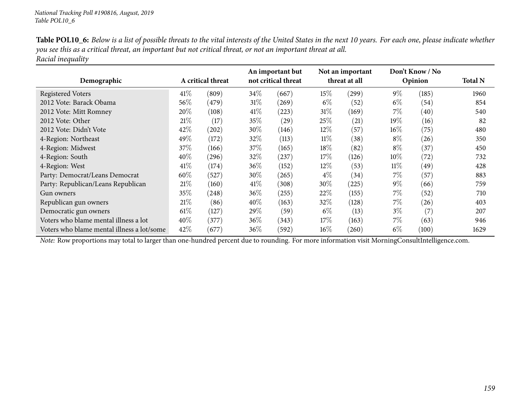| Table POL10_6: Below is a list of possible threats to the vital interests of the United States in the next 10 years. For each one, please indicate whether |
|------------------------------------------------------------------------------------------------------------------------------------------------------------|
| you see this as a critical threat, an important but not critical threat, or not an important threat at all.                                                |
| Racial inequality                                                                                                                                          |

|                                            |        |                   | An important but |                     | Not an important |               | Don't Know / No |         |                |
|--------------------------------------------|--------|-------------------|------------------|---------------------|------------------|---------------|-----------------|---------|----------------|
| Demographic                                |        | A critical threat |                  | not critical threat |                  | threat at all |                 | Opinion | <b>Total N</b> |
| <b>Registered Voters</b>                   | 41%    | (809)             | $34\%$           | (667)               | 15\%             | (299)         | $9\%$           | (185)   | 1960           |
| 2012 Vote: Barack Obama                    | $56\%$ | (479)             | 31%              | (269)               | $6\%$            | (52)          | $6\%$           | (54)    | 854            |
| 2012 Vote: Mitt Romney                     | 20%    | (108)             | 41\%             | (223)               | $31\%$           | (169)         | 7%              | (40)    | 540            |
| 2012 Vote: Other                           | 21%    | (17)              | 35%              | $\left( 29\right)$  | 25%              | (21)          | 19%             | (16)    | 82             |
| 2012 Vote: Didn't Vote                     | 42%    | (202)             | $30\%$           | (146)               | $12\%$           | (57)          | $16\%$          | (75)    | 480            |
| 4-Region: Northeast                        | 49%    | (172)             | 32\%             | (113)               | $11\%$           | (38)          | $8\%$           | (26)    | 350            |
| 4-Region: Midwest                          | 37\%   | (166)             | 37%              | (165)               | $18\%$           | (82)          | $8\%$           | (37)    | 450            |
| 4-Region: South                            | 40%    | (296)             | 32\%             | (237)               | $17\%$           | (126)         | $10\%$          | (72)    | 732            |
| 4-Region: West                             | 41%    | (174)             | $36\%$           | (152)               | $12\%$           | (53)          | 11%             | (49)    | 428            |
| Party: Democrat/Leans Democrat             | 60%    | (527)             | $30\%$           | (265)               | $4\%$            | (34)          | $7\%$           | (57)    | 883            |
| Party: Republican/Leans Republican         | 21%    | (160)             | $41\%$           | (308)               | $30\%$           | (225)         | $9\%$           | (66)    | 759            |
| Gun owners                                 | 35%    | (248)             | $36\%$           | (255)               | 22%              | (155)         | $7\%$           | (52)    | 710            |
| Republican gun owners                      | 21%    | (86)              | $40\%$           | (163)               | 32\%             | (128)         | $7\%$           | (26)    | 403            |
| Democratic gun owners                      | $61\%$ | (127)             | $29\%$           | (59)                | $6\%$            | (13)          | $3\%$           | (7)     | 207            |
| Voters who blame mental illness a lot      | 40%    | (377)             | $36\%$           | (343)               | $17\%$           | (163)         | $7\%$           | (63)    | 946            |
| Voters who blame mental illness a lot/some | 42\%   | (677)             | $36\%$           | (592)               | $16\%$           | (260)         | $6\%$           | (100)   | 1629           |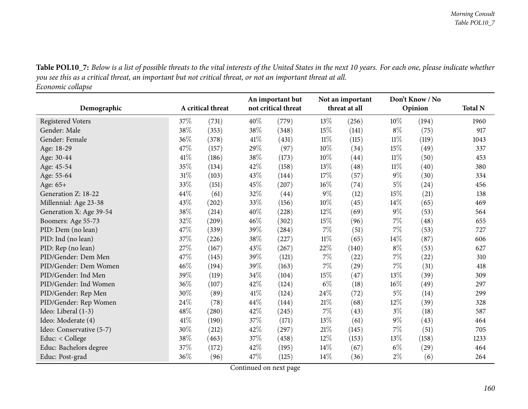Table POL10\_7: Below is a list of possible threats to the vital interests of the United States in the next 10 years. For each one, please indicate whether you see this as a critical threat, an important but not critical threat, or not an important threat at all. *Economic collapse*

|                          |        |                   |      | An important but    | Not an important<br>threat at all |           | Don't Know / No |         |                |
|--------------------------|--------|-------------------|------|---------------------|-----------------------------------|-----------|-----------------|---------|----------------|
| Demographic              |        | A critical threat |      | not critical threat |                                   |           |                 | Opinion | <b>Total N</b> |
| <b>Registered Voters</b> | 37%    | (731)             | 40%  | (779)               | 13%                               | (256)     | $10\%$          | (194)   | 1960           |
| Gender: Male             | 38%    | (353)             | 38%  | (348)               | 15%                               | (141)     | $8\%$           | (75)    | 917            |
| Gender: Female           | 36%    | (378)             | 41\% | (431)               | $11\%$                            | (115)     | $11\%$          | (119)   | 1043           |
| Age: 18-29               | 47%    | (157)             | 29%  | (97)                | 10%                               | (34)      | 15%             | (49)    | 337            |
| Age: 30-44               | 41\%   | (186)             | 38%  | (173)               | $10\%$                            | (44)      | $11\%$          | (50)    | 453            |
| Age: 45-54               | 35%    | (134)             | 42%  | (158)               | 13%                               | (48)      | $11\%$          | (40)    | 380            |
| Age: 55-64               | $31\%$ | (103)             | 43%  | (144)               | 17%                               | (57)      | $9\%$           | (30)    | 334            |
| Age: 65+                 | 33%    | (151)             | 45%  | (207)               | $16\%$                            | (74)      | $5\%$           | (24)    | 456            |
| Generation Z: 18-22      | 44%    | (61)              | 32%  | (44)                | $9\%$                             | (12)      | 15\%            | (21)    | 138            |
| Millennial: Age 23-38    | 43%    | (202)             | 33%  | (156)               | $10\%$                            | (45)      | $14\%$          | (65)    | 469            |
| Generation X: Age 39-54  | 38%    | (214)             | 40%  | (228)               | 12\%                              | (69)      | $9\%$           | (53)    | 564            |
| Boomers: Age 55-73       | 32%    | (209)             | 46%  | (302)               | 15\%                              | (96)      | $7\%$           | (48)    | 655            |
| PID: Dem (no lean)       | 47%    | (339)             | 39%  | (284)               | $7\%$                             | (51)      | $7\%$           | (53)    | 727            |
| PID: Ind (no lean)       | 37\%   | (226)             | 38%  | (227)               | $11\%$                            | (65)      | 14%             | (87)    | 606            |
| PID: Rep (no lean)       | 27%    | (167)             | 43%  | (267)               | 22\%                              | (140)     | $8\%$           | (53)    | 627            |
| PID/Gender: Dem Men      | 47%    | (145)             | 39%  | (121)               | $7\%$                             | (22)      | $7\%$           | (22)    | 310            |
| PID/Gender: Dem Women    | 46%    | (194)             | 39%  | (163)               | $7\%$                             | $^{(29)}$ | 7%              | (31)    | 418            |
| PID/Gender: Ind Men      | 39%    | (119)             | 34%  | (104)               | 15\%                              | (47)      | 13\%            | (39)    | 309            |
| PID/Gender: Ind Women    | 36%    | (107)             | 42%  | (124)               | $6\%$                             | (18)      | $16\%$          | (49)    | 297            |
| PID/Gender: Rep Men      | 30%    | (89)              | 41\% | (124)               | 24\%                              | (72)      | $5\%$           | (14)    | 299            |
| PID/Gender: Rep Women    | 24%    | (78)              | 44%  | (144)               | $21\%$                            | (68)      | 12\%            | (39)    | 328            |
| Ideo: Liberal (1-3)      | 48%    | (280)             | 42%  | (245)               | $7\%$                             | (43)      | $3\%$           | (18)    | 587            |
| Ideo: Moderate (4)       | 41\%   | (190)             | 37%  | (171)               | 13\%                              | (61)      | $9\%$           | (43)    | 464            |
| Ideo: Conservative (5-7) | 30%    | (212)             | 42%  | (297)               | 21%                               | (145)     | $7\%$           | (51)    | 705            |
| Educ: < College          | 38%    | (463)             | 37%  | (458)               | 12\%                              | (153)     | 13\%            | (158)   | 1233           |
| Educ: Bachelors degree   | 37%    | (172)             | 42%  | (195)               | $14\%$                            | (67)      | $6\%$           | (29)    | 464            |
| Educ: Post-grad          | 36%    | (96)              | 47%  | (125)               | $14\%$                            | (36)      | $2\%$           | (6)     | 264            |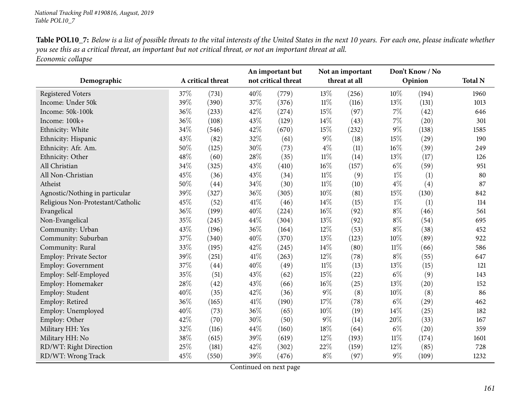| <b>Table POL10_7:</b> Below is a list of possible threats to the vital interests of the United States in the next 10 years. For each one, please indicate whether |
|-------------------------------------------------------------------------------------------------------------------------------------------------------------------|
| you see this as a critical threat, an important but not critical threat, or not an important threat at all.                                                       |
| Economic collapse                                                                                                                                                 |

|                                   |     | A critical threat |        | An important but<br>not critical threat |        | Not an important |        | Don't Know / No |                |
|-----------------------------------|-----|-------------------|--------|-----------------------------------------|--------|------------------|--------|-----------------|----------------|
| Demographic                       |     |                   |        |                                         |        | threat at all    |        | Opinion         | <b>Total N</b> |
| <b>Registered Voters</b>          | 37% | (731)             | 40%    | (779)                                   | 13%    | (256)            | 10%    | (194)           | 1960           |
| Income: Under 50k                 | 39% | (390)             | 37%    | (376)                                   | $11\%$ | (116)            | 13%    | (131)           | 1013           |
| Income: 50k-100k                  | 36% | (233)             | 42%    | (274)                                   | 15%    | (97)             | $7\%$  | (42)            | 646            |
| Income: 100k+                     | 36% | (108)             | 43%    | (129)                                   | 14%    | (43)             | 7%     | (20)            | 301            |
| Ethnicity: White                  | 34% | (546)             | 42%    | (670)                                   | 15%    | (232)            | $9\%$  | (138)           | 1585           |
| Ethnicity: Hispanic               | 43% | (82)              | 32%    | (61)                                    | $9\%$  | (18)             | 15%    | (29)            | 190            |
| Ethnicity: Afr. Am.               | 50% | (125)             | 30%    | (73)                                    | $4\%$  | (11)             | 16%    | (39)            | 249            |
| Ethnicity: Other                  | 48% | (60)              | 28\%   | (35)                                    | $11\%$ | (14)             | 13%    | (17)            | 126            |
| All Christian                     | 34% | (325)             | 43\%   | (410)                                   | 16%    | (157)            | $6\%$  | (59)            | 951            |
| All Non-Christian                 | 45% | (36)              | 43%    | (34)                                    | $11\%$ | (9)              | $1\%$  | (1)             | 80             |
| Atheist                           | 50% | (44)              | 34%    | (30)                                    | $11\%$ | (10)             | $4\%$  | (4)             | 87             |
| Agnostic/Nothing in particular    | 39% | (327)             | 36%    | (305)                                   | $10\%$ | (81)             | 15%    | (130)           | 842            |
| Religious Non-Protestant/Catholic | 45% | (52)              | $41\%$ | (46)                                    | 14%    | (15)             | $1\%$  | (1)             | 114            |
| Evangelical                       | 36% | (199)             | 40%    | (224)                                   | $16\%$ | (92)             | $8\%$  | (46)            | 561            |
| Non-Evangelical                   | 35% | (245)             | 44%    | (304)                                   | 13%    | (92)             | $8\%$  | (54)            | 695            |
| Community: Urban                  | 43% | (196)             | 36%    | (164)                                   | 12%    | (53)             | $8\%$  | (38)            | 452            |
| Community: Suburban               | 37% | (340)             | 40%    | (370)                                   | 13%    | (123)            | 10%    | (89)            | 922            |
| Community: Rural                  | 33% | (195)             | 42%    | (245)                                   | 14%    | (80)             | $11\%$ | (66)            | 586            |
| Employ: Private Sector            | 39% | (251)             | $41\%$ | (263)                                   | 12%    | (78)             | $8\%$  | (55)            | 647            |
| <b>Employ: Government</b>         | 37% | (44)              | 40%    | (49)                                    | $11\%$ | (13)             | 13%    | (15)            | 121            |
| Employ: Self-Employed             | 35% | (51)              | 43%    | (62)                                    | 15%    | (22)             | $6\%$  | (9)             | 143            |
| Employ: Homemaker                 | 28% | (42)              | 43%    | (66)                                    | $16\%$ | (25)             | 13%    | (20)            | 152            |
| Employ: Student                   | 40% | (35)              | 42%    | (36)                                    | $9\%$  | (8)              | 10%    | (8)             | 86             |
| Employ: Retired                   | 36% | (165)             | $41\%$ | (190)                                   | 17%    | (78)             | $6\%$  | (29)            | 462            |
| Employ: Unemployed                | 40% | (73)              | 36\%   | (65)                                    | 10%    | (19)             | 14%    | (25)            | 182            |
| Employ: Other                     | 42% | (70)              | 30%    | (50)                                    | $9\%$  | (14)             | 20%    | (33)            | 167            |
| Military HH: Yes                  | 32% | (116)             | 44\%   | (160)                                   | 18%    | (64)             | $6\%$  | (20)            | 359            |
| Military HH: No                   | 38% | (615)             | 39%    | (619)                                   | 12%    | (193)            | $11\%$ | (174)           | 1601           |
| RD/WT: Right Direction            | 25% | (181)             | 42%    | (302)                                   | 22%    | (159)            | 12%    | (85)            | 728            |
| RD/WT: Wrong Track                | 45% | (550)             | 39%    | (476)                                   | $8\%$  | (97)             | $9\%$  | (109)           | 1232           |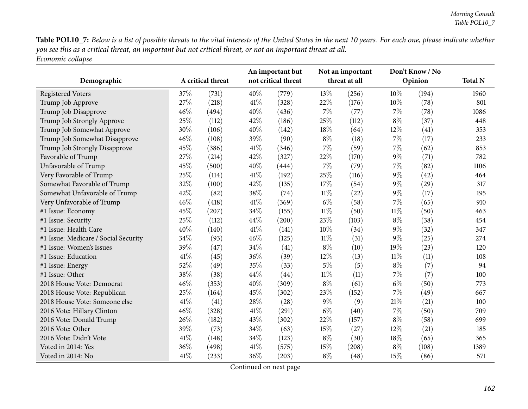Table POL10\_7: Below is a list of possible threats to the vital interests of the United States in the next 10 years. For each one, please indicate whether you see this as a critical threat, an important but not critical threat, or not an important threat at all. *Economic collapse*

| Demographic                          |      | A critical threat |      | An important but<br>not critical threat |        | Not an important<br>threat at all |        | Don't Know / No<br>Opinion | <b>Total N</b> |
|--------------------------------------|------|-------------------|------|-----------------------------------------|--------|-----------------------------------|--------|----------------------------|----------------|
| <b>Registered Voters</b>             | 37%  | (731)             | 40%  | (779)                                   | 13%    | (256)                             | 10%    | (194)                      | 1960           |
| Trump Job Approve                    | 27%  | (218)             | 41\% | (328)                                   | 22%    | (176)                             | $10\%$ | (78)                       | 801            |
| Trump Job Disapprove                 | 46%  | (494)             | 40%  | (436)                                   | 7%     | (77)                              | $7\%$  | (78)                       | 1086           |
| Trump Job Strongly Approve           | 25%  | (112)             | 42%  | (186)                                   | 25%    | (112)                             | $8\%$  | (37)                       | 448            |
| Trump Job Somewhat Approve           | 30%  | (106)             | 40%  | (142)                                   | $18\%$ | (64)                              | 12%    | (41)                       | 353            |
| Trump Job Somewhat Disapprove        | 46%  | (108)             | 39%  | (90)                                    | $8\%$  | (18)                              | $7\%$  | (17)                       | 233            |
| Trump Job Strongly Disapprove        | 45%  | (386)             | 41\% | (346)                                   | $7\%$  | (59)                              | $7\%$  | (62)                       | 853            |
| Favorable of Trump                   | 27%  | (214)             | 42%  | (327)                                   | 22%    | (170)                             | $9\%$  | (71)                       | 782            |
| Unfavorable of Trump                 | 45%  | (500)             | 40%  | (444)                                   | $7\%$  | (79)                              | $7\%$  | (82)                       | 1106           |
| Very Favorable of Trump              | 25%  | (114)             | 41\% | (192)                                   | 25%    | (116)                             | $9\%$  | (42)                       | 464            |
| Somewhat Favorable of Trump          | 32%  | (100)             | 42%  | (135)                                   | 17%    | (54)                              | $9\%$  | (29)                       | 317            |
| Somewhat Unfavorable of Trump        | 42%  | (82)              | 38%  | (74)                                    | $11\%$ | (22)                              | $9\%$  | (17)                       | 195            |
| Very Unfavorable of Trump            | 46%  | (418)             | 41\% | (369)                                   | $6\%$  | (58)                              | $7\%$  | (65)                       | 910            |
| #1 Issue: Economy                    | 45%  | (207)             | 34%  | (155)                                   | $11\%$ | (50)                              | $11\%$ | (50)                       | 463            |
| #1 Issue: Security                   | 25%  | (112)             | 44%  | (200)                                   | 23%    | (103)                             | $8\%$  | (38)                       | 454            |
| #1 Issue: Health Care                | 40%  | (140)             | 41\% | (141)                                   | 10%    | (34)                              | $9\%$  | (32)                       | 347            |
| #1 Issue: Medicare / Social Security | 34%  | (93)              | 46%  | (125)                                   | $11\%$ | (31)                              | $9\%$  | (25)                       | 274            |
| #1 Issue: Women's Issues             | 39%  | (47)              | 34%  | (41)                                    | $8\%$  | (10)                              | $19\%$ | (23)                       | 120            |
| #1 Issue: Education                  | 41%  | (45)              | 36%  | (39)                                    | 12%    | (13)                              | $11\%$ | (11)                       | 108            |
| #1 Issue: Energy                     | 52%  | (49)              | 35%  | (33)                                    | $5\%$  | (5)                               | $8\%$  | (7)                        | 94             |
| #1 Issue: Other                      | 38%  | (38)              | 44%  | (44)                                    | $11\%$ | (11)                              | $7\%$  | (7)                        | 100            |
| 2018 House Vote: Democrat            | 46%  | (353)             | 40%  | (309)                                   | $8\%$  | (61)                              | $6\%$  | (50)                       | 773            |
| 2018 House Vote: Republican          | 25%  | (164)             | 45%  | (302)                                   | 23%    | (152)                             | $7\%$  | (49)                       | 667            |
| 2018 House Vote: Someone else        | 41\% | (41)              | 28%  | (28)                                    | $9\%$  | (9)                               | 21%    | (21)                       | 100            |
| 2016 Vote: Hillary Clinton           | 46%  | (328)             | 41\% | (291)                                   | $6\%$  | (40)                              | $7\%$  | (50)                       | 709            |
| 2016 Vote: Donald Trump              | 26%  | (182)             | 43%  | (302)                                   | 22%    | (157)                             | $8\%$  | (58)                       | 699            |
| 2016 Vote: Other                     | 39%  | (73)              | 34%  | (63)                                    | 15%    | (27)                              | 12\%   | (21)                       | 185            |
| 2016 Vote: Didn't Vote               | 41%  | (148)             | 34%  | (123)                                   | $8\%$  | (30)                              | $18\%$ | (65)                       | 365            |
| Voted in 2014: Yes                   | 36%  | (498)             | 41\% | (575)                                   | 15%    | (208)                             | $8\%$  | (108)                      | 1389           |
| Voted in 2014: No                    | 41%  | (233)             | 36%  | (203)                                   | $8\%$  | (48)                              | 15%    | (86)                       | 571            |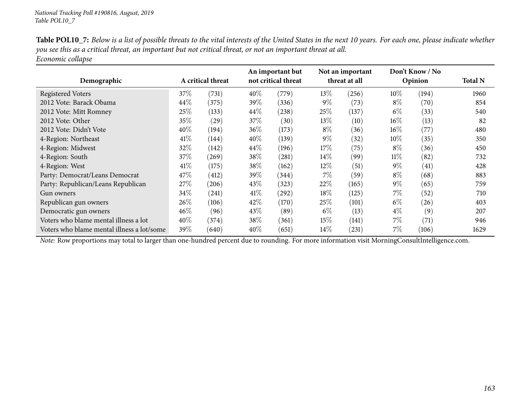| <b>Table POL10_7:</b> Below is a list of possible threats to the vital interests of the United States in the next 10 years. For each one, please indicate whether |
|-------------------------------------------------------------------------------------------------------------------------------------------------------------------|
| you see this as a critical threat, an important but not critical threat, or not an important threat at all.                                                       |
| Economic collapse                                                                                                                                                 |

|                                            |      |                   |        | An important but    |        | Not an important |        | Don't Know / No    |                |  |
|--------------------------------------------|------|-------------------|--------|---------------------|--------|------------------|--------|--------------------|----------------|--|
| Demographic                                |      | A critical threat |        | not critical threat |        | threat at all    |        | Opinion            | <b>Total N</b> |  |
| <b>Registered Voters</b>                   | 37\% | (731)             | 40\%   | (779)               | 13\%   | (256)            | $10\%$ | (194)              | 1960           |  |
| 2012 Vote: Barack Obama                    | 44\% | (375)             | 39\%   | (336)               | $9\%$  | (73)             | $8\%$  | (70)               | 854            |  |
| 2012 Vote: Mitt Romney                     | 25%  | (133)             | $44\%$ | (238)               | $25\%$ | (137)            | $6\%$  | (33)               | 540            |  |
| 2012 Vote: Other                           | 35%  | (29)              | 37\%   | (30)                | 13\%   | (10)             | $16\%$ | (13)               | 82             |  |
| 2012 Vote: Didn't Vote                     | 40%  | (194)             | 36\%   | (173)               | $8\%$  | (36)             | $16\%$ | (77)               | 480            |  |
| 4-Region: Northeast                        | 41%  | (144)             | $40\%$ | (139)               | $9\%$  | (32)             | $10\%$ | (35)               | 350            |  |
| 4-Region: Midwest                          | 32%  | (142)             | $44\%$ | (196)               | $17\%$ | (75)             | $8\%$  | (36)               | 450            |  |
| 4-Region: South                            | 37\% | (269)             | 38\%   | (281)               | $14\%$ | (99)             | $11\%$ | (82)               | 732            |  |
| 4-Region: West                             | 41%  | (175)             | 38\%   | (162)               | $12\%$ | (51)             | $9\%$  | (41)               | 428            |  |
| Party: Democrat/Leans Democrat             | 47\% | (412)             | 39\%   | (344)               | 7%     | (59)             | $8\%$  | (68)               | 883            |  |
| Party: Republican/Leans Republican         | 27\% | (206)             | 43\%   | (323)               | 22\%   | (165)            | $9\%$  | (65)               | 759            |  |
| Gun owners                                 | 34\% | (241)             | $41\%$ | (292)               | 18%    | (125)            | $7\%$  | (52)               | 710            |  |
| Republican gun owners                      | 26\% | (106)             | 42\%   | (170)               | 25%    | (101)            | $6\%$  | (26)               | 403            |  |
| Democratic gun owners                      | 46%  | (96)              | 43\%   | (89)                | $6\%$  | (13)             | $4\%$  | (9)                | 207            |  |
| Voters who blame mental illness a lot      | 40%  | (374)             | 38\%   | (361)               | 15%    | (141)            | $7\%$  | $\left( 71\right)$ | 946            |  |
| Voters who blame mental illness a lot/some | 39\% | (640)             | 40%    | (651)               | $14\%$ | (231)            | 7%     | (106)              | 1629           |  |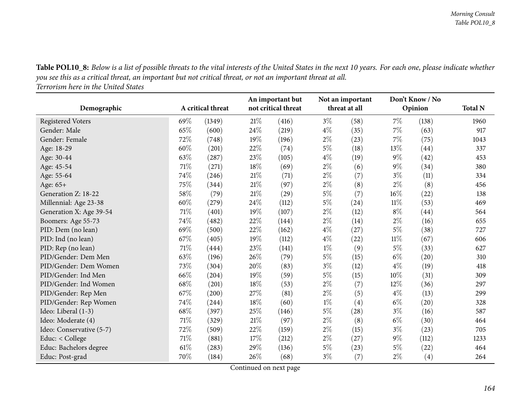Table POL10\_8: Below is a list of possible threats to the vital interests of the United States in the next 10 years. For each one, please indicate whether you see this as a critical threat, an important but not critical threat, or not an important threat at all.

*Terrorism here in the United States*

| Demographic              |        | A critical threat |        | An important but<br>not critical threat |       | Not an important<br>threat at all |        | Don't Know / No<br>Opinion | <b>Total N</b> |
|--------------------------|--------|-------------------|--------|-----------------------------------------|-------|-----------------------------------|--------|----------------------------|----------------|
| <b>Registered Voters</b> | 69%    | (1349)            | 21\%   | (416)                                   | $3\%$ | (58)                              | $7\%$  | (138)                      | 1960           |
| Gender: Male             | 65%    | (600)             | 24%    | (219)                                   | $4\%$ | (35)                              | 7%     | (63)                       | 917            |
| Gender: Female           | 72%    | (748)             | 19%    | (196)                                   | $2\%$ | (23)                              | $7\%$  | (75)                       | 1043           |
| Age: 18-29               | 60%    | (201)             | 22%    | (74)                                    | $5\%$ | (18)                              | 13%    | (44)                       | 337            |
| Age: 30-44               | 63%    | (287)             | 23%    | (105)                                   | $4\%$ | (19)                              | $9\%$  | (42)                       | 453            |
| Age: 45-54               | $71\%$ | (271)             | 18%    | (69)                                    | $2\%$ | (6)                               | $9\%$  | (34)                       | 380            |
| Age: 55-64               | 74%    | (246)             | 21%    | (71)                                    | $2\%$ | (7)                               | $3\%$  | (11)                       | 334            |
| Age: 65+                 | 75%    | (344)             | 21\%   | (97)                                    | $2\%$ | (8)                               | $2\%$  | (8)                        | 456            |
| Generation Z: 18-22      | 58%    | (79)              | 21\%   | (29)                                    | $5\%$ | (7)                               | 16%    | (22)                       | 138            |
| Millennial: Age 23-38    | 60%    | (279)             | 24%    | (112)                                   | $5\%$ | (24)                              | $11\%$ | (53)                       | 469            |
| Generation X: Age 39-54  | 71\%   | (401)             | 19%    | (107)                                   | $2\%$ | (12)                              | $8\%$  | (44)                       | 564            |
| Boomers: Age 55-73       | 74%    | (482)             | 22%    | (144)                                   | $2\%$ | (14)                              | $2\%$  | (16)                       | 655            |
| PID: Dem (no lean)       | 69%    | (500)             | 22%    | (162)                                   | $4\%$ | (27)                              | $5\%$  | (38)                       | 727            |
| PID: Ind (no lean)       | 67%    | (405)             | 19%    | (112)                                   | $4\%$ | (22)                              | $11\%$ | (67)                       | 606            |
| PID: Rep (no lean)       | 71%    | (444)             | 23%    | (141)                                   | $1\%$ | (9)                               | $5\%$  | (33)                       | 627            |
| PID/Gender: Dem Men      | 63%    | (196)             | 26%    | (79)                                    | $5\%$ | (15)                              | $6\%$  | (20)                       | 310            |
| PID/Gender: Dem Women    | 73%    | (304)             | 20%    | (83)                                    | $3\%$ | (12)                              | $4\%$  | (19)                       | 418            |
| PID/Gender: Ind Men      | 66%    | (204)             | 19%    | (59)                                    | $5\%$ | (15)                              | $10\%$ | (31)                       | 309            |
| PID/Gender: Ind Women    | 68%    | (201)             | 18%    | (53)                                    | $2\%$ | (7)                               | 12\%   | (36)                       | 297            |
| PID/Gender: Rep Men      | 67%    | (200)             | 27\%   | (81)                                    | $2\%$ | (5)                               | $4\%$  | (13)                       | 299            |
| PID/Gender: Rep Women    | 74%    | (244)             | 18%    | (60)                                    | $1\%$ | (4)                               | $6\%$  | (20)                       | 328            |
| Ideo: Liberal (1-3)      | 68%    | (397)             | 25%    | (146)                                   | $5\%$ | (28)                              | $3\%$  | (16)                       | 587            |
| Ideo: Moderate (4)       | 71%    | (329)             | $21\%$ | (97)                                    | $2\%$ | (8)                               | $6\%$  | (30)                       | 464            |
| Ideo: Conservative (5-7) | 72%    | (509)             | 22%    | (159)                                   | $2\%$ | (15)                              | $3\%$  | (23)                       | 705            |
| Educ: < College          | 71%    | (881)             | 17%    | (212)                                   | $2\%$ | (27)                              | $9\%$  | (112)                      | 1233           |
| Educ: Bachelors degree   | 61\%   | (283)             | 29%    | (136)                                   | $5\%$ | (23)                              | $5\%$  | (22)                       | 464            |
| Educ: Post-grad          | 70%    | (184)             | 26%    | (68)                                    | $3\%$ | (7)                               | $2\%$  | (4)                        | 264            |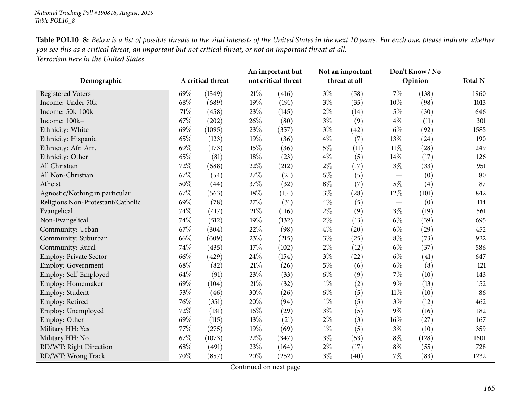| Table POL10_8: Below is a list of possible threats to the vital interests of the United States in the next 10 years. For each one, please indicate whether |
|------------------------------------------------------------------------------------------------------------------------------------------------------------|
| you see this as a critical threat, an important but not critical threat, or not an important threat at all.                                                |
| Terrorism here in the United States                                                                                                                        |

|                                   |     |                   |        | An important but    |       | Not an important |                          | Don't Know / No |                |
|-----------------------------------|-----|-------------------|--------|---------------------|-------|------------------|--------------------------|-----------------|----------------|
| Demographic                       |     | A critical threat |        | not critical threat |       | threat at all    |                          | Opinion         | <b>Total N</b> |
| <b>Registered Voters</b>          | 69% | (1349)            | $21\%$ | (416)               | $3\%$ | (58)             | $7\%$                    | (138)           | 1960           |
| Income: Under 50k                 | 68% | (689)             | 19%    | (191)               | $3\%$ | (35)             | $10\%$                   | (98)            | 1013           |
| Income: 50k-100k                  | 71% | (458)             | 23%    | (145)               | $2\%$ | (14)             | $5\%$                    | (30)            | 646            |
| Income: 100k+                     | 67% | (202)             | 26%    | (80)                | $3\%$ | (9)              | $4\%$                    | (11)            | 301            |
| Ethnicity: White                  | 69% | (1095)            | 23%    | (357)               | $3\%$ | (42)             | $6\%$                    | (92)            | 1585           |
| Ethnicity: Hispanic               | 65% | (123)             | 19%    | (36)                | $4\%$ | (7)              | 13%                      | (24)            | 190            |
| Ethnicity: Afr. Am.               | 69% | (173)             | 15%    | (36)                | $5\%$ | (11)             | $11\%$                   | (28)            | 249            |
| Ethnicity: Other                  | 65% | (81)              | 18%    | (23)                | $4\%$ | (5)              | 14%                      | (17)            | 126            |
| All Christian                     | 72% | (688)             | 22%    | (212)               | $2\%$ | (17)             | $3\%$                    | (33)            | 951            |
| All Non-Christian                 | 67% | (54)              | 27%    | (21)                | $6\%$ | (5)              | $\overline{\phantom{m}}$ | (0)             | 80             |
| Atheist                           | 50% | (44)              | 37%    | (32)                | $8\%$ | (7)              | $5\%$                    | (4)             | 87             |
| Agnostic/Nothing in particular    | 67% | (563)             | 18%    | (151)               | $3\%$ | (28)             | 12%                      | (101)           | 842            |
| Religious Non-Protestant/Catholic | 69% | (78)              | 27%    | (31)                | $4\%$ | (5)              |                          | (0)             | 114            |
| Evangelical                       | 74% | (417)             | 21%    | (116)               | $2\%$ | (9)              | $3\%$                    | (19)            | 561            |
| Non-Evangelical                   | 74% | (512)             | 19%    | (132)               | $2\%$ | (13)             | $6\%$                    | (39)            | 695            |
| Community: Urban                  | 67% | (304)             | 22%    | (98)                | $4\%$ | (20)             | $6\%$                    | (29)            | 452            |
| Community: Suburban               | 66% | (609)             | 23%    | (215)               | $3\%$ | (25)             | $8\%$                    | (73)            | 922            |
| Community: Rural                  | 74% | (435)             | 17%    | (102)               | $2\%$ | (12)             | $6\%$                    | (37)            | 586            |
| Employ: Private Sector            | 66% | (429)             | 24%    | (154)               | $3\%$ | (22)             | $6\%$                    | (41)            | 647            |
| Employ: Government                | 68% | (82)              | 21%    | (26)                | $5\%$ | (6)              | $6\%$                    | (8)             | 121            |
| Employ: Self-Employed             | 64% | (91)              | 23%    | (33)                | $6\%$ | (9)              | 7%                       | (10)            | 143            |
| Employ: Homemaker                 | 69% | (104)             | 21%    | (32)                | $1\%$ | (2)              | $9\%$                    | (13)            | 152            |
| Employ: Student                   | 53% | (46)              | 30%    | (26)                | $6\%$ | (5)              | $11\%$                   | (10)            | 86             |
| Employ: Retired                   | 76% | (351)             | 20%    | (94)                | $1\%$ | (5)              | $3\%$                    | (12)            | 462            |
| Employ: Unemployed                | 72% | (131)             | 16%    | (29)                | $3\%$ | (5)              | $9\%$                    | (16)            | 182            |
| Employ: Other                     | 69% | (115)             | 13%    | (21)                | $2\%$ | (3)              | $16\%$                   | (27)            | 167            |
| Military HH: Yes                  | 77% | (275)             | 19%    | (69)                | $1\%$ | (5)              | $3\%$                    | (10)            | 359            |
| Military HH: No                   | 67% | (1073)            | 22%    | (347)               | $3\%$ | (53)             | $8\%$                    | (128)           | 1601           |
| RD/WT: Right Direction            | 68% | (491)             | 23%    | (164)               | $2\%$ | (17)             | $8\%$                    | (55)            | 728            |
| RD/WT: Wrong Track                | 70% | (857)             | 20%    | (252)               | $3\%$ | (40)             | $7\%$                    | (83)            | 1232           |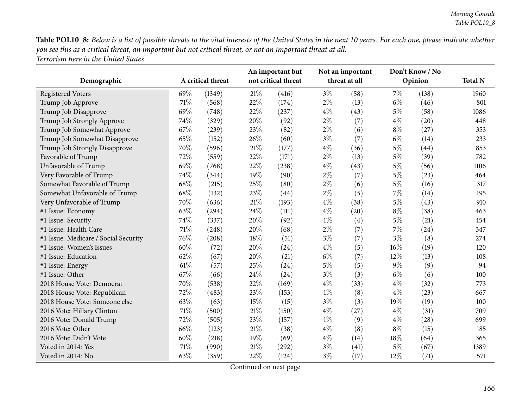Table POL10\_8: Below is a list of possible threats to the vital interests of the United States in the next 10 years. For each one, please indicate whether you see this as a critical threat, an important but not critical threat, or not an important threat at all. *Terrorism here in the United States*

| Demographic                          |      | A critical threat |        | An important but<br>not critical threat |       | Not an important<br>threat at all |        | Don't Know / No<br>Opinion | <b>Total N</b> |
|--------------------------------------|------|-------------------|--------|-----------------------------------------|-------|-----------------------------------|--------|----------------------------|----------------|
| <b>Registered Voters</b>             | 69%  | (1349)            | 21\%   | (416)                                   | $3\%$ | (58)                              | $7\%$  | (138)                      | 1960           |
| Trump Job Approve                    | 71\% | (568)             | 22%    | (174)                                   | $2\%$ | (13)                              | $6\%$  | (46)                       | 801            |
| Trump Job Disapprove                 | 69%  | (748)             | 22%    | (237)                                   | $4\%$ | (43)                              | $5\%$  | (58)                       | 1086           |
| Trump Job Strongly Approve           | 74%  | (329)             | 20%    | (92)                                    | $2\%$ | (7)                               | $4\%$  | (20)                       | 448            |
| Trump Job Somewhat Approve           | 67%  | (239)             | 23%    | (82)                                    | $2\%$ | (6)                               | $8\%$  | (27)                       | 353            |
| Trump Job Somewhat Disapprove        | 65%  | (152)             | 26%    | (60)                                    | $3\%$ | (7)                               | $6\%$  | (14)                       | 233            |
| Trump Job Strongly Disapprove        | 70%  | (596)             | 21\%   | (177)                                   | $4\%$ | (36)                              | $5\%$  | (44)                       | 853            |
| Favorable of Trump                   | 72%  | (559)             | 22%    | (171)                                   | $2\%$ | (13)                              | $5\%$  | (39)                       | 782            |
| Unfavorable of Trump                 | 69%  | (768)             | 22%    | (238)                                   | $4\%$ | (43)                              | $5\%$  | (56)                       | 1106           |
| Very Favorable of Trump              | 74%  | (344)             | 19%    | (90)                                    | $2\%$ | (7)                               | $5\%$  | (23)                       | 464            |
| Somewhat Favorable of Trump          | 68%  | (215)             | 25%    | (80)                                    | $2\%$ | (6)                               | $5\%$  | (16)                       | 317            |
| Somewhat Unfavorable of Trump        | 68%  | (132)             | 23%    | (44)                                    | $2\%$ | (5)                               | $7\%$  | (14)                       | 195            |
| Very Unfavorable of Trump            | 70%  | (636)             | 21\%   | (193)                                   | $4\%$ | (38)                              | $5\%$  | (43)                       | 910            |
| #1 Issue: Economy                    | 63%  | (294)             | 24%    | (111)                                   | $4\%$ | (20)                              | $8\%$  | (38)                       | 463            |
| #1 Issue: Security                   | 74%  | (337)             | 20%    | (92)                                    | $1\%$ | (4)                               | $5\%$  | (21)                       | 454            |
| #1 Issue: Health Care                | 71%  | (248)             | 20%    | (68)                                    | $2\%$ | (7)                               | $7\%$  | (24)                       | 347            |
| #1 Issue: Medicare / Social Security | 76%  | (208)             | 18%    | (51)                                    | $3\%$ | (7)                               | $3\%$  | (8)                        | 274            |
| #1 Issue: Women's Issues             | 60%  | (72)              | 20%    | (24)                                    | $4\%$ | (5)                               | $16\%$ | (19)                       | 120            |
| #1 Issue: Education                  | 62%  | (67)              | 20%    | (21)                                    | $6\%$ | (7)                               | 12%    | (13)                       | 108            |
| #1 Issue: Energy                     | 61\% | (57)              | 25%    | (24)                                    | $5\%$ | (5)                               | $9\%$  | (9)                        | 94             |
| #1 Issue: Other                      | 67%  | (66)              | 24%    | (24)                                    | $3\%$ | (3)                               | $6\%$  | (6)                        | 100            |
| 2018 House Vote: Democrat            | 70%  | (538)             | 22%    | (169)                                   | $4\%$ | (33)                              | $4\%$  | (32)                       | 773            |
| 2018 House Vote: Republican          | 72%  | (483)             | 23%    | (153)                                   | $1\%$ | (8)                               | $4\%$  | (23)                       | 667            |
| 2018 House Vote: Someone else        | 63%  | (63)              | 15%    | (15)                                    | $3\%$ | (3)                               | 19%    | (19)                       | 100            |
| 2016 Vote: Hillary Clinton           | 71%  | (500)             | $21\%$ | (150)                                   | $4\%$ | (27)                              | $4\%$  | (31)                       | 709            |
| 2016 Vote: Donald Trump              | 72%  | (505)             | 23%    | (157)                                   | $1\%$ | (9)                               | $4\%$  | (28)                       | 699            |
| 2016 Vote: Other                     | 66%  | (123)             | $21\%$ | (38)                                    | $4\%$ | (8)                               | $8\%$  | (15)                       | 185            |
| 2016 Vote: Didn't Vote               | 60%  | (218)             | 19%    | (69)                                    | $4\%$ | (14)                              | $18\%$ | (64)                       | 365            |
| Voted in 2014: Yes                   | 71%  | (990)             | 21\%   | (292)                                   | $3\%$ | (41)                              | $5\%$  | (67)                       | 1389           |
| Voted in 2014: No                    | 63%  | (359)             | 22%    | (124)                                   | $3\%$ | (17)                              | 12%    | (71)                       | 571            |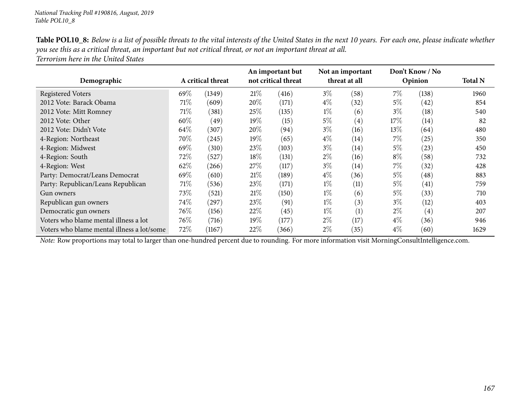| <b>Table POL10_8:</b> Below is a list of possible threats to the vital interests of the United States in the next 10 years. For each one, please indicate whether |  |
|-------------------------------------------------------------------------------------------------------------------------------------------------------------------|--|
| you see this as a critical threat, an important but not critical threat, or not an important threat at all.                                                       |  |
| Terrorism here in the United States                                                                                                                               |  |

|                                            |                   |                     |        | An important but    | Don't Know / No<br>Not an important |                   |       |                   |                |
|--------------------------------------------|-------------------|---------------------|--------|---------------------|-------------------------------------|-------------------|-------|-------------------|----------------|
| Demographic                                | A critical threat |                     |        | not critical threat |                                     | threat at all     |       | Opinion           | <b>Total N</b> |
| Registered Voters                          | 69\%              | (1349)              | 21%    | (416)               | $3\%$                               | (58)              | $7\%$ | (138)             | 1960           |
| 2012 Vote: Barack Obama                    | 71\%              | (609)               | 20%    | (171)               | $4\%$                               | $^{(32)}$         | 5%    | (42)              | 854            |
| 2012 Vote: Mitt Romney                     | 71\%              | (381)               | 25%    | (135)               | $1\%$                               | (6)               | $3\%$ | (18)              | 540            |
| 2012 Vote: Other                           | 60%               | (49)                | 19%    | (15)                | $5\%$                               | $\left( 4\right)$ | 17%   | (14)              | 82             |
| 2012 Vote: Didn't Vote                     | 64\%              | (307)               | 20%    | (94)                | $3\%$                               | (16)              | 13%   | (64)              | 480            |
| 4-Region: Northeast                        | $70\%$            | (245)               | 19%    | (65)                | $4\%$                               | $\left(14\right)$ | $7\%$ | (25)              | 350            |
| 4-Region: Midwest                          | 69%               | (310)               | 23\%   | (103)               | $3\%$                               | $\left(14\right)$ | 5%    | (23)              | 450            |
| 4-Region: South                            | 72\%              | (527)               | 18\%   | (131)               | $2\%$                               | (16)              | $8\%$ | (58)              | 732            |
| 4-Region: West                             | 62%               | (266)               | $27\%$ | (117)               | $3\%$                               | (14)              | $7\%$ | (32)              | 428            |
| Party: Democrat/Leans Democrat             | 69%               | (610)               | 21%    | (189)               | $4\%$                               | (36)              | $5\%$ | (48)              | 883            |
| Party: Republican/Leans Republican         | 71\%              | (536)               | 23\%   | (171)               | $1\%$                               | (11)              | $5\%$ | (41)              | 759            |
| Gun owners                                 | 73\%              | (521)               | 21%    | (150)               | $1\%$                               | (6)               | $5\%$ | (33)              | 710            |
| Republican gun owners                      | 74%               | $\left( 297\right)$ | 23%    | (91)                | $1\%$                               | (3)               | $3\%$ | (12)              | 403            |
| Democratic gun owners                      | 76\%              | (156)               | $22\%$ | (45)                | $1\%$                               | (1)               | $2\%$ | $\left( 4\right)$ | 207            |
| Voters who blame mental illness a lot      | 76%               | (716)               | 19%    | (177)               | $2\%$                               | (17)              | $4\%$ | (36)              | 946            |
| Voters who blame mental illness a lot/some | 72%               | (1167)              | 22%    | (366)               | $2\%$                               | (35)              | $4\%$ | (60)              | 1629           |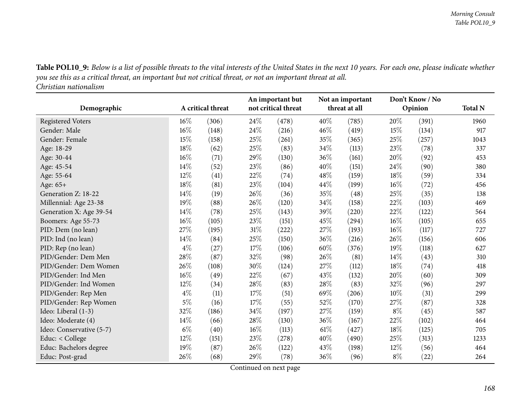Table POL10\_9: Below is a list of possible threats to the vital interests of the United States in the next 10 years. For each one, please indicate whether you see this as a critical threat, an important but not critical threat, or not an important threat at all.

*Christian nationalism*

|                          |        | A critical threat |        | An important but<br>not critical threat |        | Not an important<br>threat at all |        | Don't Know / No | <b>Total N</b> |
|--------------------------|--------|-------------------|--------|-----------------------------------------|--------|-----------------------------------|--------|-----------------|----------------|
| Demographic              |        |                   |        |                                         |        |                                   |        | Opinion         |                |
| <b>Registered Voters</b> | 16%    | (306)             | 24%    | (478)                                   | 40%    | (785)                             | 20%    | (391)           | 1960           |
| Gender: Male             | 16%    | (148)             | $24\%$ | (216)                                   | 46%    | (419)                             | 15\%   | (134)           | 917            |
| Gender: Female           | 15%    | (158)             | 25%    | (261)                                   | 35%    | (365)                             | 25%    | (257)           | 1043           |
| Age: 18-29               | 18%    | (62)              | 25%    | (83)                                    | 34\%   | (113)                             | 23\%   | (78)            | 337            |
| Age: 30-44               | 16%    | (71)              | 29%    | (130)                                   | 36%    | (161)                             | 20%    | (92)            | 453            |
| Age: 45-54               | 14%    | (52)              | 23%    | (86)                                    | 40%    | (151)                             | 24\%   | (90)            | 380            |
| Age: 55-64               | $12\%$ | (41)              | 22%    | (74)                                    | 48%    | (159)                             | 18%    | (59)            | 334            |
| Age: 65+                 | 18%    | (81)              | 23%    | (104)                                   | 44%    | (199)                             | $16\%$ | (72)            | 456            |
| Generation Z: 18-22      | 14%    | (19)              | 26%    | (36)                                    | 35%    | (48)                              | 25%    | (35)            | 138            |
| Millennial: Age 23-38    | 19%    | (88)              | 26%    | (120)                                   | 34%    | (158)                             | 22%    | (103)           | 469            |
| Generation X: Age 39-54  | 14%    | (78)              | 25%    | (143)                                   | 39%    | (220)                             | 22\%   | (122)           | 564            |
| Boomers: Age 55-73       | 16%    | (105)             | 23%    | (151)                                   | 45%    | (294)                             | $16\%$ | (105)           | 655            |
| PID: Dem (no lean)       | 27%    | (195)             | $31\%$ | (222)                                   | 27\%   | (193)                             | $16\%$ | (117)           | 727            |
| PID: Ind (no lean)       | 14\%   | (84)              | 25%    | (150)                                   | 36\%   | (216)                             | 26\%   | (156)           | 606            |
| PID: Rep (no lean)       | $4\%$  | (27)              | 17%    | (106)                                   | 60%    | (376)                             | 19%    | (118)           | 627            |
| PID/Gender: Dem Men      | 28\%   | (87)              | 32%    | (98)                                    | 26\%   | (81)                              | $14\%$ | (43)            | 310            |
| PID/Gender: Dem Women    | 26%    | (108)             | $30\%$ | (124)                                   | 27\%   | (112)                             | 18%    | (74)            | 418            |
| PID/Gender: Ind Men      | 16%    | (49)              | 22\%   | (67)                                    | 43\%   | (132)                             | 20%    | (60)            | 309            |
| PID/Gender: Ind Women    | 12%    | (34)              | $28\%$ | (83)                                    | 28\%   | (83)                              | 32%    | (96)            | 297            |
| PID/Gender: Rep Men      | $4\%$  | (11)              | 17%    | (51)                                    | 69%    | (206)                             | 10%    | (31)            | 299            |
| PID/Gender: Rep Women    | $5\%$  | (16)              | $17\%$ | (55)                                    | 52%    | (170)                             | 27%    | (87)            | 328            |
| Ideo: Liberal (1-3)      | 32%    | (186)             | 34%    | (197)                                   | 27%    | (159)                             | $8\%$  | (45)            | 587            |
| Ideo: Moderate (4)       | 14%    | (66)              | 28%    | (130)                                   | 36%    | (167)                             | 22%    | (102)           | 464            |
| Ideo: Conservative (5-7) | $6\%$  | (40)              | 16%    | (113)                                   | $61\%$ | (427)                             | 18%    | (125)           | 705            |
| Educ: < College          | 12%    | (151)             | 23%    | (278)                                   | 40%    | (490)                             | 25%    | (313)           | 1233           |
| Educ: Bachelors degree   | 19%    | (87)              | 26%    | (122)                                   | 43\%   | (198)                             | 12\%   | (56)            | 464            |
| Educ: Post-grad          | 26%    | (68)              | 29%    | (78)                                    | 36%    | (96)                              | $8\%$  | (22)            | 264            |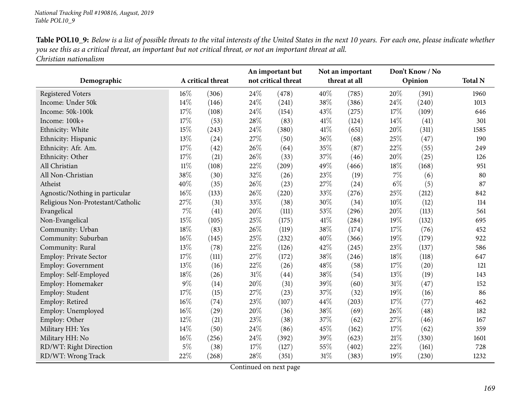| Table POL10_9: Below is a list of possible threats to the vital interests of the United States in the next 10 years. For each one, please indicate whether |
|------------------------------------------------------------------------------------------------------------------------------------------------------------|
| you see this as a critical threat, an important but not critical threat, or not an important threat at all.                                                |
| Christian nationalism                                                                                                                                      |

|                                   |        |                   |      | An important but    |               | Not an important |       | Don't Know / No |                |
|-----------------------------------|--------|-------------------|------|---------------------|---------------|------------------|-------|-----------------|----------------|
| Demographic                       |        | A critical threat |      | not critical threat | threat at all |                  |       | Opinion         | <b>Total N</b> |
| <b>Registered Voters</b>          | $16\%$ | (306)             | 24\% | (478)               | 40%           | (785)            | 20%   | (391)           | 1960           |
| Income: Under 50k                 | 14%    | (146)             | 24\% | (241)               | 38%           | (386)            | 24%   | (240)           | 1013           |
| Income: 50k-100k                  | 17%    | (108)             | 24\% | (154)               | 43%           | (275)            | 17%   | (109)           | 646            |
| Income: 100k+                     | 17%    | (53)              | 28%  | (83)                | 41\%          | (124)            | 14%   | (41)            | 301            |
| Ethnicity: White                  | 15%    | (243)             | 24\% | (380)               | $41\%$        | (651)            | 20%   | (311)           | 1585           |
| Ethnicity: Hispanic               | 13%    | (24)              | 27%  | (50)                | 36%           | (68)             | 25%   | (47)            | 190            |
| Ethnicity: Afr. Am.               | 17%    | (42)              | 26%  | (64)                | 35%           | (87)             | 22%   | (55)            | 249            |
| Ethnicity: Other                  | 17%    | (21)              | 26%  | (33)                | 37%           | (46)             | 20%   | (25)            | 126            |
| All Christian                     | $11\%$ | (108)             | 22%  | (209)               | 49%           | (466)            | 18%   | (168)           | 951            |
| All Non-Christian                 | 38%    | (30)              | 32%  | (26)                | 23%           | (19)             | $7\%$ | (6)             | 80             |
| Atheist                           | 40%    | (35)              | 26%  | (23)                | 27%           | (24)             | $6\%$ | (5)             | 87             |
| Agnostic/Nothing in particular    | 16%    | (133)             | 26%  | (220)               | 33%           | (276)            | 25%   | (212)           | 842            |
| Religious Non-Protestant/Catholic | 27%    | (31)              | 33%  | (38)                | 30%           | (34)             | 10%   | (12)            | 114            |
| Evangelical                       | $7\%$  | (41)              | 20%  | (111)               | 53%           | (296)            | 20%   | (113)           | 561            |
| Non-Evangelical                   | 15%    | (105)             | 25%  | (175)               | 41\%          | (284)            | 19%   | (132)           | 695            |
| Community: Urban                  | 18%    | (83)              | 26%  | (119)               | 38%           | (174)            | 17%   | (76)            | 452            |
| Community: Suburban               | $16\%$ | (145)             | 25%  | (232)               | 40%           | (366)            | 19%   | (179)           | 922            |
| Community: Rural                  | 13%    | (78)              | 22%  | (126)               | 42%           | (245)            | 23%   | (137)           | 586            |
| Employ: Private Sector            | 17%    | (111)             | 27%  | (172)               | 38%           | (246)            | 18%   | (118)           | 647            |
| <b>Employ: Government</b>         | 13%    | (16)              | 22%  | (26)                | 48%           | (58)             | 17%   | (20)            | 121            |
| Employ: Self-Employed             | 18%    | (26)              | 31\% | (44)                | 38%           | (54)             | 13%   | (19)            | 143            |
| Employ: Homemaker                 | $9\%$  | (14)              | 20%  | (31)                | 39%           | (60)             | 31%   | (47)            | 152            |
| Employ: Student                   | 17%    | (15)              | 27%  | (23)                | 37%           | (32)             | 19%   | (16)            | 86             |
| Employ: Retired                   | $16\%$ | (74)              | 23%  | (107)               | 44%           | (203)            | 17%   | (77)            | 462            |
| Employ: Unemployed                | 16%    | (29)              | 20%  | (36)                | 38%           | (69)             | 26%   | (48)            | 182            |
| Employ: Other                     | 12%    | (21)              | 23%  | (38)                | 37%           | (62)             | 27%   | (46)            | 167            |
| Military HH: Yes                  | 14%    | (50)              | 24\% | (86)                | 45%           | (162)            | 17%   | (62)            | 359            |
| Military HH: No                   | 16%    | (256)             | 24\% | (392)               | 39%           | (623)            | 21%   | (330)           | 1601           |
| RD/WT: Right Direction            | $5\%$  | (38)              | 17%  | (127)               | 55%           | (402)            | 22%   | (161)           | 728            |
| RD/WT: Wrong Track                | 22%    | (268)             | 28%  | (351)               | 31%           | (383)            | 19%   | (230)           | 1232           |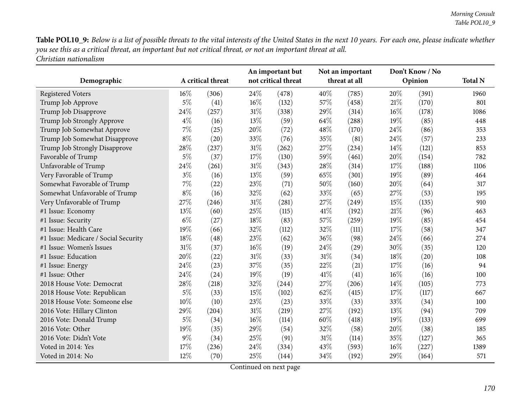Table POL10\_9: Below is a list of possible threats to the vital interests of the United States in the next 10 years. For each one, please indicate whether you see this as a critical threat, an important but not critical threat, or not an important threat at all. *Christian nationalism*

| Demographic                          | A critical threat |       | An important but<br>not critical threat |       | Not an important<br>threat at all |       | Don't Know / No<br>Opinion |       | <b>Total N</b> |
|--------------------------------------|-------------------|-------|-----------------------------------------|-------|-----------------------------------|-------|----------------------------|-------|----------------|
| <b>Registered Voters</b>             | 16%               | (306) | 24%                                     | (478) | 40%                               | (785) | 20%                        | (391) | 1960           |
| Trump Job Approve                    | $5\%$             | (41)  | 16%                                     | (132) | 57%                               | (458) | 21%                        | (170) | 801            |
| Trump Job Disapprove                 | 24%               | (257) | $31\%$                                  | (338) | 29%                               | (314) | $16\%$                     | (178) | 1086           |
| Trump Job Strongly Approve           | $4\%$             | (16)  | 13%                                     | (59)  | 64%                               | (288) | 19%                        | (85)  | 448            |
| Trump Job Somewhat Approve           | 7%                | (25)  | 20%                                     | (72)  | 48%                               | (170) | 24\%                       | (86)  | 353            |
| Trump Job Somewhat Disapprove        | $8\%$             | (20)  | 33%                                     | (76)  | 35%                               | (81)  | 24\%                       | (57)  | 233            |
| Trump Job Strongly Disapprove        | 28%               | (237) | 31%                                     | (262) | 27%                               | (234) | 14\%                       | (121) | 853            |
| Favorable of Trump                   | $5\%$             | (37)  | 17%                                     | (130) | 59%                               | (461) | 20%                        | (154) | 782            |
| Unfavorable of Trump                 | 24%               | (261) | 31%                                     | (343) | 28%                               | (314) | 17%                        | (188) | 1106           |
| Very Favorable of Trump              | $3\%$             | (16)  | 13%                                     | (59)  | 65%                               | (301) | 19%                        | (89)  | 464            |
| Somewhat Favorable of Trump          | 7%                | (22)  | 23%                                     | (71)  | 50%                               | (160) | 20%                        | (64)  | 317            |
| Somewhat Unfavorable of Trump        | $8\%$             | (16)  | 32%                                     | (62)  | 33%                               | (65)  | 27%                        | (53)  | 195            |
| Very Unfavorable of Trump            | 27%               | (246) | 31%                                     | (281) | 27%                               | (249) | 15\%                       | (135) | 910            |
| #1 Issue: Economy                    | 13%               | (60)  | 25%                                     | (115) | 41\%                              | (192) | 21\%                       | (96)  | 463            |
| #1 Issue: Security                   | $6\%$             | (27)  | 18%                                     | (83)  | 57%                               | (259) | 19%                        | (85)  | 454            |
| #1 Issue: Health Care                | 19%               | (66)  | 32%                                     | (112) | 32%                               | (111) | 17%                        | (58)  | 347            |
| #1 Issue: Medicare / Social Security | 18%               | (48)  | 23%                                     | (62)  | 36%                               | (98)  | 24%                        | (66)  | 274            |
| #1 Issue: Women's Issues             | 31%               | (37)  | 16%                                     | (19)  | 24\%                              | (29)  | 30%                        | (35)  | 120            |
| #1 Issue: Education                  | 20%               | (22)  | $31\%$                                  | (33)  | $31\%$                            | (34)  | 18%                        | (20)  | 108            |
| #1 Issue: Energy                     | 24%               | (23)  | 37%                                     | (35)  | 22%                               | (21)  | 17%                        | (16)  | 94             |
| #1 Issue: Other                      | 24%               | (24)  | 19%                                     | (19)  | 41\%                              | (41)  | $16\%$                     | (16)  | 100            |
| 2018 House Vote: Democrat            | 28%               | (218) | 32%                                     | (244) | 27%                               | (206) | $14\%$                     | (105) | 773            |
| 2018 House Vote: Republican          | $5\%$             | (33)  | 15%                                     | (102) | 62%                               | (415) | 17%                        | (117) | 667            |
| 2018 House Vote: Someone else        | 10%               | (10)  | 23%                                     | (23)  | 33%                               | (33)  | 33\%                       | (34)  | 100            |
| 2016 Vote: Hillary Clinton           | 29%               | (204) | $31\%$                                  | (219) | 27%                               | (192) | 13%                        | (94)  | 709            |
| 2016 Vote: Donald Trump              | $5\%$             | (34)  | 16%                                     | (114) | 60%                               | (418) | $19\%$                     | (133) | 699            |
| 2016 Vote: Other                     | 19%               | (35)  | 29%                                     | (54)  | 32%                               | (58)  | 20%                        | (38)  | 185            |
| 2016 Vote: Didn't Vote               | 9%                | (34)  | 25%                                     | (91)  | $31\%$                            | (114) | 35%                        | (127) | 365            |
| Voted in 2014: Yes                   | 17%               | (236) | 24%                                     | (334) | 43%                               | (593) | 16%                        | (227) | 1389           |
| Voted in 2014: No                    | 12%               | (70)  | 25%                                     | (144) | 34%                               | (192) | 29%                        | (164) | 571            |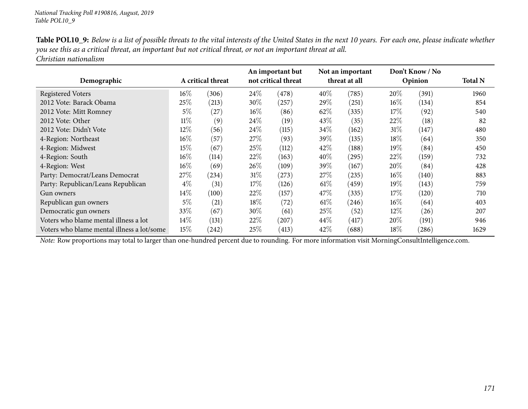| Table POL10_9: Below is a list of possible threats to the vital interests of the United States in the next 10 years. For each one, please indicate whether |
|------------------------------------------------------------------------------------------------------------------------------------------------------------|
| you see this as a critical threat, an important but not critical threat, or not an important threat at all.                                                |
| Christian nationalism                                                                                                                                      |

| Demographic                                | A critical threat |       | An important but<br>not critical threat |            | Not an important<br>threat at all |       | Don't Know / No<br>Opinion |       | <b>Total N</b> |
|--------------------------------------------|-------------------|-------|-----------------------------------------|------------|-----------------------------------|-------|----------------------------|-------|----------------|
| <b>Registered Voters</b>                   | $16\%$            | (306) | $24\%$                                  | (478)      | 40%                               | (785) | 20%                        | (391) | 1960           |
| 2012 Vote: Barack Obama                    | 25%               | (213) | 30\%                                    | (257)      | $29\%$                            | (251) | $16\%$                     | (134) | 854            |
| 2012 Vote: Mitt Romney                     | $5\%$             | (27)  | 16%                                     | (86)       | 62%                               | (335) | 17%                        | (92)  | 540            |
| 2012 Vote: Other                           | $11\%$            | (9)   | 24\%                                    | (19)       | 43\%                              | (35)  | 22%                        | (18)  | 82             |
| 2012 Vote: Didn't Vote                     | 12%               | (56)  | 24%                                     | (115)      | 34%                               | (162) | 31%                        | (147) | 480            |
| 4-Region: Northeast                        | 16%               | (57)  | 27\%                                    | (93)       | 39\%                              | (135) | $18\%$                     | (64)  | 350            |
| 4-Region: Midwest                          | $15\%$            | (67)  | 25\%                                    | (112)      | 42\%                              | (188) | 19%                        | (84)  | 450            |
| 4-Region: South                            | $16\%$            | (114) | 22\%                                    | (163)      | 40\%                              | (295) | 22\%                       | (159) | 732            |
| 4-Region: West                             | 16%               | (69)  | 26\%                                    | (109)      | $39\%$                            | (167) | $20\%$                     | (84)  | 428            |
| Party: Democrat/Leans Democrat             | 27\%              | (234) | 31%                                     | $^{'}273)$ | 27%                               | (235) | $16\%$                     | (140) | 883            |
| Party: Republican/Leans Republican         | $4\%$             | (31)  | 17\%                                    | (126)      | 61%                               | (459) | 19%                        | (143) | 759            |
| Gun owners                                 | $14\%$            | (100) | 22%                                     | (157)      | 47\%                              | (335) | 17%                        | (120) | 710            |
| Republican gun owners                      | $5\%$             | (21)  | 18%                                     | (72)       | 61%                               | (246) | $16\%$                     | (64)  | 403            |
| Democratic gun owners                      | 33\%              | (67)  | $30\%$                                  | (61)       | $25\%$                            | (52)  | $12\%$                     | (26)  | 207            |
| Voters who blame mental illness a lot      | $14\%$            | (131) | 22%                                     | (207)      | $44\%$                            | (417) | $20\%$                     | (191) | 946            |
| Voters who blame mental illness a lot/some | 15\%              | (242) | 25%                                     | (413)      | 42\%                              | (688) | $18\%$                     | (286) | 1629           |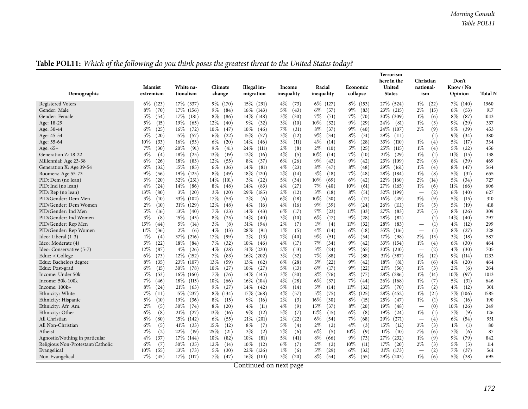| White na-<br>Climate<br>Illegal im-<br>Racial<br>United<br>Know / No<br>Islamist<br>Income<br>Economic<br>national-<br>Demographic<br>tionalism<br><b>States</b><br>Opinion<br>extremism<br>change<br>migration<br>inequality<br>inequality<br>collapse<br>ism<br>17\% (337)<br>9\% (170)<br>$15\%$ (291)<br>$4\%$<br>$8\%$ (153)<br>27\% (524)<br>$1\%$<br><b>Registered Voters</b><br>$6\%$<br>(123)<br>6\% (127)<br>(22)<br>7\% (140)<br>(73)<br>$8\%$<br>17\% (156)<br>$16\%$ (143)<br>5%<br>(43)<br>$6\%$<br>(57)<br>$9\%$<br>(83)<br>$23\%$ (215)<br>$2\%$<br>$6\%$<br>(70)<br>$9\%$<br>(84)<br>(15)<br>(53)<br>Gender: Male | <b>Total N</b><br>1960<br>917<br>1043<br>337<br>453<br>380 |
|------------------------------------------------------------------------------------------------------------------------------------------------------------------------------------------------------------------------------------------------------------------------------------------------------------------------------------------------------------------------------------------------------------------------------------------------------------------------------------------------------------------------------------------------------------------------------------------------------------------------------------|------------------------------------------------------------|
|                                                                                                                                                                                                                                                                                                                                                                                                                                                                                                                                                                                                                                    |                                                            |
|                                                                                                                                                                                                                                                                                                                                                                                                                                                                                                                                                                                                                                    |                                                            |
|                                                                                                                                                                                                                                                                                                                                                                                                                                                                                                                                                                                                                                    |                                                            |
|                                                                                                                                                                                                                                                                                                                                                                                                                                                                                                                                                                                                                                    |                                                            |
| 7%<br>$5\%$<br>17%<br>8%<br>$14\%$ (148)<br>$3\%$<br>$7\%$<br>(70)<br>$1\%$<br>$8\%$<br>Gender: Female<br>(54)<br>(181)<br>(86)<br>(30)<br>(71)<br>$30\%$ (309)<br>(6)<br>(87)                                                                                                                                                                                                                                                                                                                                                                                                                                                     |                                                            |
| $3\%$<br>$9\%$<br>$5\%$<br>19%<br>(65)<br>12%<br>$9\%$<br>(32)<br>(10)<br>$10\%$<br>(32)<br>(29)<br>24\%<br>$1\%$<br>(3)<br>$9\%$<br>(29)<br>Age: 18-29<br>(15)<br>(40)<br>(81)                                                                                                                                                                                                                                                                                                                                                                                                                                                    |                                                            |
| $6\%$<br>16\%<br>$10\%$<br>10%<br>7%<br>$8\%$<br>9%<br>$2\%$<br>$9\%$<br>(25)<br>(72)<br>(47)<br>(31)<br>(37)<br>(40)<br>24\%<br>(9)<br>Age: 30-44<br>(46)<br>(107)<br>(39)                                                                                                                                                                                                                                                                                                                                                                                                                                                        |                                                            |
| 15%<br>$5\%$<br>15%<br>(57)<br>$6\%$<br>$3\%$<br>(12)<br>$9\%$<br>$8\%$<br>(31)<br>$9\%$<br>(20)<br>(22)<br>(57)<br>(34)<br>29\%<br>(111)<br>(1)<br>(34)<br>Age: 45-54<br>$\overbrace{\phantom{1232211}}$                                                                                                                                                                                                                                                                                                                                                                                                                          |                                                            |
| $16\%$<br>$6\%$<br>$3\%$<br>$4\%$<br>$8\%$<br>$1\%$<br>$5\%$<br>10%<br>(33)<br>(53)<br>(20)<br>14%<br>(11)<br>(14)<br>(28)<br>33\%<br>(110)<br>(4)<br>Age: 55-64<br>(46)<br>(17)                                                                                                                                                                                                                                                                                                                                                                                                                                                   | 334                                                        |
| $9\%$<br>$2\%$<br>$2\%$<br>$5\%$<br>$5\%$<br>7%<br>20%<br>(91)<br>(41)<br>24%<br>(8)<br>(10)<br>(25)<br>$1\%$<br>(4)<br>(22)<br>(30)<br>(111)<br>$25\%$<br>(115)<br>Age: 65+                                                                                                                                                                                                                                                                                                                                                                                                                                                       | 456                                                        |
| 4%<br>7%<br>$3\%$<br>18%<br>(25)<br>13%<br>(19)<br>12%<br>(5)<br>10%<br>(14)<br>(10)<br>21%<br>$1\%$<br>(1)<br>$11\%$<br>(4)<br>(16)<br>(29)<br>(15)<br>Generation Z: 18-22                                                                                                                                                                                                                                                                                                                                                                                                                                                        | 138                                                        |
| 12%<br>$9\%$<br>$6\%$<br>18%<br>(55)<br>$8\%$<br>$6\%$<br>$9\%$<br>(43)<br>(42)<br>23\%<br>2%<br>(8)<br>$8\%$<br>Millennial: Age 23-38<br>(26)<br>(83)<br>(37)<br>(26)<br>(109)<br>(39)                                                                                                                                                                                                                                                                                                                                                                                                                                            | 469                                                        |
| $6\%$<br>15%<br>$6\%$<br>14%<br>$4\%$<br>$8\%$<br>$8\%$<br>$1\%$<br>$8\%$<br>(32)<br>(85)<br>(36)<br>(81)<br>(23)<br>(47)<br>(48)<br>29\%<br>(4)<br>(47)<br>Generation X: Age 39-54<br>(161)                                                                                                                                                                                                                                                                                                                                                                                                                                       | 564                                                        |
| 8%<br>7%<br>$9\%$<br>19%<br>$18\%$<br>2%<br>$3\%$<br>(48)<br>$1\%$<br>(8)<br>$5\%$<br>(56)<br>(125)<br>(49)<br>(120)<br>(14)<br>(18)<br>$28\%$<br>(184)<br>(31)<br>Boomers: Age 55-73                                                                                                                                                                                                                                                                                                                                                                                                                                              | 655                                                        |
| $3\%$<br>(20)<br>32%<br>(231)<br>14%<br>$3\%$<br>5%<br>$10\%$<br>$6\%$<br>(42)<br>22\%<br>$2\%$<br>5%<br>PID: Dem (no lean)<br>(101)<br>(22)<br>(34)<br>(69)<br>(160)<br>(14)<br>(34)                                                                                                                                                                                                                                                                                                                                                                                                                                              | 727                                                        |
| $4\%$<br>$8\%$<br>14%<br>$4\%$<br>(27)<br>$7\%$<br>10%<br>(61)<br>$1\%$<br>PID: Ind (no lean)<br>14\%<br>(86)<br>(48)<br>(83)<br>27\%<br>(165)<br>(6)<br>$11\%$<br>(24)<br>(40)<br>(66)                                                                                                                                                                                                                                                                                                                                                                                                                                            | 606                                                        |
| 13%<br>$3\%$<br>$3\%$<br>29%<br>$2\%$<br>$3\%$<br>$8\%$<br>(51)<br>32\% (199)<br>(2)<br>$6\%$<br>PID: Rep (no lean)<br>(80)<br>(20)<br>(20)<br>(185)<br>(12)<br>(18)<br>(40)<br>$\overbrace{\phantom{1232211}}$                                                                                                                                                                                                                                                                                                                                                                                                                    | 627                                                        |
| 17%<br>6%<br>6%<br>$3\%$<br>$3\%$<br>33\%<br>$2\%$<br>(17)<br>(9)<br>$5\%$<br>PID/Gender: Dem Men<br>(10)<br>(102)<br>(53)<br>(6)<br>(18)<br>$10\%$<br>(30)<br>$16\%$<br>(15)<br>(49)                                                                                                                                                                                                                                                                                                                                                                                                                                              | 310                                                        |
| 12%<br>4%<br>$9\%$<br>$6\%$<br>(5)<br>$5\%$<br>$2\%$<br>(10)<br>31\% (129)<br>(48)<br>$4\%$<br>(39)<br>(24)<br>26\%<br>(111)<br>$1\%$<br>(19)<br>PID/Gender: Dem Women<br>(16)<br>(16)                                                                                                                                                                                                                                                                                                                                                                                                                                             | 418                                                        |
| $5\%$<br>13%<br>7%<br>14%<br>6%<br>$7\%$<br>11%<br>27%<br>$2\%$<br>(5)<br>8%<br>PID/Gender: Ind Men<br>(16)<br>(23)<br>(17)<br>(23)<br>(33)<br>(83)<br>(40)<br>(43)<br>(26)                                                                                                                                                                                                                                                                                                                                                                                                                                                        | 309                                                        |
| $3\%$<br>(8)<br>15%<br>$8\%$<br>(25)<br>14%<br>$3\%$<br>(10)<br>$6\%$<br>(17)<br>$9\%$<br>(28)<br>28\%<br>(1)<br>14\%<br>PID/Gender: Ind Women<br>(45)<br>(40)<br>(82)<br>(40)<br>$\overbrace{\phantom{12322111}}$                                                                                                                                                                                                                                                                                                                                                                                                                 | 297                                                        |
| 5%<br>$3\%$<br>$2\%$<br>$1\%$<br>$11\%$<br>$4\%$<br>15%<br>(8)<br>31\%<br>(7)<br>(4)<br>(32)<br>28\%<br>(1)<br>PID/Gender: Rep Men<br>(44)<br>(14)<br>(94)<br>(83)<br>(12)                                                                                                                                                                                                                                                                                                                                                                                                                                                         | 299                                                        |
| $4\%$<br>$1\%$<br>$4\%$<br>$6\%$<br>$11\%$<br>$2\%$<br>(13)<br>28%<br>(91)<br>(5)<br>(14)<br>(18)<br>35%<br>(1)<br>$8\%$<br>(27)<br>PID/Gender: Rep Women<br>(36)<br>(6)<br>(116)<br>$\overline{\phantom{0}}$                                                                                                                                                                                                                                                                                                                                                                                                                      | 328                                                        |
| $1\%$<br>37\%<br>17%<br>(99)<br>$2\%$<br>7%<br>$9\%$<br>(51)<br>6%<br>(34)<br>17%<br>$2\%$<br>$3\%$<br>Ideo: Liberal (1-3)<br>(4)<br>(216)<br>(13)<br>(40)<br>(98)<br>(13)<br>(18)                                                                                                                                                                                                                                                                                                                                                                                                                                                 | 587                                                        |
| $5\%$<br>(22)<br>18%<br>(84)<br>7%<br>(32)<br>10%<br>$4\%$<br>7%<br>(34)<br>$9\%$<br>(42)<br>33\%<br>(154)<br>$1\%$<br>(4)<br>$6\%$<br>(30)<br>Ideo: Moderate (4)<br>(46)<br>(17)                                                                                                                                                                                                                                                                                                                                                                                                                                                  | 464                                                        |
| $4\%$<br>$4\%$<br>31\% (220)<br>$2\%$<br>$3\%$<br>$9\%$<br>(65)<br>12%<br>(28)<br>(13)<br>30\%<br>(210)<br>(2)<br>$4\%$<br>Ideo: Conservative (5-7)<br>(87)<br>(26)<br>(24)<br>(30)                                                                                                                                                                                                                                                                                                                                                                                                                                                | 705                                                        |
| 7%<br>$6\%$<br>$7\%$<br>(83)<br>$3\%$<br>7%<br>(88)<br>$1\%$<br>(12)<br>(73)<br>$12\%$<br>(152)<br>$16\%$ (202)<br>(32)<br>(88)<br>$31\%$ (387)<br>9%<br>(114)<br>Educ: < College                                                                                                                                                                                                                                                                                                                                                                                                                                                  | 1233                                                       |
| 13%<br>$9\%$<br>$8\%$<br>(35)<br>23%<br>(107)<br>(59)<br>13\%<br>6%<br>$5\%$<br>(22)<br>(42)<br>$18\%$<br>$1\%$<br>$4\%$<br>Educ: Bachelors degree<br>(62)<br>(28)<br>(81)<br>(6)<br>(20)                                                                                                                                                                                                                                                                                                                                                                                                                                          | 464                                                        |
| $10\%$<br>$6\%$<br>$9\%$<br>$6\%$<br>(15)<br>30%<br>(78)<br>(27)<br>10%<br>(27)<br>5%<br>(13)<br>(17)<br>(22)<br>21%<br>$1\%$<br>(3)<br>$2\%$<br>Educ: Post-grad<br>(56)<br>(6)                                                                                                                                                                                                                                                                                                                                                                                                                                                    | 264                                                        |
| 7%<br>$5\%$<br>(53)<br>$16\%$<br>(76)<br>14\% (145)<br>$3\%$<br>$8\%$<br>$8\%$<br>(77)<br>28\% (286)<br>$1\%$<br>$10\%$<br>(160)<br>(30)<br>(76)<br>(14)<br>(97)<br>Income: Under 50k                                                                                                                                                                                                                                                                                                                                                                                                                                              | 1013                                                       |
| 7%<br>18%<br>$10\%$<br>$16\%$ (104)<br>$4\%$<br>$6\%$<br>(37)<br>$7\%$<br>(7)<br>$5\%$<br>Income: 50k-100k<br>(46)<br>(115)<br>(66)<br>(28)<br>(44)<br>$26\%$ (168)<br>$1\%$<br>(31)                                                                                                                                                                                                                                                                                                                                                                                                                                               | 646                                                        |
| $8\%$<br>5%<br>$5\%$<br>$11\%$<br>$1\%$<br>(2)<br>21\%<br>(63)<br>$9\%$<br>(27)<br>$14\%$<br>(42)<br>(14)<br>(14)<br>(32)<br>23\%<br>(70)<br>$4\%$<br>(12)<br>Income: 100k+<br>(24)                                                                                                                                                                                                                                                                                                                                                                                                                                                | 301                                                        |
| (57)<br>$5\%$<br>7%<br>(111)<br>$15\%$<br>(237)<br>$8\%$<br>(134)<br>$17\%$ (268)<br>$4\%$<br>(75)<br>$8\%$<br>(125)<br>28\% (452)<br>$1\%$<br>(21)<br>7%<br>Ethnicity: White<br>(106)                                                                                                                                                                                                                                                                                                                                                                                                                                             | 1585                                                       |
| 5%<br>19%<br>8%<br>$9\%$<br>2%<br>16%<br>$8\%$<br>25\%<br>$1\%$<br>(1)<br>$9\%$<br>(10)<br>(36)<br>(15)<br>(16)<br>(3)<br>(30)<br>(15)<br>(47)<br>(16)<br>Ethnicity: Hispanic                                                                                                                                                                                                                                                                                                                                                                                                                                                      | 190                                                        |
| $2\%$<br>$8\%$<br>$4\%$<br>15%<br>$8\%$<br>(5)<br>30%<br>(74)<br>(20)<br>$4\%$<br>(11)<br>(9)<br>(37)<br>(20)<br>19%<br>(0)<br>10%<br>Ethnicity: Afr. Am.<br>(48)<br>(26)                                                                                                                                                                                                                                                                                                                                                                                                                                                          | 249                                                        |
| $6\%$<br>13%<br>$9\%$<br>5%<br>(7)<br>12%<br>6%<br>$1\%$<br>7%<br>Ethnicity: Other<br>(8)<br>21%<br>(27)<br>(12)<br>(15)<br>(8)<br>$19\%$<br>(1)<br>(9)<br>(16)<br>(24)                                                                                                                                                                                                                                                                                                                                                                                                                                                            | 126                                                        |
| $6\%$<br>7%<br>$8\%$<br>15%<br>(55)<br>21%<br>$2\%$<br>$6\%$<br>29\%<br>(4)<br>$6\%$<br>All Christian<br>(80)<br>(142)<br>(201)<br>(22)<br>(54)<br>(68)<br>(271)<br>(54)                                                                                                                                                                                                                                                                                                                                                                                                                                                           | 951                                                        |
| $6\%$<br>15%<br>5%<br>$4\%$<br>$3\%$<br>$1\%$<br>All Non-Christian<br>(5)<br>41\%<br>(12)<br>$8\%$<br>(7)<br>$2\%$<br>(2)<br>(3)<br>15%<br>(3)<br>(1)<br>(33)<br>(4)<br>(12)                                                                                                                                                                                                                                                                                                                                                                                                                                                       | 80                                                         |
| $2\%$<br>25%<br>$7\%$<br>$6\%$<br>$7\%$<br>(2)<br>22\%<br>(21)<br>$3\%$<br>(2)<br>(6)<br>(5)<br>10%<br>(9)<br>$11\%$<br>(6)<br>7%<br>Atheist<br>(19)<br>(10)<br>(6)                                                                                                                                                                                                                                                                                                                                                                                                                                                                | 87                                                         |
| $4\%$<br>(37)<br>17%<br>10%<br>(82)<br>10%<br>5%<br>$8\%$<br>$9\%$<br>(73)<br>27\% (232)<br>$1\%$<br>(9)<br>$9\%$<br>(144)<br>(81)<br>(41)<br>(66)<br>(79)<br>Agnostic/Nothing in particular                                                                                                                                                                                                                                                                                                                                                                                                                                       | 842                                                        |
| $2\%$<br>$6\%$<br>30%<br>12%<br>10%<br>$6\%$<br>$2\%$<br>10%<br>(11)<br>17%<br>5%<br>Religious Non-Protestant/Catholic<br>(7)<br>(35)<br>(14)<br>(12)<br>(7)<br>(2)<br>(20)<br>(3)<br>(5)                                                                                                                                                                                                                                                                                                                                                                                                                                          | 114                                                        |
| $5\%$<br>$1\%$<br>$10\%$<br>(55)<br>13%<br>(73)<br>(30)<br>22%<br>$5\%$<br>$6\%$<br>(32)<br>31\% (173)<br>(2)<br>7%<br>Evangelical<br>(126)<br>(6)<br>(29)<br>(37)                                                                                                                                                                                                                                                                                                                                                                                                                                                                 | 561                                                        |
| $7\%$<br>7%<br>$3\%$<br>$8\%$<br>$1\%$<br>$17\%$ (117)<br>(47)<br>$16\%$ (110)<br>(20)<br>(54)<br>$8\%$<br>(55)<br>29\% (203)<br>(6)<br>5%<br>(38)<br>Non-Evangelical<br>(45)<br>$C$ antimural                                                                                                                                                                                                                                                                                                                                                                                                                                     | 695                                                        |

## Table POL11: Which of the following do you think poses the greatest threat to the United States today?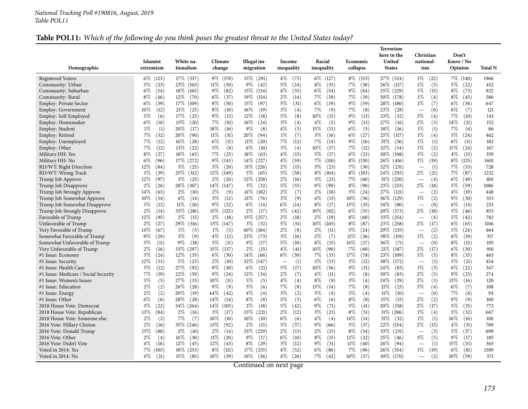## Table POL11: Which of the following do you think poses the greatest threat to the United States today?

| United<br><b>Islamist</b><br>White na-<br>Climate<br>Illegal im-<br>Racial<br>national-<br>Know / No<br>Income<br>Economic<br>Demographic<br>tionalism<br>Opinion<br>extremism<br>change<br>migration<br>inequality<br>inequality<br>collapse<br><b>States</b><br>Total N<br>ism<br>$6\%$<br>17\% (337)<br>$9\%$ (170)<br>$8\%$ (153)<br>27\% (524)<br>$1\%$<br>7\% (140)<br>(123)<br>$15\%$ (291)<br>$4\%$<br>6\% (127)<br>(22)<br>1960<br>(73)<br>$5\%$<br>(23)<br>23\% (103)<br>$11\%$<br>$9\%$<br>$5\%$<br>$8\%$<br>7%<br>(30)<br>26\% (117)<br>$1\%$<br>(5)<br>$5\%$<br>(22)<br>(50)<br>(42)<br>(24)<br>(35)<br>452<br>$6\%$<br>$18\%$ (165)<br>9%<br>(82)<br>15\% (134)<br>$4\%$<br>(35)<br>$6\%$<br>9%<br>(84)<br>25\% (229)<br>$1\%$<br>$8\%$<br>(73)<br>922<br>(54)<br>(54)<br>(13)<br>$2\%$<br>7%<br>7%<br>$8\%$<br>$12\%$<br>(70)<br>$6\%$<br>(37)<br>19%<br>(114)<br>(14)<br>(39)<br>(39)<br>30\% (178)<br>$1\%$<br>(4)<br>$8\%$<br>(45)<br>Community: Rural<br>(46)<br>586<br>5%<br>$6\%$<br>$6\%$<br>(39)<br>$17\%$<br>(109)<br>$8\%$<br>(50)<br>$15\%$<br>(97)<br>(31)<br>(39)<br>$9\%$<br>(59)<br>28\%<br>(180)<br>$1\%$<br>(7)<br>$6\%$<br><b>Employ: Private Sector</b><br>(36)<br>647<br>$3\%$<br>7%<br>7%<br>$10\%$<br>(12)<br>21%<br>(25)<br>$8\%$<br>(10)<br>$16\%$<br>(19)<br>(4)<br>(9)<br>(8)<br>23\%<br>(0)<br>$6\%$<br>(7)<br>Employ: Government<br>(28)<br>121<br>$\overline{\phantom{0}}$<br>5%<br>$5\%$<br>17%<br>(25)<br>$9\%$<br>(13)<br>12%<br>(8)<br>$10\%$<br>9%<br>(13)<br>$3\%$<br>(4)<br>7%<br>Employ: Self-Employed<br>(6)<br>(18)<br>(15)<br>23\%<br>(32)<br>(10)<br>143<br>$7\%$<br>$3\%$<br>$4\%$<br>$9\%$<br>$6\%$<br>(10)<br>13%<br>(20)<br>(10)<br>$16\%$<br>(4)<br>(5)<br>(13)<br>27\%<br>$2\%$<br>(3)<br>14%<br>(21)<br>152<br>Employ: Homemaker<br>(24)<br>(41)<br>$4\%$<br>$1\%$<br>(1)<br>20%<br>(17)<br>$18\%$<br>$9\%$<br>(8)<br>(3)<br>$15\%$<br>(13)<br>6%<br>(5)<br>$18\%$<br>$1\%$<br>(1)<br>7%<br>(16)<br>(16)<br>(6)<br>86<br>Employ: Student<br>$1\%$<br>$3\%$<br>$6\%$<br>7%<br>(32)<br>20%<br>(90)<br>$11\%$<br>(51)<br>$20\%$<br>(7)<br>(16)<br>(27)<br>25\%<br>$1\%$<br>(4)<br>5%<br>(24)<br>Employ: Retired<br>(94)<br>(117)<br>462<br>$7\%$<br>$7\%$<br>$16\%$<br>$6\%$<br>11%<br>7%<br>9%<br>$1\%$<br>$6\%$<br>Employ: Unemployed<br>(12)<br>(28)<br>(11)<br>(20)<br>(12)<br>(14)<br>(16)<br>31%<br>(56)<br>(1)<br>(11)<br>182<br>7%<br>$5\%$<br>3%<br>7%<br>$1\%$<br>(12)<br>13\%<br>(22)<br>(8)<br>$6\%$<br>(4)<br>10%<br>(17)<br>(12)<br>32\%<br>(2)<br>15%<br>Employ: Other<br>(10)<br>(54)<br>(24)<br>167<br>$7\%$<br>$4\%$<br>$8\%$<br>$18\%$<br>18%<br>$5\%$<br>6%<br>(23)<br>$1\%$<br>(2)<br>$4\%$<br>(27)<br>(65)<br>(25)<br>(63)<br>(13)<br>(17)<br>$30\%$<br>(108)<br>(15)<br>359<br>Military HH: Yes<br>9% (145)<br>$4\%$<br>$7\%$<br>8\% (130)<br>$1\%$<br>$6\%$<br>17\% (272)<br>14\% (227)<br>(59)<br>(110)<br>$26\%$<br>(19)<br>$8\%$<br>(96)<br>(416)<br>(125)<br>1601<br>12%<br>$3\%$<br>$3\%$<br>$2\%$<br>$3\%$<br>(23)<br>7%<br>(1)<br>7%<br>RD/WT: Right Direction<br>(84)<br>(25)<br>(20)<br>$31\%$ (226)<br>(15)<br>(50)<br>$32\%$<br>(231)<br>(53)<br>728<br>$\overline{\phantom{0}}$<br>25\% (312)<br>12\% (149)<br>5%<br>8\% (103)<br>$2\%$<br>$7\%$<br>RD/WT: Wrong Track<br>$3\%$<br>(39)<br>$5\%$<br>(58)<br>$8\%$<br>(104)<br>24\% (293)<br>(21)<br>(87)<br>1232<br>(65)<br>$2\%$<br>12%<br>$3\%$<br>$2\%$<br>32\% (258)<br>$3\%$<br>(23)<br>7%<br>$31\%$ (250)<br>(4)<br>$6\%$<br>(49)<br>(97)<br>(25)<br>(20)<br>(16)<br>(60)<br>801<br>Trump Job Approve<br>$\overline{\phantom{0}}$<br>14% (147)<br>5%<br>$8\%$<br>$2\%$<br>$5\%$<br>$2\%$<br>28\% (307)<br>$3\%$<br>(32)<br>(55)<br>9%<br>(99)<br>(90)<br>$23\%$ (253)<br>(18)<br>(59)<br>1086<br>Trump Job Disapprove<br>(26)<br>14\%<br>$2\%$<br>$2\%$<br>(9)<br>$41\%$<br>$2\%$<br>$2\%$<br>(10)<br>$5\%$<br>27\%<br>(2)<br>$4\%$<br>Trump Job Strongly Approve<br>(63)<br>(10)<br>(182)<br>(7)<br>(24)<br>(121)<br>(19)<br>448<br>$4\%$<br>$1\%$<br>$10\%$<br>$4\%$<br>(14)<br>$3\%$<br>(12)<br>21%<br>(76)<br>$3\%$<br>(9)<br>(13)<br>$10\%$<br>(36)<br>$36\%$<br>(129)<br>(2)<br>9%<br>(30)<br>Trump Job Somewhat Approve<br>(34)<br>353<br>$5\%$<br>11%<br>$9\%$<br>(22)<br>$6\%$<br>$6\%$<br>$8\%$<br>(17)<br>15\%<br>(35)<br>34\%<br>(0)<br>$6\%$<br>Trump Job Somewhat Disapprove<br>(12)<br>(26)<br>(14)<br>(14)<br>(80)<br>(14)<br>233<br>$\overline{\phantom{0}}$<br>$2\%$<br>(14)<br>33%<br>(281)<br>$15\%$ (125)<br>$2\%$<br>(17)<br>5%<br>(42)<br>$10\%$<br>(82)<br>$6\%$<br>(55)<br>20%<br>(173)<br>$2\%$<br>(18)<br>5%<br>853<br>Trump Job Strongly Disapprove<br>(46)<br>12%<br>$2\%$<br>33\%<br>2%<br>2%<br>$8\%$<br>5%<br>Favorable of Trump<br>(95)<br>$2\%$<br>(15)<br>(18)<br>(257)<br>(18)<br>(19)<br>(60)<br>33\%<br>(254)<br>(4)<br>(42)<br>782<br>$2\%$<br>$6\%$<br>$2\%$<br>(27)<br>29\%<br>(316)<br>$13\%$ (147)<br>$3\%$<br>(32)<br>5%<br>(51)<br>$10\%$<br>(105)<br>$8\%$<br>(87)<br>$23\%$ (258)<br>(17)<br>(65)<br>1106<br>2%<br>5%<br>Very Favorable of Trump<br>$14\%$<br>(67)<br>$1\%$<br>(5)<br>$1\%$<br>(5)<br>$40\%$<br>(184)<br>(8)<br>$2\%$<br>(11)<br>$5\%$<br>(24)<br>29\%<br>(135)<br>(2)<br>(24)<br>464<br>(7)<br>6%<br>$9\%$<br>(29)<br>$3\%$<br>(9)<br>$4\%$<br>(12)<br>23\%<br>(73)<br>3%<br>(10)<br>$2\%$<br>11%<br>(36)<br>38\%<br>$1\%$<br>(2)<br>(19)<br>(119)<br>317<br>$5\%$<br>$9\%$<br>$5\%$<br>(11)<br>$9\%$<br>5%<br>$8\%$<br>14\%<br>(27)<br>$8\%$<br>(11)<br>(18)<br>(17)<br>(10)<br>(15)<br>$36\%$<br>(71)<br>(0)<br>(15)<br>195<br>4%<br>7%<br>$2\%$<br>33\% (297)<br>15\% (137)<br>$2\%$<br>(15)<br>(41)<br>$10\%$<br>(90)<br>(60)<br>$2\%$<br>(17)<br>$6\%$<br>(50)<br>(16)<br>21%<br>(187)<br>910<br>$5\%$<br>12\%<br>$6\%$<br>$6\%$<br>7%<br>17%<br>(78)<br>$8\%$<br>(24)<br>(55)<br>(30)<br>$14\%$<br>(30)<br>(33)<br>23\%<br>$1\%$<br>(5)<br>(35)<br>(66)<br>(109)<br>463<br>12%<br>32%<br>3%<br>(53)<br>$5\%$<br>(23)<br>$2\%$<br>(10)<br>(1)<br>3%<br>(13)<br>(12)<br>38\%<br>(1)<br>5%<br>(21)<br>(147)<br>(172)<br>454<br>$\overline{\phantom{0}}$<br>$3\%$<br>27\%<br>$9\%$<br>(30)<br>$6\%$<br>5%<br>(17)<br>10%<br>$9\%$<br>(31)<br>$1\%$<br>$6\%$<br>(12)<br>(92)<br>(21)<br>(36)<br>24\%<br>(83)<br>(3)<br>(22)<br>347<br>22%<br>$9\%$<br>$2\%$<br>$3\%$<br>$2\%$<br>$7\%$<br>(19)<br>(59)<br>(24)<br>$12\%$<br>(7)<br>$4\%$<br>(11)<br>(8)<br>30%<br>(83)<br>(5)<br>$9\%$<br>(23)<br>(34)<br>274<br>$5\%$<br>(5)<br>27\%<br>10%<br>$5\%$<br>$4\%$<br>$8\%$<br>$3\%$<br>(4)<br>$2\%$<br>13%<br>(33)<br>(11)<br>(5)<br>(4)<br>(9)<br>24\%<br>(29)<br>(3)<br>120<br>(16)<br>2%<br>$9\%$<br>7%<br>$7\%$<br>$3\%$<br>(2)<br>26%<br>(28)<br>(9)<br>5%<br>(8)<br>$13\%$<br>(14)<br>(8)<br>21%<br>(23)<br>(4)<br>$6\%$<br>(7)<br>(6)<br>108<br>$2\%$<br>(2)<br>20%<br>$44\%$<br>4%<br>$3\%$<br>(2)<br>$5\%$<br>5%<br>(4)<br>$11\%$<br>$7\%$<br>(19)<br>(42)<br>(4)<br>(4)<br>(10)<br>(0)<br>(6)<br>94<br>$\overline{\phantom{0}}$<br>5%<br>$6\%$<br>$2\%$<br>$6\%$<br>(6)<br>28\%<br>(28)<br>14%<br>$8\%$<br>(8)<br>(5)<br>(6)<br>$8\%$<br>(8)<br>15%<br>(2)<br>$9\%$<br>(9)<br>(14)<br>(15)<br>100<br>$2\%$<br>5%<br>$9\%$<br>5%<br>5%<br>$3\%$<br>(22)<br>34\% (264)<br>$14\%$ (105)<br>(18)<br>(42)<br>(71)<br>(41)<br>$20\%$<br>(158)<br>$2\%$<br>(17)<br>(35)<br>773<br>$2\%$<br>8%<br>$13\%$<br>$2\%$<br>$3\%$<br>(17)<br>33\%<br>(221)<br>(12)<br>$3\%$<br>(23)<br>(51)<br>31% (206)<br>$1\%$<br>(4)<br>5%<br>(32)<br>(84)<br>(16)<br>667<br>$10\%$<br>6%<br>$4\%$<br>$2\%$<br>(2)<br>7%<br>(7)<br>(10)<br>$10\%$<br>(10)<br>(6)<br>(4)<br>14%<br>(14)<br>$31\%$<br>(32)<br>$1\%$<br>(1)<br>$16\%$<br>(16)<br>100<br>$2\%$<br>$13\%$<br>(92)<br>$2\%$<br>5%<br>(37)<br>$9\%$<br>$5\%$<br>(37)<br>$2\%$<br>$4\%$<br>(16)<br>35\% (246)<br>(15)<br>(66)<br>$22\%$<br>(154)<br>(13)<br>(31)<br>709<br>$2\%$<br>2%<br>$13\%$<br>(88)<br>$2\%$<br>33\% (229)<br>(13)<br>2%<br>(15)<br>$8\%$<br>(54)<br>(3)<br>5%<br>(37)<br>699<br>(16)<br>(14)<br>$33\%$ (231)<br>$\overline{\phantom{a}}$<br>6%<br>$2\%$<br>$16\%$<br>(30)<br>$11\%$<br>(20)<br>$9\%$<br>(10)<br>$8\%$<br>(15)<br>12%<br>(22)<br>$3\%$<br>(5)<br>$9\%$<br>(4)<br>(17)<br>25\%<br>(46)<br>(17)<br>185<br>$3\%$<br>$9\%$<br>$4\%$<br>$12\%$<br>(45)<br>$12\%$<br>(43)<br>$8\%$<br>(29)<br>(12)<br>(31)<br>$11\%$<br>(40)<br>26%<br>(1)<br>15%<br>(55)<br>(16)<br>(94)<br>365<br>$\overline{\phantom{a}}$<br>7%<br>$8\%$<br>4%<br>(52)<br>$6\%$<br>7%<br>$1\%$<br>$6\%$<br>(103)<br>$18\%$ (253)<br>(111)<br>$17\%$ (235)<br>(86)<br>(96)<br>$26\%$ (354)<br>(19)<br>(81)<br>1389 |                                      |  |  |  | <b>Terrorism</b><br>here in the | Christian | Don't |  |
|--------------------------------------------------------------------------------------------------------------------------------------------------------------------------------------------------------------------------------------------------------------------------------------------------------------------------------------------------------------------------------------------------------------------------------------------------------------------------------------------------------------------------------------------------------------------------------------------------------------------------------------------------------------------------------------------------------------------------------------------------------------------------------------------------------------------------------------------------------------------------------------------------------------------------------------------------------------------------------------------------------------------------------------------------------------------------------------------------------------------------------------------------------------------------------------------------------------------------------------------------------------------------------------------------------------------------------------------------------------------------------------------------------------------------------------------------------------------------------------------------------------------------------------------------------------------------------------------------------------------------------------------------------------------------------------------------------------------------------------------------------------------------------------------------------------------------------------------------------------------------------------------------------------------------------------------------------------------------------------------------------------------------------------------------------------------------------------------------------------------------------------------------------------------------------------------------------------------------------------------------------------------------------------------------------------------------------------------------------------------------------------------------------------------------------------------------------------------------------------------------------------------------------------------------------------------------------------------------------------------------------------------------------------------------------------------------------------------------------------------------------------------------------------------------------------------------------------------------------------------------------------------------------------------------------------------------------------------------------------------------------------------------------------------------------------------------------------------------------------------------------------------------------------------------------------------------------------------------------------------------------------------------------------------------------------------------------------------------------------------------------------------------------------------------------------------------------------------------------------------------------------------------------------------------------------------------------------------------------------------------------------------------------------------------------------------------------------------------------------------------------------------------------------------------------------------------------------------------------------------------------------------------------------------------------------------------------------------------------------------------------------------------------------------------------------------------------------------------------------------------------------------------------------------------------------------------------------------------------------------------------------------------------------------------------------------------------------------------------------------------------------------------------------------------------------------------------------------------------------------------------------------------------------------------------------------------------------------------------------------------------------------------------------------------------------------------------------------------------------------------------------------------------------------------------------------------------------------------------------------------------------------------------------------------------------------------------------------------------------------------------------------------------------------------------------------------------------------------------------------------------------------------------------------------------------------------------------------------------------------------------------------------------------------------------------------------------------------------------------------------------------------------------------------------------------------------------------------------------------------------------------------------------------------------------------------------------------------------------------------------------------------------------------------------------------------------------------------------------------------------------------------------------------------------------------------------------------------------------------------------------------------------------------------------------------------------------------------------------------------------------------------------------------------------------------------------------------------------------------------------------------------------------------------------------------------------------------------------------------------------------------------------------------------------------------------------------------------------------------------------------------------------------------------------------------------------------------------------------------------------------------------------------------------------------------------------------------------------------------------------------------------------------------------------------------------------------------------------------------------------------------------------------------------------------------------------------------------------------------------------------------------------------------------------------------------------------------------------------------------------------------------------------------------------------------------------------------------------------------------------------------------------------------------------------------------------------------------------------------------------------------------------------------------------------------------------------------------------------------------------------------------------------------------------------------------------------------------------------------------------------------------------------------------------------------------------------------------------------------------------------------------------------------------------------------------------------------------------------------------------------------------------------------------------------------------------------------------------------------------------------------------------------------------------------------------------------------------------------------------------------------------------------------------------------------------------------------------------------------------------------------------------------------------------------------------------------------------------------------------------------------------------------------------------------------------------------------------------------------------------------------------------------------------------------------------------------------------------------------------------------------------------------------------------------------------------------|--------------------------------------|--|--|--|---------------------------------|-----------|-------|--|
|                                                                                                                                                                                                                                                                                                                                                                                                                                                                                                                                                                                                                                                                                                                                                                                                                                                                                                                                                                                                                                                                                                                                                                                                                                                                                                                                                                                                                                                                                                                                                                                                                                                                                                                                                                                                                                                                                                                                                                                                                                                                                                                                                                                                                                                                                                                                                                                                                                                                                                                                                                                                                                                                                                                                                                                                                                                                                                                                                                                                                                                                                                                                                                                                                                                                                                                                                                                                                                                                                                                                                                                                                                                                                                                                                                                                                                                                                                                                                                                                                                                                                                                                                                                                                                                                                                                                                                                                                                                                                                                                                                                                                                                                                                                                                                                                                                                                                                                                                                                                                                                                                                                                                                                                                                                                                                                                                                                                                                                                                                                                                                                                                                                                                                                                                                                                                                                                                                                                                                                                                                                                                                                                                                                                                                                                                                                                                                                                                                                                                                                                                                                                                                                                                                                                                                                                                                                                                                                                                                                                                                                                                                                                                                                                                                                                                                                                                                                                                                                                                                                                                                                                                                                                                                                                                                                                                                                                                                                                                                                                                                                                                                                                                                                                                                                                                                                                                                                                                                                                                                                                                                                |                                      |  |  |  |                                 |           |       |  |
|                                                                                                                                                                                                                                                                                                                                                                                                                                                                                                                                                                                                                                                                                                                                                                                                                                                                                                                                                                                                                                                                                                                                                                                                                                                                                                                                                                                                                                                                                                                                                                                                                                                                                                                                                                                                                                                                                                                                                                                                                                                                                                                                                                                                                                                                                                                                                                                                                                                                                                                                                                                                                                                                                                                                                                                                                                                                                                                                                                                                                                                                                                                                                                                                                                                                                                                                                                                                                                                                                                                                                                                                                                                                                                                                                                                                                                                                                                                                                                                                                                                                                                                                                                                                                                                                                                                                                                                                                                                                                                                                                                                                                                                                                                                                                                                                                                                                                                                                                                                                                                                                                                                                                                                                                                                                                                                                                                                                                                                                                                                                                                                                                                                                                                                                                                                                                                                                                                                                                                                                                                                                                                                                                                                                                                                                                                                                                                                                                                                                                                                                                                                                                                                                                                                                                                                                                                                                                                                                                                                                                                                                                                                                                                                                                                                                                                                                                                                                                                                                                                                                                                                                                                                                                                                                                                                                                                                                                                                                                                                                                                                                                                                                                                                                                                                                                                                                                                                                                                                                                                                                                                                | <b>Registered Voters</b>             |  |  |  |                                 |           |       |  |
|                                                                                                                                                                                                                                                                                                                                                                                                                                                                                                                                                                                                                                                                                                                                                                                                                                                                                                                                                                                                                                                                                                                                                                                                                                                                                                                                                                                                                                                                                                                                                                                                                                                                                                                                                                                                                                                                                                                                                                                                                                                                                                                                                                                                                                                                                                                                                                                                                                                                                                                                                                                                                                                                                                                                                                                                                                                                                                                                                                                                                                                                                                                                                                                                                                                                                                                                                                                                                                                                                                                                                                                                                                                                                                                                                                                                                                                                                                                                                                                                                                                                                                                                                                                                                                                                                                                                                                                                                                                                                                                                                                                                                                                                                                                                                                                                                                                                                                                                                                                                                                                                                                                                                                                                                                                                                                                                                                                                                                                                                                                                                                                                                                                                                                                                                                                                                                                                                                                                                                                                                                                                                                                                                                                                                                                                                                                                                                                                                                                                                                                                                                                                                                                                                                                                                                                                                                                                                                                                                                                                                                                                                                                                                                                                                                                                                                                                                                                                                                                                                                                                                                                                                                                                                                                                                                                                                                                                                                                                                                                                                                                                                                                                                                                                                                                                                                                                                                                                                                                                                                                                                                                | Community: Urban                     |  |  |  |                                 |           |       |  |
|                                                                                                                                                                                                                                                                                                                                                                                                                                                                                                                                                                                                                                                                                                                                                                                                                                                                                                                                                                                                                                                                                                                                                                                                                                                                                                                                                                                                                                                                                                                                                                                                                                                                                                                                                                                                                                                                                                                                                                                                                                                                                                                                                                                                                                                                                                                                                                                                                                                                                                                                                                                                                                                                                                                                                                                                                                                                                                                                                                                                                                                                                                                                                                                                                                                                                                                                                                                                                                                                                                                                                                                                                                                                                                                                                                                                                                                                                                                                                                                                                                                                                                                                                                                                                                                                                                                                                                                                                                                                                                                                                                                                                                                                                                                                                                                                                                                                                                                                                                                                                                                                                                                                                                                                                                                                                                                                                                                                                                                                                                                                                                                                                                                                                                                                                                                                                                                                                                                                                                                                                                                                                                                                                                                                                                                                                                                                                                                                                                                                                                                                                                                                                                                                                                                                                                                                                                                                                                                                                                                                                                                                                                                                                                                                                                                                                                                                                                                                                                                                                                                                                                                                                                                                                                                                                                                                                                                                                                                                                                                                                                                                                                                                                                                                                                                                                                                                                                                                                                                                                                                                                                                | Community: Suburban                  |  |  |  |                                 |           |       |  |
|                                                                                                                                                                                                                                                                                                                                                                                                                                                                                                                                                                                                                                                                                                                                                                                                                                                                                                                                                                                                                                                                                                                                                                                                                                                                                                                                                                                                                                                                                                                                                                                                                                                                                                                                                                                                                                                                                                                                                                                                                                                                                                                                                                                                                                                                                                                                                                                                                                                                                                                                                                                                                                                                                                                                                                                                                                                                                                                                                                                                                                                                                                                                                                                                                                                                                                                                                                                                                                                                                                                                                                                                                                                                                                                                                                                                                                                                                                                                                                                                                                                                                                                                                                                                                                                                                                                                                                                                                                                                                                                                                                                                                                                                                                                                                                                                                                                                                                                                                                                                                                                                                                                                                                                                                                                                                                                                                                                                                                                                                                                                                                                                                                                                                                                                                                                                                                                                                                                                                                                                                                                                                                                                                                                                                                                                                                                                                                                                                                                                                                                                                                                                                                                                                                                                                                                                                                                                                                                                                                                                                                                                                                                                                                                                                                                                                                                                                                                                                                                                                                                                                                                                                                                                                                                                                                                                                                                                                                                                                                                                                                                                                                                                                                                                                                                                                                                                                                                                                                                                                                                                                                                |                                      |  |  |  |                                 |           |       |  |
|                                                                                                                                                                                                                                                                                                                                                                                                                                                                                                                                                                                                                                                                                                                                                                                                                                                                                                                                                                                                                                                                                                                                                                                                                                                                                                                                                                                                                                                                                                                                                                                                                                                                                                                                                                                                                                                                                                                                                                                                                                                                                                                                                                                                                                                                                                                                                                                                                                                                                                                                                                                                                                                                                                                                                                                                                                                                                                                                                                                                                                                                                                                                                                                                                                                                                                                                                                                                                                                                                                                                                                                                                                                                                                                                                                                                                                                                                                                                                                                                                                                                                                                                                                                                                                                                                                                                                                                                                                                                                                                                                                                                                                                                                                                                                                                                                                                                                                                                                                                                                                                                                                                                                                                                                                                                                                                                                                                                                                                                                                                                                                                                                                                                                                                                                                                                                                                                                                                                                                                                                                                                                                                                                                                                                                                                                                                                                                                                                                                                                                                                                                                                                                                                                                                                                                                                                                                                                                                                                                                                                                                                                                                                                                                                                                                                                                                                                                                                                                                                                                                                                                                                                                                                                                                                                                                                                                                                                                                                                                                                                                                                                                                                                                                                                                                                                                                                                                                                                                                                                                                                                                                |                                      |  |  |  |                                 |           |       |  |
|                                                                                                                                                                                                                                                                                                                                                                                                                                                                                                                                                                                                                                                                                                                                                                                                                                                                                                                                                                                                                                                                                                                                                                                                                                                                                                                                                                                                                                                                                                                                                                                                                                                                                                                                                                                                                                                                                                                                                                                                                                                                                                                                                                                                                                                                                                                                                                                                                                                                                                                                                                                                                                                                                                                                                                                                                                                                                                                                                                                                                                                                                                                                                                                                                                                                                                                                                                                                                                                                                                                                                                                                                                                                                                                                                                                                                                                                                                                                                                                                                                                                                                                                                                                                                                                                                                                                                                                                                                                                                                                                                                                                                                                                                                                                                                                                                                                                                                                                                                                                                                                                                                                                                                                                                                                                                                                                                                                                                                                                                                                                                                                                                                                                                                                                                                                                                                                                                                                                                                                                                                                                                                                                                                                                                                                                                                                                                                                                                                                                                                                                                                                                                                                                                                                                                                                                                                                                                                                                                                                                                                                                                                                                                                                                                                                                                                                                                                                                                                                                                                                                                                                                                                                                                                                                                                                                                                                                                                                                                                                                                                                                                                                                                                                                                                                                                                                                                                                                                                                                                                                                                                                |                                      |  |  |  |                                 |           |       |  |
|                                                                                                                                                                                                                                                                                                                                                                                                                                                                                                                                                                                                                                                                                                                                                                                                                                                                                                                                                                                                                                                                                                                                                                                                                                                                                                                                                                                                                                                                                                                                                                                                                                                                                                                                                                                                                                                                                                                                                                                                                                                                                                                                                                                                                                                                                                                                                                                                                                                                                                                                                                                                                                                                                                                                                                                                                                                                                                                                                                                                                                                                                                                                                                                                                                                                                                                                                                                                                                                                                                                                                                                                                                                                                                                                                                                                                                                                                                                                                                                                                                                                                                                                                                                                                                                                                                                                                                                                                                                                                                                                                                                                                                                                                                                                                                                                                                                                                                                                                                                                                                                                                                                                                                                                                                                                                                                                                                                                                                                                                                                                                                                                                                                                                                                                                                                                                                                                                                                                                                                                                                                                                                                                                                                                                                                                                                                                                                                                                                                                                                                                                                                                                                                                                                                                                                                                                                                                                                                                                                                                                                                                                                                                                                                                                                                                                                                                                                                                                                                                                                                                                                                                                                                                                                                                                                                                                                                                                                                                                                                                                                                                                                                                                                                                                                                                                                                                                                                                                                                                                                                                                                                |                                      |  |  |  |                                 |           |       |  |
|                                                                                                                                                                                                                                                                                                                                                                                                                                                                                                                                                                                                                                                                                                                                                                                                                                                                                                                                                                                                                                                                                                                                                                                                                                                                                                                                                                                                                                                                                                                                                                                                                                                                                                                                                                                                                                                                                                                                                                                                                                                                                                                                                                                                                                                                                                                                                                                                                                                                                                                                                                                                                                                                                                                                                                                                                                                                                                                                                                                                                                                                                                                                                                                                                                                                                                                                                                                                                                                                                                                                                                                                                                                                                                                                                                                                                                                                                                                                                                                                                                                                                                                                                                                                                                                                                                                                                                                                                                                                                                                                                                                                                                                                                                                                                                                                                                                                                                                                                                                                                                                                                                                                                                                                                                                                                                                                                                                                                                                                                                                                                                                                                                                                                                                                                                                                                                                                                                                                                                                                                                                                                                                                                                                                                                                                                                                                                                                                                                                                                                                                                                                                                                                                                                                                                                                                                                                                                                                                                                                                                                                                                                                                                                                                                                                                                                                                                                                                                                                                                                                                                                                                                                                                                                                                                                                                                                                                                                                                                                                                                                                                                                                                                                                                                                                                                                                                                                                                                                                                                                                                                                                |                                      |  |  |  |                                 |           |       |  |
|                                                                                                                                                                                                                                                                                                                                                                                                                                                                                                                                                                                                                                                                                                                                                                                                                                                                                                                                                                                                                                                                                                                                                                                                                                                                                                                                                                                                                                                                                                                                                                                                                                                                                                                                                                                                                                                                                                                                                                                                                                                                                                                                                                                                                                                                                                                                                                                                                                                                                                                                                                                                                                                                                                                                                                                                                                                                                                                                                                                                                                                                                                                                                                                                                                                                                                                                                                                                                                                                                                                                                                                                                                                                                                                                                                                                                                                                                                                                                                                                                                                                                                                                                                                                                                                                                                                                                                                                                                                                                                                                                                                                                                                                                                                                                                                                                                                                                                                                                                                                                                                                                                                                                                                                                                                                                                                                                                                                                                                                                                                                                                                                                                                                                                                                                                                                                                                                                                                                                                                                                                                                                                                                                                                                                                                                                                                                                                                                                                                                                                                                                                                                                                                                                                                                                                                                                                                                                                                                                                                                                                                                                                                                                                                                                                                                                                                                                                                                                                                                                                                                                                                                                                                                                                                                                                                                                                                                                                                                                                                                                                                                                                                                                                                                                                                                                                                                                                                                                                                                                                                                                                                |                                      |  |  |  |                                 |           |       |  |
|                                                                                                                                                                                                                                                                                                                                                                                                                                                                                                                                                                                                                                                                                                                                                                                                                                                                                                                                                                                                                                                                                                                                                                                                                                                                                                                                                                                                                                                                                                                                                                                                                                                                                                                                                                                                                                                                                                                                                                                                                                                                                                                                                                                                                                                                                                                                                                                                                                                                                                                                                                                                                                                                                                                                                                                                                                                                                                                                                                                                                                                                                                                                                                                                                                                                                                                                                                                                                                                                                                                                                                                                                                                                                                                                                                                                                                                                                                                                                                                                                                                                                                                                                                                                                                                                                                                                                                                                                                                                                                                                                                                                                                                                                                                                                                                                                                                                                                                                                                                                                                                                                                                                                                                                                                                                                                                                                                                                                                                                                                                                                                                                                                                                                                                                                                                                                                                                                                                                                                                                                                                                                                                                                                                                                                                                                                                                                                                                                                                                                                                                                                                                                                                                                                                                                                                                                                                                                                                                                                                                                                                                                                                                                                                                                                                                                                                                                                                                                                                                                                                                                                                                                                                                                                                                                                                                                                                                                                                                                                                                                                                                                                                                                                                                                                                                                                                                                                                                                                                                                                                                                                                |                                      |  |  |  |                                 |           |       |  |
|                                                                                                                                                                                                                                                                                                                                                                                                                                                                                                                                                                                                                                                                                                                                                                                                                                                                                                                                                                                                                                                                                                                                                                                                                                                                                                                                                                                                                                                                                                                                                                                                                                                                                                                                                                                                                                                                                                                                                                                                                                                                                                                                                                                                                                                                                                                                                                                                                                                                                                                                                                                                                                                                                                                                                                                                                                                                                                                                                                                                                                                                                                                                                                                                                                                                                                                                                                                                                                                                                                                                                                                                                                                                                                                                                                                                                                                                                                                                                                                                                                                                                                                                                                                                                                                                                                                                                                                                                                                                                                                                                                                                                                                                                                                                                                                                                                                                                                                                                                                                                                                                                                                                                                                                                                                                                                                                                                                                                                                                                                                                                                                                                                                                                                                                                                                                                                                                                                                                                                                                                                                                                                                                                                                                                                                                                                                                                                                                                                                                                                                                                                                                                                                                                                                                                                                                                                                                                                                                                                                                                                                                                                                                                                                                                                                                                                                                                                                                                                                                                                                                                                                                                                                                                                                                                                                                                                                                                                                                                                                                                                                                                                                                                                                                                                                                                                                                                                                                                                                                                                                                                                                |                                      |  |  |  |                                 |           |       |  |
|                                                                                                                                                                                                                                                                                                                                                                                                                                                                                                                                                                                                                                                                                                                                                                                                                                                                                                                                                                                                                                                                                                                                                                                                                                                                                                                                                                                                                                                                                                                                                                                                                                                                                                                                                                                                                                                                                                                                                                                                                                                                                                                                                                                                                                                                                                                                                                                                                                                                                                                                                                                                                                                                                                                                                                                                                                                                                                                                                                                                                                                                                                                                                                                                                                                                                                                                                                                                                                                                                                                                                                                                                                                                                                                                                                                                                                                                                                                                                                                                                                                                                                                                                                                                                                                                                                                                                                                                                                                                                                                                                                                                                                                                                                                                                                                                                                                                                                                                                                                                                                                                                                                                                                                                                                                                                                                                                                                                                                                                                                                                                                                                                                                                                                                                                                                                                                                                                                                                                                                                                                                                                                                                                                                                                                                                                                                                                                                                                                                                                                                                                                                                                                                                                                                                                                                                                                                                                                                                                                                                                                                                                                                                                                                                                                                                                                                                                                                                                                                                                                                                                                                                                                                                                                                                                                                                                                                                                                                                                                                                                                                                                                                                                                                                                                                                                                                                                                                                                                                                                                                                                                                |                                      |  |  |  |                                 |           |       |  |
|                                                                                                                                                                                                                                                                                                                                                                                                                                                                                                                                                                                                                                                                                                                                                                                                                                                                                                                                                                                                                                                                                                                                                                                                                                                                                                                                                                                                                                                                                                                                                                                                                                                                                                                                                                                                                                                                                                                                                                                                                                                                                                                                                                                                                                                                                                                                                                                                                                                                                                                                                                                                                                                                                                                                                                                                                                                                                                                                                                                                                                                                                                                                                                                                                                                                                                                                                                                                                                                                                                                                                                                                                                                                                                                                                                                                                                                                                                                                                                                                                                                                                                                                                                                                                                                                                                                                                                                                                                                                                                                                                                                                                                                                                                                                                                                                                                                                                                                                                                                                                                                                                                                                                                                                                                                                                                                                                                                                                                                                                                                                                                                                                                                                                                                                                                                                                                                                                                                                                                                                                                                                                                                                                                                                                                                                                                                                                                                                                                                                                                                                                                                                                                                                                                                                                                                                                                                                                                                                                                                                                                                                                                                                                                                                                                                                                                                                                                                                                                                                                                                                                                                                                                                                                                                                                                                                                                                                                                                                                                                                                                                                                                                                                                                                                                                                                                                                                                                                                                                                                                                                                                                |                                      |  |  |  |                                 |           |       |  |
|                                                                                                                                                                                                                                                                                                                                                                                                                                                                                                                                                                                                                                                                                                                                                                                                                                                                                                                                                                                                                                                                                                                                                                                                                                                                                                                                                                                                                                                                                                                                                                                                                                                                                                                                                                                                                                                                                                                                                                                                                                                                                                                                                                                                                                                                                                                                                                                                                                                                                                                                                                                                                                                                                                                                                                                                                                                                                                                                                                                                                                                                                                                                                                                                                                                                                                                                                                                                                                                                                                                                                                                                                                                                                                                                                                                                                                                                                                                                                                                                                                                                                                                                                                                                                                                                                                                                                                                                                                                                                                                                                                                                                                                                                                                                                                                                                                                                                                                                                                                                                                                                                                                                                                                                                                                                                                                                                                                                                                                                                                                                                                                                                                                                                                                                                                                                                                                                                                                                                                                                                                                                                                                                                                                                                                                                                                                                                                                                                                                                                                                                                                                                                                                                                                                                                                                                                                                                                                                                                                                                                                                                                                                                                                                                                                                                                                                                                                                                                                                                                                                                                                                                                                                                                                                                                                                                                                                                                                                                                                                                                                                                                                                                                                                                                                                                                                                                                                                                                                                                                                                                                                                | Military HH: No                      |  |  |  |                                 |           |       |  |
|                                                                                                                                                                                                                                                                                                                                                                                                                                                                                                                                                                                                                                                                                                                                                                                                                                                                                                                                                                                                                                                                                                                                                                                                                                                                                                                                                                                                                                                                                                                                                                                                                                                                                                                                                                                                                                                                                                                                                                                                                                                                                                                                                                                                                                                                                                                                                                                                                                                                                                                                                                                                                                                                                                                                                                                                                                                                                                                                                                                                                                                                                                                                                                                                                                                                                                                                                                                                                                                                                                                                                                                                                                                                                                                                                                                                                                                                                                                                                                                                                                                                                                                                                                                                                                                                                                                                                                                                                                                                                                                                                                                                                                                                                                                                                                                                                                                                                                                                                                                                                                                                                                                                                                                                                                                                                                                                                                                                                                                                                                                                                                                                                                                                                                                                                                                                                                                                                                                                                                                                                                                                                                                                                                                                                                                                                                                                                                                                                                                                                                                                                                                                                                                                                                                                                                                                                                                                                                                                                                                                                                                                                                                                                                                                                                                                                                                                                                                                                                                                                                                                                                                                                                                                                                                                                                                                                                                                                                                                                                                                                                                                                                                                                                                                                                                                                                                                                                                                                                                                                                                                                                                |                                      |  |  |  |                                 |           |       |  |
|                                                                                                                                                                                                                                                                                                                                                                                                                                                                                                                                                                                                                                                                                                                                                                                                                                                                                                                                                                                                                                                                                                                                                                                                                                                                                                                                                                                                                                                                                                                                                                                                                                                                                                                                                                                                                                                                                                                                                                                                                                                                                                                                                                                                                                                                                                                                                                                                                                                                                                                                                                                                                                                                                                                                                                                                                                                                                                                                                                                                                                                                                                                                                                                                                                                                                                                                                                                                                                                                                                                                                                                                                                                                                                                                                                                                                                                                                                                                                                                                                                                                                                                                                                                                                                                                                                                                                                                                                                                                                                                                                                                                                                                                                                                                                                                                                                                                                                                                                                                                                                                                                                                                                                                                                                                                                                                                                                                                                                                                                                                                                                                                                                                                                                                                                                                                                                                                                                                                                                                                                                                                                                                                                                                                                                                                                                                                                                                                                                                                                                                                                                                                                                                                                                                                                                                                                                                                                                                                                                                                                                                                                                                                                                                                                                                                                                                                                                                                                                                                                                                                                                                                                                                                                                                                                                                                                                                                                                                                                                                                                                                                                                                                                                                                                                                                                                                                                                                                                                                                                                                                                                                |                                      |  |  |  |                                 |           |       |  |
|                                                                                                                                                                                                                                                                                                                                                                                                                                                                                                                                                                                                                                                                                                                                                                                                                                                                                                                                                                                                                                                                                                                                                                                                                                                                                                                                                                                                                                                                                                                                                                                                                                                                                                                                                                                                                                                                                                                                                                                                                                                                                                                                                                                                                                                                                                                                                                                                                                                                                                                                                                                                                                                                                                                                                                                                                                                                                                                                                                                                                                                                                                                                                                                                                                                                                                                                                                                                                                                                                                                                                                                                                                                                                                                                                                                                                                                                                                                                                                                                                                                                                                                                                                                                                                                                                                                                                                                                                                                                                                                                                                                                                                                                                                                                                                                                                                                                                                                                                                                                                                                                                                                                                                                                                                                                                                                                                                                                                                                                                                                                                                                                                                                                                                                                                                                                                                                                                                                                                                                                                                                                                                                                                                                                                                                                                                                                                                                                                                                                                                                                                                                                                                                                                                                                                                                                                                                                                                                                                                                                                                                                                                                                                                                                                                                                                                                                                                                                                                                                                                                                                                                                                                                                                                                                                                                                                                                                                                                                                                                                                                                                                                                                                                                                                                                                                                                                                                                                                                                                                                                                                                                |                                      |  |  |  |                                 |           |       |  |
|                                                                                                                                                                                                                                                                                                                                                                                                                                                                                                                                                                                                                                                                                                                                                                                                                                                                                                                                                                                                                                                                                                                                                                                                                                                                                                                                                                                                                                                                                                                                                                                                                                                                                                                                                                                                                                                                                                                                                                                                                                                                                                                                                                                                                                                                                                                                                                                                                                                                                                                                                                                                                                                                                                                                                                                                                                                                                                                                                                                                                                                                                                                                                                                                                                                                                                                                                                                                                                                                                                                                                                                                                                                                                                                                                                                                                                                                                                                                                                                                                                                                                                                                                                                                                                                                                                                                                                                                                                                                                                                                                                                                                                                                                                                                                                                                                                                                                                                                                                                                                                                                                                                                                                                                                                                                                                                                                                                                                                                                                                                                                                                                                                                                                                                                                                                                                                                                                                                                                                                                                                                                                                                                                                                                                                                                                                                                                                                                                                                                                                                                                                                                                                                                                                                                                                                                                                                                                                                                                                                                                                                                                                                                                                                                                                                                                                                                                                                                                                                                                                                                                                                                                                                                                                                                                                                                                                                                                                                                                                                                                                                                                                                                                                                                                                                                                                                                                                                                                                                                                                                                                                                |                                      |  |  |  |                                 |           |       |  |
|                                                                                                                                                                                                                                                                                                                                                                                                                                                                                                                                                                                                                                                                                                                                                                                                                                                                                                                                                                                                                                                                                                                                                                                                                                                                                                                                                                                                                                                                                                                                                                                                                                                                                                                                                                                                                                                                                                                                                                                                                                                                                                                                                                                                                                                                                                                                                                                                                                                                                                                                                                                                                                                                                                                                                                                                                                                                                                                                                                                                                                                                                                                                                                                                                                                                                                                                                                                                                                                                                                                                                                                                                                                                                                                                                                                                                                                                                                                                                                                                                                                                                                                                                                                                                                                                                                                                                                                                                                                                                                                                                                                                                                                                                                                                                                                                                                                                                                                                                                                                                                                                                                                                                                                                                                                                                                                                                                                                                                                                                                                                                                                                                                                                                                                                                                                                                                                                                                                                                                                                                                                                                                                                                                                                                                                                                                                                                                                                                                                                                                                                                                                                                                                                                                                                                                                                                                                                                                                                                                                                                                                                                                                                                                                                                                                                                                                                                                                                                                                                                                                                                                                                                                                                                                                                                                                                                                                                                                                                                                                                                                                                                                                                                                                                                                                                                                                                                                                                                                                                                                                                                                                |                                      |  |  |  |                                 |           |       |  |
|                                                                                                                                                                                                                                                                                                                                                                                                                                                                                                                                                                                                                                                                                                                                                                                                                                                                                                                                                                                                                                                                                                                                                                                                                                                                                                                                                                                                                                                                                                                                                                                                                                                                                                                                                                                                                                                                                                                                                                                                                                                                                                                                                                                                                                                                                                                                                                                                                                                                                                                                                                                                                                                                                                                                                                                                                                                                                                                                                                                                                                                                                                                                                                                                                                                                                                                                                                                                                                                                                                                                                                                                                                                                                                                                                                                                                                                                                                                                                                                                                                                                                                                                                                                                                                                                                                                                                                                                                                                                                                                                                                                                                                                                                                                                                                                                                                                                                                                                                                                                                                                                                                                                                                                                                                                                                                                                                                                                                                                                                                                                                                                                                                                                                                                                                                                                                                                                                                                                                                                                                                                                                                                                                                                                                                                                                                                                                                                                                                                                                                                                                                                                                                                                                                                                                                                                                                                                                                                                                                                                                                                                                                                                                                                                                                                                                                                                                                                                                                                                                                                                                                                                                                                                                                                                                                                                                                                                                                                                                                                                                                                                                                                                                                                                                                                                                                                                                                                                                                                                                                                                                                                |                                      |  |  |  |                                 |           |       |  |
|                                                                                                                                                                                                                                                                                                                                                                                                                                                                                                                                                                                                                                                                                                                                                                                                                                                                                                                                                                                                                                                                                                                                                                                                                                                                                                                                                                                                                                                                                                                                                                                                                                                                                                                                                                                                                                                                                                                                                                                                                                                                                                                                                                                                                                                                                                                                                                                                                                                                                                                                                                                                                                                                                                                                                                                                                                                                                                                                                                                                                                                                                                                                                                                                                                                                                                                                                                                                                                                                                                                                                                                                                                                                                                                                                                                                                                                                                                                                                                                                                                                                                                                                                                                                                                                                                                                                                                                                                                                                                                                                                                                                                                                                                                                                                                                                                                                                                                                                                                                                                                                                                                                                                                                                                                                                                                                                                                                                                                                                                                                                                                                                                                                                                                                                                                                                                                                                                                                                                                                                                                                                                                                                                                                                                                                                                                                                                                                                                                                                                                                                                                                                                                                                                                                                                                                                                                                                                                                                                                                                                                                                                                                                                                                                                                                                                                                                                                                                                                                                                                                                                                                                                                                                                                                                                                                                                                                                                                                                                                                                                                                                                                                                                                                                                                                                                                                                                                                                                                                                                                                                                                                |                                      |  |  |  |                                 |           |       |  |
|                                                                                                                                                                                                                                                                                                                                                                                                                                                                                                                                                                                                                                                                                                                                                                                                                                                                                                                                                                                                                                                                                                                                                                                                                                                                                                                                                                                                                                                                                                                                                                                                                                                                                                                                                                                                                                                                                                                                                                                                                                                                                                                                                                                                                                                                                                                                                                                                                                                                                                                                                                                                                                                                                                                                                                                                                                                                                                                                                                                                                                                                                                                                                                                                                                                                                                                                                                                                                                                                                                                                                                                                                                                                                                                                                                                                                                                                                                                                                                                                                                                                                                                                                                                                                                                                                                                                                                                                                                                                                                                                                                                                                                                                                                                                                                                                                                                                                                                                                                                                                                                                                                                                                                                                                                                                                                                                                                                                                                                                                                                                                                                                                                                                                                                                                                                                                                                                                                                                                                                                                                                                                                                                                                                                                                                                                                                                                                                                                                                                                                                                                                                                                                                                                                                                                                                                                                                                                                                                                                                                                                                                                                                                                                                                                                                                                                                                                                                                                                                                                                                                                                                                                                                                                                                                                                                                                                                                                                                                                                                                                                                                                                                                                                                                                                                                                                                                                                                                                                                                                                                                                                                |                                      |  |  |  |                                 |           |       |  |
|                                                                                                                                                                                                                                                                                                                                                                                                                                                                                                                                                                                                                                                                                                                                                                                                                                                                                                                                                                                                                                                                                                                                                                                                                                                                                                                                                                                                                                                                                                                                                                                                                                                                                                                                                                                                                                                                                                                                                                                                                                                                                                                                                                                                                                                                                                                                                                                                                                                                                                                                                                                                                                                                                                                                                                                                                                                                                                                                                                                                                                                                                                                                                                                                                                                                                                                                                                                                                                                                                                                                                                                                                                                                                                                                                                                                                                                                                                                                                                                                                                                                                                                                                                                                                                                                                                                                                                                                                                                                                                                                                                                                                                                                                                                                                                                                                                                                                                                                                                                                                                                                                                                                                                                                                                                                                                                                                                                                                                                                                                                                                                                                                                                                                                                                                                                                                                                                                                                                                                                                                                                                                                                                                                                                                                                                                                                                                                                                                                                                                                                                                                                                                                                                                                                                                                                                                                                                                                                                                                                                                                                                                                                                                                                                                                                                                                                                                                                                                                                                                                                                                                                                                                                                                                                                                                                                                                                                                                                                                                                                                                                                                                                                                                                                                                                                                                                                                                                                                                                                                                                                                                                |                                      |  |  |  |                                 |           |       |  |
|                                                                                                                                                                                                                                                                                                                                                                                                                                                                                                                                                                                                                                                                                                                                                                                                                                                                                                                                                                                                                                                                                                                                                                                                                                                                                                                                                                                                                                                                                                                                                                                                                                                                                                                                                                                                                                                                                                                                                                                                                                                                                                                                                                                                                                                                                                                                                                                                                                                                                                                                                                                                                                                                                                                                                                                                                                                                                                                                                                                                                                                                                                                                                                                                                                                                                                                                                                                                                                                                                                                                                                                                                                                                                                                                                                                                                                                                                                                                                                                                                                                                                                                                                                                                                                                                                                                                                                                                                                                                                                                                                                                                                                                                                                                                                                                                                                                                                                                                                                                                                                                                                                                                                                                                                                                                                                                                                                                                                                                                                                                                                                                                                                                                                                                                                                                                                                                                                                                                                                                                                                                                                                                                                                                                                                                                                                                                                                                                                                                                                                                                                                                                                                                                                                                                                                                                                                                                                                                                                                                                                                                                                                                                                                                                                                                                                                                                                                                                                                                                                                                                                                                                                                                                                                                                                                                                                                                                                                                                                                                                                                                                                                                                                                                                                                                                                                                                                                                                                                                                                                                                                                                | Unfavorable of Trump                 |  |  |  |                                 |           |       |  |
|                                                                                                                                                                                                                                                                                                                                                                                                                                                                                                                                                                                                                                                                                                                                                                                                                                                                                                                                                                                                                                                                                                                                                                                                                                                                                                                                                                                                                                                                                                                                                                                                                                                                                                                                                                                                                                                                                                                                                                                                                                                                                                                                                                                                                                                                                                                                                                                                                                                                                                                                                                                                                                                                                                                                                                                                                                                                                                                                                                                                                                                                                                                                                                                                                                                                                                                                                                                                                                                                                                                                                                                                                                                                                                                                                                                                                                                                                                                                                                                                                                                                                                                                                                                                                                                                                                                                                                                                                                                                                                                                                                                                                                                                                                                                                                                                                                                                                                                                                                                                                                                                                                                                                                                                                                                                                                                                                                                                                                                                                                                                                                                                                                                                                                                                                                                                                                                                                                                                                                                                                                                                                                                                                                                                                                                                                                                                                                                                                                                                                                                                                                                                                                                                                                                                                                                                                                                                                                                                                                                                                                                                                                                                                                                                                                                                                                                                                                                                                                                                                                                                                                                                                                                                                                                                                                                                                                                                                                                                                                                                                                                                                                                                                                                                                                                                                                                                                                                                                                                                                                                                                                                |                                      |  |  |  |                                 |           |       |  |
|                                                                                                                                                                                                                                                                                                                                                                                                                                                                                                                                                                                                                                                                                                                                                                                                                                                                                                                                                                                                                                                                                                                                                                                                                                                                                                                                                                                                                                                                                                                                                                                                                                                                                                                                                                                                                                                                                                                                                                                                                                                                                                                                                                                                                                                                                                                                                                                                                                                                                                                                                                                                                                                                                                                                                                                                                                                                                                                                                                                                                                                                                                                                                                                                                                                                                                                                                                                                                                                                                                                                                                                                                                                                                                                                                                                                                                                                                                                                                                                                                                                                                                                                                                                                                                                                                                                                                                                                                                                                                                                                                                                                                                                                                                                                                                                                                                                                                                                                                                                                                                                                                                                                                                                                                                                                                                                                                                                                                                                                                                                                                                                                                                                                                                                                                                                                                                                                                                                                                                                                                                                                                                                                                                                                                                                                                                                                                                                                                                                                                                                                                                                                                                                                                                                                                                                                                                                                                                                                                                                                                                                                                                                                                                                                                                                                                                                                                                                                                                                                                                                                                                                                                                                                                                                                                                                                                                                                                                                                                                                                                                                                                                                                                                                                                                                                                                                                                                                                                                                                                                                                                                                | Somewhat Favorable of Trump          |  |  |  |                                 |           |       |  |
|                                                                                                                                                                                                                                                                                                                                                                                                                                                                                                                                                                                                                                                                                                                                                                                                                                                                                                                                                                                                                                                                                                                                                                                                                                                                                                                                                                                                                                                                                                                                                                                                                                                                                                                                                                                                                                                                                                                                                                                                                                                                                                                                                                                                                                                                                                                                                                                                                                                                                                                                                                                                                                                                                                                                                                                                                                                                                                                                                                                                                                                                                                                                                                                                                                                                                                                                                                                                                                                                                                                                                                                                                                                                                                                                                                                                                                                                                                                                                                                                                                                                                                                                                                                                                                                                                                                                                                                                                                                                                                                                                                                                                                                                                                                                                                                                                                                                                                                                                                                                                                                                                                                                                                                                                                                                                                                                                                                                                                                                                                                                                                                                                                                                                                                                                                                                                                                                                                                                                                                                                                                                                                                                                                                                                                                                                                                                                                                                                                                                                                                                                                                                                                                                                                                                                                                                                                                                                                                                                                                                                                                                                                                                                                                                                                                                                                                                                                                                                                                                                                                                                                                                                                                                                                                                                                                                                                                                                                                                                                                                                                                                                                                                                                                                                                                                                                                                                                                                                                                                                                                                                                                | Somewhat Unfavorable of Trump        |  |  |  |                                 |           |       |  |
|                                                                                                                                                                                                                                                                                                                                                                                                                                                                                                                                                                                                                                                                                                                                                                                                                                                                                                                                                                                                                                                                                                                                                                                                                                                                                                                                                                                                                                                                                                                                                                                                                                                                                                                                                                                                                                                                                                                                                                                                                                                                                                                                                                                                                                                                                                                                                                                                                                                                                                                                                                                                                                                                                                                                                                                                                                                                                                                                                                                                                                                                                                                                                                                                                                                                                                                                                                                                                                                                                                                                                                                                                                                                                                                                                                                                                                                                                                                                                                                                                                                                                                                                                                                                                                                                                                                                                                                                                                                                                                                                                                                                                                                                                                                                                                                                                                                                                                                                                                                                                                                                                                                                                                                                                                                                                                                                                                                                                                                                                                                                                                                                                                                                                                                                                                                                                                                                                                                                                                                                                                                                                                                                                                                                                                                                                                                                                                                                                                                                                                                                                                                                                                                                                                                                                                                                                                                                                                                                                                                                                                                                                                                                                                                                                                                                                                                                                                                                                                                                                                                                                                                                                                                                                                                                                                                                                                                                                                                                                                                                                                                                                                                                                                                                                                                                                                                                                                                                                                                                                                                                                                                | Very Unfavorable of Trump            |  |  |  |                                 |           |       |  |
|                                                                                                                                                                                                                                                                                                                                                                                                                                                                                                                                                                                                                                                                                                                                                                                                                                                                                                                                                                                                                                                                                                                                                                                                                                                                                                                                                                                                                                                                                                                                                                                                                                                                                                                                                                                                                                                                                                                                                                                                                                                                                                                                                                                                                                                                                                                                                                                                                                                                                                                                                                                                                                                                                                                                                                                                                                                                                                                                                                                                                                                                                                                                                                                                                                                                                                                                                                                                                                                                                                                                                                                                                                                                                                                                                                                                                                                                                                                                                                                                                                                                                                                                                                                                                                                                                                                                                                                                                                                                                                                                                                                                                                                                                                                                                                                                                                                                                                                                                                                                                                                                                                                                                                                                                                                                                                                                                                                                                                                                                                                                                                                                                                                                                                                                                                                                                                                                                                                                                                                                                                                                                                                                                                                                                                                                                                                                                                                                                                                                                                                                                                                                                                                                                                                                                                                                                                                                                                                                                                                                                                                                                                                                                                                                                                                                                                                                                                                                                                                                                                                                                                                                                                                                                                                                                                                                                                                                                                                                                                                                                                                                                                                                                                                                                                                                                                                                                                                                                                                                                                                                                                                | #1 Issue: Economy                    |  |  |  |                                 |           |       |  |
|                                                                                                                                                                                                                                                                                                                                                                                                                                                                                                                                                                                                                                                                                                                                                                                                                                                                                                                                                                                                                                                                                                                                                                                                                                                                                                                                                                                                                                                                                                                                                                                                                                                                                                                                                                                                                                                                                                                                                                                                                                                                                                                                                                                                                                                                                                                                                                                                                                                                                                                                                                                                                                                                                                                                                                                                                                                                                                                                                                                                                                                                                                                                                                                                                                                                                                                                                                                                                                                                                                                                                                                                                                                                                                                                                                                                                                                                                                                                                                                                                                                                                                                                                                                                                                                                                                                                                                                                                                                                                                                                                                                                                                                                                                                                                                                                                                                                                                                                                                                                                                                                                                                                                                                                                                                                                                                                                                                                                                                                                                                                                                                                                                                                                                                                                                                                                                                                                                                                                                                                                                                                                                                                                                                                                                                                                                                                                                                                                                                                                                                                                                                                                                                                                                                                                                                                                                                                                                                                                                                                                                                                                                                                                                                                                                                                                                                                                                                                                                                                                                                                                                                                                                                                                                                                                                                                                                                                                                                                                                                                                                                                                                                                                                                                                                                                                                                                                                                                                                                                                                                                                                                | #1 Issue: Security                   |  |  |  |                                 |           |       |  |
|                                                                                                                                                                                                                                                                                                                                                                                                                                                                                                                                                                                                                                                                                                                                                                                                                                                                                                                                                                                                                                                                                                                                                                                                                                                                                                                                                                                                                                                                                                                                                                                                                                                                                                                                                                                                                                                                                                                                                                                                                                                                                                                                                                                                                                                                                                                                                                                                                                                                                                                                                                                                                                                                                                                                                                                                                                                                                                                                                                                                                                                                                                                                                                                                                                                                                                                                                                                                                                                                                                                                                                                                                                                                                                                                                                                                                                                                                                                                                                                                                                                                                                                                                                                                                                                                                                                                                                                                                                                                                                                                                                                                                                                                                                                                                                                                                                                                                                                                                                                                                                                                                                                                                                                                                                                                                                                                                                                                                                                                                                                                                                                                                                                                                                                                                                                                                                                                                                                                                                                                                                                                                                                                                                                                                                                                                                                                                                                                                                                                                                                                                                                                                                                                                                                                                                                                                                                                                                                                                                                                                                                                                                                                                                                                                                                                                                                                                                                                                                                                                                                                                                                                                                                                                                                                                                                                                                                                                                                                                                                                                                                                                                                                                                                                                                                                                                                                                                                                                                                                                                                                                                                | #1 Issue: Health Care                |  |  |  |                                 |           |       |  |
|                                                                                                                                                                                                                                                                                                                                                                                                                                                                                                                                                                                                                                                                                                                                                                                                                                                                                                                                                                                                                                                                                                                                                                                                                                                                                                                                                                                                                                                                                                                                                                                                                                                                                                                                                                                                                                                                                                                                                                                                                                                                                                                                                                                                                                                                                                                                                                                                                                                                                                                                                                                                                                                                                                                                                                                                                                                                                                                                                                                                                                                                                                                                                                                                                                                                                                                                                                                                                                                                                                                                                                                                                                                                                                                                                                                                                                                                                                                                                                                                                                                                                                                                                                                                                                                                                                                                                                                                                                                                                                                                                                                                                                                                                                                                                                                                                                                                                                                                                                                                                                                                                                                                                                                                                                                                                                                                                                                                                                                                                                                                                                                                                                                                                                                                                                                                                                                                                                                                                                                                                                                                                                                                                                                                                                                                                                                                                                                                                                                                                                                                                                                                                                                                                                                                                                                                                                                                                                                                                                                                                                                                                                                                                                                                                                                                                                                                                                                                                                                                                                                                                                                                                                                                                                                                                                                                                                                                                                                                                                                                                                                                                                                                                                                                                                                                                                                                                                                                                                                                                                                                                                                | #1 Issue: Medicare / Social Security |  |  |  |                                 |           |       |  |
|                                                                                                                                                                                                                                                                                                                                                                                                                                                                                                                                                                                                                                                                                                                                                                                                                                                                                                                                                                                                                                                                                                                                                                                                                                                                                                                                                                                                                                                                                                                                                                                                                                                                                                                                                                                                                                                                                                                                                                                                                                                                                                                                                                                                                                                                                                                                                                                                                                                                                                                                                                                                                                                                                                                                                                                                                                                                                                                                                                                                                                                                                                                                                                                                                                                                                                                                                                                                                                                                                                                                                                                                                                                                                                                                                                                                                                                                                                                                                                                                                                                                                                                                                                                                                                                                                                                                                                                                                                                                                                                                                                                                                                                                                                                                                                                                                                                                                                                                                                                                                                                                                                                                                                                                                                                                                                                                                                                                                                                                                                                                                                                                                                                                                                                                                                                                                                                                                                                                                                                                                                                                                                                                                                                                                                                                                                                                                                                                                                                                                                                                                                                                                                                                                                                                                                                                                                                                                                                                                                                                                                                                                                                                                                                                                                                                                                                                                                                                                                                                                                                                                                                                                                                                                                                                                                                                                                                                                                                                                                                                                                                                                                                                                                                                                                                                                                                                                                                                                                                                                                                                                                                | #1 Issue: Women's Issues             |  |  |  |                                 |           |       |  |
|                                                                                                                                                                                                                                                                                                                                                                                                                                                                                                                                                                                                                                                                                                                                                                                                                                                                                                                                                                                                                                                                                                                                                                                                                                                                                                                                                                                                                                                                                                                                                                                                                                                                                                                                                                                                                                                                                                                                                                                                                                                                                                                                                                                                                                                                                                                                                                                                                                                                                                                                                                                                                                                                                                                                                                                                                                                                                                                                                                                                                                                                                                                                                                                                                                                                                                                                                                                                                                                                                                                                                                                                                                                                                                                                                                                                                                                                                                                                                                                                                                                                                                                                                                                                                                                                                                                                                                                                                                                                                                                                                                                                                                                                                                                                                                                                                                                                                                                                                                                                                                                                                                                                                                                                                                                                                                                                                                                                                                                                                                                                                                                                                                                                                                                                                                                                                                                                                                                                                                                                                                                                                                                                                                                                                                                                                                                                                                                                                                                                                                                                                                                                                                                                                                                                                                                                                                                                                                                                                                                                                                                                                                                                                                                                                                                                                                                                                                                                                                                                                                                                                                                                                                                                                                                                                                                                                                                                                                                                                                                                                                                                                                                                                                                                                                                                                                                                                                                                                                                                                                                                                                                | #1 Issue: Education                  |  |  |  |                                 |           |       |  |
|                                                                                                                                                                                                                                                                                                                                                                                                                                                                                                                                                                                                                                                                                                                                                                                                                                                                                                                                                                                                                                                                                                                                                                                                                                                                                                                                                                                                                                                                                                                                                                                                                                                                                                                                                                                                                                                                                                                                                                                                                                                                                                                                                                                                                                                                                                                                                                                                                                                                                                                                                                                                                                                                                                                                                                                                                                                                                                                                                                                                                                                                                                                                                                                                                                                                                                                                                                                                                                                                                                                                                                                                                                                                                                                                                                                                                                                                                                                                                                                                                                                                                                                                                                                                                                                                                                                                                                                                                                                                                                                                                                                                                                                                                                                                                                                                                                                                                                                                                                                                                                                                                                                                                                                                                                                                                                                                                                                                                                                                                                                                                                                                                                                                                                                                                                                                                                                                                                                                                                                                                                                                                                                                                                                                                                                                                                                                                                                                                                                                                                                                                                                                                                                                                                                                                                                                                                                                                                                                                                                                                                                                                                                                                                                                                                                                                                                                                                                                                                                                                                                                                                                                                                                                                                                                                                                                                                                                                                                                                                                                                                                                                                                                                                                                                                                                                                                                                                                                                                                                                                                                                                                | #1 Issue: Energy                     |  |  |  |                                 |           |       |  |
|                                                                                                                                                                                                                                                                                                                                                                                                                                                                                                                                                                                                                                                                                                                                                                                                                                                                                                                                                                                                                                                                                                                                                                                                                                                                                                                                                                                                                                                                                                                                                                                                                                                                                                                                                                                                                                                                                                                                                                                                                                                                                                                                                                                                                                                                                                                                                                                                                                                                                                                                                                                                                                                                                                                                                                                                                                                                                                                                                                                                                                                                                                                                                                                                                                                                                                                                                                                                                                                                                                                                                                                                                                                                                                                                                                                                                                                                                                                                                                                                                                                                                                                                                                                                                                                                                                                                                                                                                                                                                                                                                                                                                                                                                                                                                                                                                                                                                                                                                                                                                                                                                                                                                                                                                                                                                                                                                                                                                                                                                                                                                                                                                                                                                                                                                                                                                                                                                                                                                                                                                                                                                                                                                                                                                                                                                                                                                                                                                                                                                                                                                                                                                                                                                                                                                                                                                                                                                                                                                                                                                                                                                                                                                                                                                                                                                                                                                                                                                                                                                                                                                                                                                                                                                                                                                                                                                                                                                                                                                                                                                                                                                                                                                                                                                                                                                                                                                                                                                                                                                                                                                                                | #1 Issue: Other                      |  |  |  |                                 |           |       |  |
|                                                                                                                                                                                                                                                                                                                                                                                                                                                                                                                                                                                                                                                                                                                                                                                                                                                                                                                                                                                                                                                                                                                                                                                                                                                                                                                                                                                                                                                                                                                                                                                                                                                                                                                                                                                                                                                                                                                                                                                                                                                                                                                                                                                                                                                                                                                                                                                                                                                                                                                                                                                                                                                                                                                                                                                                                                                                                                                                                                                                                                                                                                                                                                                                                                                                                                                                                                                                                                                                                                                                                                                                                                                                                                                                                                                                                                                                                                                                                                                                                                                                                                                                                                                                                                                                                                                                                                                                                                                                                                                                                                                                                                                                                                                                                                                                                                                                                                                                                                                                                                                                                                                                                                                                                                                                                                                                                                                                                                                                                                                                                                                                                                                                                                                                                                                                                                                                                                                                                                                                                                                                                                                                                                                                                                                                                                                                                                                                                                                                                                                                                                                                                                                                                                                                                                                                                                                                                                                                                                                                                                                                                                                                                                                                                                                                                                                                                                                                                                                                                                                                                                                                                                                                                                                                                                                                                                                                                                                                                                                                                                                                                                                                                                                                                                                                                                                                                                                                                                                                                                                                                                                | 2018 House Vote: Democrat            |  |  |  |                                 |           |       |  |
|                                                                                                                                                                                                                                                                                                                                                                                                                                                                                                                                                                                                                                                                                                                                                                                                                                                                                                                                                                                                                                                                                                                                                                                                                                                                                                                                                                                                                                                                                                                                                                                                                                                                                                                                                                                                                                                                                                                                                                                                                                                                                                                                                                                                                                                                                                                                                                                                                                                                                                                                                                                                                                                                                                                                                                                                                                                                                                                                                                                                                                                                                                                                                                                                                                                                                                                                                                                                                                                                                                                                                                                                                                                                                                                                                                                                                                                                                                                                                                                                                                                                                                                                                                                                                                                                                                                                                                                                                                                                                                                                                                                                                                                                                                                                                                                                                                                                                                                                                                                                                                                                                                                                                                                                                                                                                                                                                                                                                                                                                                                                                                                                                                                                                                                                                                                                                                                                                                                                                                                                                                                                                                                                                                                                                                                                                                                                                                                                                                                                                                                                                                                                                                                                                                                                                                                                                                                                                                                                                                                                                                                                                                                                                                                                                                                                                                                                                                                                                                                                                                                                                                                                                                                                                                                                                                                                                                                                                                                                                                                                                                                                                                                                                                                                                                                                                                                                                                                                                                                                                                                                                                                | 2018 House Vote: Republican          |  |  |  |                                 |           |       |  |
|                                                                                                                                                                                                                                                                                                                                                                                                                                                                                                                                                                                                                                                                                                                                                                                                                                                                                                                                                                                                                                                                                                                                                                                                                                                                                                                                                                                                                                                                                                                                                                                                                                                                                                                                                                                                                                                                                                                                                                                                                                                                                                                                                                                                                                                                                                                                                                                                                                                                                                                                                                                                                                                                                                                                                                                                                                                                                                                                                                                                                                                                                                                                                                                                                                                                                                                                                                                                                                                                                                                                                                                                                                                                                                                                                                                                                                                                                                                                                                                                                                                                                                                                                                                                                                                                                                                                                                                                                                                                                                                                                                                                                                                                                                                                                                                                                                                                                                                                                                                                                                                                                                                                                                                                                                                                                                                                                                                                                                                                                                                                                                                                                                                                                                                                                                                                                                                                                                                                                                                                                                                                                                                                                                                                                                                                                                                                                                                                                                                                                                                                                                                                                                                                                                                                                                                                                                                                                                                                                                                                                                                                                                                                                                                                                                                                                                                                                                                                                                                                                                                                                                                                                                                                                                                                                                                                                                                                                                                                                                                                                                                                                                                                                                                                                                                                                                                                                                                                                                                                                                                                                                                | 2018 House Vote: Someone else        |  |  |  |                                 |           |       |  |
|                                                                                                                                                                                                                                                                                                                                                                                                                                                                                                                                                                                                                                                                                                                                                                                                                                                                                                                                                                                                                                                                                                                                                                                                                                                                                                                                                                                                                                                                                                                                                                                                                                                                                                                                                                                                                                                                                                                                                                                                                                                                                                                                                                                                                                                                                                                                                                                                                                                                                                                                                                                                                                                                                                                                                                                                                                                                                                                                                                                                                                                                                                                                                                                                                                                                                                                                                                                                                                                                                                                                                                                                                                                                                                                                                                                                                                                                                                                                                                                                                                                                                                                                                                                                                                                                                                                                                                                                                                                                                                                                                                                                                                                                                                                                                                                                                                                                                                                                                                                                                                                                                                                                                                                                                                                                                                                                                                                                                                                                                                                                                                                                                                                                                                                                                                                                                                                                                                                                                                                                                                                                                                                                                                                                                                                                                                                                                                                                                                                                                                                                                                                                                                                                                                                                                                                                                                                                                                                                                                                                                                                                                                                                                                                                                                                                                                                                                                                                                                                                                                                                                                                                                                                                                                                                                                                                                                                                                                                                                                                                                                                                                                                                                                                                                                                                                                                                                                                                                                                                                                                                                                                | 2016 Vote: Hillary Clinton           |  |  |  |                                 |           |       |  |
|                                                                                                                                                                                                                                                                                                                                                                                                                                                                                                                                                                                                                                                                                                                                                                                                                                                                                                                                                                                                                                                                                                                                                                                                                                                                                                                                                                                                                                                                                                                                                                                                                                                                                                                                                                                                                                                                                                                                                                                                                                                                                                                                                                                                                                                                                                                                                                                                                                                                                                                                                                                                                                                                                                                                                                                                                                                                                                                                                                                                                                                                                                                                                                                                                                                                                                                                                                                                                                                                                                                                                                                                                                                                                                                                                                                                                                                                                                                                                                                                                                                                                                                                                                                                                                                                                                                                                                                                                                                                                                                                                                                                                                                                                                                                                                                                                                                                                                                                                                                                                                                                                                                                                                                                                                                                                                                                                                                                                                                                                                                                                                                                                                                                                                                                                                                                                                                                                                                                                                                                                                                                                                                                                                                                                                                                                                                                                                                                                                                                                                                                                                                                                                                                                                                                                                                                                                                                                                                                                                                                                                                                                                                                                                                                                                                                                                                                                                                                                                                                                                                                                                                                                                                                                                                                                                                                                                                                                                                                                                                                                                                                                                                                                                                                                                                                                                                                                                                                                                                                                                                                                                                | 2016 Vote: Donald Trump              |  |  |  |                                 |           |       |  |
|                                                                                                                                                                                                                                                                                                                                                                                                                                                                                                                                                                                                                                                                                                                                                                                                                                                                                                                                                                                                                                                                                                                                                                                                                                                                                                                                                                                                                                                                                                                                                                                                                                                                                                                                                                                                                                                                                                                                                                                                                                                                                                                                                                                                                                                                                                                                                                                                                                                                                                                                                                                                                                                                                                                                                                                                                                                                                                                                                                                                                                                                                                                                                                                                                                                                                                                                                                                                                                                                                                                                                                                                                                                                                                                                                                                                                                                                                                                                                                                                                                                                                                                                                                                                                                                                                                                                                                                                                                                                                                                                                                                                                                                                                                                                                                                                                                                                                                                                                                                                                                                                                                                                                                                                                                                                                                                                                                                                                                                                                                                                                                                                                                                                                                                                                                                                                                                                                                                                                                                                                                                                                                                                                                                                                                                                                                                                                                                                                                                                                                                                                                                                                                                                                                                                                                                                                                                                                                                                                                                                                                                                                                                                                                                                                                                                                                                                                                                                                                                                                                                                                                                                                                                                                                                                                                                                                                                                                                                                                                                                                                                                                                                                                                                                                                                                                                                                                                                                                                                                                                                                                                                | 2016 Vote: Other                     |  |  |  |                                 |           |       |  |
|                                                                                                                                                                                                                                                                                                                                                                                                                                                                                                                                                                                                                                                                                                                                                                                                                                                                                                                                                                                                                                                                                                                                                                                                                                                                                                                                                                                                                                                                                                                                                                                                                                                                                                                                                                                                                                                                                                                                                                                                                                                                                                                                                                                                                                                                                                                                                                                                                                                                                                                                                                                                                                                                                                                                                                                                                                                                                                                                                                                                                                                                                                                                                                                                                                                                                                                                                                                                                                                                                                                                                                                                                                                                                                                                                                                                                                                                                                                                                                                                                                                                                                                                                                                                                                                                                                                                                                                                                                                                                                                                                                                                                                                                                                                                                                                                                                                                                                                                                                                                                                                                                                                                                                                                                                                                                                                                                                                                                                                                                                                                                                                                                                                                                                                                                                                                                                                                                                                                                                                                                                                                                                                                                                                                                                                                                                                                                                                                                                                                                                                                                                                                                                                                                                                                                                                                                                                                                                                                                                                                                                                                                                                                                                                                                                                                                                                                                                                                                                                                                                                                                                                                                                                                                                                                                                                                                                                                                                                                                                                                                                                                                                                                                                                                                                                                                                                                                                                                                                                                                                                                                                                | 2016 Vote: Didn't Vote               |  |  |  |                                 |           |       |  |
|                                                                                                                                                                                                                                                                                                                                                                                                                                                                                                                                                                                                                                                                                                                                                                                                                                                                                                                                                                                                                                                                                                                                                                                                                                                                                                                                                                                                                                                                                                                                                                                                                                                                                                                                                                                                                                                                                                                                                                                                                                                                                                                                                                                                                                                                                                                                                                                                                                                                                                                                                                                                                                                                                                                                                                                                                                                                                                                                                                                                                                                                                                                                                                                                                                                                                                                                                                                                                                                                                                                                                                                                                                                                                                                                                                                                                                                                                                                                                                                                                                                                                                                                                                                                                                                                                                                                                                                                                                                                                                                                                                                                                                                                                                                                                                                                                                                                                                                                                                                                                                                                                                                                                                                                                                                                                                                                                                                                                                                                                                                                                                                                                                                                                                                                                                                                                                                                                                                                                                                                                                                                                                                                                                                                                                                                                                                                                                                                                                                                                                                                                                                                                                                                                                                                                                                                                                                                                                                                                                                                                                                                                                                                                                                                                                                                                                                                                                                                                                                                                                                                                                                                                                                                                                                                                                                                                                                                                                                                                                                                                                                                                                                                                                                                                                                                                                                                                                                                                                                                                                                                                                                | Voted in 2014: Yes                   |  |  |  |                                 |           |       |  |
| $4\%$<br>(21)<br>$15\%$ (85)<br>$10\%$<br>(59)<br>$10\%$<br>$4\%$<br>(20)<br>7%<br>(42)<br>$10\%$<br>(57)<br>30\% (170)<br>(2)<br>$10\%$<br>(56)<br>(59)<br>571<br>$\overline{\phantom{0}}$                                                                                                                                                                                                                                                                                                                                                                                                                                                                                                                                                                                                                                                                                                                                                                                                                                                                                                                                                                                                                                                                                                                                                                                                                                                                                                                                                                                                                                                                                                                                                                                                                                                                                                                                                                                                                                                                                                                                                                                                                                                                                                                                                                                                                                                                                                                                                                                                                                                                                                                                                                                                                                                                                                                                                                                                                                                                                                                                                                                                                                                                                                                                                                                                                                                                                                                                                                                                                                                                                                                                                                                                                                                                                                                                                                                                                                                                                                                                                                                                                                                                                                                                                                                                                                                                                                                                                                                                                                                                                                                                                                                                                                                                                                                                                                                                                                                                                                                                                                                                                                                                                                                                                                                                                                                                                                                                                                                                                                                                                                                                                                                                                                                                                                                                                                                                                                                                                                                                                                                                                                                                                                                                                                                                                                                                                                                                                                                                                                                                                                                                                                                                                                                                                                                                                                                                                                                                                                                                                                                                                                                                                                                                                                                                                                                                                                                                                                                                                                                                                                                                                                                                                                                                                                                                                                                                                                                                                                                                                                                                                                                                                                                                                                                                                                                                                                                                                                                    | Voted in 2014: No                    |  |  |  |                                 |           |       |  |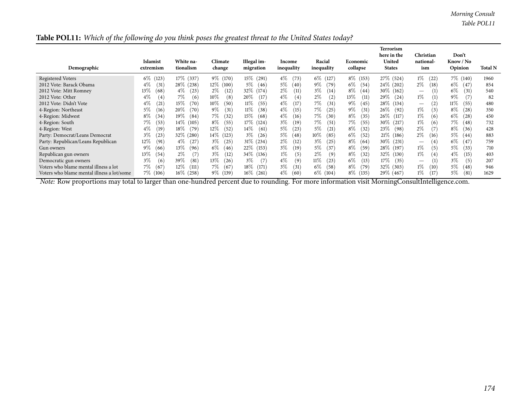*Morning Consult Table POL11*

| Table POL11: Which of the following do you think poses the greatest threat to the United States today? |  |  |  |  |  |  |
|--------------------------------------------------------------------------------------------------------|--|--|--|--|--|--|
|--------------------------------------------------------------------------------------------------------|--|--|--|--|--|--|

| Demographic                                | Islamist<br>extremism | White na-<br>tionalism | Climate<br>change | Illegal im-<br>migration | Income<br>inequality | Racial<br>inequality | Economic<br>collapse | Terrorism<br>here in the<br>United<br><b>States</b> | Christian<br>national-<br>ism | Don't<br>Know / No<br>Opinion | <b>Total N</b> |
|--------------------------------------------|-----------------------|------------------------|-------------------|--------------------------|----------------------|----------------------|----------------------|-----------------------------------------------------|-------------------------------|-------------------------------|----------------|
| Registered Voters                          | $6\%$<br>(123)        | 17\% (337)             | 9\% (170)         | $15\%$<br>(291)          | $4\%$<br>(73)        | $6\%$<br>(127)       | $8\%$ (153)          | 27\% (524)                                          | $1\%$<br>(22)                 | $7\%$ (140)                   | 1960           |
| 2012 Vote: Barack Obama                    | $4\%$<br>(31          | 28\% (238)             | $12\%$<br>(100)   | $5\%$<br>(46)            | 5%<br>(40)           | 9%<br>(79)           | 6%<br>(54)           | $24\%$ (202)                                        | $2\%$<br>(18)                 | 6%<br>(47                     | 854            |
| 2012 Vote: Mitt Romney                     | 13%<br>(68)           | $4\%$<br>(23)          | $2\%$<br>(12)     | 32\%<br>(174)            | $2\%$<br>(11)        | $3\%$<br>(14)        | $8\%$<br>(44)        | $30\%$ (162)                                        |                               | 6%<br>(31)                    | 540            |
| 2012 Vote: Other                           | $4\%$<br>(4)          | 7%<br>(6)              | $10\%$<br>(8)     | 20%<br>(17               | $4\%$<br>(4)         | $2\%$<br>(2)         | 13%<br>(11)          | 29\%<br>(24)                                        | $1\%$                         | 9%<br>(7)                     | 82             |
| 2012 Vote: Didn't Vote                     | $4\%$<br>(21)         | $15\%$<br>(70)         | $10\%$<br>(50)    | $11\%$<br>(55)           | $4\%$<br>(17         | 7%<br>(31)           | $9\%$<br>(45)        | 28\% (134)                                          | (2)                           | $11\%$<br>(55)                | 480            |
| 4-Region: Northeast                        | 5%<br>(16)            | $20\%$<br>(70)         | $9\%$<br>(31)     | $11\%$<br>(38)           | $4\%$<br>(15)        | 7%<br>(25            | $9\%$<br>(31)        | $26\%$<br>(92)                                      | $1\%$<br>(3)                  | $8\%$<br>(28                  | 350            |
| 4-Region: Midwest                          | $8\%$<br>(34          | $19\%$<br>(84)         | 7%<br>(32)        | $15\%$<br>(68)           | $4\%$<br>(16)        | 7%<br>(30)           | $8\%$<br>(35)        | 26%<br>(117)                                        | $1\%$<br>(6)                  | 6%<br>(28                     | 450            |
| 4-Region: South                            | 7%<br>(53)            | $14\%$ (105)           | $8\%$<br>(55)     | 17%<br>(124)             | $3\%$<br>(19         | 7%<br>(51)           | 7%<br>(55)           | $30\%$ (217)                                        | $1\%$<br>(6)                  | 7%<br>(48)                    | 732            |
| 4-Region: West                             | $4\%$<br>(19`         | $18\%$<br>(79)         | $12\%$<br>(52)    | $14\%$<br>(61)           | 5%<br>(23)           | $5\%$<br>(21)        | $8\%$<br>(32)        | 23\%<br>(98)                                        | $2\%$<br>(7                   | $8\%$<br>(36)                 | 428            |
| Party: Democrat/Leans Democrat             | $3\%$<br>(23)         | $32\%$ (280)           | 14%<br>(123)      | $3\%$<br>(26)            | 5%<br>(48)           | $10\%$<br>(85)       | $6\%$<br>(52)        | $21\%$ (186)                                        | $2\%$<br>(16)                 | 5%<br>(44                     | 883            |
| Party: Republican/Leans Republican         | 12%<br>(91            | $4\%$<br>(27)          | $3\%$<br>(25)     | 31\% (234)               | $2\%$<br>(12)        | $3\%$<br>(25)        | $8\%$<br>(64)        | $30\%$<br>(231)                                     | $\left(4\right)$              | 6%<br>(47                     | 759            |
| Gun owners                                 | $9\%$<br>(66)         | 13%<br>(96)            | $6\%$<br>(46)     | 22\% (153)               | $3\%$<br>(19         | $5\%$<br>(37         | $8\%$<br>(59)        | 28\% (197)                                          | $1\%$<br>(5)                  | 5%<br>(33)                    | 710            |
| Republican gun owners                      | 13%<br>(54            | $2\%$<br>(7)           | $3\%$<br>(12)     | 34\%<br>(136)            | $1\%$<br>(5)         | $2\%$<br>(9)         | $8\%$<br>(32)        | 32\% (130)                                          | $1\%$<br>(4)                  | $4\%$<br>(15)                 | 403            |
| Democratic gun owners                      | $3\%$<br>(6)          | 39\%<br>(81)           | $13\%$<br>(26)    | $3\%$<br>(7)             | $4\%$<br>(9)         | $11\%$<br>(23)       | $6\%$<br>(13)        | 17%<br>(35)                                         |                               | $3\%$<br>(5)                  | 207            |
| Voters who blame mental illness a lot      | 7%<br>(67)            | $12\%$<br>(111)        | 7%<br>(67)        | $18\%$<br>(171)          | $3\%$<br>(31)        | $6\%$<br>(58)        | $8\%$<br>(79)        | 32\% (303)                                          | $1\%$<br>(10)                 | 5%<br>(48                     | 946            |
| Voters who blame mental illness a lot/some | 7%<br>(106)           | 16\% (258)             | 9\% (139)         | $16\%$<br>(261)          | $4\%$<br>(60)        | 6%<br>(104)          | $8\%$ (135)          | 29\% (467)                                          | $1\%$<br>(17)                 | 5%<br>(81)                    | 1629           |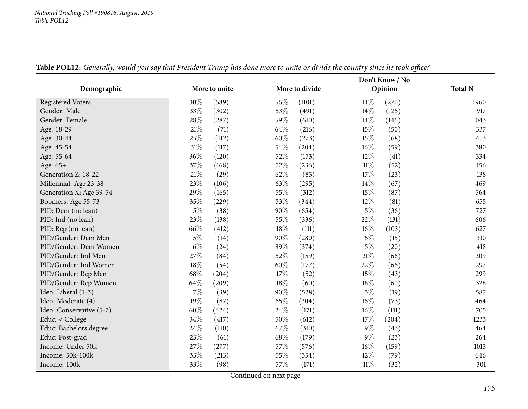|                          |       |               |        | Don't Know / No |        |         |                |  |  |  |
|--------------------------|-------|---------------|--------|-----------------|--------|---------|----------------|--|--|--|
| Demographic              |       | More to unite |        | More to divide  |        | Opinion | <b>Total N</b> |  |  |  |
| <b>Registered Voters</b> | 30%   | (589)         | 56%    | (1101)          | $14\%$ | (270)   | 1960           |  |  |  |
| Gender: Male             | 33%   | (302)         | 53%    | (491)           | 14\%   | (125)   | 917            |  |  |  |
| Gender: Female           | 28%   | (287)         | 59%    | (610)           | 14\%   | (146)   | 1043           |  |  |  |
| Age: 18-29               | 21%   | (71)          | 64%    | (216)           | 15%    | (50)    | 337            |  |  |  |
| Age: 30-44               | 25%   | (112)         | $60\%$ | (273)           | 15%    | (68)    | 453            |  |  |  |
| Age: 45-54               | 31%   | (117)         | 54%    | (204)           | $16\%$ | (59)    | 380            |  |  |  |
| Age: 55-64               | 36%   | (120)         | 52%    | (173)           | 12%    | (41)    | 334            |  |  |  |
| Age: 65+                 | 37%   | (168)         | 52%    | (236)           | $11\%$ | (52)    | 456            |  |  |  |
| Generation Z: 18-22      | 21%   | (29)          | 62%    | (85)            | 17%    | (23)    | 138            |  |  |  |
| Millennial: Age 23-38    | 23%   | (106)         | 63%    | (295)           | 14\%   | (67)    | 469            |  |  |  |
| Generation X: Age 39-54  | 29%   | (165)         | 55%    | (312)           | 15%    | (87)    | 564            |  |  |  |
| Boomers: Age 55-73       | 35%   | (229)         | 53%    | (344)           | $12\%$ | (81)    | 655            |  |  |  |
| PID: Dem (no lean)       | 5%    | (38)          | 90%    | (654)           | $5\%$  | (36)    | 727            |  |  |  |
| PID: Ind (no lean)       | 23%   | (138)         | 55%    | (336)           | 22%    | (131)   | 606            |  |  |  |
| PID: Rep (no lean)       | 66%   | (412)         | 18%    | (111)           | $16\%$ | (103)   | 627            |  |  |  |
| PID/Gender: Dem Men      | $5\%$ | (14)          | 90%    | (280)           | $5\%$  | (15)    | 310            |  |  |  |
| PID/Gender: Dem Women    | $6\%$ | (24)          | 89%    | (374)           | $5\%$  | (20)    | 418            |  |  |  |
| PID/Gender: Ind Men      | 27%   | (84)          | 52%    | (159)           | $21\%$ | (66)    | 309            |  |  |  |
| PID/Gender: Ind Women    | 18%   | (54)          | $60\%$ | (177)           | 22%    | (66)    | 297            |  |  |  |
| PID/Gender: Rep Men      | 68%   | (204)         | 17%    | (52)            | 15%    | (43)    | 299            |  |  |  |
| PID/Gender: Rep Women    | 64%   | (209)         | 18%    | (60)            | $18\%$ | (60)    | 328            |  |  |  |
| Ideo: Liberal (1-3)      | 7%    | (39)          | 90%    | (528)           | $3\%$  | (19)    | 587            |  |  |  |
| Ideo: Moderate (4)       | 19%   | (87)          | 65%    | (304)           | $16\%$ | (73)    | 464            |  |  |  |
| Ideo: Conservative (5-7) | 60%   | (424)         | 24%    | (171)           | $16\%$ | (111)   | 705            |  |  |  |
| Educ: < College          | 34%   | (417)         | 50%    | (612)           | 17%    | (204)   | 1233           |  |  |  |
| Educ: Bachelors degree   | 24%   | (110)         | 67%    | (310)           | $9\%$  | (43)    | 464            |  |  |  |
| Educ: Post-grad          | 23%   | (61)          | 68%    | (179)           | $9\%$  | (23)    | 264            |  |  |  |
| Income: Under 50k        | 27%   | (277)         | 57%    | (576)           | $16\%$ | (159)   | 1013           |  |  |  |
| Income: 50k-100k         | 33%   | (213)         | 55%    | (354)           | 12%    | (79)    | 646            |  |  |  |
| Income: 100k+            | 33%   | (98)          | 57%    | (171)           | $11\%$ | (32)    | 301            |  |  |  |

Table POL12: Generally, would you say that President Trump has done more to unite or divide the country since he took office?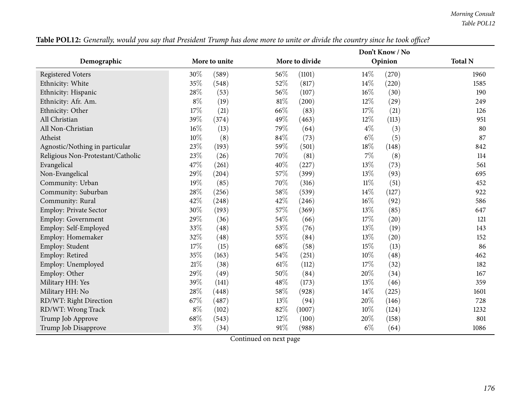|                                   |        |               | Don't Know / No |                |        |         |                |  |  |
|-----------------------------------|--------|---------------|-----------------|----------------|--------|---------|----------------|--|--|
| Demographic                       |        | More to unite |                 | More to divide |        | Opinion | <b>Total N</b> |  |  |
| <b>Registered Voters</b>          | 30%    | (589)         | 56%             | (1101)         | 14%    | (270)   | 1960           |  |  |
| Ethnicity: White                  | 35%    | (548)         | 52%             | (817)          | 14%    | (220)   | 1585           |  |  |
| Ethnicity: Hispanic               | 28%    | (53)          | 56%             | (107)          | 16%    | (30)    | 190            |  |  |
| Ethnicity: Afr. Am.               | $8\%$  | (19)          | $81\%$          | (200)          | 12%    | (29)    | 249            |  |  |
| Ethnicity: Other                  | 17%    | (21)          | 66%             | (83)           | 17%    | (21)    | 126            |  |  |
| All Christian                     | 39%    | (374)         | 49%             | (463)          | 12%    | (113)   | 951            |  |  |
| All Non-Christian                 | $16\%$ | (13)          | 79%             | (64)           | $4\%$  | (3)     | 80             |  |  |
| Atheist                           | 10%    | (8)           | 84%             | (73)           | $6\%$  | (5)     | 87             |  |  |
| Agnostic/Nothing in particular    | 23%    | (193)         | 59%             | (501)          | 18%    | (148)   | 842            |  |  |
| Religious Non-Protestant/Catholic | 23%    | (26)          | 70%             | (81)           | $7\%$  | (8)     | 114            |  |  |
| Evangelical                       | 47%    | (261)         | 40%             | (227)          | 13%    | (73)    | 561            |  |  |
| Non-Evangelical                   | 29%    | (204)         | 57%             | (399)          | 13%    | (93)    | 695            |  |  |
| Community: Urban                  | 19%    | (85)          | 70%             | (316)          | $11\%$ | (51)    | 452            |  |  |
| Community: Suburban               | 28%    | (256)         | 58%             | (539)          | 14%    | (127)   | 922            |  |  |
| Community: Rural                  | 42%    | (248)         | 42%             | (246)          | 16%    | (92)    | 586            |  |  |
| <b>Employ: Private Sector</b>     | 30%    | (193)         | 57%             | (369)          | 13%    | (85)    | 647            |  |  |
| Employ: Government                | 29%    | (36)          | 54\%            | (66)           | 17%    | (20)    | 121            |  |  |
| Employ: Self-Employed             | 33%    | (48)          | 53%             | (76)           | 13%    | (19)    | 143            |  |  |
| Employ: Homemaker                 | 32%    | (48)          | 55%             | (84)           | 13%    | (20)    | 152            |  |  |
| Employ: Student                   | 17%    | (15)          | 68%             | (58)           | 15%    | (13)    | 86             |  |  |
| Employ: Retired                   | 35%    | (163)         | 54%             | (251)          | 10%    | (48)    | 462            |  |  |
| Employ: Unemployed                | 21%    | (38)          | $61\%$          | (112)          | 17%    | (32)    | 182            |  |  |
| Employ: Other                     | 29%    | (49)          | 50%             | (84)           | 20%    | (34)    | 167            |  |  |
| Military HH: Yes                  | 39%    | (141)         | 48%             | (173)          | 13%    | (46)    | 359            |  |  |
| Military HH: No                   | 28%    | (448)         | 58%             | (928)          | 14%    | (225)   | 1601           |  |  |
| RD/WT: Right Direction            | 67%    | (487)         | 13%             | (94)           | 20%    | (146)   | 728            |  |  |
| RD/WT: Wrong Track                | $8\%$  | (102)         | 82%             | (1007)         | 10%    | (124)   | 1232           |  |  |
| Trump Job Approve                 | 68%    | (543)         | 12%             | (100)          | 20%    | (158)   | 801            |  |  |
| Trump Job Disapprove              | $3\%$  | (34)          | 91%             | (988)          | $6\%$  | (64)    | 1086           |  |  |

Table POL12: Generally, would you say that President Trump has done more to unite or divide the country since he took office?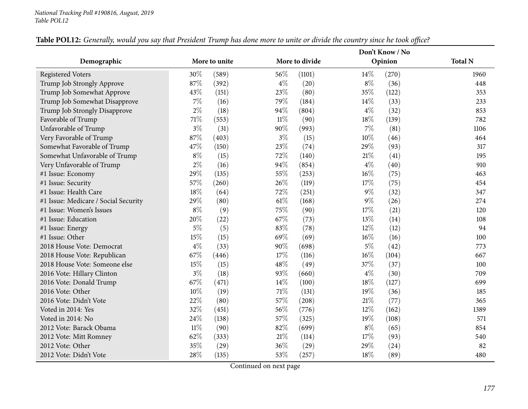|                                      |        |               |        | Don't Know / No |        |         |                |
|--------------------------------------|--------|---------------|--------|-----------------|--------|---------|----------------|
| Demographic                          |        | More to unite |        | More to divide  |        | Opinion | <b>Total N</b> |
| <b>Registered Voters</b>             | 30%    | (589)         | 56\%   | (1101)          | $14\%$ | (270)   | 1960           |
| Trump Job Strongly Approve           | 87%    | (392)         | $4\%$  | (20)            | $8\%$  | (36)    | 448            |
| Trump Job Somewhat Approve           | 43%    | (151)         | 23%    | (80)            | 35%    | (122)   | 353            |
| Trump Job Somewhat Disapprove        | $7\%$  | (16)          | 79%    | (184)           | 14%    | (33)    | 233            |
| Trump Job Strongly Disapprove        | $2\%$  | (18)          | 94%    | (804)           | $4\%$  | (32)    | 853            |
| Favorable of Trump                   | 71%    | (553)         | $11\%$ | (90)            | 18%    | (139)   | 782            |
| Unfavorable of Trump                 | $3\%$  | (31)          | 90%    | (993)           | $7\%$  | (81)    | 1106           |
| Very Favorable of Trump              | 87%    | (403)         | $3\%$  | (15)            | $10\%$ | (46)    | 464            |
| Somewhat Favorable of Trump          | 47%    | (150)         | 23%    | (74)            | 29%    | (93)    | 317            |
| Somewhat Unfavorable of Trump        | $8\%$  | (15)          | 72%    | (140)           | 21%    | (41)    | 195            |
| Very Unfavorable of Trump            | $2\%$  | (16)          | 94%    | (854)           | $4\%$  | (40)    | 910            |
| #1 Issue: Economy                    | 29%    | (135)         | 55%    | (253)           | $16\%$ | (75)    | 463            |
| #1 Issue: Security                   | 57%    | (260)         | 26%    | (119)           | 17%    | (75)    | 454            |
| #1 Issue: Health Care                | 18%    | (64)          | 72%    | (251)           | $9\%$  | (32)    | 347            |
| #1 Issue: Medicare / Social Security | 29%    | (80)          | $61\%$ | (168)           | $9\%$  | (26)    | 274            |
| #1 Issue: Women's Issues             | $8\%$  | (9)           | 75%    | (90)            | 17%    | (21)    | 120            |
| #1 Issue: Education                  | 20%    | (22)          | 67%    | (73)            | 13%    | (14)    | 108            |
| #1 Issue: Energy                     | $5\%$  | (5)           | 83%    | (78)            | $12\%$ | (12)    | 94             |
| #1 Issue: Other                      | 15%    | (15)          | 69%    | (69)            | $16\%$ | (16)    | 100            |
| 2018 House Vote: Democrat            | $4\%$  | (33)          | 90%    | (698)           | $5\%$  | (42)    | 773            |
| 2018 House Vote: Republican          | 67%    | (446)         | 17%    | (116)           | $16\%$ | (104)   | 667            |
| 2018 House Vote: Someone else        | 15%    | (15)          | 48%    | (49)            | 37%    | (37)    | 100            |
| 2016 Vote: Hillary Clinton           | $3\%$  | (18)          | 93%    | (660)           | $4\%$  | (30)    | 709            |
| 2016 Vote: Donald Trump              | 67%    | (471)         | 14%    | (100)           | 18%    | (127)   | 699            |
| 2016 Vote: Other                     | 10%    | (19)          | $71\%$ | (131)           | 19%    | (36)    | 185            |
| 2016 Vote: Didn't Vote               | 22%    | (80)          | $57\%$ | (208)           | $21\%$ | (77)    | 365            |
| Voted in 2014: Yes                   | 32%    | (451)         | 56%    | (776)           | 12%    | (162)   | 1389           |
| Voted in 2014: No                    | 24%    | (138)         | 57%    | (325)           | 19%    | (108)   | 571            |
| 2012 Vote: Barack Obama              | $11\%$ | (90)          | 82%    | (699)           | $8\%$  | (65)    | 854            |
| 2012 Vote: Mitt Romney               | 62%    | (333)         | $21\%$ | (114)           | 17%    | (93)    | 540            |
| 2012 Vote: Other                     | 35%    | (29)          | 36%    | (29)            | 29%    | (24)    | 82             |
| 2012 Vote: Didn't Vote               | 28%    | (135)         | 53%    | (257)           | 18%    | (89)    | 480            |

## Table POL12: Generally, would you say that President Trump has done more to unite or divide the country since he took office?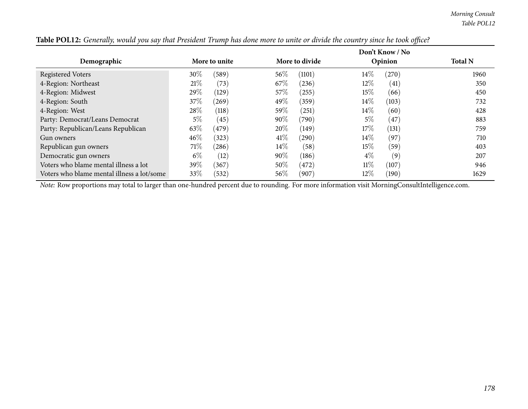|                                            |               |       |        | Don't Know / No |        |         |                |  |
|--------------------------------------------|---------------|-------|--------|-----------------|--------|---------|----------------|--|
| Demographic                                | More to unite |       |        | More to divide  |        | Opinion | <b>Total N</b> |  |
| <b>Registered Voters</b>                   | 30%           | (589) | 56\%   | (1101)          | $14\%$ | (270)   | 1960           |  |
| 4-Region: Northeast                        | 21%           | (73)  | 67\%   | (236)           | $12\%$ | (41)    | 350            |  |
| 4-Region: Midwest                          | 29%           | (129) | 57\%   | (255)           | 15\%   | (66)    | 450            |  |
| 4-Region: South                            | 37\%          | (269) | 49\%   | (359)           | $14\%$ | (103)   | 732            |  |
| 4-Region: West                             | 28\%          | (118) | 59\%   | (251)           | $14\%$ | (60)    | 428            |  |
| Party: Democrat/Leans Democrat             | $5\%$         | (45)  | $90\%$ | (790)           | $5\%$  | (47)    | 883            |  |
| Party: Republican/Leans Republican         | 63\%          | (479) | 20%    | (149)           | 17%    | (131)   | 759            |  |
| Gun owners                                 | $46\%$        | (323) | $41\%$ | (290)           | $14\%$ | (97)    | 710            |  |
| Republican gun owners                      | 71%           | (286) | $14\%$ | (58)            | $15\%$ | (59)    | 403            |  |
| Democratic gun owners                      | $6\%$         | (12)  | $90\%$ | (186)           | $4\%$  | (9)     | 207            |  |
| Voters who blame mental illness a lot      | 39\%          | (367) | 50%    | (472)           | $11\%$ | (107)   | 946            |  |
| Voters who blame mental illness a lot/some | 33\%          | (532) | 56%    | (907)           | $12\%$ | (190)   | 1629           |  |

Table POL12: Generally, would you say that President Trump has done more to unite or divide the country since he took office?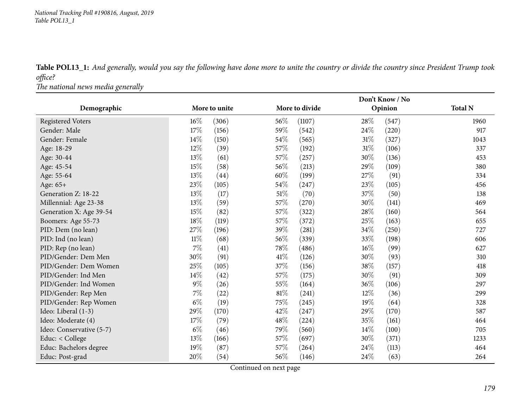Table POL13\_1: And generally, would you say the following have done more to unite the country or divide the country since President Trump took *office?*

*The national news media generally*

|                          |               |       |        | Don't Know / No |        |         |                |  |
|--------------------------|---------------|-------|--------|-----------------|--------|---------|----------------|--|
| Demographic              | More to unite |       |        | More to divide  |        | Opinion | <b>Total N</b> |  |
| <b>Registered Voters</b> | $16\%$        | (306) | 56%    | (1107)          | 28\%   | (547)   | 1960           |  |
| Gender: Male             | 17%           | (156) | 59%    | (542)           | 24%    | (220)   | 917            |  |
| Gender: Female           | $14\%$        | (150) | 54%    | (565)           | 31%    | (327)   | 1043           |  |
| Age: 18-29               | 12%           | (39)  | 57%    | (192)           | 31%    | (106)   | 337            |  |
| Age: 30-44               | 13%           | (61)  | 57\%   | (257)           | 30%    | (136)   | 453            |  |
| Age: 45-54               | 15%           | (58)  | 56%    | (213)           | 29%    | (109)   | 380            |  |
| Age: 55-64               | 13%           | (44)  | 60%    | (199)           | 27%    | (91)    | 334            |  |
| Age: 65+                 | 23%           | (105) | 54%    | (247)           | 23%    | (105)   | 456            |  |
| Generation Z: 18-22      | 13%           | (17)  | 51\%   | (70)            | 37%    | (50)    | 138            |  |
| Millennial: Age 23-38    | 13%           | (59)  | 57%    | (270)           | 30%    | (141)   | 469            |  |
| Generation X: Age 39-54  | 15%           | (82)  | 57%    | (322)           | 28%    | (160)   | 564            |  |
| Boomers: Age 55-73       | 18%           | (119) | 57%    | (372)           | 25%    | (163)   | 655            |  |
| PID: Dem (no lean)       | 27%           | (196) | 39%    | (281)           | 34%    | (250)   | 727            |  |
| PID: Ind (no lean)       | $11\%$        | (68)  | 56%    | (339)           | 33%    | (198)   | 606            |  |
| PID: Rep (no lean)       | $7\%$         | (41)  | 78%    | (486)           | $16\%$ | (99)    | 627            |  |
| PID/Gender: Dem Men      | $30\%$        | (91)  | 41\%   | (126)           | 30%    | (93)    | 310            |  |
| PID/Gender: Dem Women    | 25%           | (105) | 37%    | (156)           | 38%    | (157)   | 418            |  |
| PID/Gender: Ind Men      | $14\%$        | (42)  | 57%    | (175)           | 30%    | (91)    | 309            |  |
| PID/Gender: Ind Women    | $9\%$         | (26)  | 55%    | (164)           | 36%    | (106)   | 297            |  |
| PID/Gender: Rep Men      | 7%            | (22)  | $81\%$ | (241)           | 12%    | (36)    | 299            |  |
| PID/Gender: Rep Women    | $6\%$         | (19)  | 75%    | (245)           | 19%    | (64)    | 328            |  |
| Ideo: Liberal (1-3)      | 29%           | (170) | 42\%   | (247)           | 29%    | (170)   | 587            |  |
| Ideo: Moderate (4)       | 17%           | (79)  | 48%    | (224)           | 35%    | (161)   | 464            |  |
| Ideo: Conservative (5-7) | $6\%$         | (46)  | 79%    | (560)           | 14%    | (100)   | 705            |  |
| Educ: < College          | 13%           | (166) | 57%    | (697)           | 30%    | (371)   | 1233           |  |
| Educ: Bachelors degree   | 19%           | (87)  | 57%    | (264)           | 24%    | (113)   | 464            |  |
| Educ: Post-grad          | 20%           | (54)  | 56%    | (146)           | 24%    | (63)    | 264            |  |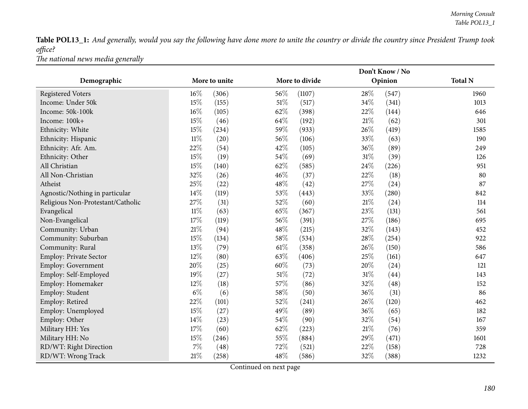Table POL13\_1: And generally, would you say the following have done more to unite the country or divide the country since President Trump took *office?*

*The national news media generally*

|                                   |               |       |        | Don't Know / No |        |         |                |  |
|-----------------------------------|---------------|-------|--------|-----------------|--------|---------|----------------|--|
| Demographic                       | More to unite |       |        | More to divide  |        | Opinion | <b>Total N</b> |  |
| <b>Registered Voters</b>          | $16\%$        | (306) | 56%    | (1107)          | 28%    | (547)   | 1960           |  |
| Income: Under 50k                 | 15%           | (155) | $51\%$ | (517)           | 34%    | (341)   | 1013           |  |
| Income: 50k-100k                  | 16%           | (105) | 62%    | (398)           | 22%    | (144)   | 646            |  |
| Income: 100k+                     | 15%           | (46)  | 64%    | (192)           | $21\%$ | (62)    | 301            |  |
| Ethnicity: White                  | 15%           | (234) | 59%    | (933)           | 26%    | (419)   | 1585           |  |
| Ethnicity: Hispanic               | $11\%$        | (20)  | 56%    | (106)           | 33%    | (63)    | 190            |  |
| Ethnicity: Afr. Am.               | 22%           | (54)  | 42%    | (105)           | 36%    | (89)    | 249            |  |
| Ethnicity: Other                  | 15%           | (19)  | 54%    | (69)            | $31\%$ | (39)    | 126            |  |
| All Christian                     | 15%           | (140) | 62%    | (585)           | 24\%   | (226)   | 951            |  |
| All Non-Christian                 | 32%           | (26)  | 46%    | (37)            | 22%    | (18)    | 80             |  |
| Atheist                           | 25%           | (22)  | 48%    | (42)            | 27%    | (24)    | 87             |  |
| Agnostic/Nothing in particular    | 14%           | (119) | 53%    | (443)           | 33%    | (280)   | 842            |  |
| Religious Non-Protestant/Catholic | 27%           | (31)  | 52%    | (60)            | $21\%$ | (24)    | 114            |  |
| Evangelical                       | $11\%$        | (63)  | 65%    | (367)           | 23%    | (131)   | 561            |  |
| Non-Evangelical                   | 17%           | (119) | 56%    | (391)           | 27%    | (186)   | 695            |  |
| Community: Urban                  | 21%           | (94)  | 48%    | (215)           | 32%    | (143)   | 452            |  |
| Community: Suburban               | 15%           | (134) | 58%    | (534)           | 28\%   | (254)   | 922            |  |
| Community: Rural                  | 13%           | (79)  | $61\%$ | (358)           | 26%    | (150)   | 586            |  |
| <b>Employ: Private Sector</b>     | 12%           | (80)  | 63%    | (406)           | 25%    | (161)   | 647            |  |
| Employ: Government                | 20%           | (25)  | $60\%$ | (73)            | $20\%$ | (24)    | 121            |  |
| Employ: Self-Employed             | 19%           | (27)  | $51\%$ | (72)            | $31\%$ | (44)    | 143            |  |
| Employ: Homemaker                 | 12%           | (18)  | 57%    | (86)            | 32%    | (48)    | 152            |  |
| Employ: Student                   | $6\%$         | (6)   | 58%    | (50)            | 36%    | (31)    | 86             |  |
| Employ: Retired                   | 22%           | (101) | $52\%$ | (241)           | 26%    | (120)   | 462            |  |
| Employ: Unemployed                | 15%           | (27)  | 49%    | (89)            | 36%    | (65)    | 182            |  |
| Employ: Other                     | 14%           | (23)  | 54%    | (90)            | 32%    | (54)    | 167            |  |
| Military HH: Yes                  | 17%           | (60)  | 62%    | (223)           | $21\%$ | (76)    | 359            |  |
| Military HH: No                   | 15%           | (246) | 55%    | (884)           | 29%    | (471)   | 1601           |  |
| RD/WT: Right Direction            | $7\%$         | (48)  | 72%    | (521)           | 22%    | (158)   | 728            |  |
| RD/WT: Wrong Track                | 21%           | (258) | 48%    | (586)           | 32%    | (388)   | 1232           |  |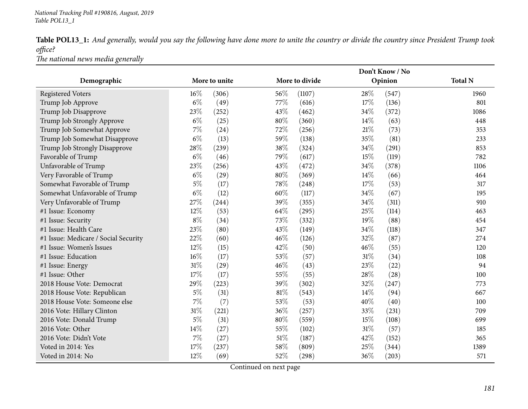Table POL13\_1: And generally, would you say the following have done more to unite the country or divide the country since President Trump took *office?*

*The national news media generally*

|                                      |        |               |        |                | Don't Know / No |         |                |  |  |
|--------------------------------------|--------|---------------|--------|----------------|-----------------|---------|----------------|--|--|
| Demographic                          |        | More to unite |        | More to divide |                 | Opinion | <b>Total N</b> |  |  |
| <b>Registered Voters</b>             | $16\%$ | (306)         | 56%    | (1107)         | 28%             | (547)   | 1960           |  |  |
| Trump Job Approve                    | $6\%$  | (49)          | 77%    | (616)          | 17%             | (136)   | 801            |  |  |
| Trump Job Disapprove                 | 23%    | (252)         | 43%    | (462)          | 34%             | (372)   | 1086           |  |  |
| Trump Job Strongly Approve           | $6\%$  | (25)          | 80%    | (360)          | $14\%$          | (63)    | 448            |  |  |
| Trump Job Somewhat Approve           | $7\%$  | (24)          | 72%    | (256)          | 21%             | (73)    | 353            |  |  |
| Trump Job Somewhat Disapprove        | $6\%$  | (13)          | 59%    | (138)          | 35%             | (81)    | 233            |  |  |
| Trump Job Strongly Disapprove        | 28%    | (239)         | 38%    | (324)          | 34%             | (291)   | 853            |  |  |
| Favorable of Trump                   | $6\%$  | (46)          | 79%    | (617)          | 15%             | (119)   | 782            |  |  |
| Unfavorable of Trump                 | 23%    | (256)         | 43%    | (472)          | 34%             | (378)   | 1106           |  |  |
| Very Favorable of Trump              | $6\%$  | (29)          | 80%    | (369)          | 14%             | (66)    | 464            |  |  |
| Somewhat Favorable of Trump          | $5\%$  | (17)          | 78%    | (248)          | 17%             | (53)    | 317            |  |  |
| Somewhat Unfavorable of Trump        | $6\%$  | (12)          | 60%    | (117)          | 34%             | (67)    | 195            |  |  |
| Very Unfavorable of Trump            | 27%    | (244)         | 39%    | (355)          | 34%             | (311)   | 910            |  |  |
| #1 Issue: Economy                    | $12\%$ | (53)          | 64%    | (295)          | 25%             | (114)   | 463            |  |  |
| #1 Issue: Security                   | $8\%$  | (34)          | 73%    | (332)          | 19%             | (88)    | 454            |  |  |
| #1 Issue: Health Care                | 23%    | (80)          | 43%    | (149)          | 34\%            | (118)   | 347            |  |  |
| #1 Issue: Medicare / Social Security | 22%    | (60)          | 46%    | (126)          | 32%             | (87)    | 274            |  |  |
| #1 Issue: Women's Issues             | 12%    | (15)          | 42%    | (50)           | 46%             | (55)    | 120            |  |  |
| #1 Issue: Education                  | 16%    | (17)          | 53%    | (57)           | 31%             | (34)    | 108            |  |  |
| #1 Issue: Energy                     | 31%    | (29)          | 46%    | (43)           | 23%             | (22)    | 94             |  |  |
| #1 Issue: Other                      | 17%    | (17)          | 55%    | (55)           | 28%             | (28)    | 100            |  |  |
| 2018 House Vote: Democrat            | 29%    | (223)         | 39%    | (302)          | 32%             | (247)   | 773            |  |  |
| 2018 House Vote: Republican          | $5\%$  | (31)          | $81\%$ | (543)          | 14%             | (94)    | 667            |  |  |
| 2018 House Vote: Someone else        | $7\%$  | (7)           | 53%    | (53)           | 40%             | (40)    | 100            |  |  |
| 2016 Vote: Hillary Clinton           | $31\%$ | (221)         | 36%    | (257)          | 33%             | (231)   | 709            |  |  |
| 2016 Vote: Donald Trump              | $5\%$  | (31)          | 80%    | (559)          | 15%             | (108)   | 699            |  |  |
| 2016 Vote: Other                     | 14\%   | (27)          | 55%    | (102)          | 31%             | (57)    | 185            |  |  |
| 2016 Vote: Didn't Vote               | $7\%$  | (27)          | 51%    | (187)          | 42%             | (152)   | 365            |  |  |
| Voted in 2014: Yes                   | 17%    | (237)         | 58%    | (809)          | 25%             | (344)   | 1389           |  |  |
| Voted in 2014: No                    | 12%    | (69)          | 52%    | (298)          | 36%             | (203)   | 571            |  |  |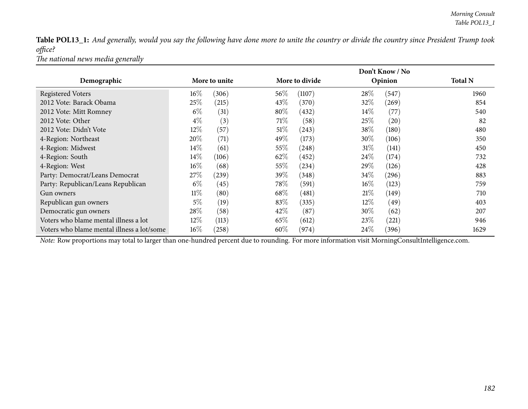Table POL13\_1: And generally, would you say the following have done more to unite the country or divide the country since President Trump took *office?*

*The national news media generally*

|                                            |        |               |      | Don't Know / No |        |         |                |  |  |  |
|--------------------------------------------|--------|---------------|------|-----------------|--------|---------|----------------|--|--|--|
| Demographic                                |        | More to unite |      | More to divide  |        | Opinion | <b>Total N</b> |  |  |  |
| <b>Registered Voters</b>                   | $16\%$ | (306)         | 56\% | (1107)          | 28%    | (547)   | 1960           |  |  |  |
| 2012 Vote: Barack Obama                    | 25\%   | (215)         | 43\% | (370)           | 32\%   | (269)   | 854            |  |  |  |
| 2012 Vote: Mitt Romney                     | $6\%$  | (31)          | 80%  | (432)           | $14\%$ | (77)    | 540            |  |  |  |
| 2012 Vote: Other                           | $4\%$  | (3)           | 71%  | (58)            | 25%    | (20)    | 82             |  |  |  |
| 2012 Vote: Didn't Vote                     | 12\%   | (57)          | 51%  | (243)           | 38\%   | (180)   | 480            |  |  |  |
| 4-Region: Northeast                        | 20%    | (71)          | 49%  | (173)           | 30\%   | (106)   | 350            |  |  |  |
| 4-Region: Midwest                          | $14\%$ | (61)          | 55\% | (248)           | $31\%$ | (141)   | 450            |  |  |  |
| 4-Region: South                            | $14\%$ | (106)         | 62\% | (452)           | $24\%$ | (174)   | 732            |  |  |  |
| 4-Region: West                             | $16\%$ | (68)          | 55\% | (234)           | 29\%   | (126)   | 428            |  |  |  |
| Party: Democrat/Leans Democrat             | 27\%   | (239)         | 39\% | (348)           | $34\%$ | (296)   | 883            |  |  |  |
| Party: Republican/Leans Republican         | $6\%$  | (45)          | 78\% | (591)           | $16\%$ | (123)   | 759            |  |  |  |
| Gun owners                                 | $11\%$ | (80)          | 68\% | (481)           | 21%    | (149)   | 710            |  |  |  |
| Republican gun owners                      | $5\%$  | (19)          | 83%  | (335)           | $12\%$ | (49)    | 403            |  |  |  |
| Democratic gun owners                      | 28\%   | (58)          | 42\% | (87)            | 30%    | (62)    | 207            |  |  |  |
| Voters who blame mental illness a lot      | 12\%   | (113)         | 65\% | (612)           | 23\%   | (221)   | 946            |  |  |  |
| Voters who blame mental illness a lot/some | $16\%$ | (258)         | 60\% | (974)           | 24%    | (396)   | 1629           |  |  |  |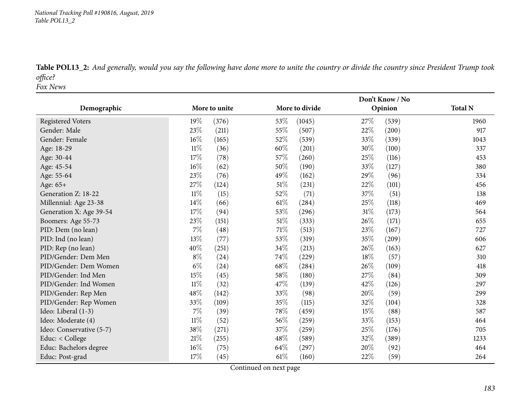*National Tracking Poll #190816, August, <sup>2019</sup> Table POL13\_2*

Table POL13\_2: And generally, would you say the following have done more to unite the country or divide the country since President Trump took *office?Fox News*

|                          |        |               |        | Don't Know / No |                 |                |  |  |  |
|--------------------------|--------|---------------|--------|-----------------|-----------------|----------------|--|--|--|
| Demographic              |        | More to unite |        | More to divide  | Opinion         | <b>Total N</b> |  |  |  |
| <b>Registered Voters</b> | 19%    | (376)         | 53%    | (1045)          | 27%<br>(539)    | 1960           |  |  |  |
| Gender: Male             | 23%    | (211)         | 55%    | (507)           | 22%<br>(200)    | 917            |  |  |  |
| Gender: Female           | 16%    | (165)         | 52%    | (539)           | 33%<br>(339)    | 1043           |  |  |  |
| Age: 18-29               | $11\%$ | (36)          | 60%    | (201)           | 30%<br>(100)    | 337            |  |  |  |
| Age: 30-44               | 17\%   | (78)          | 57%    | (260)           | 25%<br>(116)    | 453            |  |  |  |
| Age: 45-54               | $16\%$ | (62)          | 50%    | (190)           | 33%<br>(127)    | 380            |  |  |  |
| Age: 55-64               | 23\%   | (76)          | 49%    | (162)           | 29%<br>(96)     | 334            |  |  |  |
| Age: 65+                 | 27%    | (124)         | $51\%$ | (231)           | 22%<br>(101)    | 456            |  |  |  |
| Generation Z: 18-22      | $11\%$ | (15)          | 52%    | (71)            | 37%<br>(51)     | 138            |  |  |  |
| Millennial: Age 23-38    | 14%    | (66)          | 61\%   | (284)           | 25%<br>(118)    | 469            |  |  |  |
| Generation X: Age 39-54  | 17%    | (94)          | 53%    | (296)           | $31\%$<br>(173) | 564            |  |  |  |
| Boomers: Age 55-73       | 23%    | (151)         | $51\%$ | (333)           | 26%<br>(171)    | 655            |  |  |  |
| PID: Dem (no lean)       | 7%     | (48)          | 71%    | (513)           | 23%<br>(167)    | 727            |  |  |  |
| PID: Ind (no lean)       | 13%    | (77)          | 53%    | (319)           | 35%<br>(209)    | 606            |  |  |  |
| PID: Rep (no lean)       | 40%    | (251)         | 34%    | (213)           | 26%<br>(163)    | 627            |  |  |  |
| PID/Gender: Dem Men      | $8\%$  | (24)          | 74%    | (229)           | 18%<br>(57)     | 310            |  |  |  |
| PID/Gender: Dem Women    | $6\%$  | (24)          | 68\%   | (284)           | 26%<br>(109)    | 418            |  |  |  |
| PID/Gender: Ind Men      | $15\%$ | (45)          | 58%    | (180)           | 27%<br>(84)     | 309            |  |  |  |
| PID/Gender: Ind Women    | $11\%$ | (32)          | 47%    | (139)           | 42%<br>(126)    | 297            |  |  |  |
| PID/Gender: Rep Men      | 48%    | (142)         | 33%    | (98)            | (59)<br>20%     | 299            |  |  |  |
| PID/Gender: Rep Women    | 33%    | (109)         | $35\%$ | (115)           | 32%<br>(104)    | 328            |  |  |  |
| Ideo: Liberal (1-3)      | $7\%$  | (39)          | 78%    | (459)           | 15%<br>(88)     | 587            |  |  |  |
| Ideo: Moderate (4)       | $11\%$ | (52)          | 56%    | (259)           | 33%<br>(153)    | 464            |  |  |  |
| Ideo: Conservative (5-7) | 38%    | (271)         | 37%    | (259)           | 25%<br>(176)    | 705            |  |  |  |
| Educ: < College          | $21\%$ | (255)         | 48%    | (589)           | 32%<br>(389)    | 1233           |  |  |  |
| Educ: Bachelors degree   | 16%    | (75)          | 64%    | (297)           | 20%<br>(92)     | 464            |  |  |  |
| Educ: Post-grad          | 17%    | (45)          | 61\%   | (160)           | 22%<br>(59)     | 264            |  |  |  |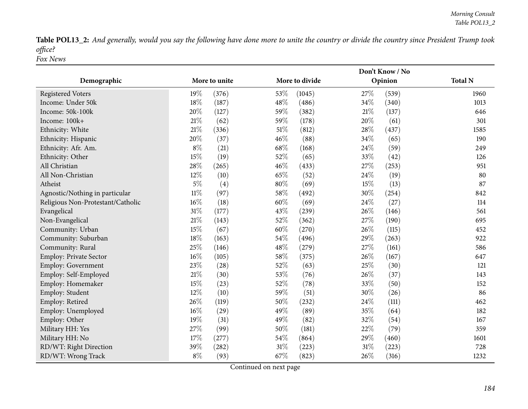Table POL13\_2: And generally, would you say the following have done more to unite the country or divide the country since President Trump took *office?Fox News*

|                                   |               |       |        |                |        | Don't Know / No |                |
|-----------------------------------|---------------|-------|--------|----------------|--------|-----------------|----------------|
| Demographic                       | More to unite |       |        | More to divide |        | Opinion         | <b>Total N</b> |
| <b>Registered Voters</b>          | 19%           | (376) | 53%    | (1045)         | 27%    | (539)           | 1960           |
| Income: Under 50k                 | 18%           | (187) | 48%    | (486)          | 34%    | (340)           | 1013           |
| Income: 50k-100k                  | 20%           | (127) | 59%    | (382)          | 21\%   | (137)           | 646            |
| Income: 100k+                     | 21%           | (62)  | 59%    | (178)          | 20%    | (61)            | 301            |
| Ethnicity: White                  | 21%           | (336) | 51%    | (812)          | 28\%   | (437)           | 1585           |
| Ethnicity: Hispanic               | 20%           | (37)  | 46%    | (88)           | 34%    | (65)            | 190            |
| Ethnicity: Afr. Am.               | $8\%$         | (21)  | 68%    | (168)          | 24%    | (59)            | 249            |
| Ethnicity: Other                  | 15%           | (19)  | 52%    | (65)           | 33%    | (42)            | 126            |
| All Christian                     | 28%           | (265) | 46%    | (433)          | 27%    | (253)           | 951            |
| All Non-Christian                 | 12%           | (10)  | 65%    | (52)           | 24%    | (19)            | 80             |
| Atheist                           | $5\%$         | (4)   | 80%    | (69)           | 15%    | (13)            | 87             |
| Agnostic/Nothing in particular    | $11\%$        | (97)  | 58%    | (492)          | 30%    | (254)           | 842            |
| Religious Non-Protestant/Catholic | 16%           | (18)  | 60%    | (69)           | 24\%   | (27)            | 114            |
| Evangelical                       | 31%           | (177) | 43%    | (239)          | 26%    | (146)           | 561            |
| Non-Evangelical                   | 21\%          | (143) | 52%    | (362)          | 27%    | (190)           | 695            |
| Community: Urban                  | 15%           | (67)  | 60%    | (270)          | 26%    | (115)           | 452            |
| Community: Suburban               | 18%           | (163) | 54%    | (496)          | 29%    | (263)           | 922            |
| Community: Rural                  | 25%           | (146) | 48%    | (279)          | 27%    | (161)           | 586            |
| Employ: Private Sector            | 16%           | (105) | $58\%$ | (375)          | $26\%$ | (167)           | 647            |
| Employ: Government                | 23%           | (28)  | 52%    | (63)           | 25%    | (30)            | 121            |
| Employ: Self-Employed             | 21%           | (30)  | 53%    | (76)           | 26%    | (37)            | 143            |
| Employ: Homemaker                 | 15%           | (23)  | 52%    | (78)           | 33%    | (50)            | 152            |
| Employ: Student                   | 12%           | (10)  | 59%    | (51)           | 30%    | (26)            | 86             |
| Employ: Retired                   | 26%           | (119) | 50%    | (232)          | 24%    | (111)           | 462            |
| Employ: Unemployed                | 16%           | (29)  | 49%    | (89)           | 35%    | (64)            | 182            |
| Employ: Other                     | 19%           | (31)  | 49%    | (82)           | 32%    | (54)            | 167            |
| Military HH: Yes                  | 27%           | (99)  | 50%    | (181)          | 22%    | (79)            | 359            |
| Military HH: No                   | 17%           | (277) | 54%    | (864)          | 29%    | (460)           | 1601           |
| RD/WT: Right Direction            | 39%           | (282) | 31%    | (223)          | 31%    | (223)           | 728            |
| RD/WT: Wrong Track                | $8\%$         | (93)  | 67%    | (823)          | 26%    | (316)           | 1232           |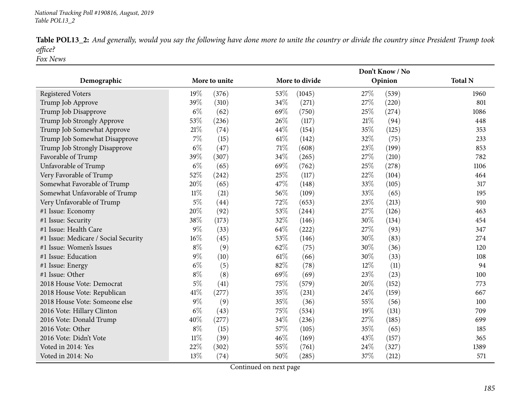Table POL13\_2: And generally, would you say the following have done more to unite the country or divide the country since President Trump took *office?*

*Fox News*

|                                      |        |               |        | Don't Know / No |                |                |  |  |  |
|--------------------------------------|--------|---------------|--------|-----------------|----------------|----------------|--|--|--|
| Demographic                          |        | More to unite |        | More to divide  | Opinion        | <b>Total N</b> |  |  |  |
| <b>Registered Voters</b>             | 19%    | (376)         | 53%    | (1045)          | 27%<br>(539)   | 1960           |  |  |  |
| Trump Job Approve                    | 39%    | (310)         | 34%    | (271)           | 27%<br>(220)   | 801            |  |  |  |
| Trump Job Disapprove                 | $6\%$  | (62)          | 69%    | (750)           | 25%<br>(274)   | 1086           |  |  |  |
| Trump Job Strongly Approve           | 53%    | (236)         | 26%    | (117)           | $21\%$<br>(94) | 448            |  |  |  |
| Trump Job Somewhat Approve           | 21%    | (74)          | 44%    | (154)           | 35%<br>(125)   | 353            |  |  |  |
| Trump Job Somewhat Disapprove        | $7\%$  | (15)          | $61\%$ | (142)           | 32%<br>(75)    | 233            |  |  |  |
| Trump Job Strongly Disapprove        | $6\%$  | (47)          | $71\%$ | (608)           | 23%<br>(199)   | 853            |  |  |  |
| Favorable of Trump                   | 39%    | (307)         | 34%    | (265)           | 27%<br>(210)   | 782            |  |  |  |
| Unfavorable of Trump                 | $6\%$  | (65)          | 69%    | (762)           | 25%<br>(278)   | 1106           |  |  |  |
| Very Favorable of Trump              | 52%    | (242)         | 25%    | (117)           | 22%<br>(104)   | 464            |  |  |  |
| Somewhat Favorable of Trump          | 20%    | (65)          | 47%    | (148)           | 33%<br>(105)   | 317            |  |  |  |
| Somewhat Unfavorable of Trump        | $11\%$ | (21)          | 56%    | (109)           | 33%<br>(65)    | 195            |  |  |  |
| Very Unfavorable of Trump            | $5\%$  | (44)          | 72%    | (653)           | 23%<br>(213)   | 910            |  |  |  |
| #1 Issue: Economy                    | 20%    | (92)          | 53%    | (244)           | 27%<br>(126)   | 463            |  |  |  |
| #1 Issue: Security                   | 38%    | (173)         | 32%    | (146)           | 30%<br>(134)   | 454            |  |  |  |
| #1 Issue: Health Care                | $9\%$  | (33)          | 64%    | (222)           | 27%<br>(93)    | 347            |  |  |  |
| #1 Issue: Medicare / Social Security | 16%    | (45)          | 53%    | (146)           | 30%<br>(83)    | 274            |  |  |  |
| #1 Issue: Women's Issues             | $8\%$  | (9)           | 62%    | (75)            | 30%<br>(36)    | 120            |  |  |  |
| #1 Issue: Education                  | $9\%$  | (10)          | $61\%$ | (66)            | 30%<br>(33)    | 108            |  |  |  |
| #1 Issue: Energy                     | $6\%$  | (5)           | 82%    | (78)            | 12%<br>(11)    | 94             |  |  |  |
| #1 Issue: Other                      | $8\%$  | (8)           | 69%    | (69)            | 23%<br>(23)    | 100            |  |  |  |
| 2018 House Vote: Democrat            | $5\%$  | (41)          | 75%    | (579)           | 20%<br>(152)   | 773            |  |  |  |
| 2018 House Vote: Republican          | 41%    | (277)         | 35%    | (231)           | 24%<br>(159)   | 667            |  |  |  |
| 2018 House Vote: Someone else        | $9\%$  | (9)           | 35%    | (36)            | $55\%$<br>(56) | 100            |  |  |  |
| 2016 Vote: Hillary Clinton           | $6\%$  | (43)          | 75%    | (534)           | 19%<br>(131)   | 709            |  |  |  |
| 2016 Vote: Donald Trump              | 40%    | (277)         | 34%    | (236)           | 27%<br>(185)   | 699            |  |  |  |
| 2016 Vote: Other                     | $8\%$  | (15)          | 57%    | (105)           | 35%<br>(65)    | 185            |  |  |  |
| 2016 Vote: Didn't Vote               | $11\%$ | (39)          | 46%    | (169)           | 43%<br>(157)   | 365            |  |  |  |
| Voted in 2014: Yes                   | 22%    | (302)         | 55%    | (761)           | 24%<br>(327)   | 1389           |  |  |  |
| Voted in 2014: No                    | 13%    | (74)          | 50%    | (285)           | 37%<br>(212)   | 571            |  |  |  |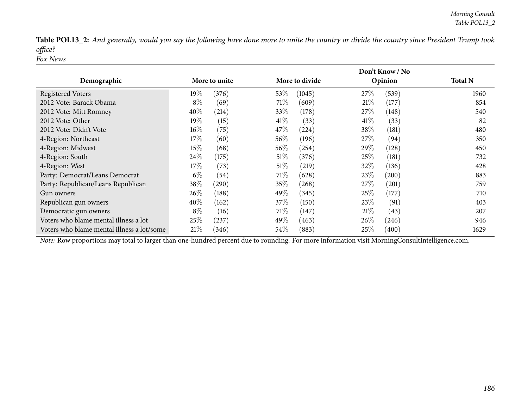Table POL13\_2: And generally, would you say the following have done more to unite the country or divide the country since President Trump took *office?Fox News*

|                                            |        |               |        | Don't Know / No |        |         |                |  |  |
|--------------------------------------------|--------|---------------|--------|-----------------|--------|---------|----------------|--|--|
| Demographic                                |        | More to unite |        | More to divide  |        | Opinion | <b>Total N</b> |  |  |
| <b>Registered Voters</b>                   | $19\%$ | (376)         | 53\%   | (1045)          | 27\%   | (539)   | 1960           |  |  |
| 2012 Vote: Barack Obama                    | $8\%$  | (69)          | 71\%   | (609)           | 21%    | (177)   | 854            |  |  |
| 2012 Vote: Mitt Romney                     | $40\%$ | (214)         | 33\%   | (178)           | 27%    | (148)   | 540            |  |  |
| 2012 Vote: Other                           | $19\%$ | (15)          | 41\%   | (33)            | $41\%$ | (33)    | 82             |  |  |
| 2012 Vote: Didn't Vote                     | $16\%$ | (75)          | 47\%   | (224)           | 38\%   | (181)   | 480            |  |  |
| 4-Region: Northeast                        | 17%    | (60)          | 56\%   | (196)           | 27\%   | (94)    | 350            |  |  |
| 4-Region: Midwest                          | $15\%$ | (68)          | 56\%   | (254)           | 29\%   | (128)   | 450            |  |  |
| 4-Region: South                            | $24\%$ | (175)         | 51%    | (376)           | 25%    | (181)   | 732            |  |  |
| 4-Region: West                             | 17%    | (73)          | $51\%$ | (219)           | $32\%$ | (136)   | 428            |  |  |
| Party: Democrat/Leans Democrat             | $6\%$  | (54)          | 71%    | (628)           | 23\%   | (200)   | 883            |  |  |
| Party: Republican/Leans Republican         | 38\%   | (290)         | 35%    | (268)           | 27\%   | (201)   | 759            |  |  |
| Gun owners                                 | $26\%$ | (188)         | 49\%   | (345)           | 25%    | (177)   | 710            |  |  |
| Republican gun owners                      | $40\%$ | (162)         | $37\%$ | (150)           | 23%    | (91)    | 403            |  |  |
| Democratic gun owners                      | $8\%$  | (16)          | 71\%   | (147)           | 21%    | (43)    | 207            |  |  |
| Voters who blame mental illness a lot      | 25\%   | (237)         | 49\%   | (463)           | 26\%   | (246)   | 946            |  |  |
| Voters who blame mental illness a lot/some | 21%    | (346)         | 54\%   | (883)           | $25\%$ | (400)   | 1629           |  |  |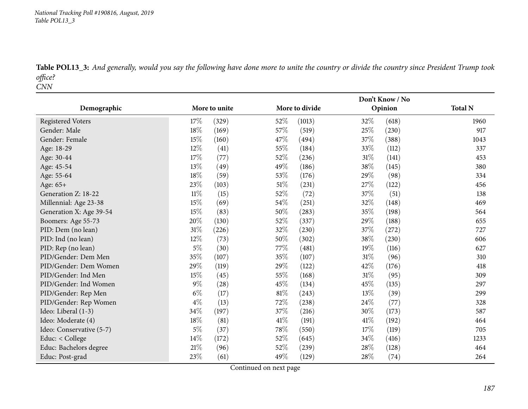*National Tracking Poll #190816, August, <sup>2019</sup> Table POL13\_3*

Table POL13\_3: And generally, would you say the following have done more to unite the country or divide the country since President Trump took *office?CNN*

| Demographic              |        | More to unite |        | More to divide | Opinion         | <b>Total N</b> |
|--------------------------|--------|---------------|--------|----------------|-----------------|----------------|
| <b>Registered Voters</b> | 17%    | (329)         | 52%    | (1013)         | 32%<br>(618)    | 1960           |
| Gender: Male             | 18%    | (169)         | 57\%   | (519)          | 25%<br>(230)    | 917            |
| Gender: Female           | 15%    | (160)         | 47%    | (494)          | 37%<br>(388)    | 1043           |
| Age: 18-29               | 12%    | (41)          | 55%    | (184)          | 33%<br>(112)    | 337            |
| Age: 30-44               | 17%    | (77)          | 52%    | (236)          | 31%<br>(141)    | 453            |
| Age: 45-54               | 13%    | (49)          | 49%    | (186)          | 38%<br>(145)    | 380            |
| Age: 55-64               | $18\%$ | (59)          | 53%    | (176)          | 29%<br>(98)     | 334            |
| Age: 65+                 | 23%    | (103)         | $51\%$ | (231)          | $27\%$<br>(122) | 456            |
| Generation Z: 18-22      | $11\%$ | (15)          | 52%    | (72)           | 37%<br>(51)     | 138            |
| Millennial: Age 23-38    | 15%    | (69)          | 54\%   | (251)          | 32%<br>(148)    | 469            |
| Generation X: Age 39-54  | 15%    | (83)          | 50%    | (283)          | 35%<br>(198)    | 564            |
| Boomers: Age 55-73       | 20%    | (130)         | 52\%   | (337)          | 29%<br>(188)    | 655            |
| PID: Dem (no lean)       | 31%    | (226)         | 32%    | (230)          | 37%<br>(272)    | 727            |
| PID: Ind (no lean)       | 12%    | (73)          | $50\%$ | (302)          | $38\%$<br>(230) | 606            |
| PID: Rep (no lean)       | $5\%$  | (30)          | 77%    | (481)          | 19%<br>(116)    | 627            |
| PID/Gender: Dem Men      | 35%    | (107)         | 35%    | (107)          | 31%<br>(96)     | 310            |
| PID/Gender: Dem Women    | 29%    | (119)         | 29%    | (122)          | 42%<br>(176)    | 418            |
| PID/Gender: Ind Men      | 15%    | (45)          | 55%    | (168)          | $31\%$<br>(95)  | 309            |
| PID/Gender: Ind Women    | $9\%$  | (28)          | 45%    | (134)          | 45%<br>(135)    | 297            |
| PID/Gender: Rep Men      | $6\%$  | (17)          | $81\%$ | (243)          | 13%<br>(39)     | 299            |
| PID/Gender: Rep Women    | $4\%$  | (13)          | 72\%   | (238)          | 24%<br>(77)     | 328            |
| Ideo: Liberal (1-3)      | $34\%$ | (197)         | 37\%   | (216)          | 30%<br>(173)    | 587            |
| Ideo: Moderate (4)       | $18\%$ | (81)          | 41\%   | (191)          | 41\%<br>(192)   | 464            |
| Ideo: Conservative (5-7) | $5\%$  | (37)          | $78\%$ | (550)          | 17%<br>(119)    | 705            |
| Educ: < College          | 14%    | (172)         | 52%    | (645)          | 34%<br>(416)    | 1233           |
| Educ: Bachelors degree   | 21%    | (96)          | 52\%   | (239)          | 28%<br>(128)    | 464            |
| Educ: Post-grad          | 23%    | (61)          | 49%    | (129)          | 28%<br>(74)     | 264            |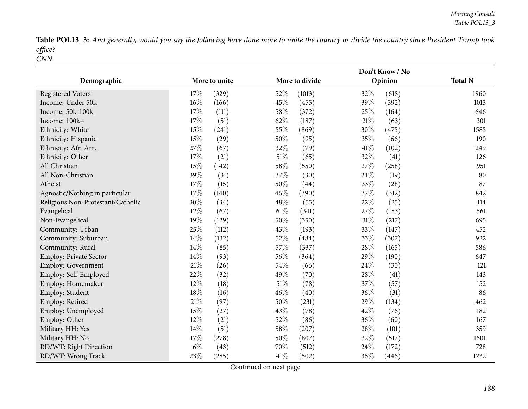Table POL13\_3: And generally, would you say the following have done more to unite the country or divide the country since President Trump took *office? CNN*

|                                   |               | Don't Know / No |                 |                |  |  |  |
|-----------------------------------|---------------|-----------------|-----------------|----------------|--|--|--|
| Demographic                       | More to unite | More to divide  | Opinion         | <b>Total N</b> |  |  |  |
| <b>Registered Voters</b>          | 17%<br>(329)  | 52%<br>(1013)   | 32%<br>(618)    | 1960           |  |  |  |
| Income: Under 50k                 | 16%<br>(166)  | 45%<br>(455)    | 39%<br>(392)    | 1013           |  |  |  |
| Income: 50k-100k                  | 17%<br>(111)  | 58%<br>(372)    | 25%<br>(164)    | 646            |  |  |  |
| Income: 100k+                     | 17%<br>(51)   | 62%<br>(187)    | $21\%$<br>(63)  | 301            |  |  |  |
| Ethnicity: White                  | 15%<br>(241)  | 55%<br>(869)    | 30%<br>(475)    | 1585           |  |  |  |
| Ethnicity: Hispanic               | 15%<br>(29)   | 50%<br>(95)     | 35%<br>(66)     | 190            |  |  |  |
| Ethnicity: Afr. Am.               | 27%<br>(67)   | 32%<br>(79)     | 41\%<br>(102)   | 249            |  |  |  |
| Ethnicity: Other                  | 17%<br>(21)   | 51%<br>(65)     | 32%<br>(41)     | 126            |  |  |  |
| All Christian                     | 15%<br>(142)  | 58%<br>(550)    | 27\%<br>(258)   | 951            |  |  |  |
| All Non-Christian                 | 39%<br>(31)   | 37%<br>(30)     | 24%<br>(19)     | 80             |  |  |  |
| Atheist                           | 17%<br>(15)   | 50%<br>(44)     | 33%<br>(28)     | 87             |  |  |  |
| Agnostic/Nothing in particular    | 17%<br>(140)  | 46%<br>(390)    | 37%<br>(312)    | 842            |  |  |  |
| Religious Non-Protestant/Catholic | 30%<br>(34)   | 48%<br>(55)     | 22%<br>(25)     | 114            |  |  |  |
| Evangelical                       | 12%<br>(67)   | 61%<br>(341)    | 27%<br>(153)    | 561            |  |  |  |
| Non-Evangelical                   | 19%<br>(129)  | 50%<br>(350)    | $31\%$<br>(217) | 695            |  |  |  |
| Community: Urban                  | 25%<br>(112)  | 43%<br>(193)    | 33%<br>(147)    | 452            |  |  |  |
| Community: Suburban               | 14%<br>(132)  | 52%<br>(484)    | 33%<br>(307)    | 922            |  |  |  |
| Community: Rural                  | 14%<br>(85)   | 57%<br>(337)    | 28\%<br>(165)   | 586            |  |  |  |
| <b>Employ: Private Sector</b>     | 14%<br>(93)   | 56%<br>(364)    | 29%<br>(190)    | 647            |  |  |  |
| Employ: Government                | 21%<br>(26)   | 54%<br>(66)     | 24\%<br>(30)    | 121            |  |  |  |
| Employ: Self-Employed             | 22%<br>(32)   | 49%<br>(70)     | 28%<br>(41)     | 143            |  |  |  |
| Employ: Homemaker                 | 12%<br>(18)   | 51%<br>(78)     | 37%<br>(57)     | 152            |  |  |  |
| Employ: Student                   | 18%<br>(16)   | 46%<br>(40)     | 36%<br>(31)     | 86             |  |  |  |
| Employ: Retired                   | 21%<br>(97)   | 50%<br>(231)    | 29%<br>(134)    | 462            |  |  |  |
| Employ: Unemployed                | 15%<br>(27)   | 43%<br>(78)     | 42%<br>(76)     | 182            |  |  |  |
| Employ: Other                     | 12%<br>(21)   | 52%<br>(86)     | 36%<br>(60)     | 167            |  |  |  |
| Military HH: Yes                  | 14%<br>(51)   | 58%<br>(207)    | 28%<br>(101)    | 359            |  |  |  |
| Military HH: No                   | 17%<br>(278)  | 50%<br>(807)    | 32%<br>(517)    | 1601           |  |  |  |
| RD/WT: Right Direction            | $6\%$<br>(43) | 70%<br>(512)    | 24%<br>(172)    | 728            |  |  |  |
| RD/WT: Wrong Track                | 23%<br>(285)  | 41%<br>(502)    | 36%<br>(446)    | 1232           |  |  |  |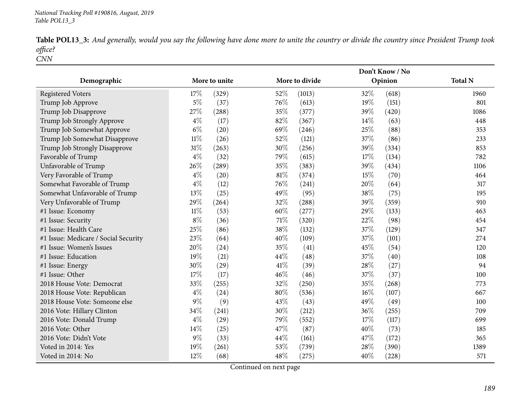|            |  |  | Table POL13_3: And generally, would you say the following have done more to unite the country or divide the country since President Trump took |  |
|------------|--|--|------------------------------------------------------------------------------------------------------------------------------------------------|--|
| office?    |  |  |                                                                                                                                                |  |
| <i>CNN</i> |  |  |                                                                                                                                                |  |

|                                      |        |               |        | Don't Know / No |         |       |                |  |  |
|--------------------------------------|--------|---------------|--------|-----------------|---------|-------|----------------|--|--|
| Demographic                          |        | More to unite |        | More to divide  | Opinion |       | <b>Total N</b> |  |  |
| <b>Registered Voters</b>             | 17%    | (329)         | 52%    | (1013)          | 32%     | (618) | 1960           |  |  |
| Trump Job Approve                    | $5\%$  | (37)          | 76%    | (613)           | 19%     | (151) | 801            |  |  |
| Trump Job Disapprove                 | 27%    | (288)         | 35%    | (377)           | 39%     | (420) | 1086           |  |  |
| Trump Job Strongly Approve           | $4\%$  | (17)          | 82%    | (367)           | 14%     | (63)  | 448            |  |  |
| Trump Job Somewhat Approve           | $6\%$  | (20)          | 69%    | (246)           | 25%     | (88)  | 353            |  |  |
| Trump Job Somewhat Disapprove        | $11\%$ | (26)          | 52%    | (121)           | 37%     | (86)  | 233            |  |  |
| Trump Job Strongly Disapprove        | $31\%$ | (263)         | 30%    | (256)           | 39%     | (334) | 853            |  |  |
| Favorable of Trump                   | $4\%$  | (32)          | 79%    | (615)           | 17%     | (134) | 782            |  |  |
| Unfavorable of Trump                 | 26%    | (289)         | 35%    | (383)           | 39%     | (434) | 1106           |  |  |
| Very Favorable of Trump              | $4\%$  | (20)          | $81\%$ | (374)           | 15%     | (70)  | 464            |  |  |
| Somewhat Favorable of Trump          | $4\%$  | (12)          | 76%    | (241)           | 20%     | (64)  | 317            |  |  |
| Somewhat Unfavorable of Trump        | 13%    | (25)          | 49%    | (95)            | 38%     | (75)  | 195            |  |  |
| Very Unfavorable of Trump            | 29%    | (264)         | 32%    | (288)           | 39%     | (359) | 910            |  |  |
| #1 Issue: Economy                    | $11\%$ | (53)          | 60%    | (277)           | 29%     | (133) | 463            |  |  |
| #1 Issue: Security                   | $8\%$  | (36)          | 71\%   | (320)           | 22%     | (98)  | 454            |  |  |
| #1 Issue: Health Care                | 25%    | (86)          | 38%    | (132)           | 37%     | (129) | 347            |  |  |
| #1 Issue: Medicare / Social Security | 23%    | (64)          | 40%    | (109)           | 37%     | (101) | 274            |  |  |
| #1 Issue: Women's Issues             | 20%    | (24)          | 35%    | (41)            | 45%     | (54)  | 120            |  |  |
| #1 Issue: Education                  | 19%    | (21)          | 44%    | (48)            | 37%     | (40)  | 108            |  |  |
| #1 Issue: Energy                     | 30%    | (29)          | 41\%   | (39)            | 28\%    | (27)  | 94             |  |  |
| #1 Issue: Other                      | 17%    | (17)          | 46%    | (46)            | 37%     | (37)  | 100            |  |  |
| 2018 House Vote: Democrat            | 33%    | (255)         | 32%    | (250)           | 35%     | (268) | 773            |  |  |
| 2018 House Vote: Republican          | $4\%$  | (24)          | 80%    | (536)           | 16%     | (107) | 667            |  |  |
| 2018 House Vote: Someone else        | $9\%$  | (9)           | 43%    | (43)            | 49%     | (49)  | 100            |  |  |
| 2016 Vote: Hillary Clinton           | 34%    | (241)         | 30%    | (212)           | 36%     | (255) | 709            |  |  |
| 2016 Vote: Donald Trump              | $4\%$  | (29)          | 79%    | (552)           | 17%     | (117) | 699            |  |  |
| 2016 Vote: Other                     | 14%    | (25)          | 47%    | (87)            | 40%     | (73)  | 185            |  |  |
| 2016 Vote: Didn't Vote               | $9\%$  | (33)          | 44%    | (161)           | 47%     | (172) | 365            |  |  |
| Voted in 2014: Yes                   | 19%    | (261)         | 53%    | (739)           | 28%     | (390) | 1389           |  |  |
| Voted in 2014: No                    | 12%    | (68)          | 48%    | (275)           | 40%     | (228) | 571            |  |  |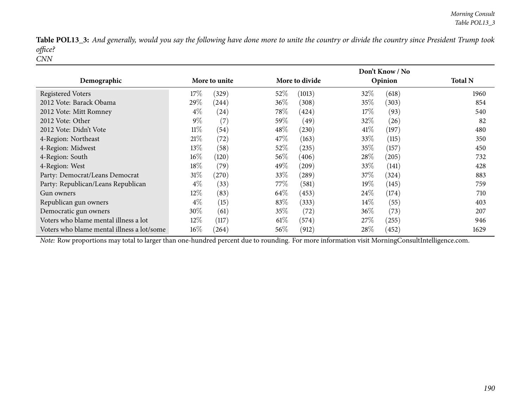Table POL13\_3: And generally, would you say the following have done more to unite the country or divide the country since President Trump took *office?CNN*

|                                            |               |       | Don't Know / No |                |        |         |                |  |
|--------------------------------------------|---------------|-------|-----------------|----------------|--------|---------|----------------|--|
| Demographic                                | More to unite |       |                 | More to divide |        | Opinion | <b>Total N</b> |  |
| <b>Registered Voters</b>                   | 17%           | (329) | 52\%            | (1013)         | 32%    | (618)   | 1960           |  |
| 2012 Vote: Barack Obama                    | 29\%          | (244) | 36%             | (308)          | 35\%   | (303)   | 854            |  |
| 2012 Vote: Mitt Romney                     | $4\%$         | (24)  | 78\%            | (424)          | $17\%$ | (93)    | 540            |  |
| 2012 Vote: Other                           | $9\%$         | (7)   | 59%             | (49)           | $32\%$ | (26)    | 82             |  |
| 2012 Vote: Didn't Vote                     | $11\%$        | (54)  | 48\%            | (230)          | $41\%$ | (197)   | 480            |  |
| 4-Region: Northeast                        | 21%           | (72)  | 47\%            | (163)          | 33\%   | (115)   | 350            |  |
| 4-Region: Midwest                          | 13\%          | (58)  | 52\%            | (235)          | 35%    | (157)   | 450            |  |
| 4-Region: South                            | $16\%$        | (120) | 56\%            | (406)          | 28\%   | (205)   | 732            |  |
| 4-Region: West                             | $18\%$        | (79)  | 49\%            | (209)          | 33\%   | (141)   | 428            |  |
| Party: Democrat/Leans Democrat             | $31\%$        | (270) | 33\%            | (289)          | 37\%   | (324)   | 883            |  |
| Party: Republican/Leans Republican         | $4\%$         | (33)  | 77\%            | (581)          | 19%    | (145)   | 759            |  |
| Gun owners                                 | $12\%$        | (83)  | 64\%            | (453)          | $24\%$ | (174)   | 710            |  |
| Republican gun owners                      | $4\%$         | (15)  | 83\%            | (333)          | $14\%$ | (55)    | 403            |  |
| Democratic gun owners                      | $30\%$        | (61)  | 35%             | (72)           | $36\%$ | (73)    | 207            |  |
| Voters who blame mental illness a lot      | 12%           | (117) | $61\%$          | (574)          | 27%    | (255)   | 946            |  |
| Voters who blame mental illness a lot/some | $16\%$        | (264) | $56\%$          | (912)          | 28%    | (452)   | 1629           |  |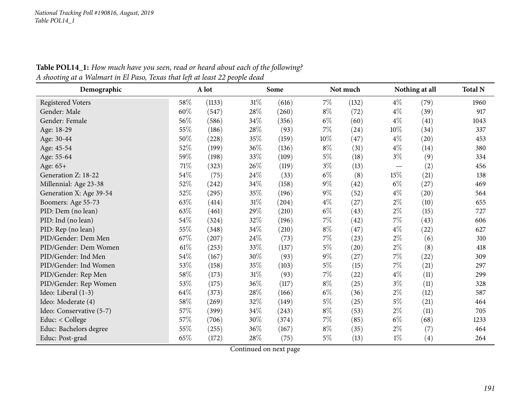| Demographic              |        | A lot  |        | Some  |       | Not much |       | Nothing at all | <b>Total N</b> |
|--------------------------|--------|--------|--------|-------|-------|----------|-------|----------------|----------------|
| <b>Registered Voters</b> | 58%    | (1133) | 31%    | (616) | $7\%$ | (132)    | $4\%$ | (79)           | 1960           |
| Gender: Male             | 60%    | (547)  | 28\%   | (260) | $8\%$ | (72)     | $4\%$ | (39)           | 917            |
| Gender: Female           | 56%    | (586)  | 34%    | (356) | $6\%$ | (60)     | $4\%$ | (41)           | 1043           |
| Age: 18-29               | 55%    | (186)  | 28\%   | (93)  | $7\%$ | (24)     | 10%   | (34)           | 337            |
| Age: 30-44               | 50%    | (228)  | 35%    | (159) | 10%   | (47)     | $4\%$ | (20)           | 453            |
| Age: 45-54               | 52%    | (199)  | 36%    | (136) | $8\%$ | (31)     | $4\%$ | (14)           | 380            |
| Age: 55-64               | 59%    | (198)  | 33%    | (109) | $5\%$ | (18)     | $3\%$ | (9)            | 334            |
| Age: 65+                 | $71\%$ | (323)  | 26\%   | (119) | $3\%$ | (13)     |       | (2)            | 456            |
| Generation Z: 18-22      | 54%    | (75)   | 24\%   | (33)  | $6\%$ | (8)      | 15%   | (21)           | 138            |
| Millennial: Age 23-38    | $52\%$ | (242)  | 34%    | (158) | $9\%$ | (42)     | $6\%$ | (27)           | 469            |
| Generation X: Age 39-54  | 52%    | (295)  | 35%    | (196) | $9\%$ | (52)     | $4\%$ | (20)           | 564            |
| Boomers: Age 55-73       | 63%    | (414)  | $31\%$ | (204) | $4\%$ | (27)     | $2\%$ | (10)           | 655            |
| PID: Dem (no lean)       | 63%    | (461)  | 29%    | (210) | $6\%$ | (43)     | $2\%$ | (15)           | 727            |
| PID: Ind (no lean)       | 54\%   | (324)  | 32%    | (196) | $7\%$ | (42)     | $7\%$ | (43)           | 606            |
| PID: Rep (no lean)       | 55%    | (348)  | 34\%   | (210) | $8\%$ | (47)     | $4\%$ | (22)           | 627            |
| PID/Gender: Dem Men      | 67\%   | (207)  | 24\%   | (73)  | $7\%$ | (23)     | $2\%$ | (6)            | 310            |
| PID/Gender: Dem Women    | $61\%$ | (253)  | 33%    | (137) | $5\%$ | (20)     | $2\%$ | (8)            | 418            |
| PID/Gender: Ind Men      | 54%    | (167)  | 30%    | (93)  | $9\%$ | (27)     | $7\%$ | (22)           | 309            |
| PID/Gender: Ind Women    | 53%    | (158)  | 35%    | (103) | $5\%$ | (15)     | $7\%$ | (21)           | 297            |
| PID/Gender: Rep Men      | 58\%   | (173)  | 31%    | (93)  | $7\%$ | (22)     | $4\%$ | (11)           | 299            |
| PID/Gender: Rep Women    | 53%    | (175)  | 36%    | (117) | $8\%$ | (25)     | $3\%$ | (11)           | 328            |
| Ideo: Liberal (1-3)      | 64\%   | (373)  | 28%    | (166) | $6\%$ | (36)     | $2\%$ | (12)           | 587            |
| Ideo: Moderate (4)       | 58\%   | (269)  | 32%    | (149) | $5\%$ | (25)     | $5\%$ | (21)           | 464            |
| Ideo: Conservative (5-7) | 57%    | (399)  | 34%    | (243) | $8\%$ | (53)     | $2\%$ | (11)           | 705            |
| Educ: < College          | 57%    | (706)  | 30%    | (374) | 7%    | (85)     | $6\%$ | (68)           | 1233           |
| Educ: Bachelors degree   | 55%    | (255)  | 36%    | (167) | $8\%$ | (35)     | $2\%$ | (7)            | 464            |
| Educ: Post-grad          | 65%    | (172)  | 28%    | (75)  | $5\%$ | (13)     | $1\%$ | (4)            | 264            |

Table POL14\_1: How much have you seen, read or heard about each of the following? A shooting at a Walmart in El Paso, Texas that left at least 22 people dead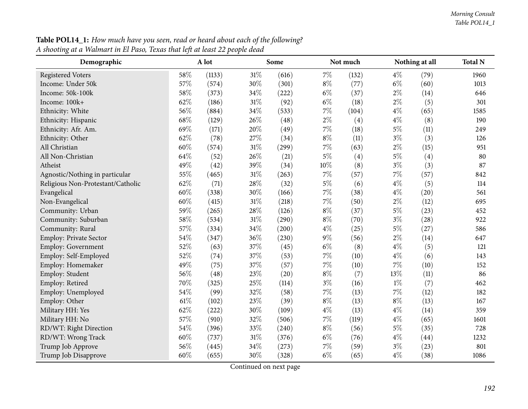| Demographic                       |        | A lot  |        | Some  |        | Not much |       | Nothing at all | <b>Total N</b> |
|-----------------------------------|--------|--------|--------|-------|--------|----------|-------|----------------|----------------|
| <b>Registered Voters</b>          | 58%    | (1133) | $31\%$ | (616) | $7\%$  | (132)    | $4\%$ | (79)           | 1960           |
| Income: Under 50k                 | 57%    | (574)  | 30%    | (301) | $8\%$  | (77)     | $6\%$ | (60)           | 1013           |
| Income: 50k-100k                  | 58%    | (373)  | 34%    | (222) | $6\%$  | (37)     | $2\%$ | (14)           | 646            |
| Income: 100k+                     | 62%    | (186)  | $31\%$ | (92)  | $6\%$  | (18)     | $2\%$ | (5)            | 301            |
| Ethnicity: White                  | 56%    | (884)  | 34%    | (533) | 7%     | (104)    | $4\%$ | (65)           | 1585           |
| Ethnicity: Hispanic               | 68\%   | (129)  | 26%    | (48)  | $2\%$  | (4)      | $4\%$ | (8)            | 190            |
| Ethnicity: Afr. Am.               | 69%    | (171)  | 20%    | (49)  | 7%     | (18)     | $5\%$ | (11)           | 249            |
| Ethnicity: Other                  | 62%    | (78)   | 27%    | (34)  | $8\%$  | (11)     | $3\%$ | (3)            | 126            |
| All Christian                     | 60%    | (574)  | 31%    | (299) | $7\%$  | (63)     | $2\%$ | (15)           | 951            |
| All Non-Christian                 | 64%    | (52)   | 26%    | (21)  | $5\%$  | (4)      | $5\%$ | (4)            | 80             |
| Atheist                           | 49%    | (42)   | 39%    | (34)  | $10\%$ | (8)      | $3\%$ | (3)            | 87             |
| Agnostic/Nothing in particular    | 55%    | (465)  | 31%    | (263) | $7\%$  | (57)     | 7%    | (57)           | 842            |
| Religious Non-Protestant/Catholic | 62%    | (71)   | 28%    | (32)  | $5\%$  | (6)      | $4\%$ | (5)            | 114            |
| Evangelical                       | 60%    | (338)  | 30%    | (166) | $7\%$  | (38)     | $4\%$ | (20)           | 561            |
| Non-Evangelical                   | 60%    | (415)  | 31%    | (218) | $7\%$  | (50)     | $2\%$ | (12)           | 695            |
| Community: Urban                  | 59%    | (265)  | 28%    | (126) | $8\%$  | (37)     | $5\%$ | (23)           | 452            |
| Community: Suburban               | 58%    | (534)  | 31%    | (290) | $8\%$  | (70)     | $3\%$ | (28)           | 922            |
| Community: Rural                  | 57%    | (334)  | 34%    | (200) | $4\%$  | (25)     | $5\%$ | (27)           | 586            |
| Employ: Private Sector            | 54%    | (347)  | 36%    | (230) | $9\%$  | (56)     | $2\%$ | (14)           | 647            |
| Employ: Government                | 52%    | (63)   | 37%    | (45)  | $6\%$  | (8)      | $4\%$ | (5)            | 121            |
| Employ: Self-Employed             | 52%    | (74)   | 37%    | (53)  | $7\%$  | (10)     | $4\%$ | (6)            | 143            |
| Employ: Homemaker                 | 49%    | (75)   | 37%    | (57)  | $7\%$  | (10)     | $7\%$ | (10)           | 152            |
| Employ: Student                   | 56%    | (48)   | 23%    | (20)  | $8\%$  | (7)      | 13%   | (11)           | 86             |
| Employ: Retired                   | 70%    | (325)  | 25%    | (114) | $3\%$  | (16)     | $1\%$ | (7)            | 462            |
| Employ: Unemployed                | 54%    | (99)   | 32%    | (58)  | 7%     | (13)     | $7\%$ | (12)           | 182            |
| Employ: Other                     | $61\%$ | (102)  | 23%    | (39)  | $8\%$  | (13)     | $8\%$ | (13)           | 167            |
| Military HH: Yes                  | 62%    | (222)  | 30%    | (109) | $4\%$  | (13)     | $4\%$ | (14)           | 359            |
| Military HH: No                   | 57%    | (910)  | 32%    | (506) | $7\%$  | (119)    | $4\%$ | (65)           | 1601           |
| RD/WT: Right Direction            | 54%    | (396)  | 33%    | (240) | $8\%$  | (56)     | $5\%$ | (35)           | 728            |
| RD/WT: Wrong Track                | 60%    | (737)  | 31%    | (376) | $6\%$  | (76)     | $4\%$ | (44)           | 1232           |
| Trump Job Approve                 | 56%    | (445)  | 34%    | (273) | 7%     | (59)     | $3\%$ | (23)           | 801            |
| Trump Job Disapprove              | 60%    | (655)  | 30%    | (328) | $6\%$  | (65)     | $4\%$ | (38)           | 1086           |

**Table POL14\_1:** How much have you seen, read or heard about each of the following? <u>A shooting at a Walmart in El Paso, Texas that left at least 22 people dead</u>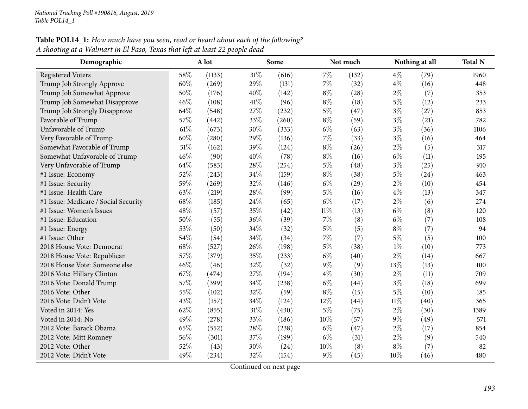#### Table POL14\_1: How much have you seen, read or heard about each of the following? A shooting at a Walmart in El Paso, Texas that left at least 22 people dead

| Demographic                          |        | A lot  |        | Some  |        | Not much |        | Nothing at all | <b>Total N</b> |
|--------------------------------------|--------|--------|--------|-------|--------|----------|--------|----------------|----------------|
| <b>Registered Voters</b>             | 58%    | (1133) | 31%    | (616) | $7\%$  | (132)    | $4\%$  | (79)           | 1960           |
| Trump Job Strongly Approve           | 60%    | (269)  | 29%    | (131) | $7\%$  | (32)     | $4\%$  | (16)           | 448            |
| Trump Job Somewhat Approve           | 50%    | (176)  | 40%    | (142) | $8\%$  | (28)     | $2\%$  | (7)            | 353            |
| Trump Job Somewhat Disapprove        | 46%    | (108)  | 41\%   | (96)  | $8\%$  | (18)     | $5\%$  | (12)           | 233            |
| Trump Job Strongly Disapprove        | 64%    | (548)  | 27%    | (232) | $5\%$  | (47)     | $3\%$  | (27)           | 853            |
| Favorable of Trump                   | 57%    | (442)  | 33%    | (260) | $8\%$  | (59)     | $3\%$  | (21)           | 782            |
| Unfavorable of Trump                 | $61\%$ | (673)  | 30%    | (333) | $6\%$  | (63)     | $3\%$  | (36)           | 1106           |
| Very Favorable of Trump              | 60%    | (280)  | 29%    | (136) | 7%     | (33)     | $3\%$  | (16)           | 464            |
| Somewhat Favorable of Trump          | 51\%   | (162)  | 39%    | (124) | $8\%$  | (26)     | $2\%$  | (5)            | 317            |
| Somewhat Unfavorable of Trump        | 46%    | (90)   | 40%    | (78)  | $8\%$  | (16)     | $6\%$  | (11)           | 195            |
| Very Unfavorable of Trump            | 64\%   | (583)  | 28%    | (254) | $5\%$  | (48)     | $3\%$  | (25)           | 910            |
| #1 Issue: Economy                    | 52%    | (243)  | 34%    | (159) | $8\%$  | (38)     | $5\%$  | (24)           | 463            |
| #1 Issue: Security                   | 59%    | (269)  | 32%    | (146) | $6\%$  | (29)     | $2\%$  | (10)           | 454            |
| #1 Issue: Health Care                | 63%    | (219)  | 28%    | (99)  | $5\%$  | (16)     | $4\%$  | (13)           | 347            |
| #1 Issue: Medicare / Social Security | 68%    | (185)  | 24%    | (65)  | $6\%$  | (17)     | $2\%$  | (6)            | 274            |
| #1 Issue: Women's Issues             | 48%    | (57)   | 35%    | (42)  | $11\%$ | (13)     | $6\%$  | (8)            | 120            |
| #1 Issue: Education                  | 50%    | (55)   | 36%    | (39)  | $7\%$  | (8)      | $6\%$  | (7)            | 108            |
| #1 Issue: Energy                     | 53%    | (50)   | 34%    | (32)  | $5\%$  | (5)      | $8\%$  | (7)            | 94             |
| #1 Issue: Other                      | 54%    | (54)   | 34%    | (34)  | 7%     | (7)      | $5\%$  | (5)            | 100            |
| 2018 House Vote: Democrat            | 68\%   | (527)  | 26%    | (198) | $5\%$  | (38)     | $1\%$  | (10)           | 773            |
| 2018 House Vote: Republican          | 57%    | (379)  | 35%    | (233) | $6\%$  | (40)     | $2\%$  | (14)           | 667            |
| 2018 House Vote: Someone else        | 46%    | (46)   | 32%    | (32)  | $9\%$  | (9)      | 13%    | (13)           | 100            |
| 2016 Vote: Hillary Clinton           | 67%    | (474)  | 27%    | (194) | $4\%$  | (30)     | $2\%$  | (11)           | 709            |
| 2016 Vote: Donald Trump              | 57%    | (399)  | 34%    | (238) | $6\%$  | (44)     | $3\%$  | (18)           | 699            |
| 2016 Vote: Other                     | 55%    | (102)  | 32%    | (59)  | $8\%$  | (15)     | $5\%$  | (10)           | 185            |
| 2016 Vote: Didn't Vote               | 43%    | (157)  | 34%    | (124) | 12%    | (44)     | $11\%$ | (40)           | 365            |
| Voted in 2014: Yes                   | 62%    | (855)  | $31\%$ | (430) | $5\%$  | (75)     | $2\%$  | (30)           | 1389           |
| Voted in 2014: No                    | 49%    | (278)  | 33%    | (186) | $10\%$ | (57)     | $9\%$  | (49)           | 571            |
| 2012 Vote: Barack Obama              | 65%    | (552)  | 28%    | (238) | $6\%$  | (47)     | $2\%$  | (17)           | 854            |
| 2012 Vote: Mitt Romney               | 56%    | (301)  | 37%    | (199) | $6\%$  | (31)     | $2\%$  | (9)            | 540            |
| 2012 Vote: Other                     | 52%    | (43)   | 30%    | (24)  | 10%    | (8)      | $8\%$  | (7)            | 82             |
| 2012 Vote: Didn't Vote               | 49%    | (234)  | 32%    | (154) | $9\%$  | (45)     | 10%    | (46)           | 480            |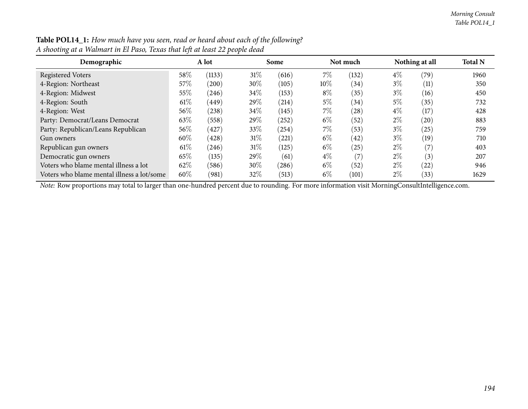| Demographic                                |        | A lot          |        | Some       |        | Not much  |       | Nothing at all | <b>Total N</b> |
|--------------------------------------------|--------|----------------|--------|------------|--------|-----------|-------|----------------|----------------|
| <b>Registered Voters</b>                   | 58\%   | (1133)         | 31%    | (616)      | 7%     | (132)     | $4\%$ | (79)           | 1960           |
| 4-Region: Northeast                        | 57\%   | (200)          | 30\%   | (105)      | $10\%$ | (34)      | $3\%$ | (11)           | 350            |
| 4-Region: Midwest                          | 55%    | (246)          | $34\%$ | (153)      | $8\%$  | (35)      | $3\%$ | (16)           | 450            |
| 4-Region: South                            | $61\%$ | (449)          | 29%    | (214)      | 5%     | (34)      | 5%    | (35)           | 732            |
| 4-Region: West                             | $56\%$ | (238)          | $34\%$ | (145)      | 7%     | (28)      | $4\%$ | (17)           | 428            |
| Party: Democrat/Leans Democrat             | 63\%   | (558)          | 29\%   | (252)      | $6\%$  | (52)      | $2\%$ | (20)           | 883            |
| Party: Republican/Leans Republican         | $56\%$ | $^{\prime}427$ | $33\%$ | $^{(254)}$ | 7%     | (53)      | $3\%$ | (25)           | 759            |
| Gun owners                                 | 60%    | (428)          | 31%    | (221)      | $6\%$  | (42)      | $3\%$ | (19)           | 710            |
| Republican gun owners                      | $61\%$ | (246)          | 31%    | (125)      | $6\%$  | $^{'}25)$ | $2\%$ | (7)            | 403            |
| Democratic gun owners                      | 65\%   | (135)          | 29%    | (61)       | $4\%$  | (7        | $2\%$ | (3)            | 207            |
| Voters who blame mental illness a lot      | 62\%   | (586)          | 30\%   | (286)      | $6\%$  | (52)      | $2\%$ | (22)           | 946            |
| Voters who blame mental illness a lot/some | 60%    | (981)          | 32\%   | (513)      | $6\%$  | (101)     | $2\%$ | (33)           | 1629           |

Table POL14\_1: How much have you seen, read or heard about each of the following? A shooting at a Walmart in El Paso, Texas that left at least 22 people dead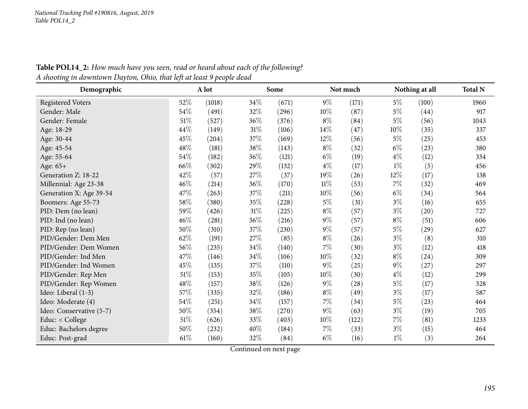| Demographic              |        | A lot  |     | Some  |        | Not much |       | Nothing at all | <b>Total N</b> |
|--------------------------|--------|--------|-----|-------|--------|----------|-------|----------------|----------------|
| <b>Registered Voters</b> | 52%    | (1018) | 34% | (671) | $9\%$  | (171)    | $5\%$ | (100)          | 1960           |
| Gender: Male             | 54\%   | (491)  | 32% | (296) | $10\%$ | (87)     | $5\%$ | (44)           | 917            |
| Gender: Female           | $51\%$ | (527)  | 36% | (376) | $8\%$  | (84)     | 5%    | (56)           | 1043           |
| Age: 18-29               | 44\%   | (149)  | 31% | (106) | $14\%$ | (47)     | 10%   | (35)           | 337            |
| Age: 30-44               | 45%    | (204)  | 37% | (169) | 12%    | (56)     | $5\%$ | (25)           | 453            |
| Age: 45-54               | 48\%   | (181)  | 38% | (143) | $8\%$  | (32)     | $6\%$ | (23)           | 380            |
| Age: 55-64               | 54\%   | (182)  | 36% | (121) | $6\%$  | (19)     | $4\%$ | (12)           | 334            |
| Age: 65+                 | 66\%   | (302)  | 29% | (132) | $4\%$  | (17)     | $1\%$ | (5)            | 456            |
| Generation Z: 18-22      | 42%    | (57)   | 27% | (37)  | 19%    | (26)     | 12%   | (17)           | 138            |
| Millennial: Age 23-38    | 46%    | (214)  | 36% | (170) | $11\%$ | (53)     | 7%    | (32)           | 469            |
| Generation X: Age 39-54  | 47\%   | (263)  | 37% | (211) | $10\%$ | (56)     | $6\%$ | (34)           | 564            |
| Boomers: Age 55-73       | $58\%$ | (380)  | 35% | (228) | $5\%$  | (31)     | $3\%$ | (16)           | 655            |
| PID: Dem (no lean)       | 59%    | (426)  | 31% | (225) | $8\%$  | (57)     | $3\%$ | (20)           | 727            |
| PID: Ind (no lean)       | 46%    | (281)  | 36% | (216) | $9\%$  | (57)     | $8\%$ | (51)           | 606            |
| PID: Rep (no lean)       | 50%    | (310)  | 37% | (230) | $9\%$  | (57)     | $5\%$ | (29)           | 627            |
| PID/Gender: Dem Men      | 62%    | (191)  | 27% | (85)  | $8\%$  | (26)     | $3\%$ | (8)            | 310            |
| PID/Gender: Dem Women    | 56%    | (235)  | 34% | (140) | 7%     | (30)     | $3\%$ | (12)           | 418            |
| PID/Gender: Ind Men      | 47\%   | (146)  | 34% | (106) | 10%    | (32)     | $8\%$ | (24)           | 309            |
| PID/Gender: Ind Women    | 45%    | (135)  | 37% | (110) | $9\%$  | (25)     | $9\%$ | (27)           | 297            |
| PID/Gender: Rep Men      | $51\%$ | (153)  | 35% | (105) | 10%    | (30)     | $4\%$ | (12)           | 299            |
| PID/Gender: Rep Women    | 48\%   | (157)  | 38% | (126) | $9\%$  | (28)     | 5%    | (17)           | 328            |
| Ideo: Liberal (1-3)      | 57\%   | (335)  | 32% | (186) | $8\%$  | (49)     | $3\%$ | (17)           | 587            |
| Ideo: Moderate (4)       | 54\%   | (251)  | 34% | (157) | $7\%$  | (34)     | $5\%$ | (23)           | 464            |
| Ideo: Conservative (5-7) | 50%    | (354)  | 38% | (270) | $9\%$  | (63)     | $3\%$ | (19)           | 705            |
| Educ: < College          | $51\%$ | (626)  | 33% | (403) | 10%    | (122)    | 7%    | (81)           | 1233           |
| Educ: Bachelors degree   | 50%    | (232)  | 40% | (184) | $7\%$  | (33)     | $3\%$ | (15)           | 464            |
| Educ: Post-grad          | $61\%$ | (160)  | 32% | (84)  | $6\%$  | (16)     | $1\%$ | (3)            | 264            |

Table POL14\_2: How much have you seen, read or heard about each of the following? A shooting in downtown Dayton, Ohio, that left at least 9 people dead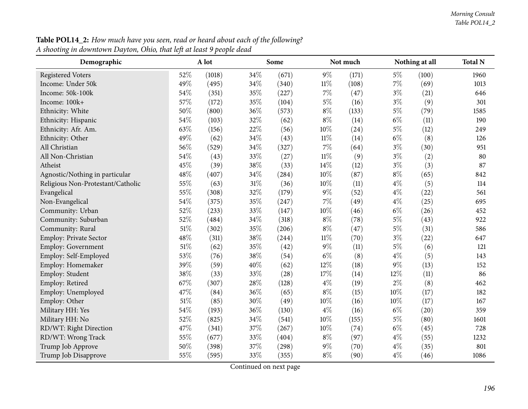**Table POL14\_2:** How much have you seen, read or heard about each of the following? <u>A shooting in downtown Dayton, Ohio, that left at least 9 people dead</u>

| Demographic                       |     | A lot  |     | Some  |        | Not much |       | Nothing at all | <b>Total N</b> |
|-----------------------------------|-----|--------|-----|-------|--------|----------|-------|----------------|----------------|
| <b>Registered Voters</b>          | 52% | (1018) | 34% | (671) | $9\%$  | (171)    | $5\%$ | (100)          | 1960           |
| Income: Under 50k                 | 49% | (495)  | 34% | (340) | $11\%$ | (108)    | $7\%$ | (69)           | 1013           |
| Income: 50k-100k                  | 54% | (351)  | 35% | (227) | $7\%$  | (47)     | $3\%$ | (21)           | 646            |
| Income: 100k+                     | 57% | (172)  | 35% | (104) | $5\%$  | (16)     | $3\%$ | (9)            | 301            |
| Ethnicity: White                  | 50% | (800)  | 36% | (573) | $8\%$  | (133)    | $5\%$ | (79)           | 1585           |
| Ethnicity: Hispanic               | 54% | (103)  | 32% | (62)  | $8\%$  | (14)     | $6\%$ | (11)           | 190            |
| Ethnicity: Afr. Am.               | 63% | (156)  | 22% | (56)  | $10\%$ | (24)     | $5\%$ | (12)           | 249            |
| Ethnicity: Other                  | 49% | (62)   | 34% | (43)  | $11\%$ | (14)     | $6\%$ | (8)            | 126            |
| All Christian                     | 56% | (529)  | 34% | (327) | 7%     | (64)     | $3\%$ | (30)           | 951            |
| All Non-Christian                 | 54% | (43)   | 33% | (27)  | $11\%$ | (9)      | $3\%$ | (2)            | 80             |
| Atheist                           | 45% | (39)   | 38% | (33)  | $14\%$ | (12)     | $3\%$ | (3)            | 87             |
| Agnostic/Nothing in particular    | 48% | (407)  | 34% | (284) | $10\%$ | (87)     | $8\%$ | (65)           | 842            |
| Religious Non-Protestant/Catholic | 55% | (63)   | 31% | (36)  | 10%    | (11)     | $4\%$ | (5)            | 114            |
| Evangelical                       | 55% | (308)  | 32% | (179) | $9\%$  | (52)     | $4\%$ | (22)           | 561            |
| Non-Evangelical                   | 54% | (375)  | 35% | (247) | $7\%$  | (49)     | $4\%$ | (25)           | 695            |
| Community: Urban                  | 52% | (233)  | 33% | (147) | $10\%$ | (46)     | $6\%$ | (26)           | 452            |
| Community: Suburban               | 52% | (484)  | 34% | (318) | $8\%$  | (78)     | $5\%$ | (43)           | 922            |
| Community: Rural                  | 51% | (302)  | 35% | (206) | $8\%$  | (47)     | $5\%$ | (31)           | 586            |
| Employ: Private Sector            | 48% | (311)  | 38% | (244) | $11\%$ | (70)     | $3\%$ | (22)           | 647            |
| Employ: Government                | 51% | (62)   | 35% | (42)  | $9\%$  | (11)     | $5\%$ | (6)            | 121            |
| Employ: Self-Employed             | 53% | (76)   | 38% | (54)  | $6\%$  | (8)      | $4\%$ | (5)            | 143            |
| Employ: Homemaker                 | 39% | (59)   | 40% | (62)  | 12%    | (18)     | $9\%$ | (13)           | 152            |
| Employ: Student                   | 38% | (33)   | 33% | (28)  | $17\%$ | (14)     | 12%   | (11)           | 86             |
| Employ: Retired                   | 67% | (307)  | 28% | (128) | $4\%$  | (19)     | $2\%$ | (8)            | 462            |
| Employ: Unemployed                | 47% | (84)   | 36% | (65)  | $8\%$  | (15)     | 10%   | (17)           | 182            |
| Employ: Other                     | 51% | (85)   | 30% | (49)  | $10\%$ | (16)     | 10%   | (17)           | 167            |
| Military HH: Yes                  | 54% | (193)  | 36% | (130) | $4\%$  | (16)     | $6\%$ | (20)           | 359            |
| Military HH: No                   | 52% | (825)  | 34% | (541) | $10\%$ | (155)    | $5\%$ | (80)           | 1601           |
| RD/WT: Right Direction            | 47% | (341)  | 37% | (267) | $10\%$ | (74)     | $6\%$ | (45)           | 728            |
| RD/WT: Wrong Track                | 55% | (677)  | 33% | (404) | $8\%$  | (97)     | $4\%$ | (55)           | 1232           |
| Trump Job Approve                 | 50% | (398)  | 37% | (298) | $9\%$  | (70)     | $4\%$ | (35)           | 801            |
| Trump Job Disapprove              | 55% | (595)  | 33% | (355) | $8\%$  | (90)     | $4\%$ | (46)           | 1086           |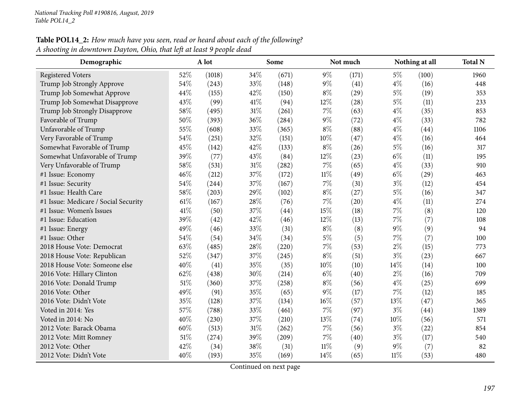### **Table POL14\_2:** How much have you seen, read or heard about each of the following? <u>A shooting in downtown Dayton, Ohio, that left at least 9 people dead</u>

| Demographic                          |        | A lot  |      | Some  |        | Not much |        | Nothing at all     | <b>Total N</b> |
|--------------------------------------|--------|--------|------|-------|--------|----------|--------|--------------------|----------------|
| <b>Registered Voters</b>             | 52%    | (1018) | 34%  | (671) | $9\%$  | (171)    | $5\%$  | (100)              | 1960           |
| Trump Job Strongly Approve           | 54%    | (243)  | 33%  | (148) | $9\%$  | (41)     | $4\%$  | (16)               | 448            |
| Trump Job Somewhat Approve           | 44%    | (155)  | 42%  | (150) | $8\%$  | (29)     | $5\%$  | (19)               | 353            |
| Trump Job Somewhat Disapprove        | 43%    | (99)   | 41\% | (94)  | 12%    | (28)     | $5\%$  | (11)               | 233            |
| Trump Job Strongly Disapprove        | 58%    | (495)  | 31%  | (261) | $7\%$  | (63)     | $4\%$  | (35)               | 853            |
| Favorable of Trump                   | 50%    | (393)  | 36%  | (284) | $9\%$  | (72)     | $4\%$  | (33)               | 782            |
| Unfavorable of Trump                 | 55%    | (608)  | 33%  | (365) | $8\%$  | (88)     | $4\%$  | (44)               | 1106           |
| Very Favorable of Trump              | 54%    | (251)  | 32%  | (151) | 10%    | (47)     | $4\%$  | (16)               | 464            |
| Somewhat Favorable of Trump          | 45%    | (142)  | 42%  | (133) | $8\%$  | (26)     | $5\%$  | (16)               | 317            |
| Somewhat Unfavorable of Trump        | 39%    | (77)   | 43%  | (84)  | 12%    | (23)     | $6\%$  | (11)               | 195            |
| Very Unfavorable of Trump            | 58%    | (531)  | 31%  | (282) | $7\%$  | (65)     | $4\%$  | (33)               | 910            |
| #1 Issue: Economy                    | 46%    | (212)  | 37%  | (172) | $11\%$ | (49)     | $6\%$  | $\left( 29\right)$ | 463            |
| #1 Issue: Security                   | 54%    | (244)  | 37%  | (167) | $7\%$  | (31)     | $3\%$  | (12)               | 454            |
| #1 Issue: Health Care                | 58%    | (203)  | 29%  | (102) | $8\%$  | (27)     | $5\%$  | (16)               | 347            |
| #1 Issue: Medicare / Social Security | 61\%   | (167)  | 28\% | (76)  | $7\%$  | (20)     | $4\%$  | (11)               | 274            |
| #1 Issue: Women's Issues             | 41\%   | (50)   | 37%  | (44)  | 15%    | (18)     | 7%     | (8)                | 120            |
| #1 Issue: Education                  | 39%    | (42)   | 42%  | (46)  | 12%    | (13)     | $7\%$  | (7)                | 108            |
| #1 Issue: Energy                     | 49%    | (46)   | 33%  | (31)  | $8\%$  | (8)      | $9\%$  | (9)                | 94             |
| #1 Issue: Other                      | 54%    | (54)   | 34%  | (34)  | $5\%$  | (5)      | 7%     | (7)                | 100            |
| 2018 House Vote: Democrat            | 63%    | (485)  | 28%  | (220) | 7%     | (53)     | $2\%$  | (15)               | 773            |
| 2018 House Vote: Republican          | 52%    | (347)  | 37%  | (245) | $8\%$  | (51)     | $3\%$  | (23)               | 667            |
| 2018 House Vote: Someone else        | 40%    | (41)   | 35%  | (35)  | 10%    | (10)     | 14%    | (14)               | 100            |
| 2016 Vote: Hillary Clinton           | 62%    | (438)  | 30%  | (214) | $6\%$  | (40)     | $2\%$  | (16)               | 709            |
| 2016 Vote: Donald Trump              | $51\%$ | (360)  | 37%  | (258) | $8\%$  | (56)     | $4\%$  | (25)               | 699            |
| 2016 Vote: Other                     | 49%    | (91)   | 35%  | (65)  | $9\%$  | (17)     | $7\%$  | (12)               | 185            |
| 2016 Vote: Didn't Vote               | 35%    | (128)  | 37%  | (134) | $16\%$ | (57)     | $13\%$ | (47)               | 365            |
| Voted in 2014: Yes                   | 57%    | (788)  | 33%  | (461) | 7%     | (97)     | $3\%$  | (44)               | 1389           |
| Voted in 2014: No                    | 40%    | (230)  | 37%  | (210) | $13\%$ | (74)     | 10%    | (56)               | 571            |
| 2012 Vote: Barack Obama              | 60%    | (513)  | 31%  | (262) | $7\%$  | (56)     | $3\%$  | (22)               | 854            |
| 2012 Vote: Mitt Romney               | $51\%$ | (274)  | 39%  | (209) | $7\%$  | (40)     | $3\%$  | (17)               | 540            |
| 2012 Vote: Other                     | 42%    | (34)   | 38%  | (31)  | $11\%$ | (9)      | $9\%$  | (7)                | 82             |
| 2012 Vote: Didn't Vote               | 40%    | (193)  | 35%  | (169) | 14%    | (65)     | $11\%$ | (53)               | 480            |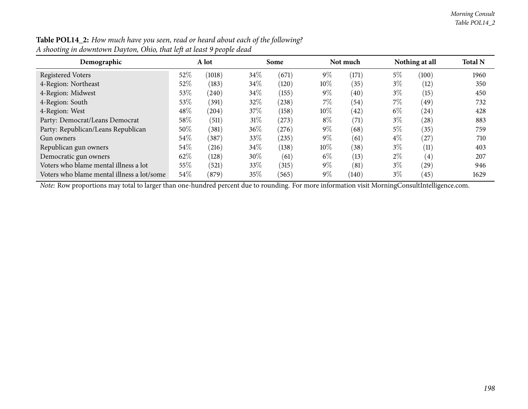| $\circ$                                    |        |        |        |            |        |          |       |                    |                |
|--------------------------------------------|--------|--------|--------|------------|--------|----------|-------|--------------------|----------------|
| Demographic                                |        | A lot  |        | Some       |        | Not much |       | Nothing at all     | <b>Total N</b> |
| Registered Voters                          | 52%    | (1018) | 34%    | (671)      | $9\%$  | (171)    | $5\%$ | (100)              | 1960           |
| 4-Region: Northeast                        | 52%    | (183)  | 34%    | (120)      | $10\%$ | (35)     | $3\%$ | $\left(12\right)$  | 350            |
| 4-Region: Midwest                          | 53%    | (240)  | 34%    | (155)      | $9\%$  | (40)     | $3\%$ | (15)               | 450            |
| 4-Region: South                            | 53%    | (391)  | 32\%   | (238)      | 7%     | (54)     | $7\%$ | (49)               | 732            |
| 4-Region: West                             | 48%    | (204)  | 37%    | (158)      | $10\%$ | (42)     | $6\%$ | $\left( 24\right)$ | 428            |
| Party: Democrat/Leans Democrat             | 58%    | (511)  | 31%    | $^{'}273)$ | $8\%$  | (71)     | $3\%$ | (28)               | 883            |
| Party: Republican/Leans Republican         | 50%    | (381)  | $36\%$ | (276)      | $9\%$  | (68)     | $5\%$ | (35)               | 759            |
| Gun owners                                 | 54\%   | (387)  | 33\%   | $^{(235)}$ | $9\%$  | (61)     | $4\%$ | $^{'}27$           | 710            |
| Republican gun owners                      | $54\%$ | (216)  | 34%    | (138)      | $10\%$ | (38)     | $3\%$ | (11)               | 403            |
| Democratic gun owners                      | 62\%   | (128)  | 30%    | (61)       | $6\%$  | (13)     | $2\%$ | $\left( 4\right)$  | 207            |
| Voters who blame mental illness a lot      | 55%    | (521)  | 33\%   | (315)      | $9\%$  | (81)     | $3\%$ | (29)               | 946            |
| Voters who blame mental illness a lot/some | $54\%$ | (879)  | 35%    | (565)      | $9\%$  | (140)    | $3\%$ | (45)               | 1629           |

Table POL14\_2: How much have you seen, read or heard about each of the following? A shooting in downtown Dayton, Ohio, that left at least 9 people dead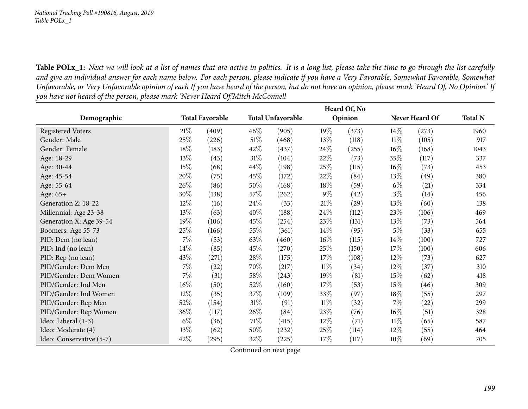Table POLx\_1: Next we will look at a list of names that are active in politics. It is a long list, please take the time to go through the list carefully and give an individual answer for each name below. For each person, please indicate if you have a Very Favorable, Somewhat Favorable, Somewhat Unfavorable, or Very Unfavorable opinion of each If you have heard of the person, but do not have an opinion, please mark 'Heard Of, No Opinion.' If you have not heard of the person, please mark 'Never Heard Of.'Mitch McConnell

|                          |        |                        |        |                          |        | Heard Of, No |        |                |                |
|--------------------------|--------|------------------------|--------|--------------------------|--------|--------------|--------|----------------|----------------|
| Demographic              |        | <b>Total Favorable</b> |        | <b>Total Unfavorable</b> |        | Opinion      |        | Never Heard Of | <b>Total N</b> |
| <b>Registered Voters</b> | 21%    | (409)                  | 46%    | (905)                    | 19%    | (373)        | $14\%$ | (273)          | 1960           |
| Gender: Male             | 25%    | (226)                  | $51\%$ | (468)                    | 13\%   | (118)        | $11\%$ | (105)          | 917            |
| Gender: Female           | 18%    | (183)                  | 42%    | (437)                    | 24\%   | (255)        | $16\%$ | (168)          | 1043           |
| Age: 18-29               | 13%    | (43)                   | $31\%$ | (104)                    | 22\%   | (73)         | 35\%   | (117)          | 337            |
| Age: 30-44               | 15%    | (68)                   | 44\%   | (198)                    | 25%    | (115)        | $16\%$ | (73)           | 453            |
| Age: 45-54               | 20%    | (75)                   | 45%    | (172)                    | 22\%   | (84)         | 13\%   | (49)           | 380            |
| Age: 55-64               | 26%    | (86)                   | 50%    | (168)                    | $18\%$ | (59)         | $6\%$  | (21)           | 334            |
| Age: 65+                 | 30%    | (138)                  | 57\%   | (262)                    | $9\%$  | (42)         | $3\%$  | (14)           | 456            |
| Generation Z: 18-22      | 12%    | (16)                   | 24\%   | (33)                     | 21%    | (29)         | 43\%   | (60)           | 138            |
| Millennial: Age 23-38    | 13\%   | (63)                   | 40%    | (188)                    | 24\%   | (112)        | 23\%   | (106)          | 469            |
| Generation X: Age 39-54  | 19%    | (106)                  | 45%    | (254)                    | 23\%   | (131)        | 13\%   | (73)           | 564            |
| Boomers: Age 55-73       | 25%    | (166)                  | 55%    | (361)                    | $14\%$ | (95)         | $5\%$  | (33)           | 655            |
| PID: Dem (no lean)       | 7%     | (53)                   | 63%    | (460)                    | $16\%$ | (115)        | $14\%$ | (100)          | 727            |
| PID: Ind (no lean)       | 14%    | (85)                   | 45%    | (270)                    | 25\%   | (150)        | $17\%$ | (100)          | 606            |
| PID: Rep (no lean)       | 43\%   | (271)                  | 28\%   | (175)                    | 17\%   | (108)        | $12\%$ | (73)           | 627            |
| PID/Gender: Dem Men      | 7%     | (22)                   | 70%    | (217)                    | $11\%$ | (34)         | $12\%$ | (37)           | 310            |
| PID/Gender: Dem Women    | 7%     | (31)                   | $58\%$ | (243)                    | 19%    | (81)         | 15\%   | (62)           | 418            |
| PID/Gender: Ind Men      | $16\%$ | (50)                   | 52%    | (160)                    | 17\%   | (53)         | 15\%   | (46)           | 309            |
| PID/Gender: Ind Women    | 12%    | (35)                   | 37%    | (109)                    | 33\%   | (97)         | 18\%   | (55)           | 297            |
| PID/Gender: Rep Men      | 52%    | (154)                  | $31\%$ | (91)                     | $11\%$ | (32)         | $7\%$  | (22)           | 299            |
| PID/Gender: Rep Women    | 36%    | (117)                  | 26\%   | (84)                     | 23\%   | (76)         | $16\%$ | (51)           | 328            |
| Ideo: Liberal (1-3)      | $6\%$  | (36)                   | 71\%   | (415)                    | $12\%$ | (71)         | $11\%$ | (65)           | 587            |
| Ideo: Moderate (4)       | 13%    | (62)                   | 50%    | (232)                    | 25\%   | (114)        | $12\%$ | (55)           | 464            |
| Ideo: Conservative (5-7) | 42%    | (295)                  | 32%    | (225)                    | 17%    | (117)        | $10\%$ | (69)           | 705            |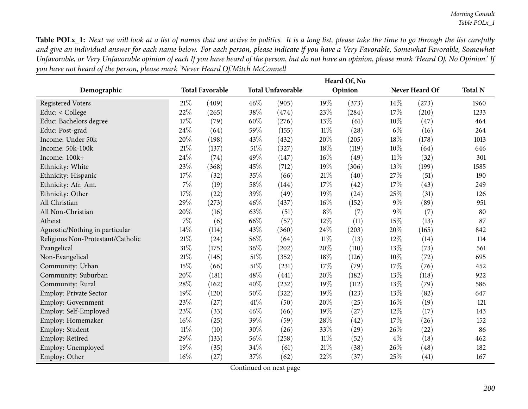Table POLx\_1: Next we will look at a list of names that are active in politics. It is a long list, please take the time to go through the list carefully and give an individual answer for each name below. For each person, please indicate if you have a Very Favorable, Somewhat Favorable, Somewhat Unfavorable, or Very Unfavorable opinion of each If you have heard of the person, but do not have an opinion, please mark 'Heard Of, No Opinion.' If you have not heard of the person, please mark 'Never Heard Of.'Mitch McConnell

|                                   |        |                        |      |                          |        | Heard Of, No |       |                |                |
|-----------------------------------|--------|------------------------|------|--------------------------|--------|--------------|-------|----------------|----------------|
| Demographic                       |        | <b>Total Favorable</b> |      | <b>Total Unfavorable</b> |        | Opinion      |       | Never Heard Of | <b>Total N</b> |
| <b>Registered Voters</b>          | 21%    | (409)                  | 46%  | (905)                    | 19%    | (373)        | 14%   | (273)          | 1960           |
| Educ: < College                   | 22%    | (265)                  | 38%  | (474)                    | 23%    | (284)        | 17%   | (210)          | 1233           |
| Educ: Bachelors degree            | 17%    | (79)                   | 60%  | (276)                    | 13%    | (61)         | 10%   | (47)           | 464            |
| Educ: Post-grad                   | 24%    | (64)                   | 59%  | (155)                    | $11\%$ | (28)         | $6\%$ | (16)           | 264            |
| Income: Under 50k                 | 20%    | (198)                  | 43%  | (432)                    | 20%    | (205)        | 18%   | (178)          | 1013           |
| Income: 50k-100k                  | 21\%   | (137)                  | 51%  | (327)                    | $18\%$ | (119)        | 10%   | (64)           | 646            |
| Income: 100k+                     | 24%    | (74)                   | 49%  | (147)                    | 16%    | (49)         | 11%   | (32)           | 301            |
| Ethnicity: White                  | 23%    | (368)                  | 45%  | (712)                    | 19%    | (306)        | 13%   | (199)          | 1585           |
| Ethnicity: Hispanic               | 17%    | (32)                   | 35%  | (66)                     | 21%    | (40)         | 27%   | (51)           | 190            |
| Ethnicity: Afr. Am.               | 7%     | (19)                   | 58%  | (144)                    | $17\%$ | (42)         | 17%   | (43)           | 249            |
| Ethnicity: Other                  | 17%    | (22)                   | 39%  | (49)                     | 19%    | (24)         | 25%   | (31)           | 126            |
| All Christian                     | 29%    | (273)                  | 46%  | (437)                    | 16%    | (152)        | $9\%$ | (89)           | 951            |
| All Non-Christian                 | 20%    | (16)                   | 63%  | (51)                     | $8\%$  | (7)          | $9\%$ | (7)            | 80             |
| Atheist                           | 7%     | (6)                    | 66%  | (57)                     | 12%    | (11)         | 15%   | (13)           | 87             |
| Agnostic/Nothing in particular    | 14\%   | (114)                  | 43%  | (360)                    | 24%    | (203)        | 20%   | (165)          | 842            |
| Religious Non-Protestant/Catholic | 21%    | (24)                   | 56%  | (64)                     | $11\%$ | (13)         | 12%   | (14)           | 114            |
| Evangelical                       | 31%    | (175)                  | 36%  | (202)                    | 20%    | (110)        | 13%   | (73)           | 561            |
| Non-Evangelical                   | 21%    | (145)                  | 51%  | (352)                    | 18%    | (126)        | 10%   | (72)           | 695            |
| Community: Urban                  | 15%    | (66)                   | 51%  | (231)                    | 17%    | (79)         | 17%   | (76)           | 452            |
| Community: Suburban               | 20%    | (181)                  | 48%  | (441)                    | 20%    | (182)        | 13%   | (118)          | 922            |
| Community: Rural                  | 28%    | (162)                  | 40%  | (232)                    | 19%    | (112)        | 13%   | (79)           | 586            |
| <b>Employ: Private Sector</b>     | 19%    | (120)                  | 50%  | (322)                    | 19%    | (123)        | 13%   | (82)           | 647            |
| Employ: Government                | 23%    | (27)                   | 41\% | (50)                     | 20%    | (25)         | 16%   | (19)           | 121            |
| Employ: Self-Employed             | 23%    | (33)                   | 46%  | (66)                     | 19%    | (27)         | 12%   | (17)           | 143            |
| Employ: Homemaker                 | 16%    | (25)                   | 39%  | (59)                     | 28%    | (42)         | 17%   | (26)           | 152            |
| Employ: Student                   | $11\%$ | (10)                   | 30%  | (26)                     | 33%    | (29)         | 26%   | (22)           | 86             |
| Employ: Retired                   | 29%    | (133)                  | 56%  | (258)                    | $11\%$ | (52)         | $4\%$ | (18)           | 462            |
| Employ: Unemployed                | 19%    | (35)                   | 34%  | (61)                     | 21%    | (38)         | 26%   | (48)           | 182            |
| Employ: Other                     | 16%    | (27)                   | 37%  | (62)                     | 22%    | (37)         | 25%   | (41)           | 167            |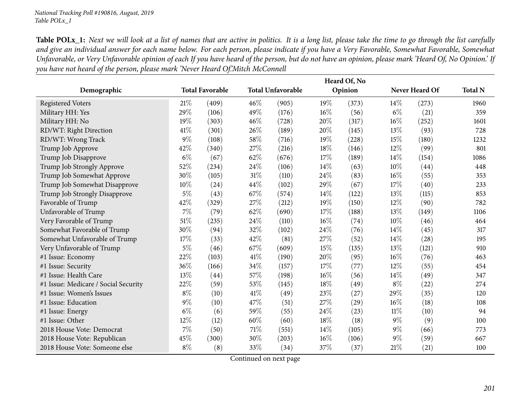Table POLx\_1: Next we will look at a list of names that are active in politics. It is a long list, please take the time to go through the list carefully and give an individual answer for each name below. For each person, please indicate if you have a Very Favorable, Somewhat Favorable, Somewhat Unfavorable, or Very Unfavorable opinion of each If you have heard of the person, but do not have an opinion, please mark 'Heard Of, No Opinion.' If you have not heard of the person, please mark 'Never Heard Of.'Mitch McConnell

|                                      |       |                        |      |                          |        | Heard Of, No |        |                |                |
|--------------------------------------|-------|------------------------|------|--------------------------|--------|--------------|--------|----------------|----------------|
| Demographic                          |       | <b>Total Favorable</b> |      | <b>Total Unfavorable</b> |        | Opinion      |        | Never Heard Of | <b>Total N</b> |
| <b>Registered Voters</b>             | 21%   | (409)                  | 46%  | (905)                    | 19%    | (373)        | 14%    | (273)          | 1960           |
| Military HH: Yes                     | 29%   | (106)                  | 49%  | (176)                    | $16\%$ | (56)         | $6\%$  | (21)           | 359            |
| Military HH: No                      | 19%   | (303)                  | 46%  | (728)                    | 20%    | (317)        | 16%    | (252)          | 1601           |
| RD/WT: Right Direction               | 41\%  | (301)                  | 26%  | (189)                    | 20%    | (145)        | 13%    | (93)           | 728            |
| RD/WT: Wrong Track                   | $9\%$ | (108)                  | 58%  | (716)                    | 19%    | (228)        | 15%    | (180)          | 1232           |
| Trump Job Approve                    | 42%   | (340)                  | 27%  | (216)                    | 18%    | (146)        | 12%    | (99)           | 801            |
| Trump Job Disapprove                 | $6\%$ | (67)                   | 62%  | (676)                    | 17%    | (189)        | 14\%   | (154)          | 1086           |
| Trump Job Strongly Approve           | 52%   | (234)                  | 24%  | (106)                    | 14%    | (63)         | 10%    | (44)           | 448            |
| Trump Job Somewhat Approve           | 30%   | (105)                  | 31%  | (110)                    | 24\%   | (83)         | 16%    | (55)           | 353            |
| Trump Job Somewhat Disapprove        | 10%   | (24)                   | 44%  | (102)                    | 29%    | (67)         | 17%    | (40)           | 233            |
| Trump Job Strongly Disapprove        | $5\%$ | (43)                   | 67%  | (574)                    | 14%    | (122)        | 13%    | (115)          | 853            |
| Favorable of Trump                   | 42%   | (329)                  | 27%  | (212)                    | 19%    | (150)        | 12%    | (90)           | 782            |
| Unfavorable of Trump                 | $7\%$ | (79)                   | 62%  | (690)                    | 17%    | (188)        | 13%    | (149)          | 1106           |
| Very Favorable of Trump              | 51\%  | (235)                  | 24%  | (110)                    | $16\%$ | (74)         | 10%    | (46)           | 464            |
| Somewhat Favorable of Trump          | 30%   | (94)                   | 32%  | (102)                    | 24%    | (76)         | 14\%   | (45)           | 317            |
| Somewhat Unfavorable of Trump        | 17%   | (33)                   | 42%  | (81)                     | 27%    | (52)         | 14\%   | (28)           | 195            |
| Very Unfavorable of Trump            | $5\%$ | (46)                   | 67%  | (609)                    | 15%    | (135)        | 13%    | (121)          | 910            |
| #1 Issue: Economy                    | 22%   | (103)                  | 41\% | (190)                    | 20%    | (95)         | 16%    | (76)           | 463            |
| #1 Issue: Security                   | 36%   | (166)                  | 34%  | (157)                    | 17%    | (77)         | 12%    | (55)           | 454            |
| #1 Issue: Health Care                | 13%   | (44)                   | 57%  | (198)                    | $16\%$ | (56)         | 14\%   | (49)           | 347            |
| #1 Issue: Medicare / Social Security | 22%   | (59)                   | 53%  | (145)                    | 18%    | (49)         | $8\%$  | (22)           | 274            |
| #1 Issue: Women's Issues             | $8\%$ | (10)                   | 41\% | (49)                     | 23%    | (27)         | 29%    | (35)           | 120            |
| #1 Issue: Education                  | $9\%$ | (10)                   | 47%  | (51)                     | 27%    | (29)         | 16%    | (18)           | 108            |
| #1 Issue: Energy                     | $6\%$ | (6)                    | 59%  | (55)                     | 24%    | (23)         | $11\%$ | (10)           | 94             |
| #1 Issue: Other                      | 12%   | (12)                   | 60%  | (60)                     | 18%    | (18)         | $9\%$  | (9)            | 100            |
| 2018 House Vote: Democrat            | $7\%$ | (50)                   | 71%  | (551)                    | 14%    | (105)        | $9\%$  | (66)           | 773            |
| 2018 House Vote: Republican          | 45%   | (300)                  | 30%  | (203)                    | $16\%$ | (106)        | $9\%$  | (59)           | 667            |
| 2018 House Vote: Someone else        | $8\%$ | (8)                    | 33%  | (34)                     | 37%    | (37)         | 21%    | (21)           | 100            |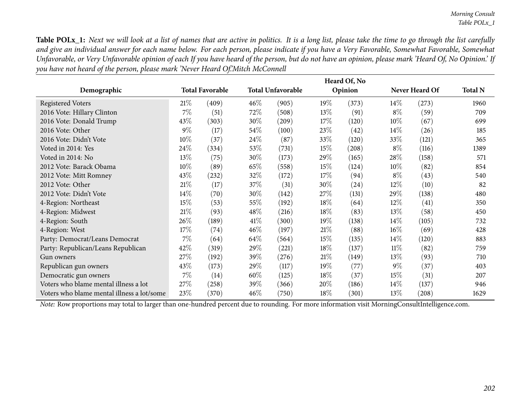Table POLx\_1: Next we will look at a list of names that are active in politics. It is a long list, please take the time to go through the list carefully and give an individual answer for each name below. For each person, please indicate if you have a Very Favorable, Somewhat Favorable, Somewhat Unfavorable, or Very Unfavorable opinion of each If you have heard of the person, but do not have an opinion, please mark 'Heard Of, No Opinion.' If you have not heard of the person, please mark 'Never Heard Of.'Mitch McConnell

|                                            |        |                        |        |                          |        | Heard Of, No |        |                |                |
|--------------------------------------------|--------|------------------------|--------|--------------------------|--------|--------------|--------|----------------|----------------|
| Demographic                                |        | <b>Total Favorable</b> |        | <b>Total Unfavorable</b> |        | Opinion      |        | Never Heard Of | <b>Total N</b> |
| <b>Registered Voters</b>                   | 21%    | (409)                  | 46%    | (905)                    | 19%    | (373)        | $14\%$ | (273)          | 1960           |
| 2016 Vote: Hillary Clinton                 | $7\%$  | (51)                   | 72%    | (508)                    | 13\%   | (91)         | $8\%$  | (59)           | 709            |
| 2016 Vote: Donald Trump                    | 43%    | (303)                  | 30\%   | (209)                    | 17%    | (120)        | $10\%$ | (67)           | 699            |
| 2016 Vote: Other                           | $9\%$  | (17)                   | 54\%   | (100)                    | 23\%   | (42)         | $14\%$ | (26)           | 185            |
| 2016 Vote: Didn't Vote                     | 10%    | (37)                   | 24\%   | (87)                     | 33\%   | (120)        | $33\%$ | (121)          | 365            |
| Voted in 2014: Yes                         | 24%    | (334)                  | 53%    | (731)                    | 15%    | (208)        | $8\%$  | (116)          | 1389           |
| Voted in 2014: No                          | 13\%   | (75)                   | $30\%$ | (173)                    | 29%    | (165)        | $28\%$ | (158)          | 571            |
| 2012 Vote: Barack Obama                    | 10%    | (89)                   | 65%    | (558)                    | 15\%   | (124)        | $10\%$ | (82)           | 854            |
| 2012 Vote: Mitt Romney                     | 43%    | (232)                  | 32%    | (172)                    | 17\%   | (94)         | $8\%$  | (43)           | 540            |
| 2012 Vote: Other                           | $21\%$ | (17)                   | 37%    | (31)                     | 30\%   | (24)         | $12\%$ | (10)           | 82             |
| 2012 Vote: Didn't Vote                     | $14\%$ | (70)                   | 30\%   | (142)                    | 27%    | (131)        | 29%    | (138)          | 480            |
| 4-Region: Northeast                        | 15%    | (53)                   | 55\%   | (192)                    | $18\%$ | (64)         | $12\%$ | (41)           | 350            |
| 4-Region: Midwest                          | 21%    | (93)                   | 48\%   | (216)                    | $18\%$ | (83)         | 13\%   | (58)           | 450            |
| 4-Region: South                            | 26%    | (189)                  | 41\%   | (300)                    | $19\%$ | (138)        | $14\%$ | (105)          | 732            |
| 4-Region: West                             | 17%    | (74)                   | 46\%   | (197)                    | 21%    | (88)         | $16\%$ | (69)           | 428            |
| Party: Democrat/Leans Democrat             | $7\%$  | (64)                   | 64\%   | (564)                    | 15%    | (135)        | $14\%$ | (120)          | 883            |
| Party: Republican/Leans Republican         | 42%    | (319)                  | 29\%   | (221)                    | $18\%$ | (137)        | $11\%$ | (82)           | 759            |
| Gun owners                                 | 27\%   | (192)                  | 39\%   | (276)                    | 21%    | (149)        | 13\%   | (93)           | 710            |
| Republican gun owners                      | 43%    | (173)                  | 29%    | (117)                    | $19\%$ | (77)         | $9\%$  | (37)           | 403            |
| Democratic gun owners                      | $7\%$  | (14)                   | 60%    | (125)                    | $18\%$ | (37)         | $15\%$ | (31)           | 207            |
| Voters who blame mental illness a lot      | 27\%   | (258)                  | 39%    | (366)                    | $20\%$ | (186)        | $14\%$ | (137)          | 946            |
| Voters who blame mental illness a lot/some | 23\%   | (370)                  | 46\%   | (750)                    | $18\%$ | (301)        | $13\%$ | (208)          | 1629           |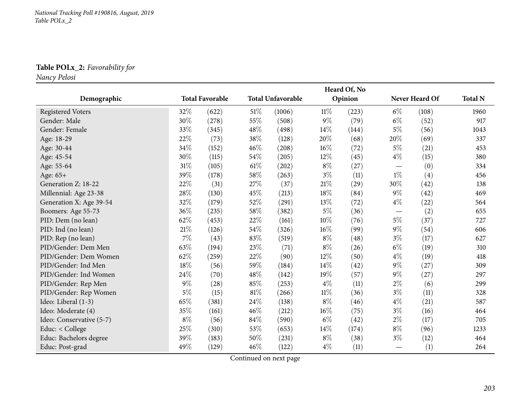**Table POLx\_2:** *Favorability for*

*Nancy Pelosi*

|                          |        |                        |        |                          |        | Heard Of, No |                                 |                |                |
|--------------------------|--------|------------------------|--------|--------------------------|--------|--------------|---------------------------------|----------------|----------------|
| Demographic              |        | <b>Total Favorable</b> |        | <b>Total Unfavorable</b> |        | Opinion      |                                 | Never Heard Of | <b>Total N</b> |
| <b>Registered Voters</b> | 32%    | (622)                  | 51\%   | (1006)                   | $11\%$ | (223)        | $6\%$                           | (108)          | 1960           |
| Gender: Male             | $30\%$ | (278)                  | 55%    | (508)                    | $9\%$  | (79)         | $6\%$                           | (52)           | 917            |
| Gender: Female           | 33%    | (345)                  | 48\%   | (498)                    | 14\%   | (144)        | $5\%$                           | (56)           | 1043           |
| Age: 18-29               | 22%    | (73)                   | 38%    | (128)                    | 20%    | (68)         | 20%                             | (69)           | 337            |
| Age: 30-44               | 34%    | (152)                  | 46%    | (208)                    | $16\%$ | (72)         | $5\%$                           | (21)           | 453            |
| Age: 45-54               | $30\%$ | (115)                  | 54%    | (205)                    | 12%    | (45)         | $4\%$                           | (15)           | 380            |
| Age: 55-64               | 31%    | (105)                  | $61\%$ | (202)                    | $8\%$  | (27)         | $\hspace{0.1mm}-\hspace{0.1mm}$ | (0)            | 334            |
| Age: 65+                 | 39%    | (178)                  | 58\%   | (263)                    | $3\%$  | (11)         | $1\%$                           | (4)            | 456            |
| Generation Z: 18-22      | 22%    | (31)                   | 27\%   | (37)                     | $21\%$ | (29)         | 30%                             | (42)           | 138            |
| Millennial: Age 23-38    | $28\%$ | (130)                  | 45%    | (213)                    | 18%    | (84)         | $9\%$                           | (42)           | 469            |
| Generation X: Age 39-54  | 32%    | (179)                  | 52%    | (291)                    | 13%    | (72)         | $4\%$                           | (22)           | 564            |
| Boomers: Age 55-73       | 36%    | (235)                  | 58%    | (382)                    | $5\%$  | (36)         | $\hspace{0.1mm}-\hspace{0.1mm}$ | (2)            | 655            |
| PID: Dem (no lean)       | 62%    | (453)                  | 22%    | (161)                    | 10%    | (76)         | $5\%$                           | (37)           | 727            |
| PID: Ind (no lean)       | $21\%$ | (126)                  | 54%    | (326)                    | $16\%$ | (99)         | $9\%$                           | (54)           | 606            |
| PID: Rep (no lean)       | $7\%$  | (43)                   | 83%    | (519)                    | $8\%$  | (48)         | $3\%$                           | (17)           | 627            |
| PID/Gender: Dem Men      | 63%    | (194)                  | 23%    | (71)                     | $8\%$  | (26)         | $6\%$                           | (19)           | 310            |
| PID/Gender: Dem Women    | 62%    | (259)                  | 22%    | (90)                     | 12%    | (50)         | $4\%$                           | (19)           | 418            |
| PID/Gender: Ind Men      | $18\%$ | (56)                   | 59%    | (184)                    | 14%    | (42)         | $9\%$                           | (27)           | 309            |
| PID/Gender: Ind Women    | 24\%   | (70)                   | 48%    | (142)                    | 19%    | (57)         | $9\%$                           | (27)           | 297            |
| PID/Gender: Rep Men      | $9\%$  | (28)                   | 85%    | (253)                    | $4\%$  | (11)         | $2\%$                           | (6)            | 299            |
| PID/Gender: Rep Women    | $5\%$  | (15)                   | 81\%   | (266)                    | $11\%$ | (36)         | $3\%$                           | (11)           | 328            |
| Ideo: Liberal (1-3)      | 65%    | (381)                  | 24\%   | (138)                    | $8\%$  | (46)         | $4\%$                           | (21)           | 587            |
| Ideo: Moderate (4)       | 35%    | (161)                  | 46%    | (212)                    | $16\%$ | (75)         | $3\%$                           | (16)           | 464            |
| Ideo: Conservative (5-7) | $8\%$  | (56)                   | 84%    | (590)                    | $6\%$  | (42)         | $2\%$                           | (17)           | 705            |
| Educ: < College          | 25%    | (310)                  | 53%    | (653)                    | 14%    | (174)        | $8\%$                           | (96)           | 1233           |
| Educ: Bachelors degree   | 39%    | (183)                  | 50%    | (231)                    | $8\%$  | (38)         | $3\%$                           | (12)           | 464            |
| Educ: Post-grad          | 49%    | (129)                  | 46%    | (122)                    | $4\%$  | (11)         |                                 | (1)            | 264            |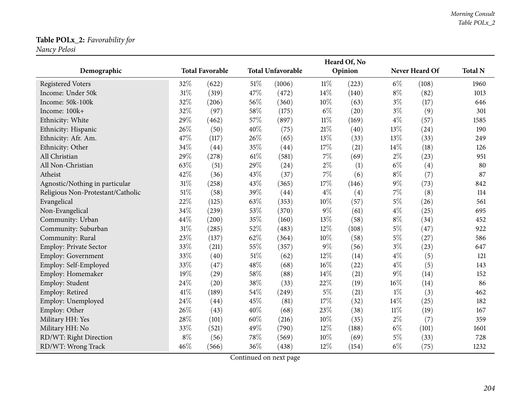### **Table POLx\_2:** *Favorability for*

*Nancy Pelosi*

|                                   |       |                        |        |                          |        | Heard Of, No |        |                |                |
|-----------------------------------|-------|------------------------|--------|--------------------------|--------|--------------|--------|----------------|----------------|
| Demographic                       |       | <b>Total Favorable</b> |        | <b>Total Unfavorable</b> |        | Opinion      |        | Never Heard Of | <b>Total N</b> |
| <b>Registered Voters</b>          | 32%   | (622)                  | $51\%$ | (1006)                   | $11\%$ | (223)        | $6\%$  | (108)          | 1960           |
| Income: Under 50k                 | 31%   | (319)                  | 47%    | (472)                    | 14%    | (140)        | $8\%$  | (82)           | 1013           |
| Income: 50k-100k                  | 32%   | (206)                  | 56%    | (360)                    | $10\%$ | (63)         | $3\%$  | (17)           | 646            |
| Income: 100k+                     | 32%   | (97)                   | 58%    | (175)                    | $6\%$  | (20)         | $3\%$  | (9)            | 301            |
| Ethnicity: White                  | 29%   | (462)                  | 57%    | (897)                    | $11\%$ | (169)        | $4\%$  | (57)           | 1585           |
| Ethnicity: Hispanic               | 26%   | (50)                   | 40%    | (75)                     | $21\%$ | (40)         | 13%    | (24)           | 190            |
| Ethnicity: Afr. Am.               | 47%   | (117)                  | 26%    | (65)                     | 13%    | (33)         | 13%    | (33)           | 249            |
| Ethnicity: Other                  | 34%   | (44)                   | 35%    | (44)                     | $17\%$ | (21)         | 14%    | (18)           | 126            |
| All Christian                     | 29%   | (278)                  | $61\%$ | (581)                    | $7\%$  | (69)         | $2\%$  | (23)           | 951            |
| All Non-Christian                 | 63%   | (51)                   | 29%    | (24)                     | $2\%$  | (1)          | $6\%$  | (4)            | 80             |
| Atheist                           | 42%   | (36)                   | 43%    | (37)                     | $7\%$  | (6)          | $8\%$  | (7)            | 87             |
| Agnostic/Nothing in particular    | 31%   | (258)                  | 43%    | (365)                    | 17%    | (146)        | $9\%$  | (73)           | 842            |
| Religious Non-Protestant/Catholic | 51%   | (58)                   | 39%    | (44)                     | $4\%$  | (4)          | $7\%$  | (8)            | 114            |
| Evangelical                       | 22%   | (125)                  | 63%    | (353)                    | 10%    | (57)         | $5\%$  | (26)           | 561            |
| Non-Evangelical                   | 34%   | (239)                  | 53%    | (370)                    | $9\%$  | (61)         | $4\%$  | (25)           | 695            |
| Community: Urban                  | 44%   | (200)                  | 35%    | (160)                    | 13%    | (58)         | $8\%$  | (34)           | 452            |
| Community: Suburban               | 31%   | (285)                  | 52%    | (483)                    | 12%    | (108)        | $5\%$  | (47)           | 922            |
| Community: Rural                  | 23%   | (137)                  | 62%    | (364)                    | 10%    | (58)         | $5\%$  | (27)           | 586            |
| <b>Employ: Private Sector</b>     | 33%   | (211)                  | 55%    | (357)                    | $9\%$  | (56)         | $3\%$  | (23)           | 647            |
| <b>Employ: Government</b>         | 33%   | (40)                   | $51\%$ | (62)                     | 12%    | (14)         | $4\%$  | (5)            | 121            |
| Employ: Self-Employed             | 33%   | (47)                   | 48%    | (68)                     | $16\%$ | (22)         | $4\%$  | (5)            | 143            |
| Employ: Homemaker                 | 19%   | (29)                   | 58\%   | (88)                     | 14%    | (21)         | $9\%$  | (14)           | 152            |
| Employ: Student                   | 24%   | (20)                   | 38%    | (33)                     | 22%    | (19)         | 16%    | (14)           | 86             |
| Employ: Retired                   | 41\%  | (189)                  | 54%    | (249)                    | $5\%$  | (21)         | $1\%$  | (3)            | 462            |
| Employ: Unemployed                | 24%   | (44)                   | 45%    | (81)                     | 17%    | (32)         | 14%    | (25)           | 182            |
| Employ: Other                     | 26%   | (43)                   | 40%    | (68)                     | 23%    | (38)         | $11\%$ | (19)           | 167            |
| Military HH: Yes                  | 28%   | (101)                  | 60%    | (216)                    | $10\%$ | (35)         | $2\%$  | (7)            | 359            |
| Military HH: No                   | 33%   | (521)                  | 49%    | (790)                    | 12%    | (188)        | $6\%$  | (101)          | 1601           |
| RD/WT: Right Direction            | $8\%$ | (56)                   | 78%    | (569)                    | $10\%$ | (69)         | $5\%$  | (33)           | 728            |
| RD/WT: Wrong Track                | 46%   | (566)                  | 36%    | (438)                    | 12%    | (154)        | $6\%$  | (75)           | 1232           |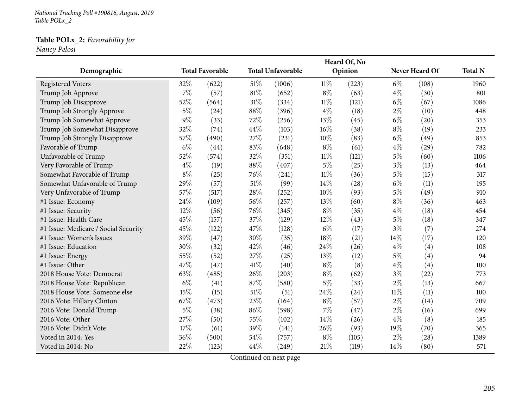*National Tracking Poll #190816, August, <sup>2019</sup> Table POLx\_2*

#### **Table POLx\_2:** *Favorability for*

*Nancy Pelosi*

| Demographic                          |       | <b>Total Favorable</b> |      | <b>Total Unfavorable</b> |        | Heard Of, No<br>Opinion |        | Never Heard Of    | <b>Total N</b> |
|--------------------------------------|-------|------------------------|------|--------------------------|--------|-------------------------|--------|-------------------|----------------|
| <b>Registered Voters</b>             | 32%   | (622)                  | 51%  | (1006)                   | $11\%$ | (223)                   | $6\%$  | (108)             | 1960           |
| Trump Job Approve                    | $7\%$ | (57)                   | 81%  | (652)                    | $8\%$  | (63)                    | $4\%$  | (30)              | 801            |
| Trump Job Disapprove                 | 52%   | (564)                  | 31%  | (334)                    | 11%    | (121)                   | $6\%$  | (67)              | 1086           |
| Trump Job Strongly Approve           | $5\%$ | (24)                   | 88%  | (396)                    | $4\%$  | (18)                    | $2\%$  | (10)              | 448            |
| Trump Job Somewhat Approve           | $9\%$ | (33)                   | 72%  | (256)                    | 13%    | (45)                    | $6\%$  | (20)              | 353            |
| Trump Job Somewhat Disapprove        | 32%   | (74)                   | 44%  | (103)                    | 16%    | (38)                    | $8\%$  | (19)              | 233            |
| Trump Job Strongly Disapprove        | 57%   | (490)                  | 27%  | (231)                    | 10%    | (83)                    | $6\%$  | (49)              | 853            |
| Favorable of Trump                   | $6\%$ | (44)                   | 83%  | (648)                    | $8\%$  | (61)                    | $4\%$  | (29)              | 782            |
| Unfavorable of Trump                 | 52%   | (574)                  | 32%  | (351)                    | $11\%$ | (121)                   | $5\%$  | (60)              | 1106           |
| Very Favorable of Trump              | $4\%$ | (19)                   | 88%  | (407)                    | $5\%$  | (25)                    | $3\%$  | (13)              | 464            |
| Somewhat Favorable of Trump          | $8\%$ | (25)                   | 76%  | (241)                    | $11\%$ | (36)                    | $5\%$  | (15)              | 317            |
| Somewhat Unfavorable of Trump        | 29%   | (57)                   | 51%  | (99)                     | 14%    | (28)                    | $6\%$  | (11)              | 195            |
| Very Unfavorable of Trump            | 57%   | (517)                  | 28%  | (252)                    | 10%    | (93)                    | $5\%$  | (49)              | 910            |
| #1 Issue: Economy                    | 24%   | (109)                  | 56%  | (257)                    | 13%    | (60)                    | $8\%$  | (36)              | 463            |
| #1 Issue: Security                   | 12%   | (56)                   | 76%  | (345)                    | $8\%$  | (35)                    | $4\%$  | (18)              | 454            |
| #1 Issue: Health Care                | 45%   | (157)                  | 37%  | (129)                    | 12%    | (43)                    | $5\%$  | (18)              | 347            |
| #1 Issue: Medicare / Social Security | 45%   | (122)                  | 47%  | (128)                    | $6\%$  | (17)                    | $3\%$  | (7)               | 274            |
| #1 Issue: Women's Issues             | 39%   | (47)                   | 30%  | (35)                     | 18%    | (21)                    | 14\%   | (17)              | 120            |
| #1 Issue: Education                  | 30%   | (32)                   | 42%  | (46)                     | 24%    | (26)                    | $4\%$  | (4)               | 108            |
| #1 Issue: Energy                     | 55%   | (52)                   | 27%  | (25)                     | 13%    | (12)                    | $5\%$  | $\left( 4\right)$ | 94             |
| #1 Issue: Other                      | 47%   | (47)                   | 41\% | (40)                     | $8\%$  | (8)                     | $4\%$  | (4)               | 100            |
| 2018 House Vote: Democrat            | 63%   | (485)                  | 26%  | (203)                    | $8\%$  | (62)                    | $3\%$  | (22)              | 773            |
| 2018 House Vote: Republican          | $6\%$ | (41)                   | 87%  | (580)                    | $5\%$  | (33)                    | $2\%$  | (13)              | 667            |
| 2018 House Vote: Someone else        | 15%   | (15)                   | 51%  | (51)                     | 24%    | (24)                    | $11\%$ | (11)              | 100            |
| 2016 Vote: Hillary Clinton           | 67%   | (473)                  | 23%  | (164)                    | $8\%$  | (57)                    | $2\%$  | (14)              | 709            |
| 2016 Vote: Donald Trump              | $5\%$ | (38)                   | 86%  | (598)                    | 7%     | (47)                    | $2\%$  | (16)              | 699            |
| 2016 Vote: Other                     | 27%   | (50)                   | 55%  | (102)                    | 14%    | (26)                    | $4\%$  | (8)               | 185            |
| 2016 Vote: Didn't Vote               | 17%   | (61)                   | 39%  | (141)                    | 26%    | (93)                    | 19%    | (70)              | 365            |
| Voted in 2014: Yes                   | 36%   | (500)                  | 54%  | (757)                    | $8\%$  | (105)                   | $2\%$  | (28)              | 1389           |
| Voted in 2014: No                    | 22%   | (123)                  | 44%  | (249)                    | 21%    | (119)                   | 14%    | (80)              | 571            |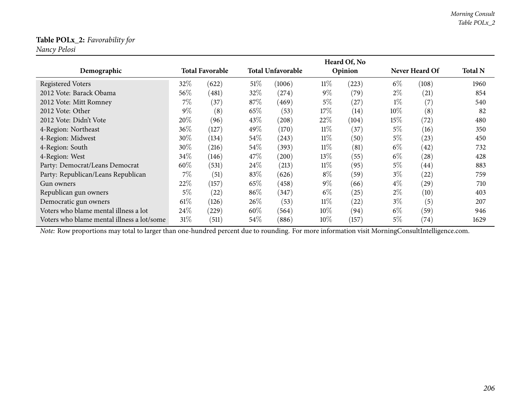#### **Table POLx\_2:** *Favorability for*

*Nancy Pelosi*

|                                            |        |                        |        |                          |        | Heard Of, No |        |                    |                |
|--------------------------------------------|--------|------------------------|--------|--------------------------|--------|--------------|--------|--------------------|----------------|
| Demographic                                |        | <b>Total Favorable</b> |        | <b>Total Unfavorable</b> |        | Opinion      |        | Never Heard Of     | <b>Total N</b> |
| Registered Voters                          | 32\%   | (622)                  | $51\%$ | (1006)                   | 11%    | (223)        | $6\%$  | (108)              | 1960           |
| 2012 Vote: Barack Obama                    | 56%    | (481)                  | 32\%   | (274)                    | $9\%$  | (79)         | $2\%$  | (21)               | 854            |
| 2012 Vote: Mitt Romney                     | 7%     | (37)                   | 87%    | (469)                    | 5%     | (27)         | $1\%$  | (7)                | 540            |
| 2012 Vote: Other                           | $9\%$  | (8)                    | 65%    | (53)                     | 17%    | (14)         | $10\%$ | (8)                | 82             |
| 2012 Vote: Didn't Vote                     | 20%    | (96)                   | 43\%   | (208)                    | $22\%$ | (104)        | 15%    | (72)               | 480            |
| 4-Region: Northeast                        | 36%    | (127)                  | 49%    | (170)                    | $11\%$ | (37)         | $5\%$  | (16)               | 350            |
| 4-Region: Midwest                          | 30\%   | (134)                  | 54%    | (243)                    | $11\%$ | (50)         | $5\%$  | (23)               | 450            |
| 4-Region: South                            | 30\%   | (216)                  | 54\%   | (393)                    | $11\%$ | (81)         | $6\%$  | (42)               | 732            |
| 4-Region: West                             | 34\%   | (146)                  | 47\%   | (200)                    | $13\%$ | (55)         | $6\%$  | (28)               | 428            |
| Party: Democrat/Leans Democrat             | 60%    | (531)                  | 24%    | (213)                    | $11\%$ | (95)         | $5\%$  | (44)               | 883            |
| Party: Republican/Leans Republican         | $7\%$  | (51)                   | 83%    | (626)                    | $8\%$  | (59)         | $3\%$  | (22)               | 759            |
| Gun owners                                 | 22%    | (157)                  | 65%    | (458)                    | $9\%$  | (66)         | $4\%$  | (29)               | 710            |
| Republican gun owners                      | $5\%$  | $\left( 22\right)$     | 86%    | (347)                    | $6\%$  | (25)         | $2\%$  | (10)               | 403            |
| Democratic gun owners                      | $61\%$ | (126)                  | 26\%   | (53)                     | $11\%$ | (22)         | $3\%$  | (5)                | 207            |
| Voters who blame mental illness a lot      | 24\%   | (229)                  | $60\%$ | (564)                    | $10\%$ | (94)         | $6\%$  | (59)               | 946            |
| Voters who blame mental illness a lot/some | 31%    | (511)                  | $54\%$ | (886)                    | $10\%$ | (157)        | $5\%$  | $\left( 74\right)$ | 1629           |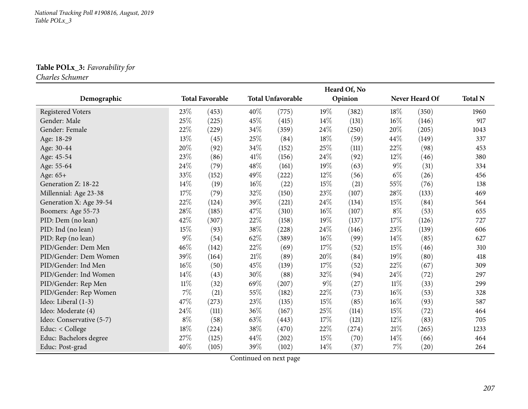### **Table POLx\_3:** *Favorability for*

*Charles Schumer*

|                          |        |                        |      |                          |        | Heard Of, No |        |                    |                |
|--------------------------|--------|------------------------|------|--------------------------|--------|--------------|--------|--------------------|----------------|
| Demographic              |        | <b>Total Favorable</b> |      | <b>Total Unfavorable</b> |        | Opinion      |        | Never Heard Of     | <b>Total N</b> |
| <b>Registered Voters</b> | 23\%   | (453)                  | 40%  | (775)                    | 19%    | (382)        | 18%    | (350)              | 1960           |
| Gender: Male             | 25%    | (225)                  | 45%  | (415)                    | $14\%$ | (131)        | $16\%$ | (146)              | 917            |
| Gender: Female           | 22%    | (229)                  | 34%  | (359)                    | 24\%   | (250)        | 20%    | (205)              | 1043           |
| Age: 18-29               | 13%    | (45)                   | 25%  | (84)                     | 18%    | (59)         | 44%    | (149)              | 337            |
| Age: 30-44               | 20%    | (92)                   | 34%  | (152)                    | 25%    | (111)        | 22%    | (98)               | 453            |
| Age: 45-54               | 23%    | (86)                   | 41\% | (156)                    | 24\%   | (92)         | 12%    | (46)               | 380            |
| Age: 55-64               | 24%    | (79)                   | 48%  | (161)                    | 19%    | (63)         | $9\%$  | (31)               | 334            |
| Age: 65+                 | 33%    | (152)                  | 49%  | (222)                    | 12%    | (56)         | $6\%$  | (26)               | 456            |
| Generation Z: 18-22      | 14%    | (19)                   | 16%  | (22)                     | 15%    | (21)         | 55%    | (76)               | 138            |
| Millennial: Age 23-38    | 17%    | (79)                   | 32%  | (150)                    | 23%    | (107)        | 28%    | (133)              | 469            |
| Generation X: Age 39-54  | 22%    | (124)                  | 39%  | (221)                    | 24%    | (134)        | 15%    | (84)               | 564            |
| Boomers: Age 55-73       | 28\%   | (185)                  | 47%  | (310)                    | $16\%$ | (107)        | $8\%$  | (53)               | 655            |
| PID: Dem (no lean)       | 42\%   | (307)                  | 22%  | (158)                    | 19%    | (137)        | 17%    | (126)              | 727            |
| PID: Ind (no lean)       | 15%    | (93)                   | 38%  | (228)                    | 24\%   | (146)        | 23%    | (139)              | 606            |
| PID: Rep (no lean)       | $9\%$  | (54)                   | 62%  | (389)                    | $16\%$ | (99)         | 14%    | (85)               | 627            |
| PID/Gender: Dem Men      | 46%    | (142)                  | 22%  | (69)                     | 17%    | (52)         | 15%    | (46)               | 310            |
| PID/Gender: Dem Women    | 39%    | (164)                  | 21\% | (89)                     | 20%    | (84)         | 19%    | (80)               | 418            |
| PID/Gender: Ind Men      | 16%    | (50)                   | 45%  | (139)                    | 17%    | (52)         | 22%    | (67)               | 309            |
| PID/Gender: Ind Women    | 14%    | (43)                   | 30%  | (88)                     | 32%    | (94)         | 24\%   | (72)               | 297            |
| PID/Gender: Rep Men      | $11\%$ | (32)                   | 69%  | (207)                    | $9\%$  | (27)         | $11\%$ | (33)               | 299            |
| PID/Gender: Rep Women    | $7\%$  | (21)                   | 55%  | (182)                    | 22%    | (73)         | $16\%$ | (53)               | 328            |
| Ideo: Liberal (1-3)      | 47%    | (273)                  | 23%  | (135)                    | 15%    | (85)         | $16\%$ | (93)               | 587            |
| Ideo: Moderate (4)       | 24%    | (111)                  | 36%  | (167)                    | 25%    | (114)        | 15%    | (72)               | 464            |
| Ideo: Conservative (5-7) | $8\%$  | (58)                   | 63%  | (443)                    | 17%    | (121)        | 12%    | (83)               | 705            |
| Educ: < College          | 18%    | (224)                  | 38%  | (470)                    | 22%    | (274)        | 21%    | (265)              | 1233           |
| Educ: Bachelors degree   | $27\%$ | (125)                  | 44%  | (202)                    | 15%    | (70)         | 14%    | (66)               | 464            |
| Educ: Post-grad          | 40%    | (105)                  | 39%  | (102)                    | 14%    | (37)         | $7\%$  | $\left( 20\right)$ | 264            |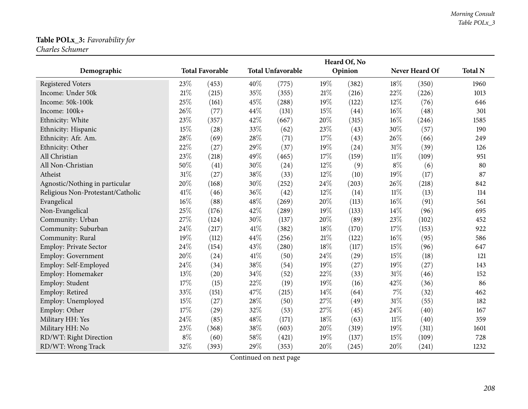### **Table POLx\_3:** *Favorability for*

*Charles Schumer*

|                                   |        |                        |        |                          |        | Heard Of, No |        |                |                |
|-----------------------------------|--------|------------------------|--------|--------------------------|--------|--------------|--------|----------------|----------------|
| Demographic                       |        | <b>Total Favorable</b> |        | <b>Total Unfavorable</b> |        | Opinion      |        | Never Heard Of | <b>Total N</b> |
| <b>Registered Voters</b>          | 23%    | (453)                  | 40%    | (775)                    | 19%    | (382)        | 18%    | (350)          | 1960           |
| Income: Under 50k                 | 21%    | (215)                  | 35%    | (355)                    | $21\%$ | (216)        | 22%    | (226)          | 1013           |
| Income: 50k-100k                  | 25%    | (161)                  | 45%    | (288)                    | 19%    | (122)        | 12%    | (76)           | 646            |
| Income: 100k+                     | 26%    | (77)                   | 44%    | (131)                    | 15%    | (44)         | 16%    | (48)           | 301            |
| Ethnicity: White                  | 23%    | (357)                  | 42%    | (667)                    | 20%    | (315)        | 16%    | (246)          | 1585           |
| Ethnicity: Hispanic               | 15%    | (28)                   | 33%    | (62)                     | 23%    | (43)         | 30%    | (57)           | 190            |
| Ethnicity: Afr. Am.               | 28%    | (69)                   | 28\%   | (71)                     | 17%    | (43)         | 26%    | (66)           | 249            |
| Ethnicity: Other                  | 22%    | (27)                   | 29%    | (37)                     | 19%    | (24)         | $31\%$ | (39)           | 126            |
| All Christian                     | 23%    | (218)                  | 49%    | (465)                    | 17%    | (159)        | $11\%$ | (109)          | 951            |
| All Non-Christian                 | 50%    | (41)                   | 30%    | (24)                     | 12%    | (9)          | $8\%$  | (6)            | 80             |
| Atheist                           | 31%    | (27)                   | 38%    | (33)                     | 12%    | (10)         | 19%    | (17)           | 87             |
| Agnostic/Nothing in particular    | 20%    | (168)                  | 30%    | (252)                    | 24\%   | (203)        | 26%    | (218)          | 842            |
| Religious Non-Protestant/Catholic | 41\%   | (46)                   | 36%    | (42)                     | 12%    | (14)         | $11\%$ | (13)           | 114            |
| Evangelical                       | $16\%$ | (88)                   | 48%    | (269)                    | $20\%$ | (113)        | $16\%$ | (91)           | 561            |
| Non-Evangelical                   | 25%    | (176)                  | 42%    | (289)                    | 19%    | (133)        | 14%    | (96)           | 695            |
| Community: Urban                  | 27%    | (124)                  | 30%    | (137)                    | $20\%$ | (89)         | 23%    | (102)          | 452            |
| Community: Suburban               | 24%    | (217)                  | 41\%   | (382)                    | 18%    | (170)        | 17%    | (153)          | 922            |
| Community: Rural                  | 19%    | (112)                  | 44%    | (256)                    | $21\%$ | (122)        | 16%    | (95)           | 586            |
| <b>Employ: Private Sector</b>     | 24%    | (154)                  | 43%    | (280)                    | 18%    | (117)        | 15%    | (96)           | 647            |
| <b>Employ: Government</b>         | 20%    | (24)                   | $41\%$ | (50)                     | 24\%   | (29)         | 15%    | (18)           | 121            |
| Employ: Self-Employed             | 24%    | (34)                   | 38%    | (54)                     | 19%    | (27)         | 19%    | (27)           | 143            |
| Employ: Homemaker                 | 13%    | (20)                   | 34%    | (52)                     | 22%    | (33)         | 31%    | (46)           | 152            |
| Employ: Student                   | 17%    | (15)                   | 22%    | (19)                     | 19%    | (16)         | 42\%   | (36)           | 86             |
| Employ: Retired                   | 33%    | (151)                  | 47%    | (215)                    | 14%    | (64)         | 7%     | (32)           | 462            |
| Employ: Unemployed                | 15%    | (27)                   | 28\%   | (50)                     | 27%    | (49)         | 31%    | (55)           | 182            |
| Employ: Other                     | 17%    | (29)                   | 32%    | (53)                     | 27%    | (45)         | 24%    | (40)           | 167            |
| Military HH: Yes                  | 24%    | (85)                   | 48%    | (171)                    | 18%    | (63)         | $11\%$ | (40)           | 359            |
| Military HH: No                   | 23%    | (368)                  | $38\%$ | (603)                    | $20\%$ | (319)        | 19%    | (311)          | 1601           |
| RD/WT: Right Direction            | $8\%$  | (60)                   | 58%    | (421)                    | 19%    | (137)        | $15\%$ | (109)          | 728            |
| RD/WT: Wrong Track                | 32%    | (393)                  | 29%    | (353)                    | 20%    | (245)        | 20%    | (241)          | 1232           |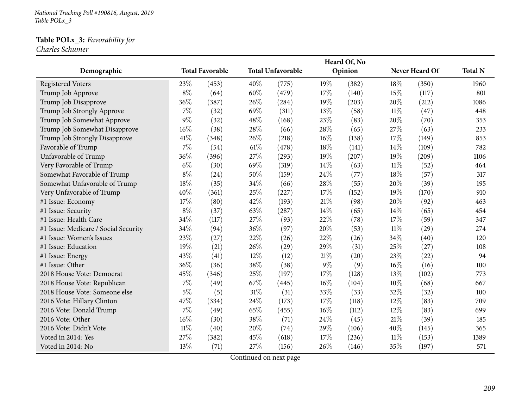*National Tracking Poll #190816, August, <sup>2019</sup> Table POLx\_3*

### **Table POLx\_3:** *Favorability for*

*Charles Schumer*

| Demographic                          |        | <b>Total Favorable</b> |     | <b>Total Unfavorable</b> |       | Heard Of, No<br>Opinion |        | Never Heard Of | <b>Total N</b> |
|--------------------------------------|--------|------------------------|-----|--------------------------|-------|-------------------------|--------|----------------|----------------|
|                                      |        |                        |     |                          |       |                         |        |                |                |
| <b>Registered Voters</b>             | 23\%   | (453)                  | 40% | (775)                    | 19%   | (382)                   | 18%    | (350)          | 1960           |
| Trump Job Approve                    | $8\%$  | (64)                   | 60% | (479)                    | 17%   | (140)                   | 15%    | (117)          | 801            |
| Trump Job Disapprove                 | 36%    | (387)                  | 26% | (284)                    | 19%   | (203)                   | 20%    | (212)          | 1086           |
| Trump Job Strongly Approve           | 7%     | (32)                   | 69% | (311)                    | 13%   | (58)                    | 11%    | (47)           | 448            |
| Trump Job Somewhat Approve           | 9%     | (32)                   | 48% | (168)                    | 23%   | (83)                    | 20%    | (70)           | 353            |
| Trump Job Somewhat Disapprove        | 16%    | (38)                   | 28% | (66)                     | 28\%  | (65)                    | 27%    | (63)           | 233            |
| Trump Job Strongly Disapprove        | 41\%   | (348)                  | 26% | (218)                    | 16%   | (138)                   | 17%    | (149)          | 853            |
| Favorable of Trump                   | 7%     | (54)                   | 61% | (478)                    | 18%   | (141)                   | 14\%   | (109)          | 782            |
| Unfavorable of Trump                 | 36%    | (396)                  | 27% | (293)                    | 19%   | (207)                   | 19%    | (209)          | 1106           |
| Very Favorable of Trump              | $6\%$  | (30)                   | 69% | (319)                    | 14%   | (63)                    | 11%    | (52)           | 464            |
| Somewhat Favorable of Trump          | $8\%$  | (24)                   | 50% | (159)                    | 24%   | (77)                    | 18%    | (57)           | 317            |
| Somewhat Unfavorable of Trump        | 18%    | (35)                   | 34% | (66)                     | 28%   | (55)                    | 20%    | (39)           | 195            |
| Very Unfavorable of Trump            | 40%    | (361)                  | 25% | (227)                    | 17%   | (152)                   | 19%    | (170)          | 910            |
| #1 Issue: Economy                    | 17%    | (80)                   | 42% | (193)                    | 21\%  | (98)                    | 20%    | (92)           | 463            |
| #1 Issue: Security                   | $8\%$  | (37)                   | 63% | (287)                    | 14%   | (65)                    | 14%    | (65)           | 454            |
| #1 Issue: Health Care                | 34%    | (117)                  | 27% | (93)                     | 22%   | (78)                    | 17%    | (59)           | 347            |
| #1 Issue: Medicare / Social Security | 34%    | (94)                   | 36% | (97)                     | 20%   | (53)                    | 11%    | (29)           | 274            |
| #1 Issue: Women's Issues             | 23%    | (27)                   | 22% | (26)                     | 22%   | (26)                    | 34%    | (40)           | 120            |
| #1 Issue: Education                  | 19%    | (21)                   | 26% | (29)                     | 29%   | (31)                    | 25%    | (27)           | 108            |
| #1 Issue: Energy                     | 43%    | (41)                   | 12% | (12)                     | 21%   | (20)                    | 23%    | (22)           | 94             |
| #1 Issue: Other                      | 36%    | (36)                   | 38% | (38)                     | $9\%$ | (9)                     | 16%    | (16)           | 100            |
| 2018 House Vote: Democrat            | 45%    | (346)                  | 25% | (197)                    | 17%   | (128)                   | 13%    | (102)          | 773            |
| 2018 House Vote: Republican          | 7%     | (49)                   | 67% | (445)                    | 16%   | (104)                   | 10%    | (68)           | 667            |
| 2018 House Vote: Someone else        | $5\%$  | (5)                    | 31% | (31)                     | 33%   | (33)                    | 32%    | (32)           | 100            |
| 2016 Vote: Hillary Clinton           | 47%    | (334)                  | 24% | (173)                    | 17%   | (118)                   | 12%    | (83)           | 709            |
| 2016 Vote: Donald Trump              | 7%     | (49)                   | 65% | (455)                    | 16%   | (112)                   | 12%    | (83)           | 699            |
| 2016 Vote: Other                     | 16%    | (30)                   | 38% | (71)                     | 24\%  | (45)                    | 21\%   | (39)           | 185            |
| 2016 Vote: Didn't Vote               | $11\%$ | (40)                   | 20% | (74)                     | 29%   | (106)                   | 40%    | (145)          | 365            |
| Voted in 2014: Yes                   | 27%    | (382)                  | 45% | (618)                    | 17%   | (236)                   | $11\%$ | (153)          | 1389           |
| Voted in 2014: No                    | 13%    | (71)                   | 27% | (156)                    | 26%   | (146)                   | 35%    | (197)          | 571            |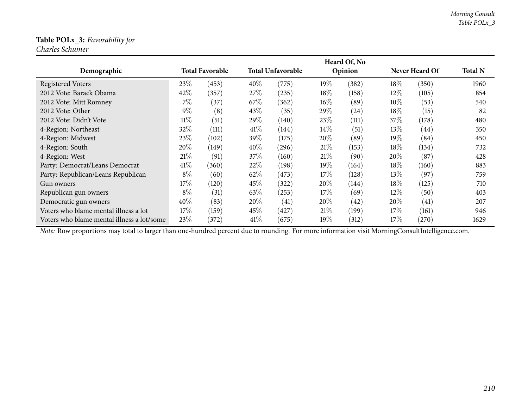### **Table POLx\_3:** *Favorability for*

*Charles Schumer*

|                                            |        |                        |        |                          |        | Heard Of, No |        |                |                |
|--------------------------------------------|--------|------------------------|--------|--------------------------|--------|--------------|--------|----------------|----------------|
| Demographic                                |        | <b>Total Favorable</b> |        | <b>Total Unfavorable</b> |        | Opinion      |        | Never Heard Of | <b>Total N</b> |
| <b>Registered Voters</b>                   | 23\%   | (453)                  | 40%    | (775)                    | 19%    | (382)        | 18%    | (350)          | 1960           |
| 2012 Vote: Barack Obama                    | 42%    | (357)                  | 27\%   | (235)                    | 18\%   | (158)        | $12\%$ | (105)          | 854            |
| 2012 Vote: Mitt Romney                     | 7%     | (37)                   | 67\%   | (362)                    | $16\%$ | (89)         | $10\%$ | (53)           | 540            |
| 2012 Vote: Other                           | $9\%$  | (8)                    | 43\%   | (35)                     | $29\%$ | (24)         | 18\%   | (15)           | 82             |
| 2012 Vote: Didn't Vote                     | $11\%$ | (51)                   | 29\%   | (140)                    | 23%    | (111)        | 37%    | (178)          | 480            |
| 4-Region: Northeast                        | 32%    | (111)                  | 41%    | (144)                    | $14\%$ | (51)         | 13%    | (44)           | 350            |
| 4-Region: Midwest                          | 23\%   | (102)                  | 39%    | (175)                    | $20\%$ | (89)         | $19\%$ | (84)           | 450            |
| 4-Region: South                            | 20%    | (149)                  | $40\%$ | (296)                    | 21%    | (153)        | $18\%$ | (134)          | 732            |
| 4-Region: West                             | 21\%   | (91)                   | 37\%   | (160)                    | 21%    | (90)         | $20\%$ | (87)           | 428            |
| Party: Democrat/Leans Democrat             | 41\%   | (360)                  | 22%    | (198)                    | $19\%$ | (164)        | 18\%   | (160)          | 883            |
| Party: Republican/Leans Republican         | $8\%$  | (60)                   | 62%    | (473)                    | $17\%$ | (128)        | $13\%$ | (97)           | 759            |
| Gun owners                                 | 17%    | (120)                  | 45%    | (322)                    | $20\%$ | (144)        | 18\%   | (125)          | 710            |
| Republican gun owners                      | $8\%$  | (31)                   | 63\%   | (253)                    | 17\%   | (69)         | $12\%$ | (50)           | 403            |
| Democratic gun owners                      | 40%    | (83)                   | 20%    | (41)                     | $20\%$ | (42)         | 20%    | (41)           | 207            |
| Voters who blame mental illness a lot      | 17%    | (159)                  | 45%    | (427)                    | 21%    | (199)        | 17%    | (161)          | 946            |
| Voters who blame mental illness a lot/some | 23%    | (372)                  | 41\%   | (675)                    | $19\%$ | (312)        | 17%    | (270)          | 1629           |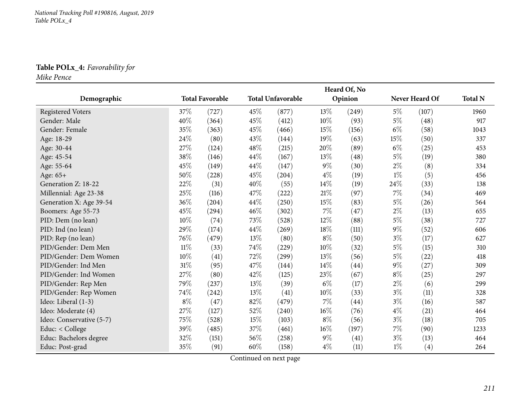### **Table POLx\_4:** *Favorability for*

*Mike Pence*

|                          |        |                        |     |                          |        | Heard Of, No |       |                |                |
|--------------------------|--------|------------------------|-----|--------------------------|--------|--------------|-------|----------------|----------------|
| Demographic              |        | <b>Total Favorable</b> |     | <b>Total Unfavorable</b> |        | Opinion      |       | Never Heard Of | <b>Total N</b> |
| <b>Registered Voters</b> | 37%    | (727)                  | 45% | (877)                    | 13%    | (249)        | $5\%$ | (107)          | 1960           |
| Gender: Male             | 40%    | (364)                  | 45% | (412)                    | $10\%$ | (93)         | $5\%$ | (48)           | 917            |
| Gender: Female           | 35%    | (363)                  | 45% | (466)                    | 15%    | (156)        | $6\%$ | (58)           | 1043           |
| Age: 18-29               | 24\%   | (80)                   | 43% | (144)                    | 19%    | (63)         | 15%   | (50)           | 337            |
| Age: 30-44               | 27%    | (124)                  | 48% | (215)                    | 20%    | (89)         | $6\%$ | (25)           | 453            |
| Age: 45-54               | 38%    | (146)                  | 44% | (167)                    | 13%    | (48)         | $5\%$ | (19)           | 380            |
| Age: 55-64               | 45%    | (149)                  | 44% | (147)                    | $9\%$  | (30)         | $2\%$ | (8)            | 334            |
| Age: 65+                 | 50%    | (228)                  | 45% | (204)                    | $4\%$  | (19)         | $1\%$ | (5)            | 456            |
| Generation Z: 18-22      | 22%    | (31)                   | 40% | (55)                     | 14%    | (19)         | 24\%  | (33)           | 138            |
| Millennial: Age 23-38    | 25%    | (116)                  | 47% | (222)                    | $21\%$ | (97)         | 7%    | (34)           | 469            |
| Generation X: Age 39-54  | 36%    | (204)                  | 44% | (250)                    | 15%    | (83)         | $5\%$ | (26)           | 564            |
| Boomers: Age 55-73       | 45%    | (294)                  | 46% | (302)                    | $7\%$  | (47)         | $2\%$ | (13)           | 655            |
| PID: Dem (no lean)       | 10%    | (74)                   | 73% | (528)                    | 12%    | (88)         | $5\%$ | (38)           | 727            |
| PID: Ind (no lean)       | 29%    | (174)                  | 44% | (269)                    | $18\%$ | (111)        | $9\%$ | (52)           | 606            |
| PID: Rep (no lean)       | 76%    | (479)                  | 13% | (80)                     | $8\%$  | (50)         | $3\%$ | (17)           | 627            |
| PID/Gender: Dem Men      | $11\%$ | (33)                   | 74% | (229)                    | 10%    | (32)         | $5\%$ | (15)           | 310            |
| PID/Gender: Dem Women    | 10%    | (41)                   | 72% | (299)                    | 13%    | (56)         | $5\%$ | (22)           | 418            |
| PID/Gender: Ind Men      | $31\%$ | (95)                   | 47% | (144)                    | 14%    | (44)         | $9\%$ | (27)           | 309            |
| PID/Gender: Ind Women    | 27\%   | (80)                   | 42% | (125)                    | 23%    | (67)         | $8\%$ | (25)           | 297            |
| PID/Gender: Rep Men      | 79%    | (237)                  | 13% | (39)                     | $6\%$  | (17)         | $2\%$ | (6)            | 299            |
| PID/Gender: Rep Women    | 74%    | (242)                  | 13% | (41)                     | 10%    | (33)         | $3\%$ | (11)           | 328            |
| Ideo: Liberal (1-3)      | $8\%$  | (47)                   | 82% | (479)                    | $7\%$  | (44)         | $3\%$ | (16)           | 587            |
| Ideo: Moderate (4)       | 27\%   | (127)                  | 52% | (240)                    | $16\%$ | (76)         | $4\%$ | (21)           | 464            |
| Ideo: Conservative (5-7) | 75%    | (528)                  | 15% | (103)                    | $8\%$  | (56)         | $3\%$ | (18)           | 705            |
| Educ: < College          | 39%    | (485)                  | 37% | (461)                    | $16\%$ | (197)        | $7\%$ | (90)           | 1233           |
| Educ: Bachelors degree   | 32%    | (151)                  | 56% | (258)                    | $9\%$  | (41)         | $3\%$ | (13)           | 464            |
| Educ: Post-grad          | 35%    | (91)                   | 60% | (158)                    | $4\%$  | (11)         | $1\%$ | (4)            | 264            |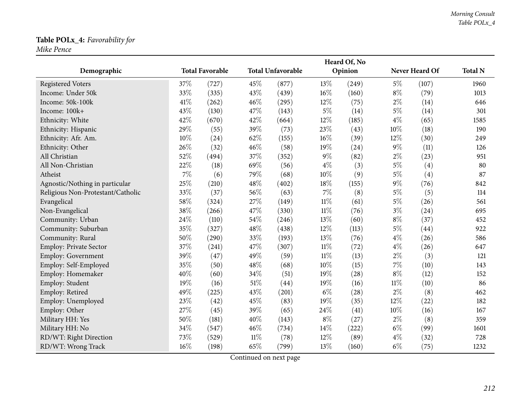## **Table POLx\_4:** *Favorability for*

*Mike Pence*

|                                   |      |                        |        |                          |        | Heard Of, No |        |                |                |
|-----------------------------------|------|------------------------|--------|--------------------------|--------|--------------|--------|----------------|----------------|
| Demographic                       |      | <b>Total Favorable</b> |        | <b>Total Unfavorable</b> |        | Opinion      |        | Never Heard Of | <b>Total N</b> |
| <b>Registered Voters</b>          | 37%  | (727)                  | 45%    | (877)                    | 13%    | (249)        | $5\%$  | (107)          | 1960           |
| Income: Under 50k                 | 33%  | (335)                  | 43\%   | (439)                    | 16%    | (160)        | $8\%$  | (79)           | 1013           |
| Income: 50k-100k                  | 41\% | (262)                  | 46%    | (295)                    | 12%    | (75)         | $2\%$  | (14)           | 646            |
| Income: 100k+                     | 43%  | (130)                  | 47%    | (143)                    | $5\%$  | (14)         | $5\%$  | (14)           | 301            |
| Ethnicity: White                  | 42%  | (670)                  | 42%    | (664)                    | 12%    | (185)        | $4\%$  | (65)           | 1585           |
| Ethnicity: Hispanic               | 29%  | (55)                   | 39%    | (73)                     | 23%    | (43)         | 10%    | (18)           | 190            |
| Ethnicity: Afr. Am.               | 10%  | (24)                   | 62%    | (155)                    | 16%    | (39)         | 12%    | (30)           | 249            |
| Ethnicity: Other                  | 26%  | (32)                   | 46%    | (58)                     | 19%    | (24)         | $9\%$  | (11)           | 126            |
| All Christian                     | 52%  | (494)                  | 37%    | (352)                    | $9\%$  | (82)         | $2\%$  | (23)           | 951            |
| All Non-Christian                 | 22%  | (18)                   | 69%    | (56)                     | $4\%$  | (3)          | $5\%$  | (4)            | 80             |
| Atheist                           | 7%   | (6)                    | 79%    | (68)                     | $10\%$ | (9)          | $5\%$  | (4)            | 87             |
| Agnostic/Nothing in particular    | 25%  | (210)                  | 48%    | (402)                    | 18%    | (155)        | $9\%$  | (76)           | 842            |
| Religious Non-Protestant/Catholic | 33%  | (37)                   | 56%    | (63)                     | $7\%$  | (8)          | $5\%$  | (5)            | 114            |
| Evangelical                       | 58%  | (324)                  | 27%    | (149)                    | $11\%$ | (61)         | $5\%$  | (26)           | 561            |
| Non-Evangelical                   | 38%  | (266)                  | 47%    | (330)                    | $11\%$ | (76)         | $3\%$  | (24)           | 695            |
| Community: Urban                  | 24%  | (110)                  | 54%    | (246)                    | 13%    | (60)         | $8\%$  | (37)           | 452            |
| Community: Suburban               | 35%  | (327)                  | 48%    | (438)                    | 12%    | (113)        | $5\%$  | (44)           | 922            |
| Community: Rural                  | 50%  | (290)                  | 33%    | (193)                    | 13%    | (76)         | $4\%$  | (26)           | 586            |
| Employ: Private Sector            | 37%  | (241)                  | 47%    | (307)                    | $11\%$ | (72)         | $4\%$  | (26)           | 647            |
| <b>Employ: Government</b>         | 39%  | (47)                   | 49%    | (59)                     | $11\%$ | (13)         | $2\%$  | (3)            | 121            |
| Employ: Self-Employed             | 35%  | (50)                   | 48%    | (68)                     | 10%    | (15)         | $7\%$  | (10)           | 143            |
| Employ: Homemaker                 | 40%  | (60)                   | 34%    | (51)                     | 19%    | (28)         | $8\%$  | (12)           | 152            |
| Employ: Student                   | 19%  | (16)                   | 51\%   | (44)                     | 19%    | (16)         | $11\%$ | (10)           | 86             |
| Employ: Retired                   | 49%  | (225)                  | 43%    | (201)                    | $6\%$  | (28)         | $2\%$  | (8)            | 462            |
| Employ: Unemployed                | 23%  | (42)                   | 45%    | (83)                     | 19%    | (35)         | 12%    | (22)           | 182            |
| Employ: Other                     | 27%  | (45)                   | 39%    | (65)                     | 24\%   | (41)         | 10%    | (16)           | 167            |
| Military HH: Yes                  | 50%  | (181)                  | 40%    | (143)                    | $8\%$  | (27)         | $2\%$  | (8)            | 359            |
| Military HH: No                   | 34%  | (547)                  | 46%    | (734)                    | 14%    | (222)        | $6\%$  | (99)           | 1601           |
| RD/WT: Right Direction            | 73%  | (529)                  | $11\%$ | (78)                     | $12\%$ | (89)         | $4\%$  | (32)           | 728            |
| RD/WT: Wrong Track                | 16%  | (198)                  | 65%    | (799)                    | 13%    | (160)        | $6\%$  | (75)           | 1232           |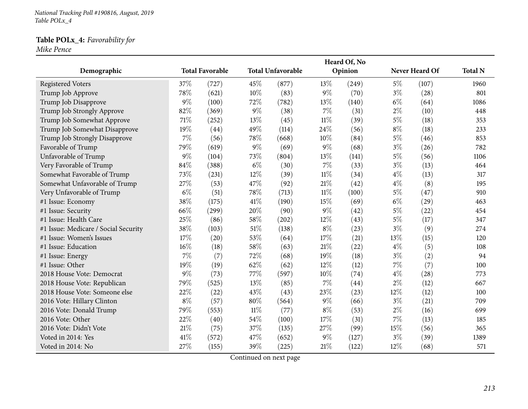*National Tracking Poll #190816, August, <sup>2019</sup> Table POLx\_4*

# **Table POLx\_4:** *Favorability for*

*Mike Pence*

|                                      |        |                        |        |                          |        | Heard Of, No |        |                |                |
|--------------------------------------|--------|------------------------|--------|--------------------------|--------|--------------|--------|----------------|----------------|
| Demographic                          |        | <b>Total Favorable</b> |        | <b>Total Unfavorable</b> |        | Opinion      |        | Never Heard Of | <b>Total N</b> |
| <b>Registered Voters</b>             | 37%    | (727)                  | 45%    | (877)                    | 13%    | (249)        | $5\%$  | (107)          | 1960           |
| Trump Job Approve                    | 78%    | (621)                  | 10%    | (83)                     | $9\%$  | (70)         | $3\%$  | (28)           | 801            |
| Trump Job Disapprove                 | $9\%$  | (100)                  | 72%    | (782)                    | 13%    | (140)        | $6\%$  | (64)           | 1086           |
| Trump Job Strongly Approve           | 82%    | (369)                  | 9%     | (38)                     | 7%     | (31)         | $2\%$  | (10)           | 448            |
| Trump Job Somewhat Approve           | 71%    | (252)                  | 13%    | (45)                     | $11\%$ | (39)         | $5\%$  | (18)           | 353            |
| Trump Job Somewhat Disapprove        | 19%    | (44)                   | 49%    | (114)                    | 24%    | (56)         | $8\%$  | (18)           | 233            |
| Trump Job Strongly Disapprove        | 7%     | (56)                   | 78%    | (668)                    | 10%    | (84)         | $5\%$  | (46)           | 853            |
| Favorable of Trump                   | 79%    | (619)                  | 9%     | (69)                     | $9\%$  | (68)         | $3\%$  | (26)           | 782            |
| Unfavorable of Trump                 | $9\%$  | (104)                  | 73%    | (804)                    | 13%    | (141)        | $5\%$  | (56)           | 1106           |
| Very Favorable of Trump              | 84%    | (388)                  | $6\%$  | (30)                     | 7%     | (33)         | $3\%$  | (13)           | 464            |
| Somewhat Favorable of Trump          | 73%    | (231)                  | 12%    | (39)                     | $11\%$ | (34)         | $4\%$  | (13)           | 317            |
| Somewhat Unfavorable of Trump        | 27%    | (53)                   | 47%    | (92)                     | $21\%$ | (42)         | $4\%$  | (8)            | 195            |
| Very Unfavorable of Trump            | $6\%$  | (51)                   | 78%    | (713)                    | 11%    | (100)        | $5\%$  | (47)           | 910            |
| #1 Issue: Economy                    | 38%    | (175)                  | 41\%   | (190)                    | 15%    | (69)         | $6\%$  | (29)           | 463            |
| #1 Issue: Security                   | 66%    | (299)                  | 20%    | (90)                     | $9\%$  | (42)         | $5\%$  | (22)           | 454            |
| #1 Issue: Health Care                | 25%    | (86)                   | 58%    | (202)                    | 12%    | (43)         | $5\%$  | (17)           | 347            |
| #1 Issue: Medicare / Social Security | 38%    | (103)                  | 51%    | (138)                    | $8\%$  | (23)         | $3\%$  | (9)            | 274            |
| #1 Issue: Women's Issues             | 17%    | (20)                   | 53%    | (64)                     | 17%    | (21)         | 13%    | (15)           | 120            |
| #1 Issue: Education                  | $16\%$ | (18)                   | 58%    | (63)                     | 21%    | (22)         | $4\%$  | (5)            | 108            |
| #1 Issue: Energy                     | 7%     | (7)                    | 72%    | (68)                     | 19%    | (18)         | $3\%$  | (2)            | 94             |
| #1 Issue: Other                      | 19%    | (19)                   | 62%    | (62)                     | 12%    | (12)         | 7%     | (7)            | 100            |
| 2018 House Vote: Democrat            | $9\%$  | (73)                   | 77\%   | (597)                    | 10%    | (74)         | $4\%$  | (28)           | 773            |
| 2018 House Vote: Republican          | 79%    | (525)                  | 13%    | (85)                     | 7%     | (44)         | $2\%$  | (12)           | 667            |
| 2018 House Vote: Someone else        | 22%    | (22)                   | 43%    | (43)                     | 23%    | (23)         | $12\%$ | (12)           | 100            |
| 2016 Vote: Hillary Clinton           | $8\%$  | (57)                   | 80%    | (564)                    | $9\%$  | (66)         | $3\%$  | (21)           | 709            |
| 2016 Vote: Donald Trump              | 79%    | (553)                  | $11\%$ | (77)                     | $8\%$  | (53)         | $2\%$  | (16)           | 699            |
| 2016 Vote: Other                     | 22%    | (40)                   | 54%    | (100)                    | 17%    | (31)         | 7%     | (13)           | 185            |
| 2016 Vote: Didn't Vote               | 21%    | (75)                   | 37%    | (135)                    | 27%    | (99)         | 15%    | (56)           | 365            |
| Voted in 2014: Yes                   | 41%    | (572)                  | 47%    | (652)                    | $9\%$  | (127)        | $3\%$  | (39)           | 1389           |
| Voted in 2014: No                    | 27%    | (155)                  | 39%    | (225)                    | 21%    | (122)        | 12%    | (68)           | 571            |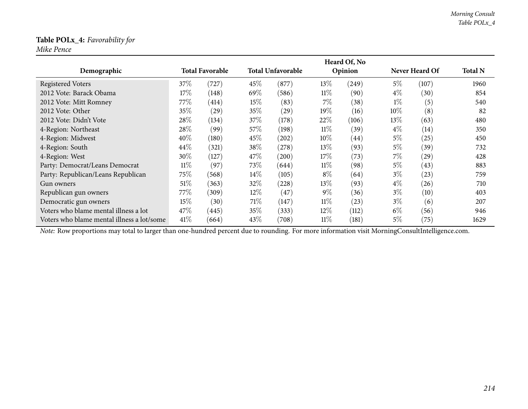### **Table POLx\_4:** *Favorability for*

*Mike Pence*

|                                            |        |                        |        |                          |        | Heard Of, No       |        |                |                |
|--------------------------------------------|--------|------------------------|--------|--------------------------|--------|--------------------|--------|----------------|----------------|
| Demographic                                |        | <b>Total Favorable</b> |        | <b>Total Unfavorable</b> |        | Opinion            |        | Never Heard Of | <b>Total N</b> |
| <b>Registered Voters</b>                   | 37%    | (727)                  | 45\%   | (877)                    | $13\%$ | (249)              | $5\%$  | (107)          | 1960           |
| 2012 Vote: Barack Obama                    | 17%    | (148)                  | 69\%   | (586)                    | $11\%$ | (90)               | $4\%$  | (30)           | 854            |
| 2012 Vote: Mitt Romney                     | 77%    | (414)                  | $15\%$ | (83)                     | $7\%$  | (38)               | $1\%$  | (5)            | 540            |
| 2012 Vote: Other                           | 35%    | $^{(29)}$              | 35%    | (29)                     | 19%    | (16)               | $10\%$ | (8)            | 82             |
| 2012 Vote: Didn't Vote                     | 28\%   | (134)                  | 37\%   | (178)                    | 22%    | (106)              | $13\%$ | (63)           | 480            |
| 4-Region: Northeast                        | 28\%   | (99)                   | 57\%   | (198)                    | $11\%$ | (39)               | $4\%$  | (14)           | 350            |
| 4-Region: Midwest                          | 40%    | (180)                  | 45\%   | (202)                    | $10\%$ | $\left( 44\right)$ | $5\%$  | (25)           | 450            |
| 4-Region: South                            | 44\%   | (321)                  | 38\%   | (278)                    | 13\%   | (93)               | $5\%$  | (39)           | 732            |
| 4-Region: West                             | 30%    | (127)                  | 47%    | (200)                    | 17%    | (73)               | 7%     | (29)           | 428            |
| Party: Democrat/Leans Democrat             | $11\%$ | (97)                   | 73\%   | (644)                    | $11\%$ | (98)               | $5\%$  | (43)           | 883            |
| Party: Republican/Leans Republican         | 75\%   | (568)                  | $14\%$ | (105)                    | $8\%$  | (64)               | $3\%$  | (23)           | 759            |
| Gun owners                                 | $51\%$ | (363)                  | 32\%   | (228)                    | 13\%   | (93)               | $4\%$  | (26)           | 710            |
| Republican gun owners                      | 77%    | (309)                  | $12\%$ | (47)                     | $9\%$  | (36)               | $3\%$  | (10)           | 403            |
| Democratic gun owners                      | 15%    | (30)                   | 71\%   | (147)                    | $11\%$ | (23)               | $3\%$  | (6)            | 207            |
| Voters who blame mental illness a lot      | 47%    | (445)                  | 35%    | (333)                    | $12\%$ | (112)              | $6\%$  | (56)           | 946            |
| Voters who blame mental illness a lot/some | 41%    | (664)                  | 43%    | (708)                    | 11%    | (181)              | $5\%$  | (75)           | 1629           |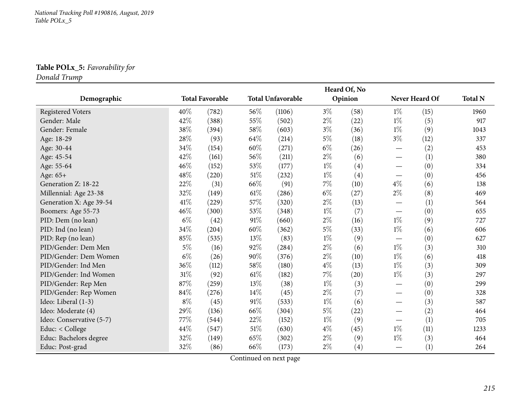### **Table POLx\_5:** *Favorability for*

*Donald Trump*

|                          |        |                        |        |                          |       | Heard Of, No |                                 |                |                |
|--------------------------|--------|------------------------|--------|--------------------------|-------|--------------|---------------------------------|----------------|----------------|
| Demographic              |        | <b>Total Favorable</b> |        | <b>Total Unfavorable</b> |       | Opinion      |                                 | Never Heard Of | <b>Total N</b> |
| <b>Registered Voters</b> | 40%    | (782)                  | 56%    | (1106)                   | $3\%$ | (58)         | $1\%$                           | (15)           | 1960           |
| Gender: Male             | 42%    | (388)                  | 55%    | (502)                    | $2\%$ | (22)         | $1\%$                           | (5)            | 917            |
| Gender: Female           | 38%    | (394)                  | 58%    | (603)                    | $3\%$ | (36)         | $1\%$                           | (9)            | 1043           |
| Age: 18-29               | 28\%   | (93)                   | 64\%   | (214)                    | $5\%$ | (18)         | $3\%$                           | (12)           | 337            |
| Age: 30-44               | 34%    | (154)                  | 60%    | (271)                    | $6\%$ | (26)         | $\overbrace{\phantom{aaaaa}}$   | (2)            | 453            |
| Age: 45-54               | 42%    | (161)                  | 56%    | (211)                    | $2\%$ | (6)          |                                 | (1)            | 380            |
| Age: 55-64               | 46%    | (152)                  | 53%    | (177)                    | $1\%$ | (4)          |                                 | (0)            | 334            |
| Age: 65+                 | 48\%   | (220)                  | $51\%$ | (232)                    | $1\%$ | (4)          |                                 | (0)            | 456            |
| Generation Z: 18-22      | $22\%$ | (31)                   | 66%    | (91)                     | $7\%$ | (10)         | $4\%$                           | (6)            | 138            |
| Millennial: Age 23-38    | 32%    | (149)                  | 61%    | (286)                    | $6\%$ | (27)         | $2\%$                           | (8)            | 469            |
| Generation X: Age 39-54  | 41\%   | (229)                  | 57%    | (320)                    | $2\%$ | (13)         |                                 | (1)            | 564            |
| Boomers: Age 55-73       | 46%    | (300)                  | 53%    | (348)                    | $1\%$ | (7)          |                                 | (0)            | 655            |
| PID: Dem (no lean)       | $6\%$  | (42)                   | 91%    | (660)                    | $2\%$ | (16)         | $1\%$                           | (9)            | 727            |
| PID: Ind (no lean)       | 34\%   | (204)                  | 60%    | (362)                    | $5\%$ | (33)         | $1\%$                           | (6)            | 606            |
| PID: Rep (no lean)       | 85%    | (535)                  | 13%    | (83)                     | $1\%$ | (9)          | $\hspace{0.1mm}-\hspace{0.1mm}$ | (0)            | 627            |
| PID/Gender: Dem Men      | $5\%$  | (16)                   | 92%    | (284)                    | $2\%$ | (6)          | $1\%$                           | (3)            | 310            |
| PID/Gender: Dem Women    | $6\%$  | (26)                   | 90%    | (376)                    | $2\%$ | (10)         | $1\%$                           | (6)            | 418            |
| PID/Gender: Ind Men      | $36\%$ | (112)                  | 58%    | (180)                    | $4\%$ | (13)         | $1\%$                           | (3)            | 309            |
| PID/Gender: Ind Women    | $31\%$ | (92)                   | $61\%$ | (182)                    | $7\%$ | (20)         | $1\%$                           | (3)            | 297            |
| PID/Gender: Rep Men      | 87%    | (259)                  | 13%    | (38)                     | $1\%$ | (3)          |                                 | (0)            | 299            |
| PID/Gender: Rep Women    | 84%    | (276)                  | 14%    | (45)                     | $2\%$ | (7)          | $\overline{\phantom{m}}$        | (0)            | 328            |
| Ideo: Liberal (1-3)      | $8\%$  | (45)                   | 91%    | (533)                    | $1\%$ | (6)          |                                 | (3)            | 587            |
| Ideo: Moderate (4)       | 29%    | (136)                  | 66%    | (304)                    | $5\%$ | (22)         | $\hspace{0.1mm}-\hspace{0.1mm}$ | (2)            | 464            |
| Ideo: Conservative (5-7) | 77%    | (544)                  | 22%    | (152)                    | $1\%$ | (9)          |                                 | (1)            | 705            |
| Educ: < College          | 44%    | (547)                  | $51\%$ | (630)                    | $4\%$ | (45)         | $1\%$                           | (11)           | 1233           |
| Educ: Bachelors degree   | 32%    | (149)                  | 65%    | (302)                    | $2\%$ | (9)          | $1\%$                           | (3)            | 464            |
| Educ: Post-grad          | 32%    | (86)                   | 66\%   | (173)                    | $2\%$ | (4)          |                                 | (1)            | 264            |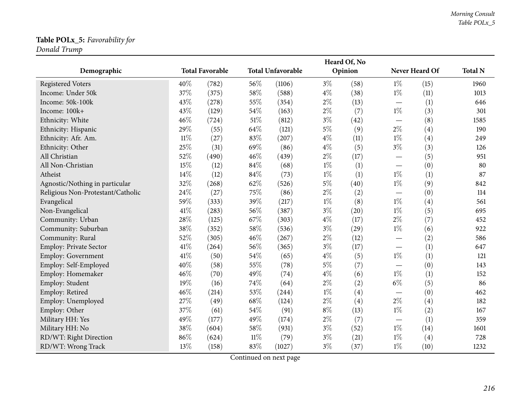## **Table POLx\_5:** *Favorability for*

*Donald Trump*

|                                   |                        |       | Heard Of, No             |        |         |      |                                   |      |                |  |
|-----------------------------------|------------------------|-------|--------------------------|--------|---------|------|-----------------------------------|------|----------------|--|
| Demographic                       | <b>Total Favorable</b> |       | <b>Total Unfavorable</b> |        | Opinion |      | Never Heard Of                    |      | <b>Total N</b> |  |
| <b>Registered Voters</b>          | 40%                    | (782) | 56%                      | (1106) | $3\%$   | (58) | $1\%$                             | (15) | 1960           |  |
| Income: Under 50k                 | 37%                    | (375) | 58%                      | (588)  | $4\%$   | (38) | $1\%$                             | (11) | 1013           |  |
| Income: 50k-100k                  | 43%                    | (278) | 55%                      | (354)  | $2\%$   | (13) | $\overline{\phantom{m}}$          | (1)  | 646            |  |
| Income: 100k+                     | 43%                    | (129) | 54%                      | (163)  | $2\%$   | (7)  | $1\%$                             | (3)  | 301            |  |
| Ethnicity: White                  | 46%                    | (724) | 51\%                     | (812)  | $3\%$   | (42) |                                   | (8)  | 1585           |  |
| Ethnicity: Hispanic               | 29%                    | (55)  | 64%                      | (121)  | $5\%$   | (9)  | $2\%$                             | (4)  | 190            |  |
| Ethnicity: Afr. Am.               | $11\%$                 | (27)  | 83%                      | (207)  | $4\%$   | (11) | $1\%$                             | (4)  | 249            |  |
| Ethnicity: Other                  | 25%                    | (31)  | 69%                      | (86)   | $4\%$   | (5)  | $3\%$                             | (3)  | 126            |  |
| All Christian                     | 52%                    | (490) | 46%                      | (439)  | $2\%$   | (17) |                                   | (5)  | 951            |  |
| All Non-Christian                 | 15%                    | (12)  | 84%                      | (68)   | $1\%$   | (1)  | $\overbrace{\phantom{aaaaa}}$     | (0)  | 80             |  |
| Atheist                           | 14%                    | (12)  | 84%                      | (73)   | $1\%$   | (1)  | $1\%$                             | (1)  | 87             |  |
| Agnostic/Nothing in particular    | 32%                    | (268) | 62%                      | (526)  | $5\%$   | (40) | $1\%$                             | (9)  | 842            |  |
| Religious Non-Protestant/Catholic | 24%                    | (27)  | 75%                      | (86)   | $2\%$   | (2)  |                                   | (0)  | 114            |  |
| Evangelical                       | 59%                    | (333) | 39%                      | (217)  | $1\%$   | (8)  | $1\%$                             | (4)  | 561            |  |
| Non-Evangelical                   | 41%                    | (283) | 56%                      | (387)  | $3\%$   | (20) | $1\%$                             | (5)  | 695            |  |
| Community: Urban                  | 28%                    | (125) | 67\%                     | (303)  | $4\%$   | (17) | $2\%$                             | (7)  | 452            |  |
| Community: Suburban               | 38%                    | (352) | 58%                      | (536)  | $3\%$   | (29) | $1\%$                             | (6)  | 922            |  |
| Community: Rural                  | 52%                    | (305) | 46%                      | (267)  | $2\%$   | (12) |                                   | (2)  | 586            |  |
| <b>Employ: Private Sector</b>     | 41\%                   | (264) | 56%                      | (365)  | $3\%$   | (17) |                                   | (1)  | 647            |  |
| Employ: Government                | 41\%                   | (50)  | 54%                      | (65)   | $4\%$   | (5)  | $1\%$                             | (1)  | 121            |  |
| Employ: Self-Employed             | 40%                    | (58)  | 55%                      | (78)   | $5\%$   | (7)  | $\overbrace{\phantom{123221111}}$ | (0)  | 143            |  |
| Employ: Homemaker                 | 46%                    | (70)  | 49%                      | (74)   | $4\%$   | (6)  | $1\%$                             | (1)  | 152            |  |
| Employ: Student                   | 19%                    | (16)  | 74%                      | (64)   | $2\%$   | (2)  | $6\%$                             | (5)  | 86             |  |
| Employ: Retired                   | 46%                    | (214) | 53%                      | (244)  | $1\%$   | (4)  |                                   | (0)  | 462            |  |
| Employ: Unemployed                | 27%                    | (49)  | $68\%$                   | (124)  | $2\%$   | (4)  | $2\%$                             | (4)  | 182            |  |
| Employ: Other                     | 37%                    | (61)  | 54%                      | (91)   | $8\%$   | (13) | $1\%$                             | (2)  | 167            |  |
| Military HH: Yes                  | 49%                    | (177) | 49%                      | (174)  | $2\%$   | (7)  | $\hspace{0.1mm}-\hspace{0.1mm}$   | (1)  | 359            |  |
| Military HH: No                   | 38%                    | (604) | 58%                      | (931)  | $3\%$   | (52) | $1\%$                             | (14) | 1601           |  |
| RD/WT: Right Direction            | 86%                    | (624) | $11\%$                   | (79)   | $3\%$   | (21) | $1\%$                             | (4)  | 728            |  |
| RD/WT: Wrong Track                | 13%                    | (158) | 83%                      | (1027) | $3\%$   | (37) | $1\%$                             | (10) | 1232           |  |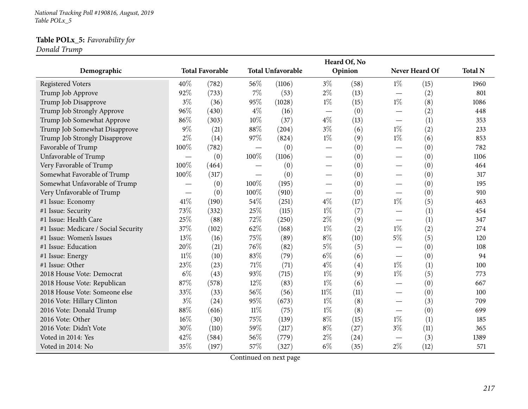*National Tracking Poll #190816, August, <sup>2019</sup> Table POLx\_5*

#### **Table POLx\_5:** *Favorability for*

*Donald Trump*

| Demographic                          |        | <b>Total Favorable</b> |                          | <b>Total Unfavorable</b> |                                   | Heard Of, No<br>Opinion |                          | Never Heard Of | <b>Total N</b> |
|--------------------------------------|--------|------------------------|--------------------------|--------------------------|-----------------------------------|-------------------------|--------------------------|----------------|----------------|
| <b>Registered Voters</b>             | 40%    | (782)                  | 56\%                     | (1106)                   | $3\%$                             | (58)                    | $1\%$                    | (15)           | 1960           |
| Trump Job Approve                    | 92%    | (733)                  | $7\%$                    | (53)                     | $2\%$                             | (13)                    |                          | (2)            | 801            |
| Trump Job Disapprove                 | $3\%$  | (36)                   | 95%                      | (1028)                   | $1\%$                             | (15)                    | $1\%$                    | (8)            | 1086           |
| Trump Job Strongly Approve           | 96%    | (430)                  | $4\%$                    | (16)                     |                                   | (0)                     |                          | (2)            | 448            |
| Trump Job Somewhat Approve           | 86%    | (303)                  | $10\%$                   | (37)                     | $4\%$                             | (13)                    |                          | (1)            | 353            |
| Trump Job Somewhat Disapprove        | $9\%$  | (21)                   | 88%                      | (204)                    | $3\%$                             | (6)                     | $1\%$                    | (2)            | 233            |
| Trump Job Strongly Disapprove        | $2\%$  | (14)                   | 97%                      | (824)                    | $1\%$                             | (9)                     | $1\%$                    | (6)            | 853            |
| Favorable of Trump                   | 100%   | (782)                  |                          | (0)                      | $\overbrace{\phantom{aaaaa}}$     | (0)                     | $\overline{\phantom{0}}$ | (0)            | 782            |
| Unfavorable of Trump                 |        | (0)                    | 100%                     | (1106)                   | $\overbrace{\phantom{aaaaa}}$     | (0)                     |                          | (0)            | 1106           |
| Very Favorable of Trump              | 100%   | (464)                  | $\qquad \qquad -$        | (0)                      |                                   | (0)                     |                          | (0)            | 464            |
| Somewhat Favorable of Trump          | 100%   | (317)                  | $\overline{\phantom{0}}$ | (0)                      |                                   | (0)                     | $\overline{\phantom{0}}$ | (0)            | 317            |
| Somewhat Unfavorable of Trump        |        | (0)                    | 100%                     | (195)                    | $\overline{\phantom{0}}$          | (0)                     |                          | (0)            | 195            |
| Very Unfavorable of Trump            |        | (0)                    | 100%                     | (910)                    | $\overbrace{\phantom{123221111}}$ | (0)                     |                          | (0)            | 910            |
| #1 Issue: Economy                    | 41\%   | (190)                  | 54%                      | (251)                    | $4\%$                             | (17)                    | $1\%$                    | (5)            | 463            |
| #1 Issue: Security                   | 73%    | (332)                  | 25%                      | (115)                    | $1\%$                             | (7)                     |                          | (1)            | 454            |
| #1 Issue: Health Care                | 25%    | (88)                   | 72%                      | (250)                    | $2\%$                             | (9)                     |                          | (1)            | 347            |
| #1 Issue: Medicare / Social Security | 37%    | (102)                  | 62%                      | (168)                    | $1\%$                             | (2)                     | $1\%$                    | (2)            | 274            |
| #1 Issue: Women's Issues             | 13%    | (16)                   | 75%                      | (89)                     | $8\%$                             | (10)                    | $5\%$                    | (5)            | 120            |
| #1 Issue: Education                  | 20%    | (21)                   | 76%                      | (82)                     | $5\%$                             | (5)                     |                          | (0)            | 108            |
| #1 Issue: Energy                     | $11\%$ | (10)                   | 83%                      | (79)                     | $6\%$                             | (6)                     |                          | (0)            | 94             |
| #1 Issue: Other                      | 23%    | (23)                   | $71\%$                   | (71)                     | $4\%$                             | (4)                     | $1\%$                    | (1)            | 100            |
| 2018 House Vote: Democrat            | $6\%$  | (43)                   | 93%                      | (715)                    | $1\%$                             | (9)                     | $1\%$                    | (5)            | 773            |
| 2018 House Vote: Republican          | 87%    | (578)                  | 12%                      | (83)                     | $1\%$                             | (6)                     |                          | (0)            | 667            |
| 2018 House Vote: Someone else        | 33%    | (33)                   | 56%                      | (56)                     | $11\%$                            | (11)                    |                          | (0)            | 100            |
| 2016 Vote: Hillary Clinton           | $3\%$  | (24)                   | 95%                      | (673)                    | $1\%$                             | (8)                     |                          | (3)            | 709            |
| 2016 Vote: Donald Trump              | 88%    | (616)                  | $11\%$                   | (75)                     | $1\%$                             | (8)                     |                          | (0)            | 699            |
| 2016 Vote: Other                     | 16%    | (30)                   | 75%                      | (139)                    | $8\%$                             | (15)                    | $1\%$                    | (1)            | 185            |
| 2016 Vote: Didn't Vote               | 30%    | (110)                  | 59%                      | (217)                    | $8\%$                             | (27)                    | $3\%$                    | (11)           | 365            |
| Voted in 2014: Yes                   | 42%    | (584)                  | 56%                      | (779)                    | $2\%$                             | (24)                    |                          | (3)            | 1389           |
| Voted in 2014: No                    | 35%    | (197)                  | 57\%                     | (327)                    | $6\%$                             | (35)                    | $2\%$                    | (12)           | 571            |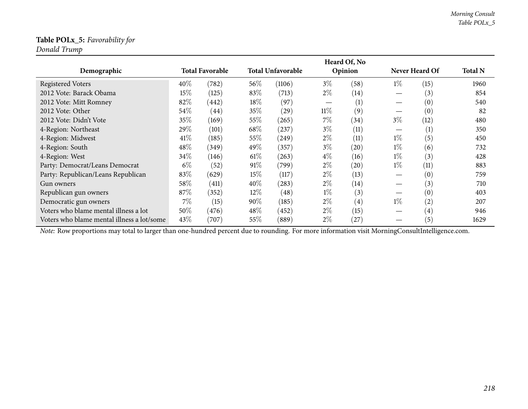#### **Table POLx\_5:** *Favorability for*

*Donald Trump*

|                                                                                                                                                |        |                        |        |                          |        | Heard Of, No      |       |                   |                |
|------------------------------------------------------------------------------------------------------------------------------------------------|--------|------------------------|--------|--------------------------|--------|-------------------|-------|-------------------|----------------|
| Demographic                                                                                                                                    |        | <b>Total Favorable</b> |        | <b>Total Unfavorable</b> |        | Opinion           |       | Never Heard Of    | <b>Total N</b> |
| <b>Registered Voters</b>                                                                                                                       | $40\%$ | (782)                  | $56\%$ | (1106)                   | $3\%$  | (58)              | $1\%$ | (15)              | 1960           |
| 2012 Vote: Barack Obama                                                                                                                        | 15%    | (125)                  | 83\%   | (713)                    | $2\%$  | (14)              |       | (3)               | 854            |
| 2012 Vote: Mitt Romney                                                                                                                         | 82%    | (442)                  | 18\%   | (97)                     |        | (1)               |       | (0)               | 540            |
| 2012 Vote: Other                                                                                                                               | 54%    | (44)                   | 35%    | (29)                     | $11\%$ | (9)               |       | (0)               | 82             |
| 2012 Vote: Didn't Vote                                                                                                                         | 35%    | (169)                  | 55%    | (265)                    | $7\%$  | (34)              | $3\%$ | (12)              | 480            |
| 4-Region: Northeast                                                                                                                            | 29\%   | (101)                  | 68\%   | (237)                    | $3\%$  | (11)              |       | (1)               | 350            |
| 4-Region: Midwest                                                                                                                              | 41\%   | (185)                  | 55%    | (249)                    | $2\%$  | (11)              | $1\%$ | (5)               | 450            |
| 4-Region: South                                                                                                                                | 48\%   | (349)                  | 49\%   | (357)                    | $3\%$  | (20)              | $1\%$ | (6)               | 732            |
| 4-Region: West                                                                                                                                 | 34\%   | (146)                  | 61%    | (263)                    | $4\%$  | (16)              | $1\%$ | (3)               | 428            |
| Party: Democrat/Leans Democrat                                                                                                                 | $6\%$  | (52)                   | 91%    | (799)                    | $2\%$  | (20)              | $1\%$ | (11)              | 883            |
| Party: Republican/Leans Republican                                                                                                             | 83%    | (629)                  | 15%    | (117)                    | $2\%$  | (13)              |       | (0)               | 759            |
| Gun owners                                                                                                                                     | 58%    | (411)                  | $40\%$ | (283)                    | $2\%$  | $\left(14\right)$ |       | (3)               | 710            |
| Republican gun owners                                                                                                                          | 87%    | (352)                  | $12\%$ | (48)                     | $1\%$  | (3)               |       | (0)               | 403            |
| Democratic gun owners                                                                                                                          | 7%     | (15)                   | $90\%$ | (185)                    | $2\%$  | $\left( 4\right)$ | $1\%$ | $\left( 2\right)$ | 207            |
| Voters who blame mental illness a lot                                                                                                          | 50%    | (476)                  | $48\%$ | (452)                    | $2\%$  | (15)              |       | $\left( 4\right)$ | 946            |
| Voters who blame mental illness a lot/some                                                                                                     | 43\%   | (707)                  | 55\%   | (889)                    | $2\%$  | (27)              |       | (5)               | 1629           |
| Note: Row proportions may total to larger than one-hundred percent due to rounding. For more information visit MorningConsultIntelligence.com. |        |                        |        |                          |        |                   |       |                   |                |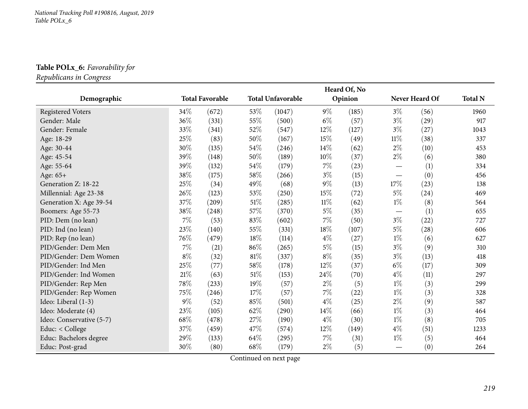## **Table POLx\_6:** *Favorability for*

*Republicans in Congress*

|                          |        |                        |        |                          |        | Heard Of, No |                          |                |                |
|--------------------------|--------|------------------------|--------|--------------------------|--------|--------------|--------------------------|----------------|----------------|
| Demographic              |        | <b>Total Favorable</b> |        | <b>Total Unfavorable</b> |        | Opinion      |                          | Never Heard Of | <b>Total N</b> |
| <b>Registered Voters</b> | 34%    | (672)                  | 53%    | (1047)                   | $9\%$  | (185)        | $3\%$                    | (56)           | 1960           |
| Gender: Male             | 36%    | (331)                  | 55%    | (500)                    | $6\%$  | (57)         | $3\%$                    | (29)           | 917            |
| Gender: Female           | 33%    | (341)                  | 52%    | (547)                    | 12%    | (127)        | $3\%$                    | (27)           | 1043           |
| Age: 18-29               | 25%    | (83)                   | 50%    | (167)                    | 15%    | (49)         | $11\%$                   | (38)           | 337            |
| Age: 30-44               | 30%    | (135)                  | 54\%   | (246)                    | 14\%   | (62)         | $2\%$                    | (10)           | 453            |
| Age: 45-54               | 39%    | (148)                  | 50%    | (189)                    | 10%    | (37)         | $2\%$                    | (6)            | 380            |
| Age: 55-64               | 39%    | (132)                  | 54%    | (179)                    | $7\%$  | (23)         | $\overline{\phantom{0}}$ | (1)            | 334            |
| Age: 65+                 | 38%    | (175)                  | 58\%   | (266)                    | $3\%$  | (15)         | $\overline{\phantom{0}}$ | (0)            | 456            |
| Generation Z: 18-22      | 25%    | (34)                   | 49%    | (68)                     | $9\%$  | (13)         | 17%                      | (23)           | 138            |
| Millennial: Age 23-38    | 26%    | (123)                  | 53%    | (250)                    | 15%    | (72)         | $5\%$                    | (24)           | 469            |
| Generation X: Age 39-54  | 37%    | (209)                  | 51\%   | (285)                    | $11\%$ | (62)         | $1\%$                    | (8)            | 564            |
| Boomers: Age 55-73       | 38%    | (248)                  | 57%    | (370)                    | $5\%$  | (35)         |                          | (1)            | 655            |
| PID: Dem (no lean)       | $7\%$  | (53)                   | 83%    | (602)                    | $7\%$  | (50)         | $3\%$                    | (22)           | 727            |
| PID: Ind (no lean)       | 23%    | (140)                  | 55%    | (331)                    | 18%    | (107)        | $5\%$                    | (28)           | 606            |
| PID: Rep (no lean)       | 76%    | (479)                  | 18%    | (114)                    | $4\%$  | (27)         | $1\%$                    | (6)            | 627            |
| PID/Gender: Dem Men      | $7\%$  | (21)                   | 86%    | (265)                    | $5\%$  | (15)         | $3\%$                    | (9)            | 310            |
| PID/Gender: Dem Women    | $8\%$  | (32)                   | 81\%   | (337)                    | $8\%$  | (35)         | $3\%$                    | (13)           | 418            |
| PID/Gender: Ind Men      | 25%    | (77)                   | 58%    | (178)                    | 12%    | (37)         | $6\%$                    | (17)           | 309            |
| PID/Gender: Ind Women    | $21\%$ | (63)                   | $51\%$ | (153)                    | 24\%   | (70)         | $4\%$                    | (11)           | 297            |
| PID/Gender: Rep Men      | 78\%   | (233)                  | 19%    | (57)                     | $2\%$  | (5)          | $1\%$                    | (3)            | 299            |
| PID/Gender: Rep Women    | 75%    | (246)                  | 17%    | (57)                     | $7\%$  | (22)         | $1\%$                    | (3)            | 328            |
| Ideo: Liberal (1-3)      | $9\%$  | (52)                   | 85%    | (501)                    | $4\%$  | (25)         | $2\%$                    | (9)            | 587            |
| Ideo: Moderate (4)       | 23%    | (105)                  | 62%    | (290)                    | 14%    | (66)         | $1\%$                    | (3)            | 464            |
| Ideo: Conservative (5-7) | 68%    | (478)                  | 27%    | (190)                    | $4\%$  | (30)         | $1\%$                    | (8)            | 705            |
| Educ: < College          | 37%    | (459)                  | 47%    | (574)                    | 12%    | (149)        | $4\%$                    | (51)           | 1233           |
| Educ: Bachelors degree   | 29%    | (133)                  | 64\%   | (295)                    | $7\%$  | (31)         | $1\%$                    | (5)            | 464            |
| Educ: Post-grad          | 30%    | (80)                   | 68\%   | (179)                    | $2\%$  | (5)          |                          | (0)            | 264            |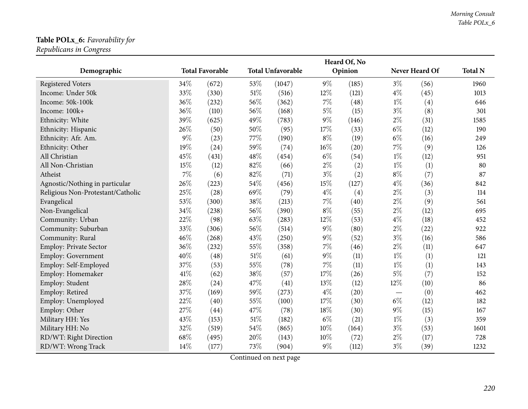#### **Table POLx\_6:** *Favorability for*

*Republicans in Congress*

|                                   |       |                        |        |                          |        | Heard Of, No |                          |                |                |
|-----------------------------------|-------|------------------------|--------|--------------------------|--------|--------------|--------------------------|----------------|----------------|
| Demographic                       |       | <b>Total Favorable</b> |        | <b>Total Unfavorable</b> |        | Opinion      |                          | Never Heard Of | <b>Total N</b> |
| <b>Registered Voters</b>          | 34%   | (672)                  | 53%    | (1047)                   | $9\%$  | (185)        | $3\%$                    | (56)           | 1960           |
| Income: Under 50k                 | 33%   | (330)                  | $51\%$ | (516)                    | 12%    | (121)        | $4\%$                    | (45)           | 1013           |
| Income: 50k-100k                  | 36%   | (232)                  | 56%    | (362)                    | $7\%$  | (48)         | $1\%$                    | (4)            | 646            |
| Income: 100k+                     | 36%   | (110)                  | 56%    | (168)                    | $5\%$  | (15)         | $3\%$                    | (8)            | 301            |
| Ethnicity: White                  | 39%   | (625)                  | 49%    | (783)                    | $9\%$  | (146)        | $2\%$                    | (31)           | 1585           |
| Ethnicity: Hispanic               | 26%   | (50)                   | 50%    | (95)                     | 17%    | (33)         | $6\%$                    | (12)           | 190            |
| Ethnicity: Afr. Am.               | $9\%$ | (23)                   | 77%    | (190)                    | $8\%$  | (19)         | $6\%$                    | (16)           | 249            |
| Ethnicity: Other                  | 19%   | (24)                   | 59%    | (74)                     | $16\%$ | (20)         | $7\%$                    | (9)            | 126            |
| All Christian                     | 45%   | (431)                  | 48%    | (454)                    | $6\%$  | (54)         | $1\%$                    | (12)           | 951            |
| All Non-Christian                 | 15%   | (12)                   | 82%    | (66)                     | $2\%$  | (2)          | $1\%$                    | (1)            | 80             |
| Atheist                           | $7\%$ | (6)                    | 82%    | (71)                     | $3\%$  | (2)          | $8\%$                    | (7)            | 87             |
| Agnostic/Nothing in particular    | 26%   | (223)                  | 54%    | (456)                    | 15%    | (127)        | $4\%$                    | (36)           | 842            |
| Religious Non-Protestant/Catholic | 25%   | (28)                   | 69%    | (79)                     | $4\%$  | (4)          | $2\%$                    | (3)            | 114            |
| Evangelical                       | 53%   | (300)                  | 38%    | (213)                    | $7\%$  | (40)         | $2\%$                    | (9)            | 561            |
| Non-Evangelical                   | 34%   | (238)                  | 56%    | (390)                    | $8\%$  | (55)         | $2\%$                    | (12)           | 695            |
| Community: Urban                  | 22%   | (98)                   | 63%    | (283)                    | 12%    | (53)         | $4\%$                    | (18)           | 452            |
| Community: Suburban               | 33%   | (306)                  | 56%    | (514)                    | $9\%$  | (80)         | $2\%$                    | (22)           | 922            |
| Community: Rural                  | 46%   | (268)                  | 43%    | (250)                    | $9\%$  | (52)         | $3\%$                    | (16)           | 586            |
| <b>Employ: Private Sector</b>     | 36%   | (232)                  | 55%    | (358)                    | $7\%$  | (46)         | $2\%$                    | (11)           | 647            |
| <b>Employ: Government</b>         | 40%   | (48)                   | $51\%$ | (61)                     | $9\%$  | (11)         | $1\%$                    | (1)            | 121            |
| Employ: Self-Employed             | 37%   | (53)                   | 55%    | (78)                     | $7\%$  | (11)         | $1\%$                    | (1)            | 143            |
| Employ: Homemaker                 | 41%   | (62)                   | 38%    | (57)                     | $17\%$ | (26)         | $5\%$                    | (7)            | 152            |
| Employ: Student                   | 28%   | (24)                   | 47%    | (41)                     | 13%    | (12)         | $12\%$                   | (10)           | 86             |
| Employ: Retired                   | 37%   | (169)                  | 59%    | (273)                    | $4\%$  | (20)         | $\overline{\phantom{0}}$ | (0)            | 462            |
| Employ: Unemployed                | 22%   | (40)                   | 55%    | (100)                    | 17%    | (30)         | $6\%$                    | (12)           | 182            |
| Employ: Other                     | 27%   | (44)                   | 47%    | (78)                     | 18%    | (30)         | $9\%$                    | (15)           | 167            |
| Military HH: Yes                  | 43%   | (153)                  | $51\%$ | (182)                    | $6\%$  | (21)         | $1\%$                    | (3)            | 359            |
| Military HH: No                   | 32%   | (519)                  | 54%    | (865)                    | $10\%$ | (164)        | $3\%$                    | (53)           | 1601           |
| RD/WT: Right Direction            | 68%   | (495)                  | 20%    | (143)                    | 10%    | (72)         | $2\%$                    | (17)           | 728            |
| RD/WT: Wrong Track                | 14%   | (177)                  | 73%    | (904)                    | $9\%$  | (112)        | $3\%$                    | (39)           | 1232           |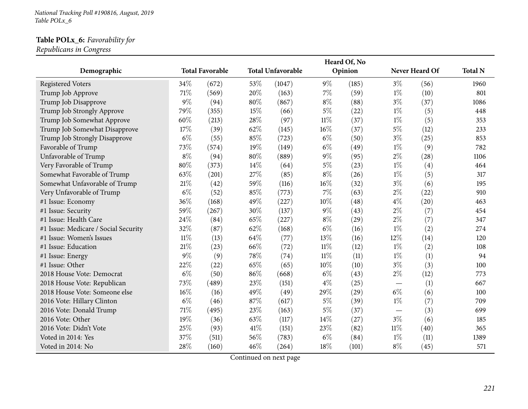*National Tracking Poll #190816, August, <sup>2019</sup> Table POLx\_6*

#### **Table POLx\_6:** *Favorability for*

*Republicans in Congress*

|                                      |        |                        |        |                          |        | Heard Of, No |        |                |                |
|--------------------------------------|--------|------------------------|--------|--------------------------|--------|--------------|--------|----------------|----------------|
| Demographic                          |        | <b>Total Favorable</b> |        | <b>Total Unfavorable</b> |        | Opinion      |        | Never Heard Of | <b>Total N</b> |
| <b>Registered Voters</b>             | 34%    | (672)                  | 53%    | (1047)                   | $9\%$  | (185)        | $3\%$  | (56)           | 1960           |
| Trump Job Approve                    | 71%    | (569)                  | 20%    | (163)                    | $7\%$  | (59)         | $1\%$  | (10)           | 801            |
| Trump Job Disapprove                 | $9\%$  | (94)                   | 80%    | (867)                    | $8\%$  | (88)         | $3\%$  | (37)           | 1086           |
| Trump Job Strongly Approve           | 79%    | (355)                  | 15%    | (66)                     | $5\%$  | (22)         | $1\%$  | (5)            | 448            |
| Trump Job Somewhat Approve           | 60%    | (213)                  | 28%    | (97)                     | $11\%$ | (37)         | $1\%$  | (5)            | 353            |
| Trump Job Somewhat Disapprove        | 17%    | (39)                   | 62%    | (145)                    | $16\%$ | (37)         | $5\%$  | (12)           | 233            |
| Trump Job Strongly Disapprove        | $6\%$  | (55)                   | 85%    | (723)                    | $6\%$  | (50)         | $3\%$  | (25)           | 853            |
| Favorable of Trump                   | 73%    | (574)                  | 19%    | (149)                    | $6\%$  | (49)         | $1\%$  | (9)            | 782            |
| Unfavorable of Trump                 | $8\%$  | (94)                   | 80%    | (889)                    | $9\%$  | (95)         | $2\%$  | (28)           | 1106           |
| Very Favorable of Trump              | 80%    | (373)                  | 14%    | (64)                     | $5\%$  | (23)         | $1\%$  | (4)            | 464            |
| Somewhat Favorable of Trump          | 63%    | (201)                  | 27%    | (85)                     | $8\%$  | (26)         | $1\%$  | (5)            | 317            |
| Somewhat Unfavorable of Trump        | 21%    | (42)                   | 59%    | (116)                    | $16\%$ | (32)         | $3\%$  | (6)            | 195            |
| Very Unfavorable of Trump            | $6\%$  | (52)                   | 85%    | (773)                    | $7\%$  | (63)         | $2\%$  | (22)           | 910            |
| #1 Issue: Economy                    | 36%    | (168)                  | 49%    | (227)                    | $10\%$ | (48)         | $4\%$  | (20)           | 463            |
| #1 Issue: Security                   | 59%    | (267)                  | 30%    | (137)                    | $9\%$  | (43)         | $2\%$  | (7)            | 454            |
| #1 Issue: Health Care                | 24%    | (84)                   | 65%    | (227)                    | $8\%$  | (29)         | $2\%$  | (7)            | 347            |
| #1 Issue: Medicare / Social Security | 32%    | (87)                   | 62%    | (168)                    | $6\%$  | (16)         | $1\%$  | (2)            | 274            |
| #1 Issue: Women's Issues             | $11\%$ | (13)                   | 64%    | (77)                     | 13%    | (16)         | 12%    | (14)           | 120            |
| #1 Issue: Education                  | 21%    | (23)                   | 66%    | (72)                     | $11\%$ | (12)         | $1\%$  | (2)            | 108            |
| #1 Issue: Energy                     | $9\%$  | (9)                    | 78%    | (74)                     | $11\%$ | (11)         | $1\%$  | (1)            | 94             |
| #1 Issue: Other                      | 22%    | (22)                   | 65%    | (65)                     | 10%    | (10)         | $3\%$  | (3)            | 100            |
| 2018 House Vote: Democrat            | $6\%$  | (50)                   | 86%    | (668)                    | $6\%$  | (43)         | $2\%$  | (12)           | 773            |
| 2018 House Vote: Republican          | 73%    | (489)                  | 23%    | (151)                    | $4\%$  | (25)         |        | (1)            | 667            |
| 2018 House Vote: Someone else        | 16%    | (16)                   | 49%    | (49)                     | 29%    | (29)         | $6\%$  | (6)            | 100            |
| 2016 Vote: Hillary Clinton           | $6\%$  | (46)                   | 87%    | (617)                    | $5\%$  | (39)         | $1\%$  | (7)            | 709            |
| 2016 Vote: Donald Trump              | 71%    | (495)                  | 23%    | (163)                    | $5\%$  | (37)         |        | (3)            | 699            |
| 2016 Vote: Other                     | 19%    | (36)                   | 63%    | (117)                    | 14\%   | (27)         | $3\%$  | (6)            | 185            |
| 2016 Vote: Didn't Vote               | 25%    | (93)                   | $41\%$ | (151)                    | 23%    | (82)         | $11\%$ | (40)           | 365            |
| Voted in 2014: Yes                   | 37%    | (511)                  | 56%    | (783)                    | $6\%$  | (84)         | $1\%$  | (11)           | 1389           |
| Voted in 2014: No                    | 28%    | (160)                  | 46\%   | (264)                    | 18%    | (101)        | $8\%$  | (45)           | 571            |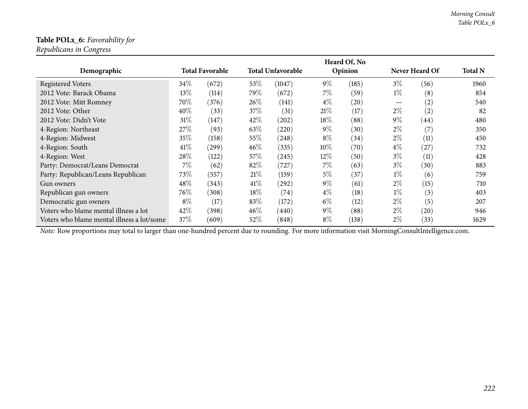## **Table POLx\_6:** *Favorability for*

*Republicans in Congress*

|                                            |        |                        |      |                          |        | Heard Of, No |       |                   |                |
|--------------------------------------------|--------|------------------------|------|--------------------------|--------|--------------|-------|-------------------|----------------|
| Demographic                                |        | <b>Total Favorable</b> |      | <b>Total Unfavorable</b> |        | Opinion      |       | Never Heard Of    | <b>Total N</b> |
| <b>Registered Voters</b>                   | $34\%$ | (672)                  | 53%  | (1047)                   | $9\%$  | (185)        | $3\%$ | (56)              | 1960           |
| 2012 Vote: Barack Obama                    | 13%    | (114)                  | 79\% | (672)                    | $7\%$  | (59)         | $1\%$ | (8)               | 854            |
| 2012 Vote: Mitt Romney                     | 70\%   | (376)                  | 26%  | (141)                    | $4\%$  | (20)         |       | $\left( 2\right)$ | 540            |
| 2012 Vote: Other                           | 40%    | (33)                   | 37%  | (31)                     | 21%    | (17)         | $2\%$ | (2)               | 82             |
| 2012 Vote: Didn't Vote                     | 31%    | (147)                  | 42%  | (202)                    | $18\%$ | (88)         | $9\%$ | (44)              | 480            |
| 4-Region: Northeast                        | 27%    | (93)                   | 63\% | (220)                    | $9\%$  | (30)         | $2\%$ | (7)               | 350            |
| 4-Region: Midwest                          | 35%    | (158)                  | 55%  | (248)                    | $8\%$  | (34)         | $2\%$ | (11)              | 450            |
| 4-Region: South                            | 41\%   | (299)                  | 46\% | (335)                    | $10\%$ | (70)         | $4\%$ | (27)              | 732            |
| 4-Region: West                             | 28%    | (122)                  | 57\% | (245)                    | $12\%$ | (50)         | $3\%$ | (11)              | 428            |
| Party: Democrat/Leans Democrat             | $7\%$  | (62)                   | 82%  | (727)                    | $7\%$  | (63)         | $3\%$ | (30)              | 883            |
| Party: Republican/Leans Republican         | 73\%   | (557)                  | 21%  | (159)                    | $5\%$  | (37)         | $1\%$ | (6)               | 759            |
| Gun owners                                 | 48\%   | (343)                  | 41%  | (292)                    | $9\%$  | (61)         | $2\%$ | (15)              | 710            |
| Republican gun owners                      | 76\%   | (308)                  | 18%  | (74)                     | $4\%$  | (18)         | $1\%$ | (3)               | 403            |
| Democratic gun owners                      | $8\%$  | (17)                   | 83%  | (172)                    | $6\%$  | (12)         | $2\%$ | (5)               | 207            |
| Voters who blame mental illness a lot      | 42\%   | (398)                  | 46\% | (440)                    | $9\%$  | (88)         | $2\%$ | (20)              | 946            |
| Voters who blame mental illness a lot/some | 37%    | (609)                  | 52\% | (848)                    | $8\%$  | (138)        | $2\%$ | (33)              | 1629           |

*Note:* Row proportions may total to larger than one-hundred percen<sup>t</sup> due to rounding. For more information visit [MorningConsultIntelligence.com](https://morningconsultintelligence.com).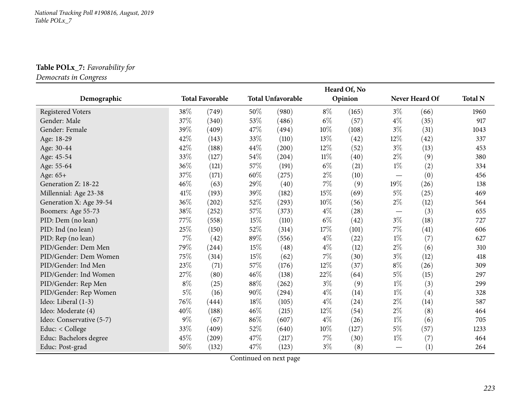## **Table POLx\_7:** *Favorability for*

*Democrats in Congress*

|                          |        |                        |      |                          |        | Heard Of, No |       |                |                |
|--------------------------|--------|------------------------|------|--------------------------|--------|--------------|-------|----------------|----------------|
| Demographic              |        | <b>Total Favorable</b> |      | <b>Total Unfavorable</b> |        | Opinion      |       | Never Heard Of | <b>Total N</b> |
| <b>Registered Voters</b> | 38\%   | (749)                  | 50%  | (980)                    | $8\%$  | (165)        | $3\%$ | (66)           | 1960           |
| Gender: Male             | 37\%   | (340)                  | 53%  | (486)                    | $6\%$  | (57)         | $4\%$ | (35)           | 917            |
| Gender: Female           | 39%    | (409)                  | 47%  | (494)                    | $10\%$ | (108)        | $3\%$ | (31)           | 1043           |
| Age: 18-29               | 42%    | (143)                  | 33%  | (110)                    | 13%    | (42)         | 12\%  | (42)           | 337            |
| Age: 30-44               | 42%    | (188)                  | 44\% | (200)                    | 12%    | (52)         | $3\%$ | (13)           | 453            |
| Age: 45-54               | 33%    | (127)                  | 54%  | (204)                    | $11\%$ | (40)         | $2\%$ | (9)            | 380            |
| Age: 55-64               | 36%    | (121)                  | 57%  | (191)                    | $6\%$  | (21)         | $1\%$ | (2)            | 334            |
| Age: 65+                 | 37\%   | (171)                  | 60%  | (275)                    | $2\%$  | (10)         |       | (0)            | 456            |
| Generation Z: 18-22      | $46\%$ | (63)                   | 29%  | (40)                     | $7\%$  | (9)          | 19%   | (26)           | 138            |
| Millennial: Age 23-38    | 41\%   | (193)                  | 39%  | (182)                    | 15%    | (69)         | $5\%$ | (25)           | 469            |
| Generation X: Age 39-54  | 36\%   | (202)                  | 52\% | (293)                    | $10\%$ | (56)         | $2\%$ | (12)           | 564            |
| Boomers: Age 55-73       | 38\%   | (252)                  | 57%  | (373)                    | $4\%$  | (28)         |       | (3)            | 655            |
| PID: Dem (no lean)       | 77\%   | (558)                  | 15%  | (110)                    | $6\%$  | (42)         | $3\%$ | (18)           | 727            |
| PID: Ind (no lean)       | 25%    | (150)                  | 52%  | (314)                    | $17\%$ | (101)        | $7\%$ | (41)           | 606            |
| PID: Rep (no lean)       | $7\%$  | (42)                   | 89%  | (556)                    | $4\%$  | (22)         | $1\%$ | (7)            | 627            |
| PID/Gender: Dem Men      | 79%    | (244)                  | 15%  | (48)                     | $4\%$  | (12)         | $2\%$ | (6)            | 310            |
| PID/Gender: Dem Women    | 75%    | (314)                  | 15%  | (62)                     | $7\%$  | (30)         | $3\%$ | (12)           | 418            |
| PID/Gender: Ind Men      | 23\%   | (71)                   | 57%  | (176)                    | 12%    | (37)         | $8\%$ | (26)           | 309            |
| PID/Gender: Ind Women    | 27%    | (80)                   | 46%  | (138)                    | 22\%   | (64)         | $5\%$ | (15)           | 297            |
| PID/Gender: Rep Men      | $8\%$  | (25)                   | 88%  | (262)                    | $3\%$  | (9)          | $1\%$ | (3)            | 299            |
| PID/Gender: Rep Women    | $5\%$  | (16)                   | 90%  | (294)                    | $4\%$  | (14)         | $1\%$ | (4)            | 328            |
| Ideo: Liberal (1-3)      | 76%    | (444)                  | 18%  | (105)                    | $4\%$  | (24)         | $2\%$ | (14)           | 587            |
| Ideo: Moderate (4)       | 40%    | (188)                  | 46%  | (215)                    | 12%    | (54)         | $2\%$ | (8)            | 464            |
| Ideo: Conservative (5-7) | $9\%$  | (67)                   | 86%  | (607)                    | $4\%$  | (26)         | $1\%$ | (6)            | 705            |
| Educ: < College          | 33\%   | (409)                  | 52%  | (640)                    | 10%    | (127)        | $5\%$ | (57)           | 1233           |
| Educ: Bachelors degree   | 45%    | (209)                  | 47\% | (217)                    | 7%     | (30)         | $1\%$ | (7)            | 464            |
| Educ: Post-grad          | 50%    | (132)                  | 47%  | (123)                    | $3\%$  | (8)          |       | (1)            | 264            |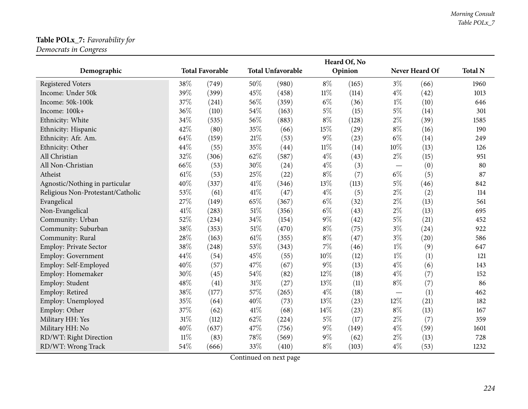## **Table POLx\_7:** *Favorability for*

*Democrats in Congress*

|                                   |        |                        |        |                          |        | Heard Of, No |                          |                |                |
|-----------------------------------|--------|------------------------|--------|--------------------------|--------|--------------|--------------------------|----------------|----------------|
| Demographic                       |        | <b>Total Favorable</b> |        | <b>Total Unfavorable</b> |        | Opinion      |                          | Never Heard Of | <b>Total N</b> |
| <b>Registered Voters</b>          | 38%    | (749)                  | 50%    | (980)                    | $8\%$  | (165)        | $3\%$                    | (66)           | 1960           |
| Income: Under 50k                 | 39%    | (399)                  | 45%    | (458)                    | $11\%$ | (114)        | $4\%$                    | (42)           | 1013           |
| Income: 50k-100k                  | 37%    | (241)                  | 56%    | (359)                    | $6\%$  | (36)         | $1\%$                    | (10)           | 646            |
| Income: 100k+                     | 36%    | (110)                  | 54\%   | (163)                    | $5\%$  | (15)         | $5\%$                    | (14)           | 301            |
| Ethnicity: White                  | 34%    | (535)                  | 56%    | (883)                    | $8\%$  | (128)        | $2\%$                    | (39)           | 1585           |
| Ethnicity: Hispanic               | 42%    | (80)                   | 35%    | (66)                     | 15%    | (29)         | $8\%$                    | (16)           | 190            |
| Ethnicity: Afr. Am.               | 64%    | (159)                  | $21\%$ | (53)                     | $9\%$  | (23)         | $6\%$                    | (14)           | 249            |
| Ethnicity: Other                  | 44%    | (55)                   | 35%    | (44)                     | $11\%$ | (14)         | 10%                      | (13)           | 126            |
| All Christian                     | 32%    | (306)                  | 62%    | (587)                    | $4\%$  | (43)         | $2\%$                    | (15)           | 951            |
| All Non-Christian                 | 66%    | (53)                   | 30%    | (24)                     | $4\%$  | (3)          | $\overline{\phantom{0}}$ | (0)            | 80             |
| Atheist                           | 61\%   | (53)                   | 25%    | (22)                     | $8\%$  | (7)          | $6\%$                    | (5)            | 87             |
| Agnostic/Nothing in particular    | 40%    | (337)                  | $41\%$ | (346)                    | 13%    | (113)        | $5\%$                    | (46)           | 842            |
| Religious Non-Protestant/Catholic | 53%    | (61)                   | 41\%   | (47)                     | $4\%$  | (5)          | $2\%$                    | (2)            | 114            |
| Evangelical                       | 27%    | (149)                  | 65%    | (367)                    | $6\%$  | (32)         | $2\%$                    | (13)           | 561            |
| Non-Evangelical                   | 41\%   | (283)                  | $51\%$ | (356)                    | $6\%$  | (43)         | $2\%$                    | (13)           | 695            |
| Community: Urban                  | 52%    | (234)                  | 34%    | (154)                    | $9\%$  | (42)         | $5\%$                    | (21)           | 452            |
| Community: Suburban               | 38%    | (353)                  | $51\%$ | (470)                    | $8\%$  | (75)         | $3\%$                    | (24)           | 922            |
| Community: Rural                  | 28%    | (163)                  | $61\%$ | (355)                    | $8\%$  | (47)         | $3\%$                    | (20)           | 586            |
| Employ: Private Sector            | 38%    | (248)                  | 53%    | (343)                    | $7\%$  | (46)         | $1\%$                    | (9)            | 647            |
| Employ: Government                | 44%    | (54)                   | 45%    | (55)                     | 10%    | (12)         | $1\%$                    | (1)            | 121            |
| Employ: Self-Employed             | 40%    | (57)                   | 47%    | (67)                     | $9\%$  | (13)         | $4\%$                    | (6)            | 143            |
| Employ: Homemaker                 | 30%    | (45)                   | 54%    | (82)                     | 12%    | (18)         | $4\%$                    | (7)            | 152            |
| Employ: Student                   | 48%    | (41)                   | $31\%$ | (27)                     | 13%    | (11)         | $8\%$                    | (7)            | 86             |
| Employ: Retired                   | 38%    | (177)                  | 57%    | (265)                    | $4\%$  | (18)         | $\overline{\phantom{0}}$ | (1)            | 462            |
| Employ: Unemployed                | 35%    | (64)                   | 40%    | (73)                     | 13%    | (23)         | 12%                      | (21)           | 182            |
| Employ: Other                     | 37%    | (62)                   | 41\%   | (68)                     | 14%    | (23)         | $8\%$                    | (13)           | 167            |
| Military HH: Yes                  | 31%    | (112)                  | 62%    | (224)                    | $5\%$  | (17)         | $2\%$                    | (7)            | 359            |
| Military HH: No                   | 40%    | (637)                  | 47%    | (756)                    | $9\%$  | (149)        | $4\%$                    | (59)           | 1601           |
| RD/WT: Right Direction            | $11\%$ | (83)                   | 78\%   | (569)                    | $9\%$  | (62)         | $2\%$                    | (13)           | 728            |
| RD/WT: Wrong Track                | 54%    | (666)                  | 33%    | (410)                    | $8\%$  | (103)        | $4\%$                    | (53)           | 1232           |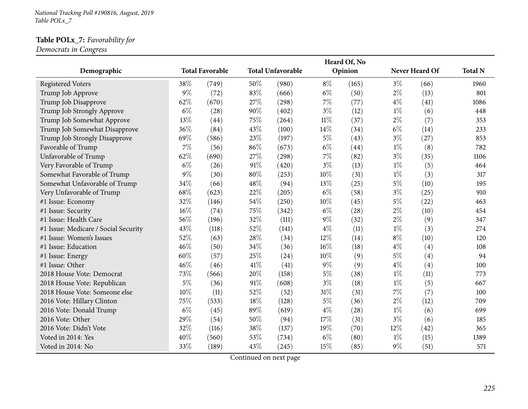*National Tracking Poll #190816, August, <sup>2019</sup> Table POLx\_7*

### **Table POLx\_7:** *Favorability for*

*Democrats in Congress*

|                                      |       |                        |        |                          |        | Heard Of, No |       |                |                |
|--------------------------------------|-------|------------------------|--------|--------------------------|--------|--------------|-------|----------------|----------------|
| Demographic                          |       | <b>Total Favorable</b> |        | <b>Total Unfavorable</b> |        | Opinion      |       | Never Heard Of | <b>Total N</b> |
| <b>Registered Voters</b>             | 38%   | (749)                  | 50%    | (980)                    | 8\%    | (165)        | $3\%$ | (66)           | 1960           |
| Trump Job Approve                    | $9\%$ | (72)                   | 83%    | (666)                    | $6\%$  | (50)         | $2\%$ | (13)           | 801            |
| Trump Job Disapprove                 | 62%   | (670)                  | 27\%   | (298)                    | $7\%$  | (77)         | $4\%$ | (41)           | 1086           |
| Trump Job Strongly Approve           | $6\%$ | (28)                   | 90%    | (402)                    | $3\%$  | (12)         | $1\%$ | (6)            | 448            |
| Trump Job Somewhat Approve           | 13%   | (44)                   | 75%    | (264)                    | $11\%$ | (37)         | $2\%$ | (7)            | 353            |
| Trump Job Somewhat Disapprove        | 36%   | (84)                   | 43%    | (100)                    | 14\%   | (34)         | $6\%$ | (14)           | 233            |
| Trump Job Strongly Disapprove        | 69%   | (586)                  | 23%    | (197)                    | $5\%$  | (43)         | $3\%$ | (27)           | 853            |
| Favorable of Trump                   | 7%    | (56)                   | 86%    | (673)                    | $6\%$  | (44)         | $1\%$ | (8)            | 782            |
| Unfavorable of Trump                 | 62%   | (690)                  | 27%    | (298)                    | $7\%$  | (82)         | $3\%$ | (35)           | 1106           |
| Very Favorable of Trump              | $6\%$ | (26)                   | $91\%$ | (420)                    | $3\%$  | (13)         | $1\%$ | (5)            | 464            |
| Somewhat Favorable of Trump          | $9\%$ | (30)                   | 80%    | (253)                    | 10%    | (31)         | $1\%$ | (3)            | 317            |
| Somewhat Unfavorable of Trump        | 34%   | (66)                   | 48%    | (94)                     | 13%    | (25)         | $5\%$ | (10)           | 195            |
| Very Unfavorable of Trump            | 68%   | (623)                  | 22%    | (205)                    | $6\%$  | (58)         | $3\%$ | (25)           | 910            |
| #1 Issue: Economy                    | 32%   | (146)                  | 54%    | (250)                    | 10%    | (45)         | $5\%$ | (22)           | 463            |
| #1 Issue: Security                   | 16%   | (74)                   | 75%    | (342)                    | $6\%$  | (28)         | $2\%$ | (10)           | 454            |
| #1 Issue: Health Care                | 56%   | (196)                  | 32%    | (111)                    | $9\%$  | (32)         | $2\%$ | (9)            | 347            |
| #1 Issue: Medicare / Social Security | 43%   | (118)                  | 52%    | (141)                    | $4\%$  | (11)         | $1\%$ | (3)            | 274            |
| #1 Issue: Women's Issues             | 52%   | (63)                   | 28%    | (34)                     | 12%    | (14)         | $8\%$ | (10)           | 120            |
| #1 Issue: Education                  | 46%   | (50)                   | 34%    | (36)                     | $16\%$ | (18)         | $4\%$ | (4)            | 108            |
| #1 Issue: Energy                     | 60%   | (57)                   | 25%    | (24)                     | $10\%$ | (9)          | $5\%$ | (4)            | 94             |
| #1 Issue: Other                      | 46%   | (46)                   | 41\%   | (41)                     | $9\%$  | (9)          | $4\%$ | (4)            | 100            |
| 2018 House Vote: Democrat            | 73%   | (566)                  | 20%    | (158)                    | $5\%$  | (38)         | $1\%$ | (11)           | 773            |
| 2018 House Vote: Republican          | $5\%$ | (36)                   | 91%    | (608)                    | $3\%$  | (18)         | $1\%$ | (5)            | 667            |
| 2018 House Vote: Someone else        | 10%   | (11)                   | 52%    | (52)                     | 31\%   | (31)         | 7%    | (7)            | 100            |
| 2016 Vote: Hillary Clinton           | 75%   | (533)                  | 18%    | (128)                    | $5\%$  | (36)         | $2\%$ | (12)           | 709            |
| 2016 Vote: Donald Trump              | $6\%$ | (45)                   | 89%    | (619)                    | $4\%$  | (28)         | $1\%$ | (6)            | 699            |
| 2016 Vote: Other                     | 29%   | (54)                   | 50%    | (94)                     | 17%    | (31)         | $3\%$ | (6)            | 185            |
| 2016 Vote: Didn't Vote               | 32%   | (116)                  | 38%    | (137)                    | 19%    | (70)         | 12%   | (42)           | 365            |
| Voted in 2014: Yes                   | 40%   | (560)                  | 53%    | (734)                    | $6\%$  | (80)         | $1\%$ | (15)           | 1389           |
| Voted in 2014: No                    | 33%   | (189)                  | 43%    | (245)                    | 15%    | (85)         | $9\%$ | (51)           | 571            |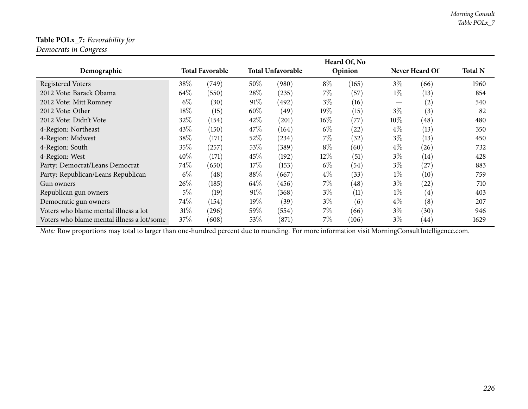## **Table POLx\_7:** *Favorability for*

*Democrats in Congress*

|                                            |       |                        |      |                          |        | Heard Of, No       |       |                       |                |
|--------------------------------------------|-------|------------------------|------|--------------------------|--------|--------------------|-------|-----------------------|----------------|
| Demographic                                |       | <b>Total Favorable</b> |      | <b>Total Unfavorable</b> |        | Opinion            |       | <b>Never Heard Of</b> | <b>Total N</b> |
| <b>Registered Voters</b>                   | 38\%  | (749)                  | 50%  | (980)                    | $8\%$  | (165)              | $3\%$ | (66)                  | 1960           |
| 2012 Vote: Barack Obama                    | 64\%  | (550)                  | 28\% | (235)                    | $7\%$  | (57)               | $1\%$ | (13)                  | 854            |
| 2012 Vote: Mitt Romney                     | $6\%$ | (30)                   | 91%  | (492)                    | $3\%$  | (16)               |       | $\left( 2\right)$     | 540            |
| 2012 Vote: Other                           | 18%   | (15)                   | 60%  | (49)                     | 19%    | (15)               | $3\%$ | (3)                   | 82             |
| 2012 Vote: Didn't Vote                     | 32%   | (154)                  | 42\% | (201)                    | $16\%$ | (77)               | 10%   | (48)                  | 480            |
| 4-Region: Northeast                        | 43\%  | (150)                  | 47\% | (164)                    | $6\%$  | (22)               | $4\%$ | (13)                  | 350            |
| 4-Region: Midwest                          | 38\%  | (171)                  | 52%  | (234)                    | $7\%$  | (32)               | $3\%$ | (13)                  | 450            |
| 4-Region: South                            | 35%   | (257)                  | 53%  | (389)                    | $8\%$  | (60)               | $4\%$ | (26)                  | 732            |
| 4-Region: West                             | 40%   | (171)                  | 45%  | (192)                    | $12\%$ | (51)               | $3\%$ | (14)                  | 428            |
| Party: Democrat/Leans Democrat             | 74\%  | (650)                  | 17%  | (153)                    | $6\%$  | (54)               | $3\%$ | (27)                  | 883            |
| Party: Republican/Leans Republican         | $6\%$ | $\left( 48\right)$     | 88%  | (667)                    | $4\%$  | (33)               | $1\%$ | (10)                  | 759            |
| Gun owners                                 | 26\%  | (185)                  | 64\% | (456)                    | $7\%$  | $\left( 48\right)$ | $3\%$ | (22)                  | 710            |
| Republican gun owners                      | $5\%$ | (19)                   | 91%  | (368)                    | $3\%$  | (11)               | $1\%$ | $\left( 4\right)$     | 403            |
| Democratic gun owners                      | 74\%  | (154)                  | 19%  | (39)                     | $3\%$  | (6)                | $4\%$ | (8)                   | 207            |
| Voters who blame mental illness a lot      | 31%   | (296)                  | 59%  | (554)                    | $7\%$  | (66)               | $3\%$ | (30)                  | 946            |
| Voters who blame mental illness a lot/some | 37%   | (608)                  | 53%  | (871)                    | $7\%$  | (106)              | 3%    | (44)                  | 1629           |

*Note:* Row proportions may total to larger than one-hundred percen<sup>t</sup> due to rounding. For more information visit [MorningConsultIntelligence.com](https://morningconsultintelligence.com).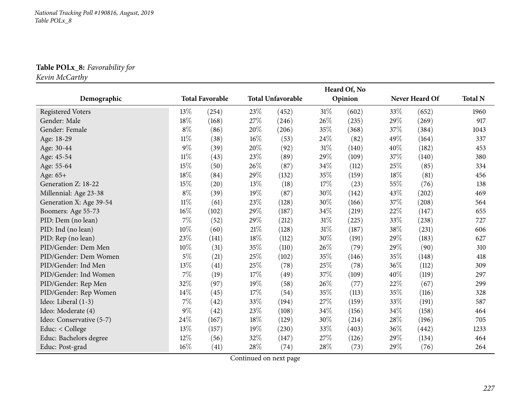## **Table POLx\_8:** *Favorability for*

*Kevin McCarthy*

|                          |        |                        |        |                          |        | Heard Of, No |      |                |                |
|--------------------------|--------|------------------------|--------|--------------------------|--------|--------------|------|----------------|----------------|
| Demographic              |        | <b>Total Favorable</b> |        | <b>Total Unfavorable</b> |        | Opinion      |      | Never Heard Of | <b>Total N</b> |
| <b>Registered Voters</b> | 13%    | (254)                  | 23%    | (452)                    | 31\%   | (602)        | 33%  | (652)          | 1960           |
| Gender: Male             | 18%    | (168)                  | 27%    | (246)                    | 26\%   | (235)        | 29%  | (269)          | 917            |
| Gender: Female           | $8\%$  | (86)                   | 20%    | (206)                    | 35%    | (368)        | 37%  | (384)          | 1043           |
| Age: 18-29               | $11\%$ | (38)                   | $16\%$ | (53)                     | 24\%   | (82)         | 49%  | (164)          | 337            |
| Age: 30-44               | $9\%$  | (39)                   | 20%    | (92)                     | $31\%$ | (140)        | 40%  | (182)          | 453            |
| Age: 45-54               | $11\%$ | (43)                   | 23%    | (89)                     | 29%    | (109)        | 37%  | (140)          | 380            |
| Age: 55-64               | 15%    | (50)                   | 26%    | (87)                     | $34\%$ | (112)        | 25%  | (85)           | 334            |
| Age: 65+                 | 18%    | (84)                   | 29%    | (132)                    | 35%    | (159)        | 18%  | (81)           | 456            |
| Generation Z: 18-22      | 15%    | (20)                   | 13%    | (18)                     | 17%    | (23)         | 55%  | (76)           | 138            |
| Millennial: Age 23-38    | $8\%$  | (39)                   | 19%    | (87)                     | 30%    | (142)        | 43%  | (202)          | 469            |
| Generation X: Age 39-54  | $11\%$ | (61)                   | 23%    | (128)                    | 30%    | (166)        | 37%  | (208)          | 564            |
| Boomers: Age 55-73       | 16%    | (102)                  | 29%    | (187)                    | 34%    | (219)        | 22%  | (147)          | 655            |
| PID: Dem (no lean)       | $7\%$  | (52)                   | 29%    | (212)                    | 31%    | (225)        | 33%  | (238)          | 727            |
| PID: Ind (no lean)       | $10\%$ | (60)                   | 21%    | (128)                    | $31\%$ | (187)        | 38%  | (231)          | 606            |
| PID: Rep (no lean)       | 23%    | (141)                  | 18%    | (112)                    | 30%    | (191)        | 29%  | (183)          | 627            |
| PID/Gender: Dem Men      | 10%    | (31)                   | 35%    | (110)                    | 26\%   | (79)         | 29%  | (90)           | 310            |
| PID/Gender: Dem Women    | $5\%$  | (21)                   | 25%    | (102)                    | 35%    | (146)        | 35%  | (148)          | 418            |
| PID/Gender: Ind Men      | 13\%   | (41)                   | 25\%   | (78)                     | 25%    | (78)         | 36%  | (112)          | 309            |
| PID/Gender: Ind Women    | $7\%$  | (19)                   | 17%    | (49)                     | 37\%   | (109)        | 40%  | (119)          | 297            |
| PID/Gender: Rep Men      | 32%    | (97)                   | 19%    | (58)                     | 26\%   | (77)         | 22%  | (67)           | 299            |
| PID/Gender: Rep Women    | 14%    | (45)                   | 17%    | (54)                     | 35%    | (113)        | 35%  | (116)          | 328            |
| Ideo: Liberal (1-3)      | $7\%$  | (42)                   | 33%    | (194)                    | 27\%   | (159)        | 33\% | (191)          | 587            |
| Ideo: Moderate (4)       | $9\%$  | (42)                   | 23%    | (108)                    | 34%    | (156)        | 34\% | (158)          | 464            |
| Ideo: Conservative (5-7) | 24\%   | (167)                  | 18%    | (129)                    | 30%    | (214)        | 28\% | (196)          | 705            |
| Educ: < College          | 13\%   | (157)                  | 19%    | (230)                    | 33%    | (403)        | 36\% | (442)          | 1233           |
| Educ: Bachelors degree   | $12\%$ | (56)                   | 32%    | (147)                    | 27\%   | (126)        | 29%  | (134)          | 464            |
| Educ: Post-grad          | $16\%$ | (41)                   | 28\%   | (74)                     | 28%    | (73)         | 29%  | (76)           | 264            |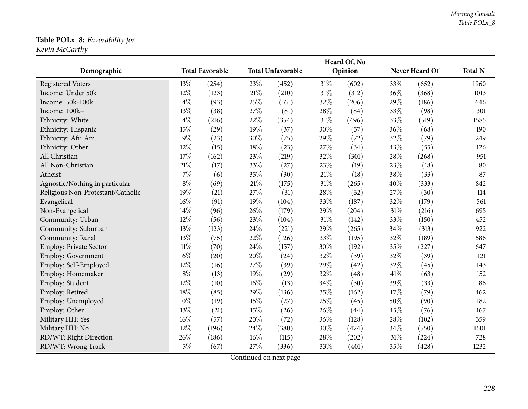#### **Table POLx\_8:** *Favorability for Kevin McCarthy*

|                                   |        |                        |        |                          |        | Heard Of, No |        |                |                |
|-----------------------------------|--------|------------------------|--------|--------------------------|--------|--------------|--------|----------------|----------------|
| Demographic                       |        | <b>Total Favorable</b> |        | <b>Total Unfavorable</b> |        | Opinion      |        | Never Heard Of | <b>Total N</b> |
| <b>Registered Voters</b>          | 13%    | (254)                  | 23%    | (452)                    | $31\%$ | (602)        | 33%    | (652)          | 1960           |
| Income: Under 50k                 | 12%    | (123)                  | $21\%$ | (210)                    | $31\%$ | (312)        | 36%    | (368)          | 1013           |
| Income: 50k-100k                  | 14%    | (93)                   | 25%    | (161)                    | 32%    | (206)        | 29%    | (186)          | 646            |
| Income: 100k+                     | 13%    | (38)                   | 27%    | (81)                     | 28%    | (84)         | 33%    | (98)           | 301            |
| Ethnicity: White                  | 14%    | (216)                  | 22%    | (354)                    | $31\%$ | (496)        | 33%    | (519)          | 1585           |
| Ethnicity: Hispanic               | 15%    | (29)                   | 19%    | (37)                     | 30%    | (57)         | 36%    | (68)           | 190            |
| Ethnicity: Afr. Am.               | $9\%$  | (23)                   | 30%    | (75)                     | 29%    | (72)         | 32%    | (79)           | 249            |
| Ethnicity: Other                  | 12%    | (15)                   | 18%    | (23)                     | 27%    | (34)         | 43%    | (55)           | 126            |
| All Christian                     | 17%    | (162)                  | 23\%   | (219)                    | 32%    | (301)        | 28%    | (268)          | 951            |
| All Non-Christian                 | $21\%$ | (17)                   | 33%    | (27)                     | 23%    | (19)         | 23%    | (18)           | 80             |
| Atheist                           | $7\%$  | (6)                    | 35%    | (30)                     | $21\%$ | (18)         | 38%    | (33)           | 87             |
| Agnostic/Nothing in particular    | $8\%$  | (69)                   | $21\%$ | (175)                    | $31\%$ | (265)        | 40%    | (333)          | 842            |
| Religious Non-Protestant/Catholic | 19%    | (21)                   | 27%    | (31)                     | 28\%   | (32)         | 27%    | (30)           | 114            |
| Evangelical                       | 16%    | (91)                   | 19%    | (104)                    | 33%    | (187)        | 32%    | (179)          | 561            |
| Non-Evangelical                   | 14%    | (96)                   | 26%    | (179)                    | 29%    | (204)        | 31%    | (216)          | 695            |
| Community: Urban                  | 12%    | (56)                   | 23%    | (104)                    | $31\%$ | (142)        | 33%    | (150)          | 452            |
| Community: Suburban               | 13%    | (123)                  | 24%    | (221)                    | 29%    | (265)        | 34%    | (313)          | 922            |
| Community: Rural                  | 13%    | (75)                   | 22%    | (126)                    | 33%    | (195)        | 32%    | (189)          | 586            |
| Employ: Private Sector            | $11\%$ | (70)                   | 24\%   | (157)                    | $30\%$ | (192)        | 35%    | (227)          | 647            |
| Employ: Government                | 16%    | (20)                   | 20%    | (24)                     | 32%    | (39)         | 32%    | (39)           | 121            |
| Employ: Self-Employed             | 12%    | (16)                   | 27%    | (39)                     | 29%    | (42)         | 32%    | (45)           | 143            |
| Employ: Homemaker                 | $8\%$  | (13)                   | 19%    | (29)                     | 32%    | (48)         | $41\%$ | (63)           | 152            |
| Employ: Student                   | 12%    | (10)                   | $16\%$ | (13)                     | 34%    | (30)         | 39%    | (33)           | 86             |
| Employ: Retired                   | 18%    | (85)                   | 29%    | (136)                    | 35%    | (162)        | 17%    | (79)           | 462            |
| Employ: Unemployed                | 10%    | (19)                   | 15%    | (27)                     | 25%    | (45)         | 50%    | (90)           | 182            |
| Employ: Other                     | 13%    | (21)                   | 15%    | (26)                     | 26%    | (44)         | 45%    | (76)           | 167            |
| Military HH: Yes                  | 16%    | (57)                   | 20%    | (72)                     | 36%    | (128)        | 28%    | (102)          | 359            |
| Military HH: No                   | 12%    | (196)                  | 24\%   | (380)                    | 30%    | (474)        | 34%    | (550)          | 1601           |
| RD/WT: Right Direction            | 26%    | (186)                  | $16\%$ | (115)                    | 28%    | (202)        | $31\%$ | (224)          | 728            |
| RD/WT: Wrong Track                | $5\%$  | (67)                   | 27%    | (336)                    | 33%    | (401)        | 35%    | (428)          | 1232           |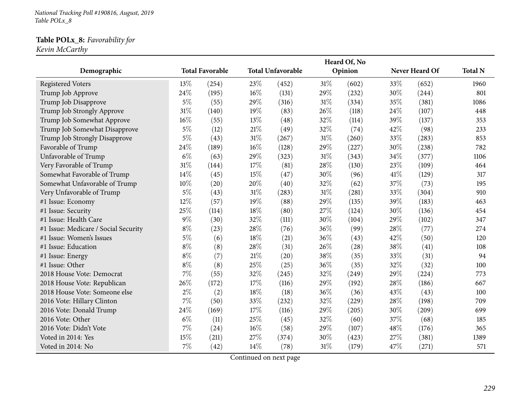*National Tracking Poll #190816, August, <sup>2019</sup> Table POLx\_8*

#### **Table POLx\_8:** *Favorability for*

*Kevin McCarthy*

|                                      |        |                        |      |                          |        | Heard Of, No |      |                |                |
|--------------------------------------|--------|------------------------|------|--------------------------|--------|--------------|------|----------------|----------------|
| Demographic                          |        | <b>Total Favorable</b> |      | <b>Total Unfavorable</b> |        | Opinion      |      | Never Heard Of | <b>Total N</b> |
| <b>Registered Voters</b>             | 13\%   | (254)                  | 23\% | (452)                    | $31\%$ | (602)        | 33\% | (652)          | 1960           |
| Trump Job Approve                    | 24%    | (195)                  | 16\% | (131)                    | 29%    | (232)        | 30%  | (244)          | 801            |
| Trump Job Disapprove                 | $5\%$  | (55)                   | 29%  | (316)                    | $31\%$ | (334)        | 35%  | (381)          | 1086           |
| Trump Job Strongly Approve           | $31\%$ | (140)                  | 19%  | (83)                     | 26%    | (118)        | 24%  | (107)          | 448            |
| Trump Job Somewhat Approve           | $16\%$ | (55)                   | 13%  | (48)                     | 32%    | (114)        | 39%  | (137)          | 353            |
| Trump Job Somewhat Disapprove        | $5\%$  | (12)                   | 21\% | (49)                     | 32%    | (74)         | 42%  | (98)           | 233            |
| Trump Job Strongly Disapprove        | $5\%$  | (43)                   | 31%  | (267)                    | $31\%$ | (260)        | 33%  | (283)          | 853            |
| Favorable of Trump                   | 24%    | (189)                  | 16%  | (128)                    | 29%    | (227)        | 30%  | (238)          | 782            |
| Unfavorable of Trump                 | $6\%$  | (63)                   | 29%  | (323)                    | 31%    | (343)        | 34\% | (377)          | 1106           |
| Very Favorable of Trump              | 31%    | (144)                  | 17%  | (81)                     | 28%    | (130)        | 23%  | (109)          | 464            |
| Somewhat Favorable of Trump          | 14\%   | (45)                   | 15%  | (47)                     | 30%    | (96)         | 41\% | (129)          | 317            |
| Somewhat Unfavorable of Trump        | $10\%$ | (20)                   | 20%  | (40)                     | 32%    | (62)         | 37%  | (73)           | 195            |
| Very Unfavorable of Trump            | $5\%$  | (43)                   | 31%  | (283)                    | $31\%$ | (281)        | 33%  | (304)          | 910            |
| #1 Issue: Economy                    | 12%    | (57)                   | 19%  | (88)                     | 29%    | (135)        | 39%  | (183)          | 463            |
| #1 Issue: Security                   | 25%    | (114)                  | 18%  | (80)                     | 27%    | (124)        | 30%  | (136)          | 454            |
| #1 Issue: Health Care                | $9\%$  | (30)                   | 32%  | (111)                    | 30%    | (104)        | 29%  | (102)          | 347            |
| #1 Issue: Medicare / Social Security | $8\%$  | (23)                   | 28%  | (76)                     | 36%    | (99)         | 28%  | (77)           | 274            |
| #1 Issue: Women's Issues             | $5\%$  | (6)                    | 18%  | (21)                     | 36%    | (43)         | 42%  | (50)           | 120            |
| #1 Issue: Education                  | $8\%$  | (8)                    | 28%  | (31)                     | 26%    | (28)         | 38%  | (41)           | 108            |
| #1 Issue: Energy                     | $8\%$  | (7)                    | 21\% | (20)                     | 38%    | (35)         | 33%  | (31)           | 94             |
| #1 Issue: Other                      | $8\%$  | (8)                    | 25%  | (25)                     | 36%    | (35)         | 32%  | (32)           | 100            |
| 2018 House Vote: Democrat            | $7\%$  | (55)                   | 32%  | (245)                    | 32%    | (249)        | 29%  | (224)          | 773            |
| 2018 House Vote: Republican          | 26%    | (172)                  | 17\% | (116)                    | 29%    | (192)        | 28%  | (186)          | 667            |
| 2018 House Vote: Someone else        | $2\%$  | (2)                    | 18%  | (18)                     | 36%    | (36)         | 43%  | (43)           | 100            |
| 2016 Vote: Hillary Clinton           | $7\%$  | (50)                   | 33%  | (232)                    | 32%    | (229)        | 28%  | (198)          | 709            |
| 2016 Vote: Donald Trump              | 24%    | (169)                  | 17%  | (116)                    | 29%    | (205)        | 30%  | (209)          | 699            |
| 2016 Vote: Other                     | $6\%$  | (11)                   | 25%  | (45)                     | 32%    | (60)         | 37%  | (68)           | 185            |
| 2016 Vote: Didn't Vote               | $7\%$  | (24)                   | 16%  | (58)                     | 29%    | (107)        | 48%  | (176)          | 365            |
| Voted in 2014: Yes                   | 15%    | (211)                  | 27%  | (374)                    | 30%    | (423)        | 27%  | (381)          | 1389           |
| Voted in 2014: No                    | $7\%$  | (42)                   | 14\% | (78)                     | $31\%$ | (179)        | 47%  | (271)          | 571            |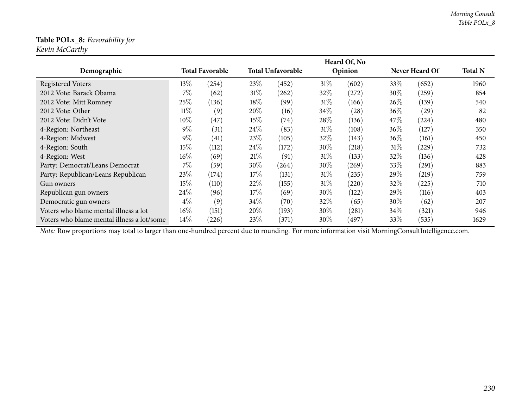#### **Table POLx\_8:** *Favorability for Kevin McCarthy*

|                                            |        |                        |        |                          |        | Heard Of, No       |        |                |                |
|--------------------------------------------|--------|------------------------|--------|--------------------------|--------|--------------------|--------|----------------|----------------|
| Demographic                                |        | <b>Total Favorable</b> |        | <b>Total Unfavorable</b> |        | Opinion            |        | Never Heard Of | <b>Total N</b> |
| <b>Registered Voters</b>                   | 13\%   | $^{(254)}$             | 23\%   | (452)                    | $31\%$ | (602)              | 33\%   | (652)          | 1960           |
| 2012 Vote: Barack Obama                    | $7\%$  | (62)                   | $31\%$ | (262)                    | $32\%$ | $^{'}272)$         | $30\%$ | (259)          | 854            |
| 2012 Vote: Mitt Romney                     | 25\%   | (136)                  | 18%    | (99)                     | 31%    | (166)              | $26\%$ | (139)          | 540            |
| 2012 Vote: Other                           | $11\%$ | (9)                    | 20%    | (16)                     | $34\%$ | $\left( 28\right)$ | $36\%$ | (29)           | 82             |
| 2012 Vote: Didn't Vote                     | $10\%$ | (47)                   | 15\%   | (74)                     | 28\%   | (136)              | 47\%   | (224)          | 480            |
| 4-Region: Northeast                        | $9\%$  | (31)                   | 24\%   | (83)                     | 31%    | (108)              | $36\%$ | (127)          | 350            |
| 4-Region: Midwest                          | $9\%$  | (41)                   | 23\%   | (105)                    | 32%    | (143)              | $36\%$ | (161)          | 450            |
| 4-Region: South                            | 15\%   | (112)                  | 24\%   | (172)                    | $30\%$ | (218)              | 31%    | (229)          | 732            |
| 4-Region: West                             | $16\%$ | (69)                   | 21%    | (91)                     | 31%    | (133)              | 32\%   | (136)          | 428            |
| Party: Democrat/Leans Democrat             | $7\%$  | (59)                   | 30%    | (264)                    | $30\%$ | (269)              | $33\%$ | (291)          | 883            |
| Party: Republican/Leans Republican         | 23\%   | (174)                  | 17%    | (131)                    | 31%    | (235)              | 29\%   | (219)          | 759            |
| Gun owners                                 | 15\%   | (110)                  | 22\%   | (155)                    | 31%    | (220)              | 32\%   | (225)          | 710            |
| Republican gun owners                      | 24\%   | (96)                   | 17\%   | (69)                     | $30\%$ | (122)              | 29\%   | (116)          | 403            |
| Democratic gun owners                      | $4\%$  | (9)                    | 34\%   | (70)                     | $32\%$ | (65)               | $30\%$ | (62)           | 207            |
| Voters who blame mental illness a lot      | 16%    | (151)                  | 20%    | (193)                    | $30\%$ | (281)              | 34\%   | (321)          | 946            |
| Voters who blame mental illness a lot/some | $14\%$ | (226)                  | 23\%   | (371)                    | $30\%$ | (497)              | $33\%$ | (535)          | 1629           |

*Note:* Row proportions may total to larger than one-hundred percen<sup>t</sup> due to rounding. For more information visit [MorningConsultIntelligence.com](https://morningconsultintelligence.com).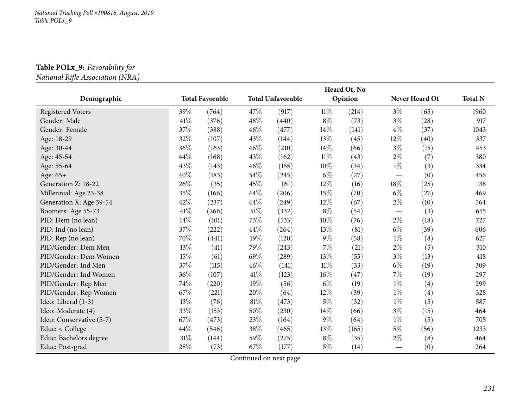# **Table POLx\_9:** *Favorability for*

*National Riܨe Association (NRA)*

|                          |        |                        |        |                          |        | Heard Of, No |       |                |                |
|--------------------------|--------|------------------------|--------|--------------------------|--------|--------------|-------|----------------|----------------|
| Demographic              |        | <b>Total Favorable</b> |        | <b>Total Unfavorable</b> |        | Opinion      |       | Never Heard Of | <b>Total N</b> |
| <b>Registered Voters</b> | 39%    | (764)                  | 47%    | (917)                    | $11\%$ | (214)        | $3\%$ | (65)           | 1960           |
| Gender: Male             | $41\%$ | (376)                  | 48%    | (440)                    | $8\%$  | (73)         | $3\%$ | (28)           | 917            |
| Gender: Female           | 37\%   | (388)                  | 46%    | (477)                    | 14%    | (141)        | $4\%$ | (37)           | 1043           |
| Age: 18-29               | 32%    | (107)                  | 43\%   | (144)                    | 13%    | (45)         | 12\%  | (40)           | 337            |
| Age: 30-44               | 36%    | (163)                  | 46%    | (210)                    | 14%    | (66)         | $3\%$ | (15)           | 453            |
| Age: 45-54               | 44%    | (168)                  | 43\%   | (162)                    | $11\%$ | (43)         | $2\%$ | (7)            | 380            |
| Age: 55-64               | 43%    | (143)                  | 46%    | (155)                    | 10%    | (34)         | $1\%$ | (3)            | 334            |
| Age: 65+                 | 40%    | (183)                  | 54%    | (245)                    | $6\%$  | (27)         | —     | (0)            | 456            |
| Generation Z: 18-22      | 26%    | (35)                   | 45%    | (61)                     | 12%    | (16)         | 18%   | (25)           | 138            |
| Millennial: Age 23-38    | 35%    | (166)                  | 44%    | (206)                    | 15%    | (70)         | $6\%$ | (27)           | 469            |
| Generation X: Age 39-54  | 42%    | (237)                  | 44%    | (249)                    | 12%    | (67)         | $2\%$ | (10)           | 564            |
| Boomers: Age 55-73       | $41\%$ | (266)                  | $51\%$ | (332)                    | $8\%$  | (54)         |       | (3)            | 655            |
| PID: Dem (no lean)       | $14\%$ | (101)                  | 73%    | (533)                    | $10\%$ | (76)         | $2\%$ | (18)           | 727            |
| PID: Ind (no lean)       | $37\%$ | (222)                  | 44\%   | (264)                    | 13%    | (81)         | $6\%$ | (39)           | 606            |
| PID: Rep (no lean)       | 70%    | (441)                  | 19%    | (120)                    | $9\%$  | (58)         | $1\%$ | (8)            | 627            |
| PID/Gender: Dem Men      | 13%    | (41)                   | 79%    | (243)                    | $7\%$  | (21)         | $2\%$ | (5)            | 310            |
| PID/Gender: Dem Women    | 15\%   | (61)                   | 69%    | (289)                    | 13%    | (55)         | $3\%$ | (13)           | 418            |
| PID/Gender: Ind Men      | 37\%   | (115)                  | 46%    | (141)                    | $11\%$ | (33)         | $6\%$ | (19)           | 309            |
| PID/Gender: Ind Women    | 36\%   | (107)                  | 41\%   | (123)                    | 16%    | (47)         | 7%    | (19)           | 297            |
| PID/Gender: Rep Men      | 74\%   | (220)                  | 19%    | (56)                     | $6\%$  | (19)         | $1\%$ | (4)            | 299            |
| PID/Gender: Rep Women    | 67\%   | (221)                  | 20%    | (64)                     | 12%    | (39)         | $1\%$ | (4)            | 328            |
| Ideo: Liberal (1-3)      | $13\%$ | (76)                   | $81\%$ | (473)                    | $5\%$  | (32)         | $1\%$ | (5)            | 587            |
| Ideo: Moderate (4)       | 33%    | (153)                  | 50%    | (230)                    | 14%    | (66)         | $3\%$ | (15)           | 464            |
| Ideo: Conservative (5-7) | 67\%   | (473)                  | 23%    | (164)                    | $9\%$  | (64)         | $1\%$ | (5)            | 705            |
| Educ: < College          | 44\%   | (546)                  | 38%    | (465)                    | 13%    | (165)        | $5\%$ | (56)           | 1233           |
| Educ: Bachelors degree   | $31\%$ | (144)                  | 59%    | (275)                    | $8\%$  | (35)         | $2\%$ | (8)            | 464            |
| Educ: Post-grad          | 28%    | (73)                   | 67%    | (177)                    | $5\%$  | (14)         |       | (0)            | 264            |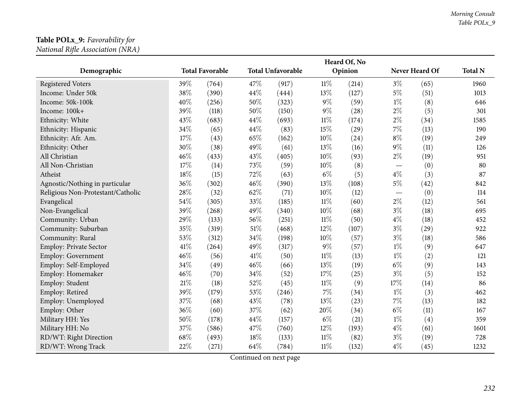#### **Table POLx\_9:** *Favorability for National Riܨe Association (NRA)*

|                                   |     |                        |      |                          |        | Heard Of, No |                                   |                |                |
|-----------------------------------|-----|------------------------|------|--------------------------|--------|--------------|-----------------------------------|----------------|----------------|
| Demographic                       |     | <b>Total Favorable</b> |      | <b>Total Unfavorable</b> |        | Opinion      |                                   | Never Heard Of | <b>Total N</b> |
| Registered Voters                 | 39% | (764)                  | 47%  | (917)                    | $11\%$ | (214)        | $3\%$                             | (65)           | 1960           |
| Income: Under 50k                 | 38% | (390)                  | 44%  | (444)                    | 13%    | (127)        | $5\%$                             | (51)           | 1013           |
| Income: 50k-100k                  | 40% | (256)                  | 50%  | (323)                    | $9\%$  | (59)         | $1\%$                             | (8)            | 646            |
| Income: 100k+                     | 39% | (118)                  | 50%  | (150)                    | $9\%$  | (28)         | $2\%$                             | (5)            | 301            |
| Ethnicity: White                  | 43% | (683)                  | 44%  | (693)                    | $11\%$ | (174)        | $2\%$                             | (34)           | 1585           |
| Ethnicity: Hispanic               | 34% | (65)                   | 44%  | (83)                     | 15%    | (29)         | 7%                                | (13)           | 190            |
| Ethnicity: Afr. Am.               | 17% | (43)                   | 65%  | (162)                    | 10%    | (24)         | $8\%$                             | (19)           | 249            |
| Ethnicity: Other                  | 30% | (38)                   | 49%  | (61)                     | 13%    | (16)         | $9\%$                             | (11)           | 126            |
| All Christian                     | 46% | (433)                  | 43%  | (405)                    | 10%    | (93)         | $2\%$                             | (19)           | 951            |
| All Non-Christian                 | 17% | (14)                   | 73%  | (59)                     | 10%    | (8)          | $\overbrace{\phantom{123221111}}$ | (0)            | 80             |
| Atheist                           | 18% | (15)                   | 72%  | (63)                     | $6\%$  | (5)          | $4\%$                             | (3)            | 87             |
| Agnostic/Nothing in particular    | 36% | (302)                  | 46%  | (390)                    | 13%    | (108)        | $5\%$                             | (42)           | 842            |
| Religious Non-Protestant/Catholic | 28% | (32)                   | 62%  | (71)                     | $10\%$ | (12)         |                                   | (0)            | 114            |
| Evangelical                       | 54% | (305)                  | 33%  | (185)                    | $11\%$ | (60)         | $2\%$                             | (12)           | 561            |
| Non-Evangelical                   | 39% | (268)                  | 49%  | (340)                    | 10%    | (68)         | $3\%$                             | (18)           | 695            |
| Community: Urban                  | 29% | (133)                  | 56%  | (251)                    | $11\%$ | (50)         | $4\%$                             | (18)           | 452            |
| Community: Suburban               | 35% | (319)                  | 51%  | (468)                    | 12%    | (107)        | $3\%$                             | (29)           | 922            |
| Community: Rural                  | 53% | (312)                  | 34%  | (198)                    | 10%    | (57)         | $3\%$                             | (18)           | 586            |
| Employ: Private Sector            | 41% | (264)                  | 49%  | (317)                    | $9\%$  | (57)         | $1\%$                             | (9)            | 647            |
| Employ: Government                | 46% | (56)                   | 41\% | (50)                     | $11\%$ | (13)         | $1\%$                             | (2)            | 121            |
| Employ: Self-Employed             | 34% | (49)                   | 46%  | (66)                     | 13%    | (19)         | $6\%$                             | (9)            | 143            |
| Employ: Homemaker                 | 46% | (70)                   | 34%  | (52)                     | 17%    | (25)         | $3\%$                             | (5)            | 152            |
| Employ: Student                   | 21% | (18)                   | 52%  | (45)                     | $11\%$ | (9)          | 17%                               | (14)           | 86             |
| Employ: Retired                   | 39% | (179)                  | 53%  | (246)                    | $7\%$  | (34)         | $1\%$                             | (3)            | 462            |
| Employ: Unemployed                | 37% | (68)                   | 43%  | (78)                     | 13%    | (23)         | $7\%$                             | (13)           | 182            |
| Employ: Other                     | 36% | (60)                   | 37%  | (62)                     | 20%    | (34)         | $6\%$                             | (11)           | 167            |
| Military HH: Yes                  | 50% | (178)                  | 44%  | (157)                    | $6\%$  | (21)         | $1\%$                             | (4)            | 359            |
| Military HH: No                   | 37% | (586)                  | 47%  | (760)                    | 12%    | (193)        | $4\%$                             | (61)           | 1601           |
| RD/WT: Right Direction            | 68% | (493)                  | 18\% | (133)                    | $11\%$ | (82)         | $3\%$                             | (19)           | 728            |
| RD/WT: Wrong Track                | 22% | (271)                  | 64%  | (784)                    | $11\%$ | (132)        | $4\%$                             | (45)           | 1232           |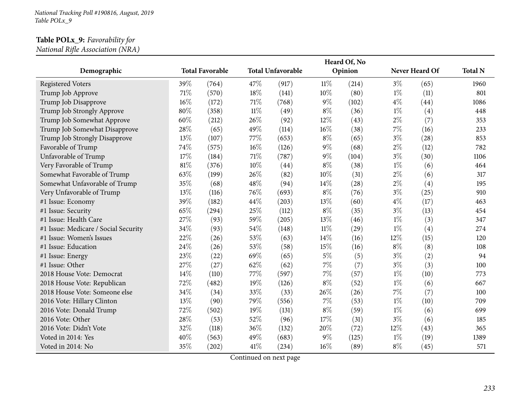## **Table POLx\_9:** *Favorability for*

*National Riܨe Association (NRA)*

|                                      |     |                        |        |                          |        | Heard Of, No |       |                |                |
|--------------------------------------|-----|------------------------|--------|--------------------------|--------|--------------|-------|----------------|----------------|
| Demographic                          |     | <b>Total Favorable</b> |        | <b>Total Unfavorable</b> |        | Opinion      |       | Never Heard Of | <b>Total N</b> |
| <b>Registered Voters</b>             | 39% | (764)                  | 47%    | (917)                    | $11\%$ | (214)        | $3\%$ | (65)           | 1960           |
| Trump Job Approve                    | 71% | (570)                  | 18%    | (141)                    | 10%    | (80)         | $1\%$ | (11)           | 801            |
| Trump Job Disapprove                 | 16% | (172)                  | 71\%   | (768)                    | $9\%$  | (102)        | $4\%$ | (44)           | 1086           |
| Trump Job Strongly Approve           | 80% | (358)                  | $11\%$ | (49)                     | $8\%$  | (36)         | $1\%$ | (4)            | 448            |
| Trump Job Somewhat Approve           | 60% | (212)                  | 26%    | (92)                     | 12%    | (43)         | $2\%$ | (7)            | 353            |
| Trump Job Somewhat Disapprove        | 28% | (65)                   | 49%    | (114)                    | 16%    | (38)         | 7%    | (16)           | 233            |
| Trump Job Strongly Disapprove        | 13% | (107)                  | 77%    | (653)                    | $8\%$  | (65)         | $3\%$ | (28)           | 853            |
| Favorable of Trump                   | 74% | (575)                  | $16\%$ | (126)                    | $9\%$  | (68)         | $2\%$ | (12)           | 782            |
| Unfavorable of Trump                 | 17% | (184)                  | 71\%   | (787)                    | $9\%$  | (104)        | $3\%$ | (30)           | 1106           |
| Very Favorable of Trump              | 81% | (376)                  | 10%    | (44)                     | $8\%$  | (38)         | $1\%$ | (6)            | 464            |
| Somewhat Favorable of Trump          | 63% | (199)                  | 26%    | (82)                     | 10%    | (31)         | $2\%$ | (6)            | 317            |
| Somewhat Unfavorable of Trump        | 35% | (68)                   | 48%    | (94)                     | 14%    | (28)         | $2\%$ | (4)            | 195            |
| Very Unfavorable of Trump            | 13% | (116)                  | 76%    | (693)                    | $8\%$  | (76)         | $3\%$ | (25)           | 910            |
| #1 Issue: Economy                    | 39% | (182)                  | 44%    | (203)                    | 13\%   | (60)         | $4\%$ | (17)           | 463            |
| #1 Issue: Security                   | 65% | (294)                  | 25%    | (112)                    | $8\%$  | (35)         | $3\%$ | (13)           | 454            |
| #1 Issue: Health Care                | 27% | (93)                   | 59%    | (205)                    | 13%    | (46)         | $1\%$ | (3)            | 347            |
| #1 Issue: Medicare / Social Security | 34% | (93)                   | 54\%   | (148)                    | $11\%$ | (29)         | $1\%$ | (4)            | 274            |
| #1 Issue: Women's Issues             | 22% | (26)                   | 53%    | (63)                     | 14\%   | (16)         | 12%   | (15)           | 120            |
| #1 Issue: Education                  | 24% | (26)                   | 53%    | (58)                     | 15%    | (16)         | $8\%$ | (8)            | 108            |
| #1 Issue: Energy                     | 23% | (22)                   | 69%    | (65)                     | $5\%$  | (5)          | $3\%$ | (2)            | 94             |
| #1 Issue: Other                      | 27% | (27)                   | 62%    | (62)                     | $7\%$  | (7)          | $3\%$ | (3)            | 100            |
| 2018 House Vote: Democrat            | 14% | (110)                  | 77%    | (597)                    | $7\%$  | (57)         | $1\%$ | (10)           | 773            |
| 2018 House Vote: Republican          | 72% | (482)                  | 19%    | (126)                    | $8\%$  | (52)         | $1\%$ | (6)            | 667            |
| 2018 House Vote: Someone else        | 34% | (34)                   | 33%    | (33)                     | 26%    | (26)         | $7\%$ | (7)            | 100            |
| 2016 Vote: Hillary Clinton           | 13% | (90)                   | 79%    | (556)                    | $7\%$  | (53)         | $1\%$ | (10)           | 709            |
| 2016 Vote: Donald Trump              | 72% | (502)                  | 19%    | (131)                    | $8\%$  | (59)         | $1\%$ | (6)            | 699            |
| 2016 Vote: Other                     | 28% | (53)                   | 52%    | (96)                     | 17%    | (31)         | $3\%$ | (6)            | 185            |
| 2016 Vote: Didn't Vote               | 32% | (118)                  | 36%    | (132)                    | 20%    | (72)         | 12%   | (43)           | 365            |
| Voted in 2014: Yes                   | 40% | (563)                  | 49%    | (683)                    | $9\%$  | (125)        | $1\%$ | (19)           | 1389           |
| Voted in 2014: No                    | 35% | (202)                  | 41\%   | (234)                    | $16\%$ | (89)         | $8\%$ | (45)           | 571            |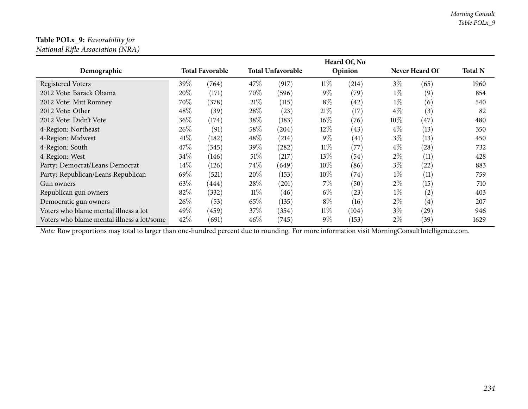#### **Table POLx\_9:** *Favorability for National Riܨe Association (NRA)*

|                                            |        |                        |        |                          |        | Heard Of, No |        |                |                |
|--------------------------------------------|--------|------------------------|--------|--------------------------|--------|--------------|--------|----------------|----------------|
| Demographic                                |        | <b>Total Favorable</b> |        | <b>Total Unfavorable</b> |        | Opinion      |        | Never Heard Of | <b>Total N</b> |
| <b>Registered Voters</b>                   | $39\%$ | (764)                  | 47\%   | (917)                    | $11\%$ | (214)        | $3\%$  | (65)           | 1960           |
| 2012 Vote: Barack Obama                    | 20%    | (171)                  | 70%    | (596)                    | $9\%$  | (79)         | $1\%$  | (9)            | 854            |
| 2012 Vote: Mitt Romney                     | 70\%   | (378)                  | 21%    | (115)                    | $8\%$  | (42)         | $1\%$  | (6)            | 540            |
| 2012 Vote: Other                           | 48\%   | (39)                   | 28%    | (23)                     | 21%    | (17)         | $4\%$  | (3)            | 82             |
| 2012 Vote: Didn't Vote                     | 36\%   | (174)                  | 38%    | (183)                    | $16\%$ | (76)         | $10\%$ | (47)           | 480            |
| 4-Region: Northeast                        | 26\%   | (91)                   | 58%    | (204)                    | 12\%   | (43)         | $4\%$  | (13)           | 350            |
| 4-Region: Midwest                          | 41%    | (182)                  | 48%    | (214)                    | $9\%$  | (41)         | $3\%$  | (13)           | 450            |
| 4-Region: South                            | 47\%   | (345)                  | 39%    | (282)                    | $11\%$ | (77)         | $4\%$  | (28)           | 732            |
| 4-Region: West                             | 34\%   | (146)                  | $51\%$ | (217)                    | 13\%   | (54)         | $2\%$  | (11)           | 428            |
| Party: Democrat/Leans Democrat             | $14\%$ | (126)                  | 74%    | (649)                    | $10\%$ | (86)         | $3\%$  | (22)           | 883            |
| Party: Republican/Leans Republican         | 69%    | (521)                  | 20%    | (153)                    | $10\%$ | (74)         | $1\%$  | (11)           | 759            |
| Gun owners                                 | 63\%   | (444)                  | 28%    | (201)                    | $7\%$  | (50)         | $2\%$  | (15)           | 710            |
| Republican gun owners                      | 82%    | (332)                  | $11\%$ | (46)                     | $6\%$  | (23)         | $1\%$  | (2)            | 403            |
| Democratic gun owners                      | 26\%   | (53)                   | 65%    | (135)                    | $8\%$  | (16)         | $2\%$  | (4)            | 207            |
| Voters who blame mental illness a lot      | 49%    | (459)                  | 37\%   | (354)                    | $11\%$ | (104)        | $3\%$  | (29)           | 946            |
| Voters who blame mental illness a lot/some | 42\%   | (691)                  | 46\%   | (745)                    | $9\%$  | (153)        | $2\%$  | (39)           | 1629           |

*Note:* Row proportions may total to larger than one-hundred percen<sup>t</sup> due to rounding. For more information visit [MorningConsultIntelligence.com](https://morningconsultintelligence.com).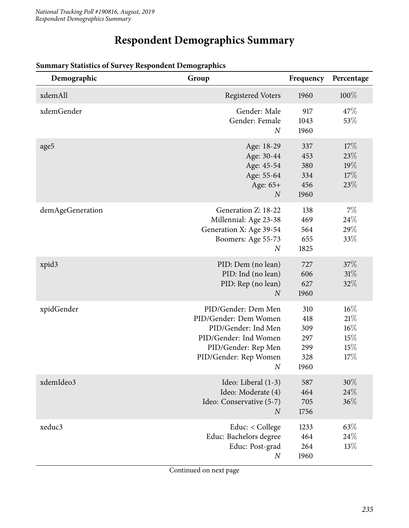## **Respondent Demographics Summary**

| Demographic      | Group                                                                                                                                                            | Frequency                                      | Percentage                                      |
|------------------|------------------------------------------------------------------------------------------------------------------------------------------------------------------|------------------------------------------------|-------------------------------------------------|
| xdemAll          | <b>Registered Voters</b>                                                                                                                                         | 1960                                           | 100%                                            |
| xdemGender       | Gender: Male<br>Gender: Female<br>$\boldsymbol{N}$                                                                                                               | 917<br>1043<br>1960                            | 47\%<br>53%                                     |
| age5             | Age: 18-29<br>Age: 30-44<br>Age: 45-54<br>Age: 55-64<br>Age: 65+<br>$\boldsymbol{N}$                                                                             | 337<br>453<br>380<br>334<br>456<br>1960        | 17%<br>23%<br>19%<br>17%<br>23%                 |
| demAgeGeneration | Generation Z: 18-22<br>Millennial: Age 23-38<br>Generation X: Age 39-54<br>Boomers: Age 55-73<br>$\boldsymbol{N}$                                                | 138<br>469<br>564<br>655<br>1825               | 7%<br>24\%<br>$29\%$<br>33%                     |
| xpid3            | PID: Dem (no lean)<br>PID: Ind (no lean)<br>PID: Rep (no lean)<br>$\overline{N}$                                                                                 | 727<br>606<br>627<br>1960                      | 37%<br>31%<br>32%                               |
| xpidGender       | PID/Gender: Dem Men<br>PID/Gender: Dem Women<br>PID/Gender: Ind Men<br>PID/Gender: Ind Women<br>PID/Gender: Rep Men<br>PID/Gender: Rep Women<br>$\boldsymbol{N}$ | 310<br>418<br>309<br>297<br>299<br>328<br>1960 | $16\%$<br>21%<br>$16\%$<br>$15\%$<br>15%<br>17% |
| xdemIdeo3        | Ideo: Liberal (1-3)<br>Ideo: Moderate (4)<br>Ideo: Conservative (5-7)<br>$\boldsymbol{N}$                                                                        | 587<br>464<br>705<br>1756                      | 30%<br>24\%<br>36%                              |
| xeduc3           | Educ: < College<br>Educ: Bachelors degree<br>Educ: Post-grad<br>$\boldsymbol{N}$                                                                                 | 1233<br>464<br>264<br>1960                     | 63%<br>24\%<br>13%                              |

#### **Summary Statistics of Survey Respondent Demographics**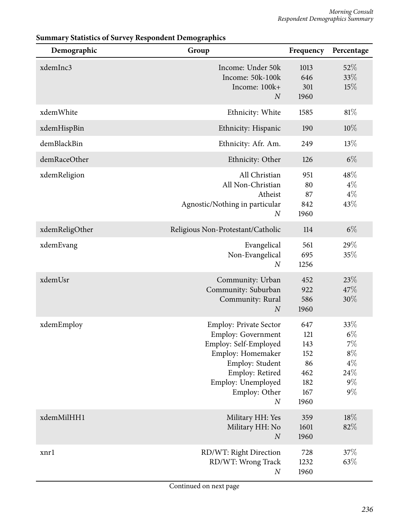| Demographic    | Group                                                                                                                                                                                                     | Frequency                                                   | Percentage                                                        |
|----------------|-----------------------------------------------------------------------------------------------------------------------------------------------------------------------------------------------------------|-------------------------------------------------------------|-------------------------------------------------------------------|
| xdemInc3       | Income: Under 50k<br>Income: 50k-100k<br>Income: 100k+<br>$\boldsymbol{N}$                                                                                                                                | 1013<br>646<br>301<br>1960                                  | 52%<br>33%<br>15%                                                 |
| xdemWhite      | Ethnicity: White                                                                                                                                                                                          | 1585                                                        | 81%                                                               |
| xdemHispBin    | Ethnicity: Hispanic                                                                                                                                                                                       | 190                                                         | 10%                                                               |
| demBlackBin    | Ethnicity: Afr. Am.                                                                                                                                                                                       | 249                                                         | 13%                                                               |
| demRaceOther   | Ethnicity: Other                                                                                                                                                                                          | 126                                                         | $6\%$                                                             |
| xdemReligion   | All Christian<br>All Non-Christian<br>Atheist<br>Agnostic/Nothing in particular<br>$\boldsymbol{N}$                                                                                                       | 951<br>80<br>87<br>842<br>1960                              | 48%<br>$4\%$<br>$4\%$<br>43%                                      |
| xdemReligOther | Religious Non-Protestant/Catholic                                                                                                                                                                         | 114                                                         | $6\%$                                                             |
| xdemEvang      | Evangelical<br>Non-Evangelical<br>$\boldsymbol{N}$                                                                                                                                                        | 561<br>695<br>1256                                          | 29%<br>35%                                                        |
| xdemUsr        | Community: Urban<br>Community: Suburban<br>Community: Rural<br>$\boldsymbol{N}$                                                                                                                           | 452<br>922<br>586<br>1960                                   | 23%<br>47%<br>30%                                                 |
| xdemEmploy     | <b>Employ: Private Sector</b><br><b>Employ: Government</b><br>Employ: Self-Employed<br>Employ: Homemaker<br>Employ: Student<br>Employ: Retired<br>Employ: Unemployed<br>Employ: Other<br>$\boldsymbol{N}$ | 647<br>121<br>143<br>152<br>86<br>462<br>182<br>167<br>1960 | 33%<br>$6\%$<br>$7\%$<br>$8\%$<br>$4\%$<br>24\%<br>$9\%$<br>$9\%$ |
| xdemMilHH1     | Military HH: Yes<br>Military HH: No<br>$\boldsymbol{N}$                                                                                                                                                   | 359<br>1601<br>1960                                         | 18%<br>82%                                                        |
| xnrl           | RD/WT: Right Direction<br>RD/WT: Wrong Track<br>$\boldsymbol{N}$                                                                                                                                          | 728<br>1232<br>1960                                         | 37\%<br>63%                                                       |

#### **Summary Statistics of Survey Respondent Demographics**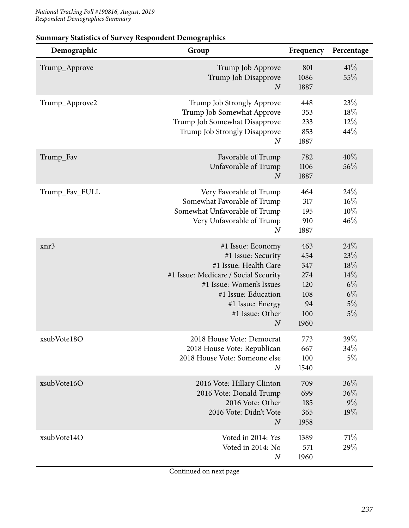| Demographic    | Group                                                                                                                                                                                                                  | Frequency                                                   | Percentage                                              |
|----------------|------------------------------------------------------------------------------------------------------------------------------------------------------------------------------------------------------------------------|-------------------------------------------------------------|---------------------------------------------------------|
| Trump_Approve  | Trump Job Approve<br>Trump Job Disapprove<br>$\overline{N}$                                                                                                                                                            | 801<br>1086<br>1887                                         | 41%<br>55%                                              |
| Trump_Approve2 | Trump Job Strongly Approve<br>Trump Job Somewhat Approve<br>Trump Job Somewhat Disapprove<br>Trump Job Strongly Disapprove<br>$\boldsymbol{N}$                                                                         | 448<br>353<br>233<br>853<br>1887                            | 23%<br>18%<br>$12\%$<br>44%                             |
| Trump_Fav      | Favorable of Trump<br>Unfavorable of Trump<br>$\overline{N}$                                                                                                                                                           | 782<br>1106<br>1887                                         | $40\%$<br>56%                                           |
| Trump_Fav_FULL | Very Favorable of Trump<br>Somewhat Favorable of Trump<br>Somewhat Unfavorable of Trump<br>Very Unfavorable of Trump<br>$\overline{N}$                                                                                 | 464<br>317<br>195<br>910<br>1887                            | 24%<br>$16\%$<br>10%<br>46%                             |
| xnr3           | #1 Issue: Economy<br>#1 Issue: Security<br>#1 Issue: Health Care<br>#1 Issue: Medicare / Social Security<br>#1 Issue: Women's Issues<br>#1 Issue: Education<br>#1 Issue: Energy<br>#1 Issue: Other<br>$\boldsymbol{N}$ | 463<br>454<br>347<br>274<br>120<br>108<br>94<br>100<br>1960 | 24%<br>23\%<br>18%<br>14%<br>$6\%$<br>$6\%$<br>5%<br>5% |
| xsubVote18O    | 2018 House Vote: Democrat<br>2018 House Vote: Republican<br>2018 House Vote: Someone else<br>$\overline{N}$                                                                                                            | 773<br>667<br>100<br>1540                                   | 39\%<br>34\%<br>5%                                      |
| xsubVote16O    | 2016 Vote: Hillary Clinton<br>2016 Vote: Donald Trump<br>2016 Vote: Other<br>2016 Vote: Didn't Vote<br>$\boldsymbol{N}$                                                                                                | 709<br>699<br>185<br>365<br>1958                            | 36%<br>36%<br>$9\%$<br>19%                              |
| xsubVote14O    | Voted in 2014: Yes<br>Voted in 2014: No<br>$\boldsymbol{N}$                                                                                                                                                            | 1389<br>571<br>1960                                         | 71\%<br>29%                                             |

#### **Summary Statistics of Survey Respondent Demographics**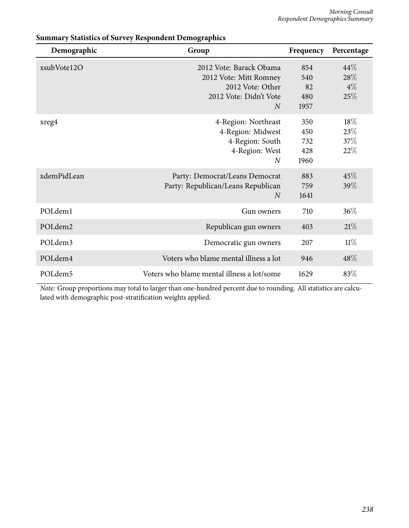| Demographic         | Group                                                                                                             | Frequency                        | Percentage                     |
|---------------------|-------------------------------------------------------------------------------------------------------------------|----------------------------------|--------------------------------|
| xsubVote12O         | 2012 Vote: Barack Obama<br>2012 Vote: Mitt Romney<br>2012 Vote: Other<br>2012 Vote: Didn't Vote<br>$\overline{N}$ | 854<br>540<br>82<br>480<br>1957  | $44\%$<br>28\%<br>$4\%$<br>25% |
| xreg4               | 4-Region: Northeast<br>4-Region: Midwest<br>4-Region: South<br>4-Region: West<br>$\overline{N}$                   | 350<br>450<br>732<br>428<br>1960 | $18\%$<br>23%<br>37\%<br>22%   |
| xdemPidLean         | Party: Democrat/Leans Democrat<br>Party: Republican/Leans Republican<br>$\overline{N}$                            | 883<br>759<br>1641               | 45%<br>39%                     |
| POLdem1             | Gun owners                                                                                                        | 710                              | 36%                            |
| POL <sub>dem2</sub> | Republican gun owners                                                                                             | 403                              | 21%                            |
| POLdem3             | Democratic gun owners                                                                                             | 207                              | $11\%$                         |
| POLdem4             | Voters who blame mental illness a lot                                                                             | 946                              | 48%                            |
| POLdem5             | Voters who blame mental illness a lot/some                                                                        | 1629                             | 83%                            |

#### **Summary Statistics of Survey Respondent Demographics**

*Note:* Group proportions may total to larger than one-hundred percent due to rounding. All statistics are calculated with demographic post-stratification weights applied.